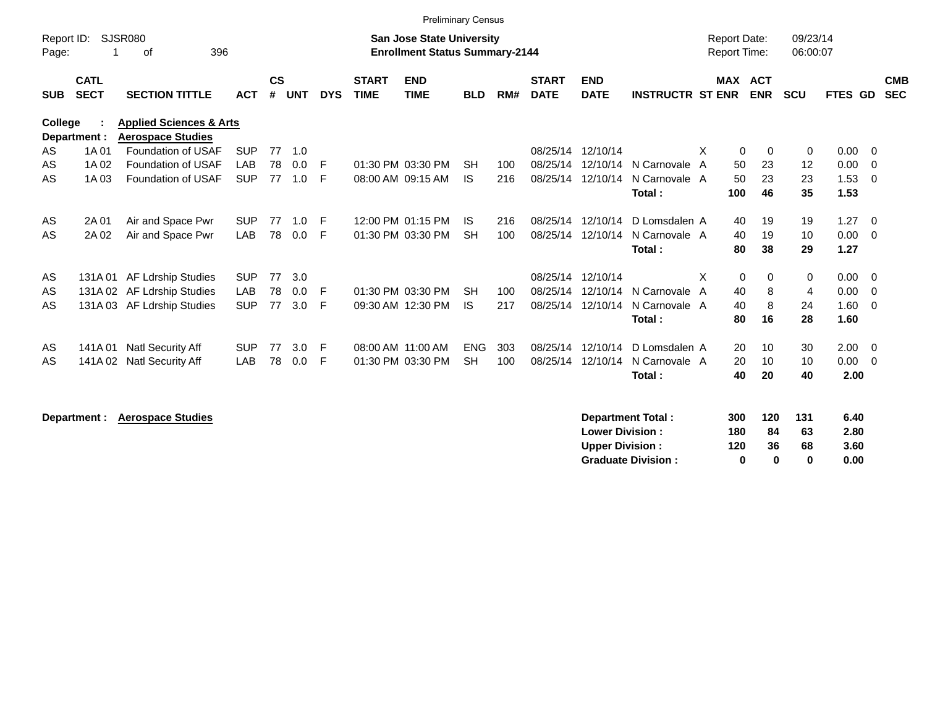|                     |                            |                                                                |            |                    |            |            |                             | <b>Preliminary Census</b>                                                 |            |     |                             |                           |                         |                                     |                |            |                      |                |                          |                          |
|---------------------|----------------------------|----------------------------------------------------------------|------------|--------------------|------------|------------|-----------------------------|---------------------------------------------------------------------------|------------|-----|-----------------------------|---------------------------|-------------------------|-------------------------------------|----------------|------------|----------------------|----------------|--------------------------|--------------------------|
| Report ID:<br>Page: |                            | <b>SJSR080</b><br>396<br>0f                                    |            |                    |            |            |                             | <b>San Jose State University</b><br><b>Enrollment Status Summary-2144</b> |            |     |                             |                           |                         | <b>Report Date:</b><br>Report Time: |                |            | 09/23/14<br>06:00:07 |                |                          |                          |
| <b>SUB</b>          | <b>CATL</b><br><b>SECT</b> | <b>SECTION TITTLE</b>                                          | <b>ACT</b> | $\mathsf{cs}$<br># | <b>UNT</b> | <b>DYS</b> | <b>START</b><br><b>TIME</b> | <b>END</b><br><b>TIME</b>                                                 | <b>BLD</b> | RM# | <b>START</b><br><b>DATE</b> | <b>END</b><br><b>DATE</b> | <b>INSTRUCTR ST ENR</b> |                                     | <b>MAX ACT</b> | <b>ENR</b> | <b>SCU</b>           | <b>FTES GD</b> |                          | <b>CMB</b><br><b>SEC</b> |
| College             | Department :               | <b>Applied Sciences &amp; Arts</b><br><b>Aerospace Studies</b> |            |                    |            |            |                             |                                                                           |            |     |                             |                           |                         |                                     |                |            |                      |                |                          |                          |
| AS                  | 1A 01                      | Foundation of USAF                                             | <b>SUP</b> | 77                 | 1.0        |            |                             |                                                                           |            |     | 08/25/14                    | 12/10/14                  |                         | X                                   | $\mathbf 0$    | $\Omega$   | 0                    | 0.00           | $\overline{0}$           |                          |
| AS                  | 1A 02                      | Foundation of USAF                                             | LAB        | 78                 | 0.0        | F          |                             | 01:30 PM 03:30 PM                                                         | <b>SH</b>  | 100 | 08/25/14                    | 12/10/14                  | N Carnovale A           |                                     | 50             | 23         | 12                   | 0.00           | $\overline{0}$           |                          |
| AS                  | 1A 03                      | Foundation of USAF                                             | <b>SUP</b> | 77                 | 1.0        | F          |                             | 08:00 AM 09:15 AM                                                         | <b>IS</b>  | 216 | 08/25/14                    | 12/10/14                  | N Carnovale A<br>Total: |                                     | 50<br>100      | 23<br>46   | 23<br>35             | 1.53<br>1.53   | - 0                      |                          |
| AS                  | 2A 01                      | Air and Space Pwr                                              | <b>SUP</b> | 77                 | 1.0        | E          |                             | 12:00 PM 01:15 PM                                                         | IS.        | 216 | 08/25/14                    | 12/10/14                  | D Lomsdalen A           |                                     | 40             | 19         | 19                   | 1.27           | $\overline{0}$           |                          |
| AS                  | 2A 02                      | Air and Space Pwr                                              | LAB        | 78                 | 0.0        | F          |                             | 01:30 PM 03:30 PM                                                         | <b>SH</b>  | 100 | 08/25/14                    | 12/10/14                  | N Carnovale A<br>Total: |                                     | 40<br>80       | 19<br>38   | 10<br>29             | 0.00<br>1.27   | - 0                      |                          |
| AS                  | 131A 01                    | <b>AF Ldrship Studies</b>                                      | <b>SUP</b> | 77                 | 3.0        |            |                             |                                                                           |            |     | 08/25/14                    | 12/10/14                  |                         | X                                   | $\mathbf 0$    | 0          | 0                    | 0.00           | $\overline{0}$           |                          |
| AS                  |                            | 131A 02 AF Ldrship Studies                                     | LAB        | 78                 | 0.0        | F          |                             | 01:30 PM 03:30 PM                                                         | <b>SH</b>  | 100 | 08/25/14                    | 12/10/14                  | N Carnovale A           |                                     | 40             | 8          | 4                    | 0.00           | $\overline{0}$           |                          |
| AS                  |                            | 131A 03 AF Ldrship Studies                                     | <b>SUP</b> | 77                 | 3.0        | F          |                             | 09:30 AM 12:30 PM                                                         | <b>IS</b>  | 217 | 08/25/14                    | 12/10/14                  | N Carnovale A<br>Total: |                                     | 40<br>80       | 8<br>16    | 24<br>28             | 1.60<br>1.60   | $\overline{\phantom{0}}$ |                          |
| AS                  | 141A 01                    | Natl Security Aff                                              | <b>SUP</b> | 77                 | 3.0        | E          | 08:00 AM 11:00 AM           |                                                                           | <b>ENG</b> | 303 | 08/25/14                    | 12/10/14                  | D Lomsdalen A           |                                     | 20             | 10         | 30                   | 2.00           | $\overline{\mathbf{0}}$  |                          |
| AS                  | 141A 02                    | <b>Natl Security Aff</b>                                       | LAB        | 78                 | 0.0        | F          |                             | 01:30 PM 03:30 PM                                                         | <b>SH</b>  | 100 | 08/25/14                    | 12/10/14                  | N Carnovale A<br>Total: |                                     | 20<br>40       | 10<br>20   | 10<br>40             | 0.00<br>2.00   | - 0                      |                          |
|                     | Department :               | <b>Aerospace Studies</b>                                       |            |                    |            |            |                             |                                                                           |            |     |                             |                           | Department Total:       |                                     | 300            | 120        | 131                  | 6.40           |                          |                          |

|     |    |    | <u></u> |
|-----|----|----|---------|
| 180 | 84 | 63 | 2.80    |
| 120 | 36 | 68 | 3.60    |
| o   | o  | o  | 0.00    |
|     | uu | .  | .       |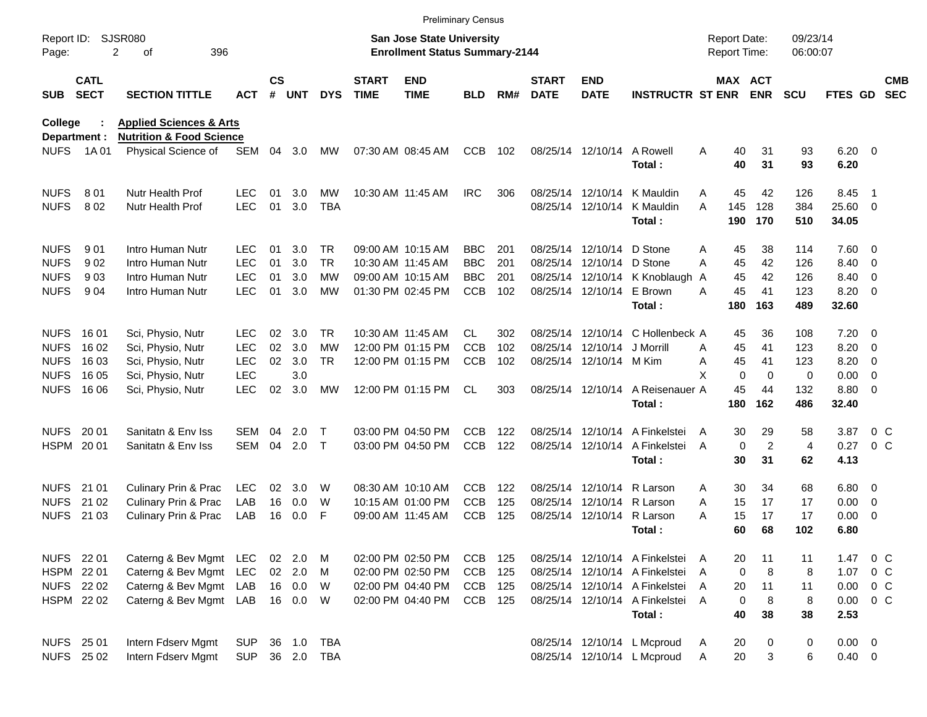|                     |                            |                                     |            |               |          |            |                             |                                                                           | <b>Preliminary Census</b> |     |                             |                            |                                |                                     |                               |                      |                        |                          |                          |
|---------------------|----------------------------|-------------------------------------|------------|---------------|----------|------------|-----------------------------|---------------------------------------------------------------------------|---------------------------|-----|-----------------------------|----------------------------|--------------------------------|-------------------------------------|-------------------------------|----------------------|------------------------|--------------------------|--------------------------|
| Report ID:<br>Page: |                            | <b>SJSR080</b><br>2<br>396<br>оf    |            |               |          |            |                             | <b>San Jose State University</b><br><b>Enrollment Status Summary-2144</b> |                           |     |                             |                            |                                | <b>Report Date:</b><br>Report Time: |                               | 09/23/14<br>06:00:07 |                        |                          |                          |
| <b>SUB</b>          | <b>CATL</b><br><b>SECT</b> | <b>SECTION TITTLE</b>               | <b>ACT</b> | $\mathsf{cs}$ | # UNT    | <b>DYS</b> | <b>START</b><br><b>TIME</b> | <b>END</b><br><b>TIME</b>                                                 | <b>BLD</b>                | RM# | <b>START</b><br><b>DATE</b> | <b>END</b><br><b>DATE</b>  | <b>INSTRUCTR ST ENR</b>        |                                     | MAX ACT<br><b>ENR</b>         | <b>SCU</b>           | <b>FTES GD</b>         |                          | <b>CMB</b><br><b>SEC</b> |
| <b>College</b>      |                            | <b>Applied Sciences &amp; Arts</b>  |            |               |          |            |                             |                                                                           |                           |     |                             |                            |                                |                                     |                               |                      |                        |                          |                          |
|                     | Department :               | <b>Nutrition &amp; Food Science</b> |            |               |          |            |                             |                                                                           |                           |     |                             |                            |                                |                                     |                               |                      |                        |                          |                          |
| <b>NUFS</b>         | 1A 01                      | Physical Science of                 | SEM        | 04            | 3.0      | <b>MW</b>  |                             | 07:30 AM 08:45 AM                                                         | <b>CCB</b>                | 102 |                             | 08/25/14 12/10/14          | A Rowell<br>Total:             | A                                   | 40<br>31<br>40<br>31          | 93<br>93             | $6.20 \quad 0$<br>6.20 |                          |                          |
| <b>NUFS</b>         | 801                        | Nutr Health Prof                    | <b>LEC</b> | 01            | 3.0      | MW         |                             | 10:30 AM 11:45 AM                                                         | <b>IRC</b>                | 306 |                             | 08/25/14 12/10/14          | K Mauldin                      | Α                                   | 45<br>42                      | 126                  | 8.45                   | - 1                      |                          |
| <b>NUFS</b>         | 802                        | Nutr Health Prof                    | <b>LEC</b> | 01            | 3.0      | <b>TBA</b> |                             |                                                                           |                           |     |                             |                            | 08/25/14 12/10/14 K Mauldin    | 145<br>A                            | 128                           | 384                  | 25.60 0                |                          |                          |
|                     |                            |                                     |            |               |          |            |                             |                                                                           |                           |     |                             |                            | Total:                         | 190                                 | 170                           | 510                  | 34.05                  |                          |                          |
| <b>NUFS</b>         | 901                        | Intro Human Nutr                    | LEC        | 01            | 3.0      | TR         |                             | 09:00 AM 10:15 AM                                                         | <b>BBC</b>                | 201 |                             | 08/25/14 12/10/14          | D Stone                        | Α                                   | 38<br>45                      | 114                  | $7.60 \t 0$            |                          |                          |
| <b>NUFS</b>         | 902                        | Intro Human Nutr                    | <b>LEC</b> | 01            | 3.0      | <b>TR</b>  |                             | 10:30 AM 11:45 AM                                                         | <b>BBC</b>                | 201 |                             | 08/25/14 12/10/14 D Stone  |                                | A                                   | 45<br>42                      | 126                  | 8.40                   | $\overline{\phantom{0}}$ |                          |
| <b>NUFS</b>         | 903                        | Intro Human Nutr                    | <b>LEC</b> | 01            | 3.0      | МW         |                             | 09:00 AM 10:15 AM                                                         | <b>BBC</b>                | 201 |                             |                            | 08/25/14 12/10/14 K Knoblaugh  | A                                   | 45<br>42                      | 126                  | 8.40                   | $\overline{\phantom{0}}$ |                          |
| <b>NUFS</b>         | 904                        | Intro Human Nutr                    | <b>LEC</b> | 01            | 3.0      | MW         |                             | 01:30 PM 02:45 PM                                                         | <b>CCB</b>                | 102 |                             | 08/25/14 12/10/14 E Brown  |                                | A                                   | 45<br>41                      | 123                  | 8.20                   | $\overline{\phantom{0}}$ |                          |
|                     |                            |                                     |            |               |          |            |                             |                                                                           |                           |     |                             |                            | Total:                         | 180                                 | 163                           | 489                  | 32.60                  |                          |                          |
| <b>NUFS</b>         | 16 01                      | Sci, Physio, Nutr                   | <b>LEC</b> | 02            | 3.0      | TR         |                             | 10:30 AM 11:45 AM                                                         | CL                        | 302 |                             | 08/25/14 12/10/14          | C Hollenbeck A                 |                                     | 36<br>45                      | 108                  | $7.20 \t 0$            |                          |                          |
| <b>NUFS</b>         | 16 02                      | Sci, Physio, Nutr                   | <b>LEC</b> | 02            | 3.0      | МW         |                             | 12:00 PM 01:15 PM                                                         | <b>CCB</b>                | 102 |                             | 08/25/14 12/10/14          | J Morrill                      | A                                   | 45<br>41                      | 123                  | 8.20                   | $\overline{\phantom{0}}$ |                          |
| <b>NUFS</b>         | 16 03                      | Sci, Physio, Nutr                   | <b>LEC</b> | 02            | 3.0      | TR         |                             | 12:00 PM 01:15 PM                                                         | <b>CCB</b>                | 102 |                             | 08/25/14 12/10/14 M Kim    |                                | Α                                   | 45<br>41                      | 123                  | 8.20                   | $\overline{\phantom{0}}$ |                          |
| <b>NUFS</b>         | 16 05                      | Sci, Physio, Nutr                   | <b>LEC</b> |               | 3.0      |            |                             |                                                                           |                           |     |                             |                            |                                | X                                   | $\mathbf 0$<br>$\mathbf 0$    | 0                    | 0.00                   | $\overline{\phantom{0}}$ |                          |
| <b>NUFS</b>         | 16 06                      | Sci, Physio, Nutr                   | <b>LEC</b> | 02            | 3.0      | MW         |                             | 12:00 PM 01:15 PM                                                         | CL.                       | 303 |                             | 08/25/14 12/10/14          | A Reisenauer A                 |                                     | 45<br>44                      | 132                  | 8.80 0                 |                          |                          |
|                     |                            |                                     |            |               |          |            |                             |                                                                           |                           |     |                             |                            | Total:                         | 180                                 | 162                           | 486                  | 32.40                  |                          |                          |
| <b>NUFS</b>         | 20 01                      | Sanitatn & Env Iss                  | SEM        | 04            | 2.0      | Т          |                             | 03:00 PM 04:50 PM                                                         | <b>CCB</b>                | 122 |                             |                            | 08/25/14 12/10/14 A Finkelstei | A                                   | 29<br>30                      | 58                   | 3.87                   | $0\,$ C                  |                          |
|                     | HSPM 2001                  | Sanitatn & Env Iss                  | SEM        | 04            | 2.0      | $\top$     |                             | 03:00 PM 04:50 PM                                                         | <b>CCB</b>                | 122 |                             | 08/25/14 12/10/14          | A Finkelstei                   | A                                   | $\overline{c}$<br>$\mathbf 0$ | 4                    | 0.27                   | 0 <sup>o</sup>           |                          |
|                     |                            |                                     |            |               |          |            |                             |                                                                           |                           |     |                             |                            | Total:                         |                                     | 30<br>31                      | 62                   | 4.13                   |                          |                          |
| <b>NUFS</b>         | 21 01                      | Culinary Prin & Prac                | <b>LEC</b> | 02            | 3.0      | W          |                             | 08:30 AM 10:10 AM                                                         | <b>CCB</b>                | 122 |                             | 08/25/14 12/10/14          | R Larson                       | Α                                   | 30<br>34                      | 68                   | $6.80$ 0               |                          |                          |
| <b>NUFS</b>         | 21 02                      | <b>Culinary Prin &amp; Prac</b>     | LAB        | 16            | 0.0      | W          |                             | 10:15 AM 01:00 PM                                                         | <b>CCB</b>                | 125 |                             | 08/25/14 12/10/14 R Larson |                                | A                                   | 17<br>15                      | 17                   | 0.00                   | $\overline{\phantom{0}}$ |                          |
| <b>NUFS</b>         | 21 03                      | Culinary Prin & Prac                | LAB        | 16            | 0.0      | F          |                             | 09:00 AM 11:45 AM                                                         | <b>CCB</b>                | 125 |                             | 08/25/14 12/10/14 R Larson |                                | А                                   | 15<br>17                      | 17                   | 0.00                   | $\overline{\phantom{0}}$ |                          |
|                     |                            |                                     |            |               |          |            |                             |                                                                           |                           |     |                             |                            | Total :                        |                                     | 60<br>68                      | 102                  | 6.80                   |                          |                          |
|                     | NUFS 22 01                 | Caterng & Bev Mgmt LEC              |            |               | 02 2.0   | M          |                             | 02:00 PM 02:50 PM                                                         | CCB                       | 125 |                             |                            | 08/25/14 12/10/14 A Finkelstei | A                                   | 20<br>11                      | 11                   | 1.47                   | $0\,$ C                  |                          |
|                     | HSPM 22 01                 | Caterng & Bev Mgmt                  | LEC        |               | $02$ 2.0 | M          |                             | 02:00 PM 02:50 PM                                                         | <b>CCB</b>                | 125 |                             |                            | 08/25/14 12/10/14 A Finkelstei | A                                   | 0<br>8                        | 8                    | 1.07                   | $0\,$ C                  |                          |
|                     | NUFS 22 02                 | Caterng & Bev Mgmt                  | LAB        |               | 16 0.0   | W          |                             | 02:00 PM 04:40 PM                                                         | <b>CCB</b>                | 125 |                             |                            | 08/25/14 12/10/14 A Finkelstei | A                                   | 11<br>20                      | 11                   | $0.00 \t 0 C$          |                          |                          |
|                     | HSPM 22 02                 | Caterng & Bev Mgmt                  | LAB        |               | 16 0.0   | W          |                             | 02:00 PM 04:40 PM                                                         | CCB 125                   |     |                             |                            | 08/25/14 12/10/14 A Finkelstei | $\overline{A}$                      | $\mathbf 0$<br>8              | 8                    | $0.00 \t 0 C$          |                          |                          |
|                     |                            |                                     |            |               |          |            |                             |                                                                           |                           |     |                             |                            | Total:                         |                                     | 40<br>38                      | 38                   | 2.53                   |                          |                          |
|                     | NUFS 25 01                 | Intern Fdserv Mgmt                  | <b>SUP</b> |               | 36 1.0   | TBA        |                             |                                                                           |                           |     |                             |                            | 08/25/14 12/10/14 L Mcproud    | Α                                   | 20<br>0                       | $\pmb{0}$            | $0.00 \t 0$            |                          |                          |
|                     | <b>NUFS 2502</b>           | Intern Fdserv Mgmt                  | <b>SUP</b> |               |          | 36 2.0 TBA |                             |                                                                           |                           |     |                             |                            | 08/25/14 12/10/14 L Mcproud    | Α                                   | 20<br>3                       | 6                    | $0.40 \ 0$             |                          |                          |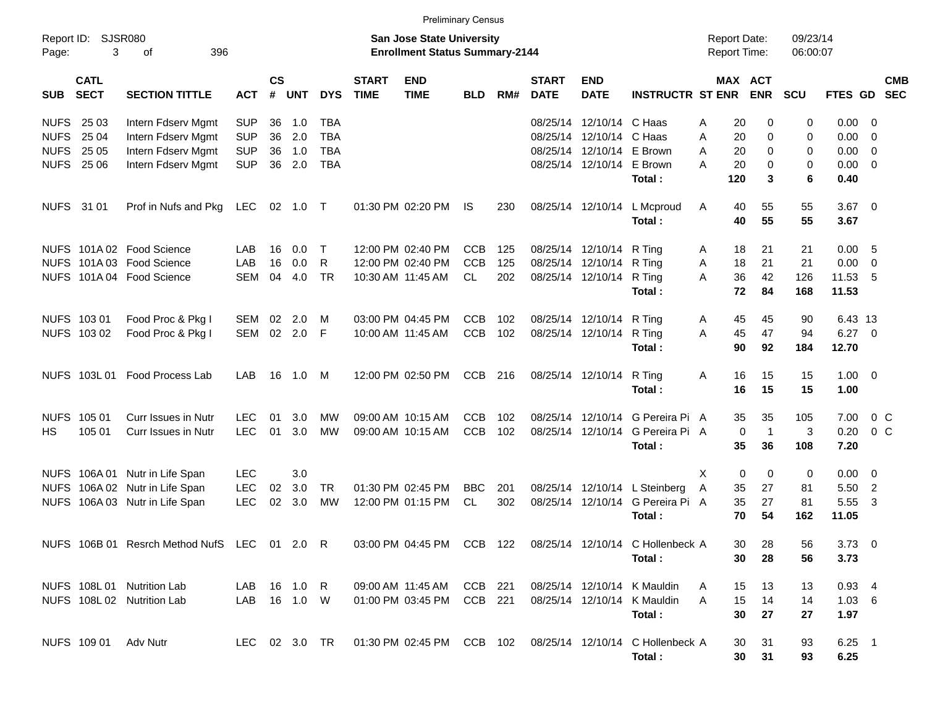|             |                            |                                              |              |                    |          |               |                             |                                                                           | <b>Preliminary Census</b> |     |                             |                           |                                                            |                                            |                       |                      |                  |                |            |
|-------------|----------------------------|----------------------------------------------|--------------|--------------------|----------|---------------|-----------------------------|---------------------------------------------------------------------------|---------------------------|-----|-----------------------------|---------------------------|------------------------------------------------------------|--------------------------------------------|-----------------------|----------------------|------------------|----------------|------------|
| Page:       | Report ID: SJSR080<br>3    | 396<br>оf                                    |              |                    |          |               |                             | <b>San Jose State University</b><br><b>Enrollment Status Summary-2144</b> |                           |     |                             |                           |                                                            | <b>Report Date:</b><br><b>Report Time:</b> |                       | 09/23/14<br>06:00:07 |                  |                |            |
| <b>SUB</b>  | <b>CATL</b><br><b>SECT</b> | <b>SECTION TITTLE</b>                        | <b>ACT</b>   | $\mathsf{cs}$<br># | UNT      | <b>DYS</b>    | <b>START</b><br><b>TIME</b> | <b>END</b><br><b>TIME</b>                                                 | <b>BLD</b>                | RM# | <b>START</b><br><b>DATE</b> | <b>END</b><br><b>DATE</b> | <b>INSTRUCTR ST ENR</b>                                    |                                            | MAX ACT<br><b>ENR</b> | <b>SCU</b>           | FTES GD SEC      |                | <b>CMB</b> |
| NUFS 25 03  |                            | Intern Fdserv Mgmt                           | <b>SUP</b>   | 36                 | 1.0      | TBA           |                             |                                                                           |                           |     |                             | 08/25/14 12/10/14 C Haas  |                                                            | 20<br>Α                                    | 0                     | 0                    | $0.00 \t 0$      |                |            |
| <b>NUFS</b> | 25 04                      | Intern Fdserv Mgmt                           | <b>SUP</b>   | 36                 | 2.0      | <b>TBA</b>    |                             |                                                                           |                           |     |                             | 08/25/14 12/10/14 C Haas  |                                                            | 20<br>A                                    | 0                     | 0                    | $0.00 \t 0$      |                |            |
|             | <b>NUFS 25 05</b>          | Intern Fdserv Mgmt                           | <b>SUP</b>   | 36                 | 1.0      | <b>TBA</b>    |                             |                                                                           |                           |     |                             | 08/25/14 12/10/14 E Brown |                                                            | 20<br>Α                                    | 0                     | 0                    | $0.00 \t 0$      |                |            |
|             | <b>NUFS 25 06</b>          | Intern Fdserv Mgmt                           | <b>SUP</b>   | 36                 | 2.0      | <b>TBA</b>    |                             |                                                                           |                           |     |                             | 08/25/14 12/10/14 E Brown |                                                            | А<br>20                                    | $\Omega$              | 0                    | $0.00 \t 0$      |                |            |
|             |                            |                                              |              |                    |          |               |                             |                                                                           |                           |     |                             |                           | Total:                                                     | 120                                        | 3                     | 6                    | 0.40             |                |            |
| NUFS 31 01  |                            | Prof in Nufs and Pkg LEC                     |              |                    | 02 1.0 T |               |                             | 01:30 PM 02:20 PM                                                         | IS                        | 230 |                             |                           | 08/25/14 12/10/14 L Mcproud<br>Total:                      | Α<br>40<br>40                              | 55<br>55              | 55<br>55             | $3.67$ 0<br>3.67 |                |            |
|             |                            | NUFS 101A 02 Food Science                    | LAB          | 16                 | 0.0      | Т             |                             | 12:00 PM 02:40 PM                                                         | <b>CCB</b>                | 125 |                             | 08/25/14 12/10/14 R Ting  |                                                            | 18<br>Α                                    | 21                    | 21                   | 0.00 5           |                |            |
|             |                            | NUFS 101A 03 Food Science                    | LAB          | 16                 | 0.0      | R             |                             | 12:00 PM 02:40 PM                                                         | <b>CCB</b>                | 125 |                             | 08/25/14 12/10/14 R Ting  |                                                            | 18<br>A                                    | 21                    | 21                   | $0.00 \t 0$      |                |            |
|             |                            | NUFS 101A 04 Food Science                    | <b>SEM</b>   | 04                 | 4.0      | <b>TR</b>     |                             | 10:30 AM 11:45 AM                                                         | CL.                       | 202 |                             | 08/25/14 12/10/14 R Ting  |                                                            | 36<br>A                                    | 42                    | 126                  | 11.53 5          |                |            |
|             |                            |                                              |              |                    |          |               |                             |                                                                           |                           |     |                             |                           | Total:                                                     | 72                                         | 84                    | 168                  | 11.53            |                |            |
|             | NUFS 103 01                | Food Proc & Pkg I                            | SEM          | 02                 | 2.0      | м             |                             | 03:00 PM 04:45 PM                                                         | <b>CCB</b>                | 102 |                             | 08/25/14 12/10/14 R Ting  |                                                            | 45<br>Α                                    | 45                    | 90                   | 6.43 13          |                |            |
|             | NUFS 103 02                | Food Proc & Pkg I                            | SEM          | 02                 | 2.0      | F             |                             | 10:00 AM 11:45 AM                                                         | <b>CCB</b>                | 102 |                             | 08/25/14 12/10/14 R Ting  |                                                            | 45<br>A                                    | 47                    | 94                   | $6.27$ 0         |                |            |
|             |                            |                                              |              |                    |          |               |                             |                                                                           |                           |     |                             |                           | Total:                                                     | 90                                         | 92                    | 184                  | 12.70            |                |            |
|             | NUFS 103L01                | Food Process Lab                             | LAB          |                    | 16  1.0  | M             |                             | 12:00 PM 02:50 PM                                                         | <b>CCB</b>                | 216 |                             | 08/25/14 12/10/14         | R Ting                                                     | Α<br>16                                    | 15                    | 15                   | $1.00 \t 0$      |                |            |
|             |                            |                                              |              |                    |          |               |                             |                                                                           |                           |     |                             |                           | Total:                                                     | 16                                         | 15                    | 15                   | 1.00             |                |            |
|             | NUFS 105 01                | <b>Curr Issues in Nutr</b>                   | <b>LEC</b>   | 01                 | 3.0      | MW            |                             | 09:00 AM 10:15 AM                                                         | <b>CCB</b>                | 102 |                             |                           | 08/25/14 12/10/14 G Pereira Pi A                           | 35                                         | 35                    | 105                  | 7.00             | $0\,$ C        |            |
| HS.         | 105 01                     | Curr Issues in Nutr                          | <b>LEC</b>   | 01                 | 3.0      | <b>MW</b>     |                             | 09:00 AM 10:15 AM                                                         | <b>CCB</b>                | 102 |                             |                           | 08/25/14 12/10/14 G Pereira Pi A                           | $\mathbf 0$                                | $\mathbf{1}$          | 3                    | 0.20             | 0 <sup>o</sup> |            |
|             |                            |                                              |              |                    |          |               |                             |                                                                           |                           |     |                             |                           | Total:                                                     | 35                                         | 36                    | 108                  | 7.20             |                |            |
|             | NUFS 106A01                | Nutr in Life Span                            | <b>LEC</b>   |                    | 3.0      |               |                             |                                                                           |                           |     |                             |                           |                                                            | X<br>0                                     | 0                     | 0                    | $0.00 \quad 0$   |                |            |
| <b>NUFS</b> | 106A 02                    | Nutr in Life Span                            | <b>LEC</b>   | 02                 | 3.0      | TR            |                             | 01:30 PM 02:45 PM                                                         | <b>BBC</b>                | 201 |                             |                           | 08/25/14 12/10/14 L Steinberg                              | 35<br>Α                                    | 27                    | 81                   | 5.50 2           |                |            |
|             |                            | NUFS 106A 03 Nutr in Life Span               | <b>LEC</b>   | 02                 | 3.0      | <b>MW</b>     |                             | 12:00 PM 01:15 PM                                                         | CL                        | 302 |                             |                           | 08/25/14 12/10/14 G Pereira Pi A                           | 35                                         | 27                    | 81                   | 5.55             | -3             |            |
|             |                            |                                              |              |                    |          |               |                             |                                                                           |                           |     |                             |                           | Total:                                                     | 70                                         | 54                    | 162                  | 11.05            |                |            |
|             |                            | NUFS 106B 01 Resrch Method NufS LEC 01 2.0 R |              |                    |          |               |                             |                                                                           |                           |     |                             |                           | 03:00 PM 04:45 PM CCB 122 08/25/14 12/10/14 C Hollenbeck A | 30                                         | 28                    | 56                   | $3.73$ 0         |                |            |
|             |                            |                                              |              |                    |          |               |                             |                                                                           |                           |     |                             |                           | Total:                                                     | 30                                         | 28                    | 56                   | 3.73             |                |            |
|             |                            | NUFS 108L 01 Nutrition Lab                   | LAB 16 1.0 R |                    |          |               |                             | 09:00 AM 11:45 AM CCB 221                                                 |                           |     |                             |                           | 08/25/14 12/10/14 K Mauldin                                | 15<br>A                                    | 13                    | 13                   | $0.93$ 4         |                |            |
|             |                            | NUFS 108L 02 Nutrition Lab                   | LAB 16 1.0 W |                    |          |               |                             | 01:00 PM 03:45 PM CCB 221                                                 |                           |     |                             |                           | 08/25/14 12/10/14 K Mauldin                                | 15<br>A                                    | 14                    | 14                   | $1.03 \quad 6$   |                |            |
|             |                            |                                              |              |                    |          |               |                             |                                                                           |                           |     |                             |                           | Total:                                                     | 30                                         | 27                    | 27                   | 1.97             |                |            |
|             |                            | NUFS 109 01 Adv Nutr                         |              |                    |          | LEC 02 3.0 TR |                             |                                                                           |                           |     |                             |                           | 01:30 PM 02:45 PM CCB 102 08/25/14 12/10/14 C Hollenbeck A | 30                                         | 31                    | 93                   | $6.25$ 1         |                |            |
|             |                            |                                              |              |                    |          |               |                             |                                                                           |                           |     |                             |                           | Total:                                                     | 30                                         | 31                    | 93                   | 6.25             |                |            |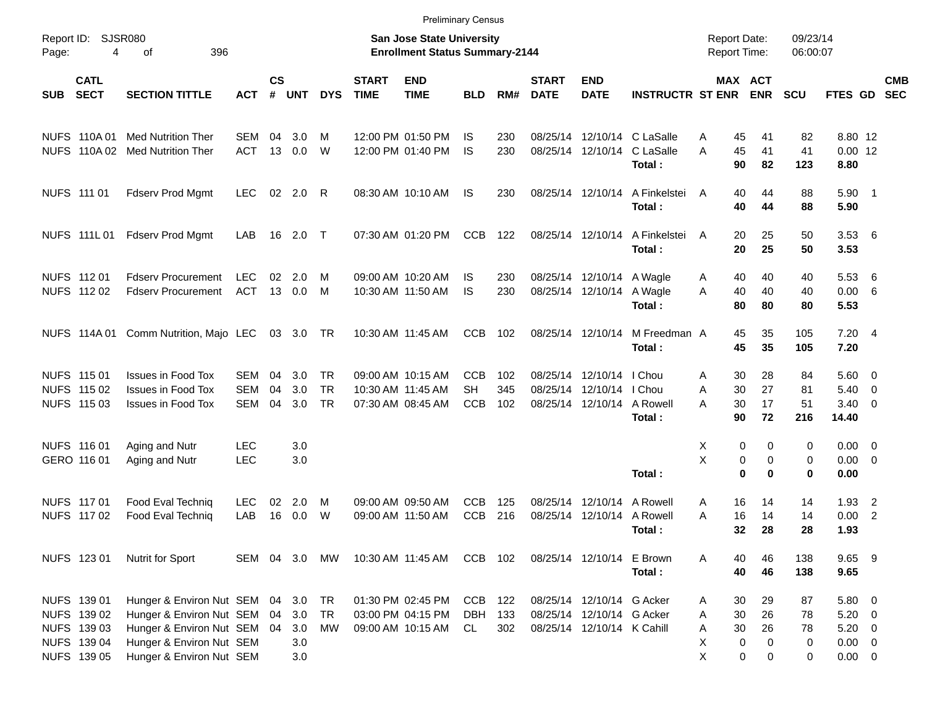|            |                                                                         |                                                                                                                                                   |                          |                |                                 |                              |                             |                                                                           | <b>Preliminary Census</b>             |                   |                             |                                                                                      |                                                    |                                            |                                           |                          |                                                                  |                          |                          |
|------------|-------------------------------------------------------------------------|---------------------------------------------------------------------------------------------------------------------------------------------------|--------------------------|----------------|---------------------------------|------------------------------|-----------------------------|---------------------------------------------------------------------------|---------------------------------------|-------------------|-----------------------------|--------------------------------------------------------------------------------------|----------------------------------------------------|--------------------------------------------|-------------------------------------------|--------------------------|------------------------------------------------------------------|--------------------------|--------------------------|
| Page:      | Report ID: SJSR080<br>4                                                 | 396<br>οf                                                                                                                                         |                          |                |                                 |                              |                             | <b>San Jose State University</b><br><b>Enrollment Status Summary-2144</b> |                                       |                   |                             |                                                                                      |                                                    | <b>Report Date:</b><br><b>Report Time:</b> |                                           | 09/23/14<br>06:00:07     |                                                                  |                          |                          |
| <b>SUB</b> | <b>CATL</b><br><b>SECT</b>                                              | <b>SECTION TITTLE</b>                                                                                                                             | <b>ACT</b>               | <b>CS</b><br># | <b>UNT</b>                      | <b>DYS</b>                   | <b>START</b><br><b>TIME</b> | <b>END</b><br><b>TIME</b>                                                 | <b>BLD</b>                            | RM#               | <b>START</b><br><b>DATE</b> | <b>END</b><br><b>DATE</b>                                                            | <b>INSTRUCTR ST ENR</b>                            |                                            | <b>MAX ACT</b><br><b>ENR</b>              | <b>SCU</b>               | FTES GD                                                          |                          | <b>CMB</b><br><b>SEC</b> |
|            |                                                                         | NUFS 110A 01 Med Nutrition Ther<br>NUFS 110A 02 Med Nutrition Ther                                                                                | SEM<br><b>ACT</b>        | 04<br>13       | 3.0<br>0.0                      | м<br>W                       |                             | 12:00 PM 01:50 PM<br>12:00 PM 01:40 PM                                    | IS<br>IS                              | 230<br>230        |                             | 08/25/14 12/10/14                                                                    | 08/25/14 12/10/14 C LaSalle<br>C LaSalle<br>Total: | 45<br>A<br>A<br>45<br>90                   | 41<br>41<br>82                            | 82<br>41<br>123          | 8.80 12<br>$0.00$ 12<br>8.80                                     |                          |                          |
|            | NUFS 111 01                                                             | <b>Fdserv Prod Mgmt</b>                                                                                                                           | <b>LEC</b>               |                | 02 2.0 R                        |                              |                             | 08:30 AM 10:10 AM                                                         | IS.                                   | 230               |                             | 08/25/14 12/10/14                                                                    | A Finkelstei<br>Total:                             | 40<br>A<br>40                              | 44<br>44                                  | 88<br>88                 | $5.90$ 1<br>5.90                                                 |                          |                          |
|            | NUFS 111L01                                                             | <b>Fdserv Prod Mgmt</b>                                                                                                                           | LAB                      |                | 16 2.0 T                        |                              |                             | 07:30 AM 01:20 PM                                                         | <b>CCB</b>                            | 122               |                             | 08/25/14 12/10/14                                                                    | A Finkelstei<br>Total:                             | 20<br>A<br>20                              | 25<br>25                                  | 50<br>50                 | 3.536<br>3.53                                                    |                          |                          |
|            | NUFS 112 01<br>NUFS 112 02                                              | <b>Fdserv Procurement</b><br><b>Fdserv Procurement</b>                                                                                            | <b>LEC</b><br>ACT        | 02             | 2.0<br>13 0.0                   | м<br>M                       |                             | 09:00 AM 10:20 AM<br>10:30 AM 11:50 AM                                    | IS<br>IS                              | 230<br>230        |                             | 08/25/14 12/10/14<br>08/25/14 12/10/14                                               | A Wagle<br>A Wagle<br>Total:                       | 40<br>A<br>40<br>A<br>80                   | 40<br>40<br>80                            | 40<br>40<br>80           | 5.53<br>0.00 6<br>5.53                                           | - 6                      |                          |
|            |                                                                         | NUFS 114A 01 Comm Nutrition, Majo LEC                                                                                                             |                          |                | 03 3.0 TR                       |                              |                             | 10:30 AM 11:45 AM                                                         | CCB                                   | 102               |                             | 08/25/14 12/10/14                                                                    | M Freedman A<br>Total:                             | 45<br>45                                   | 35<br>35                                  | 105<br>105               | 7.204<br>7.20                                                    |                          |                          |
|            | NUFS 115 01<br>NUFS 115 02<br>NUFS 115 03                               | <b>Issues in Food Tox</b><br><b>Issues in Food Tox</b><br><b>Issues in Food Tox</b>                                                               | SEM<br><b>SEM</b><br>SEM | 04<br>04<br>04 | 3.0<br>3.0<br>3.0               | <b>TR</b><br><b>TR</b><br>TR |                             | 09:00 AM 10:15 AM<br>10:30 AM 11:45 AM<br>07:30 AM 08:45 AM               | <b>CCB</b><br><b>SH</b><br><b>CCB</b> | 102<br>345<br>102 |                             | 08/25/14 12/10/14<br>08/25/14 12/10/14<br>08/25/14 12/10/14                          | I Chou<br>I Chou<br>A Rowell<br>Total:             | 30<br>Α<br>30<br>Α<br>30<br>А<br>90        | 28<br>27<br>17<br>72                      | 84<br>81<br>51<br>216    | $5.60 \quad 0$<br>5.40<br>$3.40 \ 0$<br>14.40                    | $\overline{\phantom{0}}$ |                          |
|            | NUFS 116 01<br>GERO 116 01                                              | Aging and Nutr<br>Aging and Nutr                                                                                                                  | <b>LEC</b><br><b>LEC</b> |                | 3.0<br>3.0                      |                              |                             |                                                                           |                                       |                   |                             |                                                                                      | Total:                                             | Х<br>X                                     | 0<br>0<br>0<br>0<br>$\bf{0}$<br>$\bf{0}$  | 0<br>0<br>0              | $0.00 \quad 0$<br>$0.00 \t 0$<br>0.00                            |                          |                          |
|            | NUFS 117 01<br>NUFS 117 02                                              | Food Eval Techniq<br>Food Eval Techniq                                                                                                            | <b>LEC</b><br>LAB        | 02<br>16       | 2.0<br>0.0                      | M<br>W                       |                             | 09:00 AM 09:50 AM<br>09:00 AM 11:50 AM                                    | CCB<br><b>CCB</b>                     | 125<br>216        |                             | 08/25/14 12/10/14<br>08/25/14 12/10/14                                               | A Rowell<br>A Rowell<br>Total :                    | 16<br>A<br>16<br>А<br>32                   | 14<br>14<br>28                            | 14<br>14<br>28           | $1.93$ 2<br>$0.00$ 2<br>1.93                                     |                          |                          |
|            | NUFS 123 01                                                             | Nutrit for Sport                                                                                                                                  | SEM 04 3.0               |                |                                 | MW                           |                             | 10:30 AM 11:45 AM                                                         | CCB 102                               |                   |                             | 08/25/14 12/10/14 E Brown                                                            | Total:                                             | 40<br>A<br>40                              | 46<br>46                                  | 138<br>138               | 9.65 9<br>9.65                                                   |                          |                          |
|            | NUFS 139 01<br>NUFS 139 02<br>NUFS 139 03<br>NUFS 139 04<br>NUFS 139 05 | Hunger & Environ Nut SEM 04<br>Hunger & Environ Nut SEM 04<br>Hunger & Environ Nut SEM 04<br>Hunger & Environ Nut SEM<br>Hunger & Environ Nut SEM |                          |                | 3.0<br>3.0<br>3.0<br>3.0<br>3.0 | TR<br>TR<br>МW               |                             | 01:30 PM 02:45 PM<br>03:00 PM 04:15 PM<br>09:00 AM 10:15 AM               | <b>CCB</b><br>DBH<br><b>CL</b>        | 122<br>133<br>302 |                             | 08/25/14 12/10/14 G Acker<br>08/25/14 12/10/14 G Acker<br>08/25/14 12/10/14 K Cahill |                                                    | 30<br>A<br>30<br>Α<br>30<br>Α<br>х<br>X    | 29<br>26<br>26<br>0<br>$\Omega$<br>0<br>0 | 87<br>78<br>78<br>0<br>0 | 5.80 0<br>$5.20 \ 0$<br>$5.20 \ 0$<br>$0.00 \t 0$<br>$0.00 \t 0$ |                          |                          |
|            |                                                                         |                                                                                                                                                   |                          |                |                                 |                              |                             |                                                                           |                                       |                   |                             |                                                                                      |                                                    |                                            |                                           |                          |                                                                  |                          |                          |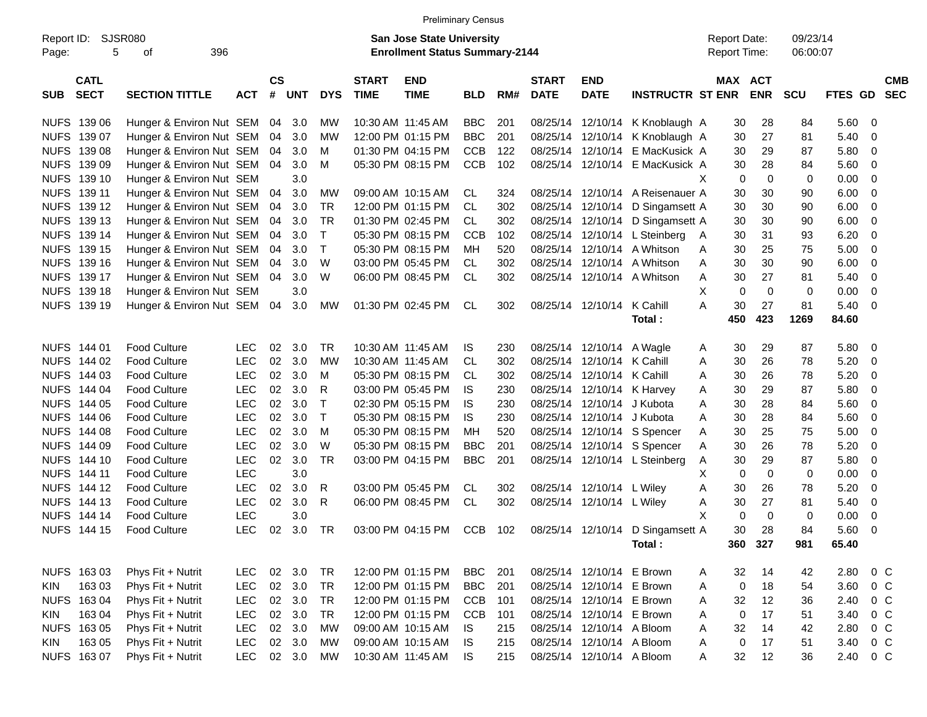|                     |                            |                          |            |                    |            |              |                             | <b>Preliminary Census</b>                                                 |            |     |                             |                           |                                  |                                     |                       |                      |         |             |                          |
|---------------------|----------------------------|--------------------------|------------|--------------------|------------|--------------|-----------------------------|---------------------------------------------------------------------------|------------|-----|-----------------------------|---------------------------|----------------------------------|-------------------------------------|-----------------------|----------------------|---------|-------------|--------------------------|
| Report ID:<br>Page: | SJSR080<br>5               | 396<br>οf                |            |                    |            |              |                             | <b>San Jose State University</b><br><b>Enrollment Status Summary-2144</b> |            |     |                             |                           |                                  | <b>Report Date:</b><br>Report Time: |                       | 09/23/14<br>06:00:07 |         |             |                          |
| <b>SUB</b>          | <b>CATL</b><br><b>SECT</b> | <b>SECTION TITTLE</b>    | <b>ACT</b> | $\mathsf{cs}$<br># | <b>UNT</b> | <b>DYS</b>   | <b>START</b><br><b>TIME</b> | <b>END</b><br><b>TIME</b>                                                 | <b>BLD</b> | RM# | <b>START</b><br><b>DATE</b> | <b>END</b><br><b>DATE</b> | <b>INSTRUCTR ST ENR</b>          |                                     | MAX ACT<br><b>ENR</b> | SCU                  | FTES GD |             | <b>CMB</b><br><b>SEC</b> |
|                     | NUFS 139 06                | Hunger & Environ Nut SEM |            | 04                 | 3.0        | MW           |                             | 10:30 AM 11:45 AM                                                         | <b>BBC</b> | 201 | 08/25/14                    |                           | 12/10/14 K Knoblaugh A           | 30                                  | 28                    | 84                   | 5.60    | 0           |                          |
| <b>NUFS</b>         | 139 07                     | Hunger & Environ Nut SEM |            | 04                 | 3.0        | <b>MW</b>    |                             | 12:00 PM 01:15 PM                                                         | <b>BBC</b> | 201 | 08/25/14                    | 12/10/14                  | K Knoblaugh A                    | 30                                  | 27                    | 81                   | 5.40    | $\mathbf 0$ |                          |
| <b>NUFS</b>         | 139 08                     | Hunger & Environ Nut SEM |            | 04                 | 3.0        | м            |                             | 01:30 PM 04:15 PM                                                         | <b>CCB</b> | 122 | 08/25/14                    | 12/10/14                  | E MacKusick A                    | 30                                  | 29                    | 87                   | 5.80    | $\mathbf 0$ |                          |
| <b>NUFS</b>         | 139 09                     | Hunger & Environ Nut SEM |            | 04                 | 3.0        | M            |                             | 05:30 PM 08:15 PM                                                         | <b>CCB</b> | 102 | 08/25/14                    |                           | 12/10/14 E MacKusick A           | 30                                  | 28                    | 84                   | 5.60    | $\mathbf 0$ |                          |
| <b>NUFS</b>         | 139 10                     | Hunger & Environ Nut SEM |            |                    | 3.0        |              |                             |                                                                           |            |     |                             |                           |                                  | X                                   | 0<br>$\mathbf 0$      | 0                    | 0.00    | $\mathbf 0$ |                          |
| <b>NUFS</b>         | 139 11                     | Hunger & Environ Nut SEM |            | 04                 | 3.0        | MW           |                             | 09:00 AM 10:15 AM                                                         | CL         | 324 | 08/25/14                    |                           | 12/10/14 A Reisenauer A          | 30                                  | 30                    | 90                   | 6.00    | $\mathbf 0$ |                          |
| <b>NUFS</b>         | 139 12                     | Hunger & Environ Nut SEM |            | 04                 | 3.0        | <b>TR</b>    |                             | 12:00 PM 01:15 PM                                                         | <b>CL</b>  | 302 | 08/25/14                    | 12/10/14                  | D Singamsett A                   | 30                                  | 30                    | 90                   | 6.00    | $\mathbf 0$ |                          |
| <b>NUFS</b>         | 139 13                     | Hunger & Environ Nut SEM |            | 04                 | 3.0        | <b>TR</b>    |                             | 01:30 PM 02:45 PM                                                         | <b>CL</b>  | 302 | 08/25/14                    |                           | 12/10/14 D Singamsett A          | 30                                  | 30                    | 90                   | 6.00    | $\mathbf 0$ |                          |
| <b>NUFS</b>         | 139 14                     | Hunger & Environ Nut SEM |            | 04                 | 3.0        | $\mathsf{T}$ |                             | 05:30 PM 08:15 PM                                                         | <b>CCB</b> | 102 | 08/25/14                    |                           | 12/10/14 L Steinberg             | 30<br><sup>A</sup>                  | 31                    | 93                   | 6.20    | $\mathbf 0$ |                          |
| <b>NUFS</b>         | 139 15                     | Hunger & Environ Nut SEM |            | 04                 | 3.0        | $\mathsf{T}$ |                             | 05:30 PM 08:15 PM                                                         | MН         | 520 | 08/25/14                    | 12/10/14                  | A Whitson                        | 30<br>A                             | 25                    | 75                   | 5.00    | $\mathbf 0$ |                          |
| <b>NUFS</b>         | 139 16                     | Hunger & Environ Nut SEM |            | 04                 | 3.0        | W            |                             | 03:00 PM 05:45 PM                                                         | <b>CL</b>  | 302 | 08/25/14                    | 12/10/14                  | A Whitson                        | 30<br>A                             | 30                    | 90                   | 6.00    | $\mathbf 0$ |                          |
| <b>NUFS</b>         | 139 17                     | Hunger & Environ Nut SEM |            | 04                 | 3.0        | W            |                             | 06:00 PM 08:45 PM                                                         | CL.        | 302 | 08/25/14                    |                           | 12/10/14 A Whitson               | 30<br>A                             | 27                    | 81                   | 5.40    | $\mathbf 0$ |                          |
| <b>NUFS</b>         | 139 18                     | Hunger & Environ Nut SEM |            |                    | 3.0        |              |                             |                                                                           |            |     |                             |                           |                                  | X                                   | $\mathbf 0$<br>0      | 0                    | 0.00    | $\mathbf 0$ |                          |
| <b>NUFS</b>         | 139 19                     | Hunger & Environ Nut SEM |            | 04                 | 3.0        | MW           |                             | 01:30 PM 02:45 PM                                                         | <b>CL</b>  | 302 | 08/25/14                    | 12/10/14                  | K Cahill                         | A<br>30                             | 27                    | 81                   | 5.40    | $\mathbf 0$ |                          |
|                     |                            |                          |            |                    |            |              |                             |                                                                           |            |     |                             |                           | Total:                           | 450                                 | 423                   | 1269                 | 84.60   |             |                          |
|                     | NUFS 144 01                | <b>Food Culture</b>      | <b>LEC</b> | 02                 | 3.0        | <b>TR</b>    |                             | 10:30 AM 11:45 AM                                                         | IS         | 230 | 08/25/14                    | 12/10/14                  | A Wagle                          | 30<br>A                             | 29                    | 87                   | 5.80    | $\mathbf 0$ |                          |
|                     | NUFS 144 02                | <b>Food Culture</b>      | <b>LEC</b> | 02                 | 3.0        | MW           |                             | 10:30 AM 11:45 AM                                                         | <b>CL</b>  | 302 | 08/25/14                    | 12/10/14                  | K Cahill                         | A<br>30                             | 26                    | 78                   | 5.20    | $\mathbf 0$ |                          |
|                     | NUFS 144 03                | Food Culture             | <b>LEC</b> | 02                 | 3.0        | м            |                             | 05:30 PM 08:15 PM                                                         | CL         | 302 | 08/25/14                    | 12/10/14                  | K Cahill                         | 30<br>A                             | 26                    | 78                   | 5.20    | $\mathbf 0$ |                          |
|                     | NUFS 144 04                | <b>Food Culture</b>      | <b>LEC</b> | 02                 | 3.0        | R            |                             | 03:00 PM 05:45 PM                                                         | <b>IS</b>  | 230 | 08/25/14                    |                           | 12/10/14 K Harvey                | 30<br>Α                             | 29                    | 87                   | 5.80    | $\mathbf 0$ |                          |
|                     | NUFS 144 05                | <b>Food Culture</b>      | <b>LEC</b> | 02                 | 3.0        | $\top$       |                             | 02:30 PM 05:15 PM                                                         | <b>IS</b>  | 230 | 08/25/14                    | 12/10/14                  | J Kubota                         | 30<br>A                             | 28                    | 84                   | 5.60    | $\mathbf 0$ |                          |
|                     | NUFS 144 06                | <b>Food Culture</b>      | <b>LEC</b> | 02                 | 3.0        | $\mathsf{T}$ |                             | 05:30 PM 08:15 PM                                                         | <b>IS</b>  | 230 | 08/25/14                    | 12/10/14                  | J Kubota                         | 30<br>A                             | 28                    | 84                   | 5.60    | $\mathbf 0$ |                          |
|                     | NUFS 144 08                | <b>Food Culture</b>      | <b>LEC</b> | 02                 | 3.0        | м            |                             | 05:30 PM 08:15 PM                                                         | MН         | 520 | 08/25/14                    |                           | 12/10/14 S Spencer               | 30<br>A                             | 25                    | 75                   | 5.00    | $\mathbf 0$ |                          |
|                     | NUFS 144 09                | <b>Food Culture</b>      | <b>LEC</b> | 02                 | 3.0        | W            |                             | 05:30 PM 08:15 PM                                                         | <b>BBC</b> | 201 | 08/25/14                    |                           | 12/10/14 S Spencer               | 30<br>Α                             | 26                    | 78                   | 5.20    | $\mathbf 0$ |                          |
| <b>NUFS</b>         | 144 10                     | <b>Food Culture</b>      | <b>LEC</b> | 02                 | 3.0        | <b>TR</b>    |                             | 03:00 PM 04:15 PM                                                         | <b>BBC</b> | 201 | 08/25/14                    |                           | 12/10/14 L Steinberg             | 30<br>Α                             | 29                    | 87                   | 5.80    | 0           |                          |
|                     | NUFS 144 11                | <b>Food Culture</b>      | <b>LEC</b> |                    | 3.0        |              |                             |                                                                           |            |     |                             |                           |                                  | X                                   | 0<br>$\mathbf 0$      | 0                    | 0.00    | 0           |                          |
| <b>NUFS</b>         | 144 12                     | <b>Food Culture</b>      | <b>LEC</b> | 02                 | 3.0        | R            |                             | 03:00 PM 05:45 PM                                                         | CL         | 302 | 08/25/14                    | 12/10/14 L Wiley          |                                  | Α<br>30                             | 26                    | 78                   | 5.20    | 0           |                          |
|                     | NUFS 144 13                | <b>Food Culture</b>      | <b>LEC</b> | 02                 | 3.0        | R            |                             | 06:00 PM 08:45 PM                                                         | <b>CL</b>  | 302 | 08/25/14                    | 12/10/14 L Wiley          |                                  | 30<br>Α                             | 27                    | 81                   | 5.40    | $\mathbf 0$ |                          |
| <b>NUFS</b>         | 144 14                     | <b>Food Culture</b>      | <b>LEC</b> |                    | 3.0        |              |                             |                                                                           |            |     |                             |                           |                                  | X                                   | 0<br>$\mathbf 0$      | 0                    | 0.00    | 0           |                          |
|                     | <b>NUFS 144 15</b>         | <b>Food Culture</b>      | <b>LEC</b> | 02                 | 3.0        | <b>TR</b>    |                             | 03:00 PM 04:15 PM                                                         | <b>CCB</b> | 102 |                             |                           | 08/25/14 12/10/14 D Singamsett A | 30                                  | 28                    | 84                   | 5.60    | $\mathbf 0$ |                          |
|                     |                            |                          |            |                    |            |              |                             |                                                                           |            |     |                             |                           | Total:                           |                                     | 360 327               | 981                  | 65.40   |             |                          |
|                     |                            |                          |            |                    |            |              |                             |                                                                           |            |     |                             |                           |                                  |                                     |                       |                      |         |             |                          |
|                     | NUFS 163 03                | Phys Fit + Nutrit        | <b>LEC</b> | 02                 | 3.0        | <b>TR</b>    |                             | 12:00 PM 01:15 PM                                                         | <b>BBC</b> | 201 |                             | 08/25/14 12/10/14 E Brown |                                  | 32<br>A                             | 14                    | 42                   | 2.80    | $0\,C$      |                          |
| <b>KIN</b>          | 16303                      | Phys Fit + Nutrit        | <b>LEC</b> |                    | 02 3.0     | <b>TR</b>    |                             | 12:00 PM 01:15 PM                                                         | <b>BBC</b> | 201 | 08/25/14                    | 12/10/14 E Brown          |                                  | A                                   | 18<br>0               | 54                   | 3.60    | $0\,C$      |                          |
|                     | NUFS 163 04                | Phys Fit + Nutrit        | <b>LEC</b> |                    | 02 3.0     | <b>TR</b>    |                             | 12:00 PM 01:15 PM                                                         | <b>CCB</b> | 101 | 08/25/14                    | 12/10/14 E Brown          |                                  | 32<br>Α                             | 12                    | 36                   | 2.40    | $0\,C$      |                          |
| KIN                 | 163 04                     | Phys Fit + Nutrit        | <b>LEC</b> |                    | 02 3.0     | <b>TR</b>    |                             | 12:00 PM 01:15 PM                                                         | <b>CCB</b> | 101 | 08/25/14                    | 12/10/14 E Brown          |                                  | Α                                   | $\pmb{0}$<br>17       | 51                   | 3.40    | $0\,C$      |                          |
|                     | NUFS 163 05                | Phys Fit + Nutrit        | <b>LEC</b> |                    | 02 3.0     | <b>MW</b>    |                             | 09:00 AM 10:15 AM                                                         | IS         | 215 |                             | 08/25/14 12/10/14 A Bloom |                                  | 32<br>Α                             | 14                    | 42                   | 2.80    | $0\,C$      |                          |
| KIN                 | 163 05                     | Phys Fit + Nutrit        | <b>LEC</b> |                    | 02 3.0     | MW           |                             | 09:00 AM 10:15 AM                                                         | <b>IS</b>  | 215 |                             | 08/25/14 12/10/14 A Bloom |                                  | A                                   | 17<br>0               | 51                   | 3.40    | $0\,C$      |                          |
|                     | NUFS 163 07                | Phys Fit + Nutrit        | <b>LEC</b> |                    | 02 3.0     | MW           | 10:30 AM 11:45 AM           |                                                                           | <b>IS</b>  | 215 |                             | 08/25/14 12/10/14 A Bloom |                                  | 32<br>A                             | 12                    | 36                   | 2.40    | $0\,C$      |                          |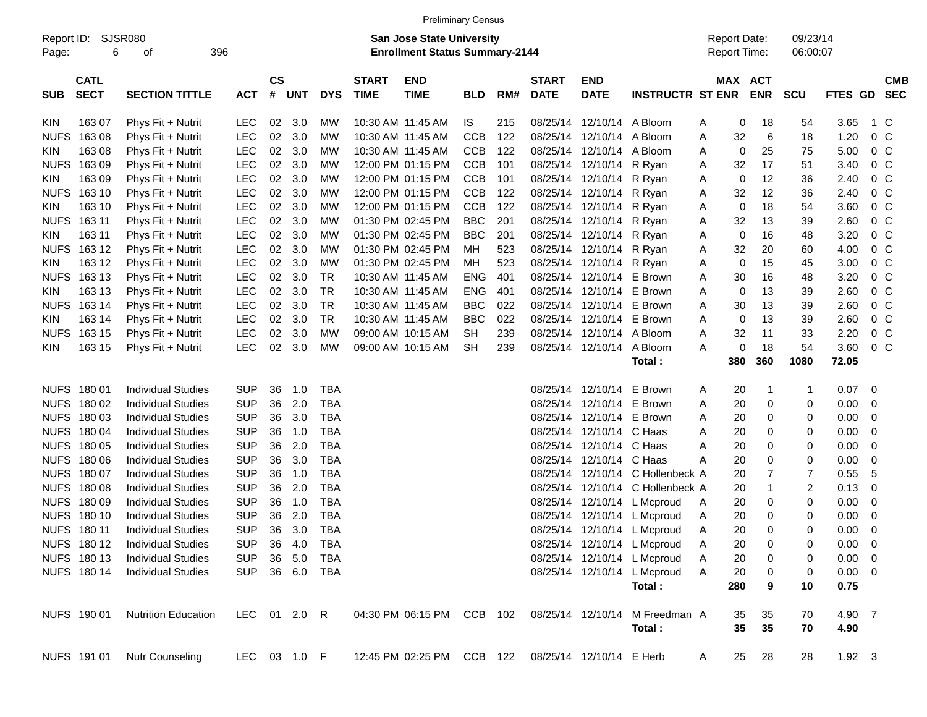|                     |                            |                            |              |                    |            |            |                             |                                                                    | <b>Preliminary Census</b> |     |                             |                           |                                          |   |                     |                       |                         |                |                          |                          |
|---------------------|----------------------------|----------------------------|--------------|--------------------|------------|------------|-----------------------------|--------------------------------------------------------------------|---------------------------|-----|-----------------------------|---------------------------|------------------------------------------|---|---------------------|-----------------------|-------------------------|----------------|--------------------------|--------------------------|
| Report ID:<br>Page: | 6                          | SJSR080<br>396<br>οf       |              |                    |            |            |                             | San Jose State University<br><b>Enrollment Status Summary-2144</b> |                           |     |                             |                           |                                          |   | <b>Report Date:</b> | Report Time:          | 09/23/14<br>06:00:07    |                |                          |                          |
| <b>SUB</b>          | <b>CATL</b><br><b>SECT</b> | <b>SECTION TITTLE</b>      | <b>ACT</b>   | $\mathsf{cs}$<br># | <b>UNT</b> | <b>DYS</b> | <b>START</b><br><b>TIME</b> | <b>END</b><br><b>TIME</b>                                          | <b>BLD</b>                | RM# | <b>START</b><br><b>DATE</b> | <b>END</b><br><b>DATE</b> | <b>INSTRUCTR ST ENR</b>                  |   |                     | MAX ACT<br><b>ENR</b> | <b>SCU</b>              | FTES GD        |                          | <b>CMB</b><br><b>SEC</b> |
| <b>KIN</b>          | 163 07                     | Phys Fit + Nutrit          | <b>LEC</b>   | 02                 | 3.0        | MW         |                             | 10:30 AM 11:45 AM                                                  | IS.                       | 215 |                             | 08/25/14 12/10/14 A Bloom |                                          | A | 0                   | 18                    | 54                      | 3.65           | 1 C                      |                          |
| <b>NUFS</b>         | 16308                      | Phys Fit + Nutrit          | <b>LEC</b>   | 02                 | 3.0        | <b>MW</b>  |                             | 10:30 AM 11:45 AM                                                  | <b>CCB</b>                | 122 |                             | 08/25/14 12/10/14         | A Bloom                                  | A | 32                  | 6                     | 18                      | 1.20           | 0 <sup>o</sup>           |                          |
| <b>KIN</b>          | 163 08                     | Phys Fit + Nutrit          | <b>LEC</b>   | 02                 | 3.0        | <b>MW</b>  |                             | 10:30 AM 11:45 AM                                                  | <b>CCB</b>                | 122 |                             | 08/25/14 12/10/14         | A Bloom                                  | A | 0                   | 25                    | 75                      | 5.00           | 0 <sup>o</sup>           |                          |
| <b>NUFS</b>         | 16309                      | Phys Fit + Nutrit          | <b>LEC</b>   | 02                 | 3.0        | <b>MW</b>  |                             | 12:00 PM 01:15 PM                                                  | <b>CCB</b>                | 101 |                             | 08/25/14 12/10/14         | R Ryan                                   | Α | 32                  | 17                    | 51                      | 3.40           | 0 <sup>o</sup>           |                          |
| <b>KIN</b>          | 163 09                     | Phys Fit + Nutrit          | LEC          | 02                 | 3.0        | <b>MW</b>  |                             | 12:00 PM 01:15 PM                                                  | <b>CCB</b>                | 101 |                             | 08/25/14 12/10/14 R Ryan  |                                          | Α | 0                   | 12                    | 36                      | 2.40           | 0 <sup>o</sup>           |                          |
| <b>NUFS</b>         | 163 10                     | Phys Fit + Nutrit          | <b>LEC</b>   | 02                 | 3.0        | <b>MW</b>  |                             | 12:00 PM 01:15 PM                                                  | <b>CCB</b>                | 122 |                             | 08/25/14 12/10/14 R Ryan  |                                          | Α | 32                  | 12                    | 36                      | 2.40           | 0 <sup>o</sup>           |                          |
| <b>KIN</b>          | 163 10                     | Phys Fit + Nutrit          | <b>LEC</b>   | 02                 | 3.0        | <b>MW</b>  |                             | 12:00 PM 01:15 PM                                                  | CCB                       | 122 |                             | 08/25/14 12/10/14 R Ryan  |                                          | Α | 0                   | 18                    | 54                      | 3.60           | 0 <sup>o</sup>           |                          |
| <b>NUFS</b>         | 163 11                     | Phys Fit + Nutrit          | LEC          | 02                 | 3.0        | <b>MW</b>  |                             | 01:30 PM 02:45 PM                                                  | <b>BBC</b>                | 201 |                             | 08/25/14 12/10/14 R Ryan  |                                          | Α | 32                  | 13                    | 39                      | 2.60           | 0 <sup>o</sup>           |                          |
| <b>KIN</b>          | 163 11                     | Phys Fit + Nutrit          | <b>LEC</b>   | 02                 | 3.0        | <b>MW</b>  |                             | 01:30 PM 02:45 PM                                                  | <b>BBC</b>                | 201 |                             | 08/25/14 12/10/14 R Ryan  |                                          | Α | 0                   | 16                    | 48                      | 3.20           | 0 <sup>o</sup>           |                          |
| <b>NUFS</b>         | 163 12                     | Phys Fit + Nutrit          | LEC          | 02                 | 3.0        | <b>MW</b>  |                             | 01:30 PM 02:45 PM                                                  | MH                        | 523 |                             | 08/25/14 12/10/14 R Ryan  |                                          | Α | 32                  | 20                    | 60                      | 4.00           | 0 <sup>o</sup>           |                          |
| <b>KIN</b>          | 163 12                     | Phys Fit + Nutrit          | LEC          | 02                 | 3.0        | <b>MW</b>  |                             | 01:30 PM 02:45 PM                                                  | <b>MH</b>                 | 523 |                             | 08/25/14 12/10/14 R Ryan  |                                          | Α | 0                   | 15                    | 45                      | 3.00           | 0 <sup>o</sup>           |                          |
| <b>NUFS</b>         | 163 13                     | Phys Fit + Nutrit          | <b>LEC</b>   | 02                 | 3.0        | <b>TR</b>  |                             | 10:30 AM 11:45 AM                                                  | <b>ENG</b>                | 401 |                             | 08/25/14 12/10/14 E Brown |                                          | Α | 30                  | 16                    | 48                      | 3.20           | 0 <sup>o</sup>           |                          |
| <b>KIN</b>          | 163 13                     | Phys Fit + Nutrit          | LEC          | 02                 | 3.0        | <b>TR</b>  |                             | 10:30 AM 11:45 AM                                                  | <b>ENG</b>                | 401 |                             | 08/25/14 12/10/14 E Brown |                                          | Α | 0                   | 13                    | 39                      | 2.60           | 0 <sup>o</sup>           |                          |
| <b>NUFS</b>         | 163 14                     | Phys Fit + Nutrit          | LEC          | 02                 | 3.0        | <b>TR</b>  |                             | 10:30 AM 11:45 AM                                                  | <b>BBC</b>                | 022 |                             | 08/25/14 12/10/14 E Brown |                                          | Α | 30                  | 13                    | 39                      | 2.60           | 0 <sup>o</sup>           |                          |
| <b>KIN</b>          | 163 14                     | Phys Fit + Nutrit          | <b>LEC</b>   | 02                 | 3.0        | <b>TR</b>  |                             | 10:30 AM 11:45 AM                                                  | <b>BBC</b>                | 022 |                             | 08/25/14 12/10/14 E Brown |                                          | Α | 0                   | 13                    | 39                      | 2.60           | 0 <sup>o</sup>           |                          |
| <b>NUFS</b>         | 163 15                     | Phys Fit + Nutrit          | <b>LEC</b>   | 02                 | 3.0        | <b>MW</b>  |                             | 09:00 AM 10:15 AM                                                  | <b>SH</b>                 | 239 |                             | 08/25/14 12/10/14 A Bloom |                                          | Α | 32                  | 11                    | 33                      | 2.20           | 0 <sup>o</sup>           |                          |
| <b>KIN</b>          | 163 15                     | Phys Fit + Nutrit          | <b>LEC</b>   | 02                 | 3.0        | МW         |                             | 09:00 AM 10:15 AM                                                  | <b>SH</b>                 | 239 |                             | 08/25/14 12/10/14         | A Bloom                                  | Α | 0                   | 18                    | 54                      | 3.60           | 0 <sup>o</sup>           |                          |
|                     |                            |                            |              |                    |            |            |                             |                                                                    |                           |     |                             |                           | Total:                                   |   | 380                 | 360                   | 1080                    | 72.05          |                          |                          |
|                     | NUFS 180 01                | <b>Individual Studies</b>  | <b>SUP</b>   | 36                 | 1.0        | <b>TBA</b> |                             |                                                                    |                           |     |                             | 08/25/14 12/10/14 E Brown |                                          | A | 20                  | 1                     | 1                       | 0.07           | $\overline{\phantom{0}}$ |                          |
| <b>NUFS</b>         | 180 02                     | <b>Individual Studies</b>  | <b>SUP</b>   | 36                 | 2.0        | <b>TBA</b> |                             |                                                                    |                           |     |                             | 08/25/14 12/10/14         | E Brown                                  | Α | 20                  | 0                     | 0                       | 0.00           | $\overline{0}$           |                          |
| <b>NUFS</b>         | 180 03                     | <b>Individual Studies</b>  | <b>SUP</b>   | 36                 | 3.0        | <b>TBA</b> |                             |                                                                    |                           |     |                             | 08/25/14 12/10/14 E Brown |                                          | A | 20                  | 0                     | 0                       | 0.00           | - 0                      |                          |
| <b>NUFS</b>         | 18004                      | <b>Individual Studies</b>  | <b>SUP</b>   | 36                 | 1.0        | <b>TBA</b> |                             |                                                                    |                           |     |                             | 08/25/14 12/10/14         | C Haas                                   | Α | 20                  | 0                     | 0                       | 0.00           | - 0                      |                          |
| <b>NUFS</b>         | 180 05                     | <b>Individual Studies</b>  | <b>SUP</b>   | 36                 | 2.0        | <b>TBA</b> |                             |                                                                    |                           |     |                             | 08/25/14 12/10/14         | C Haas                                   | Α | 20                  | 0                     | 0                       | 0.00           | - 0                      |                          |
| <b>NUFS</b>         | 180 06                     | <b>Individual Studies</b>  | <b>SUP</b>   | 36                 | 3.0        | <b>TBA</b> |                             |                                                                    |                           |     |                             | 08/25/14 12/10/14         | C Haas                                   | Α | 20                  | 0                     | 0                       | 0.00           | 0                        |                          |
| <b>NUFS</b>         | 180 07                     | <b>Individual Studies</b>  | <b>SUP</b>   | 36                 | 1.0        | <b>TBA</b> |                             |                                                                    |                           |     |                             |                           | 08/25/14 12/10/14 C Hollenbeck A         |   | 20                  | $\overline{7}$        | 7                       | 0.55           | -5                       |                          |
| <b>NUFS</b>         | 18008                      | <b>Individual Studies</b>  | <b>SUP</b>   | 36                 | 2.0        | <b>TBA</b> |                             |                                                                    |                           |     |                             | 08/25/14 12/10/14         | C Hollenbeck A                           |   | 20                  | 1                     | $\overline{\mathbf{c}}$ | 0.13           | - 0                      |                          |
| <b>NUFS</b>         | 18009                      | <b>Individual Studies</b>  | <b>SUP</b>   | 36                 | 1.0        | <b>TBA</b> |                             |                                                                    |                           |     |                             |                           | 08/25/14 12/10/14 L Mcproud              | A | 20                  | 0                     | 0                       | 0.00           | - 0                      |                          |
| <b>NUFS</b>         | 180 10                     | <b>Individual Studies</b>  | <b>SUP</b>   | 36                 | 2.0        | <b>TBA</b> |                             |                                                                    |                           |     |                             |                           | 08/25/14 12/10/14 L Mcproud              | Α | 20                  | 0                     | 0                       | 0.00           | $\overline{0}$           |                          |
|                     | NUFS 180 11                | <b>Individual Studies</b>  | <b>SUP</b>   | 36                 | 3.0        | <b>TBA</b> |                             |                                                                    |                           |     |                             |                           | 08/25/14 12/10/14 L Mcproud              | Α | 20                  | 0                     | 0                       | 0.00           | $\overline{0}$           |                          |
|                     | NUFS 180 12                | <b>Individual Studies</b>  | <b>SUP</b>   |                    | 36 4.0     | TBA        |                             |                                                                    |                           |     |                             |                           | 08/25/14 12/10/14 L Mcproud              | Α | 20                  | 0                     | 0                       | $0.00 \t 0$    |                          |                          |
|                     | NUFS 180 13                | <b>Individual Studies</b>  | <b>SUP</b>   |                    | 36 5.0     | <b>TBA</b> |                             |                                                                    |                           |     |                             |                           | 08/25/14 12/10/14 L Mcproud              | Α | 20                  | 0                     | 0                       | $0.00 \t 0$    |                          |                          |
|                     | NUFS 180 14                | <b>Individual Studies</b>  | <b>SUP</b>   |                    | 36 6.0     | TBA        |                             |                                                                    |                           |     |                             |                           | 08/25/14 12/10/14 L Mcproud              | Α | 20                  | 0                     | 0                       | $0.00 \t 0$    |                          |                          |
|                     |                            |                            |              |                    |            |            |                             |                                                                    |                           |     |                             |                           | Total:                                   |   | 280                 | 9                     | 10                      | 0.75           |                          |                          |
|                     | NUFS 190 01                | <b>Nutrition Education</b> | LEC 01 2.0 R |                    |            |            |                             | 04:30 PM 06:15 PM CCB 102                                          |                           |     |                             |                           | 08/25/14 12/10/14 M Freedman A<br>Total: |   | 35<br>35            | 35<br>35              | 70<br>70                | 4.90 7<br>4.90 |                          |                          |
|                     | NUFS 191 01                | <b>Nutr Counseling</b>     | LEC 03 1.0 F |                    |            |            |                             | 12:45 PM 02:25 PM CCB 122 08/25/14 12/10/14 E Herb                 |                           |     |                             |                           |                                          | A | 25                  | 28                    | 28                      | $1.92 \quad 3$ |                          |                          |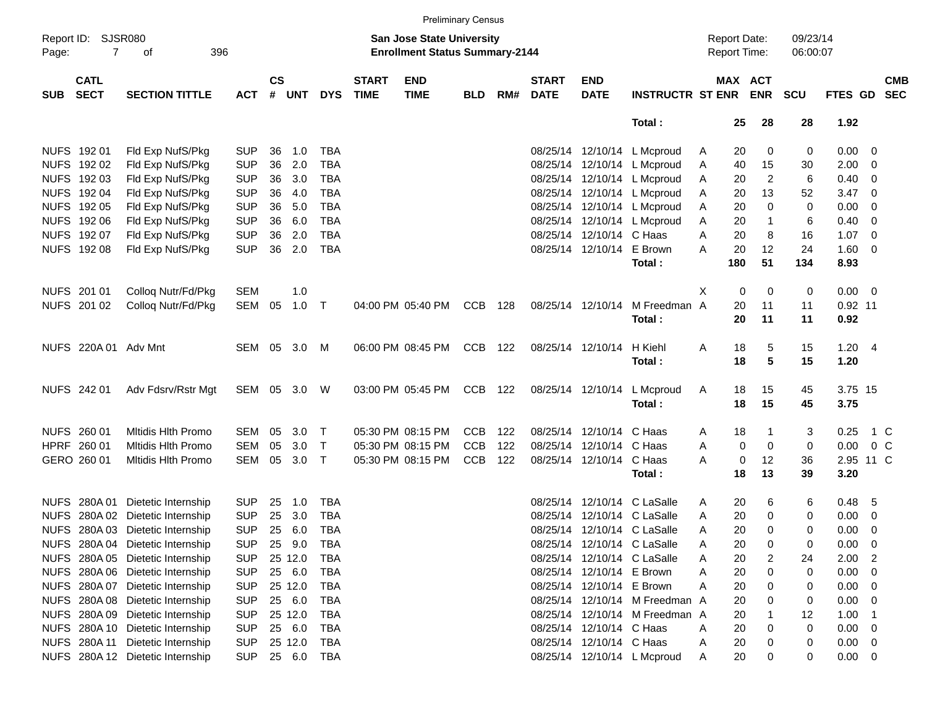|             |                                      |                                  |            |                |            |            |                             |                                                                    | <b>Preliminary Census</b> |     |                             |                           |                                |                                     |                       |                      |                 |                          |                          |
|-------------|--------------------------------------|----------------------------------|------------|----------------|------------|------------|-----------------------------|--------------------------------------------------------------------|---------------------------|-----|-----------------------------|---------------------------|--------------------------------|-------------------------------------|-----------------------|----------------------|-----------------|--------------------------|--------------------------|
| Page:       | Report ID: SJSR080<br>$\overline{7}$ | 396<br>оf                        |            |                |            |            |                             | San Jose State University<br><b>Enrollment Status Summary-2144</b> |                           |     |                             |                           |                                | <b>Report Date:</b><br>Report Time: |                       | 09/23/14<br>06:00:07 |                 |                          |                          |
| <b>SUB</b>  | <b>CATL</b><br><b>SECT</b>           | <b>SECTION TITTLE</b>            | <b>ACT</b> | <b>CS</b><br># | <b>UNT</b> | <b>DYS</b> | <b>START</b><br><b>TIME</b> | <b>END</b><br><b>TIME</b>                                          | <b>BLD</b>                | RM# | <b>START</b><br><b>DATE</b> | <b>END</b><br><b>DATE</b> | <b>INSTRUCTR ST ENR</b>        |                                     | MAX ACT<br><b>ENR</b> | <b>SCU</b>           | <b>FTES GD</b>  |                          | <b>CMB</b><br><b>SEC</b> |
|             |                                      |                                  |            |                |            |            |                             |                                                                    |                           |     |                             |                           | Total:                         |                                     | 25<br>28              | 28                   | 1.92            |                          |                          |
|             | NUFS 192 01                          | Fld Exp NufS/Pkg                 | <b>SUP</b> | 36             | 1.0        | <b>TBA</b> |                             |                                                                    |                           |     |                             |                           | 08/25/14 12/10/14 L Mcproud    | A                                   | 0<br>20               | 0                    | $0.00 \t 0$     |                          |                          |
|             | NUFS 192 02                          | Fld Exp NufS/Pkg                 | <b>SUP</b> | 36             | 2.0        | <b>TBA</b> |                             |                                                                    |                           |     |                             |                           | 08/25/14 12/10/14 L Mcproud    | A                                   | 40<br>15              | 30                   | 2.00            | $\overline{\mathbf{0}}$  |                          |
|             | NUFS 192 03                          | Fld Exp NufS/Pkg                 | <b>SUP</b> | 36             | 3.0        | <b>TBA</b> |                             |                                                                    |                           |     |                             |                           | 08/25/14 12/10/14 L Mcproud    | Α                                   | $\overline{c}$<br>20  | 6                    | 0.40            | - 0                      |                          |
|             | NUFS 192 04                          | Fld Exp NufS/Pkg                 | <b>SUP</b> | 36             | 4.0        | <b>TBA</b> |                             |                                                                    |                           |     |                             |                           | 08/25/14 12/10/14 L Mcproud    | Α                                   | 20<br>13              | 52                   | $3.47 \quad 0$  |                          |                          |
|             | NUFS 192 05                          | Fld Exp NufS/Pkg                 | <b>SUP</b> | 36             | 5.0        | <b>TBA</b> |                             |                                                                    |                           |     |                             |                           | 08/25/14 12/10/14 L Mcproud    | Α                                   | 20<br>0               | 0                    | 0.00            | $\overline{\mathbf{0}}$  |                          |
|             | NUFS 192 06                          | Fld Exp NufS/Pkg                 | <b>SUP</b> | 36             | 6.0        | <b>TBA</b> |                             |                                                                    |                           |     |                             |                           | 08/25/14 12/10/14 L Mcproud    | A                                   | 20<br>$\mathbf{1}$    | 6                    | 0.40            | $\overline{\mathbf{0}}$  |                          |
|             | NUFS 192 07                          | Fld Exp NufS/Pkg                 | <b>SUP</b> | 36             | 2.0        | <b>TBA</b> |                             |                                                                    |                           |     |                             | 08/25/14 12/10/14 C Haas  |                                | Α                                   | 8<br>20               | 16                   | $1.07 \quad 0$  |                          |                          |
|             | NUFS 192 08                          | Fld Exp NufS/Pkg                 | <b>SUP</b> | 36             | 2.0        | <b>TBA</b> |                             |                                                                    |                           |     |                             | 08/25/14 12/10/14 E Brown |                                | А                                   | 20<br>12              | 24                   | $1.60 \t 0$     |                          |                          |
|             |                                      |                                  |            |                |            |            |                             |                                                                    |                           |     |                             |                           | Total:                         | 180                                 | 51                    | 134                  | 8.93            |                          |                          |
|             |                                      |                                  |            |                |            |            |                             |                                                                    |                           |     |                             |                           |                                |                                     |                       |                      |                 |                          |                          |
|             | NUFS 201 01                          | Colloq Nutr/Fd/Pkg               | <b>SEM</b> |                | 1.0        |            |                             |                                                                    |                           |     |                             |                           |                                | X                                   | 0<br>0                | 0                    | $0.00 \t 0$     |                          |                          |
|             | NUFS 201 02                          | Colloq Nutr/Fd/Pkg               | SEM        | 05             | 1.0        | $\top$     |                             | 04:00 PM 05:40 PM                                                  | <b>CCB</b>                | 128 |                             | 08/25/14 12/10/14         | M Freedman A                   |                                     | 20<br>11              | 11                   | 0.92 11         |                          |                          |
|             |                                      |                                  |            |                |            |            |                             |                                                                    |                           |     |                             |                           | Total:                         |                                     | 11<br>20              | 11                   | 0.92            |                          |                          |
|             | NUFS 220A 01 Adv Mnt                 |                                  | SEM 05     |                | 3.0        | M          |                             | 06:00 PM 08:45 PM                                                  | <b>CCB</b>                | 122 |                             | 08/25/14 12/10/14         | H Kiehl                        | Α                                   | 18<br>5               | 15                   | 1.20 4          |                          |                          |
|             |                                      |                                  |            |                |            |            |                             |                                                                    |                           |     |                             |                           | Total:                         |                                     | $5\phantom{1}$<br>18  | 15                   | 1.20            |                          |                          |
|             |                                      |                                  |            |                |            |            |                             |                                                                    |                           |     |                             |                           |                                |                                     |                       |                      |                 |                          |                          |
|             | NUFS 242 01                          | Adv Fdsrv/Rstr Mgt               | SEM        | 05             | 3.0        | W          |                             | 03:00 PM 05:45 PM                                                  | CCB                       | 122 |                             | 08/25/14 12/10/14         | L Mcproud                      | A                                   | 18<br>15<br>18<br>15  | 45                   | 3.75 15<br>3.75 |                          |                          |
|             |                                      |                                  |            |                |            |            |                             |                                                                    |                           |     |                             |                           | Total:                         |                                     |                       | 45                   |                 |                          |                          |
|             | NUFS 260 01                          | <b>Mitidis Hith Promo</b>        | SEM        | 05             | 3.0        | $\top$     |                             | 05:30 PM 08:15 PM                                                  | <b>CCB</b>                | 122 |                             | 08/25/14 12/10/14 C Haas  |                                | A                                   | 18<br>1               | 3                    | 0.25            | 1 C                      |                          |
|             | HPRF 260 01                          | <b>Mitidis Hith Promo</b>        | <b>SEM</b> | 05             | 3.0        | $\top$     |                             | 05:30 PM 08:15 PM                                                  | <b>CCB</b>                | 122 |                             | 08/25/14 12/10/14 C Haas  |                                | Α                                   | 0<br>0                | 0                    | 0.00            | 0 <sup>o</sup>           |                          |
|             | GERO 260 01                          | <b>Mitidis Hith Promo</b>        | SEM        | 05             | 3.0        | $\top$     |                             | 05:30 PM 08:15 PM                                                  | <b>CCB</b>                | 122 |                             | 08/25/14 12/10/14 C Haas  |                                | А                                   | 0<br>12               | 36                   | 2.95 11 C       |                          |                          |
|             |                                      |                                  |            |                |            |            |                             |                                                                    |                           |     |                             |                           | Total:                         |                                     | 18<br>13              | 39                   | 3.20            |                          |                          |
|             |                                      | NUFS 280A 01 Dietetic Internship | <b>SUP</b> | 25             | 1.0        | <b>TBA</b> |                             |                                                                    |                           |     |                             |                           | 08/25/14 12/10/14 C LaSalle    | A                                   | 20<br>6               | 6                    | 0.48            | - 5                      |                          |
| <b>NUFS</b> |                                      | 280A 02 Dietetic Internship      | <b>SUP</b> | 25             | 3.0        | <b>TBA</b> |                             |                                                                    |                           |     |                             |                           | 08/25/14 12/10/14 C LaSalle    | A                                   | 20<br>0               | 0                    | 0.00            | $\overline{\mathbf{0}}$  |                          |
|             |                                      | NUFS 280A 03 Dietetic Internship | <b>SUP</b> | 25             | 6.0        | TBA        |                             |                                                                    |                           |     |                             |                           | 08/25/14 12/10/14 C LaSalle    | A                                   | 20<br>$\Omega$        | 0                    | 0.00            | $\overline{\mathbf{0}}$  |                          |
|             |                                      | NUFS 280A 04 Dietetic Internship | <b>SUP</b> |                | 25 9.0     | TBA        |                             |                                                                    |                           |     |                             |                           | 08/25/14 12/10/14 C LaSalle    | A                                   | 20<br>0               | 0                    | 0.00            | $\overline{\mathbf{0}}$  |                          |
|             |                                      | NUFS 280A 05 Dietetic Internship | <b>SUP</b> |                | 25 12.0    | TBA        |                             |                                                                    |                           |     |                             |                           | 08/25/14 12/10/14 C LaSalle    | A                                   | 2<br>20               | 24                   | 2.00            | $\overline{\phantom{0}}$ |                          |
|             |                                      | NUFS 280A 06 Dietetic Internship | <b>SUP</b> |                | 25 6.0     | TBA        |                             |                                                                    |                           |     |                             | 08/25/14 12/10/14 E Brown |                                | A                                   | 20<br>0               | 0                    | 0.00            | 0                        |                          |
|             |                                      | NUFS 280A 07 Dietetic Internship | <b>SUP</b> |                | 25 12.0    | TBA        |                             |                                                                    |                           |     |                             | 08/25/14 12/10/14 E Brown |                                | Α                                   | 20<br>0               | 0                    | 0.00            | $\overline{\phantom{0}}$ |                          |
|             |                                      | NUFS 280A 08 Dietetic Internship | <b>SUP</b> |                | 25 6.0     | TBA        |                             |                                                                    |                           |     |                             |                           | 08/25/14 12/10/14 M Freedman A |                                     | 20<br>0               | 0                    | 0.00            | - 0                      |                          |
|             |                                      | NUFS 280A 09 Dietetic Internship | <b>SUP</b> |                | 25 12.0    | TBA        |                             |                                                                    |                           |     |                             |                           | 08/25/14 12/10/14 M Freedman A |                                     | 20                    | 12                   | 1.00            | - 1                      |                          |
|             |                                      | NUFS 280A 10 Dietetic Internship | <b>SUP</b> |                | 25 6.0     | TBA        |                             |                                                                    |                           |     |                             | 08/25/14 12/10/14 C Haas  |                                |                                     | 20<br>0               | 0                    | 0.00            | $\overline{\phantom{0}}$ |                          |
|             |                                      | NUFS 280A 11 Dietetic Internship |            |                | 25 12.0    |            |                             |                                                                    |                           |     |                             | 08/25/14 12/10/14 C Haas  |                                | A                                   | 0                     |                      |                 |                          |                          |
|             |                                      |                                  | <b>SUP</b> |                |            | TBA        |                             |                                                                    |                           |     |                             |                           |                                | A                                   | 20                    | 0                    | $0.00 \t 0$     |                          |                          |
|             |                                      | NUFS 280A 12 Dietetic Internship | <b>SUP</b> |                | 25 6.0     | TBA        |                             |                                                                    |                           |     |                             |                           | 08/25/14 12/10/14 L Mcproud    | A                                   | 20<br>0               | 0                    | $0.00 \t 0$     |                          |                          |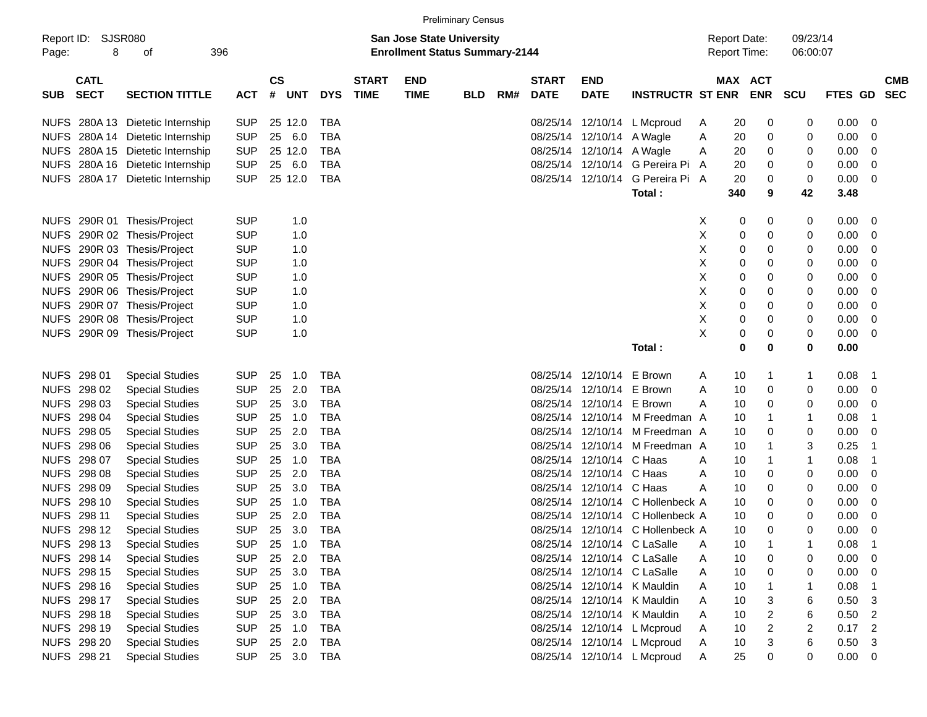|                     |                            |                                  |            |                |            |            |                             |                                                                           | <b>Preliminary Census</b> |     |                             |                           |                                  |   |                                     |            |                      |             |                          |  |
|---------------------|----------------------------|----------------------------------|------------|----------------|------------|------------|-----------------------------|---------------------------------------------------------------------------|---------------------------|-----|-----------------------------|---------------------------|----------------------------------|---|-------------------------------------|------------|----------------------|-------------|--------------------------|--|
| Report ID:<br>Page: | SJSR080<br>8               | 396<br>οf                        |            |                |            |            |                             | <b>San Jose State University</b><br><b>Enrollment Status Summary-2144</b> |                           |     |                             |                           |                                  |   | <b>Report Date:</b><br>Report Time: |            | 09/23/14<br>06:00:07 |             |                          |  |
| <b>SUB</b>          | <b>CATL</b><br><b>SECT</b> | <b>SECTION TITTLE</b>            | <b>ACT</b> | <b>CS</b><br># | <b>UNT</b> | <b>DYS</b> | <b>START</b><br><b>TIME</b> | <b>END</b><br><b>TIME</b>                                                 | <b>BLD</b>                | RM# | <b>START</b><br><b>DATE</b> | <b>END</b><br><b>DATE</b> | <b>INSTRUCTR ST ENR</b>          |   | <b>MAX ACT</b>                      | <b>ENR</b> | <b>SCU</b>           | FTES GD     | <b>CMB</b><br><b>SEC</b> |  |
|                     |                            | NUFS 280A 13 Dietetic Internship | <b>SUP</b> |                | 25 12.0    | <b>TBA</b> |                             |                                                                           |                           |     | 08/25/14                    | 12/10/14                  | L Mcproud                        | A | 20                                  | 0          | 0                    | 0.00        | -0                       |  |
|                     |                            | NUFS 280A 14 Dietetic Internship | <b>SUP</b> | 25             | 6.0        | <b>TBA</b> |                             |                                                                           |                           |     | 08/25/14                    | 12/10/14                  | A Wagle                          | Α | 20                                  | 0          | 0                    | 0.00        | 0                        |  |
|                     |                            | NUFS 280A 15 Dietetic Internship | <b>SUP</b> |                | 25 12.0    | <b>TBA</b> |                             |                                                                           |                           |     |                             | 08/25/14 12/10/14 A Wagle |                                  | A | 20                                  | 0          | 0                    | 0.00        | 0                        |  |
|                     |                            | NUFS 280A 16 Dietetic Internship | <b>SUP</b> | 25             | 6.0        | <b>TBA</b> |                             |                                                                           |                           |     |                             |                           | 08/25/14 12/10/14 G Pereira Pi   | A | 20                                  | 0          | 0                    | 0.00        | 0                        |  |
|                     |                            | NUFS 280A 17 Dietetic Internship | <b>SUP</b> |                | 25 12.0    | <b>TBA</b> |                             |                                                                           |                           |     |                             | 08/25/14 12/10/14         | G Pereira Pi A                   |   | 20                                  | 0          | 0                    | 0.00        | 0                        |  |
|                     |                            |                                  |            |                |            |            |                             |                                                                           |                           |     |                             |                           | Total:                           |   | 340                                 | 9          | 42                   | 3.48        |                          |  |
|                     |                            | NUFS 290R 01 Thesis/Project      | <b>SUP</b> |                | 1.0        |            |                             |                                                                           |                           |     |                             |                           |                                  | X | 0                                   | 0          | 0                    | 0.00        | 0                        |  |
|                     |                            | NUFS 290R 02 Thesis/Project      | <b>SUP</b> |                | 1.0        |            |                             |                                                                           |                           |     |                             |                           |                                  | Χ | 0                                   | 0          | 0                    | 0.00        | 0                        |  |
|                     |                            | NUFS 290R 03 Thesis/Project      | <b>SUP</b> |                | 1.0        |            |                             |                                                                           |                           |     |                             |                           |                                  | Χ | 0                                   | 0          | 0                    | 0.00        | 0                        |  |
|                     |                            | NUFS 290R 04 Thesis/Project      | <b>SUP</b> |                | 1.0        |            |                             |                                                                           |                           |     |                             |                           |                                  | Χ | 0                                   | 0          | 0                    | 0.00        | 0                        |  |
|                     |                            | NUFS 290R 05 Thesis/Project      | <b>SUP</b> |                | 1.0        |            |                             |                                                                           |                           |     |                             |                           |                                  | Χ | 0                                   | 0          | 0                    | 0.00        | 0                        |  |
|                     |                            | NUFS 290R 06 Thesis/Project      | <b>SUP</b> |                | 1.0        |            |                             |                                                                           |                           |     |                             |                           |                                  | Χ | 0                                   | 0          | 0                    | 0.00        | 0                        |  |
|                     |                            | NUFS 290R 07 Thesis/Project      | <b>SUP</b> |                | 1.0        |            |                             |                                                                           |                           |     |                             |                           |                                  | Χ | 0                                   | 0          | 0                    | 0.00        | 0                        |  |
|                     |                            | NUFS 290R 08 Thesis/Project      | <b>SUP</b> |                | 1.0        |            |                             |                                                                           |                           |     |                             |                           |                                  | Χ | 0                                   | 0          | 0                    | 0.00        | 0                        |  |
|                     |                            | NUFS 290R 09 Thesis/Project      | <b>SUP</b> |                | 1.0        |            |                             |                                                                           |                           |     |                             |                           |                                  | X | 0                                   | 0          | 0                    | 0.00        | 0                        |  |
|                     |                            |                                  |            |                |            |            |                             |                                                                           |                           |     |                             |                           | Total:                           |   | 0                                   | 0          | 0                    | 0.00        |                          |  |
|                     | NUFS 298 01                | <b>Special Studies</b>           | <b>SUP</b> | 25             | 1.0        | <b>TBA</b> |                             |                                                                           |                           |     |                             | 08/25/14 12/10/14         | E Brown                          | A | 10                                  | 1          | $\mathbf{1}$         | 0.08        | -1                       |  |
|                     | NUFS 298 02                | <b>Special Studies</b>           | <b>SUP</b> | 25             | 2.0        | <b>TBA</b> |                             |                                                                           |                           |     |                             | 08/25/14 12/10/14         | E Brown                          | A | 10                                  | 0          | 0                    | 0.00        | 0                        |  |
|                     | NUFS 298 03                | <b>Special Studies</b>           | <b>SUP</b> | 25             | 3.0        | <b>TBA</b> |                             |                                                                           |                           |     |                             | 08/25/14 12/10/14         | E Brown                          | Α | 10                                  | 0          | 0                    | 0.00        | 0                        |  |
|                     | NUFS 298 04                | <b>Special Studies</b>           | <b>SUP</b> | 25             | 1.0        | <b>TBA</b> |                             |                                                                           |                           |     |                             |                           | 08/25/14 12/10/14 M Freedman A   |   | 10                                  | 1          | $\mathbf 1$          | 0.08        | -1                       |  |
|                     | NUFS 298 05                | <b>Special Studies</b>           | <b>SUP</b> | 25             | 2.0        | <b>TBA</b> |                             |                                                                           |                           |     |                             |                           | 08/25/14 12/10/14 M Freedman A   |   | 10                                  | 0          | 0                    | 0.00        | 0                        |  |
|                     | NUFS 298 06                | <b>Special Studies</b>           | <b>SUP</b> | 25             | 3.0        | <b>TBA</b> |                             |                                                                           |                           |     |                             |                           | 08/25/14 12/10/14 M Freedman A   |   | 10                                  | 1          | 3                    | 0.25        | -1                       |  |
|                     | NUFS 298 07                | <b>Special Studies</b>           | <b>SUP</b> | 25             | 1.0        | <b>TBA</b> |                             |                                                                           |                           |     |                             | 08/25/14 12/10/14 C Haas  |                                  | A | 10                                  | 1          | $\mathbf 1$          | 0.08        | -1                       |  |
|                     | NUFS 298 08                | <b>Special Studies</b>           | <b>SUP</b> | 25             | 2.0        | <b>TBA</b> |                             |                                                                           |                           |     |                             | 08/25/14 12/10/14 C Haas  |                                  | Α | 10                                  | 0          | 0                    | 0.00        | 0                        |  |
|                     | NUFS 298 09                | <b>Special Studies</b>           | <b>SUP</b> | 25             | 3.0        | <b>TBA</b> |                             |                                                                           |                           |     |                             | 08/25/14 12/10/14 C Haas  |                                  | А | 10                                  | 0          | 0                    | 0.00        | 0                        |  |
|                     | NUFS 298 10                | <b>Special Studies</b>           | <b>SUP</b> | 25             | 1.0        | <b>TBA</b> |                             |                                                                           |                           |     |                             |                           | 08/25/14 12/10/14 C Hollenbeck A |   | 10                                  | 0          | 0                    | 0.00        | 0                        |  |
|                     | NUFS 298 11                | <b>Special Studies</b>           | <b>SUP</b> | 25             | 2.0        | <b>TBA</b> |                             |                                                                           |                           |     | 08/25/14                    |                           | 12/10/14 C Hollenbeck A          |   | 10                                  | 0          | 0                    | 0.00        | 0                        |  |
|                     | NUFS 298 12                | <b>Special Studies</b>           | <b>SUP</b> | 25             | 3.0        | <b>TBA</b> |                             |                                                                           |                           |     |                             |                           | 08/25/14 12/10/14 C Hollenbeck A |   | 10                                  | 0          | $\mathbf 0$          | 0.00        | $\mathbf 0$              |  |
|                     | NUFS 298 13                | <b>Special Studies</b>           | <b>SUP</b> | 25             | 1.0        | TBA        |                             |                                                                           |                           |     |                             |                           | 08/25/14 12/10/14 C LaSalle      | Α | 10                                  | -1         | 1                    | 0.08        | - 1                      |  |
|                     | NUFS 298 14                | <b>Special Studies</b>           | <b>SUP</b> | 25             | 2.0        | TBA        |                             |                                                                           |                           |     |                             |                           | 08/25/14 12/10/14 C LaSalle      | A | 10                                  | 0          | 0                    | 0.00        | - 0                      |  |
|                     | NUFS 298 15                | <b>Special Studies</b>           | <b>SUP</b> | 25             | 3.0        | TBA        |                             |                                                                           |                           |     |                             |                           | 08/25/14 12/10/14 C LaSalle      | A | 10                                  | 0          | 0                    | 0.00        | $\overline{\mathbf{0}}$  |  |
|                     | NUFS 298 16                | <b>Special Studies</b>           | <b>SUP</b> | 25             | 1.0        | TBA        |                             |                                                                           |                           |     |                             |                           | 08/25/14 12/10/14 K Mauldin      | A | 10                                  |            | 1                    | 0.08        | -1                       |  |
|                     | NUFS 298 17                | <b>Special Studies</b>           | <b>SUP</b> | 25             | 2.0        | <b>TBA</b> |                             |                                                                           |                           |     |                             |                           | 08/25/14 12/10/14 K Mauldin      | A | 10                                  | 3          | 6                    | 0.50        | -3                       |  |
|                     | NUFS 298 18                | <b>Special Studies</b>           | <b>SUP</b> | 25             | 3.0        | TBA        |                             |                                                                           |                           |     |                             |                           | 08/25/14 12/10/14 K Mauldin      | A | 10                                  | 2          | 6                    | 0.50        | $\overline{2}$           |  |
|                     | NUFS 298 19                | <b>Special Studies</b>           | <b>SUP</b> | 25             | 1.0        | TBA        |                             |                                                                           |                           |     |                             |                           | 08/25/14 12/10/14 L Mcproud      | A | 10                                  | 2          | 2                    | 0.17        | $\overline{2}$           |  |
|                     | NUFS 298 20                | <b>Special Studies</b>           | <b>SUP</b> | 25             | 2.0        | TBA        |                             |                                                                           |                           |     |                             |                           | 08/25/14 12/10/14 L Mcproud      | A | 10                                  | 3          | 6                    | 0.50        | 3                        |  |
|                     | NUFS 298 21                | <b>Special Studies</b>           | <b>SUP</b> |                | 25 3.0     | TBA        |                             |                                                                           |                           |     |                             |                           | 08/25/14 12/10/14 L Mcproud      | A | 25                                  | 0          | 0                    | $0.00 \t 0$ |                          |  |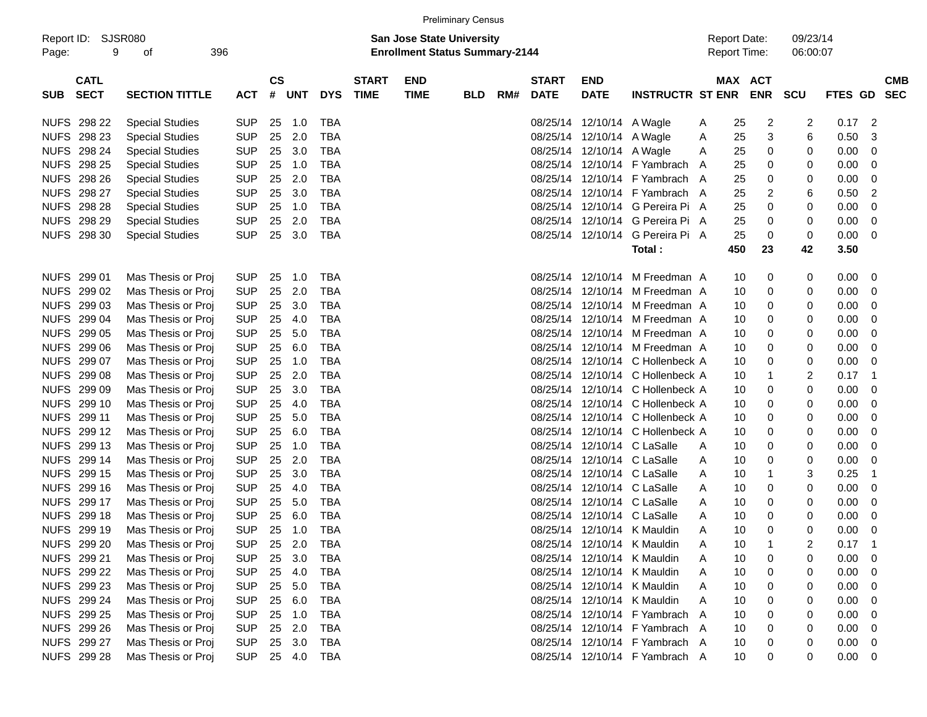| <b>Preliminary Census</b> |
|---------------------------|
|---------------------------|

| <b>CATL</b><br>$\mathsf{cs}$<br>MAX ACT<br><b>START</b><br><b>END</b><br><b>START</b><br><b>END</b><br><b>CMB</b><br><b>SECT</b><br>$\#$<br><b>TIME</b><br><b>DATE</b><br><b>DATE</b><br><b>INSTRUCTR ST ENR</b><br><b>ENR</b><br><b>FTES GD</b><br><b>SECTION TITTLE</b><br><b>ACT</b><br>UNT<br><b>DYS</b><br><b>TIME</b><br><b>BLD</b><br>RM#<br><b>SCU</b><br>SEC<br><b>SUB</b><br>NUFS 298 22<br><b>Special Studies</b><br><b>SUP</b><br>25<br>1.0<br>TBA<br>08/25/14 12/10/14 A Wagle<br>2<br>2<br>$0.17$ 2<br>25<br>A<br><b>SUP</b><br>2.0<br>0.50<br>NUFS 298 23<br><b>Special Studies</b><br>25<br>TBA<br>08/25/14 12/10/14 A Wagle<br>25<br>3<br>6<br>-3<br>A<br><b>NUFS 298 24</b><br><b>SUP</b><br>3.0<br>0.00<br><b>Special Studies</b><br>25<br>TBA<br>08/25/14 12/10/14 A Wagle<br>25<br>0<br>0<br>0<br>A<br><b>NUFS 298 25</b><br><b>SUP</b><br><b>TBA</b><br>0.00<br><b>Special Studies</b><br>25<br>1.0<br>08/25/14<br>12/10/14 F Yambrach<br>25<br>0<br>0<br>0<br>A<br><b>NUFS 298 26</b><br><b>SUP</b><br>2.0<br><b>TBA</b><br>12/10/14 F Yambrach A<br>0.00<br><b>Special Studies</b><br>25<br>08/25/14<br>25<br>0<br>0<br>0<br>NUFS 298 27<br><b>SUP</b><br>3.0<br>6<br>0.50<br>$\overline{2}$<br><b>Special Studies</b><br>25<br>TBA<br>08/25/14<br>12/10/14 F Yambrach A<br>25<br>2<br>NUFS 298 28<br><b>SUP</b><br><b>TBA</b><br>0<br>0.00<br><b>Special Studies</b><br>25<br>1.0<br>08/25/14<br>12/10/14 G Pereira Pi A<br>25<br>0<br>0<br>NUFS 298 29<br><b>SUP</b><br>2.0<br><b>TBA</b><br>12/10/14 G Pereira Pi A<br>0.00<br><b>Special Studies</b><br>25<br>08/25/14<br>25<br>0<br>0<br>0<br><b>SUP</b><br>3.0<br>0<br>0.00<br>NUFS 298 30<br><b>Special Studies</b><br>25<br>TBA<br>08/25/14 12/10/14 G Pereira Pi A<br>25<br>0<br>- 0<br>450<br>42<br>3.50<br>Total:<br>23<br>08/25/14 12/10/14 M Freedman A<br>NUFS 299 01<br>Mas Thesis or Proj<br><b>SUP</b><br>25<br>1.0<br>TBA<br>0<br>0<br>0.00<br>10<br>- 0<br><b>SUP</b><br>2.0<br>0.00<br>NUFS 299 02<br>Mas Thesis or Proj<br>25<br>TBA<br>08/25/14 12/10/14 M Freedman A<br>10<br>0<br>0<br>0<br>NUFS 299 03<br><b>SUP</b><br>3.0<br>0.00<br>Mas Thesis or Proj<br>25<br>TBA<br>08/25/14 12/10/14 M Freedman A<br>0<br>0<br>10<br>0<br>NUFS 299 04<br><b>SUP</b><br><b>TBA</b><br>0.00<br>Mas Thesis or Proj<br>25<br>4.0<br>08/25/14 12/10/14 M Freedman A<br>0<br>10<br>0<br>0<br>NUFS 299 05<br><b>SUP</b><br>5.0<br><b>TBA</b><br>0.00<br>Mas Thesis or Proj<br>25<br>08/25/14 12/10/14 M Freedman A<br>0<br>10<br>0<br>0<br>NUFS 299 06<br><b>SUP</b><br>6.0<br>0<br>0.00<br>Mas Thesis or Proj<br>25<br>TBA<br>08/25/14 12/10/14 M Freedman A<br>10<br>0<br>0<br>NUFS 299 07<br><b>SUP</b><br><b>TBA</b><br>08/25/14 12/10/14 C Hollenbeck A<br>0<br>0.00<br>Mas Thesis or Proj<br>25<br>1.0<br>10<br>0<br>0<br>NUFS 299 08<br><b>SUP</b><br>2.0<br><b>TBA</b><br>08/25/14 12/10/14 C Hollenbeck A<br>$\overline{2}$<br>Mas Thesis or Proj<br>25<br>10<br>0.17<br>- 1<br>1<br>NUFS 299 09<br><b>SUP</b><br>3.0<br>0<br>0.00<br>Mas Thesis or Proj<br>25<br>TBA<br>08/25/14 12/10/14 C Hollenbeck A<br>10<br>0<br>0<br>NUFS 299 10<br><b>SUP</b><br>0.00<br>Mas Thesis or Proj<br>25<br>4.0<br>TBA<br>08/25/14 12/10/14 C Hollenbeck A<br>10<br>0<br>0<br>0<br>NUFS 299 11<br><b>SUP</b><br>5.0<br><b>TBA</b><br>08/25/14 12/10/14 C Hollenbeck A<br>0.00<br>Mas Thesis or Proj<br>25<br>10<br>0<br>0<br>0<br>NUFS 299 12<br><b>SUP</b><br><b>TBA</b><br>0.00<br>Mas Thesis or Proj<br>25<br>6.0<br>08/25/14 12/10/14 C Hollenbeck A<br>10<br>0<br>0<br>0<br>NUFS 299 13<br><b>SUP</b><br>0.00<br>Mas Thesis or Proj<br>25<br>1.0<br>TBA<br>08/25/14 12/10/14 C LaSalle<br>10<br>0<br>0<br>0<br>A<br>NUFS 299 14<br><b>SUP</b><br>2.0<br><b>TBA</b><br>12/10/14 C LaSalle<br>0<br>0.00<br>Mas Thesis or Proj<br>25<br>08/25/14<br>10<br>0<br>0<br>A<br>NUFS 299 15<br><b>SUP</b><br>3.0<br><b>TBA</b><br>08/25/14 12/10/14 C LaSalle<br>3<br>0.25<br>Mas Thesis or Proj<br>25<br>10<br>A<br>1<br>-1<br>NUFS 299 16<br><b>SUP</b><br>0<br>0.00<br>Mas Thesis or Proj<br>25<br>4.0<br>TBA<br>08/25/14 12/10/14 C LaSalle<br>10<br>0<br>A<br>0<br>NUFS 299 17<br><b>SUP</b><br>5.0<br>0.00<br>Mas Thesis or Proj<br>25<br>TBA<br>08/25/14<br>12/10/14 C LaSalle<br>10<br>0<br>0<br>0<br>A<br>NUFS 299 18<br><b>SUP</b><br><b>TBA</b><br>0.00<br>Mas Thesis or Proj<br>25<br>6.0<br>08/25/14<br>12/10/14 C LaSalle<br>10<br>0<br>0<br>A<br>0<br>NUFS 299 19<br><b>SUP</b><br><b>TBA</b><br>0<br>0.00<br>Mas Thesis or Proj<br>25<br>1.0<br>08/25/14 12/10/14 K Mauldin<br>10<br>0<br>0<br>A<br>NUFS 299 20<br><b>SUP</b><br>25<br>2.0<br>TBA<br>08/25/14 12/10/14 K Mauldin<br>10<br>0.17<br>Mas Thesis or Proj<br>Α<br>NUFS 299 21<br>Mas Thesis or Proj<br>25 3.0<br>TBA<br>08/25/14 12/10/14 K Mauldin<br>$0.00 \t 0$<br><b>SUP</b><br>10<br>0<br>0<br>Α<br>NUFS 299 22<br>Mas Thesis or Proj<br>SUP<br>25 4.0<br>TBA<br>08/25/14 12/10/14 K Mauldin<br>10<br>0.00<br>Α<br>$\boldsymbol{0}$<br>0<br>$\overline{\phantom{0}}$<br>NUFS 299 23<br>25 5.0<br>Mas Thesis or Proj<br><b>SUP</b><br>TBA<br>08/25/14 12/10/14 K Mauldin<br>0<br>$0.00 \t 0$<br>Α<br>10<br>0<br>NUFS 299 24<br>25 6.0<br>08/25/14 12/10/14 K Mauldin<br>Mas Thesis or Proj<br><b>SUP</b><br>TBA<br>0.00<br>Α<br>10<br>$\boldsymbol{0}$<br>0<br>$\overline{\phantom{0}}$<br>NUFS 299 25<br>Mas Thesis or Proj<br><b>SUP</b><br>25 1.0<br>TBA<br>08/25/14 12/10/14 F Yambrach A<br>0<br>0.00<br>10<br>0<br>$\overline{\phantom{0}}$<br>NUFS 299 26<br>Mas Thesis or Proj<br><b>SUP</b><br>25 2.0<br>TBA<br>08/25/14 12/10/14 F Yambrach A<br>0<br>$0.00 \t 0$<br>10<br>0<br>25 3.0<br>NUFS 299 27<br>Mas Thesis or Proj<br><b>SUP</b><br>TBA<br>08/25/14 12/10/14 F Yambrach A<br>10<br>0<br>$0.00 \t 0$<br>0 | Report ID: SJSR080<br>Page: | 9<br>396<br>οf     |  |  |  | <b>THOMATION</b> SCHOOL<br><b>San Jose State University</b><br><b>Enrollment Status Summary-2144</b> |  |  | <b>Report Date:</b><br><b>Report Time:</b> |    |   | 09/23/14<br>06:00:07 |  |  |
|-----------------------------------------------------------------------------------------------------------------------------------------------------------------------------------------------------------------------------------------------------------------------------------------------------------------------------------------------------------------------------------------------------------------------------------------------------------------------------------------------------------------------------------------------------------------------------------------------------------------------------------------------------------------------------------------------------------------------------------------------------------------------------------------------------------------------------------------------------------------------------------------------------------------------------------------------------------------------------------------------------------------------------------------------------------------------------------------------------------------------------------------------------------------------------------------------------------------------------------------------------------------------------------------------------------------------------------------------------------------------------------------------------------------------------------------------------------------------------------------------------------------------------------------------------------------------------------------------------------------------------------------------------------------------------------------------------------------------------------------------------------------------------------------------------------------------------------------------------------------------------------------------------------------------------------------------------------------------------------------------------------------------------------------------------------------------------------------------------------------------------------------------------------------------------------------------------------------------------------------------------------------------------------------------------------------------------------------------------------------------------------------------------------------------------------------------------------------------------------------------------------------------------------------------------------------------------------------------------------------------------------------------------------------------------------------------------------------------------------------------------------------------------------------------------------------------------------------------------------------------------------------------------------------------------------------------------------------------------------------------------------------------------------------------------------------------------------------------------------------------------------------------------------------------------------------------------------------------------------------------------------------------------------------------------------------------------------------------------------------------------------------------------------------------------------------------------------------------------------------------------------------------------------------------------------------------------------------------------------------------------------------------------------------------------------------------------------------------------------------------------------------------------------------------------------------------------------------------------------------------------------------------------------------------------------------------------------------------------------------------------------------------------------------------------------------------------------------------------------------------------------------------------------------------------------------------------------------------------------------------------------------------------------------------------------------------------------------------------------------------------------------------------------------------------------------------------------------------------------------------------------------------------------------------------------------------------------------------------------------------------------------------------------------------------------------------------------------------------------------------------------------------------------------------------------------------------------------------------------------------------------------------------------------------------------------------------------------------------------------------------------------------------------------------------------------------------------------------------------------------------------------------------------------------------------------------------------------------------------------------------------------------------------------------------------------------------------------------------------------------------------------------------------------------------------------------------------------------------------------------------------------------------------------------------------------------------------------------------------------------------------------------------------------------------------------------------------------------------------------------------------------------------------|-----------------------------|--------------------|--|--|--|------------------------------------------------------------------------------------------------------|--|--|--------------------------------------------|----|---|----------------------|--|--|
|                                                                                                                                                                                                                                                                                                                                                                                                                                                                                                                                                                                                                                                                                                                                                                                                                                                                                                                                                                                                                                                                                                                                                                                                                                                                                                                                                                                                                                                                                                                                                                                                                                                                                                                                                                                                                                                                                                                                                                                                                                                                                                                                                                                                                                                                                                                                                                                                                                                                                                                                                                                                                                                                                                                                                                                                                                                                                                                                                                                                                                                                                                                                                                                                                                                                                                                                                                                                                                                                                                                                                                                                                                                                                                                                                                                                                                                                                                                                                                                                                                                                                                                                                                                                                                                                                                                                                                                                                                                                                                                                                                                                                                                                                                                                                                                                                                                                                                                                                                                                                                                                                                                                                                                                                                                                                                                                                                                                                                                                                                                                                                                                                                                                                                                                                                                   |                             |                    |  |  |  |                                                                                                      |  |  |                                            |    |   |                      |  |  |
|                                                                                                                                                                                                                                                                                                                                                                                                                                                                                                                                                                                                                                                                                                                                                                                                                                                                                                                                                                                                                                                                                                                                                                                                                                                                                                                                                                                                                                                                                                                                                                                                                                                                                                                                                                                                                                                                                                                                                                                                                                                                                                                                                                                                                                                                                                                                                                                                                                                                                                                                                                                                                                                                                                                                                                                                                                                                                                                                                                                                                                                                                                                                                                                                                                                                                                                                                                                                                                                                                                                                                                                                                                                                                                                                                                                                                                                                                                                                                                                                                                                                                                                                                                                                                                                                                                                                                                                                                                                                                                                                                                                                                                                                                                                                                                                                                                                                                                                                                                                                                                                                                                                                                                                                                                                                                                                                                                                                                                                                                                                                                                                                                                                                                                                                                                                   |                             |                    |  |  |  |                                                                                                      |  |  |                                            |    |   |                      |  |  |
|                                                                                                                                                                                                                                                                                                                                                                                                                                                                                                                                                                                                                                                                                                                                                                                                                                                                                                                                                                                                                                                                                                                                                                                                                                                                                                                                                                                                                                                                                                                                                                                                                                                                                                                                                                                                                                                                                                                                                                                                                                                                                                                                                                                                                                                                                                                                                                                                                                                                                                                                                                                                                                                                                                                                                                                                                                                                                                                                                                                                                                                                                                                                                                                                                                                                                                                                                                                                                                                                                                                                                                                                                                                                                                                                                                                                                                                                                                                                                                                                                                                                                                                                                                                                                                                                                                                                                                                                                                                                                                                                                                                                                                                                                                                                                                                                                                                                                                                                                                                                                                                                                                                                                                                                                                                                                                                                                                                                                                                                                                                                                                                                                                                                                                                                                                                   |                             |                    |  |  |  |                                                                                                      |  |  |                                            |    |   |                      |  |  |
|                                                                                                                                                                                                                                                                                                                                                                                                                                                                                                                                                                                                                                                                                                                                                                                                                                                                                                                                                                                                                                                                                                                                                                                                                                                                                                                                                                                                                                                                                                                                                                                                                                                                                                                                                                                                                                                                                                                                                                                                                                                                                                                                                                                                                                                                                                                                                                                                                                                                                                                                                                                                                                                                                                                                                                                                                                                                                                                                                                                                                                                                                                                                                                                                                                                                                                                                                                                                                                                                                                                                                                                                                                                                                                                                                                                                                                                                                                                                                                                                                                                                                                                                                                                                                                                                                                                                                                                                                                                                                                                                                                                                                                                                                                                                                                                                                                                                                                                                                                                                                                                                                                                                                                                                                                                                                                                                                                                                                                                                                                                                                                                                                                                                                                                                                                                   |                             |                    |  |  |  |                                                                                                      |  |  |                                            |    |   |                      |  |  |
|                                                                                                                                                                                                                                                                                                                                                                                                                                                                                                                                                                                                                                                                                                                                                                                                                                                                                                                                                                                                                                                                                                                                                                                                                                                                                                                                                                                                                                                                                                                                                                                                                                                                                                                                                                                                                                                                                                                                                                                                                                                                                                                                                                                                                                                                                                                                                                                                                                                                                                                                                                                                                                                                                                                                                                                                                                                                                                                                                                                                                                                                                                                                                                                                                                                                                                                                                                                                                                                                                                                                                                                                                                                                                                                                                                                                                                                                                                                                                                                                                                                                                                                                                                                                                                                                                                                                                                                                                                                                                                                                                                                                                                                                                                                                                                                                                                                                                                                                                                                                                                                                                                                                                                                                                                                                                                                                                                                                                                                                                                                                                                                                                                                                                                                                                                                   |                             |                    |  |  |  |                                                                                                      |  |  |                                            |    |   |                      |  |  |
|                                                                                                                                                                                                                                                                                                                                                                                                                                                                                                                                                                                                                                                                                                                                                                                                                                                                                                                                                                                                                                                                                                                                                                                                                                                                                                                                                                                                                                                                                                                                                                                                                                                                                                                                                                                                                                                                                                                                                                                                                                                                                                                                                                                                                                                                                                                                                                                                                                                                                                                                                                                                                                                                                                                                                                                                                                                                                                                                                                                                                                                                                                                                                                                                                                                                                                                                                                                                                                                                                                                                                                                                                                                                                                                                                                                                                                                                                                                                                                                                                                                                                                                                                                                                                                                                                                                                                                                                                                                                                                                                                                                                                                                                                                                                                                                                                                                                                                                                                                                                                                                                                                                                                                                                                                                                                                                                                                                                                                                                                                                                                                                                                                                                                                                                                                                   |                             |                    |  |  |  |                                                                                                      |  |  |                                            |    |   |                      |  |  |
|                                                                                                                                                                                                                                                                                                                                                                                                                                                                                                                                                                                                                                                                                                                                                                                                                                                                                                                                                                                                                                                                                                                                                                                                                                                                                                                                                                                                                                                                                                                                                                                                                                                                                                                                                                                                                                                                                                                                                                                                                                                                                                                                                                                                                                                                                                                                                                                                                                                                                                                                                                                                                                                                                                                                                                                                                                                                                                                                                                                                                                                                                                                                                                                                                                                                                                                                                                                                                                                                                                                                                                                                                                                                                                                                                                                                                                                                                                                                                                                                                                                                                                                                                                                                                                                                                                                                                                                                                                                                                                                                                                                                                                                                                                                                                                                                                                                                                                                                                                                                                                                                                                                                                                                                                                                                                                                                                                                                                                                                                                                                                                                                                                                                                                                                                                                   |                             |                    |  |  |  |                                                                                                      |  |  |                                            |    |   |                      |  |  |
|                                                                                                                                                                                                                                                                                                                                                                                                                                                                                                                                                                                                                                                                                                                                                                                                                                                                                                                                                                                                                                                                                                                                                                                                                                                                                                                                                                                                                                                                                                                                                                                                                                                                                                                                                                                                                                                                                                                                                                                                                                                                                                                                                                                                                                                                                                                                                                                                                                                                                                                                                                                                                                                                                                                                                                                                                                                                                                                                                                                                                                                                                                                                                                                                                                                                                                                                                                                                                                                                                                                                                                                                                                                                                                                                                                                                                                                                                                                                                                                                                                                                                                                                                                                                                                                                                                                                                                                                                                                                                                                                                                                                                                                                                                                                                                                                                                                                                                                                                                                                                                                                                                                                                                                                                                                                                                                                                                                                                                                                                                                                                                                                                                                                                                                                                                                   |                             |                    |  |  |  |                                                                                                      |  |  |                                            |    |   |                      |  |  |
|                                                                                                                                                                                                                                                                                                                                                                                                                                                                                                                                                                                                                                                                                                                                                                                                                                                                                                                                                                                                                                                                                                                                                                                                                                                                                                                                                                                                                                                                                                                                                                                                                                                                                                                                                                                                                                                                                                                                                                                                                                                                                                                                                                                                                                                                                                                                                                                                                                                                                                                                                                                                                                                                                                                                                                                                                                                                                                                                                                                                                                                                                                                                                                                                                                                                                                                                                                                                                                                                                                                                                                                                                                                                                                                                                                                                                                                                                                                                                                                                                                                                                                                                                                                                                                                                                                                                                                                                                                                                                                                                                                                                                                                                                                                                                                                                                                                                                                                                                                                                                                                                                                                                                                                                                                                                                                                                                                                                                                                                                                                                                                                                                                                                                                                                                                                   |                             |                    |  |  |  |                                                                                                      |  |  |                                            |    |   |                      |  |  |
|                                                                                                                                                                                                                                                                                                                                                                                                                                                                                                                                                                                                                                                                                                                                                                                                                                                                                                                                                                                                                                                                                                                                                                                                                                                                                                                                                                                                                                                                                                                                                                                                                                                                                                                                                                                                                                                                                                                                                                                                                                                                                                                                                                                                                                                                                                                                                                                                                                                                                                                                                                                                                                                                                                                                                                                                                                                                                                                                                                                                                                                                                                                                                                                                                                                                                                                                                                                                                                                                                                                                                                                                                                                                                                                                                                                                                                                                                                                                                                                                                                                                                                                                                                                                                                                                                                                                                                                                                                                                                                                                                                                                                                                                                                                                                                                                                                                                                                                                                                                                                                                                                                                                                                                                                                                                                                                                                                                                                                                                                                                                                                                                                                                                                                                                                                                   |                             |                    |  |  |  |                                                                                                      |  |  |                                            |    |   |                      |  |  |
|                                                                                                                                                                                                                                                                                                                                                                                                                                                                                                                                                                                                                                                                                                                                                                                                                                                                                                                                                                                                                                                                                                                                                                                                                                                                                                                                                                                                                                                                                                                                                                                                                                                                                                                                                                                                                                                                                                                                                                                                                                                                                                                                                                                                                                                                                                                                                                                                                                                                                                                                                                                                                                                                                                                                                                                                                                                                                                                                                                                                                                                                                                                                                                                                                                                                                                                                                                                                                                                                                                                                                                                                                                                                                                                                                                                                                                                                                                                                                                                                                                                                                                                                                                                                                                                                                                                                                                                                                                                                                                                                                                                                                                                                                                                                                                                                                                                                                                                                                                                                                                                                                                                                                                                                                                                                                                                                                                                                                                                                                                                                                                                                                                                                                                                                                                                   |                             |                    |  |  |  |                                                                                                      |  |  |                                            |    |   |                      |  |  |
|                                                                                                                                                                                                                                                                                                                                                                                                                                                                                                                                                                                                                                                                                                                                                                                                                                                                                                                                                                                                                                                                                                                                                                                                                                                                                                                                                                                                                                                                                                                                                                                                                                                                                                                                                                                                                                                                                                                                                                                                                                                                                                                                                                                                                                                                                                                                                                                                                                                                                                                                                                                                                                                                                                                                                                                                                                                                                                                                                                                                                                                                                                                                                                                                                                                                                                                                                                                                                                                                                                                                                                                                                                                                                                                                                                                                                                                                                                                                                                                                                                                                                                                                                                                                                                                                                                                                                                                                                                                                                                                                                                                                                                                                                                                                                                                                                                                                                                                                                                                                                                                                                                                                                                                                                                                                                                                                                                                                                                                                                                                                                                                                                                                                                                                                                                                   |                             |                    |  |  |  |                                                                                                      |  |  |                                            |    |   |                      |  |  |
|                                                                                                                                                                                                                                                                                                                                                                                                                                                                                                                                                                                                                                                                                                                                                                                                                                                                                                                                                                                                                                                                                                                                                                                                                                                                                                                                                                                                                                                                                                                                                                                                                                                                                                                                                                                                                                                                                                                                                                                                                                                                                                                                                                                                                                                                                                                                                                                                                                                                                                                                                                                                                                                                                                                                                                                                                                                                                                                                                                                                                                                                                                                                                                                                                                                                                                                                                                                                                                                                                                                                                                                                                                                                                                                                                                                                                                                                                                                                                                                                                                                                                                                                                                                                                                                                                                                                                                                                                                                                                                                                                                                                                                                                                                                                                                                                                                                                                                                                                                                                                                                                                                                                                                                                                                                                                                                                                                                                                                                                                                                                                                                                                                                                                                                                                                                   |                             |                    |  |  |  |                                                                                                      |  |  |                                            |    |   |                      |  |  |
|                                                                                                                                                                                                                                                                                                                                                                                                                                                                                                                                                                                                                                                                                                                                                                                                                                                                                                                                                                                                                                                                                                                                                                                                                                                                                                                                                                                                                                                                                                                                                                                                                                                                                                                                                                                                                                                                                                                                                                                                                                                                                                                                                                                                                                                                                                                                                                                                                                                                                                                                                                                                                                                                                                                                                                                                                                                                                                                                                                                                                                                                                                                                                                                                                                                                                                                                                                                                                                                                                                                                                                                                                                                                                                                                                                                                                                                                                                                                                                                                                                                                                                                                                                                                                                                                                                                                                                                                                                                                                                                                                                                                                                                                                                                                                                                                                                                                                                                                                                                                                                                                                                                                                                                                                                                                                                                                                                                                                                                                                                                                                                                                                                                                                                                                                                                   |                             |                    |  |  |  |                                                                                                      |  |  |                                            |    |   |                      |  |  |
|                                                                                                                                                                                                                                                                                                                                                                                                                                                                                                                                                                                                                                                                                                                                                                                                                                                                                                                                                                                                                                                                                                                                                                                                                                                                                                                                                                                                                                                                                                                                                                                                                                                                                                                                                                                                                                                                                                                                                                                                                                                                                                                                                                                                                                                                                                                                                                                                                                                                                                                                                                                                                                                                                                                                                                                                                                                                                                                                                                                                                                                                                                                                                                                                                                                                                                                                                                                                                                                                                                                                                                                                                                                                                                                                                                                                                                                                                                                                                                                                                                                                                                                                                                                                                                                                                                                                                                                                                                                                                                                                                                                                                                                                                                                                                                                                                                                                                                                                                                                                                                                                                                                                                                                                                                                                                                                                                                                                                                                                                                                                                                                                                                                                                                                                                                                   |                             |                    |  |  |  |                                                                                                      |  |  |                                            |    |   |                      |  |  |
|                                                                                                                                                                                                                                                                                                                                                                                                                                                                                                                                                                                                                                                                                                                                                                                                                                                                                                                                                                                                                                                                                                                                                                                                                                                                                                                                                                                                                                                                                                                                                                                                                                                                                                                                                                                                                                                                                                                                                                                                                                                                                                                                                                                                                                                                                                                                                                                                                                                                                                                                                                                                                                                                                                                                                                                                                                                                                                                                                                                                                                                                                                                                                                                                                                                                                                                                                                                                                                                                                                                                                                                                                                                                                                                                                                                                                                                                                                                                                                                                                                                                                                                                                                                                                                                                                                                                                                                                                                                                                                                                                                                                                                                                                                                                                                                                                                                                                                                                                                                                                                                                                                                                                                                                                                                                                                                                                                                                                                                                                                                                                                                                                                                                                                                                                                                   |                             |                    |  |  |  |                                                                                                      |  |  |                                            |    |   |                      |  |  |
|                                                                                                                                                                                                                                                                                                                                                                                                                                                                                                                                                                                                                                                                                                                                                                                                                                                                                                                                                                                                                                                                                                                                                                                                                                                                                                                                                                                                                                                                                                                                                                                                                                                                                                                                                                                                                                                                                                                                                                                                                                                                                                                                                                                                                                                                                                                                                                                                                                                                                                                                                                                                                                                                                                                                                                                                                                                                                                                                                                                                                                                                                                                                                                                                                                                                                                                                                                                                                                                                                                                                                                                                                                                                                                                                                                                                                                                                                                                                                                                                                                                                                                                                                                                                                                                                                                                                                                                                                                                                                                                                                                                                                                                                                                                                                                                                                                                                                                                                                                                                                                                                                                                                                                                                                                                                                                                                                                                                                                                                                                                                                                                                                                                                                                                                                                                   |                             |                    |  |  |  |                                                                                                      |  |  |                                            |    |   |                      |  |  |
|                                                                                                                                                                                                                                                                                                                                                                                                                                                                                                                                                                                                                                                                                                                                                                                                                                                                                                                                                                                                                                                                                                                                                                                                                                                                                                                                                                                                                                                                                                                                                                                                                                                                                                                                                                                                                                                                                                                                                                                                                                                                                                                                                                                                                                                                                                                                                                                                                                                                                                                                                                                                                                                                                                                                                                                                                                                                                                                                                                                                                                                                                                                                                                                                                                                                                                                                                                                                                                                                                                                                                                                                                                                                                                                                                                                                                                                                                                                                                                                                                                                                                                                                                                                                                                                                                                                                                                                                                                                                                                                                                                                                                                                                                                                                                                                                                                                                                                                                                                                                                                                                                                                                                                                                                                                                                                                                                                                                                                                                                                                                                                                                                                                                                                                                                                                   |                             |                    |  |  |  |                                                                                                      |  |  |                                            |    |   |                      |  |  |
|                                                                                                                                                                                                                                                                                                                                                                                                                                                                                                                                                                                                                                                                                                                                                                                                                                                                                                                                                                                                                                                                                                                                                                                                                                                                                                                                                                                                                                                                                                                                                                                                                                                                                                                                                                                                                                                                                                                                                                                                                                                                                                                                                                                                                                                                                                                                                                                                                                                                                                                                                                                                                                                                                                                                                                                                                                                                                                                                                                                                                                                                                                                                                                                                                                                                                                                                                                                                                                                                                                                                                                                                                                                                                                                                                                                                                                                                                                                                                                                                                                                                                                                                                                                                                                                                                                                                                                                                                                                                                                                                                                                                                                                                                                                                                                                                                                                                                                                                                                                                                                                                                                                                                                                                                                                                                                                                                                                                                                                                                                                                                                                                                                                                                                                                                                                   |                             |                    |  |  |  |                                                                                                      |  |  |                                            |    |   |                      |  |  |
|                                                                                                                                                                                                                                                                                                                                                                                                                                                                                                                                                                                                                                                                                                                                                                                                                                                                                                                                                                                                                                                                                                                                                                                                                                                                                                                                                                                                                                                                                                                                                                                                                                                                                                                                                                                                                                                                                                                                                                                                                                                                                                                                                                                                                                                                                                                                                                                                                                                                                                                                                                                                                                                                                                                                                                                                                                                                                                                                                                                                                                                                                                                                                                                                                                                                                                                                                                                                                                                                                                                                                                                                                                                                                                                                                                                                                                                                                                                                                                                                                                                                                                                                                                                                                                                                                                                                                                                                                                                                                                                                                                                                                                                                                                                                                                                                                                                                                                                                                                                                                                                                                                                                                                                                                                                                                                                                                                                                                                                                                                                                                                                                                                                                                                                                                                                   |                             |                    |  |  |  |                                                                                                      |  |  |                                            |    |   |                      |  |  |
|                                                                                                                                                                                                                                                                                                                                                                                                                                                                                                                                                                                                                                                                                                                                                                                                                                                                                                                                                                                                                                                                                                                                                                                                                                                                                                                                                                                                                                                                                                                                                                                                                                                                                                                                                                                                                                                                                                                                                                                                                                                                                                                                                                                                                                                                                                                                                                                                                                                                                                                                                                                                                                                                                                                                                                                                                                                                                                                                                                                                                                                                                                                                                                                                                                                                                                                                                                                                                                                                                                                                                                                                                                                                                                                                                                                                                                                                                                                                                                                                                                                                                                                                                                                                                                                                                                                                                                                                                                                                                                                                                                                                                                                                                                                                                                                                                                                                                                                                                                                                                                                                                                                                                                                                                                                                                                                                                                                                                                                                                                                                                                                                                                                                                                                                                                                   |                             |                    |  |  |  |                                                                                                      |  |  |                                            |    |   |                      |  |  |
|                                                                                                                                                                                                                                                                                                                                                                                                                                                                                                                                                                                                                                                                                                                                                                                                                                                                                                                                                                                                                                                                                                                                                                                                                                                                                                                                                                                                                                                                                                                                                                                                                                                                                                                                                                                                                                                                                                                                                                                                                                                                                                                                                                                                                                                                                                                                                                                                                                                                                                                                                                                                                                                                                                                                                                                                                                                                                                                                                                                                                                                                                                                                                                                                                                                                                                                                                                                                                                                                                                                                                                                                                                                                                                                                                                                                                                                                                                                                                                                                                                                                                                                                                                                                                                                                                                                                                                                                                                                                                                                                                                                                                                                                                                                                                                                                                                                                                                                                                                                                                                                                                                                                                                                                                                                                                                                                                                                                                                                                                                                                                                                                                                                                                                                                                                                   |                             |                    |  |  |  |                                                                                                      |  |  |                                            |    |   |                      |  |  |
|                                                                                                                                                                                                                                                                                                                                                                                                                                                                                                                                                                                                                                                                                                                                                                                                                                                                                                                                                                                                                                                                                                                                                                                                                                                                                                                                                                                                                                                                                                                                                                                                                                                                                                                                                                                                                                                                                                                                                                                                                                                                                                                                                                                                                                                                                                                                                                                                                                                                                                                                                                                                                                                                                                                                                                                                                                                                                                                                                                                                                                                                                                                                                                                                                                                                                                                                                                                                                                                                                                                                                                                                                                                                                                                                                                                                                                                                                                                                                                                                                                                                                                                                                                                                                                                                                                                                                                                                                                                                                                                                                                                                                                                                                                                                                                                                                                                                                                                                                                                                                                                                                                                                                                                                                                                                                                                                                                                                                                                                                                                                                                                                                                                                                                                                                                                   |                             |                    |  |  |  |                                                                                                      |  |  |                                            |    |   |                      |  |  |
|                                                                                                                                                                                                                                                                                                                                                                                                                                                                                                                                                                                                                                                                                                                                                                                                                                                                                                                                                                                                                                                                                                                                                                                                                                                                                                                                                                                                                                                                                                                                                                                                                                                                                                                                                                                                                                                                                                                                                                                                                                                                                                                                                                                                                                                                                                                                                                                                                                                                                                                                                                                                                                                                                                                                                                                                                                                                                                                                                                                                                                                                                                                                                                                                                                                                                                                                                                                                                                                                                                                                                                                                                                                                                                                                                                                                                                                                                                                                                                                                                                                                                                                                                                                                                                                                                                                                                                                                                                                                                                                                                                                                                                                                                                                                                                                                                                                                                                                                                                                                                                                                                                                                                                                                                                                                                                                                                                                                                                                                                                                                                                                                                                                                                                                                                                                   |                             |                    |  |  |  |                                                                                                      |  |  |                                            |    |   |                      |  |  |
|                                                                                                                                                                                                                                                                                                                                                                                                                                                                                                                                                                                                                                                                                                                                                                                                                                                                                                                                                                                                                                                                                                                                                                                                                                                                                                                                                                                                                                                                                                                                                                                                                                                                                                                                                                                                                                                                                                                                                                                                                                                                                                                                                                                                                                                                                                                                                                                                                                                                                                                                                                                                                                                                                                                                                                                                                                                                                                                                                                                                                                                                                                                                                                                                                                                                                                                                                                                                                                                                                                                                                                                                                                                                                                                                                                                                                                                                                                                                                                                                                                                                                                                                                                                                                                                                                                                                                                                                                                                                                                                                                                                                                                                                                                                                                                                                                                                                                                                                                                                                                                                                                                                                                                                                                                                                                                                                                                                                                                                                                                                                                                                                                                                                                                                                                                                   |                             |                    |  |  |  |                                                                                                      |  |  |                                            |    |   |                      |  |  |
|                                                                                                                                                                                                                                                                                                                                                                                                                                                                                                                                                                                                                                                                                                                                                                                                                                                                                                                                                                                                                                                                                                                                                                                                                                                                                                                                                                                                                                                                                                                                                                                                                                                                                                                                                                                                                                                                                                                                                                                                                                                                                                                                                                                                                                                                                                                                                                                                                                                                                                                                                                                                                                                                                                                                                                                                                                                                                                                                                                                                                                                                                                                                                                                                                                                                                                                                                                                                                                                                                                                                                                                                                                                                                                                                                                                                                                                                                                                                                                                                                                                                                                                                                                                                                                                                                                                                                                                                                                                                                                                                                                                                                                                                                                                                                                                                                                                                                                                                                                                                                                                                                                                                                                                                                                                                                                                                                                                                                                                                                                                                                                                                                                                                                                                                                                                   |                             |                    |  |  |  |                                                                                                      |  |  |                                            |    |   |                      |  |  |
|                                                                                                                                                                                                                                                                                                                                                                                                                                                                                                                                                                                                                                                                                                                                                                                                                                                                                                                                                                                                                                                                                                                                                                                                                                                                                                                                                                                                                                                                                                                                                                                                                                                                                                                                                                                                                                                                                                                                                                                                                                                                                                                                                                                                                                                                                                                                                                                                                                                                                                                                                                                                                                                                                                                                                                                                                                                                                                                                                                                                                                                                                                                                                                                                                                                                                                                                                                                                                                                                                                                                                                                                                                                                                                                                                                                                                                                                                                                                                                                                                                                                                                                                                                                                                                                                                                                                                                                                                                                                                                                                                                                                                                                                                                                                                                                                                                                                                                                                                                                                                                                                                                                                                                                                                                                                                                                                                                                                                                                                                                                                                                                                                                                                                                                                                                                   |                             |                    |  |  |  |                                                                                                      |  |  |                                            |    |   |                      |  |  |
|                                                                                                                                                                                                                                                                                                                                                                                                                                                                                                                                                                                                                                                                                                                                                                                                                                                                                                                                                                                                                                                                                                                                                                                                                                                                                                                                                                                                                                                                                                                                                                                                                                                                                                                                                                                                                                                                                                                                                                                                                                                                                                                                                                                                                                                                                                                                                                                                                                                                                                                                                                                                                                                                                                                                                                                                                                                                                                                                                                                                                                                                                                                                                                                                                                                                                                                                                                                                                                                                                                                                                                                                                                                                                                                                                                                                                                                                                                                                                                                                                                                                                                                                                                                                                                                                                                                                                                                                                                                                                                                                                                                                                                                                                                                                                                                                                                                                                                                                                                                                                                                                                                                                                                                                                                                                                                                                                                                                                                                                                                                                                                                                                                                                                                                                                                                   |                             |                    |  |  |  |                                                                                                      |  |  |                                            |    |   |                      |  |  |
|                                                                                                                                                                                                                                                                                                                                                                                                                                                                                                                                                                                                                                                                                                                                                                                                                                                                                                                                                                                                                                                                                                                                                                                                                                                                                                                                                                                                                                                                                                                                                                                                                                                                                                                                                                                                                                                                                                                                                                                                                                                                                                                                                                                                                                                                                                                                                                                                                                                                                                                                                                                                                                                                                                                                                                                                                                                                                                                                                                                                                                                                                                                                                                                                                                                                                                                                                                                                                                                                                                                                                                                                                                                                                                                                                                                                                                                                                                                                                                                                                                                                                                                                                                                                                                                                                                                                                                                                                                                                                                                                                                                                                                                                                                                                                                                                                                                                                                                                                                                                                                                                                                                                                                                                                                                                                                                                                                                                                                                                                                                                                                                                                                                                                                                                                                                   |                             |                    |  |  |  |                                                                                                      |  |  |                                            |    |   |                      |  |  |
|                                                                                                                                                                                                                                                                                                                                                                                                                                                                                                                                                                                                                                                                                                                                                                                                                                                                                                                                                                                                                                                                                                                                                                                                                                                                                                                                                                                                                                                                                                                                                                                                                                                                                                                                                                                                                                                                                                                                                                                                                                                                                                                                                                                                                                                                                                                                                                                                                                                                                                                                                                                                                                                                                                                                                                                                                                                                                                                                                                                                                                                                                                                                                                                                                                                                                                                                                                                                                                                                                                                                                                                                                                                                                                                                                                                                                                                                                                                                                                                                                                                                                                                                                                                                                                                                                                                                                                                                                                                                                                                                                                                                                                                                                                                                                                                                                                                                                                                                                                                                                                                                                                                                                                                                                                                                                                                                                                                                                                                                                                                                                                                                                                                                                                                                                                                   |                             |                    |  |  |  |                                                                                                      |  |  |                                            |    |   |                      |  |  |
|                                                                                                                                                                                                                                                                                                                                                                                                                                                                                                                                                                                                                                                                                                                                                                                                                                                                                                                                                                                                                                                                                                                                                                                                                                                                                                                                                                                                                                                                                                                                                                                                                                                                                                                                                                                                                                                                                                                                                                                                                                                                                                                                                                                                                                                                                                                                                                                                                                                                                                                                                                                                                                                                                                                                                                                                                                                                                                                                                                                                                                                                                                                                                                                                                                                                                                                                                                                                                                                                                                                                                                                                                                                                                                                                                                                                                                                                                                                                                                                                                                                                                                                                                                                                                                                                                                                                                                                                                                                                                                                                                                                                                                                                                                                                                                                                                                                                                                                                                                                                                                                                                                                                                                                                                                                                                                                                                                                                                                                                                                                                                                                                                                                                                                                                                                                   |                             |                    |  |  |  |                                                                                                      |  |  |                                            |    |   |                      |  |  |
|                                                                                                                                                                                                                                                                                                                                                                                                                                                                                                                                                                                                                                                                                                                                                                                                                                                                                                                                                                                                                                                                                                                                                                                                                                                                                                                                                                                                                                                                                                                                                                                                                                                                                                                                                                                                                                                                                                                                                                                                                                                                                                                                                                                                                                                                                                                                                                                                                                                                                                                                                                                                                                                                                                                                                                                                                                                                                                                                                                                                                                                                                                                                                                                                                                                                                                                                                                                                                                                                                                                                                                                                                                                                                                                                                                                                                                                                                                                                                                                                                                                                                                                                                                                                                                                                                                                                                                                                                                                                                                                                                                                                                                                                                                                                                                                                                                                                                                                                                                                                                                                                                                                                                                                                                                                                                                                                                                                                                                                                                                                                                                                                                                                                                                                                                                                   |                             |                    |  |  |  |                                                                                                      |  |  |                                            |    |   |                      |  |  |
|                                                                                                                                                                                                                                                                                                                                                                                                                                                                                                                                                                                                                                                                                                                                                                                                                                                                                                                                                                                                                                                                                                                                                                                                                                                                                                                                                                                                                                                                                                                                                                                                                                                                                                                                                                                                                                                                                                                                                                                                                                                                                                                                                                                                                                                                                                                                                                                                                                                                                                                                                                                                                                                                                                                                                                                                                                                                                                                                                                                                                                                                                                                                                                                                                                                                                                                                                                                                                                                                                                                                                                                                                                                                                                                                                                                                                                                                                                                                                                                                                                                                                                                                                                                                                                                                                                                                                                                                                                                                                                                                                                                                                                                                                                                                                                                                                                                                                                                                                                                                                                                                                                                                                                                                                                                                                                                                                                                                                                                                                                                                                                                                                                                                                                                                                                                   |                             |                    |  |  |  |                                                                                                      |  |  |                                            |    |   |                      |  |  |
|                                                                                                                                                                                                                                                                                                                                                                                                                                                                                                                                                                                                                                                                                                                                                                                                                                                                                                                                                                                                                                                                                                                                                                                                                                                                                                                                                                                                                                                                                                                                                                                                                                                                                                                                                                                                                                                                                                                                                                                                                                                                                                                                                                                                                                                                                                                                                                                                                                                                                                                                                                                                                                                                                                                                                                                                                                                                                                                                                                                                                                                                                                                                                                                                                                                                                                                                                                                                                                                                                                                                                                                                                                                                                                                                                                                                                                                                                                                                                                                                                                                                                                                                                                                                                                                                                                                                                                                                                                                                                                                                                                                                                                                                                                                                                                                                                                                                                                                                                                                                                                                                                                                                                                                                                                                                                                                                                                                                                                                                                                                                                                                                                                                                                                                                                                                   |                             |                    |  |  |  |                                                                                                      |  |  |                                            |    |   |                      |  |  |
|                                                                                                                                                                                                                                                                                                                                                                                                                                                                                                                                                                                                                                                                                                                                                                                                                                                                                                                                                                                                                                                                                                                                                                                                                                                                                                                                                                                                                                                                                                                                                                                                                                                                                                                                                                                                                                                                                                                                                                                                                                                                                                                                                                                                                                                                                                                                                                                                                                                                                                                                                                                                                                                                                                                                                                                                                                                                                                                                                                                                                                                                                                                                                                                                                                                                                                                                                                                                                                                                                                                                                                                                                                                                                                                                                                                                                                                                                                                                                                                                                                                                                                                                                                                                                                                                                                                                                                                                                                                                                                                                                                                                                                                                                                                                                                                                                                                                                                                                                                                                                                                                                                                                                                                                                                                                                                                                                                                                                                                                                                                                                                                                                                                                                                                                                                                   |                             |                    |  |  |  |                                                                                                      |  |  |                                            |    |   |                      |  |  |
|                                                                                                                                                                                                                                                                                                                                                                                                                                                                                                                                                                                                                                                                                                                                                                                                                                                                                                                                                                                                                                                                                                                                                                                                                                                                                                                                                                                                                                                                                                                                                                                                                                                                                                                                                                                                                                                                                                                                                                                                                                                                                                                                                                                                                                                                                                                                                                                                                                                                                                                                                                                                                                                                                                                                                                                                                                                                                                                                                                                                                                                                                                                                                                                                                                                                                                                                                                                                                                                                                                                                                                                                                                                                                                                                                                                                                                                                                                                                                                                                                                                                                                                                                                                                                                                                                                                                                                                                                                                                                                                                                                                                                                                                                                                                                                                                                                                                                                                                                                                                                                                                                                                                                                                                                                                                                                                                                                                                                                                                                                                                                                                                                                                                                                                                                                                   |                             |                    |  |  |  |                                                                                                      |  |  |                                            |    |   |                      |  |  |
|                                                                                                                                                                                                                                                                                                                                                                                                                                                                                                                                                                                                                                                                                                                                                                                                                                                                                                                                                                                                                                                                                                                                                                                                                                                                                                                                                                                                                                                                                                                                                                                                                                                                                                                                                                                                                                                                                                                                                                                                                                                                                                                                                                                                                                                                                                                                                                                                                                                                                                                                                                                                                                                                                                                                                                                                                                                                                                                                                                                                                                                                                                                                                                                                                                                                                                                                                                                                                                                                                                                                                                                                                                                                                                                                                                                                                                                                                                                                                                                                                                                                                                                                                                                                                                                                                                                                                                                                                                                                                                                                                                                                                                                                                                                                                                                                                                                                                                                                                                                                                                                                                                                                                                                                                                                                                                                                                                                                                                                                                                                                                                                                                                                                                                                                                                                   |                             |                    |  |  |  |                                                                                                      |  |  |                                            |    |   |                      |  |  |
|                                                                                                                                                                                                                                                                                                                                                                                                                                                                                                                                                                                                                                                                                                                                                                                                                                                                                                                                                                                                                                                                                                                                                                                                                                                                                                                                                                                                                                                                                                                                                                                                                                                                                                                                                                                                                                                                                                                                                                                                                                                                                                                                                                                                                                                                                                                                                                                                                                                                                                                                                                                                                                                                                                                                                                                                                                                                                                                                                                                                                                                                                                                                                                                                                                                                                                                                                                                                                                                                                                                                                                                                                                                                                                                                                                                                                                                                                                                                                                                                                                                                                                                                                                                                                                                                                                                                                                                                                                                                                                                                                                                                                                                                                                                                                                                                                                                                                                                                                                                                                                                                                                                                                                                                                                                                                                                                                                                                                                                                                                                                                                                                                                                                                                                                                                                   |                             |                    |  |  |  |                                                                                                      |  |  |                                            |    |   |                      |  |  |
| NUFS 299 28<br>SUP 25 4.0 TBA<br>08/25/14 12/10/14 F Yambrach A<br>$0.00 \t 0$                                                                                                                                                                                                                                                                                                                                                                                                                                                                                                                                                                                                                                                                                                                                                                                                                                                                                                                                                                                                                                                                                                                                                                                                                                                                                                                                                                                                                                                                                                                                                                                                                                                                                                                                                                                                                                                                                                                                                                                                                                                                                                                                                                                                                                                                                                                                                                                                                                                                                                                                                                                                                                                                                                                                                                                                                                                                                                                                                                                                                                                                                                                                                                                                                                                                                                                                                                                                                                                                                                                                                                                                                                                                                                                                                                                                                                                                                                                                                                                                                                                                                                                                                                                                                                                                                                                                                                                                                                                                                                                                                                                                                                                                                                                                                                                                                                                                                                                                                                                                                                                                                                                                                                                                                                                                                                                                                                                                                                                                                                                                                                                                                                                                                                    |                             | Mas Thesis or Proj |  |  |  |                                                                                                      |  |  |                                            | 10 | 0 | 0                    |  |  |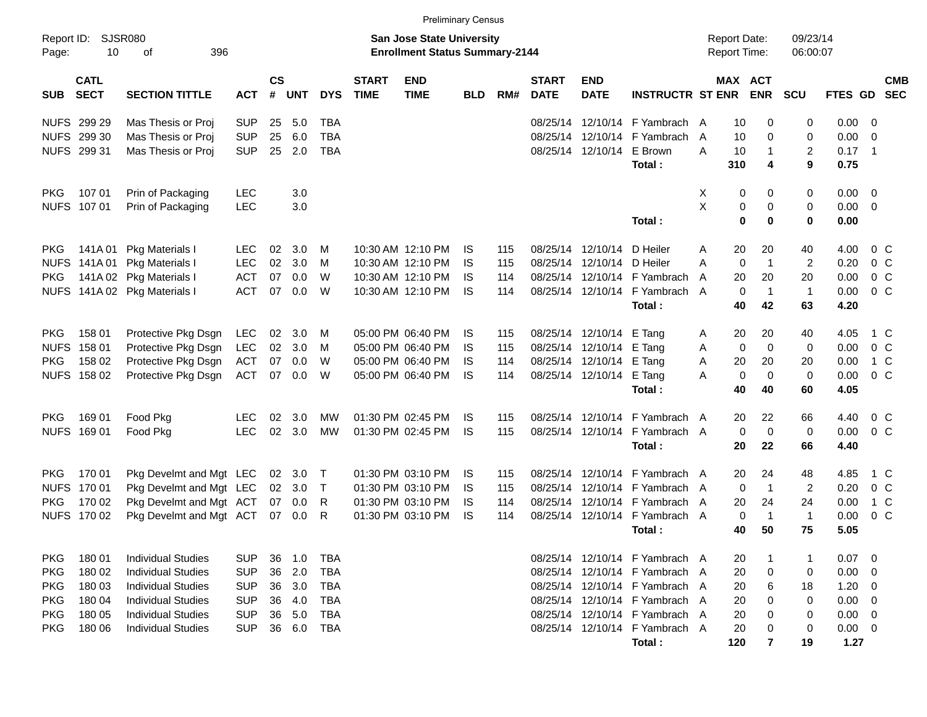|                     |                            |                                            |                   |                    |            |            |                             | <b>Preliminary Census</b>                                                 |                 |            |                             |                                        |                                |                |                                            |                   |                      |                |                            |                          |
|---------------------|----------------------------|--------------------------------------------|-------------------|--------------------|------------|------------|-----------------------------|---------------------------------------------------------------------------|-----------------|------------|-----------------------------|----------------------------------------|--------------------------------|----------------|--------------------------------------------|-------------------|----------------------|----------------|----------------------------|--------------------------|
| Report ID:<br>Page: | SJSR080<br>10              | 396<br>οf                                  |                   |                    |            |            |                             | <b>San Jose State University</b><br><b>Enrollment Status Summary-2144</b> |                 |            |                             |                                        |                                |                | <b>Report Date:</b><br><b>Report Time:</b> |                   | 09/23/14<br>06:00:07 |                |                            |                          |
| <b>SUB</b>          | <b>CATL</b><br><b>SECT</b> | <b>SECTION TITTLE</b>                      | <b>ACT</b>        | $\mathsf{cs}$<br># | <b>UNT</b> | <b>DYS</b> | <b>START</b><br><b>TIME</b> | <b>END</b><br><b>TIME</b>                                                 | <b>BLD</b>      | RM#        | <b>START</b><br><b>DATE</b> | <b>END</b><br><b>DATE</b>              | <b>INSTRUCTR ST ENR</b>        |                | MAX ACT                                    | <b>ENR</b>        | <b>SCU</b>           | <b>FTES GD</b> |                            | <b>CMB</b><br><b>SEC</b> |
|                     | NUFS 299 29                | Mas Thesis or Proj                         | <b>SUP</b>        | 25                 | 5.0        | <b>TBA</b> |                             |                                                                           |                 |            | 08/25/14                    |                                        | 12/10/14 F Yambrach A          |                | 10                                         | 0                 | 0                    | 0.00           | - 0                        |                          |
|                     | NUFS 299 30                | Mas Thesis or Proj                         | <b>SUP</b>        | 25                 | 6.0        | <b>TBA</b> |                             |                                                                           |                 |            |                             | 08/25/14 12/10/14                      | F Yambrach                     | $\overline{A}$ | 10                                         | 0                 | 0                    | 0.00           | $\overline{0}$             |                          |
|                     | NUFS 299 31                | Mas Thesis or Proj                         | <b>SUP</b>        | 25                 | 2.0        | <b>TBA</b> |                             |                                                                           |                 |            |                             | 08/25/14 12/10/14                      | E Brown                        | A              | 10                                         | $\mathbf 1$       | 2                    | 0.17           | $\overline{\phantom{0}}$ 1 |                          |
|                     |                            |                                            |                   |                    |            |            |                             |                                                                           |                 |            |                             |                                        | Total:                         |                | 310                                        | 4                 | 9                    | 0.75           |                            |                          |
| PKG.                | 107 01                     | Prin of Packaging                          | <b>LEC</b>        |                    | 3.0        |            |                             |                                                                           |                 |            |                             |                                        |                                | Χ              | 0                                          | 0                 | 0                    | 0.00           | $\overline{\mathbf{0}}$    |                          |
|                     | NUFS 107 01                | Prin of Packaging                          | <b>LEC</b>        |                    | 3.0        |            |                             |                                                                           |                 |            |                             |                                        |                                | X              | 0                                          | 0                 | 0                    | 0.00           | $\overline{0}$             |                          |
|                     |                            |                                            |                   |                    |            |            |                             |                                                                           |                 |            |                             |                                        | Total:                         |                | $\mathbf 0$                                | 0                 | $\mathbf 0$          | 0.00           |                            |                          |
| PKG.                | 141A 01                    | Pkg Materials I                            | <b>LEC</b>        | 02                 | 3.0        | M          |                             | 10:30 AM 12:10 PM                                                         | IS              | 115        |                             | 08/25/14 12/10/14                      | D Heiler                       | A              | 20                                         | 20                | 40                   | 4.00           | $0\,$ C                    |                          |
| <b>NUFS</b>         | 141A 01                    | Pkg Materials I                            | <b>LEC</b>        | 02                 | 3.0        | м          |                             | 10:30 AM 12:10 PM                                                         | <b>IS</b>       | 115        |                             | 08/25/14 12/10/14                      | D Heiler                       | A              | 0                                          | $\overline{1}$    | $\overline{2}$       | 0.20           | 0 <sup>o</sup>             |                          |
| <b>PKG</b>          | 141A 02                    | <b>Pkg Materials I</b>                     | <b>ACT</b>        | 07                 | 0.0        | W          |                             | 10:30 AM 12:10 PM                                                         | <b>IS</b>       | 114        |                             | 08/25/14 12/10/14                      | F Yambrach                     | A              | 20                                         | 20                | 20                   | 0.00           | 0 <sup>C</sup>             |                          |
|                     |                            | NUFS 141A 02 Pkg Materials I               | <b>ACT</b>        | 07                 | 0.0        | W          |                             | 10:30 AM 12:10 PM                                                         | <b>IS</b>       | 114        |                             | 08/25/14 12/10/14                      | F Yambrach A                   |                | 0                                          | $\overline{1}$    | $\mathbf{1}$         | 0.00           | 0 <sup>o</sup>             |                          |
|                     |                            |                                            |                   |                    |            |            |                             |                                                                           |                 |            |                             |                                        | Total:                         |                | 40                                         | 42                | 63                   | 4.20           |                            |                          |
|                     |                            |                                            |                   |                    |            |            |                             |                                                                           |                 |            |                             |                                        |                                |                |                                            |                   |                      |                |                            |                          |
| PKG.<br><b>NUFS</b> | 158 01<br>158 01           | Protective Pkg Dsgn<br>Protective Pkg Dsgn | LEC<br><b>LEC</b> | 02<br>02           | 3.0<br>3.0 | м<br>м     |                             | 05:00 PM 06:40 PM<br>05:00 PM 06:40 PM                                    | IS<br><b>IS</b> | 115<br>115 |                             | 08/25/14 12/10/14<br>08/25/14 12/10/14 | E Tang<br>E Tang               | A<br>Α         | 20<br>0                                    | 20<br>$\mathbf 0$ | 40<br>0              | 4.05<br>0.00   | 1 C<br>0 <sup>o</sup>      |                          |
| <b>PKG</b>          | 158 02                     | Protective Pkg Dsgn                        | <b>ACT</b>        | 07                 | 0.0        | W          |                             | 05:00 PM 06:40 PM                                                         | <b>IS</b>       | 114        |                             | 08/25/14 12/10/14                      | E Tang                         | A              | 20                                         | 20                | 20                   | 0.00           | 1 C                        |                          |
|                     | NUFS 158 02                | Protective Pkg Dsgn                        | <b>ACT</b>        | 07                 | 0.0        | W          |                             | 05:00 PM 06:40 PM                                                         | <b>IS</b>       | 114        |                             | 08/25/14 12/10/14                      | E Tang                         | Α              | 0                                          | $\mathbf 0$       | $\mathbf 0$          | 0.00           | 0 <sup>o</sup>             |                          |
|                     |                            |                                            |                   |                    |            |            |                             |                                                                           |                 |            |                             |                                        | Total:                         |                | 40                                         | 40                | 60                   | 4.05           |                            |                          |
|                     |                            |                                            |                   |                    |            |            |                             |                                                                           |                 |            |                             |                                        |                                |                |                                            |                   |                      |                |                            |                          |
| <b>PKG</b>          | 169 01                     | Food Pkg                                   | <b>LEC</b>        | 02                 | 3.0        | MW         |                             | 01:30 PM 02:45 PM                                                         | IS              | 115        |                             | 08/25/14 12/10/14                      | F Yambrach                     | A              | 20                                         | 22                | 66                   | 4.40           | 0 <sup>C</sup>             |                          |
|                     | NUFS 169 01                | Food Pkg                                   | <b>LEC</b>        | 02                 | 3.0        | МW         |                             | 01:30 PM 02:45 PM                                                         | <b>IS</b>       | 115        |                             | 08/25/14 12/10/14                      | F Yambrach A<br>Total:         |                | 0<br>20                                    | $\mathbf 0$<br>22 | $\mathbf 0$<br>66    | 0.00<br>4.40   | 0 <sup>o</sup>             |                          |
|                     |                            |                                            |                   |                    |            |            |                             |                                                                           |                 |            |                             |                                        |                                |                |                                            |                   |                      |                |                            |                          |
| PKG.                | 170 01                     | Pkg Develmt and Mgt LEC                    |                   | 02                 | 3.0        | $\top$     |                             | 01:30 PM 03:10 PM                                                         | IS              | 115        | 08/25/14                    | 12/10/14                               | F Yambrach A                   |                | 20                                         | 24                | 48                   | 4.85           | 1 C                        |                          |
| <b>NUFS</b>         | 170 01                     | Pkg Develmt and Mgt LEC                    |                   |                    | 02 3.0     | $\top$     |                             | 01:30 PM 03:10 PM                                                         | <b>IS</b>       | 115        |                             | 08/25/14 12/10/14                      | F Yambrach A                   |                | 0                                          | $\overline{1}$    | $\overline{2}$       | 0.20           | 0 <sup>o</sup>             |                          |
| <b>PKG</b>          | 170 02                     | Pkg Develmt and Mgt ACT                    |                   |                    | 07 0.0     | R          |                             | 01:30 PM 03:10 PM                                                         | <b>IS</b>       | 114        |                             | 08/25/14 12/10/14                      | F Yambrach                     | A              | 20                                         | 24                | 24                   | 0.00           | $1\,C$                     |                          |
| <b>NUFS</b>         | 170 02                     | Pkg Develmt and Mgt ACT                    |                   | 07                 | 0.0        | R          |                             | 01:30 PM 03:10 PM                                                         | <b>IS</b>       | 114        |                             | 08/25/14 12/10/14                      | F Yambrach A                   |                | 0                                          | $\overline{1}$    | $\mathbf{1}$         | 0.00           | 0 <sup>C</sup>             |                          |
|                     |                            |                                            |                   |                    |            |            |                             |                                                                           |                 |            |                             |                                        | Total:                         |                | 40                                         | 50                | 75                   | 5.05           |                            |                          |
| <b>PKG</b>          | 180 01                     | Individual Studies                         | <b>SUP</b>        | 36                 | 1.0        | <b>TBA</b> |                             |                                                                           |                 |            |                             |                                        | 08/25/14 12/10/14 F Yambrach A |                | 20                                         | 1                 | 1                    | 0.07           | - 0                        |                          |
| <b>PKG</b>          | 180 02                     | <b>Individual Studies</b>                  | <b>SUP</b>        | 36                 | 2.0        | <b>TBA</b> |                             |                                                                           |                 |            |                             |                                        | 08/25/14 12/10/14 F Yambrach A |                | 20                                         | 0                 | 0                    | 0.00           | - 0                        |                          |
| <b>PKG</b>          | 180 03                     | <b>Individual Studies</b>                  | <b>SUP</b>        | 36                 | 3.0        | <b>TBA</b> |                             |                                                                           |                 |            |                             |                                        | 08/25/14 12/10/14 F Yambrach A |                | 20                                         | 6                 | 18                   | 1.20           | $\overline{0}$             |                          |
| <b>PKG</b>          | 180 04                     | <b>Individual Studies</b>                  | <b>SUP</b>        | 36                 | 4.0        | <b>TBA</b> |                             |                                                                           |                 |            |                             |                                        | 08/25/14 12/10/14 F Yambrach A |                | 20                                         | 0                 | 0                    | 0.00           | $\overline{\mathbf{0}}$    |                          |
| <b>PKG</b>          | 180 05                     | <b>Individual Studies</b>                  | <b>SUP</b>        | 36                 | 5.0        | <b>TBA</b> |                             |                                                                           |                 |            |                             |                                        | 08/25/14 12/10/14 F Yambrach A |                | 20                                         | 0                 | 0                    | 0.00           | $\overline{\mathbf{0}}$    |                          |
| <b>PKG</b>          | 180 06                     | <b>Individual Studies</b>                  | <b>SUP</b>        |                    | 36 6.0     | TBA        |                             |                                                                           |                 |            |                             |                                        | 08/25/14 12/10/14 F Yambrach A |                | 20                                         | 0                 | 0                    | $0.00 \t 0$    |                            |                          |
|                     |                            |                                            |                   |                    |            |            |                             |                                                                           |                 |            |                             |                                        | Total:                         |                | 120                                        | $\overline{7}$    | 19                   | 1.27           |                            |                          |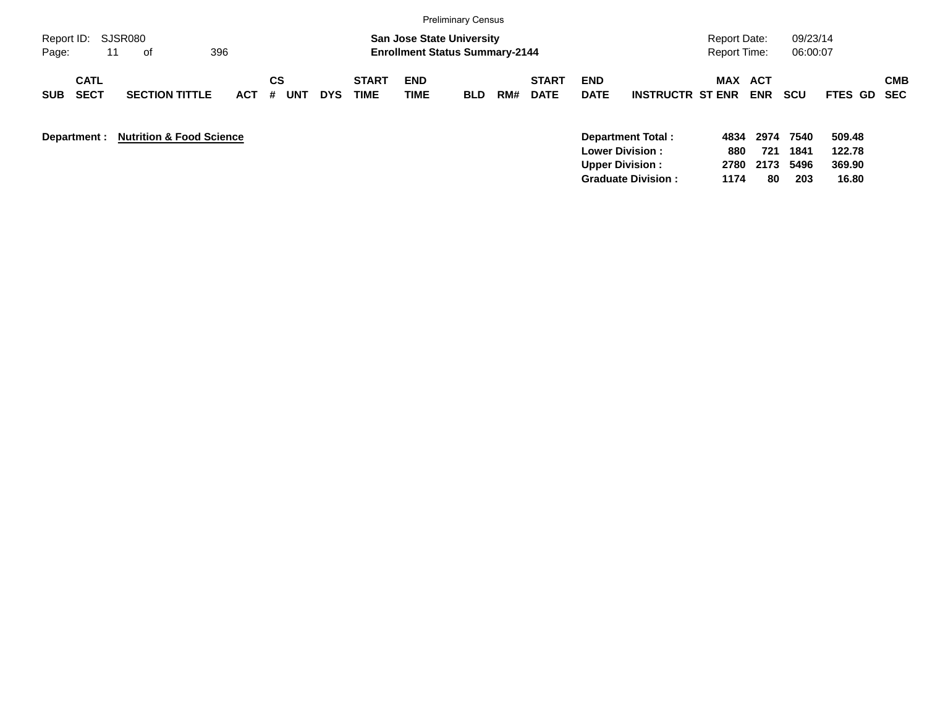|                                          |                                     |            |                |            |                             |                                                                           | <b>Preliminary Census</b> |     |                             |                           |                                                                        |                                            |                     |                      |                            |            |
|------------------------------------------|-------------------------------------|------------|----------------|------------|-----------------------------|---------------------------------------------------------------------------|---------------------------|-----|-----------------------------|---------------------------|------------------------------------------------------------------------|--------------------------------------------|---------------------|----------------------|----------------------------|------------|
| Report ID:<br>11<br>Page:                | SJSR080<br>396<br>of                |            |                |            |                             | <b>San Jose State University</b><br><b>Enrollment Status Summary-2144</b> |                           |     |                             |                           |                                                                        | <b>Report Date:</b><br><b>Report Time:</b> |                     | 09/23/14<br>06:00:07 |                            |            |
| <b>CATL</b><br><b>SECT</b><br><b>SUB</b> | <b>SECTION TITTLE</b>               | <b>ACT</b> | CS<br>UN1<br># | <b>DYS</b> | <b>START</b><br><b>TIME</b> | <b>END</b><br><b>TIME</b>                                                 | <b>BLD</b>                | RM# | <b>START</b><br><b>DATE</b> | <b>END</b><br><b>DATE</b> | <b>INSTRUCTR ST ENR</b>                                                | MAX ACT                                    | <b>ENR</b>          | <b>SCU</b>           | FTES GD SEC                | <b>CMB</b> |
| Department :                             | <b>Nutrition &amp; Food Science</b> |            |                |            |                             |                                                                           |                           |     |                             |                           | Department Total:<br><b>Lower Division :</b><br><b>Upper Division:</b> | 4834<br>880<br>2780                        | 2974<br>721<br>2173 | 7540<br>1841<br>5496 | 509.48<br>122.78<br>369.90 |            |

**Graduate Division : 1174 80 203 16.80**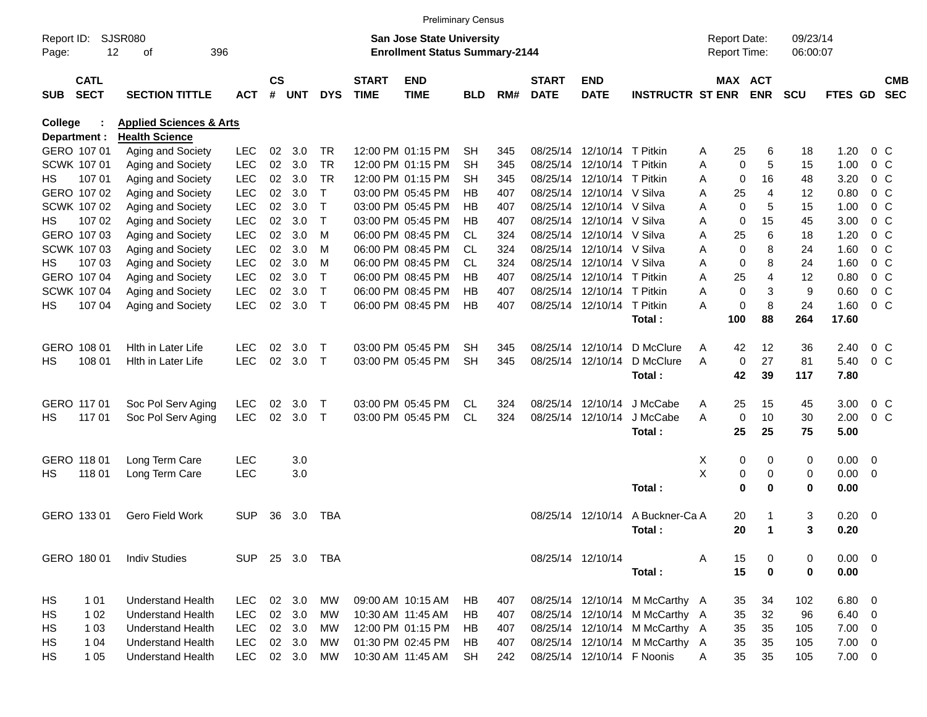|              |                            |                                    |                |                    |            |              |                             |                                       | <b>Preliminary Census</b> |     |                             |                            |                                |   |                     |                              |            |               |                |                          |
|--------------|----------------------------|------------------------------------|----------------|--------------------|------------|--------------|-----------------------------|---------------------------------------|---------------------------|-----|-----------------------------|----------------------------|--------------------------------|---|---------------------|------------------------------|------------|---------------|----------------|--------------------------|
| Report ID:   |                            | <b>SJSR080</b>                     |                |                    |            |              |                             | San Jose State University             |                           |     |                             |                            |                                |   | <b>Report Date:</b> |                              | 09/23/14   |               |                |                          |
| Page:        |                            | 12<br>396<br>οf                    |                |                    |            |              |                             | <b>Enrollment Status Summary-2144</b> |                           |     |                             |                            |                                |   |                     | Report Time:                 | 06:00:07   |               |                |                          |
| <b>SUB</b>   | <b>CATL</b><br><b>SECT</b> | <b>SECTION TITTLE</b>              | <b>ACT</b>     | $\mathsf{cs}$<br># | <b>UNT</b> | <b>DYS</b>   | <b>START</b><br><b>TIME</b> | <b>END</b><br><b>TIME</b>             | <b>BLD</b>                | RM# | <b>START</b><br><b>DATE</b> | <b>END</b><br><b>DATE</b>  | <b>INSTRUCTR ST ENR</b>        |   |                     | <b>MAX ACT</b><br><b>ENR</b> | <b>SCU</b> | FTES GD       |                | <b>CMB</b><br><b>SEC</b> |
| College      |                            | <b>Applied Sciences &amp; Arts</b> |                |                    |            |              |                             |                                       |                           |     |                             |                            |                                |   |                     |                              |            |               |                |                          |
| Department : |                            | <b>Health Science</b>              |                |                    |            |              |                             |                                       |                           |     |                             |                            |                                |   |                     |                              |            |               |                |                          |
|              | GERO 107 01                | Aging and Society                  | <b>LEC</b>     | 02                 | 3.0        | TR           |                             | 12:00 PM 01:15 PM                     | SН                        | 345 |                             | 08/25/14 12/10/14 T Pitkin |                                | Α | 25                  | 6                            | 18         | 1.20          |                | 0 <sup>o</sup>           |
|              | SCWK 107 01                | Aging and Society                  | <b>LEC</b>     | 02                 | 3.0        | <b>TR</b>    |                             | 12:00 PM 01:15 PM                     | SН                        | 345 |                             | 08/25/14 12/10/14 T Pitkin |                                | A | $\Omega$            | 5                            | 15         | 1.00          |                | $0\,$ C                  |
| HS.          | 107 01                     | Aging and Society                  | <b>LEC</b>     | 02                 | 3.0        | <b>TR</b>    |                             | 12:00 PM 01:15 PM                     | SН                        | 345 |                             | 08/25/14 12/10/14 T Pitkin |                                | A | $\mathbf 0$         | 16                           | 48         | 3.20          |                | $0\,$ C                  |
|              | GERO 107 02                | Aging and Society                  | <b>LEC</b>     | 02                 | 3.0        | Τ            |                             | 03:00 PM 05:45 PM                     | HВ                        | 407 |                             | 08/25/14 12/10/14 V Silva  |                                | Α | 25                  | 4                            | 12         | 0.80          |                | $0\,$ C                  |
|              | <b>SCWK 107 02</b>         | Aging and Society                  | <b>LEC</b>     | 02                 | 3.0        | T            |                             | 03:00 PM 05:45 PM                     | HВ                        | 407 |                             | 08/25/14 12/10/14 V Silva  |                                | A | $\mathbf 0$         | 5                            | 15         | 1.00          | 0 <sup>o</sup> |                          |
| HS.          | 107 02                     | Aging and Society                  | <b>LEC</b>     | 02                 | 3.0        | T            |                             | 03:00 PM 05:45 PM                     | HВ                        | 407 |                             | 08/25/14 12/10/14 V Silva  |                                | A | $\mathbf 0$         | 15                           | 45         | 3.00          |                | 0 <sup>o</sup>           |
|              | GERO 107 03                | Aging and Society                  | <b>LEC</b>     | 02                 | 3.0        | M            |                             | 06:00 PM 08:45 PM                     | CL.                       | 324 |                             | 08/25/14 12/10/14 V Silva  |                                | A | 25                  | 6                            | 18         | 1.20          |                | $0\,$ C                  |
|              | <b>SCWK 10703</b>          | Aging and Society                  | <b>LEC</b>     | 02                 | 3.0        | M            |                             | 06:00 PM 08:45 PM                     | CL                        | 324 |                             | 08/25/14 12/10/14 V Silva  |                                | A | $\mathbf 0$         | 8                            | 24         | 1.60          | 0 <sup>o</sup> |                          |
| HS.          | 107 03                     | Aging and Society                  | <b>LEC</b>     | 02                 | 3.0        | M            |                             | 06:00 PM 08:45 PM                     | CL.                       | 324 |                             | 08/25/14 12/10/14 V Silva  |                                | Α | $\mathbf 0$         | 8                            | 24         | 1.60          | $0\,C$         |                          |
|              | GERO 107 04                | Aging and Society                  | <b>LEC</b>     | 02                 | 3.0        | Τ            |                             | 06:00 PM 08:45 PM                     | HВ                        | 407 |                             | 08/25/14 12/10/14 T Pitkin |                                | A | 25                  | 4                            | 12         | 0.80          | 0 <sup>o</sup> |                          |
|              | SCWK 107 04                | Aging and Society                  | <b>LEC</b>     | 02                 | 3.0        | $\mathsf{T}$ |                             | 06:00 PM 08:45 PM                     | HВ                        | 407 |                             | 08/25/14 12/10/14 T Pitkin |                                | A | $\mathbf 0$         | 3                            | 9          | 0.60          |                | 0 <sup>o</sup>           |
| HS           | 107 04                     | Aging and Society                  | <b>LEC</b>     | 02                 | 3.0        | $\mathsf{T}$ |                             | 06:00 PM 08:45 PM                     | HB                        | 407 |                             | 08/25/14 12/10/14 T Pitkin |                                | Α | $\mathbf 0$         | 8                            | 24         | 1.60          | $0\,C$         |                          |
|              |                            |                                    |                |                    |            |              |                             |                                       |                           |     |                             |                            | Total:                         |   | 100                 | 88                           | 264        | 17.60         |                |                          |
| GERO 108 01  |                            | <b>Hith in Later Life</b>          | <b>LEC</b>     | 02                 | 3.0        | Т            |                             | 03:00 PM 05:45 PM                     | SН                        | 345 |                             | 08/25/14 12/10/14          | D McClure                      | Α | 42                  | 12                           | 36         | 2.40          | $0\,C$         |                          |
| HS           | 108 01                     | Hith in Later Life                 | <b>LEC</b>     | 02                 | 3.0        | $\mathsf{T}$ |                             | 03:00 PM 05:45 PM                     | <b>SH</b>                 | 345 |                             | 08/25/14 12/10/14          | D McClure                      | A | $\mathbf 0$         | 27                           | 81         | 5.40          | 0 <sup>o</sup> |                          |
|              |                            |                                    |                |                    |            |              |                             |                                       |                           |     |                             |                            | Total:                         |   | 42                  | 39                           | 117        | 7.80          |                |                          |
|              | GERO 117 01                | Soc Pol Serv Aging                 | <b>LEC</b>     | 02                 | 3.0        | $\mathsf{T}$ |                             | 03:00 PM 05:45 PM                     | CL                        | 324 |                             | 08/25/14 12/10/14          | J McCabe                       | Α | 25                  | 15                           | 45         | 3.00          | $0\,C$         |                          |
| HS.          | 117 01                     | Soc Pol Serv Aging                 | <b>LEC</b>     | 02                 | 3.0        | $\top$       |                             | 03:00 PM 05:45 PM                     | <b>CL</b>                 | 324 |                             | 08/25/14 12/10/14          | J McCabe                       | A | 0                   | 10                           | 30         | 2.00          | 0 <sup>o</sup> |                          |
|              |                            |                                    |                |                    |            |              |                             |                                       |                           |     |                             |                            | Total:                         |   | 25                  | 25                           | 75         | 5.00          |                |                          |
|              | GERO 118 01                | Long Term Care                     | <b>LEC</b>     |                    | 3.0        |              |                             |                                       |                           |     |                             |                            |                                | X | 0                   | 0                            | 0          | $0.00 \t 0$   |                |                          |
| HS.          | 118 01                     | Long Term Care                     | LEC            |                    | 3.0        |              |                             |                                       |                           |     |                             |                            |                                | X | 0                   | 0                            | 0          | $0.00 \t 0$   |                |                          |
|              |                            |                                    |                |                    |            |              |                             |                                       |                           |     |                             |                            | Total:                         |   | $\bf{0}$            | 0                            | 0          | 0.00          |                |                          |
|              | GERO 133 01                | Gero Field Work                    | <b>SUP</b>     | 36                 | 3.0        | TBA          |                             |                                       |                           |     |                             | 08/25/14 12/10/14          | A Buckner-Ca A                 |   | 20                  |                              | 3          | $0.20 \ 0$    |                |                          |
|              |                            |                                    |                |                    |            |              |                             |                                       |                           |     |                             |                            | Total:                         |   | 20                  | 1                            | 3          | 0.20          |                |                          |
|              |                            |                                    |                |                    |            |              |                             |                                       |                           |     |                             |                            |                                |   |                     |                              |            |               |                |                          |
|              | GERO 180 01                | <b>Indiv Studies</b>               | SUP 25 3.0 TBA |                    |            |              |                             |                                       |                           |     |                             | 08/25/14 12/10/14          |                                | Α | 15                  | 0                            | 0          | $0.00 \t 0$   |                |                          |
|              |                            |                                    |                |                    |            |              |                             |                                       |                           |     |                             |                            | Total:                         |   | 15                  | $\bf{0}$                     | 0          | 0.00          |                |                          |
| HS           | 1 0 1                      | <b>Understand Health</b>           | LEC.           |                    | 02 3.0     | МW           |                             | 09:00 AM 10:15 AM                     | HB.                       | 407 |                             |                            | 08/25/14 12/10/14 M McCarthy A |   | 35                  | 34                           | 102        | 6.80 0        |                |                          |
| HS           | 1 0 2                      | <b>Understand Health</b>           | <b>LEC</b>     |                    | 02 3.0     | МW           |                             | 10:30 AM 11:45 AM                     | HB                        | 407 |                             |                            | 08/25/14 12/10/14 M McCarthy A |   | 35                  | 32                           | 96         | $6.40\quad 0$ |                |                          |
| HS           | 1 0 3                      | <b>Understand Health</b>           | <b>LEC</b>     |                    | 02 3.0     | МW           |                             | 12:00 PM 01:15 PM                     | HB                        | 407 |                             |                            | 08/25/14 12/10/14 M McCarthy A |   | 35                  | 35                           | 105        | $7.00 \t 0$   |                |                          |
| HS           | 1 04                       | <b>Understand Health</b>           | <b>LEC</b>     |                    | 02 3.0     | MW           |                             | 01:30 PM 02:45 PM                     | HB                        | 407 |                             |                            | 08/25/14 12/10/14 M McCarthy A |   | 35                  | 35                           | 105        | $7.00 \t 0$   |                |                          |
| HS           | 1 0 5                      | <b>Understand Health</b>           | <b>LEC</b>     |                    | 02 3.0     | МW           |                             | 10:30 AM 11:45 AM                     | <b>SH</b>                 | 242 |                             | 08/25/14 12/10/14 F Noonis |                                | A | 35                  | 35                           | 105        | $7.00 \t 0$   |                |                          |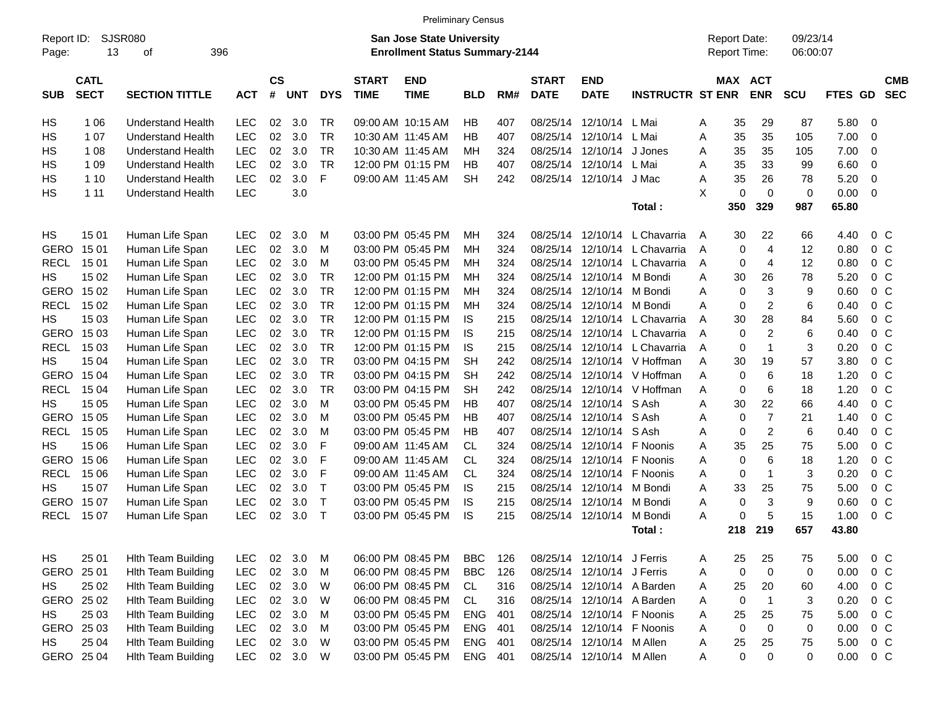|                     |                            |                             |            |                    |            |              |                             | <b>Preliminary Census</b>                                                 |            |     |                             |                            |                         |   |                                     |                |                      |         |                |                          |
|---------------------|----------------------------|-----------------------------|------------|--------------------|------------|--------------|-----------------------------|---------------------------------------------------------------------------|------------|-----|-----------------------------|----------------------------|-------------------------|---|-------------------------------------|----------------|----------------------|---------|----------------|--------------------------|
| Report ID:<br>Page: | 13                         | <b>SJSR080</b><br>396<br>οf |            |                    |            |              |                             | <b>San Jose State University</b><br><b>Enrollment Status Summary-2144</b> |            |     |                             |                            |                         |   | <b>Report Date:</b><br>Report Time: |                | 09/23/14<br>06:00:07 |         |                |                          |
| <b>SUB</b>          | <b>CATL</b><br><b>SECT</b> | <b>SECTION TITTLE</b>       | <b>ACT</b> | $\mathsf{cs}$<br># | <b>UNT</b> | <b>DYS</b>   | <b>START</b><br><b>TIME</b> | <b>END</b><br><b>TIME</b>                                                 | <b>BLD</b> | RM# | <b>START</b><br><b>DATE</b> | <b>END</b><br><b>DATE</b>  | <b>INSTRUCTR ST ENR</b> |   | <b>MAX ACT</b>                      | <b>ENR</b>     | <b>SCU</b>           | FTES GD |                | <b>CMB</b><br><b>SEC</b> |
| НS                  | 1 0 6                      | <b>Understand Health</b>    | <b>LEC</b> | 02                 | 3.0        | TR           |                             | 09:00 AM 10:15 AM                                                         | ΗB         | 407 | 08/25/14                    | 12/10/14                   | L Mai                   | A | 35                                  | 29             | 87                   | 5.80    | 0              |                          |
| НS                  | 1 0 7                      | <b>Understand Health</b>    | <b>LEC</b> | 02                 | 3.0        | <b>TR</b>    |                             | 10:30 AM 11:45 AM                                                         | ΗB         | 407 | 08/25/14                    | 12/10/14                   | L Mai                   | Α | 35                                  | 35             | 105                  | 7.00    | 0              |                          |
| НS                  | 1 0 8                      | <b>Understand Health</b>    | <b>LEC</b> | 02                 | 3.0        | <b>TR</b>    |                             | 10:30 AM 11:45 AM                                                         | MН         | 324 | 08/25/14                    | 12/10/14                   | J Jones                 | A | 35                                  | 35             | 105                  | 7.00    | 0              |                          |
| НS                  | 1 0 9                      | <b>Understand Health</b>    | <b>LEC</b> | 02                 | 3.0        | <b>TR</b>    |                             | 12:00 PM 01:15 PM                                                         | ΗB         | 407 | 08/25/14                    | 12/10/14                   | L Mai                   | Α | 35                                  | 33             | 99                   | 6.60    | 0              |                          |
| НS                  | 1 10                       | <b>Understand Health</b>    | <b>LEC</b> | 02                 | 3.0        | F            |                             | 09:00 AM 11:45 AM                                                         | <b>SH</b>  | 242 |                             | 08/25/14 12/10/14          | J Mac                   | Α | 35                                  | 26             | 78                   | 5.20    | 0              |                          |
| НS                  | 1 1 1                      | <b>Understand Health</b>    | <b>LEC</b> |                    | 3.0        |              |                             |                                                                           |            |     |                             |                            |                         | X | 0                                   | $\mathbf 0$    | 0                    | 0.00    | 0              |                          |
|                     |                            |                             |            |                    |            |              |                             |                                                                           |            |     |                             |                            | Total:                  |   | 350                                 | 329            | 987                  | 65.80   |                |                          |
| HS                  | 15 01                      | Human Life Span             | <b>LEC</b> | 02                 | 3.0        | M            |                             | 03:00 PM 05:45 PM                                                         | MН         | 324 | 08/25/14                    | 12/10/14                   | L Chavarria             | A | 30                                  | 22             | 66                   | 4.40    | $0\,C$         |                          |
| <b>GERO</b>         | 15 01                      | Human Life Span             | <b>LEC</b> | 02                 | 3.0        | M            |                             | 03:00 PM 05:45 PM                                                         | MН         | 324 | 08/25/14                    | 12/10/14                   | L Chavarria             | A | 0                                   | $\overline{4}$ | 12                   | 0.80    | 0 <sup>o</sup> |                          |
| <b>RECL</b>         | 15 01                      | Human Life Span             | <b>LEC</b> | 02                 | 3.0        | м            |                             | 03:00 PM 05:45 PM                                                         | MН         | 324 | 08/25/14                    | 12/10/14                   | L Chavarria             | A | 0                                   | 4              | 12                   | 0.80    | 0 <sup>o</sup> |                          |
| HS                  | 15 02                      | Human Life Span             | <b>LEC</b> | 02                 | 3.0        | <b>TR</b>    |                             | 12:00 PM 01:15 PM                                                         | MН         | 324 | 08/25/14                    | 12/10/14                   | M Bondi                 | A | 30                                  | 26             | 78                   | 5.20    | 0 <sup>o</sup> |                          |
| GERO                | 15 02                      | Human Life Span             | <b>LEC</b> | 02                 | 3.0        | <b>TR</b>    |                             | 12:00 PM 01:15 PM                                                         | MН         | 324 | 08/25/14                    | 12/10/14 M Bondi           |                         | Α | 0                                   | 3              | 9                    | 0.60    | 0 <sup>o</sup> |                          |
| <b>RECL</b>         | 15 02                      | Human Life Span             | <b>LEC</b> | 02                 | 3.0        | <b>TR</b>    |                             | 12:00 PM 01:15 PM                                                         | мн         | 324 | 08/25/14                    | 12/10/14 M Bondi           |                         | A | 0                                   | 2              | 6                    | 0.40    | 0 <sup>o</sup> |                          |
| HS                  | 15 03                      | Human Life Span             | <b>LEC</b> | 02                 | 3.0        | <b>TR</b>    |                             | 12:00 PM 01:15 PM                                                         | IS         | 215 | 08/25/14                    |                            | 12/10/14 L Chavarria    | A | 30                                  | 28             | 84                   | 5.60    | 0 <sup>o</sup> |                          |
| GERO                | 15 03                      | Human Life Span             | <b>LEC</b> | 02                 | 3.0        | <b>TR</b>    |                             | 12:00 PM 01:15 PM                                                         | IS         | 215 | 08/25/14                    |                            | 12/10/14 L Chavarria    | A | 0                                   | $\overline{c}$ | 6                    | 0.40    | 0 <sup>o</sup> |                          |
| <b>RECL</b>         | 15 03                      | Human Life Span             | <b>LEC</b> | 02                 | 3.0        | <b>TR</b>    |                             | 12:00 PM 01:15 PM                                                         | IS         | 215 | 08/25/14                    |                            | 12/10/14 L Chavarria    | A | 0                                   | $\overline{1}$ | 3                    | 0.20    | 0 <sup>o</sup> |                          |
| HS                  | 15 04                      | Human Life Span             | <b>LEC</b> | 02                 | 3.0        | <b>TR</b>    |                             | 03:00 PM 04:15 PM                                                         | <b>SH</b>  | 242 | 08/25/14                    |                            | 12/10/14 V Hoffman      | A | 30                                  | 19             | 57                   | 3.80    | 0 <sup>o</sup> |                          |
| GERO                | 15 04                      | Human Life Span             | <b>LEC</b> | 02                 | 3.0        | <b>TR</b>    |                             | 03:00 PM 04:15 PM                                                         | <b>SH</b>  | 242 | 08/25/14                    |                            | 12/10/14 V Hoffman      | A | 0                                   | 6              | 18                   | 1.20    | 0 <sup>o</sup> |                          |
| <b>RECL</b>         | 15 04                      | Human Life Span             | <b>LEC</b> | 02                 | 3.0        | <b>TR</b>    |                             | 03:00 PM 04:15 PM                                                         | <b>SH</b>  | 242 | 08/25/14                    |                            | 12/10/14 V Hoffman      | A | 0                                   | 6              | 18                   | 1.20    | 0 <sup>o</sup> |                          |
| HS                  | 15 05                      | Human Life Span             | <b>LEC</b> | 02                 | 3.0        | м            |                             | 03:00 PM 05:45 PM                                                         | НB         | 407 | 08/25/14                    | 12/10/14 S Ash             |                         | A | 30                                  | 22             | 66                   | 4.40    | 0 <sup>o</sup> |                          |
| GERO                | 15 05                      | Human Life Span             | <b>LEC</b> | 02                 | 3.0        | м            |                             | 03:00 PM 05:45 PM                                                         | НB         | 407 | 08/25/14                    | 12/10/14                   | S Ash                   | A | 0                                   | $\overline{7}$ | 21                   | 1.40    | 0 <sup>o</sup> |                          |
| <b>RECL</b>         | 15 05                      | Human Life Span             | <b>LEC</b> | 02                 | 3.0        | м            |                             | 03:00 PM 05:45 PM                                                         | НB         | 407 | 08/25/14                    | 12/10/14 S Ash             |                         | A | 0                                   | $\overline{c}$ | 6                    | 0.40    | 0 <sup>o</sup> |                          |
| HS                  | 15 06                      | Human Life Span             | <b>LEC</b> | 02                 | 3.0        | F            | 09:00 AM 11:45 AM           |                                                                           | <b>CL</b>  | 324 | 08/25/14                    | 12/10/14                   | F Noonis                | A | 35                                  | 25             | 75                   | 5.00    | 0 <sup>o</sup> |                          |
| GERO                | 15 06                      | Human Life Span             | <b>LEC</b> | 02                 | 3.0        | F            | 09:00 AM 11:45 AM           |                                                                           | <b>CL</b>  | 324 | 08/25/14                    | 12/10/14                   | <b>F</b> Noonis         | A | 0                                   | 6              | 18                   | 1.20    | 0 <sup>o</sup> |                          |
| <b>RECL</b>         | 15 06                      | Human Life Span             | <b>LEC</b> | 02                 | 3.0        | F            | 09:00 AM 11:45 AM           |                                                                           | CL         | 324 | 08/25/14                    | 12/10/14                   | F Noonis                | A | 0                                   | $\mathbf 1$    | 3                    | 0.20    | 0 <sup>o</sup> |                          |
| HS                  | 15 07                      | Human Life Span             | <b>LEC</b> | 02                 | 3.0        | Т            |                             | 03:00 PM 05:45 PM                                                         | IS         | 215 | 08/25/14                    | 12/10/14                   | M Bondi                 | Α | 33                                  | 25             | 75                   | 5.00    | 0 <sup>o</sup> |                          |
| GERO 1507           |                            | Human Life Span             | <b>LEC</b> | 02                 | 3.0        | $\mathsf{T}$ |                             | 03:00 PM 05:45 PM                                                         | IS         | 215 | 08/25/14                    | 12/10/14                   | M Bondi                 | Α | 0                                   | 3              | 9                    | 0.60    | 0 <sup>o</sup> |                          |
| RECL                | 15 07                      | Human Life Span             | <b>LEC</b> | 02                 | 3.0        | $\mathsf{T}$ |                             | 03:00 PM 05:45 PM                                                         | IS         | 215 |                             | 08/25/14 12/10/14          | M Bondi                 | A | 0                                   | 5              | 15                   | 1.00    | 0 <sup>o</sup> |                          |
|                     |                            |                             |            |                    |            |              |                             |                                                                           |            |     |                             |                            | <b>Total :</b>          |   | 218                                 | 219            | 657                  | 43.80   |                |                          |
| HS                  | 25 01                      | <b>Hith Team Building</b>   | <b>LEC</b> | 02                 | 3.0        | M            |                             | 06:00 PM 08:45 PM                                                         | BBC        | 126 |                             | 08/25/14 12/10/14 J Ferris |                         | A | 25                                  | 25             | 75                   | 5.00    | 0 <sup>o</sup> |                          |
| GERO 25 01          |                            | Hith Team Building          | <b>LEC</b> | $02\,$             | 3.0        | M            |                             | 06:00 PM 08:45 PM                                                         | <b>BBC</b> | 126 |                             | 08/25/14 12/10/14 J Ferris |                         | A | 0                                   | $\overline{0}$ | 0                    | 0.00    | 0 <sup>o</sup> |                          |
| HS                  | 25 02                      | Hith Team Building          | <b>LEC</b> | 02 <sub>o</sub>    | 3.0        | W            |                             | 06:00 PM 08:45 PM                                                         | CL         | 316 |                             | 08/25/14 12/10/14 A Barden |                         | A | 25                                  | 20             | 60                   | 4.00    | 0 <sup>o</sup> |                          |
| GERO 25 02          |                            | Hith Team Building          | <b>LEC</b> | 02 <sub>o</sub>    | 3.0        | W            |                             | 06:00 PM 08:45 PM                                                         | CL.        | 316 |                             | 08/25/14 12/10/14 A Barden |                         | A | $\mathbf 0$                         | $\overline{1}$ | 3                    | 0.20    | 0 <sup>o</sup> |                          |
| HS                  | 25 03                      | Hith Team Building          | <b>LEC</b> | 02 <sub>o</sub>    | 3.0        | M            |                             | 03:00 PM 05:45 PM                                                         | <b>ENG</b> | 401 |                             | 08/25/14 12/10/14 F Noonis |                         | A | 25                                  | 25             | 75                   | 5.00    | 0 <sup>o</sup> |                          |
| GERO 25 03          |                            | <b>Hith Team Building</b>   | <b>LEC</b> | 02                 | 3.0        | М            |                             | 03:00 PM 05:45 PM                                                         | <b>ENG</b> | 401 |                             | 08/25/14 12/10/14 F Noonis |                         | A | 0                                   | $\mathbf 0$    | $\pmb{0}$            | 0.00    | $0\,C$         |                          |
| HS                  | 25 04                      | <b>Hith Team Building</b>   | LEC        | 02                 | 3.0        | W            |                             | 03:00 PM 05:45 PM                                                         | <b>ENG</b> | 401 |                             | 08/25/14 12/10/14 M Allen  |                         | A | 25                                  | 25             | 75                   | 5.00    | $0\,C$         |                          |
| GERO 25 04          |                            | Hith Team Building          | <b>LEC</b> |                    | 02 3.0 W   |              |                             | 03:00 PM 05:45 PM                                                         | ENG 401    |     |                             | 08/25/14 12/10/14 M Allen  |                         | A | 0                                   | 0              | 0                    | 0.00    | $0\,C$         |                          |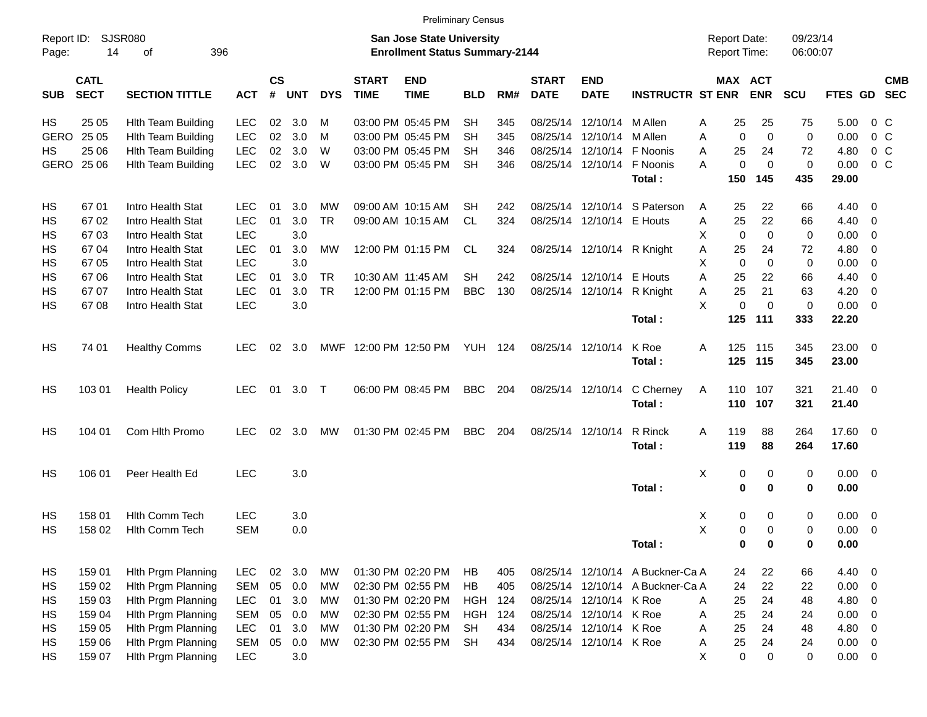|             |                                          |                           |            |                |            |            |                             | <b>Preliminary Census</b>                                                 |                |     |                             |                            |                                  |                                     |             |                      |             |                         |            |
|-------------|------------------------------------------|---------------------------|------------|----------------|------------|------------|-----------------------------|---------------------------------------------------------------------------|----------------|-----|-----------------------------|----------------------------|----------------------------------|-------------------------------------|-------------|----------------------|-------------|-------------------------|------------|
| Page:       | Report ID:<br>SJSR080<br>396<br>14<br>οf |                           |            |                |            |            |                             | <b>San Jose State University</b><br><b>Enrollment Status Summary-2144</b> |                |     |                             |                            |                                  | <b>Report Date:</b><br>Report Time: |             | 09/23/14<br>06:00:07 |             |                         |            |
| <b>SUB</b>  | <b>CATL</b><br><b>SECT</b>               | <b>SECTION TITTLE</b>     | <b>ACT</b> | <b>CS</b><br># | <b>UNT</b> | <b>DYS</b> | <b>START</b><br><b>TIME</b> | <b>END</b><br><b>TIME</b>                                                 | <b>BLD</b>     | RM# | <b>START</b><br><b>DATE</b> | <b>END</b><br><b>DATE</b>  | <b>INSTRUCTR ST ENR</b>          | MAX ACT                             | <b>ENR</b>  | <b>SCU</b>           | FTES GD SEC |                         | <b>CMB</b> |
| HS          | 25 05                                    | <b>Hith Team Building</b> | <b>LEC</b> | 02             | 3.0        | м          |                             | 03:00 PM 05:45 PM                                                         | <b>SH</b>      | 345 |                             | 08/25/14 12/10/14          | M Allen                          | 25<br>Α                             | 25          | 75                   | 5.00        | 0 <sup>o</sup>          |            |
| <b>GERO</b> | 25 05                                    | <b>Hith Team Building</b> | <b>LEC</b> | 02             | 3.0        | M          |                             | 03:00 PM 05:45 PM                                                         | SН             | 345 |                             | 08/25/14 12/10/14          | M Allen                          | $\Omega$<br>Α                       | $\Omega$    | $\mathbf 0$          | 0.00        | 0 <sup>o</sup>          |            |
| НS          | 25 06                                    | <b>Hith Team Building</b> | <b>LEC</b> | 02             | 3.0        | W          |                             | 03:00 PM 05:45 PM                                                         | <b>SH</b>      | 346 |                             | 08/25/14 12/10/14          | F Noonis                         | 25<br>Α                             | 24          | 72                   | 4.80        | 0 <sup>o</sup>          |            |
| GERO 25 06  |                                          | <b>Hith Team Building</b> | LEC        | 02             | 3.0        | W          |                             | 03:00 PM 05:45 PM                                                         | <b>SH</b>      | 346 |                             | 08/25/14 12/10/14          | F Noonis                         | 0<br>A                              | $\Omega$    | 0                    | 0.00        | 0 <sup>o</sup>          |            |
|             |                                          |                           |            |                |            |            |                             |                                                                           |                |     |                             |                            | Total:                           | 150                                 | 145         | 435                  | 29.00       |                         |            |
| HS          | 67 01                                    | Intro Health Stat         | <b>LEC</b> | 01             | 3.0        | мw         |                             | 09:00 AM 10:15 AM                                                         | SН             | 242 |                             |                            | 08/25/14 12/10/14 S Paterson     | 25<br>A                             | 22          | 66                   | 4.40        | 0                       |            |
| HS          | 67 02                                    | Intro Health Stat         | <b>LEC</b> | 01             | 3.0        | <b>TR</b>  |                             | 09:00 AM 10:15 AM                                                         | <b>CL</b>      | 324 |                             | 08/25/14 12/10/14 E Houts  |                                  | 25<br>A                             | 22          | 66                   | 4.40        | 0                       |            |
| HS          | 6703                                     | Intro Health Stat         | <b>LEC</b> |                | 3.0        |            |                             |                                                                           |                |     |                             |                            |                                  | $\mathbf 0$<br>Х                    | $\mathbf 0$ | 0                    | 0.00        | 0                       |            |
| HS          | 67 04                                    | Intro Health Stat         | <b>LEC</b> | 01             | 3.0        | <b>MW</b>  |                             | 12:00 PM 01:15 PM                                                         | CL.            | 324 |                             | 08/25/14 12/10/14 R Knight |                                  | 25<br>Α                             | 24          | 72                   | 4.80        | 0                       |            |
| HS          | 67 05                                    | Intro Health Stat         | <b>LEC</b> |                | 3.0        |            |                             |                                                                           |                |     |                             |                            |                                  | $\Omega$<br>Х                       | $\Omega$    | $\mathbf 0$          | 0.00        | 0                       |            |
| HS          | 67 06                                    | Intro Health Stat         | <b>LEC</b> | 01             | 3.0        | <b>TR</b>  |                             | 10:30 AM 11:45 AM                                                         | <b>SH</b>      | 242 |                             | 08/25/14 12/10/14 E Houts  |                                  | A<br>25                             | 22          | 66                   | 4.40        | 0                       |            |
| HS          | 67 07                                    | Intro Health Stat         | <b>LEC</b> | 01             | 3.0        | <b>TR</b>  |                             | 12:00 PM 01:15 PM                                                         | <b>BBC</b>     | 130 |                             | 08/25/14 12/10/14 R Knight |                                  | 25<br>Α                             | 21          | 63                   | 4.20        | $\mathbf 0$             |            |
| HS          | 6708                                     | Intro Health Stat         | LEC        |                | 3.0        |            |                             |                                                                           |                |     |                             |                            |                                  | X<br>0                              | $\Omega$    | $\mathbf 0$          | 0.00        | $\overline{0}$          |            |
|             |                                          |                           |            |                |            |            |                             |                                                                           |                |     |                             |                            | Total:                           | 125                                 | 111         | 333                  | 22.20       |                         |            |
| HS          | 74 01                                    | <b>Healthy Comms</b>      | <b>LEC</b> | 02             | - 3.0      | MWF        |                             | 12:00 PM 12:50 PM                                                         | <b>YUH 124</b> |     | 08/25/14 12/10/14           |                            | K Roe                            | 125<br>A                            | 115         | 345                  | 23.00 0     |                         |            |
|             |                                          |                           |            |                |            |            |                             |                                                                           |                |     |                             |                            | Total:                           | 125                                 | 115         | 345                  | 23.00       |                         |            |
| HS          | 103 01                                   | <b>Health Policy</b>      | <b>LEC</b> |                | 01 3.0     | $\top$     |                             | 06:00 PM 08:45 PM                                                         | <b>BBC</b>     | 204 |                             | 08/25/14 12/10/14          | C Cherney                        | Α                                   | 110 107     | 321                  | $21.40 \ 0$ |                         |            |
|             |                                          |                           |            |                |            |            |                             |                                                                           |                |     |                             |                            | Total:                           | 110                                 | 107         | 321                  | 21.40       |                         |            |
| HS          | 104 01                                   | Com Hlth Promo            | <b>LEC</b> | 02             | 3.0        | МW         |                             | 01:30 PM 02:45 PM                                                         | <b>BBC</b>     | 204 | 08/25/14 12/10/14           |                            | R Rinck                          | 119<br>A                            | 88          | 264                  | 17.60 0     |                         |            |
|             |                                          |                           |            |                |            |            |                             |                                                                           |                |     |                             |                            | Total:                           | 119                                 | 88          | 264                  | 17.60       |                         |            |
| HS          | 106 01                                   | Peer Health Ed            | <b>LEC</b> |                | 3.0        |            |                             |                                                                           |                |     |                             |                            |                                  | Χ<br>0                              | 0           | 0                    | $0.00 \t 0$ |                         |            |
|             |                                          |                           |            |                |            |            |                             |                                                                           |                |     |                             |                            | Total:                           | 0                                   | $\mathbf 0$ | 0                    | 0.00        |                         |            |
| HS          | 158 01                                   | <b>Hith Comm Tech</b>     | <b>LEC</b> |                | 3.0        |            |                             |                                                                           |                |     |                             |                            |                                  | 0<br>X                              | 0           | 0                    | 0.00        | $\overline{\mathbf{0}}$ |            |
| HS          | 158 02                                   | Hith Comm Tech            | <b>SEM</b> |                | 0.0        |            |                             |                                                                           |                |     |                             |                            |                                  | X<br>0                              | $\Omega$    | 0                    | 0.00        | $\overline{\mathbf{0}}$ |            |
|             |                                          |                           |            |                |            |            |                             |                                                                           |                |     |                             |                            | Total:                           | 0                                   | 0           | 0                    | 0.00        |                         |            |
| HS          | 159 01                                   | Hith Prgm Planning        | <b>LEC</b> | $02\,$         | 3.0        | MW         |                             | 01:30 PM 02:20 PM                                                         | HB             | 405 |                             |                            | 08/25/14 12/10/14 A Buckner-Ca A | 24                                  | 22          | 66                   | 4.40 0      |                         |            |
| HS          | 159 02                                   | Hith Prgm Planning        | <b>SEM</b> | 05             | 0.0        | MW         |                             | 02:30 PM 02:55 PM                                                         | HB             | 405 |                             |                            | 08/25/14 12/10/14 A Buckner-Ca A | 24                                  | 22          | 22                   | 0.00        | $\overline{\mathbf{0}}$ |            |
| HS          | 159 03                                   | Hith Prgm Planning        | <b>LEC</b> | 01             | 3.0        | МW         |                             | 01:30 PM 02:20 PM                                                         | <b>HGH</b>     | 124 |                             | 08/25/14 12/10/14 K Roe    |                                  | 25<br>A                             | 24          | 48                   | 4.80        | $\overline{0}$          |            |
| HS          | 159 04                                   | Hith Prgm Planning        | <b>SEM</b> | 05             | 0.0        | MW         |                             | 02:30 PM 02:55 PM                                                         | <b>HGH</b>     | 124 |                             | 08/25/14 12/10/14 K Roe    |                                  | 25<br>Α                             | 24          | 24                   | 0.00        | $\overline{0}$          |            |
| HS          | 159 05                                   | Hith Prgm Planning        | <b>LEC</b> | 01             | 3.0        | MW         |                             | 01:30 PM 02:20 PM                                                         | <b>SH</b>      | 434 |                             | 08/25/14 12/10/14 K Roe    |                                  | 25<br>Α                             | 24          | 48                   | 4.80        | $\mathbf 0$             |            |
| HS          | 159 06                                   | Hith Prgm Planning        | <b>SEM</b> | 05             | 0.0        | МW         |                             | 02:30 PM 02:55 PM                                                         | <b>SH</b>      | 434 |                             | 08/25/14 12/10/14 K Roe    |                                  | 25<br>Α                             | 24          | 24                   | $0.00 \t 0$ |                         |            |
| HS          | 159 07                                   | Hith Prgm Planning        | <b>LEC</b> |                | 3.0        |            |                             |                                                                           |                |     |                             |                            |                                  | X<br>$\pmb{0}$                      | 0           | 0                    | $0.00 \t 0$ |                         |            |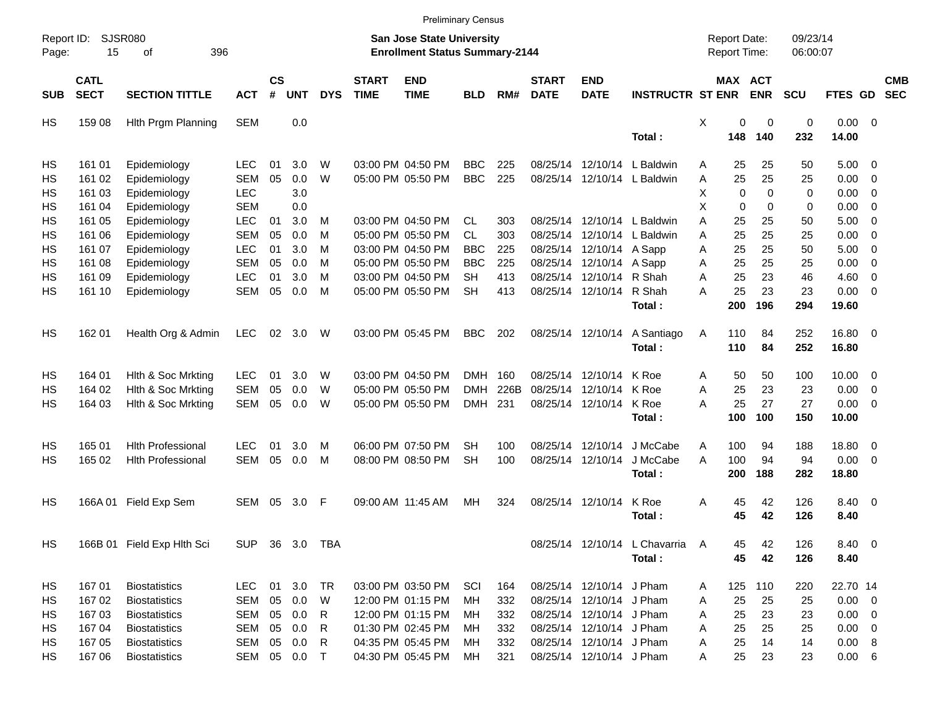|                     |                            |                             |              |                    |            |                |                             |                                                                    | <b>Preliminary Census</b> |      |                             |                           |                               |   |                                     |                       |                      |              |                          |                          |
|---------------------|----------------------------|-----------------------------|--------------|--------------------|------------|----------------|-----------------------------|--------------------------------------------------------------------|---------------------------|------|-----------------------------|---------------------------|-------------------------------|---|-------------------------------------|-----------------------|----------------------|--------------|--------------------------|--------------------------|
| Report ID:<br>Page: | 15                         | <b>SJSR080</b><br>396<br>οf |              |                    |            |                |                             | San Jose State University<br><b>Enrollment Status Summary-2144</b> |                           |      |                             |                           |                               |   | <b>Report Date:</b><br>Report Time: |                       | 09/23/14<br>06:00:07 |              |                          |                          |
| <b>SUB</b>          | <b>CATL</b><br><b>SECT</b> | <b>SECTION TITTLE</b>       | <b>ACT</b>   | $\mathsf{cs}$<br># | <b>UNT</b> | <b>DYS</b>     | <b>START</b><br><b>TIME</b> | <b>END</b><br><b>TIME</b>                                          | <b>BLD</b>                | RM#  | <b>START</b><br><b>DATE</b> | <b>END</b><br><b>DATE</b> | <b>INSTRUCTR ST ENR</b>       |   |                                     | MAX ACT<br><b>ENR</b> | <b>SCU</b>           | FTES GD      |                          | <b>CMB</b><br><b>SEC</b> |
| HS                  | 159 08                     | Hith Prgm Planning          | <b>SEM</b>   |                    | 0.0        |                |                             |                                                                    |                           |      |                             |                           |                               | X | 0                                   | $\mathbf 0$           | $\pmb{0}$            | $0.00 \t 0$  |                          |                          |
|                     |                            |                             |              |                    |            |                |                             |                                                                    |                           |      |                             |                           | Total:                        |   | 148                                 | 140                   | 232                  | 14.00        |                          |                          |
| HS                  | 161 01                     | Epidemiology                | <b>LEC</b>   | 01                 | 3.0        | W              |                             | 03:00 PM 04:50 PM                                                  | <b>BBC</b>                | 225  | 08/25/14                    | 12/10/14                  | L Baldwin                     | Α | 25                                  | 25                    | 50                   | $5.00 \t 0$  |                          |                          |
| HS                  | 161 02                     | Epidemiology                | <b>SEM</b>   | 05                 | 0.0        | W              |                             | 05:00 PM 05:50 PM                                                  | <b>BBC</b>                | 225  |                             |                           | 08/25/14 12/10/14 L Baldwin   | Α | 25                                  | 25                    | 25                   | 0.00         | $\overline{\phantom{0}}$ |                          |
| HS                  | 161 03                     | Epidemiology                | <b>LEC</b>   |                    | 3.0        |                |                             |                                                                    |                           |      |                             |                           |                               | X | $\mathbf 0$                         | $\Omega$              | 0                    | 0.00         | $\overline{\phantom{0}}$ |                          |
| HS                  | 161 04                     | Epidemiology                | <b>SEM</b>   |                    | 0.0        |                |                             |                                                                    |                           |      |                             |                           |                               | X | $\mathbf 0$                         | 0                     | 0                    | 0.00         | $\overline{\phantom{0}}$ |                          |
| HS                  | 161 05                     | Epidemiology                | <b>LEC</b>   | 01                 | 3.0        | M              |                             | 03:00 PM 04:50 PM                                                  | <b>CL</b>                 | 303  |                             | 08/25/14 12/10/14         | L Baldwin                     | A | 25                                  | 25                    | 50                   | 5.00         | $\overline{\phantom{0}}$ |                          |
| HS                  | 161 06                     | Epidemiology                | <b>SEM</b>   | 05                 | 0.0        | м              |                             | 05:00 PM 05:50 PM                                                  | CL                        | 303  | 08/25/14                    | 12/10/14                  | L Baldwin                     | Α | 25                                  | 25                    | 25                   | 0.00         | $\overline{\mathbf{0}}$  |                          |
| HS                  | 161 07                     | Epidemiology                | <b>LEC</b>   | 01                 | 3.0        | м              |                             | 03:00 PM 04:50 PM                                                  | <b>BBC</b>                | 225  | 08/25/14                    | 12/10/14                  | A Sapp                        | Α | 25                                  | 25                    | 50                   | 5.00         | $\overline{\phantom{0}}$ |                          |
| HS                  | 161 08                     | Epidemiology                | <b>SEM</b>   | 05                 | 0.0        | м              |                             | 05:00 PM 05:50 PM                                                  | <b>BBC</b>                | 225  |                             | 08/25/14 12/10/14         | A Sapp                        | A | 25                                  | 25                    | 25                   | 0.00         | $\overline{\mathbf{0}}$  |                          |
| HS                  | 161 09                     | Epidemiology                | <b>LEC</b>   | 01                 | 3.0        | м              |                             | 03:00 PM 04:50 PM                                                  | <b>SH</b>                 | 413  |                             | 08/25/14 12/10/14         | R Shah                        | A | 25                                  | 23                    | 46                   | 4.60         | $\overline{\phantom{0}}$ |                          |
| HS                  | 161 10                     | Epidemiology                | <b>SEM</b>   | 05                 | 0.0        | M              |                             | 05:00 PM 05:50 PM                                                  | <b>SH</b>                 | 413  |                             | 08/25/14 12/10/14         | R Shah                        | A | 25                                  | 23                    | 23                   | $0.00 \t 0$  |                          |                          |
|                     |                            |                             |              |                    |            |                |                             |                                                                    |                           |      |                             |                           | Total:                        |   | 200                                 | 196                   | 294                  | 19.60        |                          |                          |
| HS                  | 162 01                     | Health Org & Admin          | <b>LEC</b>   | 02                 | 3.0        | W              |                             | 03:00 PM 05:45 PM                                                  | <b>BBC</b>                | 202  |                             | 08/25/14 12/10/14         | A Santiago                    | Α | 110                                 | 84                    | 252                  | 16.80 0      |                          |                          |
|                     |                            |                             |              |                    |            |                |                             |                                                                    |                           |      |                             |                           | Total:                        |   | 110                                 | 84                    | 252                  | 16.80        |                          |                          |
| HS                  | 164 01                     | Hith & Soc Mrkting          | <b>LEC</b>   | 01                 | 3.0        | W              |                             | 03:00 PM 04:50 PM                                                  | <b>DMH</b>                | 160  |                             | 08/25/14 12/10/14         | K Roe                         | A | 50                                  | 50                    | 100                  | $10.00 \t 0$ |                          |                          |
| HS                  | 164 02                     | Hith & Soc Mrkting          | <b>SEM</b>   | 05                 | $0.0\,$    | W              |                             | 05:00 PM 05:50 PM                                                  | <b>DMH</b>                | 226B | 08/25/14                    | 12/10/14                  | K Roe                         | A | 25                                  | 23                    | 23                   | 0.00         | $\overline{\phantom{0}}$ |                          |
| HS                  | 164 03                     | Hith & Soc Mrkting          | <b>SEM</b>   | 05                 | 0.0        | W              |                             | 05:00 PM 05:50 PM                                                  | <b>DMH</b>                | 231  |                             | 08/25/14 12/10/14         | K Roe                         | A | 25                                  | 27                    | 27                   | $0.00 \t 0$  |                          |                          |
|                     |                            |                             |              |                    |            |                |                             |                                                                    |                           |      |                             |                           | Total:                        |   | 100                                 | 100                   | 150                  | 10.00        |                          |                          |
| HS                  | 165 01                     | <b>Hith Professional</b>    | <b>LEC</b>   | 01                 | 3.0        | M              |                             | 06:00 PM 07:50 PM                                                  | SН                        | 100  |                             | 08/25/14 12/10/14         | J McCabe                      | Α | 100                                 | 94                    | 188                  | 18.80 0      |                          |                          |
| HS                  | 165 02                     | <b>Hlth Professional</b>    | <b>SEM</b>   | 05                 | 0.0        | М              |                             | 08:00 PM 08:50 PM                                                  | <b>SH</b>                 | 100  |                             | 08/25/14 12/10/14         | J McCabe                      | A | 100                                 | 94                    | 94                   | $0.00 \t 0$  |                          |                          |
|                     |                            |                             |              |                    |            |                |                             |                                                                    |                           |      |                             |                           | Total:                        |   | 200                                 | 188                   | 282                  | 18.80        |                          |                          |
| HS                  | 166A 01                    | Field Exp Sem               | SEM          | 05                 | 3.0        | F              |                             | 09:00 AM 11:45 AM                                                  | MН                        | 324  |                             | 08/25/14 12/10/14         | K Roe                         | Α | 45                                  | 42                    | 126                  | 8.40 0       |                          |                          |
|                     |                            |                             |              |                    |            |                |                             |                                                                    |                           |      |                             |                           | Total:                        |   | 45                                  | 42                    | 126                  | 8.40         |                          |                          |
| HS                  |                            | 166B 01 Field Exp Hlth Sci  |              |                    |            | SUP 36 3.0 TBA |                             |                                                                    |                           |      |                             |                           | 08/25/14 12/10/14 L Chavarria | A | 45                                  | 42                    | 126                  | 8.40 0       |                          |                          |
|                     |                            |                             |              |                    |            |                |                             |                                                                    |                           |      |                             |                           | Total:                        |   | 45                                  | 42                    | 126                  | 8.40         |                          |                          |
| HS                  | 167 01                     | <b>Biostatistics</b>        | <b>LEC</b>   |                    | 01 3.0 TR  |                |                             | 03:00 PM 03:50 PM                                                  | SCI                       | 164  |                             | 08/25/14 12/10/14 J Pham  |                               | A | 125                                 | 110                   | 220                  | 22.70 14     |                          |                          |
| HS                  | 167 02                     | <b>Biostatistics</b>        | <b>SEM</b>   | 05                 | 0.0        | W              |                             | 12:00 PM 01:15 PM                                                  | МH                        | 332  |                             | 08/25/14 12/10/14 J Pham  |                               | A | 25                                  | 25                    | 25                   | $0.00 \t 0$  |                          |                          |
| HS                  | 167 03                     | <b>Biostatistics</b>        | SEM          | 05                 | 0.0        | R              |                             | 12:00 PM 01:15 PM                                                  | MН                        | 332  |                             | 08/25/14 12/10/14 J Pham  |                               | A | 25                                  | 23                    | 23                   | $0.00 \t 0$  |                          |                          |
| HS                  | 167 04                     | <b>Biostatistics</b>        | <b>SEM</b>   | 05                 | 0.0        | R              |                             | 01:30 PM 02:45 PM                                                  | МH                        | 332  |                             | 08/25/14 12/10/14 J Pham  |                               | A | 25                                  | 25                    | 25                   | $0.00 \t 0$  |                          |                          |
| HS                  | 167 05                     | <b>Biostatistics</b>        | SEM          | 05                 | 0.0        | R              |                             | 04:35 PM 05:45 PM                                                  | МH                        | 332  |                             | 08/25/14 12/10/14 J Pham  |                               | A | 25                                  | 14                    | 14                   | 0.00 8       |                          |                          |
| HS                  | 167 06                     | <b>Biostatistics</b>        | SEM 05 0.0 T |                    |            |                |                             | 04:30 PM 05:45 PM                                                  | MН                        | 321  |                             | 08/25/14 12/10/14 J Pham  |                               | A | 25                                  | 23                    | 23                   | $0.00\ 6$    |                          |                          |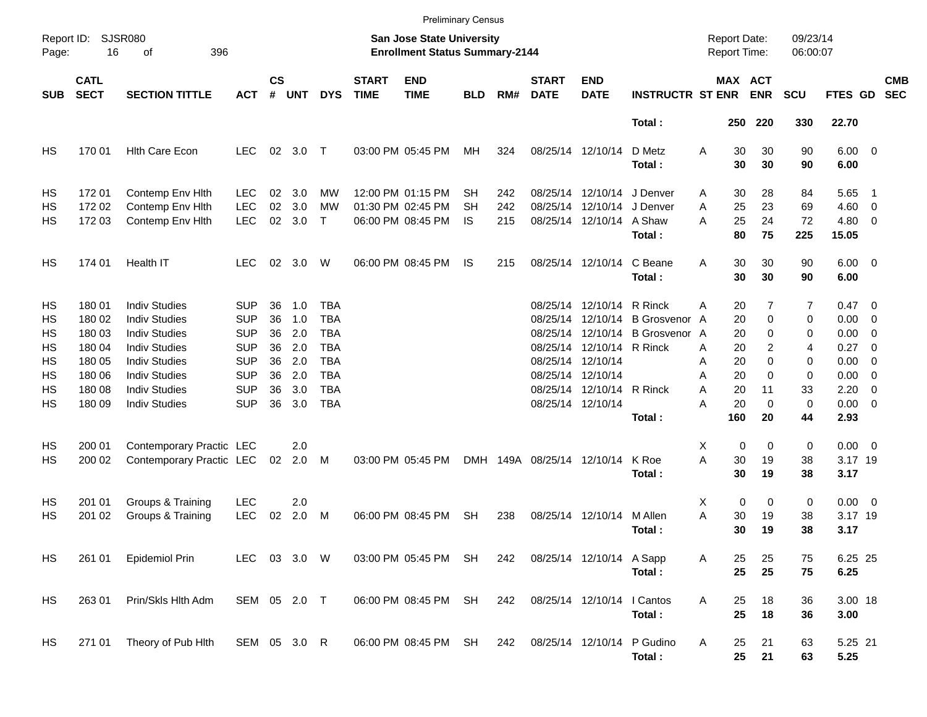|            |                            |                          |              |                    |            |            |                             | <b>Preliminary Census</b>                                          |            |     |                             |                           |                         |                     |                       |                      |                        |                          |                          |
|------------|----------------------------|--------------------------|--------------|--------------------|------------|------------|-----------------------------|--------------------------------------------------------------------|------------|-----|-----------------------------|---------------------------|-------------------------|---------------------|-----------------------|----------------------|------------------------|--------------------------|--------------------------|
| Page:      | Report ID: SJSR080<br>16   | 396<br>οf                |              |                    |            |            |                             | San Jose State University<br><b>Enrollment Status Summary-2144</b> |            |     |                             |                           |                         | <b>Report Date:</b> | Report Time:          | 09/23/14<br>06:00:07 |                        |                          |                          |
| <b>SUB</b> | <b>CATL</b><br><b>SECT</b> | <b>SECTION TITTLE</b>    | <b>ACT</b>   | $\mathsf{cs}$<br># | <b>UNT</b> | <b>DYS</b> | <b>START</b><br><b>TIME</b> | <b>END</b><br><b>TIME</b>                                          | <b>BLD</b> | RM# | <b>START</b><br><b>DATE</b> | <b>END</b><br><b>DATE</b> | <b>INSTRUCTR ST ENR</b> |                     | MAX ACT<br><b>ENR</b> | <b>SCU</b>           | FTES GD                |                          | <b>CMB</b><br><b>SEC</b> |
|            |                            |                          |              |                    |            |            |                             |                                                                    |            |     |                             |                           | Total:                  |                     | 220<br>250            | 330                  | 22.70                  |                          |                          |
| HS         | 170 01                     | <b>Hith Care Econ</b>    | <b>LEC</b>   | 02                 | $3.0$ T    |            |                             | 03:00 PM 05:45 PM                                                  | МH         | 324 | 08/25/14 12/10/14           |                           | D Metz<br>Total:        | Α                   | 30<br>30<br>30<br>30  | 90<br>90             | $6.00 \quad 0$<br>6.00 |                          |                          |
| HS         | 17201                      | Contemp Env Hith         | <b>LEC</b>   | 02                 | 3.0        | MW         |                             | 12:00 PM 01:15 PM                                                  | SН         | 242 |                             | 08/25/14 12/10/14         | J Denver                | A                   | 30<br>28              | 84                   | 5.65                   | $\overline{\phantom{1}}$ |                          |
| HS         | 172 02                     | Contemp Env Hith         | <b>LEC</b>   | 02                 | 3.0        | <b>MW</b>  |                             | 01:30 PM 02:45 PM                                                  | SН         | 242 |                             | 08/25/14 12/10/14         | J Denver                | A                   | 25<br>23              | 69                   | 4.60                   | $\overline{\phantom{0}}$ |                          |
| HS         | 172 03                     | Contemp Env Hith         | <b>LEC</b>   | 02                 | 3.0        | $\top$     |                             | 06:00 PM 08:45 PM                                                  | IS         | 215 |                             | 08/25/14 12/10/14 A Shaw  | Total:                  | A                   | 25<br>24<br>80<br>75  | 72<br>225            | $4.80\ 0$<br>15.05     |                          |                          |
| HS         | 174 01                     | Health IT                | <b>LEC</b>   |                    | 02 3.0     | W          |                             | 06:00 PM 08:45 PM                                                  | IS         | 215 |                             | 08/25/14 12/10/14         | C Beane<br>Total:       | A                   | 30<br>30<br>30<br>30  | 90<br>90             | $6.00 \quad 0$<br>6.00 |                          |                          |
| HS         | 180 01                     | <b>Indiv Studies</b>     | <b>SUP</b>   | 36                 | 1.0        | <b>TBA</b> |                             |                                                                    |            |     |                             | 08/25/14 12/10/14 R Rinck |                         | A                   | 20                    | 7<br>7               | $0.47 \quad 0$         |                          |                          |
| HS         | 180 02                     | <b>Indiv Studies</b>     | <b>SUP</b>   | 36                 | 1.0        | <b>TBA</b> |                             |                                                                    |            |     | 08/25/14                    |                           | 12/10/14 B Grosvenor    | A                   | 20                    | 0<br>0               | $0.00 \t 0$            |                          |                          |
| HS         | 180 03                     | <b>Indiv Studies</b>     | <b>SUP</b>   | 36                 | 2.0        | <b>TBA</b> |                             |                                                                    |            |     | 08/25/14                    | 12/10/14                  | <b>B</b> Grosvenor A    |                     | 20                    | 0<br>0               | 0.00                   | $\overline{\phantom{0}}$ |                          |
| HS         | 180 04                     | <b>Indiv Studies</b>     | <b>SUP</b>   | 36                 | 2.0        | <b>TBA</b> |                             |                                                                    |            |     |                             | 08/25/14 12/10/14 R Rinck |                         | A                   | 20                    | 2<br>4               | 0.27                   | $\overline{\phantom{0}}$ |                          |
| HS         | 180 05                     | <b>Indiv Studies</b>     | <b>SUP</b>   | 36                 | 2.0        | <b>TBA</b> |                             |                                                                    |            |     | 08/25/14 12/10/14           |                           |                         | Α                   | 20                    | 0<br>0               | 0.00                   | $\overline{\mathbf{0}}$  |                          |
| HS         | 180 06                     | <b>Indiv Studies</b>     | <b>SUP</b>   | 36                 | 2.0        | <b>TBA</b> |                             |                                                                    |            |     | 08/25/14 12/10/14           |                           |                         | Α                   | 20                    | $\mathbf 0$<br>0     | 0.00                   | $\overline{\phantom{0}}$ |                          |
| HS         | 180 08                     | <b>Indiv Studies</b>     | <b>SUP</b>   | 36                 | 3.0        | <b>TBA</b> |                             |                                                                    |            |     |                             | 08/25/14 12/10/14 R Rinck |                         | A                   | 20<br>11              | 33                   | 2.20                   | - 0                      |                          |
| HS         | 180 09                     | <b>Indiv Studies</b>     | <b>SUP</b>   | 36                 | 3.0        | <b>TBA</b> |                             |                                                                    |            |     | 08/25/14 12/10/14           |                           |                         | Α                   | 20                    | $\mathbf 0$<br>0     | $0.00 \t 0$            |                          |                          |
|            |                            |                          |              |                    |            |            |                             |                                                                    |            |     |                             |                           | Total:                  | 160                 | 20                    | 44                   | 2.93                   |                          |                          |
| HS         | 200 01                     | Contemporary Practic LEC |              |                    | 2.0        |            |                             |                                                                    |            |     |                             |                           |                         | X                   | 0                     | 0<br>0               | $0.00 \t 0$            |                          |                          |
| HS         | 200 02                     | Contemporary Practic LEC |              | 02                 | 2.0        | M          |                             | 03:00 PM 05:45 PM                                                  |            |     | DMH 149A 08/25/14 12/10/14  |                           | K Roe                   | A                   | 30<br>19              | 38                   | 3.17 19                |                          |                          |
|            |                            |                          |              |                    |            |            |                             |                                                                    |            |     |                             |                           | Total:                  |                     | 30<br>19              | 38                   | 3.17                   |                          |                          |
| HS         | 201 01                     | Groups & Training        | <b>LEC</b>   |                    | 2.0        |            |                             |                                                                    |            |     |                             |                           |                         | X                   | 0                     | 0<br>0               | $0.00 \t 0$            |                          |                          |
| HS         | 201 02                     | Groups & Training        | <b>LEC</b>   | 02                 | 2.0        | M          |                             | 06:00 PM 08:45 PM                                                  | <b>SH</b>  | 238 |                             | 08/25/14 12/10/14         | M Allen                 | Α                   | 30<br>19              | 38                   | 3.17 19                |                          |                          |
|            |                            |                          |              |                    |            |            |                             |                                                                    |            |     |                             |                           | Total:                  |                     | 30<br>19              | 38                   | 3.17                   |                          |                          |
| HS         | 261 01                     | <b>Epidemiol Prin</b>    | LEC 03 3.0 W |                    |            |            |                             | 03:00 PM 05:45 PM SH                                               |            | 242 | 08/25/14 12/10/14 A Sapp    |                           |                         | Α                   | 25<br>25              | 75                   | 6.25 25                |                          |                          |
|            |                            |                          |              |                    |            |            |                             |                                                                    |            |     |                             |                           | Total:                  |                     | 25<br>25              | 75                   | 6.25                   |                          |                          |
| HS         | 263 01                     | Prin/Skls Hlth Adm       | SEM 05 2.0 T |                    |            |            |                             | 06:00 PM 08:45 PM SH                                               |            | 242 |                             | 08/25/14 12/10/14         | I Cantos                | Α                   | 25<br>18              | 36                   | 3.00 18                |                          |                          |
|            |                            |                          |              |                    |            |            |                             |                                                                    |            |     |                             |                           | Total:                  |                     | 25<br>18              | 36                   | 3.00                   |                          |                          |
| HS         | 271 01                     | Theory of Pub Hith       | SEM 05 3.0 R |                    |            |            |                             | 06:00 PM 08:45 PM SH                                               |            | 242 |                             | 08/25/14 12/10/14         | P Gudino                | Α                   | 21<br>25              | 63                   | 5.25 21                |                          |                          |
|            |                            |                          |              |                    |            |            |                             |                                                                    |            |     |                             |                           | Total:                  |                     | 25<br>21              | 63                   | 5.25                   |                          |                          |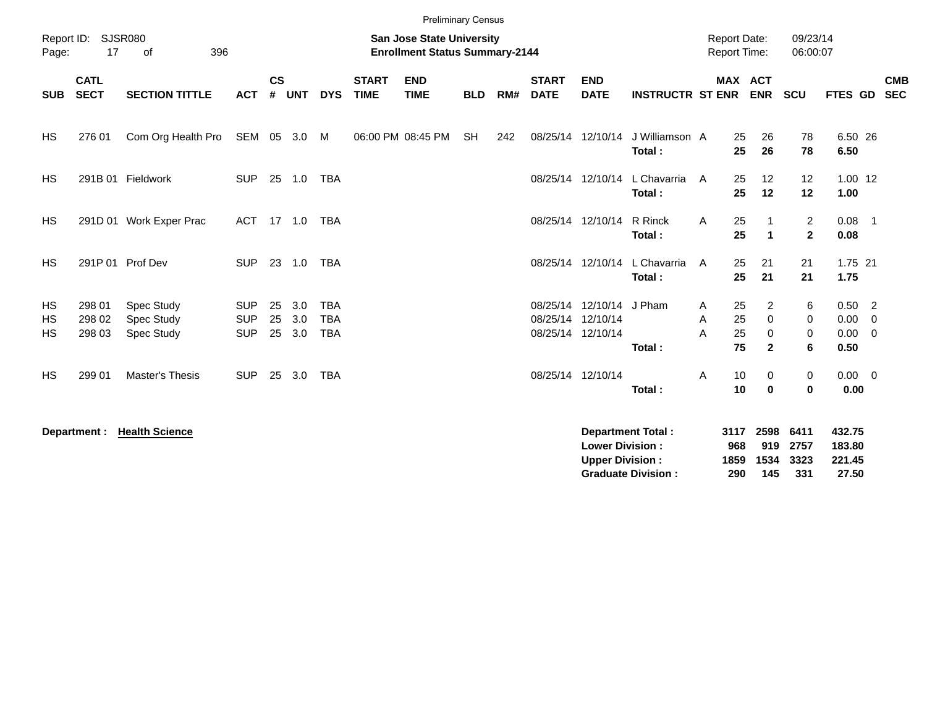|                       |                            |                                               |                                        |                    |                      |                                        |                             | <b>Preliminary Census</b>                                                 |            |     |                             |                                                                    |                          |                                     |                               |                                  |                             |                                           |
|-----------------------|----------------------------|-----------------------------------------------|----------------------------------------|--------------------|----------------------|----------------------------------------|-----------------------------|---------------------------------------------------------------------------|------------|-----|-----------------------------|--------------------------------------------------------------------|--------------------------|-------------------------------------|-------------------------------|----------------------------------|-----------------------------|-------------------------------------------|
| Report ID:<br>Page:   | 17                         | <b>SJSR080</b><br>396<br>of                   |                                        |                    |                      |                                        |                             | <b>San Jose State University</b><br><b>Enrollment Status Summary-2144</b> |            |     |                             |                                                                    |                          | <b>Report Date:</b><br>Report Time: |                               | 09/23/14<br>06:00:07             |                             |                                           |
| <b>SUB</b>            | <b>CATL</b><br><b>SECT</b> | <b>SECTION TITTLE</b>                         | <b>ACT</b>                             | $\mathsf{cs}$<br># | <b>UNT</b>           | <b>DYS</b>                             | <b>START</b><br><b>TIME</b> | <b>END</b><br><b>TIME</b>                                                 | <b>BLD</b> | RM# | <b>START</b><br><b>DATE</b> | <b>END</b><br><b>DATE</b>                                          | <b>INSTRUCTR ST ENR</b>  |                                     | <b>MAX ACT</b><br><b>ENR</b>  | <b>SCU</b>                       | FTES GD                     | <b>CMB</b><br><b>SEC</b>                  |
| HS                    | 276 01                     | Com Org Health Pro                            | SEM 05 3.0 M                           |                    |                      |                                        |                             | 06:00 PM 08:45 PM                                                         | <b>SH</b>  | 242 |                             | 08/25/14 12/10/14                                                  | J Williamson A<br>Total: | 25<br>25                            | 26<br>26                      | 78<br>78                         | 6.50 26<br>6.50             |                                           |
| <b>HS</b>             |                            | 291B 01 Fieldwork                             | <b>SUP</b>                             |                    | 25 1.0               | <b>TBA</b>                             |                             |                                                                           |            |     |                             | 08/25/14 12/10/14                                                  | L Chavarria<br>Total:    | 25<br>A<br>25                       | 12<br>12                      | 12<br>12                         | $1.00$ 12<br>1.00           |                                           |
| HS                    |                            | 291D 01 Work Exper Prac                       | <b>ACT</b>                             |                    | 17 1.0               | <b>TBA</b>                             |                             |                                                                           |            |     |                             | 08/25/14 12/10/14                                                  | R Rinck<br>Total:        | 25<br>A<br>25                       | $\blacktriangleleft$          | $\overline{a}$<br>$\overline{2}$ | $0.08$ 1<br>0.08            |                                           |
| <b>HS</b>             |                            | 291P 01 Prof Dev                              | <b>SUP</b>                             |                    | 23 1.0               | <b>TBA</b>                             |                             |                                                                           |            |     |                             | 08/25/14 12/10/14                                                  | L Chavarria<br>Total:    | 25<br>A<br>25                       | 21<br>21                      | 21<br>21                         | 1.75 21<br>1.75             |                                           |
| HS<br>HS<br><b>HS</b> | 298 01<br>298 02<br>298 03 | Spec Study<br><b>Spec Study</b><br>Spec Study | <b>SUP</b><br><b>SUP</b><br><b>SUP</b> | 25<br>25           | 3.0<br>3.0<br>25 3.0 | <b>TBA</b><br><b>TBA</b><br><b>TBA</b> |                             |                                                                           |            |     |                             | 08/25/14 12/10/14 J Pham<br>08/25/14 12/10/14<br>08/25/14 12/10/14 |                          | 25<br>A<br>25<br>A<br>25<br>А       | $\overline{2}$<br>0<br>0      | 6<br>$\mathbf 0$<br>0            | $0.50$ 2<br>0.00<br>0.00    | $\overline{\mathbf{0}}$<br>$\overline{0}$ |
| <b>HS</b>             | 299 01                     | Master's Thesis                               | <b>SUP</b>                             | 25                 | 3.0                  | <b>TBA</b>                             |                             |                                                                           |            |     |                             | 08/25/14 12/10/14                                                  | Total:<br>Total:         | 75<br>10<br>Α<br>10                 | $\mathbf{2}$<br>0<br>$\bf{0}$ | 6<br>0<br>$\bf{0}$               | 0.50<br>$0.00 \t 0$<br>0.00 |                                           |
|                       | Department :               | <b>Health Science</b>                         |                                        |                    |                      |                                        |                             |                                                                           |            |     |                             |                                                                    | <b>Department Total:</b> |                                     | 3117 2598                     | 6411                             | 432.75                      |                                           |

| <b>Department Total:</b>  |     | 3117 2598 6411 |          | 432.75 |
|---------------------------|-----|----------------|----------|--------|
| <b>Lower Division:</b>    | 968 |                | 919 2757 | 183.80 |
| <b>Upper Division:</b>    |     | 1859 1534 3323 |          | 221.45 |
| <b>Graduate Division:</b> | 290 | 145            | 331      | 27.50  |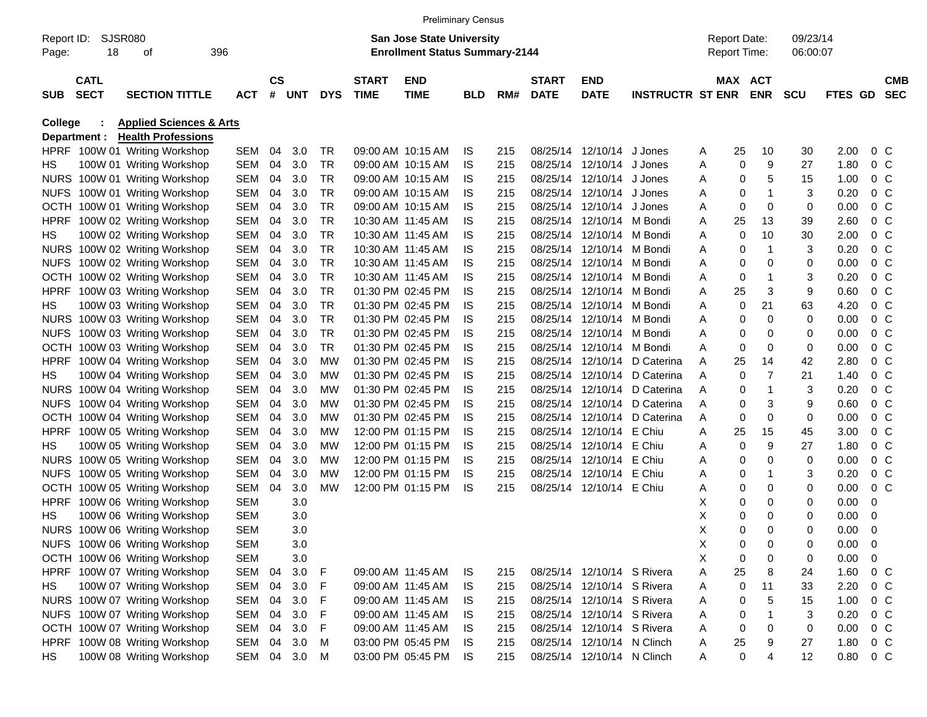|                     |                            |                                    |              |                |            |            |                             | <b>Preliminary Census</b>                                          |            |     |                             |                            |                         |   |    |                                            |                      |         |                |                          |
|---------------------|----------------------------|------------------------------------|--------------|----------------|------------|------------|-----------------------------|--------------------------------------------------------------------|------------|-----|-----------------------------|----------------------------|-------------------------|---|----|--------------------------------------------|----------------------|---------|----------------|--------------------------|
| Report ID:<br>Page: | 18                         | <b>SJSR080</b><br>οf               | 396          |                |            |            |                             | San Jose State University<br><b>Enrollment Status Summary-2144</b> |            |     |                             |                            |                         |   |    | <b>Report Date:</b><br><b>Report Time:</b> | 09/23/14<br>06:00:07 |         |                |                          |
| <b>SUB</b>          | <b>CATL</b><br><b>SECT</b> | <b>SECTION TITTLE</b>              | <b>ACT</b>   | <b>CS</b><br># | <b>UNT</b> | <b>DYS</b> | <b>START</b><br><b>TIME</b> | <b>END</b><br><b>TIME</b>                                          | <b>BLD</b> | RM# | <b>START</b><br><b>DATE</b> | <b>END</b><br><b>DATE</b>  | <b>INSTRUCTR ST ENR</b> |   |    | <b>MAX ACT</b><br><b>ENR</b>               | <b>SCU</b>           | FTES GD |                | <b>CMB</b><br><b>SEC</b> |
| <b>College</b>      |                            | <b>Applied Sciences &amp; Arts</b> |              |                |            |            |                             |                                                                    |            |     |                             |                            |                         |   |    |                                            |                      |         |                |                          |
|                     | Department :               | <b>Health Professions</b>          |              |                |            |            |                             |                                                                    |            |     |                             |                            |                         |   |    |                                            |                      |         |                |                          |
|                     |                            | HPRF 100W 01 Writing Workshop      | SEM          | 04             | 3.0        | TR         |                             | 09:00 AM 10:15 AM                                                  | IS         | 215 |                             | 08/25/14 12/10/14 J Jones  |                         | A | 25 | 10                                         | 30                   | 2.00    | 0 <sup>C</sup> |                          |
| HS.                 |                            | 100W 01 Writing Workshop           | SEM          | 04             | 3.0        | TR         |                             | 09:00 AM 10:15 AM                                                  | IS         | 215 |                             | 08/25/14 12/10/14 J Jones  |                         | Α | 0  | 9                                          | 27                   | 1.80    | $0\,C$         |                          |
|                     |                            | NURS 100W 01 Writing Workshop      | SEM          | 04             | 3.0        | TR         |                             | 09:00 AM 10:15 AM                                                  | IS         | 215 |                             | 08/25/14 12/10/14 J Jones  |                         | Α | 0  | 5                                          | 15                   | 1.00    | $0\,$ C        |                          |
|                     |                            | NUFS 100W 01 Writing Workshop      | SEM          | 04             | 3.0        | TR         |                             | 09:00 AM 10:15 AM                                                  | IS         | 215 |                             | 08/25/14 12/10/14 J Jones  |                         | Α | 0  | $\mathbf 1$                                | 3                    | 0.20    | $0\,$ C        |                          |
|                     |                            | OCTH 100W 01 Writing Workshop      | SEM          | 04             | 3.0        | TR         |                             | 09:00 AM 10:15 AM                                                  | IS         | 215 |                             | 08/25/14 12/10/14 J Jones  |                         | Α | 0  | 0                                          | 0                    | 0.00    | $0\,$ C        |                          |
| <b>HPRF</b>         |                            | 100W 02 Writing Workshop           | SEM          | 04             | 3.0        | TR         |                             | 10:30 AM 11:45 AM                                                  | IS         | 215 |                             | 08/25/14 12/10/14 M Bondi  |                         | Α | 25 | 13                                         | 39                   | 2.60    | $0\,C$         |                          |
| HS.                 |                            | 100W 02 Writing Workshop           | SEM          | 04             | 3.0        | <b>TR</b>  |                             | 10:30 AM 11:45 AM                                                  | IS         | 215 |                             | 08/25/14 12/10/14 M Bondi  |                         | Α | 0  | 10                                         | 30                   | 2.00    | $0\,$ C        |                          |
|                     |                            | NURS 100W 02 Writing Workshop      | SEM          | 04             | 3.0        | <b>TR</b>  |                             | 10:30 AM 11:45 AM                                                  | IS         | 215 |                             | 08/25/14 12/10/14 M Bondi  |                         | Α | 0  | $\mathbf 1$                                | 3                    | 0.20    | $0\,$ C        |                          |
|                     |                            | NUFS 100W 02 Writing Workshop      | SEM          | 04             | 3.0        | TR         |                             | 10:30 AM 11:45 AM                                                  | IS         | 215 |                             | 08/25/14 12/10/14 M Bondi  |                         | Α | 0  | 0                                          | 0                    | 0.00    | $0\,$ C        |                          |
|                     |                            | OCTH 100W 02 Writing Workshop      | SEM          | 04             | 3.0        | <b>TR</b>  |                             | 10:30 AM 11:45 AM                                                  | IS         | 215 |                             | 08/25/14 12/10/14 M Bondi  |                         | Α | 0  | $\mathbf 1$                                | 3                    | 0.20    | $0\,C$         |                          |
| <b>HPRF</b>         |                            | 100W 03 Writing Workshop           | SEM          | 04             | 3.0        | <b>TR</b>  |                             | 01:30 PM 02:45 PM                                                  | IS         | 215 |                             | 08/25/14 12/10/14 M Bondi  |                         | Α | 25 | 3                                          | 9                    | 0.60    | $0\,$ C        |                          |
| HS.                 |                            | 100W 03 Writing Workshop           | SEM          | 04             | 3.0        | TR         |                             | 01:30 PM 02:45 PM                                                  | IS         | 215 |                             | 08/25/14 12/10/14 M Bondi  |                         | Α | 0  | 21                                         | 63                   | 4.20    | $0\,C$         |                          |
|                     |                            | NURS 100W 03 Writing Workshop      | SEM          | 04             | 3.0        | TR         |                             | 01:30 PM 02:45 PM                                                  | IS         | 215 |                             | 08/25/14 12/10/14 M Bondi  |                         | Α | 0  | 0                                          | 0                    | 0.00    | $0\,$ C        |                          |
|                     |                            | NUFS 100W 03 Writing Workshop      | SEM          | 04             | 3.0        | <b>TR</b>  |                             | 01:30 PM 02:45 PM                                                  | IS         | 215 |                             | 08/25/14 12/10/14 M Bondi  |                         | Α | 0  | 0                                          | 0                    | 0.00    | $0\,$ C        |                          |
|                     |                            | OCTH 100W 03 Writing Workshop      | SEM          | 04             | 3.0        | <b>TR</b>  |                             | 01:30 PM 02:45 PM                                                  | IS         | 215 |                             | 08/25/14 12/10/14 M Bondi  |                         | A | 0  | 0                                          | 0                    | 0.00    | $0\,$ C        |                          |
| <b>HPRF</b>         |                            | 100W 04 Writing Workshop           | SEM          | 04             | 3.0        | MW         |                             | 01:30 PM 02:45 PM                                                  | IS         | 215 |                             | 08/25/14 12/10/14          | D Caterina              | Α | 25 | 14                                         | 42                   | 2.80    | $0\,C$         |                          |
| HS.                 |                            | 100W 04 Writing Workshop           | SEM          | 04             | 3.0        | MW         |                             | 01:30 PM 02:45 PM                                                  | IS         | 215 |                             | 08/25/14 12/10/14          | D Caterina              | Α | 0  | $\overline{7}$                             | 21                   | 1.40    | $0\,$ C        |                          |
|                     |                            | NURS 100W 04 Writing Workshop      | SEM          | 04             | 3.0        | MW         |                             | 01:30 PM 02:45 PM                                                  | IS         | 215 |                             | 08/25/14 12/10/14          | D Caterina              | A | 0  | $\mathbf 1$                                | 3                    | 0.20    | $0\,$ C        |                          |
|                     |                            | NUFS 100W 04 Writing Workshop      | SEM          | 04             | 3.0        | MW         |                             | 01:30 PM 02:45 PM                                                  | IS         | 215 |                             | 08/25/14 12/10/14          | D Caterina              | Α | 0  | 3                                          | 9                    | 0.60    | $0\,$ C        |                          |
|                     |                            | OCTH 100W 04 Writing Workshop      | SEM          | 04             | 3.0        | MW         |                             | 01:30 PM 02:45 PM                                                  | IS         | 215 |                             | 08/25/14 12/10/14          | D Caterina              | Α | 0  | 0                                          | 0                    | 0.00    | $0\,$ C        |                          |
| <b>HPRF</b>         |                            | 100W 05 Writing Workshop           | SEM          | 04             | 3.0        | MW         |                             | 12:00 PM 01:15 PM                                                  | IS         | 215 |                             | 08/25/14 12/10/14 E Chiu   |                         | A | 25 | 15                                         | 45                   | 3.00    | $0\,$ C        |                          |
| HS.                 |                            | 100W 05 Writing Workshop           | SEM          | 04             | 3.0        | MW         |                             | 12:00 PM 01:15 PM                                                  | IS         | 215 |                             | 08/25/14 12/10/14 E Chiu   |                         | Α | 0  | 9                                          | 27                   | 1.80    | $0\,C$         |                          |
|                     |                            | NURS 100W 05 Writing Workshop      | SEM          | 04             | 3.0        | MW         |                             | 12:00 PM 01:15 PM                                                  | IS         | 215 |                             | 08/25/14 12/10/14 E Chiu   |                         | Α | 0  | 0                                          | 0                    | 0.00    | 0 <sup>C</sup> |                          |
| <b>NUFS</b>         |                            | 100W 05 Writing Workshop           | SEM          | 04             | 3.0        | MW         |                             | 12:00 PM 01:15 PM                                                  | IS         | 215 |                             | 08/25/14 12/10/14 E Chiu   |                         | Α | 0  | $\mathbf 1$                                | 3                    | 0.20    | $0\,C$         |                          |
| OCTH                |                            | 100W 05 Writing Workshop           | SEM          | 04             | 3.0        | MW         |                             | 12:00 PM 01:15 PM                                                  | IS         | 215 |                             | 08/25/14 12/10/14 E Chiu   |                         | Α | 0  | 0                                          | 0                    | 0.00    | $0\,C$         |                          |
| <b>HPRF</b>         |                            | 100W 06 Writing Workshop           | <b>SEM</b>   |                | 3.0        |            |                             |                                                                    |            |     |                             |                            |                         | х | 0  | 0                                          | 0                    | 0.00    | 0              |                          |
| HS.                 |                            | 100W 06 Writing Workshop           | <b>SEM</b>   |                | 3.0        |            |                             |                                                                    |            |     |                             |                            |                         | Χ | 0  | 0                                          | 0                    | 0.00    | 0              |                          |
|                     |                            | NURS 100W 06 Writing Workshop      | SEM          |                | 3.0        |            |                             |                                                                    |            |     |                             |                            |                         | X | 0  | $\Omega$                                   | 0                    | 0.00    | - 0            |                          |
|                     |                            | NUFS 100W 06 Writing Workshop      | SEM          |                | 3.0        |            |                             |                                                                    |            |     |                             |                            |                         | Х | 0  | 0                                          | 0                    | 0.00    | $\overline{0}$ |                          |
|                     |                            | OCTH 100W 06 Writing Workshop      | SEM          |                | 3.0        |            |                             |                                                                    |            |     |                             |                            |                         | х | 0  | 0                                          | 0                    | 0.00    | 0              |                          |
|                     |                            | HPRF 100W 07 Writing Workshop      | SEM 04       |                | 3.0        | F          |                             | 09:00 AM 11:45 AM                                                  | IS         | 215 |                             | 08/25/14 12/10/14 S Rivera |                         | A | 25 | 8                                          | 24                   | 1.60    | $0\,C$         |                          |
| HS.                 |                            | 100W 07 Writing Workshop           | SEM 04       |                | 3.0        | F          |                             | 09:00 AM 11:45 AM                                                  | IS         | 215 |                             | 08/25/14 12/10/14 S Rivera |                         | A | 0  | 11                                         | 33                   | 2.20    | $0\,C$         |                          |
|                     |                            | NURS 100W 07 Writing Workshop      | SEM 04 3.0   |                |            | F          |                             | 09:00 AM 11:45 AM                                                  | IS         | 215 |                             | 08/25/14 12/10/14 S Rivera |                         | A | 0  | 5                                          | 15                   | 1.00    | 0 C            |                          |
|                     |                            | NUFS 100W 07 Writing Workshop      | SEM 04 3.0   |                |            | F          |                             | 09:00 AM 11:45 AM                                                  | IS         | 215 |                             | 08/25/14 12/10/14 S Rivera |                         | A | 0  | 1                                          | 3                    | 0.20    | 0 C            |                          |
|                     |                            | OCTH 100W 07 Writing Workshop      | SEM 04 3.0   |                |            | F          |                             | 09:00 AM 11:45 AM                                                  | IS.        | 215 |                             | 08/25/14 12/10/14 S Rivera |                         | Α | 0  | 0                                          | 0                    | 0.00    | 0 C            |                          |
|                     |                            | HPRF 100W 08 Writing Workshop      | SEM 04 3.0   |                |            | M          |                             | 03:00 PM 05:45 PM                                                  | IS         | 215 |                             | 08/25/14 12/10/14 N Clinch |                         | A | 25 | 9                                          | 27                   | 1.80    | 0 C            |                          |
| HS                  |                            | 100W 08 Writing Workshop           | SEM 04 3.0 M |                |            |            |                             | 03:00 PM 05:45 PM                                                  | IS.        | 215 |                             | 08/25/14 12/10/14 N Clinch |                         | A | 0  | 4                                          | 12                   | 0.80    | $0\,C$         |                          |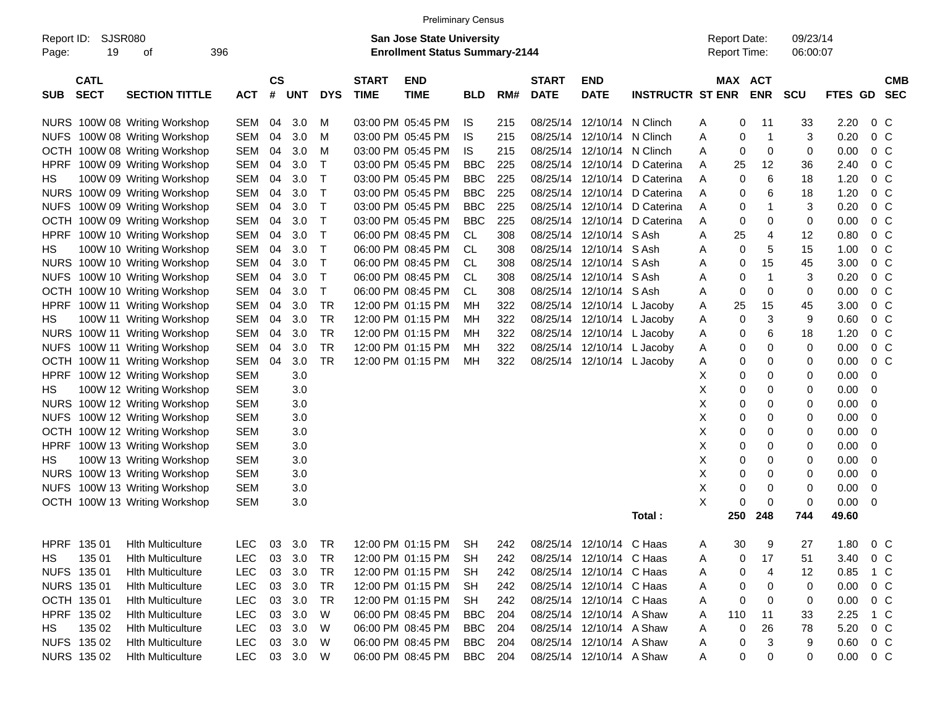|                     |                            |                               |            |                    |            |            |                             | <b>Preliminary Census</b>                                          |            |     |                             |                           |                         |                                     |                       |                      |                |                          |
|---------------------|----------------------------|-------------------------------|------------|--------------------|------------|------------|-----------------------------|--------------------------------------------------------------------|------------|-----|-----------------------------|---------------------------|-------------------------|-------------------------------------|-----------------------|----------------------|----------------|--------------------------|
| Report ID:<br>Page: | 19                         | <b>SJSR080</b><br>οf          | 396        |                    |            |            |                             | San Jose State University<br><b>Enrollment Status Summary-2144</b> |            |     |                             |                           |                         | <b>Report Date:</b><br>Report Time: |                       | 09/23/14<br>06:00:07 |                |                          |
| SUB                 | <b>CATL</b><br><b>SECT</b> | <b>SECTION TITTLE</b>         | <b>ACT</b> | $\mathsf{cs}$<br># | <b>UNT</b> | <b>DYS</b> | <b>START</b><br><b>TIME</b> | <b>END</b><br><b>TIME</b>                                          | <b>BLD</b> | RM# | <b>START</b><br><b>DATE</b> | <b>END</b><br><b>DATE</b> | <b>INSTRUCTR ST ENR</b> |                                     | MAX ACT<br><b>ENR</b> | <b>SCU</b>           | <b>FTES GD</b> | <b>CMB</b><br><b>SEC</b> |
|                     |                            | NURS 100W 08 Writing Workshop | SEM        | 04                 | 3.0        | M          |                             | 03:00 PM 05:45 PM                                                  | IS.        | 215 | 08/25/14                    | 12/10/14 N Clinch         |                         | Α                                   | 0<br>11               | 33                   | 2.20           | 0 <sup>o</sup>           |
| <b>NUFS</b>         |                            | 100W 08 Writing Workshop      | <b>SEM</b> | 04                 | 3.0        | M          |                             | 03:00 PM 05:45 PM                                                  | <b>IS</b>  | 215 | 08/25/14                    | 12/10/14                  | N Clinch                | Α                                   | $\overline{1}$<br>0   | 3                    | 0.20           | 0 <sup>o</sup>           |
| <b>OCTH</b>         |                            | 100W 08 Writing Workshop      | <b>SEM</b> | 04                 | 3.0        | M          |                             | 03:00 PM 05:45 PM                                                  | IS.        | 215 | 08/25/14                    | 12/10/14 N Clinch         |                         | Α                                   | 0<br>0                | 0                    | 0.00           | 0 <sup>o</sup>           |
| <b>HPRF</b>         |                            | 100W 09 Writing Workshop      | <b>SEM</b> | 04                 | 3.0        | Τ          |                             | 03:00 PM 05:45 PM                                                  | <b>BBC</b> | 225 | 08/25/14                    | 12/10/14                  | D Caterina              | 25<br>Α                             | 12                    | 36                   | 2.40           | 0 <sup>o</sup>           |
| HS                  |                            | 100W 09 Writing Workshop      | <b>SEM</b> | 04                 | 3.0        | Т          |                             | 03:00 PM 05:45 PM                                                  | <b>BBC</b> | 225 | 08/25/14                    | 12/10/14                  | D Caterina              | Α                                   | 6<br>0                | 18                   | 1.20           | 0 <sup>o</sup>           |
| <b>NURS</b>         |                            | 100W 09 Writing Workshop      | <b>SEM</b> | 04                 | 3.0        | Т          |                             | 03:00 PM 05:45 PM                                                  | <b>BBC</b> | 225 | 08/25/14                    | 12/10/14                  | D Caterina              | Α                                   | 6<br>0                | 18                   | 1.20           | 0 <sup>o</sup>           |
| <b>NUFS</b>         |                            | 100W 09 Writing Workshop      | <b>SEM</b> | 04                 | 3.0        | т          |                             | 03:00 PM 05:45 PM                                                  | <b>BBC</b> | 225 | 08/25/14                    | 12/10/14                  | D Caterina              | Α                                   | 1<br>0                | 3                    | 0.20           | 0 <sup>o</sup>           |
| <b>OCTH</b>         |                            | 100W 09 Writing Workshop      | <b>SEM</b> | 04                 | 3.0        | т          |                             | 03:00 PM 05:45 PM                                                  | <b>BBC</b> | 225 | 08/25/14                    | 12/10/14                  | D Caterina              | Α                                   | 0<br>0                | 0                    | 0.00           | 0 <sup>o</sup>           |
| <b>HPRF</b>         |                            | 100W 10 Writing Workshop      | <b>SEM</b> | 04                 | 3.0        | T          |                             | 06:00 PM 08:45 PM                                                  | <b>CL</b>  | 308 | 08/25/14                    | 12/10/14                  | S Ash                   | 25<br>Α                             | 4                     | 12                   | 0.80           | 0 <sup>o</sup>           |
| HS                  |                            | 100W 10 Writing Workshop      | <b>SEM</b> | 04                 | 3.0        | т          |                             | 06:00 PM 08:45 PM                                                  | <b>CL</b>  | 308 | 08/25/14                    | 12/10/14 S Ash            |                         | Α                                   | 5<br>0                | 15                   | 1.00           | 0 <sup>o</sup>           |
| <b>NURS</b>         |                            | 100W 10 Writing Workshop      | <b>SEM</b> | 04                 | 3.0        | т          |                             | 06:00 PM 08:45 PM                                                  | CL         | 308 | 08/25/14                    | 12/10/14 S Ash            |                         | Α                                   | 15<br>0               | 45                   | 3.00           | 0 <sup>o</sup>           |
| <b>NUFS</b>         |                            | 100W 10 Writing Workshop      | <b>SEM</b> | 04                 | 3.0        | т          |                             | 06:00 PM 08:45 PM                                                  | <b>CL</b>  | 308 | 08/25/14                    | 12/10/14 S Ash            |                         | Α                                   | $\overline{1}$<br>0   | 3                    | 0.20           | 0 <sup>o</sup>           |
| OCTH                |                            | 100W 10 Writing Workshop      | <b>SEM</b> | 04                 | 3.0        | т          |                             | 06:00 PM 08:45 PM                                                  | <b>CL</b>  | 308 | 08/25/14                    | 12/10/14 S Ash            |                         | Α                                   | 0<br>0                | 0                    | 0.00           | 0 <sup>o</sup>           |
| <b>HPRF</b>         |                            | 100W 11 Writing Workshop      | <b>SEM</b> | 04                 | 3.0        | <b>TR</b>  |                             | 12:00 PM 01:15 PM                                                  | МH         | 322 | 08/25/14                    |                           | 12/10/14 L Jacoby       | 25<br>Α                             | 15                    | 45                   | 3.00           | 0 <sup>o</sup>           |
| HS                  |                            | 100W 11 Writing Workshop      | <b>SEM</b> | 04                 | 3.0        | <b>TR</b>  |                             | 12:00 PM 01:15 PM                                                  | МH         | 322 | 08/25/14                    |                           | 12/10/14 L Jacoby       | Α                                   | 3<br>0                | 9                    | 0.60           | 0 <sup>o</sup>           |
| <b>NURS</b>         |                            | 100W 11 Writing Workshop      | <b>SEM</b> | 04                 | 3.0        | <b>TR</b>  |                             | 12:00 PM 01:15 PM                                                  | MН         | 322 | 08/25/14                    |                           | 12/10/14 L Jacoby       | Α                                   | 6<br>0                | 18                   | 1.20           | 0 <sup>o</sup>           |
|                     |                            | NUFS 100W 11 Writing Workshop | <b>SEM</b> | 04                 | 3.0        | <b>TR</b>  |                             | 12:00 PM 01:15 PM                                                  | MН         | 322 | 08/25/14                    | 12/10/14                  | L Jacoby                | Α                                   | 0<br>0                | 0                    | 0.00           | 0 <sup>o</sup>           |
|                     |                            | OCTH 100W 11 Writing Workshop | <b>SEM</b> | 04                 | 3.0        | <b>TR</b>  |                             | 12:00 PM 01:15 PM                                                  | MН         | 322 | 08/25/14                    | 12/10/14 L Jacoby         |                         | Α                                   | 0<br>0                | 0                    | 0.00           | 0 <sup>o</sup>           |
| <b>HPRF</b>         |                            | 100W 12 Writing Workshop      | <b>SEM</b> |                    | 3.0        |            |                             |                                                                    |            |     |                             |                           |                         | X                                   | 0<br>0                | 0                    | 0.00           | 0                        |
| HS                  |                            | 100W 12 Writing Workshop      | <b>SEM</b> |                    | 3.0        |            |                             |                                                                    |            |     |                             |                           |                         | X                                   | 0<br>0                | 0                    | 0.00           | 0                        |
| <b>NURS</b>         |                            | 100W 12 Writing Workshop      | <b>SEM</b> |                    | 3.0        |            |                             |                                                                    |            |     |                             |                           |                         | X                                   | 0<br>0                | 0                    | 0.00           | 0                        |
| <b>NUFS</b>         |                            | 100W 12 Writing Workshop      | <b>SEM</b> |                    | 3.0        |            |                             |                                                                    |            |     |                             |                           |                         | Χ                                   | 0<br>0                | 0                    | 0.00           | 0                        |
| <b>OCTH</b>         |                            | 100W 12 Writing Workshop      | <b>SEM</b> |                    | 3.0        |            |                             |                                                                    |            |     |                             |                           |                         | Χ                                   | 0<br>0                | 0                    | 0.00           | 0                        |
| <b>HPRF</b>         |                            | 100W 13 Writing Workshop      | <b>SEM</b> |                    | 3.0        |            |                             |                                                                    |            |     |                             |                           |                         | X                                   | 0<br>0                | 0                    | 0.00           | 0                        |
| HS                  |                            | 100W 13 Writing Workshop      | <b>SEM</b> |                    | 3.0        |            |                             |                                                                    |            |     |                             |                           |                         | Χ                                   | 0<br>0                | 0                    | 0.00           | 0                        |
| <b>NURS</b>         |                            | 100W 13 Writing Workshop      | <b>SEM</b> |                    | 3.0        |            |                             |                                                                    |            |     |                             |                           |                         | X                                   | 0<br>0                | 0                    | 0.00           | 0                        |
| <b>NUFS</b>         |                            | 100W 13 Writing Workshop      | <b>SEM</b> |                    | 3.0        |            |                             |                                                                    |            |     |                             |                           |                         | X                                   | 0<br>0                | 0                    | 0.00           | 0                        |
|                     |                            | OCTH 100W 13 Writing Workshop | <b>SEM</b> |                    | 3.0        |            |                             |                                                                    |            |     |                             |                           |                         | X                                   | 0<br>0                | 0                    | 0.00           | 0                        |
|                     |                            |                               |            |                    |            |            |                             |                                                                    |            |     |                             |                           | Total:                  | 250                                 | 248                   | 744                  | 49.60          |                          |
|                     |                            | HPRF 135 01 Hlth Multiculture | LEC        |                    | 03 3.0 TR  |            |                             | 12:00 PM 01:15 PM SH 242 08/25/14 12/10/14 C Haas                  |            |     |                             |                           |                         | 30<br>A                             | 9                     | 27                   | 1.80           | $0\,C$                   |
| HS                  | 135 01                     | <b>Hith Multiculture</b>      | <b>LEC</b> | 03                 | 3.0        | <b>TR</b>  |                             | 12:00 PM 01:15 PM                                                  | <b>SH</b>  | 242 |                             | 08/25/14 12/10/14 C Haas  |                         | Α                                   | 17<br>0               | 51                   | 3.40           | 0 <sup>o</sup>           |
|                     | NUFS 135 01                | <b>Hith Multiculture</b>      | LEC        | 03                 | 3.0        | TR         |                             | 12:00 PM 01:15 PM                                                  | SH         | 242 |                             | 08/25/14 12/10/14 C Haas  |                         | A                                   | 4<br>0                | 12                   | 0.85           | 1 C                      |
|                     | NURS 135 01                | <b>Hith Multiculture</b>      | LEC        | 03                 | 3.0        | TR         |                             | 12:00 PM 01:15 PM                                                  | <b>SH</b>  | 242 |                             | 08/25/14 12/10/14 C Haas  |                         | A                                   | 0<br>0                | 0                    | 0.00           | $0\,C$                   |
|                     | OCTH 135 01                | <b>Hith Multiculture</b>      | LEC        | 03                 | 3.0        | TR         |                             | 12:00 PM 01:15 PM                                                  | SH         | 242 |                             | 08/25/14 12/10/14 C Haas  |                         | A                                   | 0<br>0                | 0                    | 0.00           | $0\,C$                   |
|                     | HPRF 135 02                | <b>Hith Multiculture</b>      | LEC        | 03                 | 3.0        | W          |                             | 06:00 PM 08:45 PM                                                  | BBC        | 204 |                             | 08/25/14 12/10/14 A Shaw  |                         | Α<br>110                            | 11                    | 33                   | 2.25           | 1 C                      |
| HS                  | 135 02                     | <b>Hith Multiculture</b>      | LEC        | 03                 | 3.0        | W          |                             | 06:00 PM 08:45 PM                                                  | BBC        | 204 |                             | 08/25/14 12/10/14 A Shaw  |                         | A                                   | 0<br>26               | 78                   | 5.20           | $0\,C$                   |
|                     | NUFS 135 02                | <b>Hith Multiculture</b>      | <b>LEC</b> | 03                 | 3.0        | W          |                             | 06:00 PM 08:45 PM                                                  | BBC        | 204 |                             | 08/25/14 12/10/14 A Shaw  |                         | A                                   | 3<br>0                | 9                    | 0.60           | $0\,C$                   |
|                     | NURS 135 02                | <b>Hith Multiculture</b>      | <b>LEC</b> |                    | 03 3.0     | W          |                             | 06:00 PM 08:45 PM                                                  | BBC 204    |     |                             | 08/25/14 12/10/14 A Shaw  |                         | Α                                   | 0<br>0                | 0                    | 0.00           | $0\,C$                   |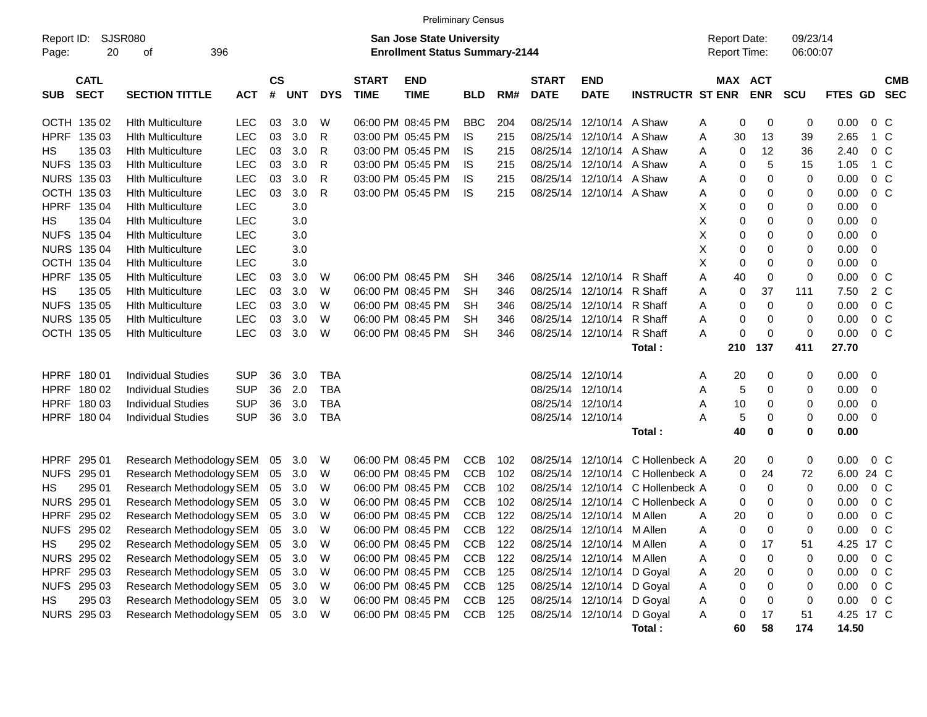|             |                                                   |                                   |            |                    |            |            |                             | <b>Preliminary Census</b>                                          |            |     |                             |                           |                         |                                            |     |            |                      |                |                          |                          |
|-------------|---------------------------------------------------|-----------------------------------|------------|--------------------|------------|------------|-----------------------------|--------------------------------------------------------------------|------------|-----|-----------------------------|---------------------------|-------------------------|--------------------------------------------|-----|------------|----------------------|----------------|--------------------------|--------------------------|
|             | SJSR080<br>Report ID:<br>20<br>396<br>Page:<br>оf |                                   |            |                    |            |            |                             | San Jose State University<br><b>Enrollment Status Summary-2144</b> |            |     |                             |                           |                         | <b>Report Date:</b><br><b>Report Time:</b> |     |            | 09/23/14<br>06:00:07 |                |                          |                          |
|             |                                                   |                                   |            |                    |            |            |                             |                                                                    |            |     |                             |                           |                         |                                            |     |            |                      |                |                          |                          |
| <b>SUB</b>  | <b>CATL</b><br><b>SECT</b>                        | <b>SECTION TITTLE</b>             | <b>ACT</b> | $\mathsf{cs}$<br># | <b>UNT</b> | <b>DYS</b> | <b>START</b><br><b>TIME</b> | <b>END</b><br><b>TIME</b>                                          | <b>BLD</b> | RM# | <b>START</b><br><b>DATE</b> | <b>END</b><br><b>DATE</b> | <b>INSTRUCTR ST ENR</b> | MAX ACT                                    |     | <b>ENR</b> | <b>SCU</b>           | <b>FTES GD</b> |                          | <b>CMB</b><br><b>SEC</b> |
|             | OCTH 135 02                                       | <b>Hith Multiculture</b>          | LEC.       | 03                 | 3.0        | W          |                             | 06:00 PM 08:45 PM                                                  | <b>BBC</b> | 204 | 08/25/14                    | 12/10/14                  | A Shaw                  | A                                          | 0   | 0          | 0                    | 0.00           | 0 C                      |                          |
|             | HPRF 135 03                                       | <b>Hith Multiculture</b>          | <b>LEC</b> | 03                 | 3.0        | R          |                             | 03:00 PM 05:45 PM                                                  | IS.        | 215 | 08/25/14                    | 12/10/14                  | A Shaw                  | Α                                          | 30  | 13         | 39                   | 2.65           | 1 C                      |                          |
| HS          | 135 03                                            | <b>Hith Multiculture</b>          | <b>LEC</b> | 03                 | 3.0        | R          |                             | 03:00 PM 05:45 PM                                                  | IS         | 215 | 08/25/14                    | 12/10/14                  | A Shaw                  | Α                                          | 0   | 12         | 36                   | 2.40           | 0 <sup>o</sup>           |                          |
|             | NUFS 135 03                                       | <b>Hith Multiculture</b>          | <b>LEC</b> | 03                 | 3.0        | R          |                             | 03:00 PM 05:45 PM                                                  | IS         | 215 | 08/25/14                    | 12/10/14                  | A Shaw                  | Α                                          | 0   | 5          | 15                   | 1.05           | 1 C                      |                          |
|             | NURS 135 03                                       | <b>Hith Multiculture</b>          | <b>LEC</b> | 03                 | 3.0        | R          |                             | 03:00 PM 05:45 PM                                                  | IS         | 215 | 08/25/14                    | 12/10/14                  | A Shaw                  | Α                                          | 0   | 0          | 0                    | 0.00           | 0 <sup>o</sup>           |                          |
|             | OCTH 135 03                                       | <b>Hith Multiculture</b>          | <b>LEC</b> | 03                 | 3.0        | R          |                             | 03:00 PM 05:45 PM                                                  | IS         | 215 |                             | 08/25/14 12/10/14 A Shaw  |                         | Α                                          | 0   | 0          | 0                    | 0.00           | $0\,C$                   |                          |
|             | HPRF 135 04                                       | <b>Hith Multiculture</b>          | <b>LEC</b> |                    | 3.0        |            |                             |                                                                    |            |     |                             |                           |                         | х                                          | 0   | 0          | 0                    | 0.00           | -0                       |                          |
| HS          | 135 04                                            | <b>Hith Multiculture</b>          | <b>LEC</b> |                    | 3.0        |            |                             |                                                                    |            |     |                             |                           |                         | Х                                          | 0   | 0          | 0                    | 0.00           | - 0                      |                          |
|             | NUFS 135 04                                       | <b>Hith Multiculture</b>          | <b>LEC</b> |                    | 3.0        |            |                             |                                                                    |            |     |                             |                           |                         | X                                          | 0   | 0          | 0                    | 0.00           | $\overline{\mathbf{0}}$  |                          |
|             | <b>NURS 135 04</b>                                | <b>Hith Multiculture</b>          | <b>LEC</b> |                    | 3.0        |            |                             |                                                                    |            |     |                             |                           |                         | Х                                          | 0   | 0          | 0                    | 0.00           | $\overline{\mathbf{0}}$  |                          |
|             | OCTH 135 04                                       | <b>Hith Multiculture</b>          | <b>LEC</b> |                    | 3.0        |            |                             |                                                                    |            |     |                             |                           |                         | X                                          | 0   | 0          | 0                    | 0.00           | 0                        |                          |
|             | HPRF 135 05                                       | <b>Hith Multiculture</b>          | <b>LEC</b> | 03                 | 3.0        | W          |                             | 06:00 PM 08:45 PM                                                  | <b>SH</b>  | 346 | 08/25/14                    | 12/10/14                  | R Shaff                 | Α                                          | 40  | 0          | 0                    | 0.00           | 0 <sup>o</sup>           |                          |
| HS          | 135 05                                            | <b>Hith Multiculture</b>          | <b>LEC</b> | 03                 | 3.0        | W          |                             | 06:00 PM 08:45 PM                                                  | SН         | 346 |                             | 08/25/14 12/10/14         | R Shaff                 | Α                                          | 0   | 37         | 111                  | 7.50           | 2 C                      |                          |
|             | NUFS 135 05                                       | <b>Hith Multiculture</b>          | <b>LEC</b> | 03                 | 3.0        | W          |                             | 06:00 PM 08:45 PM                                                  | <b>SH</b>  | 346 |                             | 08/25/14 12/10/14         | R Shaff                 | Α                                          | 0   | 0          | 0                    | 0.00           | 0 <sup>o</sup>           |                          |
|             | <b>NURS 135 05</b>                                | <b>Hith Multiculture</b>          | <b>LEC</b> | 03                 | 3.0        | W          |                             | 06:00 PM 08:45 PM                                                  | SН         | 346 | 08/25/14                    | 12/10/14                  | R Shaff                 | Α                                          | 0   | 0          | 0                    | 0.00           | 0 <sup>o</sup>           |                          |
|             | OCTH 135 05                                       | <b>Hith Multiculture</b>          | <b>LEC</b> | 03                 | 3.0        | W          |                             | 06:00 PM 08:45 PM                                                  | <b>SH</b>  | 346 |                             | 08/25/14 12/10/14         | R Shaff                 | Α                                          | 0   | 0          | 0                    | 0.00           | $0\,C$                   |                          |
|             |                                                   |                                   |            |                    |            |            |                             |                                                                    |            |     |                             |                           | Total:                  |                                            | 210 | 137        | 411                  | 27.70          |                          |                          |
|             | HPRF 180 01                                       | <b>Individual Studies</b>         | <b>SUP</b> | 36                 | 3.0        | TBA        |                             |                                                                    |            |     |                             | 08/25/14 12/10/14         |                         | A                                          | 20  | 0          | 0                    | 0.00           | $\overline{\phantom{0}}$ |                          |
|             | HPRF 180 02                                       | <b>Individual Studies</b>         | <b>SUP</b> | 36                 | 2.0        | <b>TBA</b> |                             |                                                                    |            |     |                             | 08/25/14 12/10/14         |                         | A                                          | 5   | 0          | 0                    | 0.00           | $\overline{\mathbf{0}}$  |                          |
|             | HPRF 180 03                                       | <b>Individual Studies</b>         | <b>SUP</b> | 36                 | 3.0        | <b>TBA</b> |                             |                                                                    |            |     |                             | 08/25/14 12/10/14         |                         | Α                                          | 10  | 0          | 0                    | 0.00           | $\overline{\mathbf{0}}$  |                          |
|             | HPRF 180 04                                       | <b>Individual Studies</b>         | <b>SUP</b> | 36                 | 3.0        | <b>TBA</b> |                             |                                                                    |            |     |                             | 08/25/14 12/10/14         |                         | Α                                          | 5   | 0          | 0                    | 0.00           | $\overline{\mathbf{0}}$  |                          |
|             |                                                   |                                   |            |                    |            |            |                             |                                                                    |            |     |                             |                           | Total:                  |                                            | 40  | 0          | 0                    | 0.00           |                          |                          |
| <b>HPRF</b> | 295 01                                            | Research Methodology SEM          |            | 05                 | 3.0        | W          |                             | 06:00 PM 08:45 PM                                                  | <b>CCB</b> | 102 | 08/25/14                    | 12/10/14                  | C Hollenbeck A          |                                            | 20  | 0          | 0                    | 0.00           | 0 C                      |                          |
|             | NUFS 295 01                                       | Research Methodology SEM          |            | 05                 | 3.0        | W          |                             | 06:00 PM 08:45 PM                                                  | <b>CCB</b> | 102 |                             | 08/25/14 12/10/14         | C Hollenbeck A          |                                            | 0   | 24         | 72                   | 6.00 24 C      |                          |                          |
| НS          | 295 01                                            | Research Methodology SEM          |            | 05                 | 3.0        | W          |                             | 06:00 PM 08:45 PM                                                  | <b>CCB</b> | 102 | 08/25/14                    | 12/10/14                  | C Hollenbeck A          |                                            | 0   | 0          | 0                    | 0.00           | 0 <sup>o</sup>           |                          |
|             | NURS 295 01                                       | Research Methodology SEM          |            | 05                 | 3.0        | W          |                             | 06:00 PM 08:45 PM                                                  | <b>CCB</b> | 102 | 08/25/14                    | 12/10/14                  | C Hollenbeck A          |                                            | 0   | 0          | 0                    | 0.00           | 0 <sup>o</sup>           |                          |
| <b>HPRF</b> | 295 02                                            | Research Methodology SEM          |            | 05                 | 3.0        | W          |                             | 06:00 PM 08:45 PM                                                  | <b>CCB</b> | 122 | 08/25/14                    | 12/10/14                  | M Allen                 | A                                          | 20  | 0          | 0                    | 0.00           | 0 C                      |                          |
|             | NUFS 295 02                                       | Research Methodology SEM 05 3.0   |            |                    |            | W          |                             | 06:00 PM 08:45 PM                                                  | <b>CCB</b> | 122 |                             | 08/25/14 12/10/14 M Allen |                         | Α                                          | 0   | 0          | 0                    | 0.00           | 0 <sup>o</sup>           |                          |
| HS          | 295 02                                            | Research Methodology SEM 05 3.0 W |            |                    |            |            |                             | 06:00 PM 08:45 PM                                                  | <b>CCB</b> | 122 |                             | 08/25/14 12/10/14 M Allen |                         | Α                                          | 0   | 17         | 51                   | 4.25 17 C      |                          |                          |
|             | NURS 295 02                                       | Research Methodology SEM          |            | 05                 | 3.0        | W          |                             | 06:00 PM 08:45 PM                                                  | <b>CCB</b> | 122 |                             | 08/25/14 12/10/14         | M Allen                 | Α                                          | 0   | 0          | 0                    | $0.00 \t 0 C$  |                          |                          |
|             | HPRF 295 03                                       | Research Methodology SEM          |            | 05                 | 3.0        | W          |                             | 06:00 PM 08:45 PM                                                  | CCB        | 125 |                             | 08/25/14 12/10/14         | D Goyal                 | A                                          | 20  | 0          | 0                    | 0.00           | $0\,C$                   |                          |
|             | NUFS 295 03                                       | Research Methodology SEM          |            | 05                 | 3.0        | W          |                             | 06:00 PM 08:45 PM                                                  | CCB        | 125 |                             | 08/25/14 12/10/14         | D Goyal                 | A                                          | 0   | 0          | 0                    | $0.00 \t 0 C$  |                          |                          |
| HS          | 295 03                                            | Research Methodology SEM          |            | 05                 | 3.0        | W          |                             | 06:00 PM 08:45 PM                                                  | CCB        | 125 |                             | 08/25/14 12/10/14         | D Goyal                 | Α                                          | 0   | 0          | 0                    | $0.00 \t 0 C$  |                          |                          |
|             | NURS 295 03                                       | Research Methodology SEM          |            |                    | 05 3.0 W   |            |                             | 06:00 PM 08:45 PM                                                  | CCB 125    |     |                             | 08/25/14 12/10/14         | D Goyal                 | Α                                          | 0   | 17         | 51                   | 4.25 17 C      |                          |                          |
|             |                                                   |                                   |            |                    |            |            |                             |                                                                    |            |     |                             |                           | Total:                  |                                            | 60  | 58         | 174                  | 14.50          |                          |                          |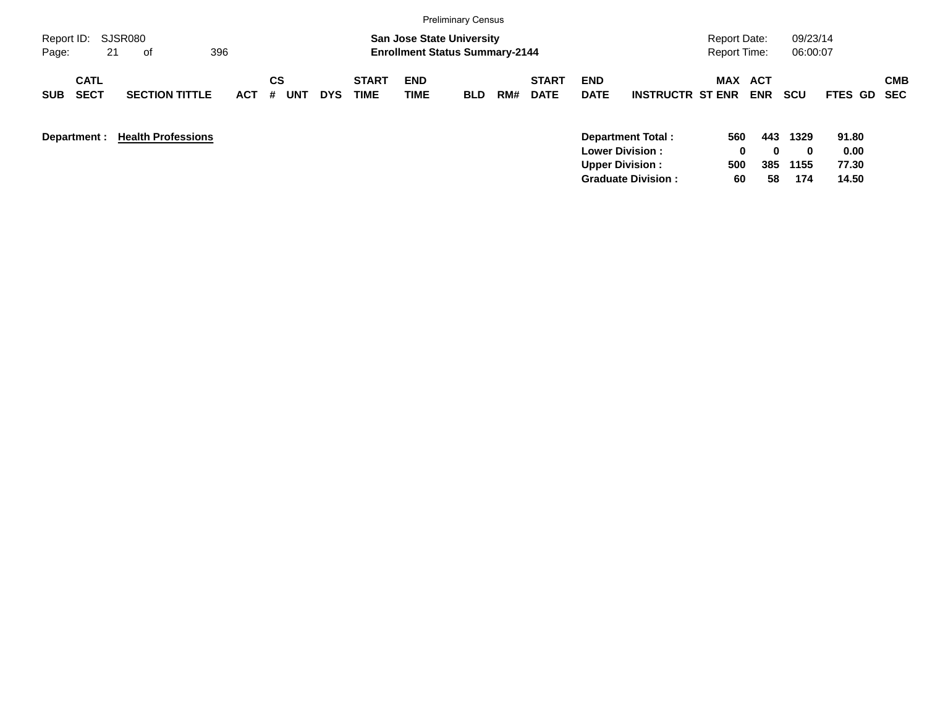|                                          |                           |            |                       |            |                      |                                                                           | <b>Preliminary Census</b> |     |                             |                           |                                                    |                              |            |                      |               |            |
|------------------------------------------|---------------------------|------------|-----------------------|------------|----------------------|---------------------------------------------------------------------------|---------------------------|-----|-----------------------------|---------------------------|----------------------------------------------------|------------------------------|------------|----------------------|---------------|------------|
| Report ID:<br>21<br>Page:                | SJSR080<br>396<br>of      |            |                       |            |                      | <b>San Jose State University</b><br><b>Enrollment Status Summary-2144</b> |                           |     |                             |                           |                                                    | Report Date:<br>Report Time: |            | 09/23/14<br>06:00:07 |               |            |
| <b>CATL</b><br><b>SECT</b><br><b>SUB</b> | <b>SECTION TITTLE</b>     | <b>ACT</b> | СS<br><b>UNT</b><br># | <b>DYS</b> | <b>START</b><br>TIME | <b>END</b><br><b>TIME</b>                                                 | <b>BLD</b>                | RM# | <b>START</b><br><b>DATE</b> | <b>END</b><br><b>DATE</b> | <b>INSTRUCTR ST ENR</b>                            | MAX ACT                      | <b>ENR</b> | <b>SCU</b>           | FTES GD SEC   | <b>CMB</b> |
| Department :                             | <b>Health Professions</b> |            |                       |            |                      |                                                                           |                           |     |                             |                           | <b>Department Total:</b><br><b>Lower Division:</b> | 560<br>0                     | 443<br>0   | 1329<br>0            | 91.80<br>0.00 |            |

**Upper Division : 500 385 1155 77.30 Graduate Division : 60 58 174 14.50**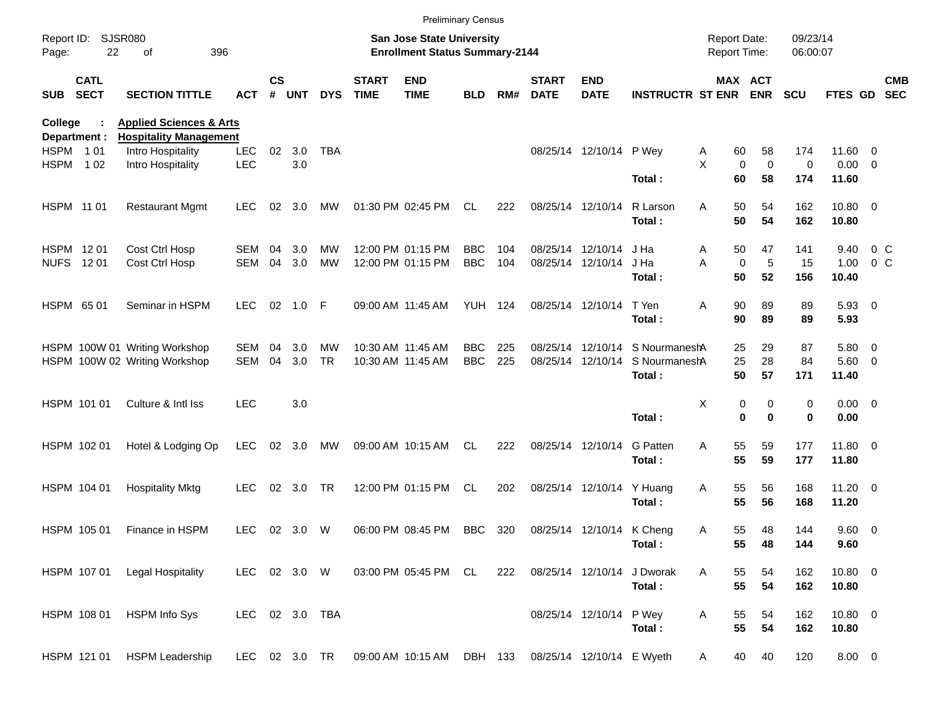|                     |                            |                                                                     |                |               |        |            |                             | <b>Preliminary Census</b>                                                 |                |     |                             |                           |                                |                                     |                       |                      |                      |                |                          |
|---------------------|----------------------------|---------------------------------------------------------------------|----------------|---------------|--------|------------|-----------------------------|---------------------------------------------------------------------------|----------------|-----|-----------------------------|---------------------------|--------------------------------|-------------------------------------|-----------------------|----------------------|----------------------|----------------|--------------------------|
| Report ID:<br>Page: | <b>SJSR080</b><br>22       | 396<br>of                                                           |                |               |        |            |                             | <b>San Jose State University</b><br><b>Enrollment Status Summary-2144</b> |                |     |                             |                           |                                | <b>Report Date:</b><br>Report Time: |                       | 09/23/14<br>06:00:07 |                      |                |                          |
| <b>SUB</b>          | <b>CATL</b><br><b>SECT</b> | <b>SECTION TITTLE</b>                                               | <b>ACT</b>     | $\mathsf{cs}$ | # UNT  | <b>DYS</b> | <b>START</b><br><b>TIME</b> | <b>END</b><br><b>TIME</b>                                                 | <b>BLD</b>     | RM# | <b>START</b><br><b>DATE</b> | <b>END</b><br><b>DATE</b> | <b>INSTRUCTR ST ENR</b>        |                                     | MAX ACT<br><b>ENR</b> | <b>SCU</b>           | FTES GD              |                | <b>CMB</b><br><b>SEC</b> |
| College             | Department :               | <b>Applied Sciences &amp; Arts</b><br><b>Hospitality Management</b> |                |               |        |            |                             |                                                                           |                |     |                             |                           |                                |                                     |                       |                      |                      |                |                          |
| HSPM 101            |                            | Intro Hospitality                                                   | <b>LEC</b>     | 02            | 3.0    | <b>TBA</b> |                             |                                                                           |                |     |                             | 08/25/14 12/10/14 P Wey   |                                | 60<br>Α                             | 58                    | 174                  | 11.60 0              |                |                          |
| HSPM                | 1 0 2                      | Intro Hospitality                                                   | LEC            |               | 3.0    |            |                             |                                                                           |                |     |                             |                           | Total:                         | X<br>$\mathbf 0$<br>60              | $\mathbf 0$<br>58     | 0<br>174             | $0.00 \t 0$<br>11.60 |                |                          |
| HSPM 11 01          |                            | <b>Restaurant Mgmt</b>                                              | <b>LEC</b>     | 02            | 3.0    | MW         |                             | 01:30 PM 02:45 PM                                                         | CL.            | 222 |                             | 08/25/14 12/10/14         | R Larson<br>Total:             | 50<br>Α<br>50                       | 54<br>54              | 162<br>162           | 10.80 0<br>10.80     |                |                          |
| HSPM 1201           |                            | Cost Ctrl Hosp                                                      | SEM            | 04            | 3.0    | MW         |                             | 12:00 PM 01:15 PM                                                         | <b>BBC</b>     | 104 |                             | 08/25/14 12/10/14         | J Ha                           | 50<br>Α                             | 47                    | 141                  | 9.40                 | $0\,$ C        |                          |
|                     | NUFS 1201                  | Cost Ctrl Hosp                                                      | <b>SEM</b>     | 04            | 3.0    | <b>MW</b>  |                             | 12:00 PM 01:15 PM                                                         | <b>BBC</b>     | 104 |                             | 08/25/14 12/10/14         | J Ha                           | A<br>$\mathbf 0$                    | 5                     | 15                   | 1.00                 | 0 <sup>o</sup> |                          |
|                     |                            |                                                                     |                |               |        |            |                             |                                                                           |                |     |                             |                           | Total:                         | 50                                  | 52                    | 156                  | 10.40                |                |                          |
|                     | HSPM 6501                  | Seminar in HSPM                                                     | <b>LEC</b>     | 02            | 1.0    | F          |                             | 09:00 AM 11:45 AM                                                         | <b>YUH 124</b> |     |                             | 08/25/14 12/10/14         | T Yen                          | Α<br>90                             | 89                    | 89                   | $5.93$ 0             |                |                          |
|                     |                            |                                                                     |                |               |        |            |                             |                                                                           |                |     |                             |                           | Total:                         | 90                                  | 89                    | 89                   | 5.93                 |                |                          |
|                     |                            | HSPM 100W 01 Writing Workshop                                       | SEM            | 04            | 3.0    | MW         |                             | 10:30 AM 11:45 AM                                                         | <b>BBC</b>     | 225 |                             |                           | 08/25/14 12/10/14 S Nourmanesh | 25                                  | 29                    | 87                   | 5.80 0               |                |                          |
|                     |                            | HSPM 100W 02 Writing Workshop                                       | <b>SEM</b>     | 04            | 3.0    | <b>TR</b>  |                             | 10:30 AM 11:45 AM                                                         | <b>BBC</b>     | 225 |                             | 08/25/14 12/10/14         | S NourmaneshA                  | 25                                  | 28                    | 84                   | 5.60 0               |                |                          |
|                     |                            |                                                                     |                |               |        |            |                             |                                                                           |                |     |                             |                           | Total:                         | 50                                  | 57                    | 171                  | 11.40                |                |                          |
|                     | HSPM 101 01                | Culture & Intl Iss                                                  | <b>LEC</b>     |               | 3.0    |            |                             |                                                                           |                |     |                             |                           |                                | Χ                                   | 0<br>0                | 0                    | $0.00 \t 0$          |                |                          |
|                     |                            |                                                                     |                |               |        |            |                             |                                                                           |                |     |                             |                           | Total:                         |                                     | $\bf{0}$<br>$\bf{0}$  | 0                    | 0.00                 |                |                          |
|                     | HSPM 102 01                | Hotel & Lodging Op                                                  | <b>LEC</b>     | 02            | 3.0    | МW         |                             | 09:00 AM 10:15 AM                                                         | CL.            | 222 |                             | 08/25/14 12/10/14         | <b>G</b> Patten                | 55<br>Α                             | 59                    | 177                  | 11.80 0              |                |                          |
|                     |                            |                                                                     |                |               |        |            |                             |                                                                           |                |     |                             |                           | Total:                         | 55                                  | 59                    | 177                  | 11.80                |                |                          |
|                     | HSPM 104 01                | <b>Hospitality Mktg</b>                                             | <b>LEC</b>     | 02            | 3.0    | <b>TR</b>  |                             | 12:00 PM 01:15 PM                                                         | CL             | 202 |                             | 08/25/14 12/10/14         | Y Huang                        | 55<br>Α                             | 56                    | 168                  | $11.20 \t 0$         |                |                          |
|                     |                            |                                                                     |                |               |        |            |                             |                                                                           |                |     |                             |                           | Total:                         | 55                                  | 56                    | 168                  | 11.20                |                |                          |
|                     | HSPM 105 01                | Finance in HSPM                                                     | <b>LEC</b>     |               | 02 3.0 | W          |                             | 06:00 PM 08:45 PM                                                         | <b>BBC</b>     | 320 |                             | 08/25/14 12/10/14 K Cheng |                                | 55<br>Α                             | 48                    | 144                  | 9.60 0               |                |                          |
|                     |                            |                                                                     |                |               |        |            |                             |                                                                           |                |     |                             |                           | Total:                         | 55                                  | 48                    | 144                  | 9.60                 |                |                          |
|                     | HSPM 107 01                | <b>Legal Hospitality</b>                                            | LEC 02 3.0 W   |               |        |            |                             | 03:00 PM 05:45 PM CL                                                      |                | 222 |                             | 08/25/14 12/10/14         | J Dworak                       | 55<br>Α                             | 54                    | 162                  | 10.80 0              |                |                          |
|                     |                            |                                                                     |                |               |        |            |                             |                                                                           |                |     |                             |                           | Total:                         | 55                                  | 54                    | 162                  | 10.80                |                |                          |
|                     | HSPM 108 01                | <b>HSPM Info Sys</b>                                                | LEC 02 3.0 TBA |               |        |            |                             |                                                                           |                |     |                             | 08/25/14 12/10/14 P Wey   |                                | 55<br>Α                             | 54                    | 162                  | 10.80 0              |                |                          |
|                     |                            |                                                                     |                |               |        |            |                             |                                                                           |                |     |                             |                           | Total:                         | 55                                  | 54                    | 162                  | 10.80                |                |                          |
|                     | HSPM 121 01                | <b>HSPM Leadership</b>                                              | LEC 02 3.0 TR  |               |        |            |                             | 09:00 AM 10:15 AM DBH 133                                                 |                |     |                             | 08/25/14 12/10/14 E Wyeth |                                | 40<br>A                             | 40                    | 120                  | $8.00 \t 0$          |                |                          |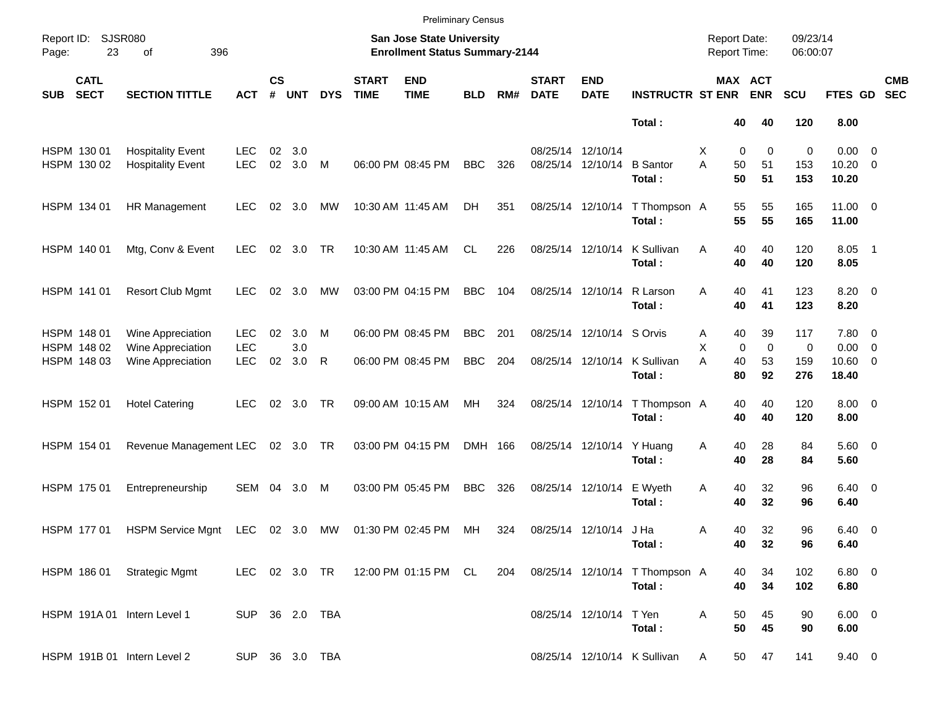|            |                            |                                                      |                          |                    |            |                |                             | <b>Preliminary Census</b>                                          |            |     |                             |                                        |                                          |                                            |                                        |                      |                                      |                          |
|------------|----------------------------|------------------------------------------------------|--------------------------|--------------------|------------|----------------|-----------------------------|--------------------------------------------------------------------|------------|-----|-----------------------------|----------------------------------------|------------------------------------------|--------------------------------------------|----------------------------------------|----------------------|--------------------------------------|--------------------------|
| Page:      | Report ID: SJSR080<br>23   | 396<br>of                                            |                          |                    |            |                |                             | San Jose State University<br><b>Enrollment Status Summary-2144</b> |            |     |                             |                                        |                                          | <b>Report Date:</b><br><b>Report Time:</b> |                                        | 09/23/14<br>06:00:07 |                                      |                          |
| <b>SUB</b> | <b>CATL</b><br><b>SECT</b> | <b>SECTION TITTLE</b>                                | <b>ACT</b>               | $\mathsf{cs}$<br># | <b>UNT</b> | <b>DYS</b>     | <b>START</b><br><b>TIME</b> | <b>END</b><br><b>TIME</b>                                          | <b>BLD</b> | RM# | <b>START</b><br><b>DATE</b> | <b>END</b><br><b>DATE</b>              | <b>INSTRUCTR ST ENR</b>                  |                                            | MAX ACT<br><b>ENR</b>                  | SCU                  | FTES GD                              | <b>CMB</b><br><b>SEC</b> |
|            |                            |                                                      |                          |                    |            |                |                             |                                                                    |            |     |                             |                                        | Total:                                   | 40                                         | 40                                     | 120                  | 8.00                                 |                          |
|            | HSPM 130 01<br>HSPM 130 02 | <b>Hospitality Event</b><br><b>Hospitality Event</b> | <b>LEC</b><br><b>LEC</b> | 02<br>02           | 3.0<br>3.0 | M              |                             | 06:00 PM 08:45 PM                                                  | <b>BBC</b> | 326 |                             | 08/25/14 12/10/14<br>08/25/14 12/10/14 | <b>B</b> Santor<br>Total:                | Х<br>A<br>50<br>50                         | $\mathbf 0$<br>$\mathbf 0$<br>51<br>51 | 0<br>153<br>153      | $0.00 \t 0$<br>$10.20 \t 0$<br>10.20 |                          |
|            | HSPM 134 01                | HR Management                                        | <b>LEC</b>               | 02                 | 3.0        | МW             |                             | 10:30 AM 11:45 AM                                                  | DH         | 351 |                             | 08/25/14 12/10/14                      | T Thompson A<br>Total:                   | 55<br>55                                   | 55<br>55                               | 165<br>165           | $11.00 \t 0$<br>11.00                |                          |
|            | HSPM 140 01                | Mtg, Conv & Event                                    | <b>LEC</b>               |                    | 02 3.0     | <b>TR</b>      |                             | 10:30 AM 11:45 AM                                                  | CL.        | 226 |                             | 08/25/14 12/10/14                      | K Sullivan<br>Total:                     | 40<br>A<br>40                              | 40<br>40                               | 120<br>120           | 8.05 1<br>8.05                       |                          |
|            | HSPM 141 01                | <b>Resort Club Mgmt</b>                              | <b>LEC</b>               | 02                 | 3.0        | МW             |                             | 03:00 PM 04:15 PM                                                  | <b>BBC</b> | 104 | 08/25/14 12/10/14           |                                        | R Larson<br>Total:                       | 40<br>A<br>40                              | 41<br>41                               | 123<br>123           | $8.20 \ 0$<br>8.20                   |                          |
|            | HSPM 148 01<br>HSPM 148 02 | Wine Appreciation<br>Wine Appreciation               | <b>LEC</b><br><b>LEC</b> | 02                 | 3.0<br>3.0 | M              |                             | 06:00 PM 08:45 PM                                                  | <b>BBC</b> | 201 |                             | 08/25/14 12/10/14 S Orvis              |                                          | 40<br>Α<br>X                               | 39<br>$\mathbf 0$<br>$\mathbf 0$       | 117<br>0             | 7.80 0<br>$0.00 \t 0$                |                          |
|            | HSPM 148 03                | Wine Appreciation                                    | <b>LEC</b>               | 02                 | 3.0        | R              |                             | 06:00 PM 08:45 PM                                                  | <b>BBC</b> | 204 |                             | 08/25/14 12/10/14                      | K Sullivan<br>Total:                     | A<br>40<br>80                              | 53<br>92                               | 159<br>276           | 10.60 0<br>18.40                     |                          |
|            | HSPM 152 01                | <b>Hotel Catering</b>                                | <b>LEC</b>               | 02                 | 3.0        | TR             |                             | 09:00 AM 10:15 AM                                                  | MH         | 324 |                             | 08/25/14 12/10/14                      | T Thompson A<br>Total:                   | 40<br>40                                   | 40<br>40                               | 120<br>120           | $8.00 \t 0$<br>8.00                  |                          |
|            | HSPM 154 01                | Revenue Management LEC                               |                          |                    | 02 3.0 TR  |                |                             | 03:00 PM 04:15 PM                                                  | DMH 166    |     |                             | 08/25/14 12/10/14                      | Y Huang<br>Total:                        | 40<br>Α<br>40                              | 28<br>28                               | 84<br>84             | $5.60$ 0<br>5.60                     |                          |
|            | HSPM 175 01                | Entrepreneurship                                     | SEM                      | 04                 | 3.0        | M              |                             | 03:00 PM 05:45 PM                                                  | <b>BBC</b> | 326 |                             | 08/25/14 12/10/14                      | E Wyeth<br>Total:                        | 40<br>Α<br>40                              | 32<br>32                               | 96<br>96             | $6.40 \quad 0$<br>6.40               |                          |
|            | HSPM 177 01                | <b>HSPM Service Mgnt</b>                             | LEC                      |                    | 02 3.0     | MW             |                             | 01:30 PM 02:45 PM                                                  | МH         | 324 |                             | 08/25/14 12/10/14 J Ha                 | Total :                                  | 40<br>Α                                    | 32<br>40<br>32                         | 96<br>96             | $6.40 \quad 0$<br>6.40               |                          |
|            |                            | HSPM 186 01 Strategic Mgmt                           |                          |                    |            |                |                             | LEC 02 3.0 TR 12:00 PM 01:15 PM CL                                 |            | 204 |                             |                                        | 08/25/14 12/10/14 T Thompson A<br>Total: | 40<br>40                                   | 34<br>34                               | 102<br>102           | 6.80 0<br>6.80                       |                          |
|            |                            | HSPM 191A 01 Intern Level 1                          | SUP 36 2.0 TBA           |                    |            |                |                             |                                                                    |            |     |                             | 08/25/14 12/10/14                      | T Yen<br>Total:                          | 50<br>Α<br>50                              | 45<br>45                               | 90<br>90             | $6.00 \t 0$<br>6.00                  |                          |
|            |                            | HSPM 191B 01 Intern Level 2                          |                          |                    |            | SUP 36 3.0 TBA |                             |                                                                    |            |     |                             |                                        | 08/25/14 12/10/14 K Sullivan             | A                                          | 50<br>47                               | 141                  | $9.40 \ 0$                           |                          |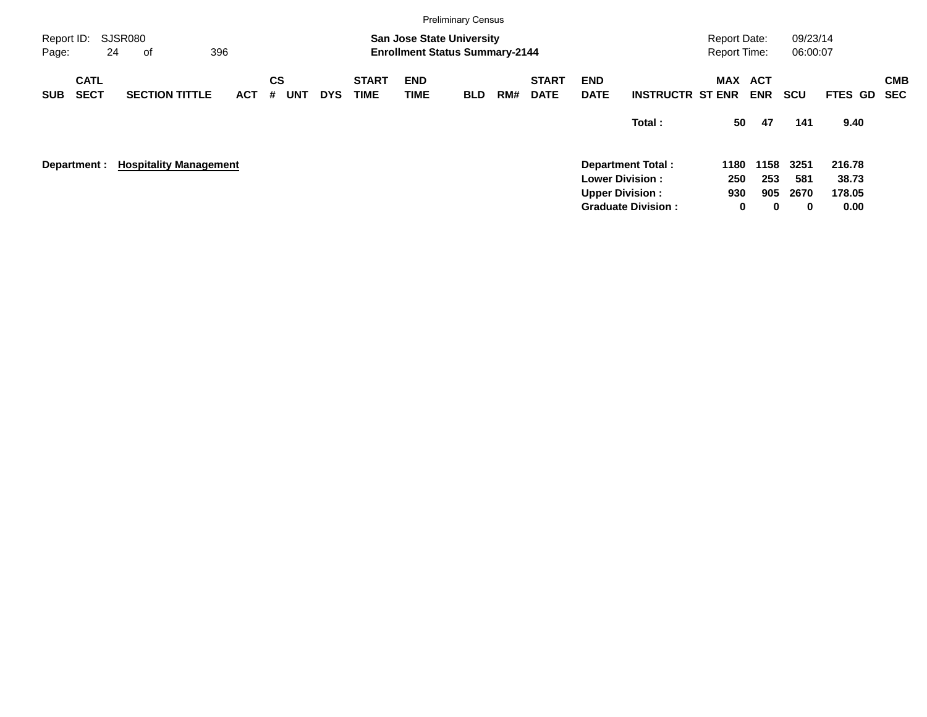|                     |                            |                               |     |            |                |            |            |                             |                           | <b>Preliminary Census</b>                                                 |     |                             |                           |                           |                                            |                          |                      |             |            |
|---------------------|----------------------------|-------------------------------|-----|------------|----------------|------------|------------|-----------------------------|---------------------------|---------------------------------------------------------------------------|-----|-----------------------------|---------------------------|---------------------------|--------------------------------------------|--------------------------|----------------------|-------------|------------|
| Report ID:<br>Page: |                            | <b>SJSR080</b><br>24<br>0f    | 396 |            |                |            |            |                             |                           | <b>San Jose State University</b><br><b>Enrollment Status Summary-2144</b> |     |                             |                           |                           | <b>Report Date:</b><br><b>Report Time:</b> |                          | 09/23/14<br>06:00:07 |             |            |
| <b>SUB</b>          | <b>CATL</b><br><b>SECT</b> | <b>SECTION TITTLE</b>         |     | <b>ACT</b> | <b>CS</b><br># | <b>UNT</b> | <b>DYS</b> | <b>START</b><br><b>TIME</b> | <b>END</b><br><b>TIME</b> | <b>BLD</b>                                                                | RM# | <b>START</b><br><b>DATE</b> | <b>END</b><br><b>DATE</b> | <b>INSTRUCTR ST ENR</b>   | MAX                                        | <b>ACT</b><br><b>ENR</b> | <b>SCU</b>           | FTES GD SEC | <b>CMB</b> |
|                     |                            |                               |     |            |                |            |            |                             |                           |                                                                           |     |                             |                           | Total:                    | 50                                         | 47                       | 141                  | 9.40        |            |
|                     | Department :               | <b>Hospitality Management</b> |     |            |                |            |            |                             |                           |                                                                           |     |                             |                           | <b>Department Total:</b>  | 1180                                       | 1158                     | 3251                 | 216.78      |            |
|                     |                            |                               |     |            |                |            |            |                             |                           |                                                                           |     |                             |                           | <b>Lower Division:</b>    | 250                                        | 253                      | 581                  | 38.73       |            |
|                     |                            |                               |     |            |                |            |            |                             |                           |                                                                           |     |                             |                           | <b>Upper Division:</b>    | 930                                        | 905                      | 2670                 | 178.05      |            |
|                     |                            |                               |     |            |                |            |            |                             |                           |                                                                           |     |                             |                           | <b>Graduate Division:</b> | 0                                          | $\bf{0}$                 | $\bf{0}$             | 0.00        |            |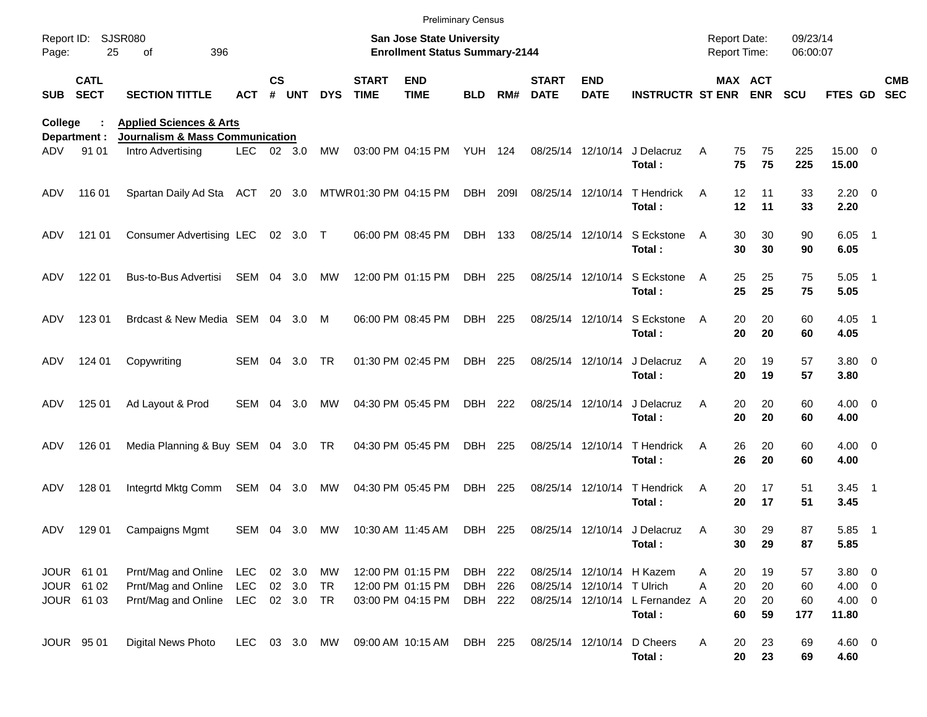|                     |                            |                                                                                  |               |               |          |            |                             | <b>Preliminary Census</b>                                                 |                |             |                             |                            |                                           |                                     |                |                      |                     |                          |                          |
|---------------------|----------------------------|----------------------------------------------------------------------------------|---------------|---------------|----------|------------|-----------------------------|---------------------------------------------------------------------------|----------------|-------------|-----------------------------|----------------------------|-------------------------------------------|-------------------------------------|----------------|----------------------|---------------------|--------------------------|--------------------------|
| Report ID:<br>Page: | 25                         | SJSR080<br>396<br>of                                                             |               |               |          |            |                             | <b>San Jose State University</b><br><b>Enrollment Status Summary-2144</b> |                |             |                             |                            |                                           | <b>Report Date:</b><br>Report Time: |                | 09/23/14<br>06:00:07 |                     |                          |                          |
| <b>SUB</b>          | <b>CATL</b><br><b>SECT</b> | <b>SECTION TITTLE</b>                                                            | ACT           | $\mathsf{cs}$ | # UNT    | <b>DYS</b> | <b>START</b><br><b>TIME</b> | <b>END</b><br><b>TIME</b>                                                 | <b>BLD</b>     | RM#         | <b>START</b><br><b>DATE</b> | <b>END</b><br><b>DATE</b>  | <b>INSTRUCTR ST ENR ENR</b>               |                                     | MAX ACT        | <b>SCU</b>           | FTES GD             |                          | <b>CMB</b><br><b>SEC</b> |
| College             | Department :               | <b>Applied Sciences &amp; Arts</b><br><b>Journalism &amp; Mass Communication</b> |               |               |          |            |                             |                                                                           |                |             |                             |                            |                                           |                                     |                |                      |                     |                          |                          |
| ADV                 | 91 01                      | Intro Advertising                                                                | LEC.          |               | 02 3.0   | MW         |                             | 03:00 PM 04:15 PM                                                         | YUH 124        |             |                             | 08/25/14 12/10/14          | J Delacruz<br>Total:                      | A<br>75<br>75                       | 75<br>75       | 225<br>225           | 15.00 0<br>15.00    |                          |                          |
| ADV                 | 116 01                     | Spartan Daily Ad Sta                                                             | ACT           |               | 20 3.0   |            | MTWR01:30 PM 04:15 PM       |                                                                           | DBH            | <b>2091</b> | 08/25/14 12/10/14           |                            | T Hendrick<br>Total:                      | 12<br>A<br>12                       | 11<br>11       | 33<br>33             | $2.20 \t 0$<br>2.20 |                          |                          |
| ADV                 | 121 01                     | <b>Consumer Advertising LEC</b>                                                  |               |               | 02 3.0 T |            |                             | 06:00 PM 08:45 PM                                                         | DBH 133        |             |                             | 08/25/14 12/10/14          | S Eckstone<br>Total:                      | 30<br>A<br>30                       | 30<br>30       | 90<br>90             | $6.05$ 1<br>6.05    |                          |                          |
| ADV                 | 122 01                     | Bus-to-Bus Advertisi                                                             | SEM           | 04            | 3.0      | MW         |                             | 12:00 PM 01:15 PM                                                         | DBH 225        |             |                             | 08/25/14 12/10/14          | S Eckstone<br>Total:                      | 25<br>A<br>25                       | 25<br>25       | 75<br>75             | $5.05$ 1<br>5.05    |                          |                          |
| ADV                 | 123 01                     | Brdcast & New Media SEM 04                                                       |               |               | 3.0      | M          |                             | 06:00 PM 08:45 PM                                                         | DBH 225        |             |                             | 08/25/14 12/10/14          | S Eckstone<br>Total:                      | 20<br>A<br>20                       | 20<br>20       | 60<br>60             | $4.05$ 1<br>4.05    |                          |                          |
| ADV                 | 124 01                     | Copywriting                                                                      | SEM 04        |               | 3.0      | TR         |                             | 01:30 PM 02:45 PM                                                         | DBH 225        |             | 08/25/14 12/10/14           |                            | J Delacruz<br>Total:                      | A<br>20<br>20                       | 19<br>19       | 57<br>57             | $3.80\ 0$<br>3.80   |                          |                          |
| ADV                 | 125 01                     | Ad Layout & Prod                                                                 | SEM           | 04            | 3.0      | MW         |                             | 04:30 PM 05:45 PM                                                         | DBH 222        |             | 08/25/14 12/10/14           |                            | J Delacruz<br>Total:                      | A<br>20<br>20                       | 20<br>20       | 60<br>60             | $4.00 \ 0$<br>4.00  |                          |                          |
| ADV                 | 126 01                     | Media Planning & Buy SEM 04 3.0 TR                                               |               |               |          |            |                             | 04:30 PM 05:45 PM                                                         | DBH 225        |             | 08/25/14 12/10/14           |                            | T Hendrick<br>Total:                      | 26<br>A<br>26                       | 20<br>20       | 60<br>60             | $4.00 \ 0$<br>4.00  |                          |                          |
| ADV                 | 128 01                     | Integrtd Mktg Comm                                                               | SEM           | 04            | 3.0      | МW         |                             | 04:30 PM 05:45 PM                                                         | <b>DBH 225</b> |             | 08/25/14 12/10/14           |                            | T Hendrick<br>Total:                      | 20<br>A<br>20                       | 17<br>17       | 51<br>51             | $3.45$ 1<br>3.45    |                          |                          |
| ADV                 | 129 01                     | <b>Campaigns Mgmt</b>                                                            | SEM 04        |               | 3.0      | MW         | 10:30 AM 11:45 AM           |                                                                           | DBH            | 225         |                             |                            | 08/25/14 12/10/14 J Delacruz<br>Total:    | 30<br>A                             | 29<br>30<br>29 | 87<br>87             | 5.85<br>5.85        | $\overline{\phantom{1}}$ |                          |
|                     | JOUR 61 01                 | Prnt/Mag and Online                                                              | LEC           |               | 02 3.0   | MW         |                             | 12:00 PM 01:15 PM                                                         | DBH 222        |             |                             |                            | 08/25/14 12/10/14 H Kazem                 | 20<br>A                             | 19             | 57                   | 3.80 0              |                          |                          |
|                     | JOUR 61 02                 | Prnt/Mag and Online                                                              | LEC           |               | 02 3.0   | TR         |                             | 12:00 PM 01:15 PM                                                         | DBH            | 226         |                             | 08/25/14 12/10/14 T Ulrich |                                           | 20<br>A                             | 20             | 60                   | $4.00 \ 0$          |                          |                          |
|                     | JOUR 61 03                 | Prnt/Mag and Online                                                              | LEC           |               | 02 3.0   | TR         |                             | 03:00 PM 04:15 PM                                                         | DBH 222        |             |                             |                            | 08/25/14 12/10/14 L Fernandez A<br>Total: | 20<br>60                            | 20<br>59       | 60<br>177            | $4.00 \ 0$<br>11.80 |                          |                          |
|                     | JOUR 95 01                 | Digital News Photo                                                               | LEC 03 3.0 MW |               |          |            |                             | 09:00 AM 10:15 AM                                                         | DBH 225        |             | 08/25/14 12/10/14           |                            | D Cheers<br>Total:                        | A<br>20                             | 23<br>20<br>23 | 69<br>69             | $4.60 \ 0$<br>4.60  |                          |                          |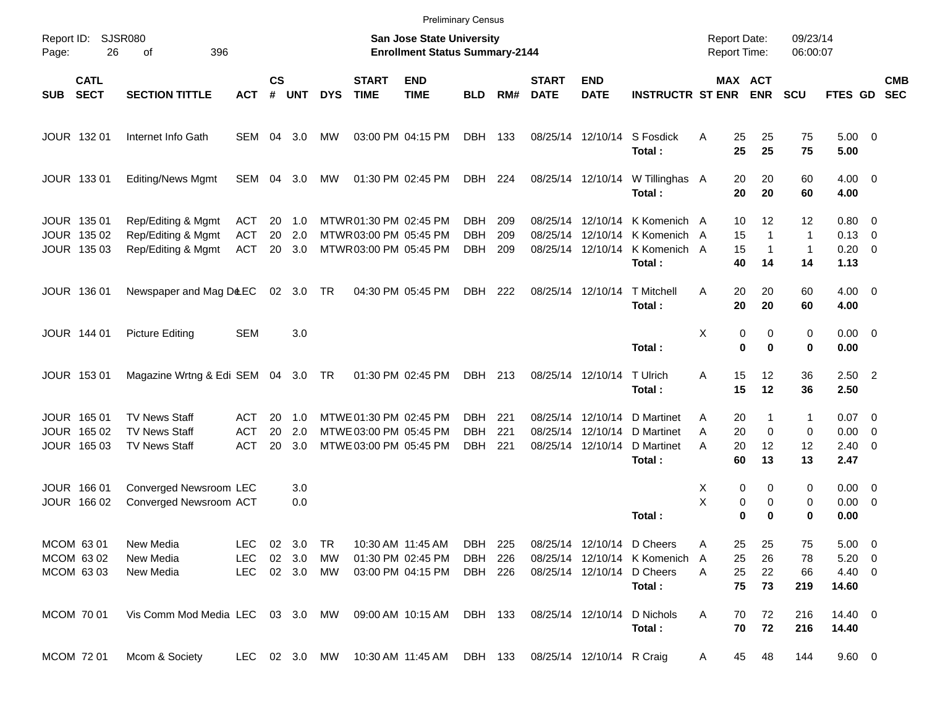|       |                                           |                                                                      |                                 |                    |                               |            |                                                                            |                                                                    | <b>Preliminary Census</b>        |                   |                             |                                                    |                                                        |             |                                                                  |                                          |                                                    |                          |                          |
|-------|-------------------------------------------|----------------------------------------------------------------------|---------------------------------|--------------------|-------------------------------|------------|----------------------------------------------------------------------------|--------------------------------------------------------------------|----------------------------------|-------------------|-----------------------------|----------------------------------------------------|--------------------------------------------------------|-------------|------------------------------------------------------------------|------------------------------------------|----------------------------------------------------|--------------------------|--------------------------|
| Page: | Report ID: SJSR080<br>26                  | 396<br>оf                                                            |                                 |                    |                               |            |                                                                            | San Jose State University<br><b>Enrollment Status Summary-2144</b> |                                  |                   |                             |                                                    |                                                        |             | <b>Report Date:</b><br><b>Report Time:</b>                       | 09/23/14<br>06:00:07                     |                                                    |                          |                          |
| SUB   | <b>CATL</b><br><b>SECT</b>                | <b>SECTION TITTLE</b>                                                | <b>ACT</b>                      | $\mathsf{cs}$<br># | <b>UNT</b>                    | <b>DYS</b> | <b>START</b><br><b>TIME</b>                                                | <b>END</b><br><b>TIME</b>                                          | <b>BLD</b>                       | RM#               | <b>START</b><br><b>DATE</b> | <b>END</b><br><b>DATE</b>                          | <b>INSTRUCTR ST ENR</b>                                |             | MAX ACT<br><b>ENR</b>                                            | <b>SCU</b>                               | FTES GD                                            |                          | <b>CMB</b><br><b>SEC</b> |
|       | JOUR 132 01                               | Internet Info Gath                                                   | SEM                             |                    | 04 3.0                        | MW         |                                                                            | 03:00 PM 04:15 PM                                                  | DBH                              | 133               |                             | 08/25/14 12/10/14                                  | S Fosdick<br>Total:                                    | A           | 25<br>25<br>25<br>25                                             | 75<br>75                                 | $5.00 \t 0$<br>5.00                                |                          |                          |
|       | JOUR 133 01                               | <b>Editing/News Mgmt</b>                                             | SEM 04 3.0                      |                    |                               | MW         |                                                                            | 01:30 PM 02:45 PM                                                  | DBH 224                          |                   |                             | 08/25/14 12/10/14                                  | W Tillinghas A<br>Total:                               |             | 20<br>20<br>20<br>20                                             | 60<br>60                                 | $4.00 \ 0$<br>4.00                                 |                          |                          |
|       | JOUR 135 01<br>JOUR 135 02<br>JOUR 135 03 | Rep/Editing & Mgmt<br>Rep/Editing & Mgmt<br>Rep/Editing & Mgmt       | ACT<br><b>ACT</b><br><b>ACT</b> | 20<br>20<br>20     | 1.0<br>2.0<br>3.0             |            | MTWR01:30 PM 02:45 PM<br>MTWR03:00 PM 05:45 PM<br>MTWR 03:00 PM 05:45 PM   |                                                                    | DBH.<br><b>DBH</b><br><b>DBH</b> | 209<br>209<br>209 | 08/25/14                    | 08/25/14 12/10/14<br>12/10/14<br>08/25/14 12/10/14 | K Komenich A<br>K Komenich A<br>K Komenich A<br>Total: |             | 10<br>12<br>15<br>$\mathbf{1}$<br>15<br>$\mathbf{1}$<br>40<br>14 | 12<br>$\mathbf{1}$<br>$\mathbf{1}$<br>14 | $0.80 \ 0$<br>$0.13 \quad 0$<br>$0.20 \ 0$<br>1.13 |                          |                          |
|       | JOUR 136 01                               | Newspaper and Mag D&EC                                               |                                 |                    | 02 3.0 TR                     |            |                                                                            | 04:30 PM 05:45 PM                                                  | DBH                              | 222               |                             | 08/25/14 12/10/14                                  | <b>T</b> Mitchell<br>Total:                            | A           | 20<br>20<br>20<br>20                                             | 60<br>60                                 | $4.00 \ 0$<br>4.00                                 |                          |                          |
|       | JOUR 144 01                               | <b>Picture Editing</b>                                               | <b>SEM</b>                      |                    | 3.0                           |            |                                                                            |                                                                    |                                  |                   |                             |                                                    | Total:                                                 | X           | 0<br>0<br>$\mathbf 0$<br>$\bf{0}$                                | 0<br>0                                   | $0.00 \t 0$<br>0.00                                |                          |                          |
|       | JOUR 153 01                               | Magazine Wrtng & Edi SEM 04 3.0 TR                                   |                                 |                    |                               |            | 01:30 PM 02:45 PM                                                          |                                                                    | DBH 213                          |                   |                             | 08/25/14 12/10/14                                  | T Ulrich<br>Total:                                     | Α           | 15<br>12<br>15<br>12                                             | 36<br>36                                 | $2.50$ 2<br>2.50                                   |                          |                          |
|       | JOUR 165 01<br>JOUR 165 02<br>JOUR 165 03 | <b>TV News Staff</b><br><b>TV News Staff</b><br><b>TV News Staff</b> | ACT<br><b>ACT</b><br><b>ACT</b> | 20<br>20<br>20     | 1.0<br>2.0<br>3.0             |            | MTWE 01:30 PM 02:45 PM<br>MTWE 03:00 PM 05:45 PM<br>MTWE 03:00 PM 05:45 PM |                                                                    | DBH.<br><b>DBH</b><br><b>DBH</b> | 221<br>221<br>221 | 08/25/14                    | 08/25/14 12/10/14<br>12/10/14<br>08/25/14 12/10/14 | D Martinet<br>D Martinet<br>D Martinet<br>Total:       | Α<br>Α<br>A | 20<br>1<br>20<br>$\mathbf 0$<br>20<br>12<br>60<br>13             | 1<br>0<br>12<br>13                       | $0.07$ 0<br>0.00<br>$2.40 \quad 0$<br>2.47         | $\overline{\phantom{0}}$ |                          |
|       | JOUR 166 01<br>JOUR 166 02                | Converged Newsroom LEC<br>Converged Newsroom ACT                     |                                 |                    | 3.0<br>0.0                    |            |                                                                            |                                                                    |                                  |                   |                             |                                                    | Total:                                                 | Х<br>X      | 0<br>0<br>0<br>0<br>$\bf{0}$<br>0                                | 0<br>0<br>0                              | $0.00 \t 0$<br>$0.00 \t 0$<br>0.00                 |                          |                          |
|       | MCOM 63 01<br>MCOM 63 02<br>MCOM 63 03    | New Media<br>New Media<br>New Media                                  | LEC<br>LEC.<br><b>LEC</b>       |                    | 02 3.0<br>02 3.0<br>02 3.0 MW | TR<br>МW   |                                                                            | 10:30 AM 11:45 AM<br>01:30 PM 02:45 PM<br>03:00 PM 04:15 PM        | DBH 225<br>DBH<br>DBH 226        | 226               |                             | 08/25/14 12/10/14 D Cheers<br>08/25/14 12/10/14    | 08/25/14 12/10/14 K Komenich<br>D Cheers<br>Total:     | A<br>A<br>A | 25<br>25<br>25<br>26<br>25<br>22<br>75<br>73                     | 75<br>78<br>66<br>219                    | $5.00 \t 0$<br>$5.20 \t 0$<br>4.40 0<br>14.60      |                          |                          |
|       | MCOM 70 01                                | Vis Comm Mod Media LEC 03 3.0 MW                                     |                                 |                    |                               |            | 09:00 AM 10:15 AM                                                          |                                                                    | DBH 133                          |                   |                             | 08/25/14 12/10/14                                  | D Nichols<br>Total:                                    | A           | 72<br>70<br>70<br>72                                             | 216<br>216                               | 14.40 0<br>14.40                                   |                          |                          |
|       | MCOM 72 01                                | Mcom & Society                                                       | LEC 02 3.0 MW                   |                    |                               |            | 10:30 AM 11:45 AM DBH 133                                                  |                                                                    |                                  |                   |                             | 08/25/14 12/10/14 R Craig                          |                                                        | A           | 45<br>48                                                         | 144                                      | 9.60 0                                             |                          |                          |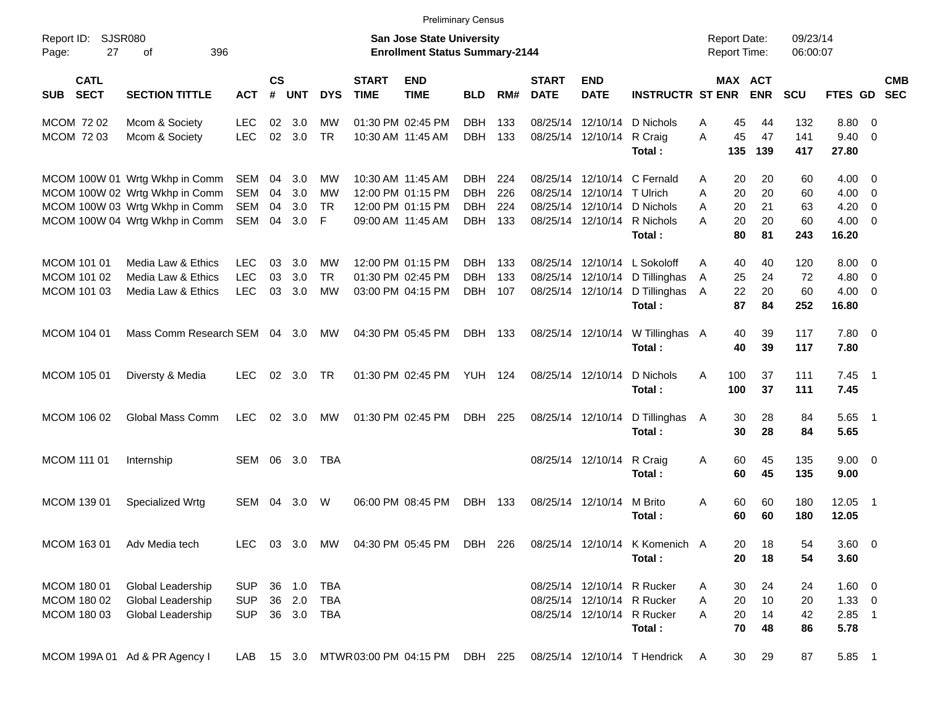|                                           |                                                                                                                                      |                                        |                      |                            |                                       |                             |                                                                                  | <b>Preliminary Census</b>                            |                          |                                  |                           |                                                                                                  |                  |                                                          |                             |                                          |                                      |                          |
|-------------------------------------------|--------------------------------------------------------------------------------------------------------------------------------------|----------------------------------------|----------------------|----------------------------|---------------------------------------|-----------------------------|----------------------------------------------------------------------------------|------------------------------------------------------|--------------------------|----------------------------------|---------------------------|--------------------------------------------------------------------------------------------------|------------------|----------------------------------------------------------|-----------------------------|------------------------------------------|--------------------------------------|--------------------------|
| Report ID:<br>Page:                       | SJSR080<br>27<br>396<br>οf                                                                                                           |                                        |                      |                            |                                       |                             | <b>San Jose State University</b><br><b>Enrollment Status Summary-2144</b>        |                                                      |                          |                                  |                           |                                                                                                  |                  | <b>Report Date:</b><br><b>Report Time:</b>               | 09/23/14<br>06:00:07        |                                          |                                      |                          |
| <b>CATL</b><br><b>SECT</b><br><b>SUB</b>  | <b>SECTION TITTLE</b>                                                                                                                | <b>ACT</b>                             | $\mathsf{cs}$<br>#   | <b>UNT</b>                 | <b>DYS</b>                            | <b>START</b><br><b>TIME</b> | <b>END</b><br><b>TIME</b>                                                        | <b>BLD</b>                                           | RM#                      | <b>START</b><br><b>DATE</b>      | <b>END</b><br><b>DATE</b> | <b>INSTRUCTR ST ENR</b>                                                                          |                  | <b>MAX ACT</b><br><b>ENR</b>                             | <b>SCU</b>                  | <b>FTES GD</b>                           |                                      | <b>CMB</b><br><b>SEC</b> |
| MCOM 72 02<br>MCOM 72 03                  | Mcom & Society<br>Mcom & Society                                                                                                     | <b>LEC</b><br><b>LEC</b>               | 02<br>02             | 3.0<br>3.0                 | MW<br><b>TR</b>                       |                             | 01:30 PM 02:45 PM<br>10:30 AM 11:45 AM                                           | <b>DBH</b><br><b>DBH</b>                             | 133<br>133               | 08/25/14<br>08/25/14             | 12/10/14                  | 12/10/14 D Nichols<br>R Craig<br>Total:                                                          | Α<br>A<br>135    | 45<br>44<br>45<br>47<br>139                              | 132<br>141<br>417           | 8.80<br>9.40<br>27.80                    | - 0<br>$\overline{0}$                |                          |
|                                           | MCOM 100W 01 Wrtg Wkhp in Comm<br>MCOM 100W 02 Wrtg Wkhp in Comm<br>MCOM 100W 03 Wrtg Wkhp in Comm<br>MCOM 100W 04 Wrtg Wkhp in Comm | SEM<br>SEM<br>SEM<br>SEM               | 04<br>04<br>04<br>04 | 3.0<br>3.0<br>3.0<br>3.0   | МW<br>MW<br><b>TR</b><br>$\mathsf{F}$ |                             | 10:30 AM 11:45 AM<br>12:00 PM 01:15 PM<br>12:00 PM 01:15 PM<br>09:00 AM 11:45 AM | <b>DBH</b><br><b>DBH</b><br><b>DBH</b><br><b>DBH</b> | 224<br>226<br>224<br>133 | 08/25/14<br>08/25/14<br>08/25/14 | 12/10/14                  | 12/10/14 C Fernald<br>T Ulrich<br>12/10/14 D Nichols<br>08/25/14 12/10/14 R Nichols<br>Total:    | A<br>A<br>A<br>A | 20<br>20<br>20<br>20<br>20<br>21<br>20<br>20<br>80<br>81 | 60<br>60<br>63<br>60<br>243 | 4.00<br>4.00<br>4.20<br>4.00<br>16.20    | - 0<br>0<br>0<br>- 0                 |                          |
| MCOM 101 01<br>MCOM 101 02<br>MCOM 101 03 | Media Law & Ethics<br>Media Law & Ethics<br>Media Law & Ethics                                                                       | <b>LEC</b><br><b>LEC</b><br><b>LEC</b> | 03<br>03<br>03       | 3.0<br>3.0<br>3.0          | МW<br><b>TR</b><br><b>MW</b>          |                             | 12:00 PM 01:15 PM<br>01:30 PM 02:45 PM<br>03:00 PM 04:15 PM                      | <b>DBH</b><br><b>DBH</b><br><b>DBH</b>               | 133<br>133<br>107        | 08/25/14<br>08/25/14<br>08/25/14 |                           | 12/10/14 L Sokoloff<br>12/10/14 D Tillinghas<br>12/10/14 D Tillinghas<br>Total:                  | A<br>Α<br>A      | 40<br>40<br>25<br>24<br>22<br>20<br>87<br>84             | 120<br>72<br>60<br>252      | 8.00<br>4.80<br>4.00<br>16.80            | $\overline{\phantom{0}}$<br>0<br>- 0 |                          |
| MCOM 104 01                               | Mass Comm Research SEM 04                                                                                                            |                                        |                      | 3.0                        | МW                                    |                             | 04:30 PM 05:45 PM                                                                | <b>DBH</b>                                           | 133                      |                                  | 08/25/14 12/10/14         | W Tillinghas A<br>Total:                                                                         |                  | 39<br>40<br>40<br>39                                     | 117<br>117                  | 7.80 0<br>7.80                           |                                      |                          |
| MCOM 105 01                               | Diversty & Media                                                                                                                     | <b>LEC</b>                             | 02                   | 3.0                        | <b>TR</b>                             |                             | 01:30 PM 02:45 PM                                                                | <b>YUH 124</b>                                       |                          |                                  | 08/25/14 12/10/14         | D Nichols<br>Total:                                                                              | 100<br>A<br>100  | 37<br>37                                                 | 111<br>111                  | $7.45$ 1<br>7.45                         |                                      |                          |
| MCOM 106 02                               | Global Mass Comm                                                                                                                     | <b>LEC</b>                             | 02                   | 3.0                        | MW                                    |                             | 01:30 PM 02:45 PM                                                                | DBH                                                  | 225                      |                                  | 08/25/14 12/10/14         | D Tillinghas<br>Total:                                                                           | A                | 30<br>28<br>30<br>28                                     | 84<br>84                    | 5.65<br>5.65                             | $\overline{\phantom{1}}$             |                          |
| <b>MCOM 111 01</b>                        | Internship                                                                                                                           | SEM                                    | 06                   | 3.0                        | TBA                                   |                             |                                                                                  |                                                      |                          |                                  | 08/25/14 12/10/14         | R Craig<br>Total:                                                                                | Α                | 60<br>45<br>45<br>60                                     | 135<br>135                  | $9.00 \t 0$<br>9.00                      |                                      |                          |
| MCOM 139 01                               | Specialized Wrtg                                                                                                                     | SEM                                    | 04                   | 3.0                        | W                                     |                             | 06:00 PM 08:45 PM                                                                | <b>DBH</b>                                           | 133                      |                                  | 08/25/14 12/10/14         | M Brito<br>Total:                                                                                | Α                | 60<br>60<br>60<br>60                                     | 180<br>180                  | 12.05<br>12.05                           | $\overline{\phantom{1}}$             |                          |
| MCOM 163 01                               | Adv Media tech                                                                                                                       | LEC.                                   |                      |                            |                                       |                             | 03 3.0 MW 04:30 PM 05:45 PM DBH 226                                              |                                                      |                          |                                  |                           | 08/25/14 12/10/14 K Komenich A<br>Total:                                                         |                  | 18<br>20<br>20<br>18                                     | 54<br>54                    | 3.60 0<br>3.60                           |                                      |                          |
| MCOM 180 01<br>MCOM 180 02<br>MCOM 180 03 | <b>Global Leadership</b><br>Global Leadership<br>Global Leadership                                                                   | <b>SUP</b><br><b>SUP</b><br><b>SUP</b> |                      | 36 1.0<br>36 2.0<br>36 3.0 | <b>TBA</b><br><b>TBA</b><br>TBA       |                             |                                                                                  |                                                      |                          |                                  |                           | 08/25/14 12/10/14 R Rucker<br>08/25/14 12/10/14 R Rucker<br>08/25/14 12/10/14 R Rucker<br>Total: | A<br>A<br>A      | 30<br>24<br>20<br>10<br>20<br>14<br>70<br>48             | 24<br>20<br>42<br>86        | 1.60 0<br>$1.33 \ 0$<br>$2.85$ 1<br>5.78 |                                      |                          |
|                                           | MCOM 199A 01 Ad & PR Agency I                                                                                                        | LAB                                    |                      | 15 3.0                     |                                       |                             | MTWR 03:00 PM 04:15 PM                                                           | DBH 225                                              |                          |                                  |                           | 08/25/14 12/10/14 T Hendrick                                                                     | $\mathsf{A}$     | 30<br>29                                                 | 87                          | 5.85 1                                   |                                      |                          |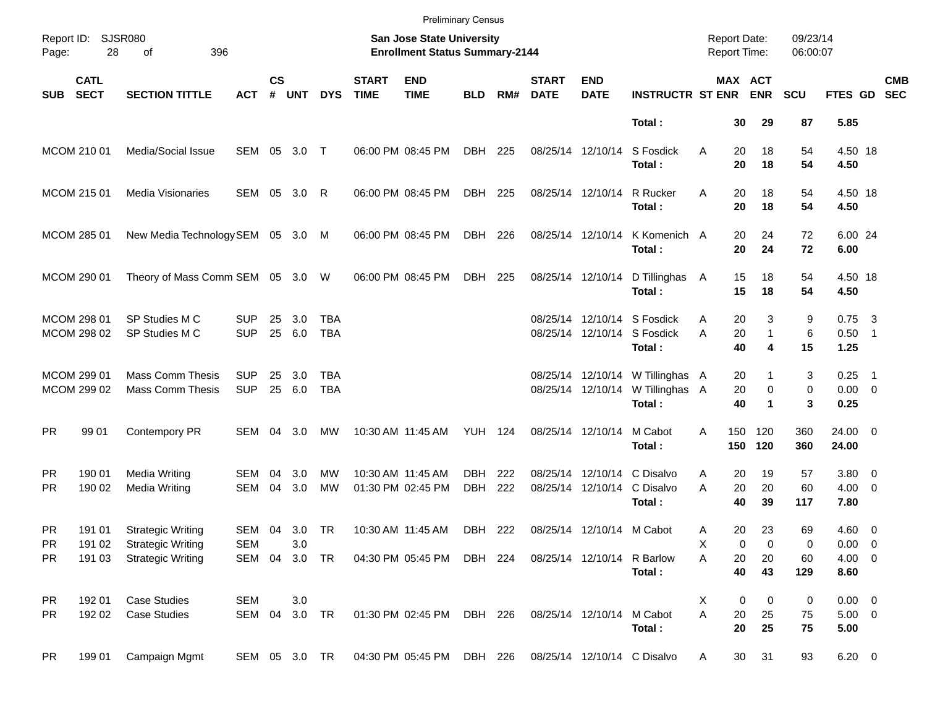|                                     |                            |                                                                                  |                             |                    |                      |                   |                             |                                                                    | <b>Preliminary Census</b> |            |                             |                                                |                                                              |                                            |                                          |                      |                                    |                          |
|-------------------------------------|----------------------------|----------------------------------------------------------------------------------|-----------------------------|--------------------|----------------------|-------------------|-----------------------------|--------------------------------------------------------------------|---------------------------|------------|-----------------------------|------------------------------------------------|--------------------------------------------------------------|--------------------------------------------|------------------------------------------|----------------------|------------------------------------|--------------------------|
| Page:                               | Report ID: SJSR080<br>28   | 396<br>of                                                                        |                             |                    |                      |                   |                             | San Jose State University<br><b>Enrollment Status Summary-2144</b> |                           |            |                             |                                                |                                                              | <b>Report Date:</b><br><b>Report Time:</b> |                                          | 09/23/14<br>06:00:07 |                                    |                          |
| SUB                                 | <b>CATL</b><br><b>SECT</b> | <b>SECTION TITTLE</b>                                                            | <b>ACT</b>                  | $\mathsf{cs}$<br># | <b>UNT</b>           | <b>DYS</b>        | <b>START</b><br><b>TIME</b> | <b>END</b><br><b>TIME</b>                                          | <b>BLD</b>                | RM#        | <b>START</b><br><b>DATE</b> | <b>END</b><br><b>DATE</b>                      | <b>INSTRUCTR ST ENR</b>                                      |                                            | MAX ACT<br><b>ENR</b>                    | <b>SCU</b>           | FTES GD                            | <b>CMB</b><br><b>SEC</b> |
|                                     |                            |                                                                                  |                             |                    |                      |                   |                             |                                                                    |                           |            |                             |                                                | Total:                                                       | 30                                         | 29                                       | 87                   | 5.85                               |                          |
|                                     | MCOM 210 01                | Media/Social Issue                                                               | SEM 05                      |                    | $3.0$ T              |                   |                             | 06:00 PM 08:45 PM                                                  | DBH                       | 225        |                             | 08/25/14 12/10/14                              | S Fosdick<br>Total:                                          | 20<br>A<br>20                              | 18<br>18                                 | 54<br>54             | 4.50 18<br>4.50                    |                          |
|                                     | MCOM 215 01                | Media Visionaries                                                                | SEM 05                      |                    | 3.0                  | R                 |                             | 06:00 PM 08:45 PM                                                  | DBH                       | 225        |                             | 08/25/14 12/10/14                              | R Rucker<br>Total:                                           | 20<br>A<br>20                              | 18<br>18                                 | 54<br>54             | 4.50 18<br>4.50                    |                          |
|                                     | MCOM 285 01                | New Media Technology SEM 05 3.0 M                                                |                             |                    |                      |                   |                             | 06:00 PM 08:45 PM                                                  | DBH                       | 226        |                             | 08/25/14 12/10/14                              | K Komenich A<br>Total:                                       | 20<br>20                                   | 24<br>24                                 | 72<br>72             | 6.00 24<br>6.00                    |                          |
|                                     | MCOM 290 01                | Theory of Mass Comm SEM 05 3.0 W                                                 |                             |                    |                      |                   |                             | 06:00 PM 08:45 PM                                                  | DBH                       | 225        |                             | 08/25/14 12/10/14                              | D Tillinghas<br>Total:                                       | 15<br>A<br>15                              | 18<br>18                                 | 54<br>54             | 4.50 18<br>4.50                    |                          |
|                                     | MCOM 298 01<br>MCOM 298 02 | SP Studies M C<br>SP Studies M C                                                 | <b>SUP</b><br><b>SUP</b>    | 25<br>25           | 3.0<br>6.0           | TBA<br><b>TBA</b> |                             |                                                                    |                           |            |                             | 08/25/14 12/10/14                              | 08/25/14 12/10/14 S Fosdick<br>S Fosdick<br>Total:           | 20<br>A<br>20<br>A<br>40                   | 3<br>$\mathbf{1}$<br>4                   | 9<br>6<br>15         | $0.75$ 3<br>$0.50$ 1<br>1.25       |                          |
|                                     | MCOM 299 01<br>MCOM 299 02 | <b>Mass Comm Thesis</b><br><b>Mass Comm Thesis</b>                               | <b>SUP</b><br><b>SUP</b>    | 25<br>25           | 3.0<br>6.0           | TBA<br><b>TBA</b> |                             |                                                                    |                           |            |                             | 08/25/14 12/10/14                              | 08/25/14 12/10/14 W Tillinghas A<br>W Tillinghas A<br>Total: | 20<br>20<br>40                             | 1<br>$\mathbf 0$<br>$\blacktriangleleft$ | 3<br>0<br>3          | $0.25$ 1<br>$0.00 \t 0$<br>0.25    |                          |
| <b>PR</b>                           | 99 01                      | Contempory PR                                                                    | SEM 04 3.0                  |                    |                      | MW                |                             | 10:30 AM 11:45 AM                                                  | <b>YUH 124</b>            |            | 08/25/14 12/10/14           |                                                | M Cabot<br>Total:                                            | 150<br>A<br>150                            | 120<br>120                               | 360<br>360           | 24.00 0<br>24.00                   |                          |
| <b>PR</b><br><b>PR</b>              | 190 01<br>190 02           | Media Writing<br>Media Writing                                                   | SEM<br>SEM                  | 04<br>04           | 3.0<br>3.0           | MW<br><b>MW</b>   |                             | 10:30 AM 11:45 AM<br>01:30 PM 02:45 PM                             | <b>DBH</b><br><b>DBH</b>  | 222<br>222 |                             | 08/25/14 12/10/14<br>08/25/14 12/10/14         | C Disalvo<br>C Disalvo<br>Total:                             | A<br>20<br>A<br>20<br>40                   | 19<br>20<br>39                           | 57<br>60<br>117      | $3.80\ 0$<br>$4.00 \ 0$<br>7.80    |                          |
| <b>PR</b><br><b>PR</b><br><b>PR</b> | 191 01<br>191 02<br>191 03 | <b>Strategic Writing</b><br><b>Strategic Writing</b><br><b>Strategic Writing</b> | <b>SEM</b><br>SEM 04 3.0 TR |                    | SEM 04 3.0 TR<br>3.0 |                   |                             | 10:30 AM 11:45 AM<br>04:30 PM 05:45 PM DBH 224                     | DBH                       | 222        |                             | 08/25/14 12/10/14 M Cabot<br>08/25/14 12/10/14 | R Barlow                                                     | 20<br>Α<br>х<br>Α<br>20                    | 23<br>0<br>0<br>20                       | 69<br>0<br>60        | $4.60$ 0<br>$0.00 \t 0$<br>4.00 0  |                          |
| <b>PR</b><br><b>PR</b>              | 192 01<br>192 02           | <b>Case Studies</b><br><b>Case Studies</b>                                       | <b>SEM</b><br>SEM 04        |                    | 3.0<br>3.0 TR        |                   |                             | 01:30 PM 02:45 PM                                                  | DBH 226                   |            | 08/25/14 12/10/14           |                                                | Total:<br>M Cabot                                            | 40<br>X<br>A<br>$20\,$                     | 43<br>0<br>0<br>25                       | 129<br>0<br>75       | 8.60<br>$0.00 \t 0$<br>$5.00 \t 0$ |                          |
| <b>PR</b>                           | 199 01                     | Campaign Mgmt                                                                    | SEM 05 3.0 TR               |                    |                      |                   |                             | 04:30 PM 05:45 PM                                                  | DBH 226                   |            |                             |                                                | Total:<br>08/25/14 12/10/14 C Disalvo                        | 20<br>30<br>A                              | 25<br>31                                 | 75<br>93             | 5.00<br>$6.20\ 0$                  |                          |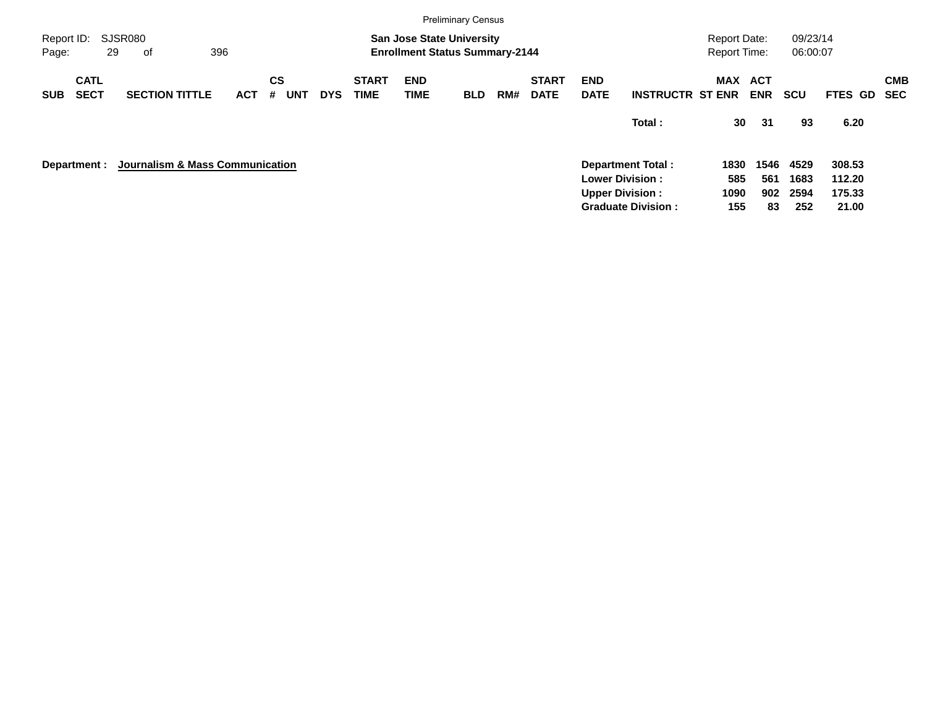|                     |                            |                                 |     |            |                |            |            |                             |                           | <b>Preliminary Census</b>                                                 |     |                             |                           |                           |                                     |                          |                      |                |                          |
|---------------------|----------------------------|---------------------------------|-----|------------|----------------|------------|------------|-----------------------------|---------------------------|---------------------------------------------------------------------------|-----|-----------------------------|---------------------------|---------------------------|-------------------------------------|--------------------------|----------------------|----------------|--------------------------|
| Report ID:<br>Page: |                            | SJSR080<br>29<br>οf             | 396 |            |                |            |            |                             |                           | <b>San Jose State University</b><br><b>Enrollment Status Summary-2144</b> |     |                             |                           |                           | <b>Report Date:</b><br>Report Time: |                          | 09/23/14<br>06:00:07 |                |                          |
| <b>SUB</b>          | <b>CATL</b><br><b>SECT</b> | <b>SECTION TITTLE</b>           |     | <b>ACT</b> | <b>CS</b><br># | <b>UNT</b> | <b>DYS</b> | <b>START</b><br><b>TIME</b> | <b>END</b><br><b>TIME</b> | <b>BLD</b>                                                                | RM# | <b>START</b><br><b>DATE</b> | <b>END</b><br><b>DATE</b> | <b>INSTRUCTR ST ENR</b>   | MAX                                 | <b>ACT</b><br><b>ENR</b> | <b>SCU</b>           | <b>FTES GD</b> | <b>CMB</b><br><b>SEC</b> |
|                     |                            |                                 |     |            |                |            |            |                             |                           |                                                                           |     |                             |                           | Total:                    | 30                                  | 31                       | 93                   | 6.20           |                          |
|                     | Department :               | Journalism & Mass Communication |     |            |                |            |            |                             |                           |                                                                           |     |                             |                           | <b>Department Total:</b>  | 1830                                | 1546                     | 4529                 | 308.53         |                          |
|                     |                            |                                 |     |            |                |            |            |                             |                           |                                                                           |     |                             |                           | <b>Lower Division:</b>    | 585                                 | 561                      | 1683                 | 112.20         |                          |
|                     |                            |                                 |     |            |                |            |            |                             |                           |                                                                           |     |                             |                           | <b>Upper Division:</b>    | 1090                                | 902                      | 2594                 | 175.33         |                          |
|                     |                            |                                 |     |            |                |            |            |                             |                           |                                                                           |     |                             |                           | <b>Graduate Division:</b> | 155                                 | 83                       | 252                  | 21.00          |                          |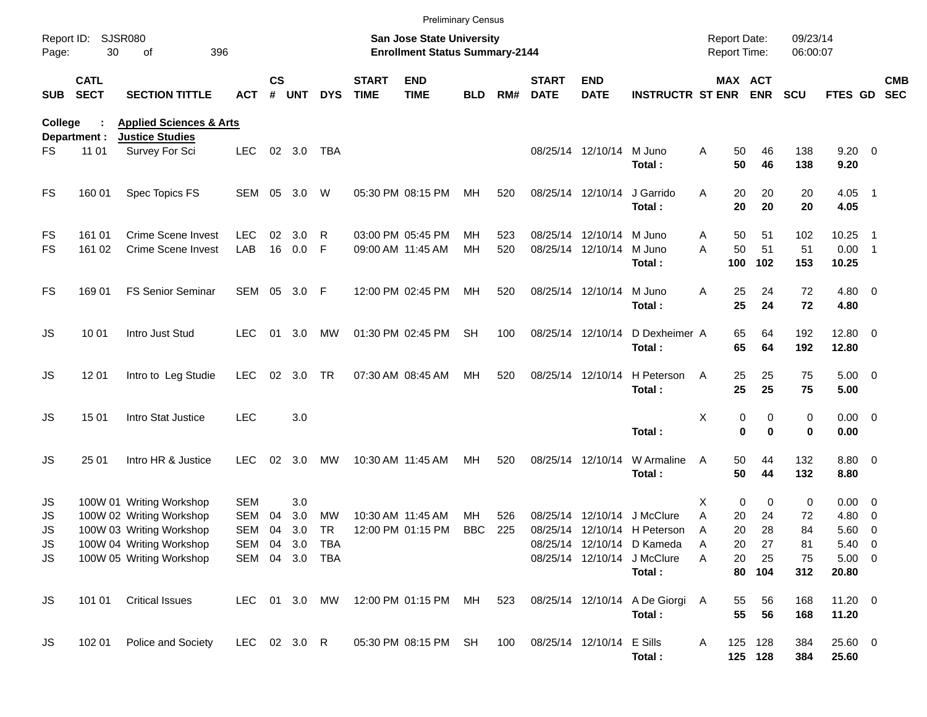|                     |                            |                                                              |                   |                    |            |            |                             | <b>Preliminary Census</b>                                                 |            |            |                             |                                               |                                           |                                     |                    |                      |                            |                          |                          |
|---------------------|----------------------------|--------------------------------------------------------------|-------------------|--------------------|------------|------------|-----------------------------|---------------------------------------------------------------------------|------------|------------|-----------------------------|-----------------------------------------------|-------------------------------------------|-------------------------------------|--------------------|----------------------|----------------------------|--------------------------|--------------------------|
| Report ID:<br>Page: | <b>SJSR080</b><br>30       | 396<br>of                                                    |                   |                    |            |            |                             | <b>San Jose State University</b><br><b>Enrollment Status Summary-2144</b> |            |            |                             |                                               |                                           | <b>Report Date:</b><br>Report Time: |                    | 09/23/14<br>06:00:07 |                            |                          |                          |
| <b>SUB</b>          | <b>CATL</b><br><b>SECT</b> | <b>SECTION TITTLE</b>                                        | <b>ACT</b>        | $\mathsf{cs}$<br># | UNT        | <b>DYS</b> | <b>START</b><br><b>TIME</b> | <b>END</b><br><b>TIME</b>                                                 | <b>BLD</b> | RM#        | <b>START</b><br><b>DATE</b> | <b>END</b><br><b>DATE</b>                     | <b>INSTRUCTR ST ENR</b>                   | MAX ACT                             | <b>ENR</b>         | <b>SCU</b>           | <b>FTES GD</b>             |                          | <b>CMB</b><br><b>SEC</b> |
| <b>College</b>      | Department :               | <b>Applied Sciences &amp; Arts</b><br><b>Justice Studies</b> |                   |                    |            |            |                             |                                                                           |            |            |                             |                                               |                                           |                                     |                    |                      |                            |                          |                          |
| FS.                 | 11 01                      | Survey For Sci                                               | <b>LEC</b>        |                    | 02 3.0     | TBA        |                             |                                                                           |            |            |                             | 08/25/14 12/10/14 M Juno                      | Total:                                    | Α<br>50<br>50                       | 46<br>46           | 138<br>138           | $9.20 \ 0$<br>9.20         |                          |                          |
| FS                  | 160 01                     | Spec Topics FS                                               | SEM               | 05                 | 3.0        | W          |                             | 05:30 PM 08:15 PM                                                         | МH         | 520        |                             | 08/25/14 12/10/14                             | J Garrido<br>Total:                       | 20<br>Α<br>20                       | 20<br>20           | 20<br>20             | 4.05 1<br>4.05             |                          |                          |
| FS<br><b>FS</b>     | 161 01<br>161 02           | <b>Crime Scene Invest</b><br><b>Crime Scene Invest</b>       | <b>LEC</b><br>LAB | 02<br>16           | 3.0<br>0.0 | R<br>F     |                             | 03:00 PM 05:45 PM<br>09:00 AM 11:45 AM                                    | MН<br>MH   | 523<br>520 |                             | 08/25/14 12/10/14 M Juno<br>08/25/14 12/10/14 | M Juno<br>Total:                          | 50<br>Α<br>A<br>50<br>100           | 51<br>51<br>102    | 102<br>51<br>153     | 10.25<br>$0.00$ 1<br>10.25 | - 1                      |                          |
| FS                  | 169 01                     | <b>FS Senior Seminar</b>                                     | SEM 05 3.0        |                    |            | F          |                             | 12:00 PM 02:45 PM                                                         | MН         | 520        |                             | 08/25/14 12/10/14                             | M Juno<br>Total:                          | 25<br>Α<br>25                       | 24<br>24           | 72<br>72             | $4.80$ 0<br>4.80           |                          |                          |
| <b>JS</b>           | 10 01                      | Intro Just Stud                                              | <b>LEC</b>        | 01                 | 3.0        | МW         |                             | 01:30 PM 02:45 PM                                                         | <b>SH</b>  | 100        |                             | 08/25/14 12/10/14                             | D Dexheimer A<br>Total:                   | 65<br>65                            | 64<br>64           | 192<br>192           | 12.80 0<br>12.80           |                          |                          |
| JS                  | 12 01                      | Intro to Leg Studie                                          | <b>LEC</b>        | 02                 | 3.0        | TR         |                             | 07:30 AM 08:45 AM                                                         | МH         | 520        |                             | 08/25/14 12/10/14                             | H Peterson<br>Total:                      | 25<br>A<br>25                       | 25<br>25           | 75<br>75             | $5.00 \t 0$<br>5.00        |                          |                          |
| <b>JS</b>           | 15 01                      | Intro Stat Justice                                           | <b>LEC</b>        |                    | 3.0        |            |                             |                                                                           |            |            |                             |                                               | Total:                                    | Χ<br>0<br>0                         | 0<br>$\bf{0}$      | 0<br>0               | $0.00 \t 0$<br>0.00        |                          |                          |
| <b>JS</b>           | 25 01                      | Intro HR & Justice                                           | <b>LEC</b>        | 02                 | 3.0        | MW         |                             | 10:30 AM 11:45 AM                                                         | МH         | 520        | 08/25/14 12/10/14           |                                               | W Armaline<br>Total:                      | 50<br>A<br>50                       | 44<br>44           | 132<br>132           | 8.80 0<br>8.80             |                          |                          |
| JS                  |                            | 100W 01 Writing Workshop                                     | <b>SEM</b>        |                    | 3.0        |            |                             |                                                                           |            |            |                             |                                               |                                           | $\mathbf 0$<br>X                    | 0                  | 0                    | $0.00 \t 0$                |                          |                          |
| JS                  |                            | 100W 02 Writing Workshop                                     | <b>SEM</b>        | 04                 | 3.0        | MW         |                             | 10:30 AM 11:45 AM                                                         | MН         | 526        | 08/25/14                    | 12/10/14                                      | J McClure                                 | 20<br>Α                             | 24                 | 72                   | 4.80                       | $\overline{\phantom{0}}$ |                          |
| <b>JS</b>           |                            | 100W 03 Writing Workshop                                     | <b>SEM</b>        | 04                 | 3.0        | TR         |                             | 12:00 PM 01:15 PM                                                         | <b>BBC</b> | 225        |                             |                                               | 08/25/14 12/10/14 H Peterson              | 20<br>A                             | 28                 | 84                   | 5.60                       | $\overline{\phantom{0}}$ |                          |
| JS                  |                            | 100W 04 Writing Workshop                                     | SEM 04 3.0        |                    |            | TBA        |                             |                                                                           |            |            |                             |                                               | 08/25/14 12/10/14 D Kameda                | Α<br>20                             | 27                 | 81                   | 5.40 0                     |                          |                          |
| <b>JS</b>           |                            | 100W 05 Writing Workshop                                     | SEM 04 3.0 TBA    |                    |            |            |                             |                                                                           |            |            |                             |                                               | 08/25/14 12/10/14 J McClure<br>Total:     | 20<br>Α<br>80                       | 25<br>104          | 75<br>312            | $5.00 \t 0$<br>20.80       |                          |                          |
| <b>JS</b>           | 101 01                     | <b>Critical Issues</b>                                       | LEC 01 3.0 MW     |                    |            |            |                             | 12:00 PM 01:15 PM MH                                                      |            | 523        |                             |                                               | 08/25/14 12/10/14 A De Giorgi A<br>Total: | 55<br>55                            | 56<br>56           | 168<br>168           | 11.20 0<br>11.20           |                          |                          |
| JS                  | 102 01                     | Police and Society                                           | LEC 02 3.0 R      |                    |            |            |                             | 05:30 PM 08:15 PM SH                                                      |            | 100        |                             | 08/25/14 12/10/14 E Sills                     | Total:                                    | A                                   | 125 128<br>125 128 | 384<br>384           | 25.60 0<br>25.60           |                          |                          |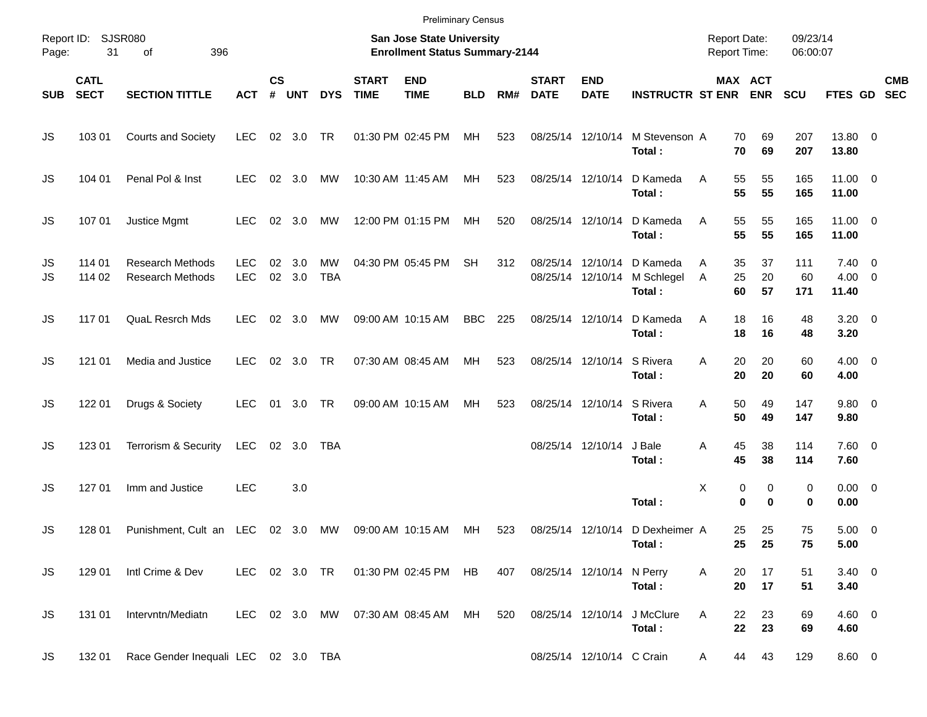|                     |                            |                                                    |                          |                |               |                  |                             | <b>Preliminary Census</b>                                          |            |     |                             |                                        |                                           |                                            |                                |                      |                                       |            |
|---------------------|----------------------------|----------------------------------------------------|--------------------------|----------------|---------------|------------------|-----------------------------|--------------------------------------------------------------------|------------|-----|-----------------------------|----------------------------------------|-------------------------------------------|--------------------------------------------|--------------------------------|----------------------|---------------------------------------|------------|
| Report ID:<br>Page: | 31                         | <b>SJSR080</b><br>396<br>of                        |                          |                |               |                  |                             | San Jose State University<br><b>Enrollment Status Summary-2144</b> |            |     |                             |                                        |                                           | <b>Report Date:</b><br><b>Report Time:</b> |                                | 09/23/14<br>06:00:07 |                                       |            |
| <b>SUB</b>          | <b>CATL</b><br><b>SECT</b> | <b>SECTION TITTLE</b>                              | <b>ACT</b>               | <b>CS</b><br># | <b>UNT</b>    | <b>DYS</b>       | <b>START</b><br><b>TIME</b> | <b>END</b><br><b>TIME</b>                                          | <b>BLD</b> | RM# | <b>START</b><br><b>DATE</b> | <b>END</b><br><b>DATE</b>              | <b>INSTRUCTR ST ENR ENR</b>               |                                            | MAX ACT                        | <b>SCU</b>           | FTES GD SEC                           | <b>CMB</b> |
| JS                  | 103 01                     | <b>Courts and Society</b>                          | <b>LEC</b>               |                | 02 3.0        | TR               |                             | 01:30 PM 02:45 PM                                                  | МH         | 523 |                             | 08/25/14 12/10/14                      | M Stevenson A<br>Total:                   | 70<br>70                                   | 69<br>69                       | 207<br>207           | 13.80 0<br>13.80                      |            |
| JS                  | 104 01                     | Penal Pol & Inst                                   | <b>LEC</b>               |                | 02 3.0        | МW               |                             | 10:30 AM 11:45 AM                                                  | MH         | 523 |                             | 08/25/14 12/10/14                      | D Kameda<br>Total:                        | 55<br>A<br>55                              | 55<br>55                       | 165<br>165           | $11.00 \t 0$<br>11.00                 |            |
| JS                  | 107 01                     | Justice Mgmt                                       | <b>LEC</b>               |                | 02 3.0        | MW               |                             | 12:00 PM 01:15 PM                                                  | МH         | 520 |                             | 08/25/14 12/10/14                      | D Kameda<br>Total:                        | 55<br>A<br>55                              | 55<br>55                       | 165<br>165           | $11.00 \t 0$<br>11.00                 |            |
| JS<br>JS            | 114 01<br>114 02           | <b>Research Methods</b><br><b>Research Methods</b> | <b>LEC</b><br><b>LEC</b> | 02             | 3.0<br>02 3.0 | MW<br><b>TBA</b> |                             | 04:30 PM 05:45 PM                                                  | SH         | 312 |                             | 08/25/14 12/10/14<br>08/25/14 12/10/14 | D Kameda<br>M Schlegel<br>Total:          | 35<br>A<br>25<br>Α<br>60                   | 37<br>20<br>57                 | 111<br>60<br>171     | $7.40 \quad 0$<br>$4.00 \ 0$<br>11.40 |            |
| JS                  | 117 01                     | <b>QuaL Resrch Mds</b>                             | <b>LEC</b>               |                | 02 3.0        | МW               |                             | 09:00 AM 10:15 AM                                                  | BBC        | 225 |                             | 08/25/14 12/10/14                      | D Kameda<br>Total:                        | 18<br>Α<br>18                              | 16<br>16                       | 48<br>48             | $3.20 \ 0$<br>3.20                    |            |
| JS                  | 121 01                     | Media and Justice                                  | <b>LEC</b>               |                | 02 3.0        | TR               |                             | 07:30 AM 08:45 AM                                                  | MH         | 523 |                             | 08/25/14 12/10/14                      | S Rivera<br>Total:                        | 20<br>A<br>20                              | 20<br>20                       | 60<br>60             | $4.00 \ 0$<br>4.00                    |            |
| JS                  | 122 01                     | Drugs & Society                                    | <b>LEC</b>               |                | 01 3.0        | TR               |                             | 09:00 AM 10:15 AM                                                  | MH         | 523 |                             | 08/25/14 12/10/14                      | S Rivera<br>Total:                        | 50<br>Α<br>50                              | 49<br>49                       | 147<br>147           | 9.80 0<br>9.80                        |            |
| JS                  | 123 01                     | Terrorism & Security                               | LEC                      |                | 02 3.0        | TBA              |                             |                                                                    |            |     |                             | 08/25/14 12/10/14                      | J Bale<br>Total:                          | 45<br>Α<br>45                              | 38<br>38                       | 114<br>114           | 7.60 0<br>7.60                        |            |
| JS                  | 127 01                     | Imm and Justice                                    | <b>LEC</b>               |                | 3.0           |                  |                             |                                                                    |            |     |                             |                                        | Total:                                    | X                                          | 0<br>0<br>$\bf{0}$<br>$\bf{0}$ | 0<br>0               | $0.00 \t 0$<br>0.00                   |            |
| JS                  | 128 01                     | Punishment, Cult an LEC 02 3.0 MW                  |                          |                |               |                  |                             | 09:00 AM 10:15 AM                                                  | МH         | 523 |                             |                                        | 08/25/14 12/10/14 D Dexheimer A<br>Total: | 25                                         | 25<br>25 25                    | 75<br>75             | $5.00 \t 0$<br>5.00                   |            |
| JS.                 | 129 01                     | Intl Crime & Dev                                   |                          |                |               |                  |                             | LEC 02 3.0 TR  01:30 PM 02:45 PM HB                                |            | 407 |                             | 08/25/14 12/10/14 N Perry              | Total:                                    | 20<br>Α<br>20                              | 17<br>17                       | 51<br>51             | $3.40 \ 0$<br>3.40                    |            |
| JS.                 | 131 01                     | Intervntn/Mediatn                                  |                          |                |               |                  |                             | LEC 02 3.0 MW 07:30 AM 08:45 AM                                    | MH         | 520 |                             | 08/25/14 12/10/14                      | J McClure<br>Total:                       | Α<br>22<br>22                              | 23<br>23                       | 69<br>69             | $4.60$ 0<br>4.60                      |            |
| JS.                 | 132 01                     | Race Gender Inequali LEC 02 3.0 TBA                |                          |                |               |                  |                             |                                                                    |            |     |                             | 08/25/14 12/10/14 C Crain              |                                           | A                                          | 44<br>43                       | 129                  | 8.60 0                                |            |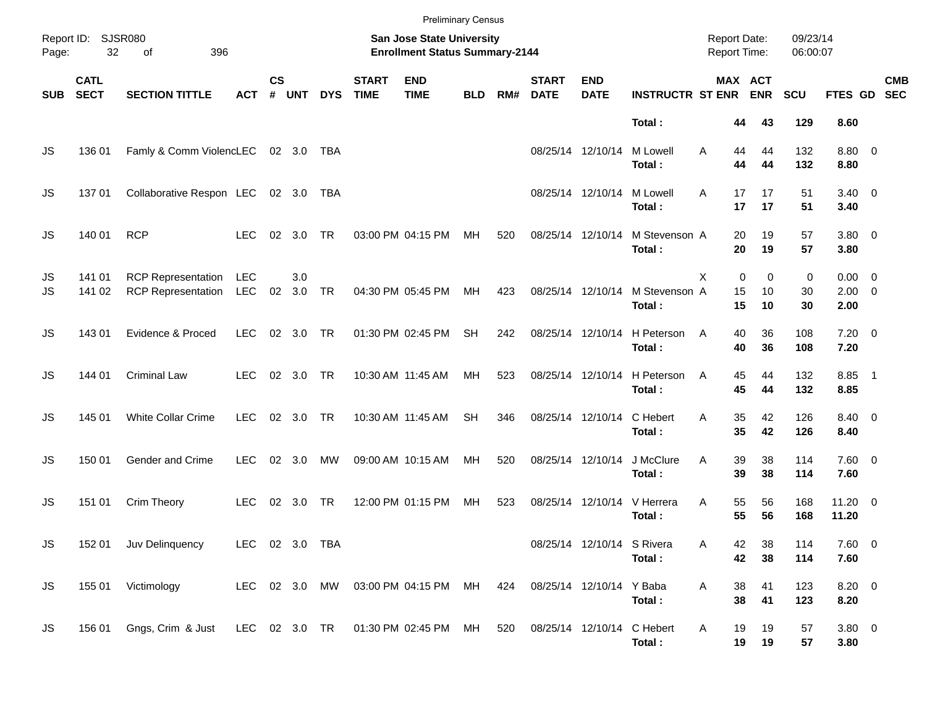|            |                            |                                                                    |                          |                    |                |            |                             | <b>Preliminary Census</b>                                          |            |     |                             |                            |                         |                                            |                                                    |                      |                                    |                           |
|------------|----------------------------|--------------------------------------------------------------------|--------------------------|--------------------|----------------|------------|-----------------------------|--------------------------------------------------------------------|------------|-----|-----------------------------|----------------------------|-------------------------|--------------------------------------------|----------------------------------------------------|----------------------|------------------------------------|---------------------------|
| Page:      | Report ID: SJSR080<br>32   | 396<br>of                                                          |                          |                    |                |            |                             | San Jose State University<br><b>Enrollment Status Summary-2144</b> |            |     |                             |                            |                         | <b>Report Date:</b><br><b>Report Time:</b> |                                                    | 09/23/14<br>06:00:07 |                                    |                           |
| <b>SUB</b> | <b>CATL</b><br><b>SECT</b> | <b>SECTION TITTLE</b>                                              | <b>ACT</b>               | $\mathsf{cs}$<br># | UNT            | <b>DYS</b> | <b>START</b><br><b>TIME</b> | <b>END</b><br><b>TIME</b>                                          | <b>BLD</b> | RM# | <b>START</b><br><b>DATE</b> | <b>END</b><br><b>DATE</b>  | <b>INSTRUCTR ST ENR</b> |                                            | MAX ACT<br><b>ENR</b>                              | SCU                  |                                    | <b>CMB</b><br>FTES GD SEC |
|            |                            |                                                                    |                          |                    |                |            |                             |                                                                    |            |     |                             |                            | Total:                  |                                            | 43<br>44                                           | 129                  | 8.60                               |                           |
| JS         | 136 01                     | Famly & Comm ViolencLEC                                            |                          |                    | 02 3.0         | TBA        |                             |                                                                    |            |     |                             | 08/25/14 12/10/14          | M Lowell<br>Total:      | A                                          | 44<br>44<br>44<br>44                               | 132<br>132           | 8.80 0<br>8.80                     |                           |
| JS         | 13701                      | Collaborative Respon LEC                                           |                          |                    | 02 3.0         | TBA        |                             |                                                                    |            |     |                             | 08/25/14 12/10/14          | M Lowell<br>Total:      | A                                          | 17<br>17<br>17<br>17                               | 51<br>51             | $3.40 \ 0$<br>3.40                 |                           |
| JS         | 140 01                     | <b>RCP</b>                                                         | <b>LEC</b>               | 02                 | 3.0            | <b>TR</b>  |                             | 03:00 PM 04:15 PM                                                  | MН         | 520 |                             | 08/25/14 12/10/14          | M Stevenson A<br>Total: |                                            | 20<br>19<br>20<br>19                               | 57<br>57             | $3.80\ 0$<br>3.80                  |                           |
| JS<br>JS   | 141 01<br>141 02           | <b>RCP Representation</b><br><b>RCP Representation</b>             | <b>LEC</b><br><b>LEC</b> | 02                 | 3.0<br>3.0 TR  |            |                             | 04:30 PM 05:45 PM                                                  | МH         | 423 |                             | 08/25/14 12/10/14          | M Stevenson A<br>Total: | X                                          | $\mathbf 0$<br>$\mathbf 0$<br>15<br>10<br>15<br>10 | 0<br>30<br>30        | $0.00 \t 0$<br>$2.00 \t 0$<br>2.00 |                           |
| JS         | 143 01                     | Evidence & Proced                                                  | <b>LEC</b>               |                    | 02 3.0 TR      |            |                             | 01:30 PM 02:45 PM                                                  | <b>SH</b>  | 242 |                             | 08/25/14 12/10/14          | H Peterson<br>Total:    | A                                          | 36<br>40<br>40<br>36                               | 108<br>108           | $7.20 \t 0$<br>7.20                |                           |
| JS         | 144 01                     | <b>Criminal Law</b>                                                | <b>LEC</b>               |                    | 02 3.0 TR      |            |                             | 10:30 AM 11:45 AM                                                  | MH         | 523 |                             | 08/25/14 12/10/14          | H Peterson<br>Total:    | A                                          | 45<br>44<br>45<br>44                               | 132<br>132           | 8.85 1<br>8.85                     |                           |
| JS         | 145 01                     | <b>White Collar Crime</b>                                          | <b>LEC</b>               |                    | 02 3.0 TR      |            |                             | 10:30 AM 11:45 AM                                                  | <b>SH</b>  | 346 |                             | 08/25/14 12/10/14          | C Hebert<br>Total:      | A                                          | 42<br>35<br>35<br>42                               | 126<br>126           | 8.40 0<br>8.40                     |                           |
| JS         | 150 01                     | Gender and Crime                                                   | <b>LEC</b>               |                    | 02 3.0         | MW         |                             | 09:00 AM 10:15 AM                                                  | MН         | 520 |                             | 08/25/14 12/10/14          | J McClure<br>Total:     | A                                          | 39<br>38<br>39<br>38                               | 114<br>114           | 7.60 0<br>7.60                     |                           |
| JS         | 151 01                     | Crim Theory                                                        | <b>LEC</b>               |                    | 02 3.0         | TR         |                             | 12:00 PM 01:15 PM                                                  | МH         | 523 |                             | 08/25/14 12/10/14          | V Herrera<br>Total:     | A                                          | 55<br>56<br>55<br>56                               | 168<br>168           | $11.20 \t 0$<br>11.20              |                           |
| JS         |                            | 152 01 Juv Delinquency                                             |                          |                    | LEC 02 3.0 TBA |            |                             |                                                                    |            |     |                             | 08/25/14 12/10/14 S Rivera | Total:                  | Α                                          | 42<br>38<br>42<br>38                               | 114<br>114           | 7.60 0<br>7.60                     |                           |
| <b>JS</b>  |                            | 155 01 Victimology                                                 |                          |                    |                |            |                             | LEC 02 3.0 MW 03:00 PM 04:15 PM MH                                 |            | 424 |                             | 08/25/14 12/10/14 Y Baba   | Total:                  | Α                                          | 38<br>41<br>38<br>41                               | 123<br>123           | 8.20 0<br>8.20                     |                           |
| <b>JS</b>  |                            | 156 01 Gngs, Crim & Just LEC 02 3.0 TR  01:30 PM 02:45 PM  MH  520 |                          |                    |                |            |                             |                                                                    |            |     |                             | 08/25/14 12/10/14 C Hebert | Total:                  | A                                          | 19<br>19<br>19<br>19                               | 57<br>57             | 3.80 0<br>3.80                     |                           |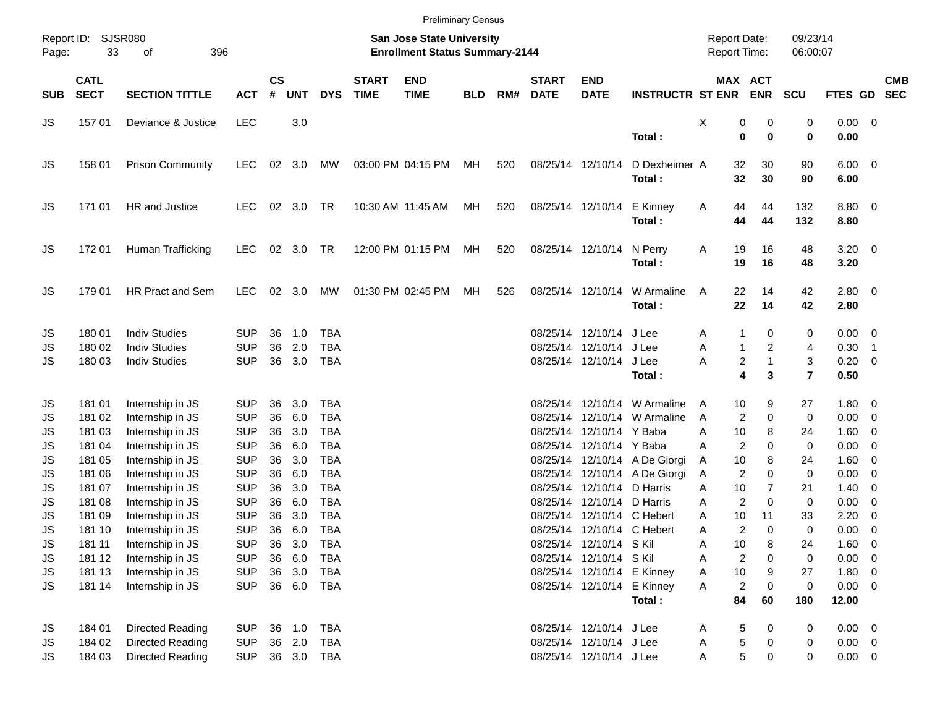|            |                            |                         |            |                    |            |            |                             |                                                                    | <b>Preliminary Census</b> |     |                             |                            |                               |                                            |                            |                         |                |                          |            |
|------------|----------------------------|-------------------------|------------|--------------------|------------|------------|-----------------------------|--------------------------------------------------------------------|---------------------------|-----|-----------------------------|----------------------------|-------------------------------|--------------------------------------------|----------------------------|-------------------------|----------------|--------------------------|------------|
| Page:      | Report ID: SJSR080<br>33   | 396<br>of               |            |                    |            |            |                             | San Jose State University<br><b>Enrollment Status Summary-2144</b> |                           |     |                             |                            |                               | <b>Report Date:</b><br><b>Report Time:</b> |                            | 09/23/14<br>06:00:07    |                |                          |            |
| <b>SUB</b> | <b>CATL</b><br><b>SECT</b> | <b>SECTION TITTLE</b>   | <b>ACT</b> | $\mathsf{cs}$<br># | <b>UNT</b> | <b>DYS</b> | <b>START</b><br><b>TIME</b> | <b>END</b><br><b>TIME</b>                                          | <b>BLD</b>                | RM# | <b>START</b><br><b>DATE</b> | <b>END</b><br><b>DATE</b>  | <b>INSTRUCTR ST ENR</b>       |                                            | MAX ACT<br><b>ENR</b>      | <b>SCU</b>              | FTES GD SEC    |                          | <b>CMB</b> |
| JS         | 157 01                     | Deviance & Justice      | <b>LEC</b> |                    | 3.0        |            |                             |                                                                    |                           |     |                             |                            |                               | X                                          | 0<br>0                     | 0                       | $0.00 \t 0$    |                          |            |
|            |                            |                         |            |                    |            |            |                             |                                                                    |                           |     |                             |                            | Total:                        |                                            | $\mathbf 0$<br>$\bf{0}$    | 0                       | 0.00           |                          |            |
| JS         | 158 01                     | <b>Prison Community</b> | <b>LEC</b> | 02                 | 3.0        | MW         |                             | 03:00 PM 04:15 PM                                                  | МH                        | 520 |                             | 08/25/14 12/10/14          | D Dexheimer A                 |                                            | 32<br>30                   | 90                      | $6.00 \quad 0$ |                          |            |
|            |                            |                         |            |                    |            |            |                             |                                                                    |                           |     |                             |                            | Total:                        |                                            | 32<br>30                   | 90                      | 6.00           |                          |            |
| JS         | 171 01                     | HR and Justice          | <b>LEC</b> |                    | 02 3.0     | <b>TR</b>  |                             | 10:30 AM 11:45 AM                                                  | МH                        | 520 |                             | 08/25/14 12/10/14          | E Kinney                      | Α                                          | 44<br>44                   | 132                     | 8.80 0         |                          |            |
|            |                            |                         |            |                    |            |            |                             |                                                                    |                           |     |                             |                            | Total:                        |                                            | 44<br>44                   | 132                     | 8.80           |                          |            |
| JS         | 172 01                     | Human Trafficking       | <b>LEC</b> |                    | 02 3.0 TR  |            |                             | 12:00 PM 01:15 PM                                                  | МH                        | 520 |                             | 08/25/14 12/10/14          | N Perry                       | Α                                          | 16<br>19                   | 48                      | $3.20 \ 0$     |                          |            |
|            |                            |                         |            |                    |            |            |                             |                                                                    |                           |     |                             |                            | Total:                        |                                            | 19<br>16                   | 48                      | 3.20           |                          |            |
| JS         | 179 01                     | <b>HR Pract and Sem</b> | <b>LEC</b> |                    | 02 3.0     | MW         |                             | 01:30 PM 02:45 PM                                                  | МH                        | 526 |                             | 08/25/14 12/10/14          | W Armaline                    | A                                          | 22<br>14                   | 42                      | $2.80 \t 0$    |                          |            |
|            |                            |                         |            |                    |            |            |                             |                                                                    |                           |     |                             |                            | Total:                        |                                            | 22<br>14                   | 42                      | 2.80           |                          |            |
| JS         | 180 01                     | <b>Indiv Studies</b>    | <b>SUP</b> | 36                 | 1.0        | <b>TBA</b> |                             |                                                                    |                           |     |                             | 08/25/14 12/10/14          | J Lee                         | A                                          | 1<br>0                     | 0                       | $0.00 \t 0$    |                          |            |
| JS         | 180 02                     | <b>Indiv Studies</b>    | <b>SUP</b> | 36                 | 2.0        | <b>TBA</b> |                             |                                                                    |                           |     |                             | 08/25/14 12/10/14          | J Lee                         | Α                                          | 2<br>$\mathbf{1}$          | 4                       | 0.30           | $\overline{\phantom{1}}$ |            |
| JS         | 180 03                     | <b>Indiv Studies</b>    | <b>SUP</b> | 36                 | 3.0        | <b>TBA</b> |                             |                                                                    |                           |     |                             | 08/25/14 12/10/14          | J Lee                         | Α                                          | 2<br>$\mathbf{1}$          | 3                       | $0.20 \ 0$     |                          |            |
|            |                            |                         |            |                    |            |            |                             |                                                                    |                           |     |                             |                            | Total:                        |                                            | 4<br>3                     | $\overline{\mathbf{r}}$ | 0.50           |                          |            |
| JS         | 181 01                     | Internship in JS        | <b>SUP</b> | 36                 | 3.0        | TBA        |                             |                                                                    |                           |     |                             | 08/25/14 12/10/14          | W Armaline                    | A                                          | 10<br>9                    | 27                      | 1.80 0         |                          |            |
| JS         | 181 02                     | Internship in JS        | <b>SUP</b> | 36                 | 6.0        | <b>TBA</b> |                             |                                                                    |                           |     | 08/25/14                    | 12/10/14                   | W Armaline                    | A                                          | $\mathbf 0$<br>2           | 0                       | $0.00 \t 0$    |                          |            |
| JS         | 181 03                     | Internship in JS        | <b>SUP</b> | 36                 | 3.0        | <b>TBA</b> |                             |                                                                    |                           |     |                             | 08/25/14 12/10/14 Y Baba   |                               | Α                                          | 10<br>8                    | 24                      | $1.60 \t 0$    |                          |            |
| JS         | 181 04                     | Internship in JS        | <b>SUP</b> | 36                 | 6.0        | <b>TBA</b> |                             |                                                                    |                           |     |                             | 08/25/14 12/10/14 Y Baba   |                               | Α                                          | 2<br>0                     | 0                       | 0.00           | $\overline{\phantom{0}}$ |            |
| JS         | 181 05                     | Internship in JS        | <b>SUP</b> | 36                 | 3.0        | <b>TBA</b> |                             |                                                                    |                           |     |                             |                            | 08/25/14 12/10/14 A De Giorgi | Α                                          | 10<br>8                    | 24                      | $1.60 \t 0$    |                          |            |
| JS         | 181 06                     | Internship in JS        | <b>SUP</b> | 36                 | 6.0        | <b>TBA</b> |                             |                                                                    |                           |     |                             |                            | 08/25/14 12/10/14 A De Giorgi | Α                                          | $\overline{2}$<br>$\Omega$ | 0                       | 0.00           | $\overline{\mathbf{0}}$  |            |
| JS         | 181 07                     | Internship in JS        | <b>SUP</b> | 36                 | 3.0        | <b>TBA</b> |                             |                                                                    |                           |     |                             | 08/25/14 12/10/14          | D Harris                      | Α                                          | 10<br>$\overline{7}$       | 21                      | 1.40           | $\overline{\phantom{0}}$ |            |
| JS         | 181 08                     | Internship in JS        | <b>SUP</b> | 36                 | 6.0        | <b>TBA</b> |                             |                                                                    |                           |     |                             | 08/25/14 12/10/14 D Harris |                               | Α                                          | $\overline{c}$<br>0        | 0                       | 0.00           | $\overline{\mathbf{0}}$  |            |
| JS         | 181 09                     | Internship in JS        | <b>SUP</b> | 36                 | 3.0        | <b>TBA</b> |                             |                                                                    |                           |     | 08/25/14                    |                            | 12/10/14 C Hebert             | Α                                          | 10<br>11                   | 33                      | 2.20           | $\overline{\mathbf{0}}$  |            |
| JS         | 181 10                     | Internship in JS        | <b>SUP</b> | 36                 | 6.0        | <b>TBA</b> |                             |                                                                    |                           |     |                             | 08/25/14 12/10/14 C Hebert |                               | Α                                          | 2<br>$\Omega$              | 0                       | 0.00           | $\overline{\phantom{0}}$ |            |
| JS         | 181 11                     | Internship in JS        | <b>SUP</b> | 36                 | 3.0        | TBA        |                             |                                                                    |                           |     |                             | 08/25/14 12/10/14 S Kil    |                               | Α                                          | 10<br>8                    | 24                      | 1.60           | $\overline{\phantom{0}}$ |            |
| JS         | 181 12                     | Internship in JS        | <b>SUP</b> | 36                 | 6.0        | <b>TBA</b> |                             |                                                                    |                           |     |                             | 08/25/14 12/10/14 S Kil    |                               | Α                                          | 2<br>0                     | 0                       | $0.00 \t 0$    |                          |            |
| JS         | 181 13                     | Internship in JS        | <b>SUP</b> | 36                 | 3.0        | <b>TBA</b> |                             |                                                                    |                           |     |                             |                            | 08/25/14 12/10/14 E Kinney    | Α                                          | $10$<br>9                  | 27                      | 1.80 0         |                          |            |
| JS         | 181 14                     | Internship in JS        | <b>SUP</b> |                    |            | 36 6.0 TBA |                             |                                                                    |                           |     |                             | 08/25/14 12/10/14 E Kinney |                               | A                                          | 2<br>$\mathbf 0$           | $\pmb{0}$               | $0.00 \t 0$    |                          |            |
|            |                            |                         |            |                    |            |            |                             |                                                                    |                           |     |                             |                            | Total:                        |                                            | 84<br>60                   | 180                     | 12.00          |                          |            |
| JS         | 184 01                     | Directed Reading        | <b>SUP</b> |                    | 36 1.0     | TBA        |                             |                                                                    |                           |     |                             | 08/25/14 12/10/14 J Lee    |                               | A                                          | 5<br>0                     | 0                       | $0.00 \t 0$    |                          |            |
| JS         | 184 02                     | Directed Reading        | <b>SUP</b> |                    | 36 2.0     | <b>TBA</b> |                             |                                                                    |                           |     |                             | 08/25/14 12/10/14 J Lee    |                               | Α                                          | 5<br>0                     | 0                       | $0.00 \t 0$    |                          |            |
| JS         | 184 03                     | Directed Reading        | <b>SUP</b> |                    |            | 36 3.0 TBA |                             |                                                                    |                           |     |                             | 08/25/14 12/10/14 J Lee    |                               | Α                                          | 5<br>0                     | 0                       | $0.00 \t 0$    |                          |            |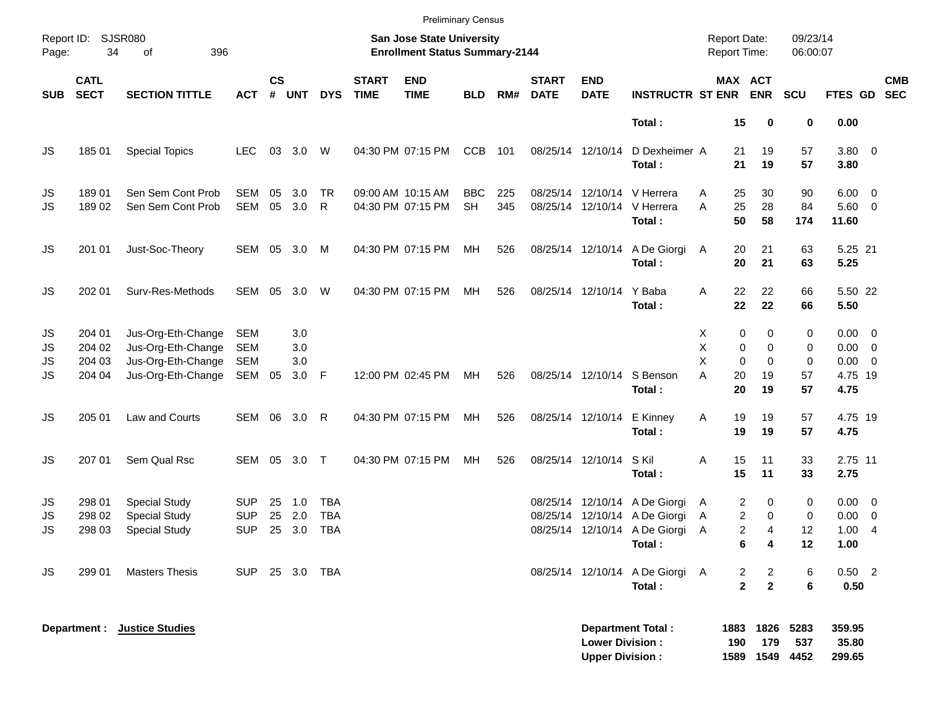|                                                   |                                      |                                                                                      |                                        |                |                                                                    |                                        |                             | <b>Preliminary Census</b>              |                         |            |                             |                                                  |                                                                                                           |                              |                                                         |                                                                    |                                                             |            |
|---------------------------------------------------|--------------------------------------|--------------------------------------------------------------------------------------|----------------------------------------|----------------|--------------------------------------------------------------------|----------------------------------------|-----------------------------|----------------------------------------|-------------------------|------------|-----------------------------|--------------------------------------------------|-----------------------------------------------------------------------------------------------------------|------------------------------|---------------------------------------------------------|--------------------------------------------------------------------|-------------------------------------------------------------|------------|
| Report ID:<br>SJSR080<br>34<br>396<br>Page:<br>of |                                      |                                                                                      |                                        |                | San Jose State University<br><b>Enrollment Status Summary-2144</b> |                                        |                             |                                        |                         |            |                             |                                                  |                                                                                                           |                              |                                                         | 09/23/14<br><b>Report Date:</b><br><b>Report Time:</b><br>06:00:07 |                                                             |            |
| <b>SUB</b>                                        | <b>CATL</b><br><b>SECT</b>           | <b>SECTION TITTLE</b>                                                                | <b>ACT</b>                             | <b>CS</b><br># | <b>UNT</b>                                                         | <b>DYS</b>                             | <b>START</b><br><b>TIME</b> | <b>END</b><br><b>TIME</b>              | <b>BLD</b>              | RM#        | <b>START</b><br><b>DATE</b> | <b>END</b><br><b>DATE</b>                        | <b>INSTRUCTR ST ENR</b>                                                                                   |                              | MAX ACT<br><b>ENR</b>                                   | <b>SCU</b>                                                         | FTES GD SEC                                                 | <b>CMB</b> |
|                                                   |                                      |                                                                                      |                                        |                |                                                                    |                                        |                             |                                        |                         |            |                             |                                                  | Total:                                                                                                    | 15                           | 0                                                       | 0                                                                  | 0.00                                                        |            |
| JS                                                | 185 01                               | <b>Special Topics</b>                                                                | <b>LEC</b>                             |                | 03 3.0                                                             | W                                      |                             | 04:30 PM 07:15 PM                      | <b>CCB</b>              | 101        |                             | 08/25/14 12/10/14                                | D Dexheimer A<br>Total:                                                                                   | 21<br>21                     | 19<br>19                                                | 57<br>57                                                           | 3.80 0<br>3.80                                              |            |
| JS<br><b>JS</b>                                   | 189 01<br>18902                      | Sen Sem Cont Prob<br>Sen Sem Cont Prob                                               | <b>SEM</b><br>SEM                      | 05<br>05       | 3.0<br>3.0                                                         | <b>TR</b><br>R                         |                             | 09:00 AM 10:15 AM<br>04:30 PM 07:15 PM | <b>BBC</b><br><b>SH</b> | 225<br>345 |                             |                                                  | 08/25/14 12/10/14 V Herrera<br>08/25/14 12/10/14 V Herrera<br>Total:                                      | 25<br>A<br>25<br>A<br>50     | 30<br>28<br>58                                          | 90<br>84<br>174                                                    | $6.00 \quad 0$<br>$5.60 \quad 0$<br>11.60                   |            |
| JS                                                | 201 01                               | Just-Soc-Theory                                                                      | SEM 05 3.0 M                           |                |                                                                    |                                        |                             | 04:30 PM 07:15 PM                      | MH                      | 526        |                             | 08/25/14 12/10/14                                | A De Giorgi<br>Total:                                                                                     | 20<br>A<br>20                | 21<br>21                                                | 63<br>63                                                           | 5.25 21<br>5.25                                             |            |
| JS                                                | 202 01                               | Surv-Res-Methods                                                                     | SEM                                    | 05             | 3.0                                                                | W                                      |                             | 04:30 PM 07:15 PM                      | МH                      | 526        |                             | 08/25/14 12/10/14 Y Baba                         | Total:                                                                                                    | 22<br>A<br>22                | 22<br>22                                                | 66<br>66                                                           | 5.50 22<br>5.50                                             |            |
| JS<br>JS<br>JS<br>JS                              | 204 01<br>204 02<br>204 03<br>204 04 | Jus-Org-Eth-Change<br>Jus-Org-Eth-Change<br>Jus-Org-Eth-Change<br>Jus-Org-Eth-Change | SEM<br>SEM<br><b>SEM</b><br>SEM 05     |                | 3.0<br>3.0<br>3.0<br>3.0 F                                         |                                        |                             | 12:00 PM 02:45 PM                      | MH                      | 526        |                             | 08/25/14 12/10/14                                | S Benson<br>Total:                                                                                        | Х<br>Χ<br>X<br>A<br>20<br>20 | 0<br>0<br>0<br>0<br>$\Omega$<br>$\mathbf 0$<br>19<br>19 | 0<br>0<br>0<br>57<br>57                                            | $0.00 \t 0$<br>$0.00 \ 0$<br>$0.00 \t 0$<br>4.75 19<br>4.75 |            |
| JS                                                | 205 01                               | Law and Courts                                                                       | SEM 06 3.0                             |                |                                                                    | $\mathsf{R}$                           |                             | 04:30 PM 07:15 PM                      | МH                      | 526        |                             | 08/25/14 12/10/14 E Kinney                       | Total:                                                                                                    | 19<br>Α<br>19                | 19<br>19                                                | 57<br>57                                                           | 4.75 19<br>4.75                                             |            |
| JS                                                | 207 01                               | Sem Qual Rsc                                                                         | SEM 05 3.0 T                           |                |                                                                    |                                        |                             | 04:30 PM 07:15 PM                      | МH                      | 526        |                             | 08/25/14 12/10/14                                | S Kil<br>Total:                                                                                           | 15<br>Α<br>15                | 11<br>11                                                | 33<br>33                                                           | 2.75 11<br>2.75                                             |            |
| JS<br>JS<br>JS                                    | 298 01<br>298 02<br>298 03           | <b>Special Study</b><br><b>Special Study</b><br><b>Special Study</b>                 | <b>SUP</b><br><b>SUP</b><br><b>SUP</b> | 25<br>25       | 1.0<br>2.0<br>25 3.0                                               | <b>TBA</b><br><b>TBA</b><br><b>TBA</b> |                             |                                        |                         |            |                             |                                                  | 08/25/14 12/10/14 A De Giorgi<br>08/25/14 12/10/14 A De Giorgi<br>08/25/14 12/10/14 A De Giorgi<br>Total: | A<br>A<br>A                  | 2<br>0<br>2<br>0<br>2<br>4<br>6<br>4                    | 0<br>0<br>12<br>12                                                 | $0.00 \t 0$<br>$0.00 \t 0$<br>1.004<br>1.00                 |            |
| JS                                                | 299 01                               | <b>Masters Thesis</b>                                                                | <b>SUP</b>                             |                |                                                                    | 25 3.0 TBA                             |                             |                                        |                         |            |                             |                                                  | 08/25/14 12/10/14 A De Giorgi A<br>Total:                                                                 |                              | 2<br>$\overline{2}$<br>$\overline{2}$<br>$\overline{2}$ | 6<br>6                                                             | $0.50$ 2<br>0.50                                            |            |
|                                                   | Department :                         | <b>Justice Studies</b>                                                               |                                        |                |                                                                    |                                        |                             |                                        |                         |            |                             | <b>Lower Division:</b><br><b>Upper Division:</b> | <b>Department Total:</b>                                                                                  | 1883<br>190<br>1589          | 1826<br>179<br>1549                                     | 5283<br>537<br>4452                                                | 359.95<br>35.80<br>299.65                                   |            |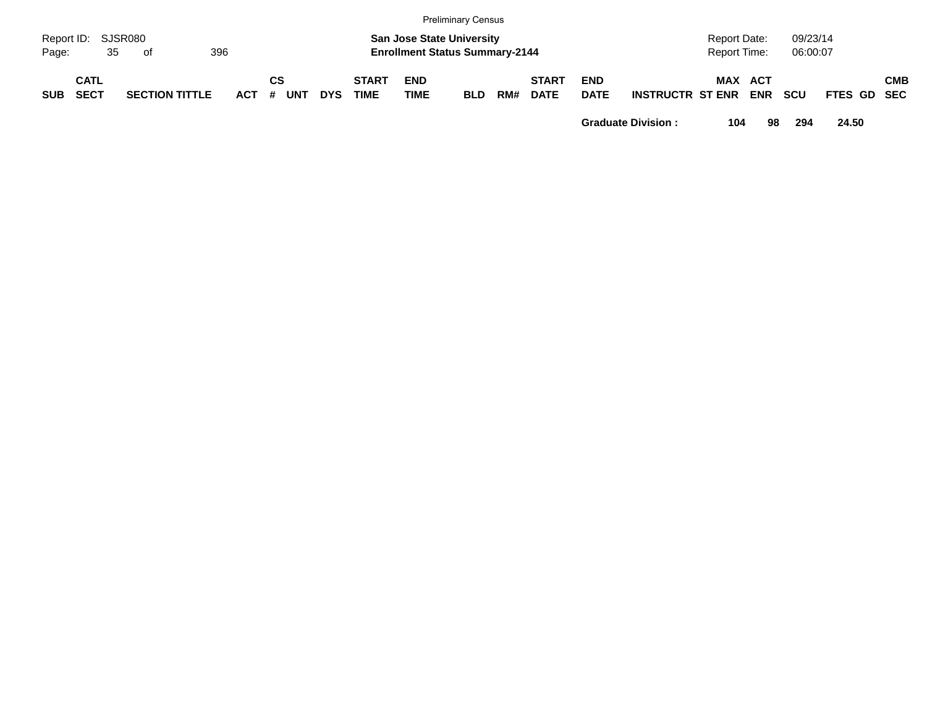|                             |                            |    |                                                                                        |                       |         |    |            |            |                             |                           | <b>Preliminary Census</b> |                                                      |                             |                           |                         |         |     |            |             |  |            |
|-----------------------------|----------------------------|----|----------------------------------------------------------------------------------------|-----------------------|---------|----|------------|------------|-----------------------------|---------------------------|---------------------------|------------------------------------------------------|-----------------------------|---------------------------|-------------------------|---------|-----|------------|-------------|--|------------|
| Report ID: SJSR080<br>Page: |                            | 35 | <b>San Jose State University</b><br>396<br><b>Enrollment Status Summary-2144</b><br>of |                       |         |    |            |            |                             |                           |                           | 09/23/14<br>Report Date:<br>06:00:07<br>Report Time: |                             |                           |                         |         |     |            |             |  |            |
| <b>SUB</b>                  | <b>CATL</b><br><b>SECT</b> |    |                                                                                        | <b>SECTION TITTLE</b> | $ACT$ # | CS | <b>UNT</b> | <b>DYS</b> | <b>START</b><br><b>TIME</b> | <b>END</b><br><b>TIME</b> | <b>BLD</b>                | RM#                                                  | <b>START</b><br><b>DATE</b> | <b>END</b><br><b>DATE</b> | <b>INSTRUCTR ST ENR</b> | MAX ACT | ENR | <b>SCU</b> | FTES GD SEC |  | <b>CMB</b> |

**Graduate Division : 104 98 294 24.50**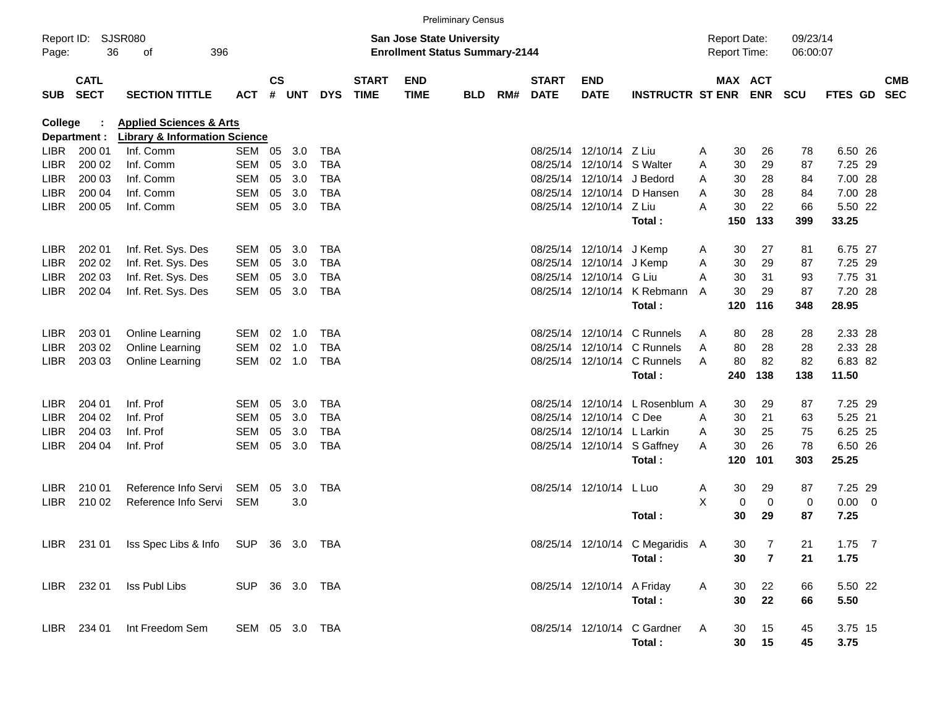| <b>Preliminary Census</b>                         |                            |                                                 |                |                                                                           |        |            |                             |                           |            |     |                             |                            |                                 |                                            |         |                         |                      |                |  |                          |
|---------------------------------------------------|----------------------------|-------------------------------------------------|----------------|---------------------------------------------------------------------------|--------|------------|-----------------------------|---------------------------|------------|-----|-----------------------------|----------------------------|---------------------------------|--------------------------------------------|---------|-------------------------|----------------------|----------------|--|--------------------------|
| Report ID:<br>SJSR080<br>36<br>396<br>οf<br>Page: |                            |                                                 |                | <b>San Jose State University</b><br><b>Enrollment Status Summary-2144</b> |        |            |                             |                           |            |     |                             |                            |                                 | <b>Report Date:</b><br><b>Report Time:</b> |         |                         | 09/23/14<br>06:00:07 |                |  |                          |
| <b>SUB</b>                                        | <b>CATL</b><br><b>SECT</b> | <b>SECTION TITTLE</b>                           | <b>ACT</b>     | $\mathsf{cs}$<br>$\pmb{\#}$                                               | UNT    | <b>DYS</b> | <b>START</b><br><b>TIME</b> | <b>END</b><br><b>TIME</b> | <b>BLD</b> | RM# | <b>START</b><br><b>DATE</b> | <b>END</b><br><b>DATE</b>  | <b>INSTRUCTR ST ENR</b>         |                                            | MAX ACT | <b>ENR SCU</b>          |                      | <b>FTES GD</b> |  | <b>CMB</b><br><b>SEC</b> |
| <b>Applied Sciences &amp; Arts</b><br>College     |                            |                                                 |                |                                                                           |        |            |                             |                           |            |     |                             |                            |                                 |                                            |         |                         |                      |                |  |                          |
|                                                   | Department :               | <b>Library &amp; Information Science</b>        |                |                                                                           |        |            |                             |                           |            |     |                             |                            |                                 |                                            |         |                         |                      |                |  |                          |
| LIBR.                                             | 200 01                     | Inf. Comm                                       | SEM 05         |                                                                           | 3.0    | TBA        |                             |                           |            |     |                             | 08/25/14 12/10/14 Z Liu    |                                 | A                                          | 30      | 26                      | 78                   | 6.50 26        |  |                          |
| <b>LIBR</b>                                       | 200 02                     | Inf. Comm                                       | SEM            | 05                                                                        | 3.0    | <b>TBA</b> |                             |                           |            |     |                             | 08/25/14 12/10/14 S Walter |                                 | A                                          | 30      | 29                      | 87                   | 7.25 29        |  |                          |
| <b>LIBR</b>                                       | 200 03                     | Inf. Comm                                       | SEM            | 05                                                                        | 3.0    | <b>TBA</b> |                             |                           |            |     |                             | 08/25/14 12/10/14 J Bedord |                                 | A                                          | 30      | 28                      | 84                   | 7.00 28        |  |                          |
| <b>LIBR</b>                                       | 200 04                     | Inf. Comm                                       | <b>SEM</b>     | 05                                                                        | 3.0    | <b>TBA</b> |                             |                           |            |     |                             |                            | 08/25/14 12/10/14 D Hansen      | A                                          | 30      | 28                      | 84                   | 7.00 28        |  |                          |
| <b>LIBR</b>                                       | 200 05                     | Inf. Comm                                       | SEM            |                                                                           | 05 3.0 | <b>TBA</b> |                             |                           |            |     |                             | 08/25/14 12/10/14 Z Liu    |                                 | A                                          | 30      | 22                      | 66                   | 5.50 22        |  |                          |
|                                                   |                            |                                                 |                |                                                                           |        |            |                             |                           |            |     |                             |                            | Total:                          |                                            | 150     | 133                     | 399                  | 33.25          |  |                          |
| <b>LIBR</b>                                       | 202 01                     | Inf. Ret. Sys. Des                              | SEM            | 05                                                                        | 3.0    | TBA        |                             |                           |            |     |                             | 08/25/14 12/10/14          | J Kemp                          | A                                          | 30      | 27                      | 81                   | 6.75 27        |  |                          |
| <b>LIBR</b>                                       | 202 02                     | Inf. Ret. Sys. Des                              | <b>SEM</b>     | 05                                                                        | 3.0    | TBA        |                             |                           |            |     |                             | 08/25/14 12/10/14 J Kemp   |                                 | A                                          | 30      | 29                      | 87                   | 7.25 29        |  |                          |
| <b>LIBR</b>                                       | 202 03                     | Inf. Ret. Sys. Des                              | <b>SEM</b>     | 05                                                                        | 3.0    | TBA        |                             |                           |            |     |                             | 08/25/14 12/10/14 G Liu    |                                 | A                                          | 30      | 31                      | 93                   | 7.75 31        |  |                          |
| <b>LIBR</b>                                       | 202 04                     | Inf. Ret. Sys. Des                              | SEM            |                                                                           | 05 3.0 | <b>TBA</b> |                             |                           |            |     |                             |                            | 08/25/14 12/10/14 K Rebmann     | A                                          | 30      | 29                      | 87                   | 7.20 28        |  |                          |
|                                                   |                            |                                                 |                |                                                                           |        |            |                             |                           |            |     |                             |                            | Total:                          |                                            | 120     | 116                     | 348                  | 28.95          |  |                          |
| <b>LIBR</b>                                       | 203 01                     | Online Learning                                 | SEM            | 02                                                                        | 1.0    | TBA        |                             |                           |            |     |                             |                            | 08/25/14 12/10/14 C Runnels     | A                                          | 80      | 28                      | 28                   | 2.33 28        |  |                          |
| <b>LIBR</b>                                       | 203 02                     | Online Learning                                 | <b>SEM</b>     | 02                                                                        | 1.0    | <b>TBA</b> |                             |                           |            |     |                             |                            | 08/25/14 12/10/14 C Runnels     | A                                          | 80      | 28                      | 28                   | 2.33 28        |  |                          |
| <b>LIBR</b>                                       | 203 03                     | Online Learning                                 | SEM            |                                                                           | 02 1.0 | TBA        |                             |                           |            |     |                             |                            | 08/25/14 12/10/14 C Runnels     | A                                          | 80      | 82                      | 82                   | 6.83 82        |  |                          |
|                                                   |                            |                                                 |                |                                                                           |        |            |                             |                           |            |     |                             |                            | Total:                          |                                            | 240     | 138                     | 138                  | 11.50          |  |                          |
|                                                   |                            |                                                 |                |                                                                           |        |            |                             |                           |            |     |                             |                            |                                 |                                            |         |                         |                      |                |  |                          |
| <b>LIBR</b>                                       | 204 01                     | Inf. Prof                                       | SEM            | 05                                                                        | 3.0    | TBA        |                             |                           |            |     |                             |                            | 08/25/14 12/10/14 L Rosenblum A |                                            | 30      | 29                      | 87                   | 7.25 29        |  |                          |
| <b>LIBR</b>                                       | 204 02                     | Inf. Prof                                       | <b>SEM</b>     | 05                                                                        | 3.0    | <b>TBA</b> |                             |                           |            |     |                             | 08/25/14 12/10/14 C Dee    |                                 | A                                          | 30      | 21                      | 63                   | 5.25 21        |  |                          |
| <b>LIBR</b>                                       | 204 03                     | Inf. Prof                                       | <b>SEM</b>     | 05                                                                        | 3.0    | TBA        |                             |                           |            |     |                             | 08/25/14 12/10/14 L Larkin |                                 | A                                          | 30      | 25                      | 75                   | 6.25 25        |  |                          |
| <b>LIBR</b>                                       | 204 04                     | Inf. Prof                                       | SEM            |                                                                           | 05 3.0 | <b>TBA</b> |                             |                           |            |     |                             |                            | 08/25/14 12/10/14 S Gaffney     | A                                          | 30      | 26                      | 78                   | 6.50 26        |  |                          |
|                                                   |                            |                                                 |                |                                                                           |        |            |                             |                           |            |     |                             |                            | Total:                          |                                            | 120     | 101                     | 303                  | 25.25          |  |                          |
| LIBR                                              | 210 01                     | Reference Info Servi                            | SEM 05         |                                                                           | 3.0    | TBA        |                             |                           |            |     |                             | 08/25/14 12/10/14 L Luo    |                                 | A                                          | 30      | 29                      | 87                   | 7.25 29        |  |                          |
| <b>LIBR</b>                                       | 210 02                     | Reference Info Servi                            | <b>SEM</b>     |                                                                           | 3.0    |            |                             |                           |            |     |                             |                            |                                 | X                                          | 0       | $\mathbf 0$             | 0                    | $0.00 \t 0$    |  |                          |
|                                                   |                            |                                                 |                |                                                                           |        |            |                             |                           |            |     |                             |                            | Total:                          |                                            | 30      | 29                      | 87                   | 7.25           |  |                          |
|                                                   |                            |                                                 |                |                                                                           |        |            |                             |                           |            |     |                             |                            |                                 |                                            |         |                         |                      |                |  |                          |
|                                                   |                            | LIBR 231 01 Iss Spec Libs & Info SUP 36 3.0 TBA |                |                                                                           |        |            |                             |                           |            |     |                             |                            | 08/25/14 12/10/14 C Megaridis A |                                            | 30      | $\overline{7}$          | 21                   | $1.75$ 7       |  |                          |
|                                                   |                            |                                                 |                |                                                                           |        |            |                             |                           |            |     |                             |                            | Total:                          |                                            | 30      | $\overline{\mathbf{r}}$ | 21                   | 1.75           |  |                          |
|                                                   | LIBR 232 01                | Iss Publ Libs                                   | SUP 36 3.0 TBA |                                                                           |        |            |                             |                           |            |     |                             | 08/25/14 12/10/14 A Friday |                                 | A                                          | 30      | 22                      | 66                   | 5.50 22        |  |                          |
|                                                   |                            |                                                 |                |                                                                           |        |            |                             |                           |            |     |                             |                            | Total:                          |                                            | 30      | 22                      | 66                   | 5.50           |  |                          |
|                                                   | LIBR 234 01                | Int Freedom Sem                                 | SEM 05 3.0 TBA |                                                                           |        |            |                             |                           |            |     |                             |                            | 08/25/14 12/10/14 C Gardner     | $\mathsf{A}$                               | 30      | 15                      | 45                   | 3.75 15        |  |                          |
|                                                   |                            |                                                 |                |                                                                           |        |            |                             |                           |            |     |                             |                            | Total:                          |                                            | 30      | 15                      | 45                   | 3.75           |  |                          |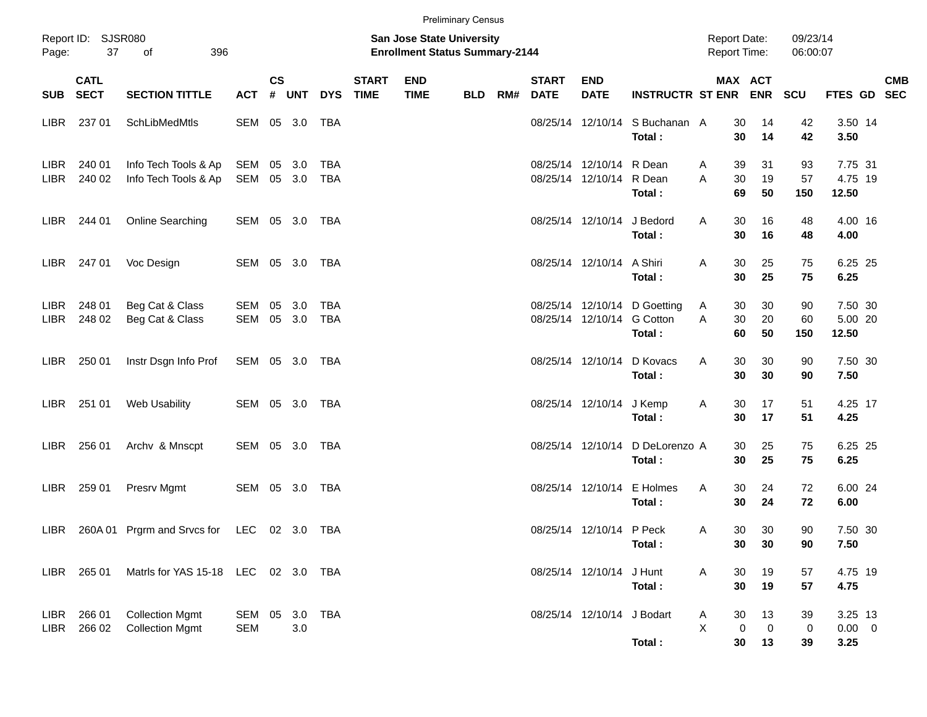|                            |                            |                                                  |                          |           |        |                          |                             |                                                                    | <b>Preliminary Census</b> |     |                             |                                                      |                                           |                                     |                                      |                      |                                |            |
|----------------------------|----------------------------|--------------------------------------------------|--------------------------|-----------|--------|--------------------------|-----------------------------|--------------------------------------------------------------------|---------------------------|-----|-----------------------------|------------------------------------------------------|-------------------------------------------|-------------------------------------|--------------------------------------|----------------------|--------------------------------|------------|
| Page:                      | Report ID: SJSR080<br>37   | of<br>396                                        |                          |           |        |                          |                             | San Jose State University<br><b>Enrollment Status Summary-2144</b> |                           |     |                             |                                                      |                                           | <b>Report Date:</b><br>Report Time: |                                      | 09/23/14<br>06:00:07 |                                |            |
| <b>SUB</b>                 | <b>CATL</b><br><b>SECT</b> | <b>SECTION TITTLE</b>                            | <b>ACT</b>               | <b>CS</b> | # UNT  | <b>DYS</b>               | <b>START</b><br><b>TIME</b> | <b>END</b><br><b>TIME</b>                                          | <b>BLD</b>                | RM# | <b>START</b><br><b>DATE</b> | <b>END</b><br><b>DATE</b>                            | INSTRUCTR ST ENR ENR                      |                                     | MAX ACT                              | <b>SCU</b>           | FTES GD SEC                    | <b>CMB</b> |
| LIBR                       | 237 01                     | SchLibMedMtls                                    | SEM 05 3.0               |           |        | TBA                      |                             |                                                                    |                           |     |                             |                                                      | 08/25/14 12/10/14 S Buchanan A<br>Total:  | 30<br>30                            | 14<br>14                             | 42<br>42             | 3.50 14<br>3.50                |            |
| <b>LIBR</b><br><b>LIBR</b> | 240 01<br>240 02           | Info Tech Tools & Ap<br>Info Tech Tools & Ap     | SEM<br>SEM 05 3.0        |           | 05 3.0 | <b>TBA</b><br><b>TBA</b> |                             |                                                                    |                           |     |                             | 08/25/14 12/10/14 R Dean<br>08/25/14 12/10/14 R Dean | Total:                                    | 39<br>A<br>A<br>30<br>69            | 31<br>19<br>50                       | 93<br>57<br>150      | 7.75 31<br>4.75 19<br>12.50    |            |
| LIBR.                      | 244 01                     | Online Searching                                 | SEM 05 3.0 TBA           |           |        |                          |                             |                                                                    |                           |     |                             | 08/25/14 12/10/14 J Bedord                           | Total:                                    | 30<br>Α<br>30                       | 16<br>16                             | 48<br>48             | 4.00 16<br>4.00                |            |
| LIBR.                      | 247 01                     | Voc Design                                       | SEM 05 3.0               |           |        | TBA                      |                             |                                                                    |                           |     |                             | 08/25/14 12/10/14 A Shiri                            | Total:                                    | 30<br>Α<br>30                       | 25<br>25                             | 75<br>75             | 6.25 25<br>6.25                |            |
| <b>LIBR</b><br>LIBR        | 248 01<br>248 02           | Beg Cat & Class<br>Beg Cat & Class               | SEM 05 3.0<br>SEM 05 3.0 |           |        | <b>TBA</b><br><b>TBA</b> |                             |                                                                    |                           |     |                             | 08/25/14 12/10/14 G Cotton                           | 08/25/14 12/10/14 D Goetting<br>Total:    | 30<br>A<br>A<br>30<br>60            | 30<br>20<br>50                       | 90<br>60<br>150      | 7.50 30<br>5.00 20<br>12.50    |            |
| LIBR.                      | 250 01                     | Instr Dsgn Info Prof                             | SEM 05 3.0 TBA           |           |        |                          |                             |                                                                    |                           |     |                             |                                                      | 08/25/14 12/10/14 D Kovacs<br>Total:      | 30<br>Α<br>30                       | 30<br>30                             | 90<br>90             | 7.50 30<br>7.50                |            |
| LIBR.                      | 251 01                     | Web Usability                                    | SEM 05 3.0 TBA           |           |        |                          |                             |                                                                    |                           |     |                             | 08/25/14 12/10/14 J Kemp                             | Total:                                    | 30<br>Α<br>30                       | 17<br>17                             | 51<br>51             | 4.25 17<br>4.25                |            |
| LIBR.                      | 256 01                     | Archv & Mnscpt                                   | SEM 05 3.0 TBA           |           |        |                          |                             |                                                                    |                           |     |                             |                                                      | 08/25/14 12/10/14 D DeLorenzo A<br>Total: | 30<br>30                            | 25<br>25                             | 75<br>75             | 6.25 25<br>6.25                |            |
| LIBR.                      | 259 01                     | Presrv Mgmt                                      | SEM 05 3.0               |           |        | TBA                      |                             |                                                                    |                           |     |                             |                                                      | 08/25/14 12/10/14 E Holmes<br>Total:      | 30<br>Α<br>30                       | 24<br>24                             | 72<br>72             | 6.00 24<br>6.00                |            |
| LIBR.                      |                            | 260A 01 Prgrm and Srvcs for LEC 02 3.0 TBA       |                          |           |        |                          |                             |                                                                    |                           |     |                             | 08/25/14 12/10/14 P Peck                             | Total:                                    | 30<br>Α<br>30                       | 30<br>30                             | 90<br>90             | 7.50 30<br>7.50                |            |
|                            | LIBR 265 01                | Matris for YAS 15-18 LEC 02 3.0 TBA              |                          |           |        |                          |                             |                                                                    |                           |     |                             | 08/25/14 12/10/14 J Hunt                             | Total:                                    | 30<br>Α<br>30                       | 19<br>19                             | 57<br>57             | 4.75 19<br>4.75                |            |
| LIBR<br>LIBR               | 266 01<br>266 02           | <b>Collection Mgmt</b><br><b>Collection Mgmt</b> | SEM 05<br><b>SEM</b>     |           | 3.0    | 3.0 TBA                  |                             |                                                                    |                           |     |                             | 08/25/14 12/10/14 J Bodart                           | Total:                                    | 30<br>Α<br>X<br>30                  | 13<br>$\pmb{0}$<br>$\mathbf 0$<br>13 | 39<br>0<br>39        | 3.25 13<br>$0.00 \t 0$<br>3.25 |            |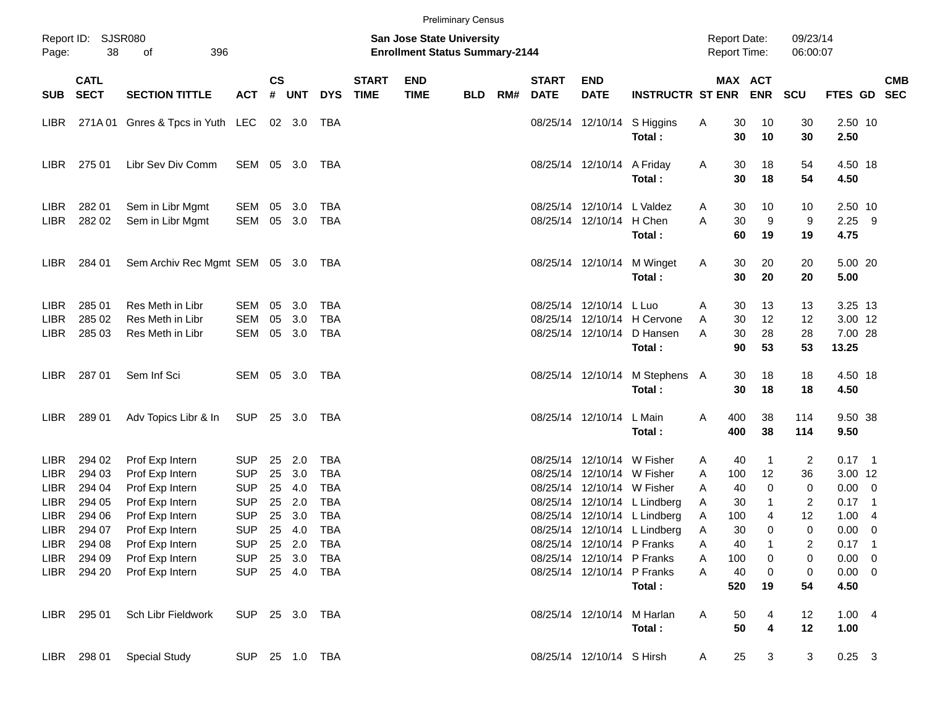|                                           |                                      |                                                          |                                        |                    |                      |                                        |                             |                                                                           | <b>Preliminary Census</b> |     |                             |                                                                                        |                                                                                              |             |                                            |                           |                        |                                        |                                |            |
|-------------------------------------------|--------------------------------------|----------------------------------------------------------|----------------------------------------|--------------------|----------------------|----------------------------------------|-----------------------------|---------------------------------------------------------------------------|---------------------------|-----|-----------------------------|----------------------------------------------------------------------------------------|----------------------------------------------------------------------------------------------|-------------|--------------------------------------------|---------------------------|------------------------|----------------------------------------|--------------------------------|------------|
| Page:                                     | Report ID: SJSR080<br>38             | 396<br>of                                                |                                        |                    |                      |                                        |                             | <b>San Jose State University</b><br><b>Enrollment Status Summary-2144</b> |                           |     |                             |                                                                                        |                                                                                              |             | <b>Report Date:</b><br><b>Report Time:</b> |                           | 09/23/14<br>06:00:07   |                                        |                                |            |
| <b>SUB</b>                                | <b>CATL</b><br><b>SECT</b>           | <b>SECTION TITTLE</b>                                    | <b>ACT</b>                             | $\mathsf{cs}$<br># | UNT                  | <b>DYS</b>                             | <b>START</b><br><b>TIME</b> | <b>END</b><br><b>TIME</b>                                                 | <b>BLD</b>                | RM# | <b>START</b><br><b>DATE</b> | <b>END</b><br><b>DATE</b>                                                              | <b>INSTRUCTR ST ENR</b>                                                                      |             | MAX ACT                                    | <b>ENR</b>                | <b>SCU</b>             | FTES GD SEC                            |                                | <b>CMB</b> |
| LIBR.                                     |                                      | 271A 01 Gnres & Tpcs in Yuth LEC 02 3.0                  |                                        |                    |                      | TBA                                    |                             |                                                                           |                           |     |                             |                                                                                        | 08/25/14 12/10/14 S Higgins<br>Total:                                                        | A           | 30<br>30                                   | 10<br>10                  | 30<br>30               | 2.50 10<br>2.50                        |                                |            |
| <b>LIBR</b>                               | 275 01                               | Libr Sev Div Comm                                        | SEM 05 3.0                             |                    |                      | TBA                                    |                             |                                                                           |                           |     |                             | 08/25/14 12/10/14                                                                      | A Friday<br>Total:                                                                           | A           | 30<br>30                                   | 18<br>18                  | 54<br>54               | 4.50 18<br>4.50                        |                                |            |
| <b>LIBR</b><br>LIBR                       | 282 01<br>282 02                     | Sem in Libr Mgmt<br>Sem in Libr Mgmt                     | SEM<br>SEM                             | 05                 | 3.0<br>05 3.0        | <b>TBA</b><br><b>TBA</b>               |                             |                                                                           |                           |     |                             | 08/25/14 12/10/14 L Valdez<br>08/25/14 12/10/14                                        | H Chen<br>Total:                                                                             | A<br>A      | 30<br>30<br>60                             | 10<br>9<br>19             | 10<br>9<br>19          | 2.50 10<br>$2.25$ 9<br>4.75            |                                |            |
| <b>LIBR</b>                               | 284 01                               | Sem Archiv Rec Mgmt SEM 05 3.0 TBA                       |                                        |                    |                      |                                        |                             |                                                                           |                           |     |                             | 08/25/14 12/10/14                                                                      | M Winget<br>Total:                                                                           | A           | 30<br>30                                   | 20<br>20                  | 20<br>20               | 5.00 20<br>5.00                        |                                |            |
| <b>LIBR</b><br><b>LIBR</b><br>LIBR.       | 285 01<br>285 02<br>285 03           | Res Meth in Libr<br>Res Meth in Libr<br>Res Meth in Libr | SEM<br><b>SEM</b><br>SEM               | 05<br>05           | 3.0<br>3.0<br>05 3.0 | TBA<br><b>TBA</b><br>TBA               |                             |                                                                           |                           |     |                             | 08/25/14 12/10/14<br>08/25/14 12/10/14                                                 | L Luo<br>08/25/14 12/10/14 H Cervone<br>D Hansen<br>Total:                                   | A<br>Α<br>A | 30<br>30<br>30<br>90                       | 13<br>12<br>28<br>53      | 13<br>12<br>28<br>53   | 3.25 13<br>3.00 12<br>7.00 28<br>13.25 |                                |            |
| <b>LIBR</b>                               | 28701                                | Sem Inf Sci                                              | SEM 05 3.0                             |                    |                      | TBA                                    |                             |                                                                           |                           |     |                             | 08/25/14 12/10/14                                                                      | M Stephens A<br>Total:                                                                       |             | 30<br>30                                   | 18<br>18                  | 18<br>18               | 4.50 18<br>4.50                        |                                |            |
| LIBR.                                     | 289 01                               | Adv Topics Libr & In                                     | SUP 25 3.0                             |                    |                      | TBA                                    |                             |                                                                           |                           |     |                             | 08/25/14 12/10/14                                                                      | L Main<br>Total:                                                                             | Α           | 400<br>400                                 | 38<br>38                  | 114<br>114             | 9.50 38<br>9.50                        |                                |            |
| <b>LIBR</b><br><b>LIBR</b><br><b>LIBR</b> | 294 02<br>294 03<br>294 04           | Prof Exp Intern<br>Prof Exp Intern<br>Prof Exp Intern    | <b>SUP</b><br><b>SUP</b><br><b>SUP</b> | 25<br>25<br>25     | 2.0<br>3.0<br>4.0    | <b>TBA</b><br><b>TBA</b><br><b>TBA</b> |                             |                                                                           |                           |     |                             | 08/25/14 12/10/14 W Fisher<br>08/25/14 12/10/14 W Fisher<br>08/25/14 12/10/14 W Fisher |                                                                                              | A<br>A<br>A | 40<br>100<br>40                            | $\overline{1}$<br>12<br>0 | 2<br>36<br>0           | $0.17$ 1<br>3.00 12<br>$0.00 \t 0$     |                                |            |
| <b>LIBR</b><br><b>LIBR</b><br>LIBR        | 294 05<br>294 06<br>294 07           | Prof Exp Intern<br>Prof Exp Intern<br>Prof Exp Intern    | <b>SUP</b><br><b>SUP</b><br><b>SUP</b> | 25<br>25           | 2.0<br>3.0<br>25 4.0 | <b>TBA</b><br><b>TBA</b><br><b>TBA</b> |                             |                                                                           |                           |     |                             |                                                                                        | 08/25/14 12/10/14 L Lindberg<br>08/25/14 12/10/14 L Lindberg<br>08/25/14 12/10/14 L Lindberg | Α<br>Α<br>Α | 30<br>100<br>30                            | $\mathbf{1}$<br>4<br>0    | 2<br>12<br>$\mathbf 0$ | $0.17$ 1<br>1.00<br>0.00               | - 4<br>$\overline{\mathbf{0}}$ |            |
| LIBR                                      | LIBR 294 08<br>294 09<br>LIBR 294 20 | Prof Exp Intern<br>Prof Exp Intern<br>Prof Exp Intern    | SUP 25 2.0<br><b>SUP</b><br><b>SUP</b> |                    | 25 3.0<br>25 4.0     | TBA<br>TBA<br>TBA                      |                             |                                                                           |                           |     |                             | 08/25/14 12/10/14 P Franks<br>08/25/14 12/10/14 P Franks<br>08/25/14 12/10/14 P Franks |                                                                                              | A<br>A<br>Α | 40<br>100<br>40                            | 0<br>$\pmb{0}$            | 2<br>0<br>$\pmb{0}$    | $0.17$ 1<br>$0.00 \t 0$<br>$0.00 \t 0$ |                                |            |
|                                           | LIBR 295 01                          | Sch Libr Fieldwork                                       | SUP 25 3.0 TBA                         |                    |                      |                                        |                             |                                                                           |                           |     |                             | 08/25/14 12/10/14 M Harlan                                                             | Total:<br>Total:                                                                             | Α           | 520<br>50<br>50                            | 19<br>4<br>4              | 54<br>12<br>12         | 4.50<br>1.004<br>1.00                  |                                |            |
|                                           | LIBR 298 01                          | <b>Special Study</b>                                     | SUP 25 1.0 TBA                         |                    |                      |                                        |                             |                                                                           |                           |     |                             | 08/25/14 12/10/14 S Hirsh                                                              |                                                                                              | A           | 25                                         | 3                         | 3                      | $0.25 \quad 3$                         |                                |            |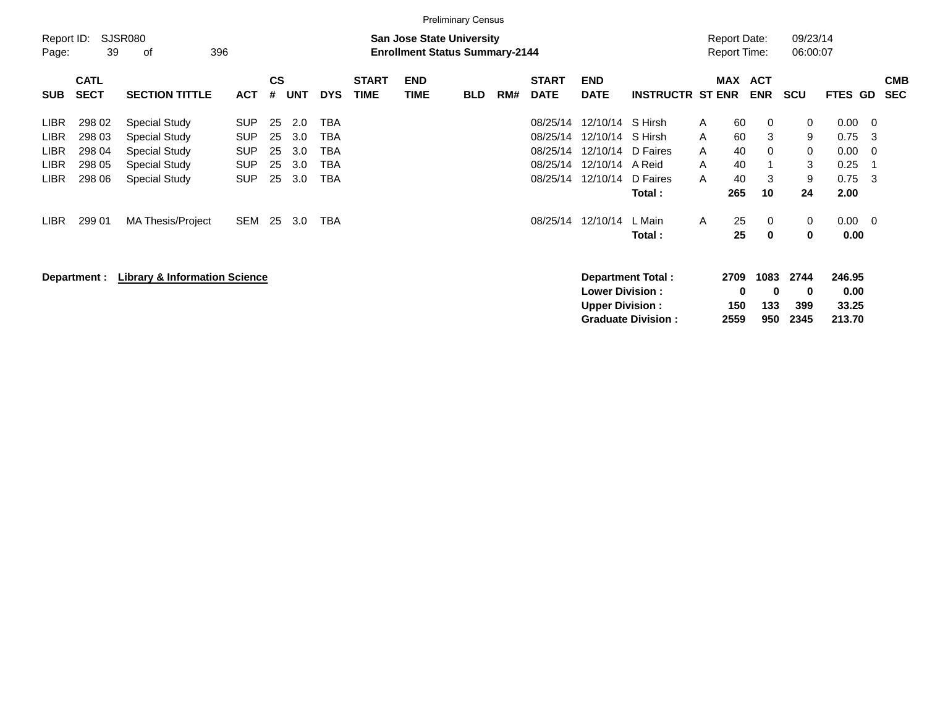|                                                                         |                                                |                                                                                                        |                                                                    |                            |                                 |                                 |                             |                                                                           | <b>Preliminary Census</b> |     |                                                          |                                                                  |                                                     |                                                            |                               |                                       |                                                        |                                              |                          |
|-------------------------------------------------------------------------|------------------------------------------------|--------------------------------------------------------------------------------------------------------|--------------------------------------------------------------------|----------------------------|---------------------------------|---------------------------------|-----------------------------|---------------------------------------------------------------------------|---------------------------|-----|----------------------------------------------------------|------------------------------------------------------------------|-----------------------------------------------------|------------------------------------------------------------|-------------------------------|---------------------------------------|--------------------------------------------------------|----------------------------------------------|--------------------------|
| Report ID:<br>Page:                                                     | 39                                             | <b>SJSR080</b><br>396<br>οf                                                                            |                                                                    |                            |                                 |                                 |                             | <b>San Jose State University</b><br><b>Enrollment Status Summary-2144</b> |                           |     |                                                          |                                                                  |                                                     | <b>Report Date:</b><br><b>Report Time:</b>                 |                               | 09/23/14<br>06:00:07                  |                                                        |                                              |                          |
| <b>SUB</b>                                                              | <b>CATL</b><br><b>SECT</b>                     | <b>SECTION TITTLE</b>                                                                                  | <b>ACT</b>                                                         | <b>CS</b><br>#             | <b>UNT</b>                      | <b>DYS</b>                      | <b>START</b><br><b>TIME</b> | <b>END</b><br><b>TIME</b>                                                 | <b>BLD</b>                | RM# | <b>START</b><br><b>DATE</b>                              | <b>END</b><br><b>DATE</b>                                        | <b>INSTRUCTR ST ENR</b>                             | <b>MAX</b>                                                 | <b>ACT</b><br><b>ENR</b>      | <b>SCU</b>                            | FTES GD                                                |                                              | <b>CMB</b><br><b>SEC</b> |
| <b>LIBR</b><br><b>LIBR</b><br><b>LIBR</b><br><b>LIBR</b><br><b>LIBR</b> | 298 02<br>298 03<br>298 04<br>298 05<br>298 06 | <b>Special Study</b><br>Special Study<br>Special Study<br><b>Special Study</b><br><b>Special Study</b> | <b>SUP</b><br><b>SUP</b><br><b>SUP</b><br><b>SUP</b><br><b>SUP</b> | 25<br>25<br>25<br>25<br>25 | 2.0<br>3.0<br>3.0<br>3.0<br>3.0 | TBA<br>TBA<br>ТВА<br>TBA<br>TBA |                             |                                                                           |                           |     | 08/25/14<br>08/25/14<br>08/25/14<br>08/25/14<br>08/25/14 | 12/10/14 S Hirsh<br>12/10/14<br>12/10/14<br>12/10/14<br>12/10/14 | S Hirsh<br>D Faires<br>A Reid<br>D Faires<br>Total: | 60<br>A<br>60<br>A<br>40<br>A<br>40<br>A<br>40<br>A<br>265 | 0<br>3<br>$\Omega$<br>3<br>10 | 0<br>9<br>$\mathbf 0$<br>3<br>9<br>24 | $0.00 \quad 0$<br>0.75<br>0.00<br>0.25<br>0.75<br>2.00 | - 3<br>$\overline{\mathbf{0}}$<br>- 1<br>- 3 |                          |
| LIBR.                                                                   | 299 01<br>Department :                         | <b>MA Thesis/Project</b><br><b>Library &amp; Information Science</b>                                   | <b>SEM</b>                                                         | 25                         | 3.0                             | TBA                             |                             |                                                                           |                           |     | 08/25/14                                                 | 12/10/14                                                         | L Main<br>Total:<br><b>Department Total:</b>        | 25<br>A<br>25<br>2709                                      | 0<br>$\bf{0}$<br>1083         | $\mathbf 0$<br>0<br>2744              | $0.00 \t 0$<br>0.00<br>246.95                          |                                              |                          |
|                                                                         |                                                |                                                                                                        |                                                                    |                            |                                 |                                 |                             |                                                                           |                           |     |                                                          | <b>Lower Division:</b><br><b>Upper Division:</b>                 |                                                     | 150                                                        | 0<br>0<br>133                 | 0<br>399                              | 0.00<br>33.25                                          |                                              |                          |

**Graduate Division : 2559 950 2345 213.70**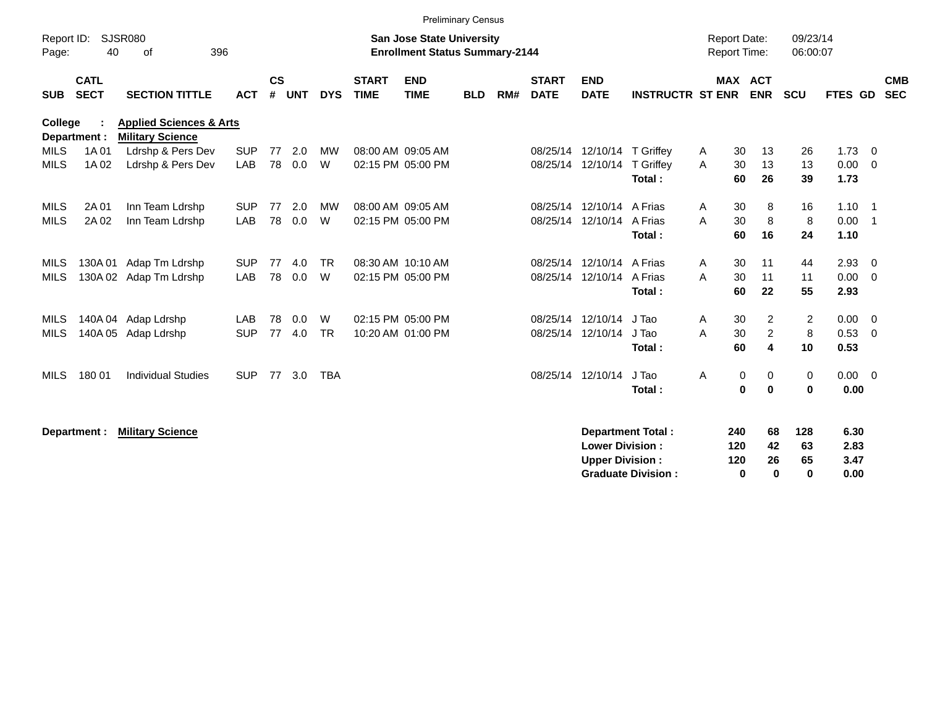|                            |                            |                                                               |                          |                    |            |                |                             | <b>Preliminary Census</b>                                                 |            |     |                             |                                                  |                                                       |                                            |                                       |                             |                                    |                            |
|----------------------------|----------------------------|---------------------------------------------------------------|--------------------------|--------------------|------------|----------------|-----------------------------|---------------------------------------------------------------------------|------------|-----|-----------------------------|--------------------------------------------------|-------------------------------------------------------|--------------------------------------------|---------------------------------------|-----------------------------|------------------------------------|----------------------------|
| Report ID:<br>Page:        | 40                         | SJSR080<br>396<br>οf                                          |                          |                    |            |                |                             | <b>San Jose State University</b><br><b>Enrollment Status Summary-2144</b> |            |     |                             |                                                  |                                                       | <b>Report Date:</b><br><b>Report Time:</b> |                                       | 09/23/14<br>06:00:07        |                                    |                            |
| <b>SUB</b>                 | <b>CATL</b><br><b>SECT</b> | <b>SECTION TITTLE</b>                                         | <b>ACT</b>               | $\mathsf{cs}$<br># | <b>UNT</b> | <b>DYS</b>     | <b>START</b><br><b>TIME</b> | <b>END</b><br><b>TIME</b>                                                 | <b>BLD</b> | RM# | <b>START</b><br><b>DATE</b> | <b>END</b><br><b>DATE</b>                        | <b>INSTRUCTR ST ENR</b>                               |                                            | MAX ACT<br><b>ENR</b>                 | <b>SCU</b>                  | FTES GD                            | <b>CMB</b><br><b>SEC</b>   |
| <b>College</b>             | Department :               | <b>Applied Sciences &amp; Arts</b><br><b>Military Science</b> |                          |                    |            |                |                             |                                                                           |            |     |                             |                                                  |                                                       |                                            |                                       |                             |                                    |                            |
| <b>MILS</b><br><b>MILS</b> | 1A 01<br>1A 02             | Ldrshp & Pers Dev<br>Ldrshp & Pers Dev                        | <b>SUP</b><br><b>LAB</b> | 77<br>78           | 2.0<br>0.0 | <b>MW</b><br>W |                             | 08:00 AM 09:05 AM<br>02:15 PM 05:00 PM                                    |            |     | 08/25/14                    | 12/10/14<br>08/25/14 12/10/14                    | T Griffey<br>T Griffey<br>Total:                      | 30<br>A<br>A<br>30<br>60                   | 13<br>13<br>26                        | 26<br>13<br>39              | $1.73 \t 0$<br>$0.00 \t 0$<br>1.73 |                            |
| <b>MILS</b><br><b>MILS</b> | 2A 01<br>2A 02             | Inn Team Ldrshp<br>Inn Team Ldrshp                            | <b>SUP</b><br>LAB        | 77<br>78           | 2.0<br>0.0 | <b>MW</b><br>W |                             | 08:00 AM 09:05 AM<br>02:15 PM 05:00 PM                                    |            |     | 08/25/14                    | 12/10/14<br>08/25/14 12/10/14                    | A Frias<br>A Frias<br>Total:                          | 30<br>A<br>A<br>30<br>60                   | 8<br>8<br>16                          | 16<br>8<br>24               | $1.10 \quad 1$<br>0.00<br>1.10     | $\overline{\phantom{0}}$ 1 |
| MILS<br><b>MILS</b>        | 130A 01<br>130A02          | Adap Tm Ldrshp<br>Adap Tm Ldrshp                              | <b>SUP</b><br><b>LAB</b> | 77<br>78           | 4.0<br>0.0 | <b>TR</b><br>W |                             | 08:30 AM 10:10 AM<br>02:15 PM 05:00 PM                                    |            |     | 08/25/14<br>08/25/14        | 12/10/14<br>12/10/14                             | A Frias<br>A Frias<br>Total:                          | 30<br>A<br>A<br>30<br>60                   | 11<br>11<br>22                        | 44<br>11<br>55              | 2.93<br>$0.00 \t 0$<br>2.93        | $\overline{\mathbf{0}}$    |
| MILS<br><b>MILS</b>        | 140A 04<br>140A 05         | Adap Ldrshp<br>Adap Ldrshp                                    | <b>LAB</b><br><b>SUP</b> | 78<br>77           | 0.0<br>4.0 | W<br><b>TR</b> |                             | 02:15 PM 05:00 PM<br>10:20 AM 01:00 PM                                    |            |     | 08/25/14                    | 12/10/14<br>08/25/14 12/10/14                    | J Tao<br>J Tao<br>Total:                              | 30<br>A<br>A<br>30<br>60                   | $\overline{2}$<br>$\overline{2}$<br>4 | $\overline{2}$<br>8<br>10   | $0.00 \t 0$<br>0.53<br>0.53        | $\overline{0}$             |
| <b>MILS</b>                | 180 01                     | <b>Individual Studies</b>                                     | <b>SUP</b>               | 77                 | 3.0        | <b>TBA</b>     |                             |                                                                           |            |     | 08/25/14                    | 12/10/14                                         | J Tao<br>Total:                                       | $\mathbf 0$<br>Α                           | 0<br>$\bf{0}$<br>$\mathbf 0$          | 0<br>$\bf{0}$               | $0.00 \t 0$<br>0.00                |                            |
|                            | Department :               | <b>Military Science</b>                                       |                          |                    |            |                |                             |                                                                           |            |     |                             | <b>Lower Division:</b><br><b>Upper Division:</b> | <b>Department Total:</b><br><b>Graduate Division:</b> | 240<br>120<br>120                          | 68<br>42<br>26<br>$\bf{0}$<br>0       | 128<br>63<br>65<br>$\bf{0}$ | 6.30<br>2.83<br>3.47<br>0.00       |                            |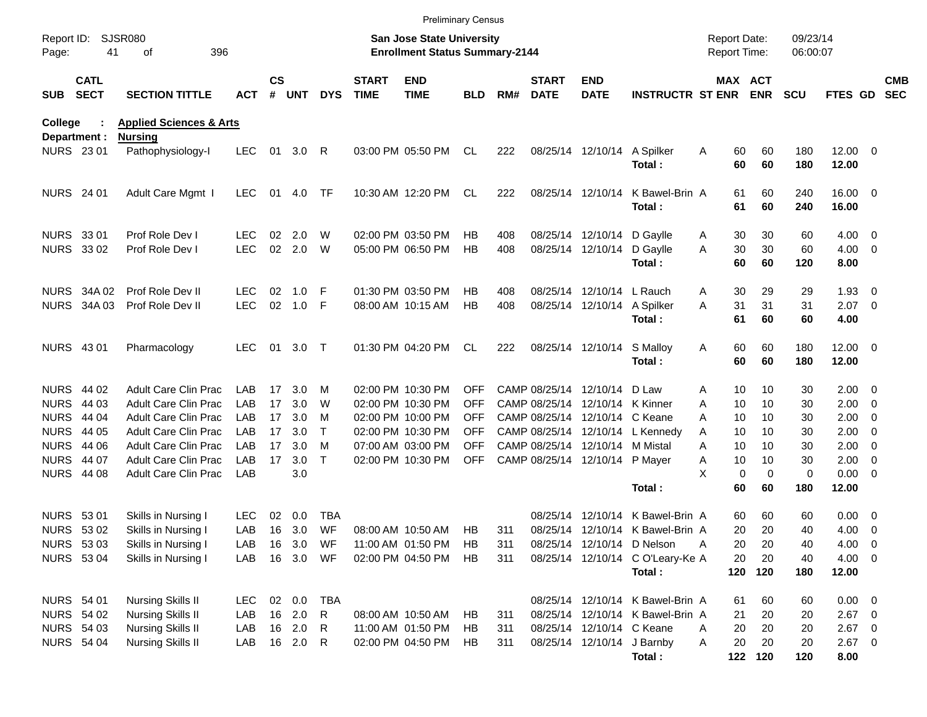|                     |                            |                                    |            |                    |            |              |                             | <b>Preliminary Census</b>                                          |            |     |                             |                                 |                                  |                                     |                            |                      |                       |                          |                          |
|---------------------|----------------------------|------------------------------------|------------|--------------------|------------|--------------|-----------------------------|--------------------------------------------------------------------|------------|-----|-----------------------------|---------------------------------|----------------------------------|-------------------------------------|----------------------------|----------------------|-----------------------|--------------------------|--------------------------|
| Report ID:<br>Page: | 41                         | SJSR080<br>396<br>οf               |            |                    |            |              |                             | San Jose State University<br><b>Enrollment Status Summary-2144</b> |            |     |                             |                                 |                                  | <b>Report Date:</b><br>Report Time: |                            | 09/23/14<br>06:00:07 |                       |                          |                          |
| <b>SUB</b>          | <b>CATL</b><br><b>SECT</b> | <b>SECTION TITTLE</b>              | ACT        | $\mathsf{cs}$<br># | <b>UNT</b> | <b>DYS</b>   | <b>START</b><br><b>TIME</b> | <b>END</b><br><b>TIME</b>                                          | <b>BLD</b> | RM# | <b>START</b><br><b>DATE</b> | <b>END</b><br><b>DATE</b>       | <b>INSTRUCTR ST ENR ENR</b>      |                                     | MAX ACT                    | <b>SCU</b>           | <b>FTES GD</b>        |                          | <b>CMB</b><br><b>SEC</b> |
| College             |                            | <b>Applied Sciences &amp; Arts</b> |            |                    |            |              |                             |                                                                    |            |     |                             |                                 |                                  |                                     |                            |                      |                       |                          |                          |
| Department :        |                            | <b>Nursing</b>                     |            |                    |            |              |                             |                                                                    |            |     |                             |                                 |                                  |                                     |                            |                      |                       |                          |                          |
| <b>NURS 2301</b>    |                            | Pathophysiology-I                  | <b>LEC</b> |                    | 01 3.0 R   |              |                             | 03:00 PM 05:50 PM                                                  | CL         | 222 |                             | 08/25/14 12/10/14               | A Spilker<br>Total:              | 60<br>A<br>60                       | 60<br>60                   | 180<br>180           | $12.00 \t 0$<br>12.00 |                          |                          |
| <b>NURS</b> 24 01   |                            | Adult Care Mgmt I                  | <b>LEC</b> |                    | 01 4.0     | TF           |                             | 10:30 AM 12:20 PM                                                  | CL         | 222 |                             | 08/25/14 12/10/14               | K Bawel-Brin A                   | 61                                  | 60                         | 240                  | 16.00 0               |                          |                          |
|                     |                            |                                    |            |                    |            |              |                             |                                                                    |            |     |                             |                                 | Total:                           | 61                                  | 60                         | 240                  | 16.00                 |                          |                          |
| NURS 33 01          |                            | Prof Role Dev I                    | <b>LEC</b> | 02                 | 2.0        | W            |                             | 02:00 PM 03:50 PM                                                  | HВ         | 408 |                             | 08/25/14 12/10/14 D Gaylle      |                                  | 30<br>A                             | 30                         | 60                   | $4.00 \ 0$            |                          |                          |
| NURS 33 02          |                            | Prof Role Dev I                    | <b>LEC</b> | 02                 | 2.0        | W            |                             | 05:00 PM 06:50 PM                                                  | <b>HB</b>  | 408 |                             | 08/25/14 12/10/14 D Gaylle      |                                  | 30<br>A                             | 30                         | 60                   | $4.00 \ 0$            |                          |                          |
|                     |                            |                                    |            |                    |            |              |                             |                                                                    |            |     |                             |                                 | Total:                           | 60                                  | 60                         | 120                  | 8.00                  |                          |                          |
|                     | <b>NURS 34A02</b>          | Prof Role Dev II                   | LEC.       | 02                 | 1.0        | -F           |                             | 01:30 PM 03:50 PM                                                  | HВ         | 408 |                             | 08/25/14 12/10/14 L Rauch       |                                  | 30<br>A                             | 29                         | 29                   | $1.93 \ 0$            |                          |                          |
|                     | <b>NURS 34A03</b>          | Prof Role Dev II                   | <b>LEC</b> | 02                 | 1.0        | -F           |                             | 08:00 AM 10:15 AM                                                  | <b>HB</b>  | 408 |                             | 08/25/14 12/10/14 A Spilker     |                                  | 31<br>A                             | 31                         | 31                   | $2.07$ 0              |                          |                          |
|                     |                            |                                    |            |                    |            |              |                             |                                                                    |            |     |                             |                                 | Total:                           | 61                                  | 60                         | 60                   | 4.00                  |                          |                          |
| <b>NURS 4301</b>    |                            | Pharmacology                       | <b>LEC</b> | 01                 | 3.0        | $\top$       |                             | 01:30 PM 04:20 PM                                                  | CL         | 222 |                             | 08/25/14 12/10/14 S Malloy      |                                  | 60<br>Α                             | 60                         | 180                  | $12.00 \t 0$          |                          |                          |
|                     |                            |                                    |            |                    |            |              |                             |                                                                    |            |     |                             |                                 | Total:                           | 60                                  | 60                         | 180                  | 12.00                 |                          |                          |
| NURS 44 02          |                            | <b>Adult Care Clin Prac</b>        | LAB        | 17                 | 3.0        | м            |                             | 02:00 PM 10:30 PM                                                  | <b>OFF</b> |     |                             | CAMP 08/25/14 12/10/14 D Law    |                                  | 10<br>A                             | 10                         | 30                   | $2.00 \t 0$           |                          |                          |
| <b>NURS</b>         | 44 03                      | <b>Adult Care Clin Prac</b>        | LAB        | 17                 | 3.0        | W            |                             | 02:00 PM 10:30 PM                                                  | <b>OFF</b> |     |                             | CAMP 08/25/14 12/10/14 K Kinner |                                  | A<br>10                             | 10                         | 30                   | $2.00 \t 0$           |                          |                          |
| <b>NURS</b>         | 44 04                      | <b>Adult Care Clin Prac</b>        | LAB        | 17                 | 3.0        | м            |                             | 02:00 PM 10:00 PM                                                  | <b>OFF</b> |     |                             | CAMP 08/25/14 12/10/14 C Keane  |                                  | 10<br>A                             | 10                         | 30                   | $2.00 \t 0$           |                          |                          |
| <b>NURS 44 05</b>   |                            | <b>Adult Care Clin Prac</b>        | LAB        | 17                 | 3.0        | T            |                             | 02:00 PM 10:30 PM                                                  | <b>OFF</b> |     |                             |                                 | CAMP 08/25/14 12/10/14 L Kennedy | 10<br>A                             | 10                         | 30                   | $2.00 \t 0$           |                          |                          |
| <b>NURS 44 06</b>   |                            | <b>Adult Care Clin Prac</b>        | LAB        | 17                 | 3.0        | м            |                             | 07:00 AM 03:00 PM                                                  | OFF        |     |                             | CAMP 08/25/14 12/10/14 M Mistal |                                  | A<br>10                             | 10                         | 30                   | $2.00 \t 0$           |                          |                          |
| <b>NURS 44 07</b>   |                            | <b>Adult Care Clin Prac</b>        | LAB        | 17                 | 3.0        | $\mathsf{T}$ |                             | 02:00 PM 10:30 PM                                                  | <b>OFF</b> |     |                             | CAMP 08/25/14 12/10/14 P Mayer  |                                  | 10<br>Α                             | 10                         | 30                   | $2.00 \t 0$           |                          |                          |
| <b>NURS 44 08</b>   |                            | <b>Adult Care Clin Prac</b>        | LAB        |                    | 3.0        |              |                             |                                                                    |            |     |                             |                                 |                                  | X                                   | $\mathbf 0$<br>$\mathbf 0$ | 0                    | $0.00 \t 0$           |                          |                          |
|                     |                            |                                    |            |                    |            |              |                             |                                                                    |            |     |                             |                                 | Total:                           | 60                                  | 60                         | 180                  | 12.00                 |                          |                          |
| <b>NURS 5301</b>    |                            | Skills in Nursing I                | <b>LEC</b> | 02                 | 0.0        | TBA          |                             |                                                                    |            |     |                             |                                 | 08/25/14 12/10/14 K Bawel-Brin A | 60                                  | 60                         | 60                   | $0.00 \t 0$           |                          |                          |
| NURS 53 02          |                            | Skills in Nursing I                | LAB        |                    | 16 3.0     | WF           |                             | 08:00 AM 10:50 AM                                                  | HB         | 311 |                             |                                 | 08/25/14 12/10/14 K Bawel-Brin A | 20                                  | 20                         | 40                   | 4.00                  | $\overline{\phantom{0}}$ |                          |
| NURS 53 03          |                            | Skills in Nursing I                | LAB        |                    | 16 3.0     | WF           |                             | 11:00 AM 01:50 PM                                                  | HB         | 311 |                             |                                 | 08/25/14 12/10/14 D Nelson       | Α<br>20                             | 20                         | 40                   | $4.00 \ 0$            |                          |                          |
| <b>NURS 5304</b>    |                            | Skills in Nursing I                | LAB        |                    | 16 3.0     | WF           |                             | 02:00 PM 04:50 PM                                                  | HB         | 311 |                             |                                 | 08/25/14 12/10/14 C O'Leary-Ke A | 20                                  | 20                         | 40                   | $4.00 \ 0$            |                          |                          |
|                     |                            |                                    |            |                    |            |              |                             |                                                                    |            |     |                             |                                 | Total:                           | 120                                 | 120                        | 180                  | 12.00                 |                          |                          |
| <b>NURS 54 01</b>   |                            | <b>Nursing Skills II</b>           | <b>LEC</b> |                    | 02 0.0     | TBA          |                             |                                                                    |            |     |                             |                                 | 08/25/14 12/10/14 K Bawel-Brin A | 61                                  | 60                         | 60                   | $0.00 \t 0$           |                          |                          |
| NURS 54 02          |                            | <b>Nursing Skills II</b>           | LAB        |                    | 16 2.0     | $\mathsf{R}$ |                             | 08:00 AM 10:50 AM                                                  | HB.        | 311 |                             |                                 | 08/25/14 12/10/14 K Bawel-Brin A | 21                                  | 20                         | 20                   | $2.67$ 0              |                          |                          |
| <b>NURS 54 03</b>   |                            | <b>Nursing Skills II</b>           | LAB        |                    | 16 2.0     | R            |                             | 11:00 AM 01:50 PM                                                  | HB         | 311 |                             | 08/25/14 12/10/14 C Keane       |                                  | 20<br>A                             | 20                         | 20                   | $2.67$ 0              |                          |                          |
| <b>NURS 54 04</b>   |                            | <b>Nursing Skills II</b>           | LAB        |                    | 16 2.0     | R            |                             | 02:00 PM 04:50 PM                                                  | HB         | 311 |                             | 08/25/14 12/10/14 J Barnby      |                                  | 20<br>Α                             | 20                         | 20                   | $2.67$ 0              |                          |                          |
|                     |                            |                                    |            |                    |            |              |                             |                                                                    |            |     |                             |                                 | Total:                           |                                     | 122 120                    | 120                  | 8.00                  |                          |                          |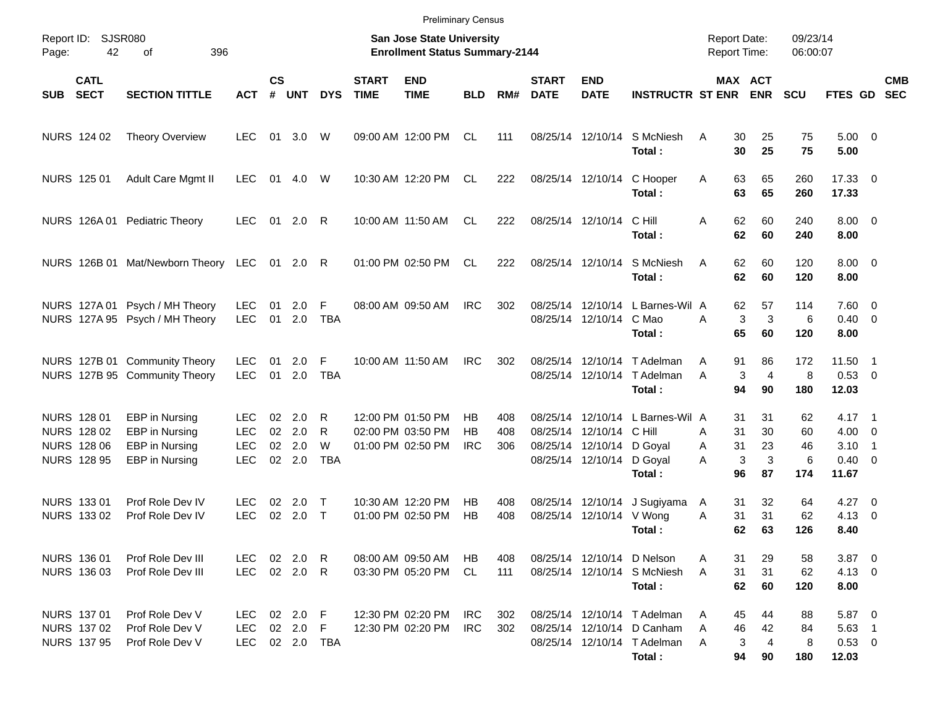|       |                                                                        |                                                                      |                                                |                      |                                      |                           |                             | <b>Preliminary Census</b>                                          |                        |                   |                             |                                                                            |                                                                                                    |                                            |                                                        |                            |                                                                     |            |
|-------|------------------------------------------------------------------------|----------------------------------------------------------------------|------------------------------------------------|----------------------|--------------------------------------|---------------------------|-----------------------------|--------------------------------------------------------------------|------------------------|-------------------|-----------------------------|----------------------------------------------------------------------------|----------------------------------------------------------------------------------------------------|--------------------------------------------|--------------------------------------------------------|----------------------------|---------------------------------------------------------------------|------------|
| Page: | Report ID: SJSR080<br>42                                               | 396<br>of                                                            |                                                |                      |                                      |                           |                             | San Jose State University<br><b>Enrollment Status Summary-2144</b> |                        |                   |                             |                                                                            |                                                                                                    | <b>Report Date:</b><br><b>Report Time:</b> |                                                        | 09/23/14<br>06:00:07       |                                                                     |            |
| SUB   | <b>CATL</b><br><b>SECT</b>                                             | <b>SECTION TITTLE</b>                                                | <b>ACT</b>                                     | $\mathsf{cs}$<br>#   | <b>UNT</b>                           | <b>DYS</b>                | <b>START</b><br><b>TIME</b> | <b>END</b><br><b>TIME</b>                                          | <b>BLD</b>             | RM#               | <b>START</b><br><b>DATE</b> | <b>END</b><br><b>DATE</b>                                                  | <b>INSTRUCTR ST ENR</b>                                                                            |                                            | MAX ACT<br><b>ENR</b>                                  | <b>SCU</b>                 | FTES GD SEC                                                         | <b>CMB</b> |
|       | NURS 124 02                                                            | <b>Theory Overview</b>                                               | <b>LEC</b>                                     | 01                   | 3.0                                  | W                         |                             | 09:00 AM 12:00 PM                                                  | CL                     | 111               |                             | 08/25/14 12/10/14                                                          | S McNiesh<br>Total:                                                                                | A                                          | 30<br>25<br>30<br>25                                   | 75<br>75                   | $5.00 \t 0$<br>5.00                                                 |            |
|       | NURS 125 01                                                            | Adult Care Mgmt II                                                   | <b>LEC</b>                                     | 01                   | 4.0                                  | W                         |                             | 10:30 AM 12:20 PM                                                  | CL.                    | 222               |                             |                                                                            | 08/25/14 12/10/14 C Hooper<br>Total:                                                               | Α                                          | 63<br>65<br>63<br>65                                   | 260<br>260                 | 17.33 0<br>17.33                                                    |            |
|       |                                                                        | NURS 126A 01 Pediatric Theory                                        | <b>LEC</b>                                     |                      | 01 2.0 R                             |                           |                             | 10:00 AM 11:50 AM                                                  | <b>CL</b>              | 222               |                             | 08/25/14 12/10/14                                                          | C Hill<br>Total:                                                                                   | A                                          | 62<br>60<br>62<br>60                                   | 240<br>240                 | $8.00 \t 0$<br>8.00                                                 |            |
|       |                                                                        | NURS 126B 01 Mat/Newborn Theory LEC 01 2.0 R                         |                                                |                      |                                      |                           |                             | 01:00 PM 02:50 PM                                                  | CL                     | 222               |                             | 08/25/14 12/10/14                                                          | S McNiesh<br>Total:                                                                                | A                                          | 62<br>60<br>62<br>60                                   | 120<br>120                 | $8.00 \t 0$<br>8.00                                                 |            |
|       |                                                                        | NURS 127A 01 Psych / MH Theory<br>NURS 127A 95 Psych / MH Theory     | <b>LEC</b><br><b>LEC</b>                       | 01<br>01             | 2.0<br>2.0                           | F<br><b>TBA</b>           |                             | 08:00 AM 09:50 AM                                                  | <b>IRC</b>             | 302               |                             | 08/25/14 12/10/14 C Mao                                                    | 08/25/14 12/10/14 L Barnes-Wil A<br>Total:                                                         | A                                          | 62<br>57<br>3<br>3<br>65<br>60                         | 114<br>6<br>120            | $7.60 \t 0$<br>$0.40 \quad 0$<br>8.00                               |            |
|       |                                                                        | NURS 127B 01 Community Theory<br>NURS 127B 95 Community Theory       | <b>LEC</b><br><b>LEC</b>                       | 01<br>01             | 2.0<br>2.0                           | F<br><b>TBA</b>           |                             | 10:00 AM 11:50 AM                                                  | <b>IRC</b>             | 302               |                             |                                                                            | 08/25/14 12/10/14 T Adelman<br>08/25/14 12/10/14 T Adelman<br>Total:                               | Α<br>A                                     | 86<br>91<br>$\overline{4}$<br>3<br>94<br>90            | 172<br>8<br>180            | 11.50 1<br>0.53 0<br>12.03                                          |            |
|       | NURS 128 01<br>NURS 128 02<br><b>NURS 128 06</b><br><b>NURS 128 95</b> | EBP in Nursing<br>EBP in Nursing<br>EBP in Nursing<br>EBP in Nursing | LEC.<br><b>LEC</b><br><b>LEC</b><br><b>LEC</b> | 02<br>02<br>02<br>02 | 2.0<br>2.0<br>2.0<br>2.0             | R<br>R<br>W<br><b>TBA</b> |                             | 12:00 PM 01:50 PM<br>02:00 PM 03:50 PM<br>01:00 PM 02:50 PM        | НB<br>НB<br><b>IRC</b> | 408<br>408<br>306 |                             | 08/25/14 12/10/14 C Hill<br>08/25/14 12/10/14 D Goyal<br>08/25/14 12/10/14 | 08/25/14 12/10/14 L Barnes-Wil A<br>D Goyal<br>Total:                                              | A<br>Α<br>A                                | 31<br>31<br>31<br>30<br>31<br>23<br>3<br>3<br>96<br>87 | 62<br>60<br>46<br>6<br>174 | $4.17 \quad 1$<br>$4.00 \ 0$<br>$3.10$ 1<br>$0.40 \quad 0$<br>11.67 |            |
|       | NURS 133 01<br>NURS 133 02                                             | Prof Role Dev IV<br>Prof Role Dev IV                                 | LEC.<br><b>LEC</b>                             | 02<br>02             | 2.0<br>2.0                           | $\top$<br>$\top$          |                             | 10:30 AM 12:20 PM<br>01:00 PM 02:50 PM                             | HB.<br>HB              | 408<br>408        |                             | 08/25/14 12/10/14<br>08/25/14 12/10/14 V Wong                              | J Sugiyama<br>Total:                                                                               | A<br>A                                     | 31<br>32<br>31<br>31<br>62<br>63                       | 64<br>62<br>126            | $4.27$ 0<br>$4.13 \quad 0$<br>8.40                                  |            |
|       | NURS 136 01<br>NURS 136 03                                             | Prof Role Dev III<br>Prof Role Dev III                               | LEC.<br><b>LEC</b>                             |                      | 02 2.0 R<br>02 2.0 R                 |                           |                             | 08:00 AM 09:50 AM<br>03:30 PM 05:20 PM                             | HB.<br>CL.             | 408<br>111        |                             |                                                                            | 08/25/14 12/10/14 D Nelson<br>08/25/14 12/10/14 S McNiesh<br>Total:                                | Α<br>A                                     | 31<br>29<br>31<br>31<br>62<br>60                       | 58<br>62<br>120            | $3.87$ 0<br>$4.13 \ 0$<br>8.00                                      |            |
|       | NURS 137 01<br>NURS 137 02<br>NURS 137 95                              | Prof Role Dev V<br>Prof Role Dev V<br>Prof Role Dev V                | LEC.<br><b>LEC</b><br><b>LEC</b>               |                      | 02 2.0 F<br>02 2.0 F<br>02  2.0  TBA |                           |                             | 12:30 PM 02:20 PM<br>12:30 PM 02:20 PM                             | IRC<br><b>IRC</b>      | 302<br>302        |                             |                                                                            | 08/25/14 12/10/14 T Adelman<br>08/25/14 12/10/14 D Canham<br>08/25/14 12/10/14 T Adelman<br>Total: | Α<br>Α<br>A                                | 45<br>44<br>46<br>42<br>3<br>4<br>94<br>90             | 88<br>84<br>8<br>180       | 5.87 0<br>$5.63$ 1<br>$0.53$ 0<br>12.03                             |            |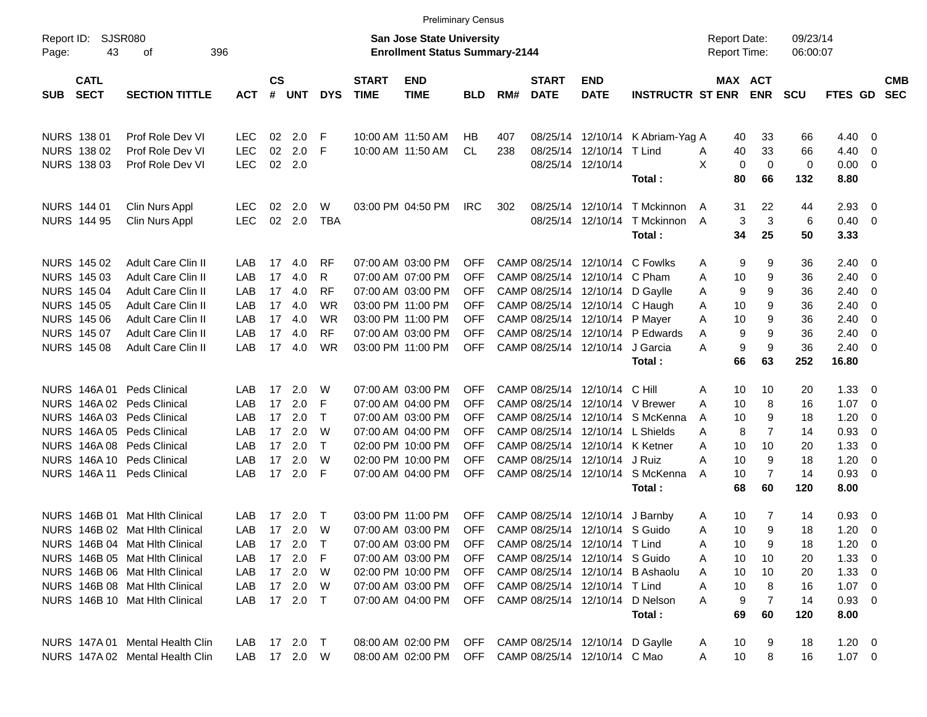|                     |                            |                                 |              |                |            |            |                             |                                                                           | <b>Preliminary Census</b> |     |                             |                                  |                                        |                                     |                   |                      |                        |                          |                          |
|---------------------|----------------------------|---------------------------------|--------------|----------------|------------|------------|-----------------------------|---------------------------------------------------------------------------|---------------------------|-----|-----------------------------|----------------------------------|----------------------------------------|-------------------------------------|-------------------|----------------------|------------------------|--------------------------|--------------------------|
| Report ID:<br>Page: | 43                         | SJSR080<br>396<br>оf            |              |                |            |            |                             | <b>San Jose State University</b><br><b>Enrollment Status Summary-2144</b> |                           |     |                             |                                  |                                        | <b>Report Date:</b><br>Report Time: |                   | 09/23/14<br>06:00:07 |                        |                          |                          |
| <b>SUB</b>          | <b>CATL</b><br><b>SECT</b> | <b>SECTION TITTLE</b>           | <b>ACT</b>   | <b>CS</b><br># | <b>UNT</b> | <b>DYS</b> | <b>START</b><br><b>TIME</b> | <b>END</b><br><b>TIME</b>                                                 | <b>BLD</b>                | RM# | <b>START</b><br><b>DATE</b> | <b>END</b><br><b>DATE</b>        | <b>INSTRUCTR ST ENR</b>                | MAX ACT                             | <b>ENR</b>        | <b>SCU</b>           | <b>FTES GD</b>         |                          | <b>CMB</b><br><b>SEC</b> |
|                     | <b>NURS 138 01</b>         | Prof Role Dev VI                | <b>LEC</b>   | 02             | 2.0        | F          |                             | 10:00 AM 11:50 AM                                                         | НB                        | 407 |                             | 08/25/14 12/10/14                | K Abriam-Yag A                         | 40                                  | 33                | 66                   | 4.40                   | - 0                      |                          |
|                     | NURS 138 02                | Prof Role Dev VI                | <b>LEC</b>   | 02             | 2.0        | -F         |                             | 10:00 AM 11:50 AM                                                         | <b>CL</b>                 | 238 |                             | 08/25/14 12/10/14                | T Lind                                 | 40<br>A                             | 33                | 66                   | 4.40                   | - 0                      |                          |
|                     | NURS 138 03                | Prof Role Dev VI                | <b>LEC</b>   | 02             | 2.0        |            |                             |                                                                           |                           |     |                             | 08/25/14 12/10/14                | Total:                                 | X<br>0<br>80                        | $\mathbf 0$<br>66 | $\mathbf 0$<br>132   | 0.00<br>8.80           | $\overline{\phantom{0}}$ |                          |
|                     | <b>NURS 144 01</b>         | Clin Nurs Appl                  | <b>LEC</b>   | 02             | 2.0        | W          |                             | 03:00 PM 04:50 PM                                                         | <b>IRC</b>                | 302 |                             | 08/25/14 12/10/14                | T Mckinnon                             | 31<br>A                             | 22                | 44                   | 2.93                   | $\overline{0}$           |                          |
|                     | <b>NURS 144 95</b>         | Clin Nurs Appl                  | <b>LEC</b>   | 02             | 2.0        | <b>TBA</b> |                             |                                                                           |                           |     |                             |                                  | 08/25/14 12/10/14 T Mckinnon<br>Total: | 3<br>A<br>34                        | 3<br>25           | 6<br>50              | $0.40 \quad 0$<br>3.33 |                          |                          |
|                     | NURS 145 02                | <b>Adult Care Clin II</b>       | LAB          | 17             | 4.0        | <b>RF</b>  |                             | 07:00 AM 03:00 PM                                                         | <b>OFF</b>                |     |                             |                                  | CAMP 08/25/14 12/10/14 C Fowlks        | 9<br>Α                              | 9                 | 36                   | 2.40                   | $\overline{\mathbf{0}}$  |                          |
|                     | NURS 145 03                | <b>Adult Care Clin II</b>       | LAB          | 17             | 4.0        | R          |                             | 07:00 AM 07:00 PM                                                         | <b>OFF</b>                |     |                             | CAMP 08/25/14 12/10/14 C Pham    |                                        | 10<br>Α                             | 9                 | 36                   | 2.40                   | $\overline{\mathbf{0}}$  |                          |
|                     | <b>NURS 145 04</b>         | Adult Care Clin II              | LAB          | 17             | 4.0        | <b>RF</b>  |                             | 07:00 AM 03:00 PM                                                         | <b>OFF</b>                |     |                             | CAMP 08/25/14 12/10/14 D Gaylle  |                                        | 9<br>A                              | 9                 | 36                   | 2.40                   | 0                        |                          |
|                     | <b>NURS 145 05</b>         | Adult Care Clin II              | LAB          | 17             | 4.0        | <b>WR</b>  |                             | 03:00 PM 11:00 PM                                                         | <b>OFF</b>                |     |                             | CAMP 08/25/14 12/10/14 C Haugh   |                                        | 10<br>A                             | 9                 | 36                   | 2.40                   | 0                        |                          |
|                     | <b>NURS 145 06</b>         | Adult Care Clin II              | LAB          | 17             | 4.0        | <b>WR</b>  |                             | 03:00 PM 11:00 PM                                                         | <b>OFF</b>                |     |                             | CAMP 08/25/14 12/10/14 P Mayer   |                                        | 10<br>Α                             | 9                 | 36                   | 2.40                   | $\overline{0}$           |                          |
|                     | NURS 145 07                | <b>Adult Care Clin II</b>       | LAB          | 17             | 4.0        | <b>RF</b>  |                             | 07:00 AM 03:00 PM                                                         | <b>OFF</b>                |     |                             |                                  | CAMP 08/25/14 12/10/14 P Edwards       | 9<br>A                              | 9                 | 36                   | 2.40                   | $\overline{0}$           |                          |
|                     | <b>NURS 145 08</b>         | <b>Adult Care Clin II</b>       | LAB          | 17             | 4.0        | <b>WR</b>  |                             | 03:00 PM 11:00 PM                                                         | OFF.                      |     |                             | CAMP 08/25/14 12/10/14           | J Garcia                               | 9<br>Α                              | 9                 | 36                   | 2.40                   | - 0                      |                          |
|                     |                            |                                 |              |                |            |            |                             |                                                                           |                           |     |                             |                                  | Total:                                 | 66                                  | 63                | 252                  | 16.80                  |                          |                          |
|                     | NURS 146A 01               | Peds Clinical                   | LAB          | 17             | 2.0        | W          |                             | 07:00 AM 03:00 PM                                                         | <b>OFF</b>                |     |                             | CAMP 08/25/14 12/10/14 C Hill    |                                        | 10<br>Α                             | 10                | 20                   | 1.33                   | - 0                      |                          |
|                     |                            | NURS 146A 02 Peds Clinical      | LAB          | 17             | 2.0        | F          |                             | 07:00 AM 04:00 PM                                                         | <b>OFF</b>                |     |                             |                                  | CAMP 08/25/14 12/10/14 V Brewer        | 10<br>A                             | 8                 | 16                   | 1.07                   | $\overline{\mathbf{0}}$  |                          |
|                     |                            | NURS 146A 03 Peds Clinical      | LAB          | 17             | 2.0        | $\top$     |                             | 07:00 AM 03:00 PM                                                         | <b>OFF</b>                |     |                             |                                  | CAMP 08/25/14 12/10/14 S McKenna       | 10<br>A                             | 9                 | 18                   | 1.20                   | - 0                      |                          |
|                     |                            | NURS 146A 05 Peds Clinical      | LAB          | 17             | 2.0        | W          |                             | 07:00 AM 04:00 PM                                                         | <b>OFF</b>                |     |                             | CAMP 08/25/14 12/10/14 L Shields |                                        | 8<br>A                              | $\overline{7}$    | 14                   | 0.93                   | 0                        |                          |
|                     |                            | NURS 146A 08 Peds Clinical      | LAB          | 17             | 2.0        | $\top$     |                             | 02:00 PM 10:00 PM                                                         | <b>OFF</b>                |     |                             | CAMP 08/25/14 12/10/14 K Ketner  |                                        | 10<br>Α                             | 10                | 20                   | 1.33                   | 0                        |                          |
|                     |                            | NURS 146A 10 Peds Clinical      | LAB          | 17             | 2.0        | W          |                             | 02:00 PM 10:00 PM                                                         | <b>OFF</b>                |     |                             | CAMP 08/25/14 12/10/14 J Ruiz    |                                        | 10<br>А                             | 9                 | 18                   | 1.20                   | - 0                      |                          |
|                     | NURS 146A 11               | <b>Peds Clinical</b>            | LAB          | 17             | 2.0        | -F         |                             | 07:00 AM 04:00 PM                                                         | OFF.                      |     |                             | CAMP 08/25/14 12/10/14           | S McKenna                              | 10<br>A                             | 7                 | 14                   | 0.93                   | $\overline{\mathbf{0}}$  |                          |
|                     |                            |                                 |              |                |            |            |                             |                                                                           |                           |     |                             |                                  | Total:                                 | 68                                  | 60                | 120                  | 8.00                   |                          |                          |
|                     | <b>NURS 146B 01</b>        | <b>Mat Hith Clinical</b>        | LAB          | 17             | 2.0        | $\top$     |                             | 03:00 PM 11:00 PM                                                         | <b>OFF</b>                |     |                             | CAMP 08/25/14 12/10/14 J Barnby  |                                        | 10<br>A                             | 7                 | 14                   | 0.93                   | $\overline{\mathbf{0}}$  |                          |
|                     |                            | NURS 146B 02 Mat Hlth Clinical  | LAB          |                | 17 2.0     | W          |                             | 07:00 AM 03:00 PM                                                         | OFF.                      |     |                             | CAMP 08/25/14 12/10/14 S Guido   |                                        | 10<br>Α                             | 9                 | 18                   | 1.20                   | $\overline{\mathbf{0}}$  |                          |
|                     |                            | NURS 146B 04 Mat Hlth Clinical  | LAB          |                | 17 2.0     |            |                             | 07:00 AM 03:00 PM                                                         | OFF                       |     |                             | CAMP 08/25/14 12/10/14 T Lind    |                                        | 10<br>A                             | 9                 | 18                   | $1.20 \t 0$            |                          |                          |
|                     |                            | NURS 146B 05 Mat Hith Clinical  | LAB.         |                | 17 2.0 F   |            |                             | 07:00 AM 03:00 PM                                                         | <b>OFF</b>                |     |                             | CAMP 08/25/14 12/10/14 S Guido   |                                        | 10<br>Α                             | 10                | 20                   | $1.33 \ 0$             |                          |                          |
|                     |                            | NURS 146B 06 Mat Hlth Clinical  | LAB          |                | 17 2.0 W   |            |                             | 02:00 PM 10:00 PM                                                         | OFF                       |     |                             |                                  | CAMP 08/25/14 12/10/14 B Ashaolu       | 10<br>A                             | 10                | 20                   | $1.33 \ 0$             |                          |                          |
|                     |                            | NURS 146B 08 Mat Hlth Clinical  | LAB          |                | 17  2.0  W |            |                             | 07:00 AM 03:00 PM                                                         | <b>OFF</b>                |     |                             | CAMP 08/25/14 12/10/14 T Lind    |                                        | 10<br>Α                             | 8                 | 16                   | $1.07 \t 0$            |                          |                          |
|                     |                            | NURS 146B 10 Mat Hith Clinical  | LAB          |                | 17 2.0 T   |            |                             | 07:00 AM 04:00 PM                                                         |                           |     |                             |                                  | OFF CAMP 08/25/14 12/10/14 D Nelson    | 9<br>A                              | 7                 | 14                   | $0.93 \ 0$             |                          |                          |
|                     |                            |                                 |              |                |            |            |                             |                                                                           |                           |     |                             |                                  | Total:                                 | 69                                  | 60                | 120                  | 8.00                   |                          |                          |
|                     |                            | NURS 147A 01 Mental Health Clin | LAB 17 2.0 T |                |            |            |                             | 08:00 AM 02:00 PM OFF CAMP 08/25/14 12/10/14 D Gaylle                     |                           |     |                             |                                  |                                        | 10<br>A                             | 9                 | 18                   | $1.20 \t 0$            |                          |                          |
|                     |                            | NURS 147A 02 Mental Health Clin | LAB 17 2.0 W |                |            |            |                             | 08:00 AM 02:00 PM                                                         |                           |     |                             | OFF CAMP 08/25/14 12/10/14 C Mao |                                        | 10<br>A                             | 8                 | 16                   | $1.07 \t 0$            |                          |                          |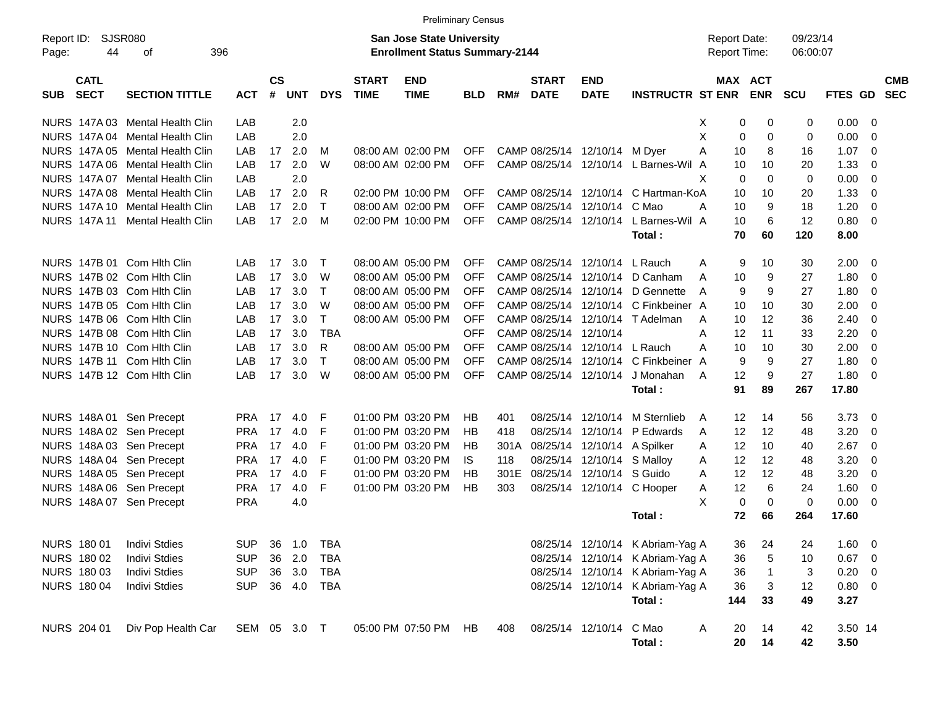|                                          |                             |              |                    |            |              |                             | <b>Preliminary Census</b>                                                 |            |      |                             |                               |                                  |                                            |                              |                      |                |                         |                          |
|------------------------------------------|-----------------------------|--------------|--------------------|------------|--------------|-----------------------------|---------------------------------------------------------------------------|------------|------|-----------------------------|-------------------------------|----------------------------------|--------------------------------------------|------------------------------|----------------------|----------------|-------------------------|--------------------------|
| Report ID:<br>44<br>Page:                | <b>SJSR080</b><br>396<br>οf |              |                    |            |              |                             | <b>San Jose State University</b><br><b>Enrollment Status Summary-2144</b> |            |      |                             |                               |                                  | <b>Report Date:</b><br><b>Report Time:</b> |                              | 09/23/14<br>06:00:07 |                |                         |                          |
| <b>CATL</b><br><b>SECT</b><br><b>SUB</b> | <b>SECTION TITTLE</b>       | <b>ACT</b>   | $\mathsf{cs}$<br># | <b>UNT</b> | <b>DYS</b>   | <b>START</b><br><b>TIME</b> | <b>END</b><br><b>TIME</b>                                                 | <b>BLD</b> | RM#  | <b>START</b><br><b>DATE</b> | <b>END</b><br><b>DATE</b>     | <b>INSTRUCTR ST ENR</b>          |                                            | <b>MAX ACT</b><br><b>ENR</b> | SCU                  | <b>FTES GD</b> |                         | <b>CMB</b><br><b>SEC</b> |
| NURS 147A 03                             | Mental Health Clin          | LAB          |                    | 2.0        |              |                             |                                                                           |            |      |                             |                               |                                  | X                                          | 0<br>0                       | $\mathbf 0$          | 0.00           | - 0                     |                          |
| <b>NURS 147A04</b>                       | <b>Mental Health Clin</b>   | LAB          |                    | 2.0        |              |                             |                                                                           |            |      |                             |                               |                                  | Χ<br>$\mathbf 0$                           | $\mathbf 0$                  | $\mathbf 0$          | 0.00           | $\overline{0}$          |                          |
| NURS 147A 05                             | Mental Health Clin          | LAB          | 17                 | 2.0        | M            |                             | 08:00 AM 02:00 PM                                                         | <b>OFF</b> |      |                             | CAMP 08/25/14 12/10/14 M Dyer |                                  | A<br>10                                    | 8                            | 16                   | 1.07           | $\overline{0}$          |                          |
| <b>NURS 147A 06</b>                      | Mental Health Clin          | LAB          | 17                 | 2.0        | W            |                             | 08:00 AM 02:00 PM                                                         | <b>OFF</b> |      | CAMP 08/25/14               |                               | 12/10/14 L Barnes-Wil A          | 10                                         | 10                           | 20                   | 1.33           | $\overline{0}$          |                          |
| <b>NURS 147A07</b>                       | <b>Mental Health Clin</b>   | LAB          |                    | 2.0        |              |                             |                                                                           |            |      |                             |                               |                                  | X<br>$\mathbf 0$                           | $\Omega$                     | $\mathbf 0$          | 0.00           | $\overline{0}$          |                          |
| <b>NURS 147A08</b>                       | Mental Health Clin          | LAB          | 17                 | 2.0        | R            |                             | 02:00 PM 10:00 PM                                                         | <b>OFF</b> |      | CAMP 08/25/14               |                               | 12/10/14 C Hartman-KoA           | 10                                         | 10                           | 20                   | 1.33           | $\overline{0}$          |                          |
| <b>NURS 147A10</b>                       | <b>Mental Health Clin</b>   | LAB          | 17                 | 2.0        | $\top$       |                             | 08:00 AM 02:00 PM                                                         | <b>OFF</b> |      | CAMP 08/25/14               | 12/10/14                      | C Mao                            | 10<br>Α                                    | 9                            | 18                   | 1.20           | $\overline{0}$          |                          |
| <b>NURS 147A11</b>                       | <b>Mental Health Clin</b>   | LAB          | 17                 | 2.0        | M            |                             | 02:00 PM 10:00 PM                                                         | <b>OFF</b> |      | CAMP 08/25/14               | 12/10/14                      | L Barnes-Wil A                   | 10                                         | 6                            | 12                   | 0.80           | $\overline{0}$          |                          |
|                                          |                             |              |                    |            |              |                             |                                                                           |            |      |                             |                               | Total:                           | 70                                         | 60                           | 120                  | 8.00           |                         |                          |
| NURS 147B 01 Com Hith Clin               |                             | LAB          | 17                 | 3.0        | $\top$       |                             | 08:00 AM 05:00 PM                                                         | OFF.       |      | CAMP 08/25/14               | 12/10/14 L Rauch              |                                  | A<br>9                                     | 10                           | 30                   | 2.00           | $\overline{\mathbf{0}}$ |                          |
| NURS 147B 02 Com Hith Clin               |                             | LAB          | 17                 | 3.0        | W            |                             | 08:00 AM 05:00 PM                                                         | <b>OFF</b> |      | CAMP 08/25/14               | 12/10/14                      | D Canham                         | A<br>10                                    | 9                            | 27                   | 1.80           | 0                       |                          |
| NURS 147B 03 Com Hith Clin               |                             | LAB          | 17                 | 3.0        | $\top$       |                             | 08:00 AM 05:00 PM                                                         | <b>OFF</b> |      | CAMP 08/25/14               | 12/10/14                      | D Gennette                       | 9<br>A                                     | 9                            | 27                   | 1.80           | $\overline{0}$          |                          |
| NURS 147B 05 Com Hith Clin               |                             | LAB          | 17                 | 3.0        | W            |                             | 08:00 AM 05:00 PM                                                         | <b>OFF</b> |      | CAMP 08/25/14               |                               | 12/10/14 C Finkbeiner A          | 10                                         | 10                           | 30                   | 2.00           | $\overline{0}$          |                          |
| NURS 147B 06 Com Hith Clin               |                             | LAB          | 17                 | 3.0        | $\mathsf{T}$ |                             | 08:00 AM 05:00 PM                                                         | <b>OFF</b> |      | CAMP 08/25/14               |                               | 12/10/14 T Adelman               | 10<br>A                                    | 12                           | 36                   | 2.40           | $\overline{0}$          |                          |
| NURS 147B 08 Com Hith Clin               |                             | LAB          | 17                 | 3.0        | <b>TBA</b>   |                             |                                                                           | <b>OFF</b> |      | CAMP 08/25/14               | 12/10/14                      |                                  | A<br>12                                    | 11                           | 33                   | 2.20           | $\overline{0}$          |                          |
| NURS 147B 10 Com Hlth Clin               |                             | LAB          | 17                 | 3.0        | R            |                             | 08:00 AM 05:00 PM                                                         | <b>OFF</b> |      | CAMP 08/25/14               | 12/10/14                      | L Rauch                          | A<br>10                                    | 10                           | 30                   | 2.00           | $\overline{0}$          |                          |
| NURS 147B 11 Com Hith Clin               |                             | LAB          | 17                 | 3.0        | $\top$       |                             | 08:00 AM 05:00 PM                                                         | <b>OFF</b> |      | CAMP 08/25/14               |                               | 12/10/14 C Finkbeiner A          | 9                                          | 9                            | 27                   | 1.80           | $\overline{0}$          |                          |
| NURS 147B 12 Com Hith Clin               |                             | LAB          | 17                 | 3.0        | W            |                             | 08:00 AM 05:00 PM                                                         | <b>OFF</b> |      | CAMP 08/25/14 12/10/14      |                               | J Monahan                        | 12<br>A                                    | 9                            | 27                   | 1.80           | $\overline{0}$          |                          |
|                                          |                             |              |                    |            |              |                             |                                                                           |            |      |                             |                               | Total:                           | 91                                         | 89                           | 267                  | 17.80          |                         |                          |
| NURS 148A 01 Sen Precept                 |                             | <b>PRA</b>   | 17                 | 4.0        | F            |                             | 01:00 PM 03:20 PM                                                         | HB         | 401  | 08/25/14                    |                               | 12/10/14 M Sternlieb             | A<br>12                                    | 14                           | 56                   | 3.73           | $\overline{\mathbf{0}}$ |                          |
| NURS 148A 02 Sen Precept                 |                             | <b>PRA</b>   | 17                 | 4.0        | F            |                             | 01:00 PM 03:20 PM                                                         | <b>HB</b>  | 418  | 08/25/14                    | 12/10/14                      | P Edwards                        | 12<br>A                                    | 12                           | 48                   | 3.20           | 0                       |                          |
| NURS 148A 03 Sen Precept                 |                             | <b>PRA</b>   | 17                 | 4.0        | F            |                             | 01:00 PM 03:20 PM                                                         | <b>HB</b>  | 301A | 08/25/14                    | 12/10/14 A Spilker            |                                  | 12<br>A                                    | 10                           | 40                   | 2.67           | $\overline{0}$          |                          |
| NURS 148A 04 Sen Precept                 |                             | <b>PRA</b>   | 17                 | 4.0        | F            |                             | 01:00 PM 03:20 PM                                                         | IS.        | 118  |                             | 08/25/14 12/10/14 S Malloy    |                                  | 12<br>Α                                    | 12                           | 48                   | 3.20           | $\overline{0}$          |                          |
| NURS 148A 05 Sen Precept                 |                             | <b>PRA</b>   | 17                 | 4.0        | F            |                             | 01:00 PM 03:20 PM                                                         | <b>HB</b>  | 301E | 08/25/14                    | 12/10/14 S Guido              |                                  | 12<br>A                                    | 12                           | 48                   | 3.20           | $\overline{0}$          |                          |
| NURS 148A 06 Sen Precept                 |                             | <b>PRA</b>   | 17                 | 4.0        | F            |                             | 01:00 PM 03:20 PM                                                         | <b>HB</b>  | 303  |                             |                               | 08/25/14 12/10/14 C Hooper       | 12<br>A                                    | 6                            | 24                   | 1.60           | $\overline{0}$          |                          |
| NURS 148A 07 Sen Precept                 |                             | <b>PRA</b>   |                    | 4.0        |              |                             |                                                                           |            |      |                             |                               |                                  | X<br>$\mathbf 0$                           | $\mathbf 0$                  | $\mathbf 0$          | 0.00           | $\overline{0}$          |                          |
|                                          |                             |              |                    |            |              |                             |                                                                           |            |      |                             |                               | Total:                           | 72                                         | 66                           | 264                  | 17.60          |                         |                          |
| NURS 180 01                              | <b>Indivi Stdies</b>        | <b>SUP</b>   | 36                 | 1.0        | TBA          |                             |                                                                           |            |      |                             |                               | 08/25/14 12/10/14 K Abriam-Yag A | 36                                         | 24                           | 24                   | 1.60 0         |                         |                          |
| NURS 180 02                              | <b>Indivi Stdies</b>        | <b>SUP</b>   | 36                 | 2.0        | <b>TBA</b>   |                             |                                                                           |            |      |                             |                               | 08/25/14 12/10/14 K Abriam-Yag A | 36                                         | 5                            | 10                   | $0.67$ 0       |                         |                          |
| NURS 180 03                              | <b>Indivi Stdies</b>        | <b>SUP</b>   | 36                 | 3.0        | <b>TBA</b>   |                             |                                                                           |            |      |                             |                               | 08/25/14 12/10/14 K Abriam-Yag A | 36                                         |                              | 3                    | $0.20 \ 0$     |                         |                          |
| NURS 180 04                              | <b>Indivi Stdies</b>        | <b>SUP</b>   |                    | 36 4.0     | <b>TBA</b>   |                             |                                                                           |            |      |                             |                               | 08/25/14 12/10/14 K Abriam-Yag A | 36                                         | 3                            | 12                   | $0.80 \t 0$    |                         |                          |
|                                          |                             |              |                    |            |              |                             |                                                                           |            |      |                             |                               | Total:                           | 144                                        | 33                           | 49                   | 3.27           |                         |                          |
| NURS 204 01                              | Div Pop Health Car          | SEM 05 3.0 T |                    |            |              |                             | 05:00 PM 07:50 PM HB                                                      |            | 408  |                             | 08/25/14 12/10/14 C Mao       |                                  | A<br>20                                    | 14                           | 42                   | 3.50 14        |                         |                          |
|                                          |                             |              |                    |            |              |                             |                                                                           |            |      |                             |                               | Total:                           | 20                                         | 14                           | 42                   | 3.50           |                         |                          |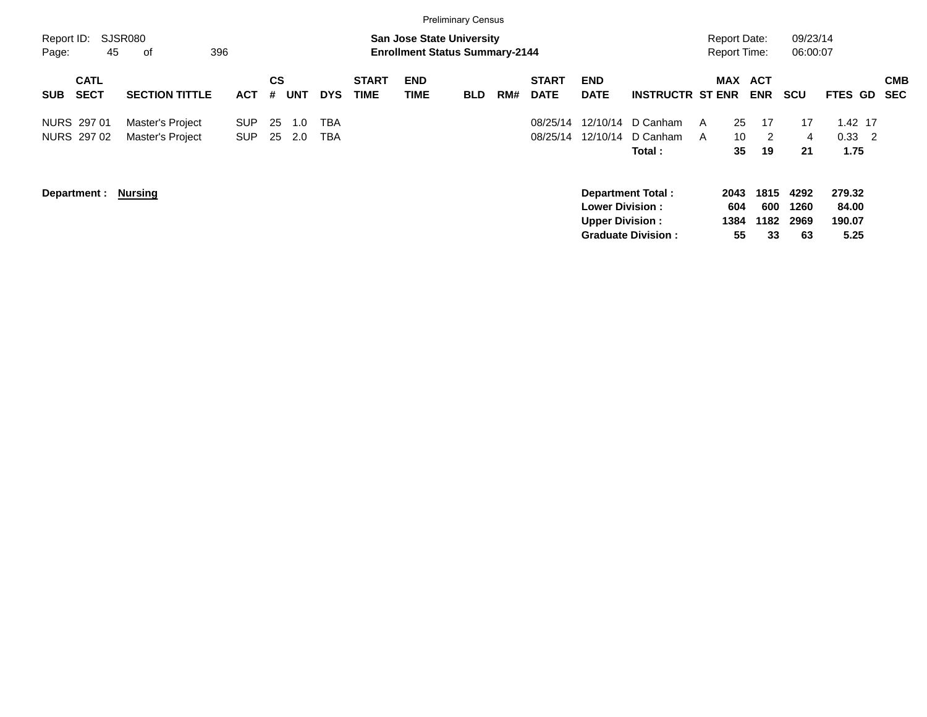|                                          |                                      |                          |                |            |            |                             |                           | <b>Preliminary Census</b>                                                 |     |                             |                                                  |                                                       |                                            |                           |                            |                                   |                          |
|------------------------------------------|--------------------------------------|--------------------------|----------------|------------|------------|-----------------------------|---------------------------|---------------------------------------------------------------------------|-----|-----------------------------|--------------------------------------------------|-------------------------------------------------------|--------------------------------------------|---------------------------|----------------------------|-----------------------------------|--------------------------|
| Report ID:<br>45<br>Page:                | SJSR080<br>396<br>of                 |                          |                |            |            |                             |                           | <b>San Jose State University</b><br><b>Enrollment Status Summary-2144</b> |     |                             |                                                  |                                                       | <b>Report Date:</b><br><b>Report Time:</b> |                           | 09/23/14<br>06:00:07       |                                   |                          |
| <b>CATL</b><br><b>SECT</b><br><b>SUB</b> | <b>SECTION TITTLE</b>                | <b>ACT</b>               | <b>CS</b><br># | <b>UNT</b> | <b>DYS</b> | <b>START</b><br><b>TIME</b> | <b>END</b><br><b>TIME</b> | <b>BLD</b>                                                                | RM# | <b>START</b><br><b>DATE</b> | <b>END</b><br><b>DATE</b>                        | <b>INSTRUCTR ST ENR</b>                               | <b>MAX</b>                                 | <b>ACT</b><br><b>ENR</b>  | <b>SCU</b>                 | FTES GD                           | <b>CMB</b><br><b>SEC</b> |
| NURS 297 01<br>NURS 297 02               | Master's Project<br>Master's Project | <b>SUP</b><br><b>SUP</b> | 25<br>25       | 1.0<br>2.0 | TBA<br>TBA |                             |                           |                                                                           |     | 08/25/14<br>08/25/14        | 12/10/14<br>12/10/14                             | D Canham<br>D Canham<br>Total:                        | 25<br>A<br>10 <sup>°</sup><br>A<br>35      | 17<br>2<br>19             | 17<br>4<br>21              | 1.42 17<br>$0.33$ 2<br>1.75       |                          |
| Department :                             | <b>Nursing</b>                       |                          |                |            |            |                             |                           |                                                                           |     |                             | <b>Lower Division:</b><br><b>Upper Division:</b> | <b>Department Total:</b><br><b>Graduate Division:</b> | 2043<br>604<br>1384<br>55                  | 1815<br>600<br>1182<br>33 | 4292<br>1260<br>2969<br>63 | 279.32<br>84.00<br>190.07<br>5.25 |                          |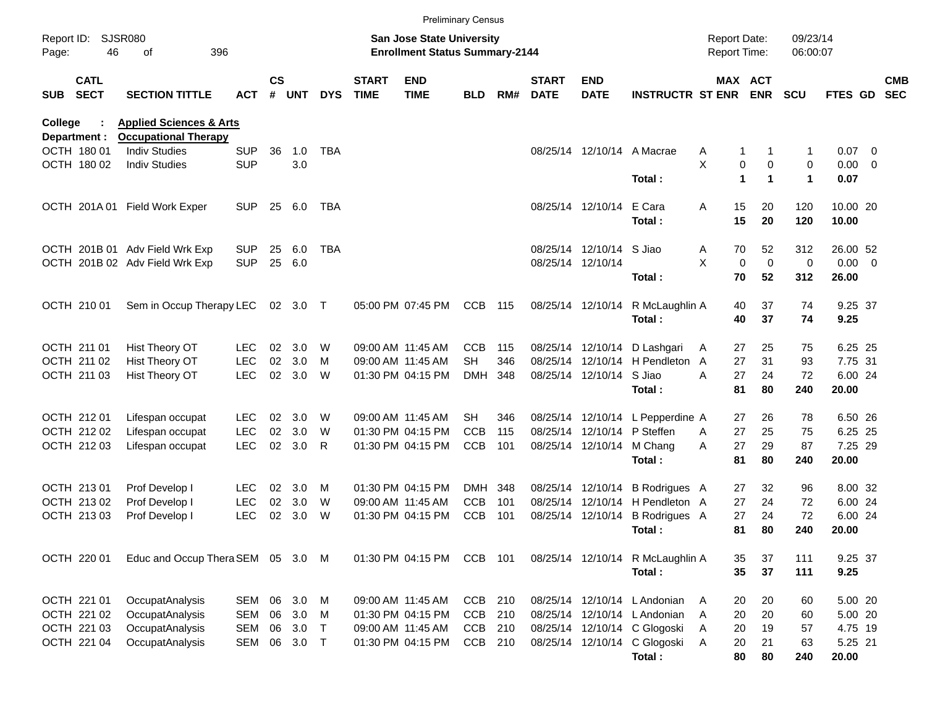|                                   |                                                     |            |               |          |            |                             |                                                                           | <b>Preliminary Census</b> |     |                             |                             |                                  |                                            |                                      |                      |             |                          |
|-----------------------------------|-----------------------------------------------------|------------|---------------|----------|------------|-----------------------------|---------------------------------------------------------------------------|---------------------------|-----|-----------------------------|-----------------------------|----------------------------------|--------------------------------------------|--------------------------------------|----------------------|-------------|--------------------------|
| Report ID:<br>46<br>Page:         | <b>SJSR080</b><br>396<br>оf                         |            |               |          |            |                             | <b>San Jose State University</b><br><b>Enrollment Status Summary-2144</b> |                           |     |                             |                             |                                  | <b>Report Date:</b><br><b>Report Time:</b> |                                      | 09/23/14<br>06:00:07 |             |                          |
| <b>CATL</b><br><b>SECT</b><br>SUB | <b>SECTION TITTLE</b>                               | <b>ACT</b> | $\mathsf{cs}$ | # UNT    | <b>DYS</b> | <b>START</b><br><b>TIME</b> | <b>END</b><br><b>TIME</b>                                                 | <b>BLD</b>                | RM# | <b>START</b><br><b>DATE</b> | <b>END</b><br><b>DATE</b>   | <b>INSTRUCTR ST ENR</b>          |                                            | MAX ACT<br><b>ENR</b>                | <b>SCU</b>           | FTES GD     | <b>CMB</b><br><b>SEC</b> |
| <b>College</b>                    | <b>Applied Sciences &amp; Arts</b>                  |            |               |          |            |                             |                                                                           |                           |     |                             |                             |                                  |                                            |                                      |                      |             |                          |
| Department :<br>OCTH 180 01       | <b>Occupational Therapy</b><br><b>Indiv Studies</b> | <b>SUP</b> | 36            | 1.0      | <b>TBA</b> |                             |                                                                           |                           |     |                             |                             | 08/25/14 12/10/14 A Macrae       |                                            | 1                                    | 1                    | $0.07$ 0    |                          |
| OCTH 180 02                       | <b>Indiv Studies</b>                                | <b>SUP</b> |               | 3.0      |            |                             |                                                                           |                           |     |                             |                             |                                  | Α<br>X                                     | 0<br>$\mathbf 0$                     | 0                    | $0.00 \t 0$ |                          |
|                                   |                                                     |            |               |          |            |                             |                                                                           |                           |     |                             |                             | Total:                           |                                            | $\mathbf{1}$<br>$\blacktriangleleft$ | $\blacktriangleleft$ | 0.07        |                          |
|                                   | OCTH 201A 01 Field Work Exper                       | <b>SUP</b> | 25            | 6.0      | TBA        |                             |                                                                           |                           |     |                             | 08/25/14 12/10/14           | E Cara                           | 15<br>Α                                    | 20                                   | 120                  | 10.00 20    |                          |
|                                   |                                                     |            |               |          |            |                             |                                                                           |                           |     |                             |                             | Total:                           | 15                                         | 20                                   | 120                  | 10.00       |                          |
|                                   | OCTH 201B 01 Adv Field Wrk Exp                      | <b>SUP</b> | 25            | 6.0      | TBA        |                             |                                                                           |                           |     |                             | 08/25/14 12/10/14 S Jiao    |                                  | 70<br>A                                    | 52                                   | 312                  | 26.00 52    |                          |
|                                   | OCTH 201B 02 Adv Field Wrk Exp                      | <b>SUP</b> | 25            | 6.0      |            |                             |                                                                           |                           |     |                             | 08/25/14 12/10/14           |                                  | X                                          | $\mathbf 0$<br>$\mathbf 0$           | 0                    | $0.00 \t 0$ |                          |
|                                   |                                                     |            |               |          |            |                             |                                                                           |                           |     |                             |                             | Total:                           | 70                                         | 52                                   | 312                  | 26.00       |                          |
| OCTH 210 01                       | Sem in Occup Therapy LEC                            |            |               | 02 3.0 T |            |                             | 05:00 PM 07:45 PM                                                         | CCB                       | 115 |                             |                             | 08/25/14 12/10/14 R McLaughlin A | 40                                         | 37                                   | 74                   | 9.25 37     |                          |
|                                   |                                                     |            |               |          |            |                             |                                                                           |                           |     |                             |                             | Total:                           | 40                                         | 37                                   | 74                   | 9.25        |                          |
| OCTH 211 01                       | Hist Theory OT                                      | <b>LEC</b> | 02            | 3.0      | W          |                             | 09:00 AM 11:45 AM                                                         | <b>CCB</b>                | 115 |                             |                             | 08/25/14 12/10/14 D Lashgari     | 27<br>A                                    | 25                                   | 75                   | 6.25 25     |                          |
| OCTH 211 02                       | Hist Theory OT                                      | <b>LEC</b> | 02            | 3.0      | м          |                             | 09:00 AM 11:45 AM                                                         | <b>SH</b>                 | 346 |                             |                             | 08/25/14 12/10/14 H Pendleton A  | 27                                         | 31                                   | 93                   | 7.75 31     |                          |
| OCTH 211 03                       | Hist Theory OT                                      | <b>LEC</b> | 02            | 3.0      | W          |                             | 01:30 PM 04:15 PM                                                         | <b>DMH</b>                | 348 |                             | 08/25/14 12/10/14 S Jiao    |                                  | 27<br>Α                                    | 24                                   | 72                   | 6.00 24     |                          |
|                                   |                                                     |            |               |          |            |                             |                                                                           |                           |     |                             |                             | Total:                           | 81                                         | 80                                   | 240                  | 20.00       |                          |
| OCTH 212 01                       | Lifespan occupat                                    | <b>LEC</b> | 02            | 3.0      | W          |                             | 09:00 AM 11:45 AM                                                         | SH                        | 346 |                             |                             | 08/25/14 12/10/14 L Pepperdine A | 27                                         | 26                                   | 78                   | 6.50 26     |                          |
| OCTH 212 02                       | Lifespan occupat                                    | <b>LEC</b> | 02            | 3.0      | W          |                             | 01:30 PM 04:15 PM                                                         | <b>CCB</b>                | 115 |                             | 08/25/14 12/10/14 P Steffen |                                  | 27<br>A                                    | 25                                   | 75                   | 6.25 25     |                          |
| OCTH 212 03                       | Lifespan occupat                                    | <b>LEC</b> | 02            | 3.0      | R          |                             | 01:30 PM 04:15 PM                                                         | <b>CCB</b>                | 101 |                             | 08/25/14 12/10/14 M Chang   |                                  | 27<br>A                                    | 29                                   | 87                   | 7.25 29     |                          |
|                                   |                                                     |            |               |          |            |                             |                                                                           |                           |     |                             |                             | Total:                           | 81                                         | 80                                   | 240                  | 20.00       |                          |
| OCTH 213 01                       | Prof Develop I                                      | LEC.       | 02            | 3.0      | M          |                             | 01:30 PM 04:15 PM                                                         | DMH                       | 348 |                             |                             | 08/25/14 12/10/14 B Rodrigues A  | 27                                         | 32                                   | 96                   | 8.00 32     |                          |
| OCTH 213 02                       | Prof Develop I                                      | <b>LEC</b> | 02            | 3.0      | W          |                             | 09:00 AM 11:45 AM                                                         | <b>CCB</b>                | 101 |                             |                             | 08/25/14 12/10/14 H Pendleton A  | 27                                         | 24                                   | 72                   | 6.00 24     |                          |
| OCTH 213 03                       | Prof Develop I                                      | <b>LEC</b> | 02            | 3.0      | W          |                             | 01:30 PM 04:15 PM                                                         | <b>CCB</b>                | 101 |                             | 08/25/14 12/10/14           | <b>B</b> Rodrigues A             | 27                                         | 24                                   | 72                   | 6.00 24     |                          |
|                                   |                                                     |            |               |          |            |                             |                                                                           |                           |     |                             |                             | Total:                           | 81                                         | 80                                   | 240                  | 20.00       |                          |
| OCTH 220 01                       | Educ and Occup Thera SEM 05 3.0 M                   |            |               |          |            |                             | 01:30 PM 04:15 PM                                                         | CCB 101                   |     |                             |                             | 08/25/14 12/10/14 R McLaughlin A | 35                                         | 37                                   | 111                  | 9.25 37     |                          |
|                                   |                                                     |            |               |          |            |                             |                                                                           |                           |     |                             |                             | Total:                           | 35                                         | 37                                   | 111                  | 9.25        |                          |
| OCTH 221 01                       | OccupatAnalysis                                     | SEM        |               | 06 3.0   | M          |                             | 09:00 AM 11:45 AM                                                         | CCB 210                   |     |                             |                             | 08/25/14 12/10/14 L Andonian     | 20<br>A                                    | 20                                   | 60                   | 5.00 20     |                          |
| OCTH 221 02                       | OccupatAnalysis                                     | SEM        | 06            | 3.0      | M          |                             | 01:30 PM 04:15 PM                                                         | <b>CCB</b>                | 210 |                             |                             | 08/25/14 12/10/14 L Andonian     | 20<br>Α                                    | 20                                   | 60                   | 5.00 20     |                          |
| OCTH 221 03                       | OccupatAnalysis                                     | SEM        | 06            | 3.0      | $\top$     |                             | 09:00 AM 11:45 AM                                                         | CCB                       | 210 |                             |                             | 08/25/14 12/10/14 C Glogoski     | Α<br>20                                    | 19                                   | 57                   | 4.75 19     |                          |
| OCTH 221 04                       | OccupatAnalysis                                     | SEM        |               | 06 3.0   | $\top$     |                             | 01:30 PM 04:15 PM                                                         | CCB 210                   |     |                             |                             | 08/25/14 12/10/14 C Glogoski     | Α<br>20                                    | 21                                   | 63                   | 5.25 21     |                          |
|                                   |                                                     |            |               |          |            |                             |                                                                           |                           |     |                             |                             | Total:                           | 80                                         | 80                                   | 240                  | 20.00       |                          |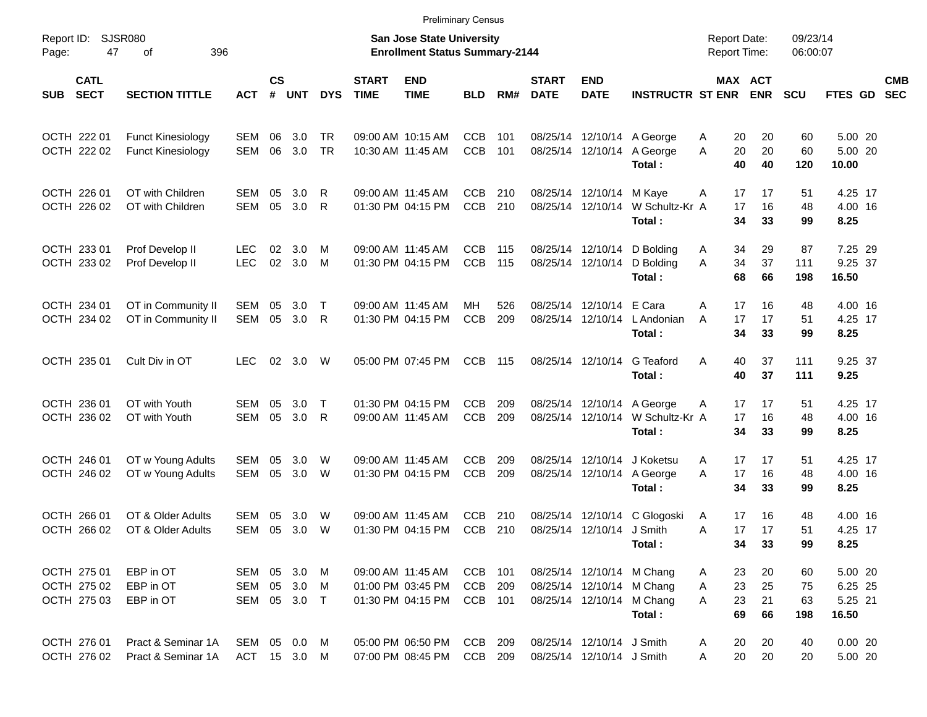|                                           |                            |                                               |                                     |                    |            |                        |                                                                    |                                                             | <b>Preliminary Census</b>    |            |                             |                                                                             |                                                  |                                     |                       |                       |                                        |                          |
|-------------------------------------------|----------------------------|-----------------------------------------------|-------------------------------------|--------------------|------------|------------------------|--------------------------------------------------------------------|-------------------------------------------------------------|------------------------------|------------|-----------------------------|-----------------------------------------------------------------------------|--------------------------------------------------|-------------------------------------|-----------------------|-----------------------|----------------------------------------|--------------------------|
| Report ID:<br>Page:                       | <b>SJSR080</b><br>47       | 396                                           |                                     |                    |            |                        | San Jose State University<br><b>Enrollment Status Summary-2144</b> |                                                             |                              |            |                             |                                                                             | <b>Report Date:</b><br><b>Report Time:</b>       |                                     | 09/23/14<br>06:00:07  |                       |                                        |                          |
| SUB                                       | <b>CATL</b><br><b>SECT</b> | <b>SECTION TITTLE</b>                         | <b>ACT</b>                          | $\mathsf{cs}$<br># | <b>UNT</b> | <b>DYS</b>             | <b>START</b><br><b>TIME</b>                                        | <b>END</b><br><b>TIME</b>                                   | <b>BLD</b>                   | RM#        | <b>START</b><br><b>DATE</b> | <b>END</b><br><b>DATE</b>                                                   | <b>INSTRUCTR ST ENR</b>                          |                                     | MAX ACT<br><b>ENR</b> | <b>SCU</b>            | <b>FTES GD</b>                         | <b>CMB</b><br><b>SEC</b> |
| OCTH 222 01<br>OCTH 222 02                |                            | <b>Funct Kinesiology</b><br>Funct Kinesiology | SEM<br>SEM                          | 06<br>06           | 3.0<br>3.0 | <b>TR</b><br><b>TR</b> |                                                                    | 09:00 AM 10:15 AM<br>10:30 AM 11:45 AM                      | <b>CCB</b><br><b>CCB</b>     | 101<br>101 |                             | 08/25/14 12/10/14                                                           | 08/25/14 12/10/14 A George<br>A George<br>Total: | 20<br>A<br>20<br>A<br>40            | 20<br>20<br>40        | 60<br>60<br>120       | 5.00 20<br>5.00 20<br>10.00            |                          |
| OCTH 226 01<br>OCTH 226 02                |                            | OT with Children<br>OT with Children          | SEM<br><b>SEM</b>                   | 05<br>05           | 3.0<br>3.0 | R<br>R                 |                                                                    | 09:00 AM 11:45 AM<br>01:30 PM 04:15 PM                      | CCB<br><b>CCB</b>            | 210<br>210 |                             | 08/25/14 12/10/14<br>08/25/14 12/10/14                                      | M Kaye<br>W Schultz-Kr A<br>Total:               | 17<br>A<br>17<br>34                 | 17<br>16<br>33        | 51<br>48<br>99        | 4.25 17<br>4.00 16<br>8.25             |                          |
| OCTH 233 01<br>OCTH 233 02                |                            | Prof Develop II<br>Prof Develop II            | LEC.<br><b>LEC</b>                  | 02<br>02           | 3.0<br>3.0 | M<br>M                 |                                                                    | 09:00 AM 11:45 AM<br>01:30 PM 04:15 PM                      | <b>CCB</b><br>CCB            | 115<br>115 |                             | 08/25/14 12/10/14<br>08/25/14 12/10/14                                      | D Bolding<br>D Bolding<br>Total:                 | 34<br>A<br>A<br>34<br>68            | 29<br>37<br>66        | 87<br>111<br>198      | 7.25 29<br>9.25 37<br>16.50            |                          |
| OCTH 234 01<br>OCTH 234 02                |                            | OT in Community II<br>OT in Community II      | SEM<br>SEM                          | 05<br>05           | 3.0<br>3.0 | $\top$<br>R            |                                                                    | 09:00 AM 11:45 AM<br>01:30 PM 04:15 PM                      | MН<br><b>CCB</b>             | 526<br>209 |                             | 08/25/14 12/10/14<br>08/25/14 12/10/14                                      | E Cara<br>L Andonian<br>Total:                   | A<br>17<br>17<br>A<br>34            | 16<br>17<br>33        | 48<br>51<br>99        | 4.00 16<br>4.25 17<br>8.25             |                          |
| OCTH 235 01                               |                            | Cult Div in OT                                | <b>LEC</b>                          | 02                 | 3.0        | W                      |                                                                    | 05:00 PM 07:45 PM                                           | <b>CCB</b>                   | 115        |                             | 08/25/14 12/10/14                                                           | G Teaford<br>Total:                              | 40<br>A<br>40                       | 37<br>37              | 111<br>111            | 9.25 37<br>9.25                        |                          |
| OCTH 236 01<br>OCTH 236 02                |                            | OT with Youth<br>OT with Youth                | SEM<br>SEM                          | 05<br>05           | 3.0<br>3.0 | $\top$<br>R            |                                                                    | 01:30 PM 04:15 PM<br>09:00 AM 11:45 AM                      | <b>CCB</b><br><b>CCB</b>     | 209<br>209 |                             | 08/25/14 12/10/14<br>08/25/14 12/10/14                                      | A George<br>W Schultz-Kr A<br>Total:             | 17<br>A<br>17<br>34                 | 17<br>16<br>33        | 51<br>48<br>99        | 4.25 17<br>4.00 16<br>8.25             |                          |
| OCTH 246 01<br>OCTH 246 02                |                            | OT w Young Adults<br>OT w Young Adults        | SEM<br>SEM                          | 05<br>05           | 3.0<br>3.0 | W<br>W                 |                                                                    | 09:00 AM 11:45 AM<br>01:30 PM 04:15 PM                      | <b>CCB</b><br><b>CCB</b>     | 209<br>209 |                             | 08/25/14 12/10/14<br>08/25/14 12/10/14                                      | J Koketsu<br>A George<br>Total:                  | 17<br>A<br>A<br>17<br>34            | 17<br>16<br>33        | 51<br>48<br>99        | 4.25 17<br>4.00 16<br>8.25             |                          |
| OCTH 266 01<br>OCTH 266 02                |                            | OT & Older Adults<br>OT & Older Adults        | SEM<br>SEM                          | 05<br>05           | 3.0<br>3.0 | W<br>W                 |                                                                    | 09:00 AM 11:45 AM<br>01:30 PM 04:15 PM                      | <b>CCB</b><br><b>CCB</b>     | 210<br>210 |                             | 08/25/14 12/10/14 J Smith                                                   | 08/25/14 12/10/14 C Glogoski<br>Total:           | 17<br>A<br>17<br>Α<br>34            | 16<br>17<br>33        | 48<br>51<br>99        | 4.00 16<br>4.25 17<br>8.25             |                          |
| OCTH 275 01<br>OCTH 275 02<br>OCTH 275 03 |                            | EBP in OT<br>EBP in OT<br>EBP in OT           | SEM 05 3.0 M<br>SEM<br>SEM 05 3.0 T | 05                 | 3.0 M      |                        |                                                                    | 09:00 AM 11:45 AM<br>01:00 PM 03:45 PM<br>01:30 PM 04:15 PM | CCB<br><b>CCB</b><br>CCB 101 | 101<br>209 |                             | 08/25/14 12/10/14 M Chang<br>08/25/14 12/10/14 M Chang<br>08/25/14 12/10/14 | M Chang<br>Total:                                | 23<br>A<br>23<br>Α<br>A<br>23<br>69 | 20<br>25<br>21<br>66  | 60<br>75<br>63<br>198 | 5.00 20<br>6.25 25<br>5.25 21<br>16.50 |                          |
| OCTH 276 01<br>OCTH 276 02                |                            | Pract & Seminar 1A<br>Pract & Seminar 1A      | SEM 05 0.0 M<br>ACT 15 3.0 M        |                    |            |                        |                                                                    | 05:00 PM 06:50 PM<br>07:00 PM 08:45 PM                      | CCB<br>CCB 209               | 209        |                             | 08/25/14 12/10/14 J Smith<br>08/25/14 12/10/14 J Smith                      |                                                  | 20<br>A<br>20<br>Α                  | 20<br>20              | 40<br>20              | 0.0020<br>5.00 20                      |                          |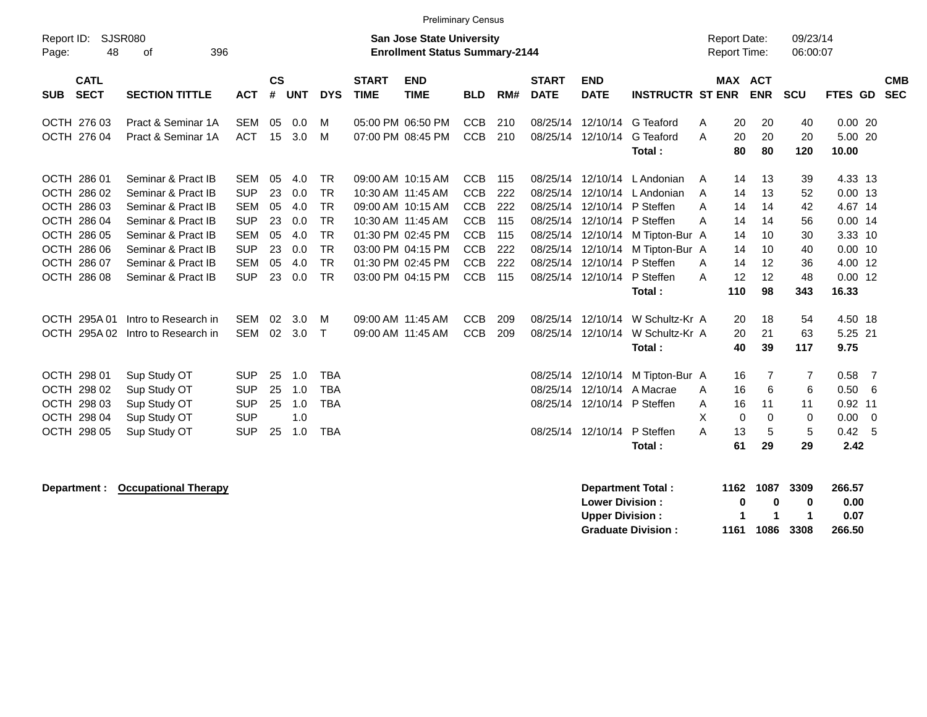| Report ID:<br>48<br>Page:                                                                                            | <b>SJSR080</b><br>396<br>οf                                                                                                                                                  |                                                                                                              |                                              |                                                      |                                                                                                      |                                        | Preliminary Census<br><b>San Jose State University</b><br><b>Enrollment Status Summary-2144</b>                            |                                                                                                              |                                                      |                                                                                  |                                                                                                       |                                                                                                                            | <b>Report Date:</b><br><b>Report Time:</b>                                        |                                                       | 09/23/14<br>06:00:07                                |                                                                                                       |                          |
|----------------------------------------------------------------------------------------------------------------------|------------------------------------------------------------------------------------------------------------------------------------------------------------------------------|--------------------------------------------------------------------------------------------------------------|----------------------------------------------|------------------------------------------------------|------------------------------------------------------------------------------------------------------|----------------------------------------|----------------------------------------------------------------------------------------------------------------------------|--------------------------------------------------------------------------------------------------------------|------------------------------------------------------|----------------------------------------------------------------------------------|-------------------------------------------------------------------------------------------------------|----------------------------------------------------------------------------------------------------------------------------|-----------------------------------------------------------------------------------|-------------------------------------------------------|-----------------------------------------------------|-------------------------------------------------------------------------------------------------------|--------------------------|
| <b>CATL</b><br><b>SECT</b><br><b>SUB</b>                                                                             | <b>SECTION TITTLE</b>                                                                                                                                                        | <b>ACT</b>                                                                                                   | <b>CS</b><br>#                               | <b>UNT</b>                                           | <b>DYS</b>                                                                                           | <b>START</b><br><b>TIME</b>            | <b>END</b><br><b>TIME</b>                                                                                                  | <b>BLD</b>                                                                                                   | RM#                                                  | <b>START</b><br><b>DATE</b>                                                      | <b>END</b><br><b>DATE</b>                                                                             | <b>INSTRUCTR ST ENR</b>                                                                                                    | MAX ACT                                                                           | <b>ENR</b>                                            | <b>SCU</b>                                          | FTES GD                                                                                               | <b>CMB</b><br><b>SEC</b> |
| OCTH 276 03<br>OCTH 276 04                                                                                           | Pract & Seminar 1A<br>Pract & Seminar 1A                                                                                                                                     | <b>SEM</b><br><b>ACT</b>                                                                                     | 05<br>15                                     | 0.0<br>3.0                                           | м<br>M                                                                                               |                                        | 05:00 PM 06:50 PM<br>07:00 PM 08:45 PM                                                                                     | <b>CCB</b><br><b>CCB</b>                                                                                     | 210<br>210                                           | 08/25/14<br>08/25/14                                                             | 12/10/14<br>12/10/14                                                                                  | G Teaford<br>G Teaford<br>Total:                                                                                           | 20<br>A<br>20<br>A<br>80                                                          | 20<br>20<br>80                                        | 40<br>20<br>120                                     | 0.0020<br>5.00 20<br>10.00                                                                            |                          |
| OCTH 286 01<br>OCTH 286 02<br>OCTH 286 03<br>OCTH 286 04<br>OCTH 286 05<br>OCTH 286 06<br>OCTH 286 07<br>OCTH 286 08 | Seminar & Pract IB<br>Seminar & Pract IB<br>Seminar & Pract IB<br>Seminar & Pract IB<br>Seminar & Pract IB<br>Seminar & Pract IB<br>Seminar & Pract IB<br>Seminar & Pract IB | <b>SEM</b><br><b>SUP</b><br><b>SEM</b><br><b>SUP</b><br><b>SEM</b><br><b>SUP</b><br><b>SEM</b><br><b>SUP</b> | 05<br>23<br>05<br>23<br>05<br>23<br>05<br>23 | 4.0<br>0.0<br>4.0<br>0.0<br>4.0<br>0.0<br>4.0<br>0.0 | <b>TR</b><br><b>TR</b><br><b>TR</b><br><b>TR</b><br><b>TR</b><br><b>TR</b><br><b>TR</b><br><b>TR</b> | 10:30 AM 11:45 AM<br>10:30 AM 11:45 AM | 09:00 AM 10:15 AM<br>09:00 AM 10:15 AM<br>01:30 PM 02:45 PM<br>03:00 PM 04:15 PM<br>01:30 PM 02:45 PM<br>03:00 PM 04:15 PM | <b>CCB</b><br><b>CCB</b><br><b>CCB</b><br><b>CCB</b><br><b>CCB</b><br><b>CCB</b><br><b>CCB</b><br><b>CCB</b> | 115<br>222<br>222<br>115<br>115<br>222<br>222<br>115 | 08/25/14<br>08/25/14<br>08/25/14<br>08/25/14<br>08/25/14<br>08/25/14<br>08/25/14 | 12/10/14<br>12/10/14<br>12/10/14<br>12/10/14<br>12/10/14<br>12/10/14<br>12/10/14<br>08/25/14 12/10/14 | L Andonian<br>L Andonian<br>P Steffen<br>P Steffen<br>M Tipton-Bur A<br>M Tipton-Bur A<br>P Steffen<br>P Steffen<br>Total: | 14<br>A<br>14<br>A<br>14<br>A<br>14<br>A<br>14<br>14<br>14<br>A<br>12<br>A<br>110 | 13<br>13<br>14<br>14<br>10<br>10<br>12<br>12<br>98    | 39<br>52<br>42<br>56<br>30<br>40<br>36<br>48<br>343 | 4.33 13<br>$0.00$ 13<br>4.67 14<br>$0.00$ 14<br>3.33 10<br>$0.00$ 10<br>4.00 12<br>$0.00$ 12<br>16.33 |                          |
| OCTH 295A 01<br>OCTH 295A02<br>OCTH 298 01<br>OCTH 298 02<br>OCTH 298 03<br>OCTH 298 04<br>OCTH 298 05               | Intro to Research in<br>Intro to Research in<br>Sup Study OT<br>Sup Study OT<br>Sup Study OT<br>Sup Study OT<br>Sup Study OT                                                 | <b>SEM</b><br><b>SEM</b><br><b>SUP</b><br><b>SUP</b><br><b>SUP</b><br><b>SUP</b><br><b>SUP</b>               | 02<br>02<br>25<br>25<br>25<br>25             | 3.0<br>3.0<br>1.0<br>1.0<br>1.0<br>1.0<br>1.0        | M<br>$\mathsf{T}$<br><b>TBA</b><br><b>TBA</b><br><b>TBA</b><br><b>TBA</b>                            | 09:00 AM 11:45 AM<br>09:00 AM 11:45 AM |                                                                                                                            | <b>CCB</b><br><b>CCB</b>                                                                                     | 209<br>209                                           | 08/25/14<br>08/25/14<br>08/25/14                                                 | 12/10/14<br>08/25/14 12/10/14<br>12/10/14<br>12/10/14<br>08/25/14 12/10/14<br>08/25/14 12/10/14       | W Schultz-Kr A<br>W Schultz-Kr A<br>Total:<br>M Tipton-Bur A<br>A Macrae<br>P Steffen<br>P Steffen<br>Total:               | 20<br>20<br>40<br>16<br>16<br>A<br>16<br>A<br>X<br>0<br>13<br>A<br>61             | 18<br>21<br>39<br>7<br>6<br>11<br>$\Omega$<br>5<br>29 | 54<br>63<br>117<br>7<br>6<br>11<br>0<br>5<br>29     | 4.50 18<br>5.25 21<br>9.75<br>0.58<br>0.50<br>$0.92$ 11<br>0.00<br>0.42<br>2.42                       | - 7<br>-6<br>- 0<br>- 5  |

**Department : Cocupational Therapy and Therapy Department Total : 1162 1087 3309 266.57**<br>Lower Division : 0 0 0 0 0.00 **Lower Division :**  $\begin{array}{cccc} 0 & 0 & 0 \\ 0 & 1 & 1 \end{array}$ **Upper Division : 1 1 1 1 0.07**<br>**Graduate Division : 1161 1086 3308 266.50 Graduate Division : 1161 1086 3308 266.50**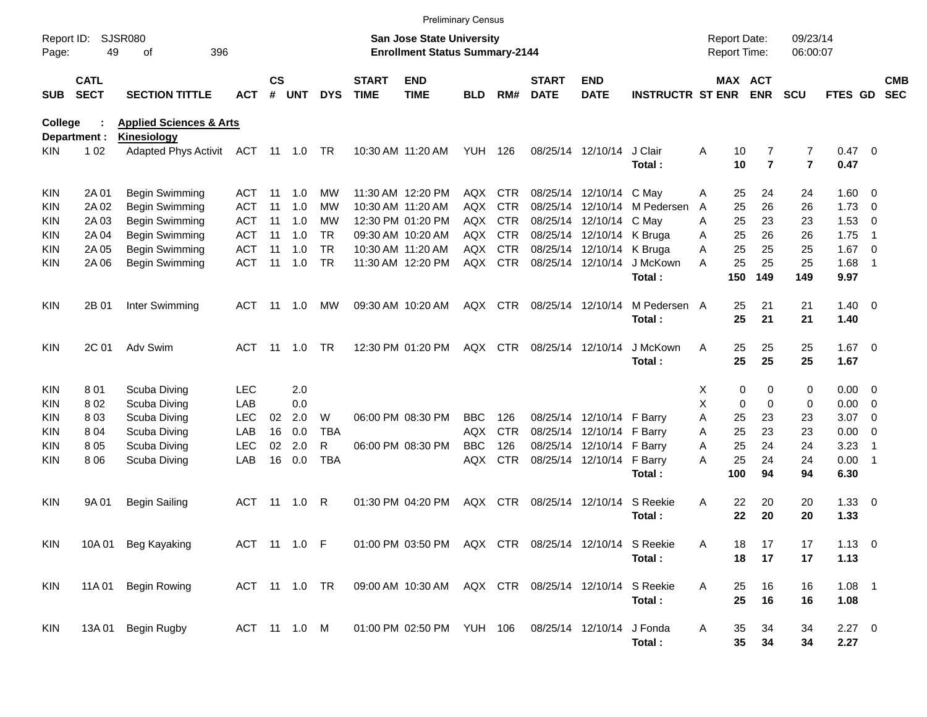|                     |                            |                                                          |               |                    |            |            |                             |                                                                    | <b>Preliminary Census</b> |            |                             |                           |                         |                                     |                 |                     |                              |              |                          |                          |
|---------------------|----------------------------|----------------------------------------------------------|---------------|--------------------|------------|------------|-----------------------------|--------------------------------------------------------------------|---------------------------|------------|-----------------------------|---------------------------|-------------------------|-------------------------------------|-----------------|---------------------|------------------------------|--------------|--------------------------|--------------------------|
| Report ID:<br>Page: | 49                         | <b>SJSR080</b><br>396<br>οf                              |               |                    |            |            |                             | San Jose State University<br><b>Enrollment Status Summary-2144</b> |                           |            |                             |                           |                         | <b>Report Date:</b><br>Report Time: |                 |                     | 09/23/14<br>06:00:07         |              |                          |                          |
| <b>SUB</b>          | <b>CATL</b><br><b>SECT</b> | <b>SECTION TITTLE</b>                                    | ACT           | $\mathsf{cs}$<br># | <b>UNT</b> | <b>DYS</b> | <b>START</b><br><b>TIME</b> | <b>END</b><br><b>TIME</b>                                          | <b>BLD</b>                | RM#        | <b>START</b><br><b>DATE</b> | <b>END</b><br><b>DATE</b> | <b>INSTRUCTR ST ENR</b> |                                     | <b>MAX ACT</b>  | <b>ENR</b>          | <b>SCU</b>                   | FTES GD      |                          | <b>CMB</b><br><b>SEC</b> |
| <b>College</b>      |                            | <b>Applied Sciences &amp; Arts</b>                       |               |                    |            |            |                             |                                                                    |                           |            |                             |                           |                         |                                     |                 |                     |                              |              |                          |                          |
| KIN.                | Department :<br>1 0 2      | <b>Kinesiology</b><br>Adapted Phys Activit ACT 11 1.0 TR |               |                    |            |            |                             | 10:30 AM 11:20 AM                                                  | <b>YUH 126</b>            |            |                             | 08/25/14 12/10/14         | J Clair<br>Total:       | Α                                   | 10<br>10        | 7<br>$\overline{7}$ | 7<br>$\overline{\mathbf{r}}$ | 0.47<br>0.47 | $\overline{\phantom{0}}$ |                          |
| <b>KIN</b>          | 2A 01                      | Begin Swimming                                           | ACT           | -11                | 1.0        | <b>MW</b>  |                             | 11:30 AM 12:20 PM                                                  | AQX                       | CTR        |                             | 08/25/14 12/10/14 C May   |                         | Α                                   | 25              | 24                  | 24                           | $1.60 \t 0$  |                          |                          |
| <b>KIN</b>          | 2A 02                      | Begin Swimming                                           | ACT           | 11                 | 1.0        | MW         |                             | 10:30 AM 11:20 AM                                                  | AQX                       | <b>CTR</b> | 08/25/14                    |                           | 12/10/14 M Pedersen     | A                                   | 25              | 26                  | 26                           | 1.73         | $\overline{\phantom{0}}$ |                          |
| KIN.                | 2A 03                      | Begin Swimming                                           | <b>ACT</b>    | 11                 | 1.0        | MW         |                             | 12:30 PM 01:20 PM                                                  | AQX                       | <b>CTR</b> | 08/25/14                    | 12/10/14 C May            |                         | A                                   | 25              | 23                  | 23                           | 1.53         | $\overline{\mathbf{0}}$  |                          |
| KIN.                | 2A 04                      | Begin Swimming                                           | <b>ACT</b>    | 11                 | 1.0        | TR.        |                             | 09:30 AM 10:20 AM                                                  | <b>AQX</b>                | <b>CTR</b> |                             | 08/25/14 12/10/14 K Bruga |                         | A                                   | 25              | 26                  | 26                           | 1.75         | - 1                      |                          |
| <b>KIN</b>          | 2A 05                      | Begin Swimming                                           | <b>ACT</b>    | 11                 | 1.0        | <b>TR</b>  |                             | 10:30 AM 11:20 AM                                                  | <b>AQX</b>                | <b>CTR</b> |                             | 08/25/14 12/10/14 K Bruga |                         | Α                                   | 25              | 25                  | 25                           | 1.67         | $\overline{\phantom{0}}$ |                          |
| <b>KIN</b>          | 2A 06                      | <b>Begin Swimming</b>                                    | <b>ACT</b>    | 11                 | 1.0        | <b>TR</b>  |                             | 11:30 AM 12:20 PM                                                  | <b>AQX</b>                | CTR        |                             | 08/25/14 12/10/14         | J McKown                | А                                   | 25              | 25                  | 25                           | 1.68         | $\overline{1}$           |                          |
|                     |                            |                                                          |               |                    |            |            |                             |                                                                    |                           |            |                             |                           | Total:                  |                                     | 150             | 149                 | 149                          | 9.97         |                          |                          |
| <b>KIN</b>          | 2B 01                      | Inter Swimming                                           | ACT           | -11                | 1.0        | МW         |                             | 09:30 AM 10:20 AM                                                  |                           | AQX CTR    | 08/25/14 12/10/14           |                           | M Pedersen A            |                                     | 25              | 21                  | 21                           | $1.40 \ 0$   |                          |                          |
|                     |                            |                                                          |               |                    |            |            |                             |                                                                    |                           |            |                             |                           | Total:                  |                                     | 25              | 21                  | 21                           | 1.40         |                          |                          |
| <b>KIN</b>          | 2C 01                      | Adv Swim                                                 | <b>ACT</b>    | - 11               | 1.0        | <b>TR</b>  |                             | 12:30 PM 01:20 PM                                                  |                           | AQX CTR    | 08/25/14 12/10/14           |                           | J McKown                | A                                   | 25              | 25                  | 25                           | $1.67$ 0     |                          |                          |
|                     |                            |                                                          |               |                    |            |            |                             |                                                                    |                           |            |                             |                           | Total:                  |                                     | 25              | 25                  | 25                           | 1.67         |                          |                          |
| <b>KIN</b>          | 801                        | Scuba Diving                                             | <b>LEC</b>    |                    | 2.0        |            |                             |                                                                    |                           |            |                             |                           |                         | X                                   | 0               | 0                   | 0                            | $0.00 \t 0$  |                          |                          |
| KIN.                | 802                        | Scuba Diving                                             | LAB           |                    | 0.0        |            |                             |                                                                    |                           |            |                             |                           |                         | X                                   | $\mathbf 0$     | $\mathbf 0$         | 0                            | 0.00         | $\overline{\phantom{0}}$ |                          |
| KIN                 | 803                        | Scuba Diving                                             | <b>LEC</b>    | 02                 | 2.0        | W          |                             | 06:00 PM 08:30 PM                                                  | <b>BBC</b>                | 126        |                             | 08/25/14 12/10/14 F Barry |                         | A                                   | 25              | 23                  | 23                           | 3.07         | $\overline{\phantom{0}}$ |                          |
| KIN                 | 804                        | Scuba Diving                                             | LAB           | 16                 | 0.0        | <b>TBA</b> |                             |                                                                    | <b>AQX</b>                | <b>CTR</b> |                             | 08/25/14 12/10/14         | F Barry                 | A                                   | 25              | 23                  | 23                           | 0.00         | $\overline{\phantom{0}}$ |                          |
| <b>KIN</b>          | 805                        | Scuba Diving                                             | <b>LEC</b>    | 02                 | 2.0        | R          |                             | 06:00 PM 08:30 PM                                                  | <b>BBC</b>                | 126        |                             | 08/25/14 12/10/14 F Barry |                         | A                                   | 25              | 24                  | 24                           | 3.23         | $\overline{1}$           |                          |
| <b>KIN</b>          | 806                        | Scuba Diving                                             | LAB           | 16                 | 0.0        | <b>TBA</b> |                             |                                                                    | AQX                       | <b>CTR</b> |                             | 08/25/14 12/10/14 F Barry |                         | А                                   | 25              | 24                  | 24                           | 0.00         | $\overline{\phantom{1}}$ |                          |
|                     |                            |                                                          |               |                    |            |            |                             |                                                                    |                           |            |                             |                           | Total:                  |                                     | 100             | 94                  | 94                           | 6.30         |                          |                          |
| <b>KIN</b>          | 9A 01                      | <b>Begin Sailing</b>                                     | ACT           | - 11               | 1.0        | - R        |                             | 01:30 PM 04:20 PM                                                  | AQX                       | CTR        |                             | 08/25/14 12/10/14         | S Reekie                | Α                                   | 22              | 20                  | 20                           | $1.33 \ 0$   |                          |                          |
|                     |                            |                                                          |               |                    |            |            |                             |                                                                    |                           |            |                             |                           | Total:                  |                                     | 22              | 20                  | 20                           | 1.33         |                          |                          |
| KIN                 |                            | 10A 01 Beg Kayaking                                      | ACT 11 1.0 F  |                    |            |            |                             | 01:00 PM 03:50 PM AQX CTR 08/25/14 12/10/14 S Reekie               |                           |            |                             |                           |                         | Α                                   | 18              | 17                  | 17                           | $1.13 \ 0$   |                          |                          |
|                     |                            |                                                          |               |                    |            |            |                             |                                                                    |                           |            |                             |                           | Total:                  |                                     | 18              | 17                  | 17                           | 1.13         |                          |                          |
| KIN                 |                            | 11A 01 Begin Rowing                                      | ACT 11 1.0 TR |                    |            |            |                             | 09:00 AM 10:30 AM AQX CTR 08/25/14 12/10/14 S Reekie               |                           |            |                             |                           |                         | Α                                   | 25              | 16                  | 16                           | $1.08$ 1     |                          |                          |
|                     |                            |                                                          |               |                    |            |            |                             |                                                                    |                           |            |                             |                           | Total:                  |                                     | 25              | 16                  | 16                           | 1.08         |                          |                          |
| KIN                 |                            | 13A 01 Begin Rugby                                       | ACT 11 1.0 M  |                    |            |            |                             | 01:00 PM 02:50 PM YUH 106                                          |                           |            |                             | 08/25/14 12/10/14 J Fonda |                         | Α                                   | 35              | 34                  | 34                           | $2.27$ 0     |                          |                          |
|                     |                            |                                                          |               |                    |            |            |                             |                                                                    |                           |            |                             |                           | Total:                  |                                     | $35\phantom{a}$ | 34                  | 34                           | 2.27         |                          |                          |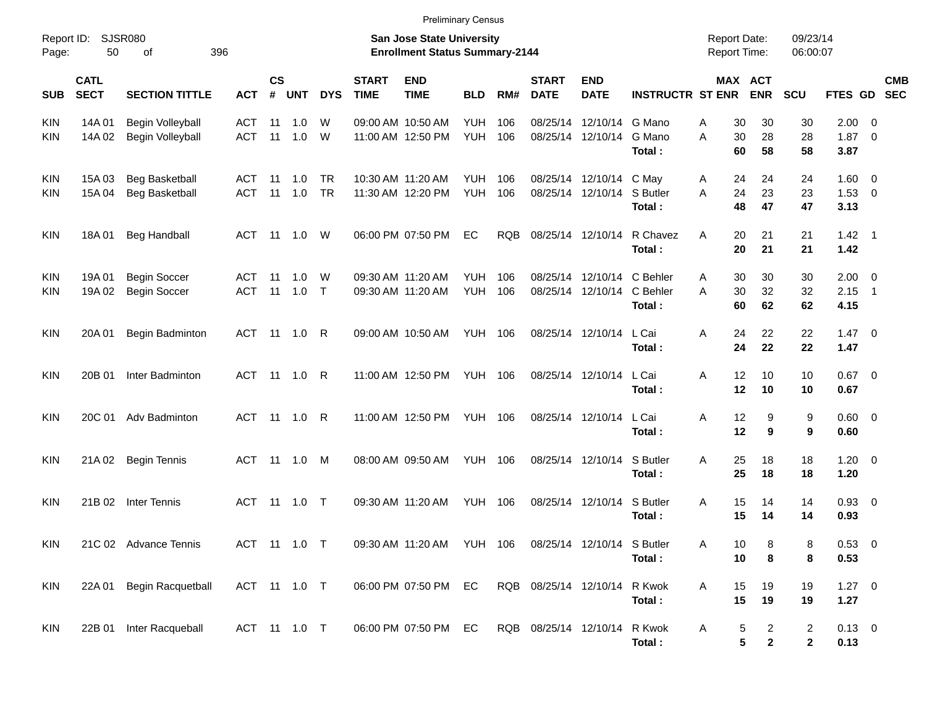| <b>Preliminary Census</b> |  |
|---------------------------|--|
|---------------------------|--|

| Page:      | Report ID: SJSR080<br>50   | 396<br>of                                      |                          |            |                       |                        |                             | <b>San Jose State University</b><br><b>Enrollment Status Summary-2144</b> |                                  |            |                                        |                                                       |                                | <b>Report Date:</b><br>Report Time: |                                            | 09/23/14<br>06:00:07           |                                   |                            |            |
|------------|----------------------------|------------------------------------------------|--------------------------|------------|-----------------------|------------------------|-----------------------------|---------------------------------------------------------------------------|----------------------------------|------------|----------------------------------------|-------------------------------------------------------|--------------------------------|-------------------------------------|--------------------------------------------|--------------------------------|-----------------------------------|----------------------------|------------|
| <b>SUB</b> | <b>CATL</b><br><b>SECT</b> | <b>SECTION TITTLE</b>                          | ACT                      | <b>CS</b>  | # UNT                 | <b>DYS</b>             | <b>START</b><br><b>TIME</b> | <b>END</b><br><b>TIME</b>                                                 | <b>BLD</b>                       | RM#        | <b>START</b><br><b>DATE</b>            | <b>END</b><br><b>DATE</b>                             | <b>INSTRUCTR ST ENR</b>        |                                     | MAX ACT<br><b>ENR</b>                      | SCU                            | FTES GD SEC                       |                            | <b>CMB</b> |
| KIN<br>KIN | 14A 01<br>14A 02           | Begin Volleyball<br><b>Begin Volleyball</b>    | <b>ACT</b><br><b>ACT</b> | 11         | 1.0<br>$11 \quad 1.0$ | W<br>W                 |                             | 09:00 AM 10:50 AM<br>11:00 AM 12:50 PM                                    | <b>YUH</b><br><b>YUH 106</b>     | 106        | 08/25/14 12/10/14                      | 08/25/14 12/10/14 G Mano                              | G Mano<br>Total:               | Α<br>A                              | 30<br>30<br>30<br>28<br>60<br>58           | 30<br>28<br>58                 | $2.00 \t 0$<br>1.87<br>3.87       | $\overline{\phantom{0}}$   |            |
| KIN<br>KIN | 15A 03<br>15A 04           | <b>Beg Basketball</b><br><b>Beg Basketball</b> | ACT<br><b>ACT</b>        | 11         | 11 1.0<br>1.0         | <b>TR</b><br><b>TR</b> |                             | 10:30 AM 11:20 AM<br>11:30 AM 12:20 PM                                    | <b>YUH 106</b><br><b>YUH 106</b> |            |                                        | 08/25/14 12/10/14 C May<br>08/25/14 12/10/14 S Butler | Total:                         | A<br>A                              | 24<br>24<br>24<br>23<br>48<br>47           | 24<br>23<br>47                 | $1.60 \ 0$<br>$1.53 \t 0$<br>3.13 |                            |            |
| KIN        | 18A01                      | <b>Beg Handball</b>                            | <b>ACT</b>               |            | 11 1.0                | W                      |                             | 06:00 PM 07:50 PM                                                         | EC                               | <b>RQB</b> | 08/25/14 12/10/14                      |                                                       | R Chavez<br>Total:             | A                                   | 20<br>21<br>20<br>21                       | 21<br>21                       | $1.42 \quad 1$<br>1.42            |                            |            |
| KIN<br>KIN | 19A 01<br>19A 02           | <b>Begin Soccer</b><br><b>Begin Soccer</b>     | ACT<br><b>ACT</b>        | - 11<br>11 | 1.0<br>1.0            | W<br>$\top$            |                             | 09:30 AM 11:20 AM<br>09:30 AM 11:20 AM                                    | YUH<br><b>YUH 106</b>            | 106        | 08/25/14 12/10/14<br>08/25/14 12/10/14 |                                                       | C Behler<br>C Behler<br>Total: | Α<br>A                              | 30<br>30<br>30<br>32<br>60<br>62           | 30<br>32<br>62                 | $2.00 \t 0$<br>2.15<br>4.15       | $\overline{\phantom{0}}$ 1 |            |
| KIN        | 20A 01                     | Begin Badminton                                | ACT                      | - 11       | 1.0                   | R                      |                             | 09:00 AM 10:50 AM                                                         | YUH 106                          |            | 08/25/14 12/10/14                      |                                                       | L Cai<br>Total:                | Α                                   | 22<br>24<br>22<br>24                       | 22<br>22                       | $1.47 \quad 0$<br>1.47            |                            |            |
| KIN        | 20B 01                     | Inter Badminton                                | ACT                      |            | 11 1.0                | R                      |                             | 11:00 AM 12:50 PM                                                         | <b>YUH 106</b>                   |            | 08/25/14 12/10/14                      |                                                       | L Cai<br>Total:                | Α                                   | 12<br>10<br>12<br>10                       | 10<br>10                       | $0.67$ 0<br>0.67                  |                            |            |
| <b>KIN</b> |                            | 20C 01 Adv Badminton                           | <b>ACT</b>               |            | 11 1.0                | R                      |                             | 11:00 AM 12:50 PM                                                         | <b>YUH 106</b>                   |            | 08/25/14 12/10/14                      |                                                       | L Cai<br>Total:                | Α                                   | 12<br>9<br>12<br>9                         | 9<br>9                         | $0.60 \quad 0$<br>0.60            |                            |            |
| KIN        | 21A 02                     | <b>Begin Tennis</b>                            | <b>ACT</b>               | - 11       | 1.0                   | M                      |                             | 08:00 AM 09:50 AM                                                         | YUH 106                          |            | 08/25/14 12/10/14                      |                                                       | S Butler<br>Total:             | Α                                   | 25<br>18<br>25<br>18                       | 18<br>18                       | $1.20 \t 0$<br>1.20               |                            |            |
| <b>KIN</b> | 21B 02                     | Inter Tennis                                   | <b>ACT</b>               | 11         | 1.0                   | $\top$                 |                             | 09:30 AM 11:20 AM                                                         | <b>YUH 106</b>                   |            | 08/25/14 12/10/14                      |                                                       | S Butler<br>Total:             | A                                   | 15<br>14<br>15<br>14                       | 14<br>14                       | 0.93 0<br>0.93                    |                            |            |
| <b>KIN</b> |                            | 21C 02 Advance Tennis                          | <b>ACT</b>               |            | 11  1.0  T            |                        |                             | 09:30 AM 11:20 AM                                                         | YUH 106                          |            | 08/25/14 12/10/14 S Butler             |                                                       | Total:                         | Α                                   | 8<br>10<br>10<br>8                         | 8<br>8                         | 0.53 0<br>0.53                    |                            |            |
| <b>KIN</b> | 22A 01                     | Begin Racquetball                              | ACT 11 1.0 T             |            |                       |                        |                             | 06:00 PM 07:50 PM                                                         | EC                               |            | RQB 08/25/14 12/10/14                  |                                                       | R Kwok<br>Total:               | A                                   | 15<br>19<br>15<br>19                       | 19<br>19                       | $1.27 \t 0$<br>1.27               |                            |            |
| <b>KIN</b> | 22B 01                     | Inter Racqueball                               | ACT 11 1.0 T             |            |                       |                        |                             | 06:00 PM 07:50 PM                                                         | EC                               |            | RQB 08/25/14 12/10/14                  |                                                       | R Kwok<br>Total:               | Α                                   | 5<br>$\overline{c}$<br>5<br>$\overline{2}$ | $\overline{c}$<br>$\mathbf{2}$ | $0.13 \ 0$<br>0.13                |                            |            |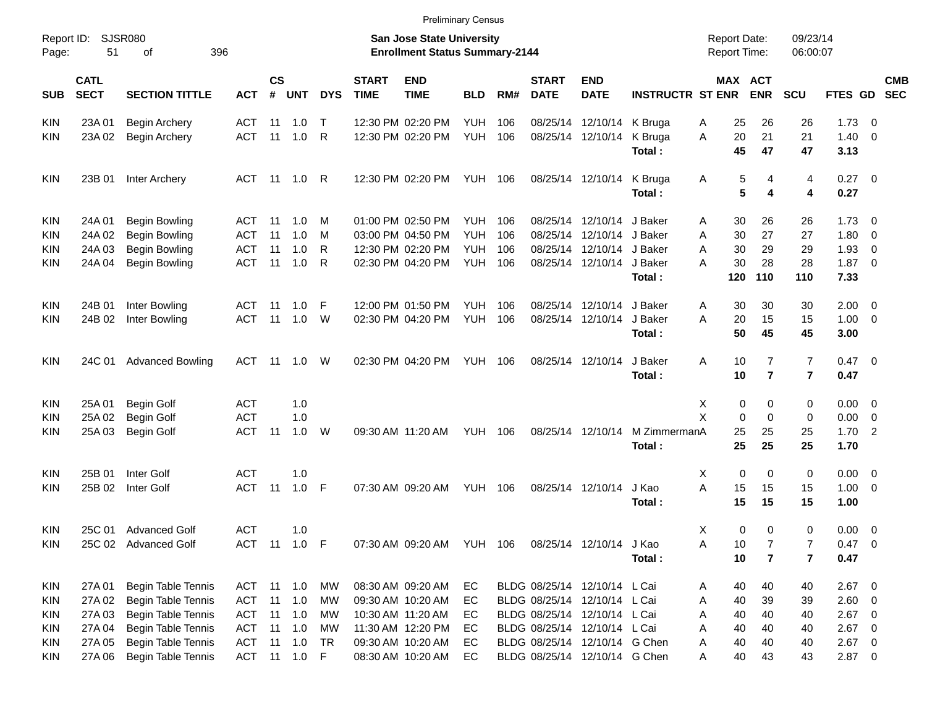| Report ID:<br>Page: | <b>SJSR080</b><br>51       | 396                       |              |                         |            |            | <b>San Jose State University</b><br><b>Enrollment Status Summary-2144</b> |                           |                |     |                             |                               | <b>Report Date:</b><br><b>Report Time:</b> |                  | 09/23/14<br>06:00:07    |                         |                    |                          |            |
|---------------------|----------------------------|---------------------------|--------------|-------------------------|------------|------------|---------------------------------------------------------------------------|---------------------------|----------------|-----|-----------------------------|-------------------------------|--------------------------------------------|------------------|-------------------------|-------------------------|--------------------|--------------------------|------------|
| <b>SUB</b>          | <b>CATL</b><br><b>SECT</b> | <b>SECTION TITTLE</b>     | <b>ACT</b>   | <b>CS</b><br>$\pmb{\#}$ | <b>UNT</b> | <b>DYS</b> | <b>START</b><br><b>TIME</b>                                               | <b>END</b><br><b>TIME</b> | <b>BLD</b>     | RM# | <b>START</b><br><b>DATE</b> | <b>END</b><br><b>DATE</b>     | <b>INSTRUCTR ST ENR</b>                    | MAX ACT          | <b>ENR</b>              | SCU                     | FTES GD SEC        |                          | <b>CMB</b> |
| <b>KIN</b>          | 23A 01                     | Begin Archery             | ACT          | 11                      | 1.0        | $\top$     |                                                                           | 12:30 PM 02:20 PM         | <b>YUH</b>     | 106 |                             | 08/25/14 12/10/14 K Bruga     |                                            | 25<br>A          | 26                      | 26                      | $1.73 \ 0$         |                          |            |
| <b>KIN</b>          | 23A 02                     | <b>Begin Archery</b>      | <b>ACT</b>   | 11                      | 1.0        | R          |                                                                           | 12:30 PM 02:20 PM         | <b>YUH</b>     | 106 |                             | 08/25/14 12/10/14             | K Bruga<br>Total:                          | 20<br>A<br>45    | 21<br>47                | 21<br>47                | $1.40 \ 0$<br>3.13 |                          |            |
| <b>KIN</b>          | 23B 01                     | Inter Archery             | ACT 11       |                         | 1.0        | R          |                                                                           | 12:30 PM 02:20 PM         | <b>YUH 106</b> |     |                             | 08/25/14 12/10/14             | K Bruga<br>Total:                          | 5<br>A<br>5      | 4<br>4                  | 4<br>4                  | $0.27$ 0<br>0.27   |                          |            |
| <b>KIN</b>          | 24A 01                     | <b>Begin Bowling</b>      | ACT          | 11                      | 1.0        | M          |                                                                           | 01:00 PM 02:50 PM         | <b>YUH</b>     | 106 |                             | 08/25/14 12/10/14 J Baker     |                                            | 30<br>A          | 26                      | 26                      | $1.73 \ 0$         |                          |            |
| KIN                 | 24A 02                     | <b>Begin Bowling</b>      | <b>ACT</b>   | 11                      | 1.0        | м          |                                                                           | 03:00 PM 04:50 PM         | <b>YUH</b>     | 106 |                             | 08/25/14 12/10/14 J Baker     |                                            | 30<br>Α          | 27                      | 27                      | 1.80               | $\overline{\phantom{0}}$ |            |
| KIN                 | 24A 03                     | <b>Begin Bowling</b>      | <b>ACT</b>   | 11                      | 1.0        | R          |                                                                           | 12:30 PM 02:20 PM         | <b>YUH</b>     | 106 |                             | 08/25/14 12/10/14 J Baker     |                                            | 30<br>Α          | 29                      | 29                      | 1.93               | $\overline{\phantom{0}}$ |            |
| KIN                 | 24A 04                     | <b>Begin Bowling</b>      | <b>ACT</b>   | 11                      | 1.0        | R          |                                                                           | 02:30 PM 04:20 PM         | <b>YUH</b>     | 106 |                             | 08/25/14 12/10/14 J Baker     |                                            | 30<br>Α          | 28                      | 28                      | $1.87 \ 0$         |                          |            |
|                     |                            |                           |              |                         |            |            |                                                                           |                           |                |     |                             |                               | Total:                                     | 120              | 110                     | 110                     | 7.33               |                          |            |
| <b>KIN</b>          | 24B 01                     | Inter Bowling             | ACT          | -11                     | 1.0        | F          |                                                                           | 12:00 PM 01:50 PM         | <b>YUH</b>     | 106 |                             | 08/25/14 12/10/14 J Baker     |                                            | 30<br>A          | 30                      | 30                      | $2.00 \t 0$        |                          |            |
| <b>KIN</b>          | 24B 02                     | Inter Bowling             | <b>ACT</b>   | 11                      | 1.0        | W          |                                                                           | 02:30 PM 04:20 PM         | <b>YUH</b>     | 106 |                             | 08/25/14 12/10/14             | J Baker                                    | 20<br>A          | 15                      | 15                      | $1.00 \t 0$        |                          |            |
|                     |                            |                           |              |                         |            |            |                                                                           |                           |                |     |                             |                               | Total:                                     | 50               | 45                      | 45                      | 3.00               |                          |            |
| <b>KIN</b>          | 24C 01                     | <b>Advanced Bowling</b>   | ACT          | 11                      | 1.0        | W          |                                                                           | 02:30 PM 04:20 PM         | <b>YUH 106</b> |     |                             | 08/25/14 12/10/14             | J Baker                                    | Α<br>10          | $\overline{7}$          | $\overline{7}$          | $0.47 \quad 0$     |                          |            |
|                     |                            |                           |              |                         |            |            |                                                                           |                           |                |     |                             |                               | Total:                                     | 10               | $\overline{\mathbf{r}}$ | $\overline{7}$          | 0.47               |                          |            |
| <b>KIN</b>          | 25A 01                     | <b>Begin Golf</b>         | <b>ACT</b>   |                         | 1.0        |            |                                                                           |                           |                |     |                             |                               |                                            | 0<br>Х           | 0                       | 0                       | $0.00 \t 0$        |                          |            |
| KIN                 | 25A 02                     | Begin Golf                | <b>ACT</b>   |                         | 1.0        |            |                                                                           |                           |                |     |                             |                               |                                            | X<br>$\mathbf 0$ | $\mathbf 0$             | $\mathbf 0$             | $0.00 \t 0$        |                          |            |
| KIN                 | 25A 03                     | <b>Begin Golf</b>         | <b>ACT</b>   | 11                      | 1.0        | W          |                                                                           | 09:30 AM 11:20 AM         | <b>YUH 106</b> |     |                             | 08/25/14 12/10/14             | M ZimmermanA                               | 25               | 25                      | 25                      | 1.702              |                          |            |
|                     |                            |                           |              |                         |            |            |                                                                           |                           |                |     |                             |                               | Total:                                     | 25               | 25                      | 25                      | 1.70               |                          |            |
| <b>KIN</b>          | 25B 01                     | Inter Golf                | <b>ACT</b>   |                         | 1.0        |            |                                                                           |                           |                |     |                             |                               |                                            | 0<br>Х           | 0                       | 0                       | $0.00 \t 0$        |                          |            |
| KIN                 | 25B 02                     | Inter Golf                | <b>ACT</b>   | 11                      | 1.0        | F          |                                                                           | 07:30 AM 09:20 AM         | <b>YUH 106</b> |     |                             | 08/25/14 12/10/14             | J Kao                                      | A<br>15          | 15                      | 15                      | $1.00 \t 0$        |                          |            |
|                     |                            |                           |              |                         |            |            |                                                                           |                           |                |     |                             |                               | Total:                                     | 15               | 15                      | 15                      | 1.00               |                          |            |
| KIN                 | 25C 01                     | <b>Advanced Golf</b>      | <b>ACT</b>   |                         | 1.0        |            |                                                                           |                           |                |     |                             |                               |                                            | 0<br>Х           | 0                       | 0                       | $0.00 \t 0$        |                          |            |
| <b>KIN</b>          |                            | 25C 02 Advanced Golf      | <b>ACT</b>   | 11                      | 1.0        | F          |                                                                           | 07:30 AM 09:20 AM         | <b>YUH 106</b> |     |                             | 08/25/14 12/10/14 J Kao       |                                            | 10<br>A          | $\overline{7}$          | $\overline{7}$          | 0.47               | $\overline{\phantom{0}}$ |            |
|                     |                            |                           |              |                         |            |            |                                                                           |                           |                |     |                             |                               | Total:                                     | $10$             | $\overline{\mathbf{r}}$ | $\overline{\mathbf{r}}$ | 0.47               |                          |            |
| <b>KIN</b>          | 27A 01                     | <b>Begin Table Tennis</b> | ACT          | 11                      | 1.0        | МW         |                                                                           | 08:30 AM 09:20 AM         | EC             |     |                             | BLDG 08/25/14 12/10/14 L Cai  |                                            | 40<br>A          | 40                      | 40                      | $2.67$ 0           |                          |            |
| <b>KIN</b>          | 27A 02                     | Begin Table Tennis        | ACT          | 11                      | 1.0        | MW         |                                                                           | 09:30 AM 10:20 AM         | EC             |     |                             | BLDG 08/25/14 12/10/14 L Cai  |                                            | 40<br>A          | 39                      | 39                      | $2.60 \t 0$        |                          |            |
| <b>KIN</b>          | 27A 03                     | Begin Table Tennis        | <b>ACT</b>   | 11                      | 1.0        | <b>MW</b>  |                                                                           | 10:30 AM 11:20 AM         | EC             |     |                             | BLDG 08/25/14 12/10/14 L Cai  |                                            | 40<br>A          | 40                      | 40                      | $2.67$ 0           |                          |            |
| <b>KIN</b>          | 27A 04                     | Begin Table Tennis        | <b>ACT</b>   | 11                      | 1.0        | <b>MW</b>  |                                                                           | 11:30 AM 12:20 PM         | EC             |     |                             | BLDG 08/25/14 12/10/14 L Cai  |                                            | 40<br>Α          | 40                      | 40                      | $2.67$ 0           |                          |            |
| <b>KIN</b>          | 27A 05                     | Begin Table Tennis        | ACT          | 11                      | 1.0        | TR         |                                                                           | 09:30 AM 10:20 AM         | EC             |     |                             | BLDG 08/25/14 12/10/14 G Chen |                                            | 40<br>A          | 40                      | 40                      | $2.67$ 0           |                          |            |
| KIN                 | 27A 06                     | Begin Table Tennis        | ACT 11 1.0 F |                         |            |            |                                                                           | 08:30 AM 10:20 AM         | EC             |     |                             | BLDG 08/25/14 12/10/14 G Chen |                                            | 40<br>A          | 43                      | 43                      | $2.87$ 0           |                          |            |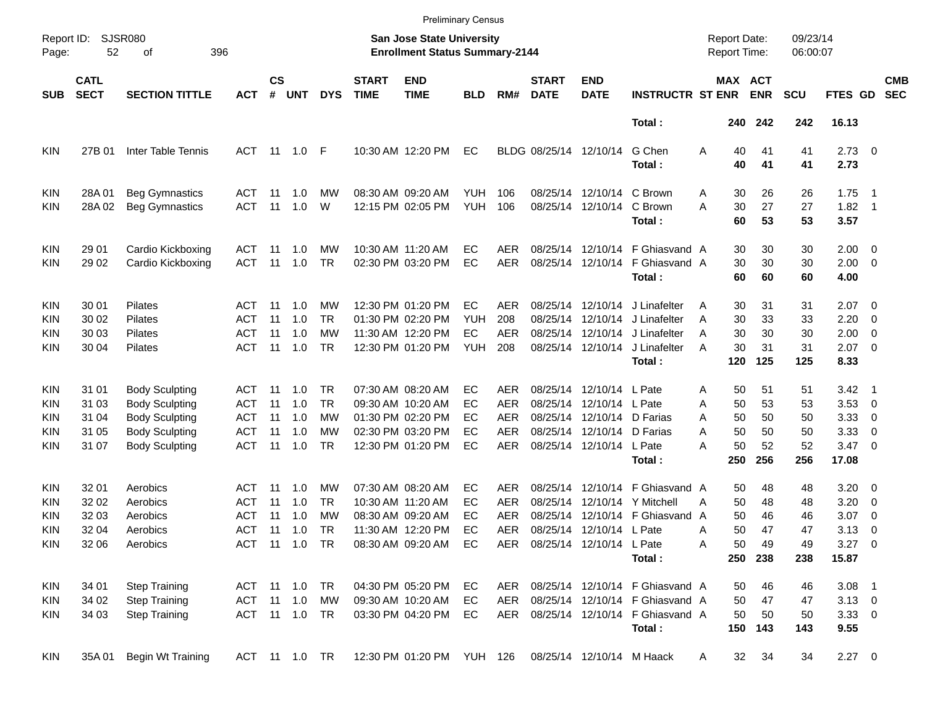|                                                      |                                           |                                                                                                  |                                               |                       |                                           |                                    |                             | <b>Preliminary Census</b>                                                                                |                                      |                                               |                                  |                                                                                              |                                                                                                                 |                                     |                                                                     |                                   |                                                         |                                                                                       |                          |
|------------------------------------------------------|-------------------------------------------|--------------------------------------------------------------------------------------------------|-----------------------------------------------|-----------------------|-------------------------------------------|------------------------------------|-----------------------------|----------------------------------------------------------------------------------------------------------|--------------------------------------|-----------------------------------------------|----------------------------------|----------------------------------------------------------------------------------------------|-----------------------------------------------------------------------------------------------------------------|-------------------------------------|---------------------------------------------------------------------|-----------------------------------|---------------------------------------------------------|---------------------------------------------------------------------------------------|--------------------------|
| Report ID:<br>Page:                                  | 52                                        | <b>SJSR080</b><br>396<br>οf                                                                      |                                               |                       |                                           |                                    |                             | San Jose State University<br><b>Enrollment Status Summary-2144</b>                                       |                                      |                                               |                                  |                                                                                              |                                                                                                                 | <b>Report Date:</b><br>Report Time: |                                                                     | 09/23/14<br>06:00:07              |                                                         |                                                                                       |                          |
| <b>SUB</b>                                           | <b>CATL</b><br><b>SECT</b>                | <b>SECTION TITTLE</b>                                                                            | <b>ACT</b>                                    | $\mathsf{cs}$<br>#    | <b>UNT</b>                                | <b>DYS</b>                         | <b>START</b><br><b>TIME</b> | <b>END</b><br><b>TIME</b>                                                                                | <b>BLD</b>                           | RM#                                           | <b>START</b><br><b>DATE</b>      | <b>END</b><br><b>DATE</b>                                                                    | <b>INSTRUCTR ST ENR</b>                                                                                         |                                     | MAX ACT<br><b>ENR</b>                                               | <b>SCU</b>                        | <b>FTES GD</b>                                          |                                                                                       | <b>CMB</b><br><b>SEC</b> |
|                                                      |                                           |                                                                                                  |                                               |                       |                                           |                                    |                             |                                                                                                          |                                      |                                               |                                  |                                                                                              | Total:                                                                                                          |                                     | 240 242                                                             | 242                               | 16.13                                                   |                                                                                       |                          |
| <b>KIN</b>                                           | 27B 01                                    | Inter Table Tennis                                                                               | ACT                                           | - 11                  | 1.0 F                                     |                                    |                             | 10:30 AM 12:20 PM                                                                                        | EC                                   |                                               | BLDG 08/25/14 12/10/14           |                                                                                              | G Chen<br>Total:                                                                                                | Α                                   | 40<br>41<br>40<br>41                                                | 41<br>41                          | $2.73$ 0<br>2.73                                        |                                                                                       |                          |
| <b>KIN</b><br><b>KIN</b>                             | 28A 01<br>28A 02                          | <b>Beg Gymnastics</b><br><b>Beg Gymnastics</b>                                                   | ACT<br>ACT                                    | -11<br>11             | 1.0<br>1.0                                | МW<br>W                            |                             | 08:30 AM 09:20 AM<br>12:15 PM 02:05 PM                                                                   | YUH<br><b>YUH</b>                    | 106<br>106                                    |                                  | 08/25/14 12/10/14 C Brown<br>08/25/14 12/10/14 C Brown                                       | Total:                                                                                                          | Α<br>Α                              | 30<br>26<br>30<br>27<br>60<br>53                                    | 26<br>27<br>53                    | 1.75<br>1.82<br>3.57                                    | $\overline{\phantom{0}}$<br>$\overline{\phantom{1}}$                                  |                          |
| <b>KIN</b><br><b>KIN</b>                             | 29 01<br>29 02                            | Cardio Kickboxing<br>Cardio Kickboxing                                                           | ACT<br><b>ACT</b>                             | -11<br>11             | 1.0<br>1.0                                | MW<br><b>TR</b>                    |                             | 10:30 AM 11:20 AM<br>02:30 PM 03:20 PM                                                                   | EС<br>EC                             | <b>AER</b><br><b>AER</b>                      | 08/25/14                         | 12/10/14<br>08/25/14 12/10/14                                                                | F Ghiasvand A<br>F Ghiasvand A<br>Total:                                                                        |                                     | 30<br>30<br>30<br>30<br>60<br>60                                    | 30<br>30<br>60                    | $2.00 \t 0$<br>$2.00 \t 0$<br>4.00                      |                                                                                       |                          |
| <b>KIN</b><br>KIN<br>KIN<br><b>KIN</b>               | 30 01<br>30 02<br>30 03<br>30 04          | <b>Pilates</b><br><b>Pilates</b><br><b>Pilates</b><br><b>Pilates</b>                             | ACT<br>ACT<br>ACT<br><b>ACT</b>               | -11<br>11<br>11<br>11 | 1.0<br>1.0<br>1.0<br>1.0                  | MW<br><b>TR</b><br>MW<br><b>TR</b> |                             | 12:30 PM 01:20 PM<br>01:30 PM 02:20 PM<br>11:30 AM 12:20 PM<br>12:30 PM 01:20 PM                         | EC<br><b>YUH</b><br>EC<br><b>YUH</b> | AER<br>208<br><b>AER</b><br>208               | 08/25/14<br>08/25/14             | 08/25/14 12/10/14<br>12/10/14<br>12/10/14<br>08/25/14 12/10/14                               | J Linafelter<br>J Linafelter<br>J Linafelter<br>J Linafelter                                                    | A<br>Α<br>Α<br>Α                    | 30<br>31<br>30<br>33<br>30<br>30<br>30<br>31                        | 31<br>33<br>30<br>31              | 2.07<br>2.20<br>2.00<br>$2.07$ 0                        | $\overline{\phantom{0}}$<br>$\overline{\mathbf{0}}$<br>$\overline{\mathbf{0}}$        |                          |
| <b>KIN</b><br>KIN<br>KIN<br>KIN                      | 31 01<br>31 03<br>31 04<br>31 05          | <b>Body Sculpting</b><br><b>Body Sculpting</b><br><b>Body Sculpting</b><br><b>Body Sculpting</b> | ACT<br><b>ACT</b><br><b>ACT</b><br><b>ACT</b> | -11<br>11<br>11<br>11 | 1.0<br>1.0<br>1.0<br>1.0                  | TR.<br><b>TR</b><br>MW<br>MW       |                             | 07:30 AM 08:20 AM<br>09:30 AM 10:20 AM<br>01:30 PM 02:20 PM<br>02:30 PM 03:20 PM                         | EС<br>EС<br>EС<br>EС                 | AER<br><b>AER</b><br><b>AER</b><br><b>AER</b> | 08/25/14<br>08/25/14             | 08/25/14 12/10/14 L Pate<br>12/10/14 L Pate<br>12/10/14 D Farias<br>08/25/14 12/10/14        | Total:<br>D Farias                                                                                              | 120<br>Α<br>Α<br>Α<br>Α             | 125<br>50<br>51<br>53<br>50<br>50<br>50<br>50<br>50                 | 125<br>51<br>53<br>50<br>50       | 8.33<br>3.42<br>3.53<br>3.33<br>3.33                    | - 1<br>$\overline{\phantom{0}}$<br>$\overline{\mathbf{0}}$<br>0                       |                          |
| <b>KIN</b>                                           | 31 07                                     | <b>Body Sculpting</b>                                                                            | <b>ACT</b>                                    | 11                    | 1.0                                       | TR.                                |                             | 12:30 PM 01:20 PM                                                                                        | EC                                   | <b>AER</b>                                    |                                  | 08/25/14 12/10/14 L Pate                                                                     | Total:                                                                                                          | А<br>250                            | 50<br>52<br>256                                                     | 52<br>256                         | 3.47<br>17.08                                           | $\overline{\phantom{0}}$                                                              |                          |
| <b>KIN</b><br>KIN<br>KIN<br><b>KIN</b><br><b>KIN</b> | 32 01<br>32 02<br>32 03<br>32 04<br>32 06 | Aerobics<br>Aerobics<br>Aerobics<br>Aerobics<br>Aerobics                                         | ACT<br>ACT<br>ACT<br><b>ACT</b>               | 11<br>11<br>11<br>11  | 1.0<br>1.0<br>1.0<br>1.0<br>ACT 11 1.0 TR | MW<br>TR.<br>MW<br>TR.             |                             | 07:30 AM 08:20 AM<br>10:30 AM 11:20 AM<br>08:30 AM 09:20 AM<br>11:30 AM 12:20 PM<br>08:30 AM 09:20 AM EC | EС<br>EС<br>EС<br>EC                 | AER<br><b>AER</b><br><b>AER</b><br><b>AER</b> | 08/25/14<br>08/25/14<br>08/25/14 | 12/10/14<br>12/10/14<br>12/10/14<br>08/25/14 12/10/14 L Pate<br>AER 08/25/14 12/10/14 L Pate | F Ghiasvand A<br>Y Mitchell<br>F Ghiasvand<br>Total:                                                            | Α<br>A<br>Α<br>Α                    | 50<br>48<br>50<br>48<br>50<br>46<br>50<br>47<br>50<br>49<br>250 238 | 48<br>48<br>46<br>47<br>49<br>238 | 3.20<br>3.20<br>3.07<br>3.13<br>$3.27 \quad 0$<br>15.87 | $\overline{\phantom{0}}$<br>$\overline{\mathbf{0}}$<br>$\overline{\mathbf{0}}$<br>- 0 |                          |
| KIN<br><b>KIN</b><br><b>KIN</b>                      | 34 01<br>34 02<br>34 03                   | <b>Step Training</b><br><b>Step Training</b><br><b>Step Training</b>                             | ACT 11 1.0 TR<br>ACT<br>ACT 11 1.0 TR         |                       | 11  1.0  MW                               |                                    |                             | 04:30 PM 05:20 PM<br>09:30 AM 10:20 AM<br>03:30 PM 04:20 PM                                              | EC<br>EC<br>EC                       | AER<br>AER<br>AER                             |                                  |                                                                                              | 08/25/14 12/10/14 F Ghiasvand A<br>08/25/14 12/10/14 F Ghiasvand A<br>08/25/14 12/10/14 F Ghiasvand A<br>Total: |                                     | 50<br>46<br>50<br>47<br>50<br>50<br>150 143                         | 46<br>47<br>50<br>143             | $3.08$ 1<br>$3.13 \quad 0$<br>3.3300<br>9.55            |                                                                                       |                          |
| KIN                                                  | 35A 01                                    | <b>Begin Wt Training</b>                                                                         | ACT 11 1.0 TR                                 |                       |                                           |                                    |                             | 12:30 PM 01:20 PM YUH 126                                                                                |                                      |                                               |                                  | 08/25/14 12/10/14 M Haack                                                                    |                                                                                                                 | A                                   | 32<br>34                                                            | 34                                | $2.27$ 0                                                |                                                                                       |                          |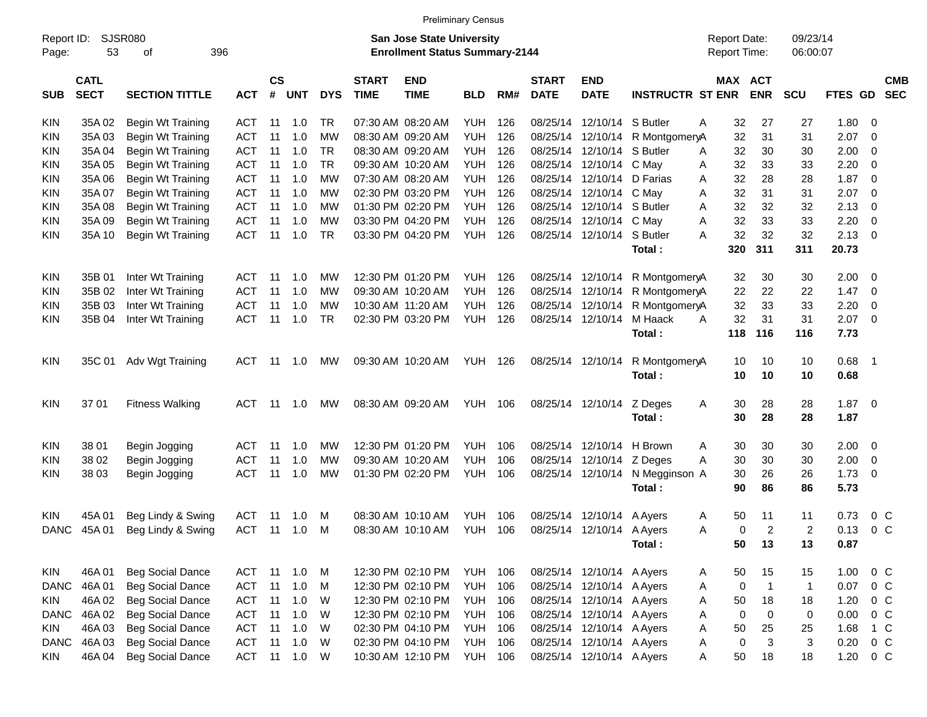|                     |                            |                          |            |                |            |            |                             |                                                                           | <b>Preliminary Census</b> |     |                             |                            |                                 |                                     |                |                           |         |                          |                          |
|---------------------|----------------------------|--------------------------|------------|----------------|------------|------------|-----------------------------|---------------------------------------------------------------------------|---------------------------|-----|-----------------------------|----------------------------|---------------------------------|-------------------------------------|----------------|---------------------------|---------|--------------------------|--------------------------|
| Report ID:<br>Page: | 53                         | SJSR080<br>396<br>οf     |            |                |            |            |                             | <b>San Jose State University</b><br><b>Enrollment Status Summary-2144</b> |                           |     |                             |                            |                                 | <b>Report Date:</b><br>Report Time: |                | 09/23/14<br>06:00:07      |         |                          |                          |
| <b>SUB</b>          | <b>CATL</b><br><b>SECT</b> | <b>SECTION TITTLE</b>    | <b>ACT</b> | <b>CS</b><br># | <b>UNT</b> | <b>DYS</b> | <b>START</b><br><b>TIME</b> | <b>END</b><br><b>TIME</b>                                                 | <b>BLD</b>                | RM# | <b>START</b><br><b>DATE</b> | <b>END</b><br><b>DATE</b>  | <b>INSTRUCTR ST ENR</b>         | MAX ACT                             | <b>ENR</b>     | <b>SCU</b>                | FTES GD |                          | <b>CMB</b><br><b>SEC</b> |
| <b>KIN</b>          | 35A 02                     | <b>Begin Wt Training</b> | ACT        | 11             | 1.0        | TR         |                             | 07:30 AM 08:20 AM                                                         | YUH                       | 126 | 08/25/14                    | 12/10/14 S Butler          |                                 | 32<br>A                             | 27             | 27                        | 1.80    | 0                        |                          |
| KIN                 | 35A03                      | <b>Begin Wt Training</b> | <b>ACT</b> | 11             | 1.0        | <b>MW</b>  |                             | 08:30 AM 09:20 AM                                                         | <b>YUH</b>                | 126 | 08/25/14                    |                            | 12/10/14 R MontgomeryA          | 32                                  | 31             | 31                        | 2.07    | - 0                      |                          |
| KIN                 | 35A 04                     | <b>Begin Wt Training</b> | <b>ACT</b> | 11             | 1.0        | <b>TR</b>  |                             | 08:30 AM 09:20 AM                                                         | YUH                       | 126 | 08/25/14                    | 12/10/14 S Butler          |                                 | 32<br>A                             | 30             | 30                        | 2.00    | 0                        |                          |
| KIN                 | 35A 05                     | Begin Wt Training        | <b>ACT</b> | 11             | 1.0        | <b>TR</b>  |                             | 09:30 AM 10:20 AM                                                         | YUH                       | 126 | 08/25/14                    | 12/10/14 C May             |                                 | 32<br>A                             | 33             | 33                        | 2.20    | 0                        |                          |
| KIN                 | 35A 06                     | Begin Wt Training        | <b>ACT</b> | 11             | 1.0        | <b>MW</b>  |                             | 07:30 AM 08:20 AM                                                         | <b>YUH</b>                | 126 | 08/25/14                    | 12/10/14 D Farias          |                                 | 32<br>A                             | 28             | 28                        | 1.87    | 0                        |                          |
| KIN                 | 35A 07                     | Begin Wt Training        | <b>ACT</b> | 11             | 1.0        | <b>MW</b>  |                             | 02:30 PM 03:20 PM                                                         | <b>YUH</b>                | 126 | 08/25/14                    | 12/10/14 C May             |                                 | 32<br>A                             | 31             | 31                        | 2.07    | 0                        |                          |
| KIN                 | 35A08                      | Begin Wt Training        | <b>ACT</b> | 11             | 1.0        | <b>MW</b>  |                             | 01:30 PM 02:20 PM                                                         | <b>YUH</b>                | 126 | 08/25/14                    | 12/10/14 S Butler          |                                 | 32<br>A                             | 32             | 32                        | 2.13    | 0                        |                          |
| KIN                 | 35A09                      | Begin Wt Training        | <b>ACT</b> | 11             | 1.0        | <b>MW</b>  |                             | 03:30 PM 04:20 PM                                                         | <b>YUH</b>                | 126 | 08/25/14                    | 12/10/14 C May             |                                 | 32<br>A                             | 33             | 33                        | 2.20    | $\mathbf 0$              |                          |
| KIN                 | 35A 10                     | Begin Wt Training        | <b>ACT</b> | 11             | 1.0        | <b>TR</b>  |                             | 03:30 PM 04:20 PM                                                         | YUH                       | 126 |                             | 08/25/14 12/10/14 S Butler |                                 | 32<br>A                             | 32             | 32                        | 2.13    | - 0                      |                          |
|                     |                            |                          |            |                |            |            |                             |                                                                           |                           |     |                             |                            | Total:                          | 320                                 | 311            | 311                       | 20.73   |                          |                          |
| <b>KIN</b>          | 35B 01                     | Inter Wt Training        | <b>ACT</b> | 11             | 1.0        | MW         |                             | 12:30 PM 01:20 PM                                                         | YUH                       | 126 | 08/25/14                    |                            | 12/10/14 R MontgomeryA          | 32                                  | 30             | 30                        | 2.00    | 0                        |                          |
| KIN                 | 35B 02                     | Inter Wt Training        | <b>ACT</b> | 11             | 1.0        | <b>MW</b>  |                             | 09:30 AM 10:20 AM                                                         | <b>YUH</b>                | 126 | 08/25/14                    |                            | 12/10/14 R MontgomeryA          | 22                                  | 22             | 22                        | 1.47    | 0                        |                          |
| KIN                 | 35B 03                     | Inter Wt Training        | <b>ACT</b> | 11             | 1.0        | MW         |                             | 10:30 AM 11:20 AM                                                         | YUH                       | 126 | 08/25/14                    |                            | 12/10/14 R MontgomeryA          | 32                                  | 33             | 33                        | 2.20    | 0                        |                          |
| KIN                 | 35B 04                     | Inter Wt Training        | <b>ACT</b> | 11             | 1.0        | <b>TR</b>  |                             | 02:30 PM 03:20 PM                                                         | YUH                       | 126 |                             | 08/25/14 12/10/14 M Haack  |                                 | 32<br>Α                             | 31             | 31                        | 2.07    | $\overline{\mathbf{0}}$  |                          |
|                     |                            |                          |            |                |            |            |                             |                                                                           |                           |     |                             |                            | Total:                          | 118                                 | 116            | 116                       | 7.73    |                          |                          |
| <b>KIN</b>          | 35C 01                     | Adv Wgt Training         | <b>ACT</b> | -11            | 1.0        | MW         |                             | 09:30 AM 10:20 AM                                                         | <b>YUH 126</b>            |     |                             | 08/25/14 12/10/14          | R MontgomeryA                   | 10                                  | 10             | 10                        | 0.68    | $\overline{\phantom{0}}$ |                          |
|                     |                            |                          |            |                |            |            |                             |                                                                           |                           |     |                             |                            | Total:                          | 10                                  | 10             | 10                        | 0.68    |                          |                          |
| KIN                 | 3701                       | <b>Fitness Walking</b>   | ACT        | -11            | 1.0        | MW         |                             | 08:30 AM 09:20 AM                                                         | <b>YUH 106</b>            |     |                             | 08/25/14 12/10/14          | Z Deges                         | 30<br>A                             | 28             | 28                        | 1.87    | $\overline{\mathbf{0}}$  |                          |
|                     |                            |                          |            |                |            |            |                             |                                                                           |                           |     |                             |                            | Total:                          | 30                                  | 28             | 28                        | 1.87    |                          |                          |
| KIN                 | 38 01                      | Begin Jogging            | <b>ACT</b> | 11             | 1.0        | MW         |                             | 12:30 PM 01:20 PM                                                         | YUH                       | 106 | 08/25/14                    | 12/10/14 H Brown           |                                 | 30<br>A                             | 30             | 30                        | 2.00    | - 0                      |                          |
| KIN                 | 38 02                      | Begin Jogging            | ACT        | 11             | 1.0        | <b>MW</b>  |                             | 09:30 AM 10:20 AM                                                         | <b>YUH</b>                | 106 | 08/25/14                    | 12/10/14 Z Deges           |                                 | 30<br>A                             | 30             | 30                        | 2.00    | 0                        |                          |
| KIN                 | 38 03                      | Begin Jogging            | <b>ACT</b> | 11             | 1.0        | <b>MW</b>  |                             | 01:30 PM 02:20 PM                                                         | YUH                       | 106 |                             |                            | 08/25/14 12/10/14 N Megginson A | 30                                  | 26             | 26                        | 1.73    | $\overline{\mathbf{0}}$  |                          |
|                     |                            |                          |            |                |            |            |                             |                                                                           |                           |     |                             |                            | Total:                          | 90                                  | 86             | 86                        | 5.73    |                          |                          |
| KIN                 | 45A 01                     | Beg Lindy & Swing        | <b>ACT</b> | 11             | 1.0        | M          |                             | 08:30 AM 10:10 AM                                                         | YUH                       | 106 | 08/25/14                    | 12/10/14 A Ayers           |                                 | 50<br>A                             | 11             | 11                        | 0.73    | 0 <sup>C</sup>           |                          |
| <b>DANC</b>         | 45A 01                     | Beg Lindy & Swing        | <b>ACT</b> | 11             | 1.0        | M          |                             | 08:30 AM 10:10 AM                                                         | YUH                       | 106 |                             | 08/25/14 12/10/14 A Ayers  |                                 | 0<br>A                              | 2              | 2                         | 0.13    | 0 <sup>C</sup>           |                          |
|                     |                            |                          |            |                |            |            |                             |                                                                           |                           |     |                             |                            | <b>Total</b> :                  | 50                                  | 13             | 13                        | 0.87    |                          |                          |
| KIN                 | 46A 01                     | <b>Beg Social Dance</b>  | ACT        | 11             | 1.0        | M          |                             | 12:30 PM 02:10 PM                                                         | <b>YUH 106</b>            |     |                             | 08/25/14 12/10/14 A Ayers  |                                 | 50<br>A                             | 15             | 15                        | 1.00    | $0\,C$                   |                          |
| <b>DANC</b>         | 46A01                      | <b>Beg Social Dance</b>  | <b>ACT</b> | 11             | 1.0        | M          |                             | 12:30 PM 02:10 PM                                                         | YUH                       | 106 |                             | 08/25/14 12/10/14 A Ayers  |                                 | Α<br>$\mathbf 0$                    | $\overline{1}$ | $\mathbf 1$               | 0.07    | $0\,C$                   |                          |
| KIN                 | 46A 02                     | <b>Beg Social Dance</b>  | <b>ACT</b> | 11             | 1.0        | W          |                             | 12:30 PM 02:10 PM                                                         | YUH                       | 106 |                             | 08/25/14 12/10/14 A Ayers  |                                 | 50<br>Α                             | 18             | 18                        | 1.20    | $0\,C$                   |                          |
| <b>DANC</b>         | 46A02                      | <b>Beg Social Dance</b>  | <b>ACT</b> | 11             | 1.0        | W          |                             | 12:30 PM 02:10 PM                                                         | YUH                       | 106 |                             | 08/25/14 12/10/14 A Ayers  |                                 | Α<br>0                              | $\pmb{0}$      | $\,0\,$                   | 0.00    | $0\,C$                   |                          |
| <b>KIN</b>          | 46A03                      | <b>Beg Social Dance</b>  | ACT        | 11             | 1.0        | W          |                             | 02:30 PM 04:10 PM                                                         | YUH                       | 106 |                             | 08/25/14 12/10/14 A Ayers  |                                 | Α<br>50                             | 25             | 25                        | 1.68    | 1 C                      |                          |
| <b>DANC</b>         | 46A03                      | <b>Beg Social Dance</b>  | ACT        | 11             | 1.0        | W          |                             | 02:30 PM 04:10 PM                                                         | YUH                       | 106 |                             | 08/25/14 12/10/14 A Ayers  |                                 | 0<br>Α                              | $\sqrt{3}$     | $\ensuremath{\mathsf{3}}$ | 0.20    | $0\,C$                   |                          |
| KIN                 | 46A04                      | <b>Beg Social Dance</b>  | <b>ACT</b> | 11             | 1.0        | W          |                             | 10:30 AM 12:10 PM                                                         | <b>YUH 106</b>            |     |                             | 08/25/14 12/10/14 A Ayers  |                                 | 50<br>Α                             | 18             | 18                        | 1.20    | $0\,C$                   |                          |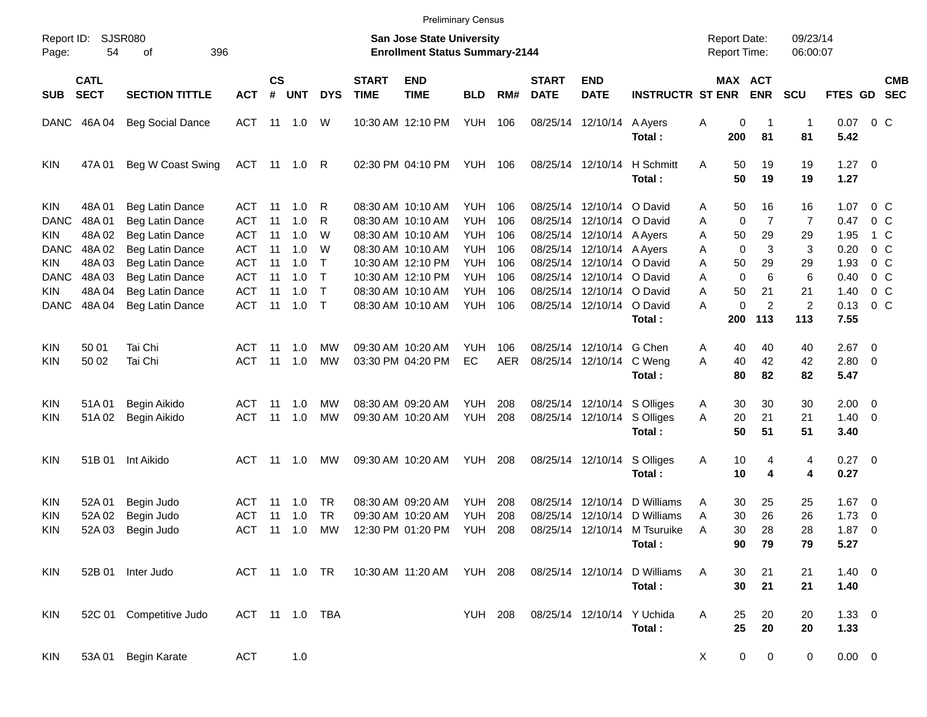|             |                                          |                         |               |                    |            |                |                             |                                                                    | <b>Preliminary Census</b> |            |                             |                           |                         |                                            |                              |                      |             |                          |                          |
|-------------|------------------------------------------|-------------------------|---------------|--------------------|------------|----------------|-----------------------------|--------------------------------------------------------------------|---------------------------|------------|-----------------------------|---------------------------|-------------------------|--------------------------------------------|------------------------------|----------------------|-------------|--------------------------|--------------------------|
| Page:       | SJSR080<br>Report ID:<br>396<br>54<br>οf |                         |               |                    |            |                |                             | San Jose State University<br><b>Enrollment Status Summary-2144</b> |                           |            |                             |                           |                         | <b>Report Date:</b><br><b>Report Time:</b> |                              | 09/23/14<br>06:00:07 |             |                          |                          |
| <b>SUB</b>  | <b>CATL</b><br><b>SECT</b>               | <b>SECTION TITTLE</b>   | <b>ACT</b>    | $\mathsf{cs}$<br># | <b>UNT</b> | <b>DYS</b>     | <b>START</b><br><b>TIME</b> | <b>END</b><br><b>TIME</b>                                          | <b>BLD</b>                | RM#        | <b>START</b><br><b>DATE</b> | <b>END</b><br><b>DATE</b> | <b>INSTRUCTR ST ENR</b> |                                            | <b>MAX ACT</b><br><b>ENR</b> | <b>SCU</b>           | FTES GD     |                          | <b>CMB</b><br><b>SEC</b> |
|             | DANC 46A 04                              | <b>Beg Social Dance</b> | ACT           |                    | 11  1.0    | W              |                             | 10:30 AM 12:10 PM                                                  | <b>YUH</b>                | 106        |                             | 08/25/14 12/10/14         | A Ayers                 | 0<br>Α                                     |                              | 1                    | 0.07        | $0\,$ C                  |                          |
|             |                                          |                         |               |                    |            |                |                             |                                                                    |                           |            |                             |                           | Total:                  | 200                                        | 81                           | 81                   | 5.42        |                          |                          |
| <b>KIN</b>  | 47A 01                                   | Beg W Coast Swing       | ACT 11 1.0 R  |                    |            |                |                             | 02:30 PM 04:10 PM                                                  | YUH                       | 106        |                             | 08/25/14 12/10/14         | H Schmitt               | Α<br>50                                    | 19                           | 19                   | $1.27 \t 0$ |                          |                          |
|             |                                          |                         |               |                    |            |                |                             |                                                                    |                           |            |                             |                           | Total:                  | 50                                         | 19                           | 19                   | 1.27        |                          |                          |
| <b>KIN</b>  | 48A01                                    | Beg Latin Dance         | ACT           | 11                 | 1.0        | R              |                             | 08:30 AM 10:10 AM                                                  | YUH.                      | 106        |                             | 08/25/14 12/10/14         | O David                 | 50<br>Α                                    | 16                           | 16                   | 1.07        | $0\,$ C                  |                          |
| DANC        | 48A01                                    | Beg Latin Dance         | ACT           | 11                 | 1.0        | R              |                             | 08:30 AM 10:10 AM                                                  | <b>YUH</b>                | 106        | 08/25/14                    | 12/10/14 O David          |                         | $\mathbf 0$<br>A                           | $\overline{7}$               | $\overline{7}$       | 0.47        | 0 C                      |                          |
| KIN         | 48A 02                                   | Beg Latin Dance         | ACT           | 11                 | 1.0        | W              |                             | 08:30 AM 10:10 AM                                                  | YUH                       | 106        |                             | 08/25/14 12/10/14 A Ayers |                         | 50<br>A                                    | 29                           | 29                   | 1.95        | 1 C                      |                          |
| <b>DANC</b> | 48A 02                                   | Beg Latin Dance         | <b>ACT</b>    | 11                 | 1.0        | W              |                             | 08:30 AM 10:10 AM                                                  | <b>YUH</b>                | 106        |                             | 08/25/14 12/10/14 A Ayers |                         | $\mathbf 0$<br>Α                           | 3                            | 3                    | 0.20        | $0\,$ C                  |                          |
| KIN         | 48A03                                    | Beg Latin Dance         | <b>ACT</b>    | 11                 | 1.0        | $\mathsf{T}$   |                             | 10:30 AM 12:10 PM                                                  | <b>YUH</b>                | 106        |                             | 08/25/14 12/10/14 O David |                         | 50<br>A                                    | 29                           | 29                   | 1.93        | 0 <sup>o</sup>           |                          |
| <b>DANC</b> | 48A 03                                   | Beg Latin Dance         | <b>ACT</b>    | 11                 | 1.0        | $\mathsf{T}$   |                             | 10:30 AM 12:10 PM                                                  | <b>YUH</b>                | 106        |                             | 08/25/14 12/10/14 O David |                         | $\mathbf 0$<br>Α                           | 6                            | 6                    | 0.40        | $0\,$ C                  |                          |
| KIN         | 48A 04                                   | Beg Latin Dance         | <b>ACT</b>    | 11                 | 1.0        | $\top$         |                             | 08:30 AM 10:10 AM                                                  | <b>YUH</b>                | 106        |                             | 08/25/14 12/10/14 O David |                         | 50<br>Α                                    | 21                           | 21                   | 1.40        | $0\,$ C                  |                          |
| <b>DANC</b> | 48A 04                                   | Beg Latin Dance         | <b>ACT</b>    | 11                 | 1.0        | $\top$         |                             | 08:30 AM 10:10 AM                                                  | <b>YUH</b>                | 106        |                             | 08/25/14 12/10/14         | O David                 | 0<br>А                                     | 2                            | $\overline{2}$       | 0.13        | 0 <sup>o</sup>           |                          |
|             |                                          |                         |               |                    |            |                |                             |                                                                    |                           |            |                             |                           | Total:                  | 200                                        | 113                          | 113                  | 7.55        |                          |                          |
| <b>KIN</b>  | 50 01                                    | Tai Chi                 | ACT           | 11                 | 1.0        | МW             |                             | 09:30 AM 10:20 AM                                                  | YUH                       | 106        |                             | 08/25/14 12/10/14         | G Chen                  | 40<br>A                                    | 40                           | 40                   | 2.67        | $\overline{\phantom{0}}$ |                          |
| KIN         | 50 02                                    | Tai Chi                 | ACT           | 11                 | 1.0        | <b>MW</b>      |                             | 03:30 PM 04:20 PM                                                  | EC                        | <b>AER</b> |                             | 08/25/14 12/10/14         | C Weng                  | 40<br>Α                                    | 42                           | 42                   | 2.80 0      |                          |                          |
|             |                                          |                         |               |                    |            |                |                             |                                                                    |                           |            |                             |                           | Total:                  | 80                                         | 82                           | 82                   | 5.47        |                          |                          |
| <b>KIN</b>  | 51A01                                    | Begin Aikido            | ACT           | 11                 | 1.0        | MW             |                             | 08:30 AM 09:20 AM                                                  | <b>YUH</b>                | 208        |                             | 08/25/14 12/10/14         | S Olliges               | 30<br>A                                    | 30                           | 30                   | $2.00 \t 0$ |                          |                          |
| KIN         | 51A02                                    | Begin Aikido            | ACT           | 11                 | 1.0        | MW             |                             | 09:30 AM 10:20 AM                                                  | <b>YUH</b>                | 208        |                             | 08/25/14 12/10/14         | S Olliges               | 20<br>A                                    | 21                           | 21                   | $1.40 \ 0$  |                          |                          |
|             |                                          |                         |               |                    |            |                |                             |                                                                    |                           |            |                             |                           | Total:                  | 50                                         | 51                           | 51                   | 3.40        |                          |                          |
| <b>KIN</b>  | 51B 01                                   | Int Aikido              | ACT           | 11                 | 1.0        | MW             |                             | 09:30 AM 10:20 AM                                                  | YUH                       | 208        |                             | 08/25/14 12/10/14         | S Olliges               | 10<br>Α                                    | 4                            | 4                    | $0.27$ 0    |                          |                          |
|             |                                          |                         |               |                    |            |                |                             |                                                                    |                           |            |                             |                           | Total:                  | 10                                         | 4                            | 4                    | 0.27        |                          |                          |
| <b>KIN</b>  | 52A 01                                   | Begin Judo              | ACT           | 11                 | 1.0        | TR             |                             | 08:30 AM 09:20 AM                                                  | YUH                       | 208        | 08/25/14                    | 12/10/14                  | D Williams              | 30<br>A                                    | 25                           | 25                   | $1.67$ 0    |                          |                          |
| <b>KIN</b>  | 52A 02                                   | Begin Judo              | ACT           | 11                 | 1.0        | <b>TR</b>      |                             | 09:30 AM 10:20 AM                                                  | <b>YUH</b>                | 208        | 08/25/14                    | 12/10/14                  | D Williams              | 30<br>A                                    | 26                           | 26                   | 1.73        | $\overline{\mathbf{0}}$  |                          |
| KIN         | 52A 03                                   | Begin Judo              | <b>ACT</b>    | 11                 | 1.0        | MW             |                             | 12:30 PM 01:20 PM                                                  | <b>YUH</b>                | 208        |                             | 08/25/14 12/10/14         | M Tsuruike              | 30<br>A                                    | 28                           | 28                   | 1.87        | $\overline{\mathbf{0}}$  |                          |
|             |                                          |                         |               |                    |            |                |                             |                                                                    |                           |            |                             |                           | Total:                  | 90                                         | 79                           | 79                   | 5.27        |                          |                          |
| KIN         |                                          | 52B 01 Inter Judo       | ACT 11 1.0 TR |                    |            |                |                             | 10:30 AM 11:20 AM YUH 208                                          |                           |            |                             | 08/25/14 12/10/14         | D Williams              | Α<br>30                                    | 21                           | 21                   | $1.40 \ 0$  |                          |                          |
|             |                                          |                         |               |                    |            |                |                             |                                                                    |                           |            |                             |                           | Total:                  | 30                                         | 21                           | 21                   | 1.40        |                          |                          |
| KIN         |                                          | 52C 01 Competitive Judo |               |                    |            | ACT 11 1.0 TBA |                             |                                                                    | <b>YUH 208</b>            |            |                             | 08/25/14 12/10/14         | Y Uchida                | 25<br>Α                                    | 20                           | 20                   | $1.33 \ 0$  |                          |                          |
|             |                                          |                         |               |                    |            |                |                             |                                                                    |                           |            |                             |                           | Total:                  | 25                                         | 20                           | 20                   | 1.33        |                          |                          |
| KIN         | 53A 01                                   | <b>Begin Karate</b>     | <b>ACT</b>    |                    | 1.0        |                |                             |                                                                    |                           |            |                             |                           |                         | X                                          | 0<br>$\mathbf 0$             | 0                    | $0.00 \t 0$ |                          |                          |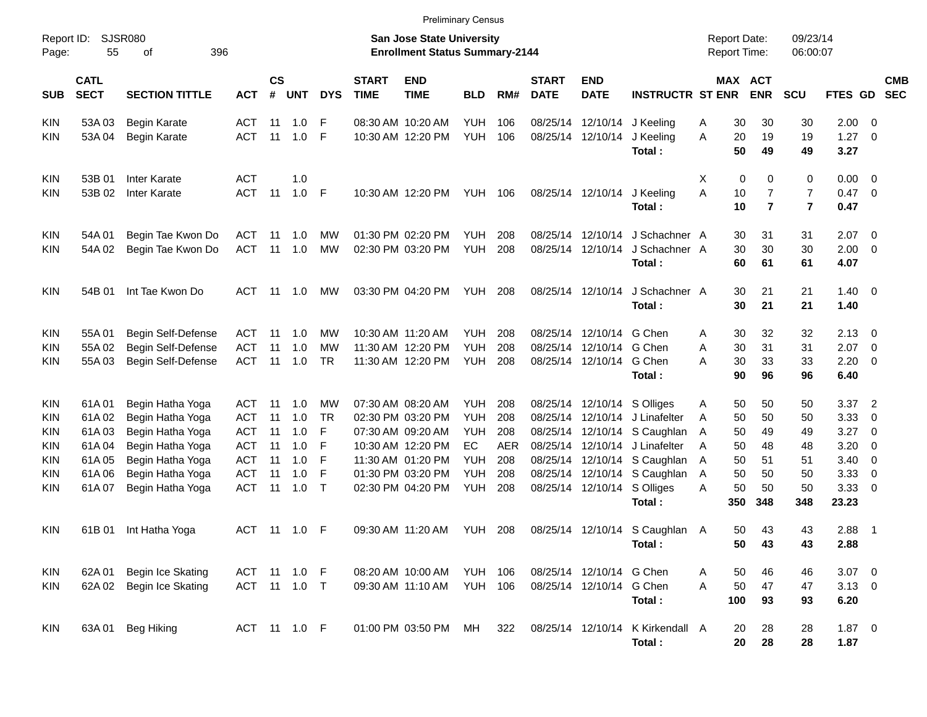|                                                                                                |                                                             |                                                                                                                                          |                                                                                         |                                         |                                               |                                               |                             | <b>Preliminary Census</b>                                                                                                                       |                                                                                        |                                                      |                                              |                                                                         |                                                                                                                              |                                                                           |                                            |                                        |                                                      |                                                                                                                                                                         |                          |
|------------------------------------------------------------------------------------------------|-------------------------------------------------------------|------------------------------------------------------------------------------------------------------------------------------------------|-----------------------------------------------------------------------------------------|-----------------------------------------|-----------------------------------------------|-----------------------------------------------|-----------------------------|-------------------------------------------------------------------------------------------------------------------------------------------------|----------------------------------------------------------------------------------------|------------------------------------------------------|----------------------------------------------|-------------------------------------------------------------------------|------------------------------------------------------------------------------------------------------------------------------|---------------------------------------------------------------------------|--------------------------------------------|----------------------------------------|------------------------------------------------------|-------------------------------------------------------------------------------------------------------------------------------------------------------------------------|--------------------------|
| Report ID:<br>Page:                                                                            | 55                                                          | <b>SJSR080</b><br>396<br>οf                                                                                                              |                                                                                         |                                         |                                               |                                               |                             | <b>San Jose State University</b><br><b>Enrollment Status Summary-2144</b>                                                                       |                                                                                        |                                                      |                                              |                                                                         |                                                                                                                              | <b>Report Date:</b><br><b>Report Time:</b>                                |                                            | 09/23/14<br>06:00:07                   |                                                      |                                                                                                                                                                         |                          |
| <b>SUB</b>                                                                                     | <b>CATL</b><br><b>SECT</b>                                  | <b>SECTION TITTLE</b>                                                                                                                    | <b>ACT</b>                                                                              | <b>CS</b><br>#                          | <b>UNT</b>                                    | <b>DYS</b>                                    | <b>START</b><br><b>TIME</b> | <b>END</b><br><b>TIME</b>                                                                                                                       | <b>BLD</b>                                                                             | RM#                                                  | <b>START</b><br><b>DATE</b>                  | <b>END</b><br><b>DATE</b>                                               | <b>INSTRUCTR ST ENR</b>                                                                                                      |                                                                           | <b>MAX ACT</b><br><b>ENR</b>               | <b>SCU</b>                             | FTES GD                                              |                                                                                                                                                                         | <b>CMB</b><br><b>SEC</b> |
| <b>KIN</b><br><b>KIN</b>                                                                       | 53A03<br>53A 04                                             | Begin Karate<br><b>Begin Karate</b>                                                                                                      | <b>ACT</b><br><b>ACT</b>                                                                | -11<br>11                               | 1.0<br>1.0                                    | -F<br>-F                                      |                             | 08:30 AM 10:20 AM<br>10:30 AM 12:20 PM                                                                                                          | <b>YUH</b><br><b>YUH</b>                                                               | 106<br>106                                           | 08/25/14                                     | 08/25/14 12/10/14                                                       | 12/10/14 J Keeling<br>J Keeling<br>Total:                                                                                    | 30<br>A<br>20<br>A<br>50                                                  | 30<br>19<br>49                             | 30<br>19<br>49                         | $2.00 \t 0$<br>1.27<br>3.27                          | $\overline{\phantom{0}}$                                                                                                                                                |                          |
| KIN<br><b>KIN</b>                                                                              | 53B 01<br>53B 02                                            | Inter Karate<br>Inter Karate                                                                                                             | <b>ACT</b><br><b>ACT</b>                                                                | 11                                      | 1.0<br>1.0                                    | - F                                           |                             | 10:30 AM 12:20 PM                                                                                                                               | YUH                                                                                    | 106                                                  |                                              | 08/25/14 12/10/14                                                       | J Keeling<br>Total:                                                                                                          | х<br>A<br>10<br>10                                                        | 0<br>0<br>$\overline{7}$<br>$\overline{7}$ | 0<br>7<br>$\overline{7}$               | $0.00 \ 0$<br>0.47<br>0.47                           | $\overline{\phantom{0}}$                                                                                                                                                |                          |
| KIN<br><b>KIN</b>                                                                              | 54A 01<br>54A 02                                            | Begin Tae Kwon Do<br>Begin Tae Kwon Do                                                                                                   | ACT<br><b>ACT</b>                                                                       | -11<br>11                               | 1.0<br>1.0                                    | МW<br><b>MW</b>                               |                             | 01:30 PM 02:20 PM<br>02:30 PM 03:20 PM                                                                                                          | <b>YUH</b><br><b>YUH</b>                                                               | 208<br>208                                           | 08/25/14<br>08/25/14                         | 12/10/14                                                                | 12/10/14 J Schachner A<br>J Schachner A<br>Total:                                                                            | 30<br>30<br>60                                                            | 31<br>30<br>61                             | 31<br>30<br>61                         | $2.07$ 0<br>2.00<br>4.07                             | $\overline{\phantom{0}}$                                                                                                                                                |                          |
| KIN                                                                                            | 54B 01                                                      | Int Tae Kwon Do                                                                                                                          | ACT                                                                                     | 11                                      | 1.0                                           | МW                                            |                             | 03:30 PM 04:20 PM                                                                                                                               | YUH                                                                                    | 208                                                  |                                              | 08/25/14 12/10/14                                                       | J Schachner A<br>Total:                                                                                                      | 30<br>30                                                                  | 21<br>21                                   | 21<br>21                               | $1.40 \ 0$<br>1.40                                   |                                                                                                                                                                         |                          |
| KIN<br><b>KIN</b><br><b>KIN</b>                                                                | 55A01<br>55A 02<br>55A03                                    | Begin Self-Defense<br>Begin Self-Defense<br>Begin Self-Defense                                                                           | ACT<br><b>ACT</b><br><b>ACT</b>                                                         | -11<br>11<br>11                         | 1.0<br>1.0<br>1.0                             | МW<br>МW<br><b>TR</b>                         |                             | 10:30 AM 11:20 AM<br>11:30 AM 12:20 PM<br>11:30 AM 12:20 PM                                                                                     | <b>YUH</b><br><b>YUH</b><br>YUH                                                        | 208<br>208<br>208                                    | 08/25/14                                     | 08/25/14 12/10/14 G Chen<br>12/10/14 G Chen<br>08/25/14 12/10/14 G Chen | Total:                                                                                                                       | 30<br>A<br>30<br>A<br>30<br>A<br>90                                       | 32<br>31<br>33<br>96                       | 32<br>31<br>33<br>96                   | $2.13 \quad 0$<br>2.07<br>2.20<br>6.40               | $\overline{\mathbf{0}}$<br>$\overline{\phantom{0}}$                                                                                                                     |                          |
| <b>KIN</b><br><b>KIN</b><br><b>KIN</b><br><b>KIN</b><br><b>KIN</b><br><b>KIN</b><br><b>KIN</b> | 61A01<br>61A02<br>61A03<br>61A04<br>61A05<br>61A06<br>61A07 | Begin Hatha Yoga<br>Begin Hatha Yoga<br>Begin Hatha Yoga<br>Begin Hatha Yoga<br>Begin Hatha Yoga<br>Begin Hatha Yoga<br>Begin Hatha Yoga | ACT<br><b>ACT</b><br><b>ACT</b><br><b>ACT</b><br><b>ACT</b><br><b>ACT</b><br><b>ACT</b> | -11<br>11<br>11<br>11<br>11<br>11<br>11 | 1.0<br>1.0<br>1.0<br>1.0<br>1.0<br>1.0<br>1.0 | МW<br><b>TR</b><br>F<br>F<br>F<br>F<br>$\top$ |                             | 07:30 AM 08:20 AM<br>02:30 PM 03:20 PM<br>07:30 AM 09:20 AM<br>10:30 AM 12:20 PM<br>11:30 AM 01:20 PM<br>01:30 PM 03:20 PM<br>02:30 PM 04:20 PM | <b>YUH</b><br><b>YUH</b><br><b>YUH</b><br>EC<br><b>YUH</b><br><b>YUH</b><br><b>YUH</b> | 208<br>208<br>208<br><b>AER</b><br>208<br>208<br>208 | 08/25/14<br>08/25/14<br>08/25/14<br>08/25/14 | 08/25/14 12/10/14 S Olliges<br>08/25/14 12/10/14 S Olliges              | 12/10/14 J Linafelter<br>12/10/14 S Caughlan<br>12/10/14 J Linafelter<br>08/25/14 12/10/14 S Caughlan<br>12/10/14 S Caughlan | A<br>50<br>50<br>A<br>50<br>A<br>50<br>A<br>50<br>A<br>50<br>A<br>50<br>A | 50<br>50<br>49<br>48<br>51<br>50<br>50     | 50<br>50<br>49<br>48<br>51<br>50<br>50 | 3.37<br>3.33<br>3.27<br>3.20<br>3.40<br>3.33<br>3.33 | $\overline{\phantom{0}}^2$<br>0<br>$\overline{\mathbf{0}}$<br>$\overline{\mathbf{0}}$<br>$\overline{\mathbf{0}}$<br>$\overline{\mathbf{0}}$<br>$\overline{\phantom{0}}$ |                          |
| <b>KIN</b>                                                                                     | 61B 01                                                      | Int Hatha Yoga                                                                                                                           | ACT                                                                                     |                                         |                                               | – F                                           |                             | 09:30 AM 11:20 AM                                                                                                                               | YUH                                                                                    | 208                                                  |                                              |                                                                         | Total:<br>08/25/14 12/10/14 S Caughlan A<br>Total:                                                                           | 350<br>50<br>50                                                           | 348<br>43<br>43                            | 348<br>43<br>43                        | 23.23<br>2.88<br>2.88                                | - 1                                                                                                                                                                     |                          |
| KIN<br>KIN                                                                                     | 62A 01<br>62A 02                                            | Begin Ice Skating<br>Begin Ice Skating                                                                                                   |                                                                                         |                                         | ACT 11 1.0 F<br>ACT 11 1.0 T                  |                                               |                             | 08:20 AM 10:00 AM<br>09:30 AM 11:10 AM                                                                                                          | <b>YUH 106</b><br><b>YUH 106</b>                                                       |                                                      |                                              | 08/25/14 12/10/14 G Chen<br>08/25/14 12/10/14 G Chen                    | Total:                                                                                                                       | 50<br>A<br>50<br>A<br>100                                                 | 46<br>47<br>93                             | 46<br>47<br>93                         | $3.07$ 0<br>$3.13 \quad 0$<br>6.20                   |                                                                                                                                                                         |                          |
| KIN                                                                                            | 63A 01                                                      | Beg Hiking                                                                                                                               |                                                                                         |                                         | ACT 11 1.0 F                                  |                                               |                             | 01:00 PM 03:50 PM                                                                                                                               | МH                                                                                     | 322                                                  |                                              |                                                                         | 08/25/14 12/10/14 K Kirkendall A<br>Total:                                                                                   | 20<br>$20\,$                                                              | 28<br>28                                   | 28<br>28                               | 1.87 0<br>1.87                                       |                                                                                                                                                                         |                          |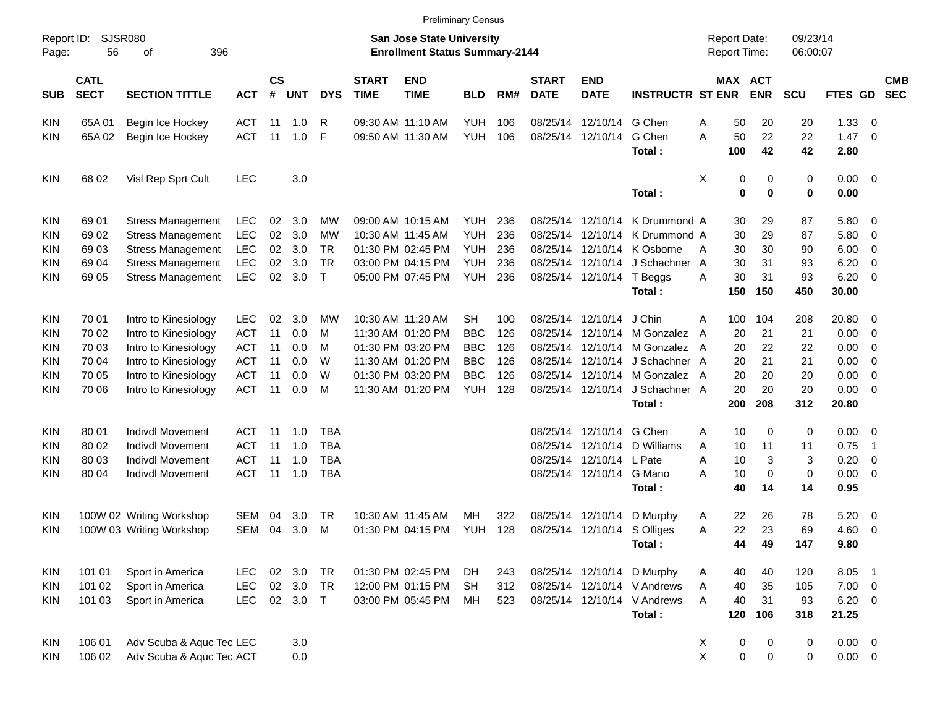|            |                                                 |                          |            |                    |            |              |                             |                                                                           | <b>Preliminary Census</b> |     |                             |                             |                             |                                     |             |                      |                     |                          |                          |
|------------|-------------------------------------------------|--------------------------|------------|--------------------|------------|--------------|-----------------------------|---------------------------------------------------------------------------|---------------------------|-----|-----------------------------|-----------------------------|-----------------------------|-------------------------------------|-------------|----------------------|---------------------|--------------------------|--------------------------|
| Page:      | <b>SJSR080</b><br>Report ID:<br>396<br>56<br>оf |                          |            |                    |            |              |                             | <b>San Jose State University</b><br><b>Enrollment Status Summary-2144</b> |                           |     |                             |                             |                             | <b>Report Date:</b><br>Report Time: |             | 09/23/14<br>06:00:07 |                     |                          |                          |
| <b>SUB</b> | <b>CATL</b><br><b>SECT</b>                      | <b>SECTION TITTLE</b>    | <b>ACT</b> | $\mathsf{cs}$<br># | <b>UNT</b> | <b>DYS</b>   | <b>START</b><br><b>TIME</b> | <b>END</b><br><b>TIME</b>                                                 | <b>BLD</b>                | RM# | <b>START</b><br><b>DATE</b> | <b>END</b><br><b>DATE</b>   | <b>INSTRUCTR ST ENR</b>     | MAX ACT                             | <b>ENR</b>  | <b>SCU</b>           | FTES GD             |                          | <b>CMB</b><br><b>SEC</b> |
| <b>KIN</b> | 65A01                                           | Begin Ice Hockey         | ACT        | 11                 | 1.0        | R            |                             | 09:30 AM 11:10 AM                                                         | <b>YUH</b>                | 106 | 08/25/14                    | 12/10/14                    | G Chen                      | Α<br>50                             | 20          | 20                   | 1.33                | - 0                      |                          |
| KIN        | 65A 02                                          | Begin Ice Hockey         | <b>ACT</b> | 11                 | 1.0        | F            |                             | 09:50 AM 11:30 AM                                                         | <b>YUH</b>                | 106 |                             | 08/25/14 12/10/14           | G Chen<br>Total:            | A<br>50<br>100                      | 22<br>42    | 22<br>42             | $1.47 \ 0$<br>2.80  |                          |                          |
| <b>KIN</b> | 68 02                                           | Visl Rep Sprt Cult       | <b>LEC</b> |                    | 3.0        |              |                             |                                                                           |                           |     |                             |                             | Total:                      | X<br>0<br>$\mathbf 0$               | 0<br>0      | 0<br>0               | $0.00 \t 0$<br>0.00 |                          |                          |
| <b>KIN</b> | 69 01                                           | <b>Stress Management</b> | <b>LEC</b> | 02                 | 3.0        | МW           |                             | 09:00 AM 10:15 AM                                                         | <b>YUH</b>                | 236 | 08/25/14                    | 12/10/14                    | K Drummond A                | 30                                  | 29          | 87                   | 5.80 0              |                          |                          |
| <b>KIN</b> | 69 02                                           | <b>Stress Management</b> | <b>LEC</b> | 02                 | 3.0        | MW           |                             | 10:30 AM 11:45 AM                                                         | <b>YUH</b>                | 236 | 08/25/14                    | 12/10/14                    | K Drummond A                | 30                                  | 29          | 87                   | 5.80                | $\overline{\phantom{0}}$ |                          |
| <b>KIN</b> | 6903                                            | <b>Stress Management</b> | <b>LEC</b> | 02                 | 3.0        | TR           |                             | 01:30 PM 02:45 PM                                                         | <b>YUH</b>                | 236 | 08/25/14                    | 12/10/14                    | K Osborne                   | 30<br>A                             | 30          | 90                   | 6.00                | $\overline{\phantom{0}}$ |                          |
| KIN        | 69 04                                           | <b>Stress Management</b> | <b>LEC</b> | 02                 | 3.0        | <b>TR</b>    |                             | 03:00 PM 04:15 PM                                                         | <b>YUH</b>                | 236 | 08/25/14                    | 12/10/14                    | J Schachner A               | 30                                  | 31          | 93                   | 6.20                | $\overline{\mathbf{0}}$  |                          |
| KIN        | 69 05                                           | <b>Stress Management</b> | <b>LEC</b> | 02                 | 3.0        | $\mathsf{T}$ |                             | 05:00 PM 07:45 PM                                                         | <b>YUH</b>                | 236 |                             | 08/25/14 12/10/14           | T Beggs                     | 30<br>A                             | 31          | 93                   | 6.20                | $\overline{\mathbf{0}}$  |                          |
|            |                                                 |                          |            |                    |            |              |                             |                                                                           |                           |     |                             |                             | Total:                      | 150                                 | 150         | 450                  | 30.00               |                          |                          |
| <b>KIN</b> | 70 01                                           | Intro to Kinesiology     | <b>LEC</b> | 02                 | 3.0        | МW           |                             | 10:30 AM 11:20 AM                                                         | SН                        | 100 |                             | 08/25/14 12/10/14           | J Chin                      | 100<br>A                            | 104         | 208                  | 20.80               | $\overline{\phantom{0}}$ |                          |
| <b>KIN</b> | 70 02                                           | Intro to Kinesiology     | <b>ACT</b> | 11                 | 0.0        | м            |                             | 11:30 AM 01:20 PM                                                         | <b>BBC</b>                | 126 | 08/25/14                    | 12/10/14                    | M Gonzalez                  | 20<br>A                             | 21          | 21                   | 0.00                | $\overline{\mathbf{0}}$  |                          |
| <b>KIN</b> | 70 03                                           | Intro to Kinesiology     | <b>ACT</b> | 11                 | 0.0        | м            |                             | 01:30 PM 03:20 PM                                                         | <b>BBC</b>                | 126 | 08/25/14                    | 12/10/14                    | M Gonzalez                  | 20<br>A                             | 22          | 22                   | 0.00                | $\overline{\mathbf{0}}$  |                          |
| <b>KIN</b> | 70 04                                           | Intro to Kinesiology     | <b>ACT</b> | 11                 | 0.0        | W            |                             | 11:30 AM 01:20 PM                                                         | <b>BBC</b>                | 126 | 08/25/14                    | 12/10/14                    | J Schachner A               | 20                                  | 21          | 21                   | 0.00                | $\overline{\mathbf{0}}$  |                          |
| <b>KIN</b> | 70 05                                           | Intro to Kinesiology     | <b>ACT</b> | 11                 | 0.0        | W            |                             | 01:30 PM 03:20 PM                                                         | <b>BBC</b>                | 126 | 08/25/14                    | 12/10/14                    | M Gonzalez                  | 20<br>A                             | 20          | 20                   | 0.00                | $\overline{\mathbf{0}}$  |                          |
| KIN        | 70 06                                           | Intro to Kinesiology     | <b>ACT</b> | 11                 | 0.0        | М            |                             | 11:30 AM 01:20 PM                                                         | <b>YUH</b>                | 128 |                             | 08/25/14 12/10/14           | J Schachner A               | 20                                  | 20          | 20                   | 0.00                | $\overline{\phantom{0}}$ |                          |
|            |                                                 |                          |            |                    |            |              |                             |                                                                           |                           |     |                             |                             | Total:                      | 200                                 | 208         | 312                  | 20.80               |                          |                          |
| <b>KIN</b> | 80 01                                           | <b>Indivdl Movement</b>  | ACT        | 11                 | 1.0        | TBA          |                             |                                                                           |                           |     | 08/25/14                    | 12/10/14                    | G Chen                      | 10<br>Α                             | 0           | 0                    | $0.00 \t 0$         |                          |                          |
| <b>KIN</b> | 80 02                                           | Indivdl Movement         | <b>ACT</b> | 11                 | 1.0        | <b>TBA</b>   |                             |                                                                           |                           |     | 08/25/14                    | 12/10/14                    | D Williams                  | Α<br>10                             | 11          | 11                   | 0.75                | - 1                      |                          |
| KIN        | 80 03                                           | <b>Indivdl Movement</b>  | <b>ACT</b> | 11                 | 1.0        | <b>TBA</b>   |                             |                                                                           |                           |     | 08/25/14                    | 12/10/14 L Pate             |                             | 10<br>Α                             | 3           | 3                    | 0.20                | $\overline{\mathbf{0}}$  |                          |
| KIN        | 80 04                                           | <b>Indivdl Movement</b>  | <b>ACT</b> | 11                 | 1.0        | <b>TBA</b>   |                             |                                                                           |                           |     |                             | 08/25/14 12/10/14           | G Mano                      | 10<br>А                             | 0           | 0                    | 0.00                | $\overline{\phantom{0}}$ |                          |
|            |                                                 |                          |            |                    |            |              |                             |                                                                           |                           |     |                             |                             | Total:                      | 40                                  | 14          | 14                   | 0.95                |                          |                          |
| <b>KIN</b> |                                                 | 100W 02 Writing Workshop | SEM        | 04                 | 3.0        | TR           |                             | 10:30 AM 11:45 AM                                                         | MН                        | 322 | 08/25/14                    | 12/10/14                    | D Murphy                    | 22<br>A                             | 26          | 78                   | 5.20                | $\overline{\phantom{0}}$ |                          |
| KIN        |                                                 | 100W 03 Writing Workshop | <b>SEM</b> | 04                 | 3.0        | M            |                             | 01:30 PM 04:15 PM                                                         | <b>YUH</b>                | 128 |                             | 08/25/14 12/10/14 S Olliges |                             | 22<br>Α                             | 23          | 69                   | 4.60                | $\overline{\phantom{0}}$ |                          |
|            |                                                 |                          |            |                    |            |              |                             |                                                                           |                           |     |                             |                             | Total:                      | 44                                  | 49          | 147                  | 9.80                |                          |                          |
| <b>KIN</b> | 101 01                                          | Sport in America         | <b>LEC</b> |                    | 02 3.0     | TR           |                             | 01:30 PM 02:45 PM                                                         | DH                        | 243 |                             | 08/25/14 12/10/14           | D Murphy                    | 40<br>A                             | 40          | 120                  | 8.05                | $\overline{\phantom{1}}$ |                          |
| <b>KIN</b> | 101 02                                          | Sport in America         | LEC        | $02\,$             | 3.0        | <b>TR</b>    |                             | 12:00 PM 01:15 PM                                                         | <b>SH</b>                 | 312 |                             |                             | 08/25/14 12/10/14 V Andrews | 40<br>Α                             | 35          | 105                  | $7.00 \t 0$         |                          |                          |
| <b>KIN</b> | 101 03                                          | Sport in America         | <b>LEC</b> |                    | 02 3.0 T   |              |                             | 03:00 PM 05:45 PM                                                         | MH                        | 523 |                             | 08/25/14 12/10/14           | V Andrews                   | A<br>40                             | 31          | 93                   | $6.20 \ 0$          |                          |                          |
|            |                                                 |                          |            |                    |            |              |                             |                                                                           |                           |     |                             |                             | Total:                      | 120                                 | 106         | 318                  | 21.25               |                          |                          |
| <b>KIN</b> | 106 01                                          | Adv Scuba & Aquc Tec LEC |            |                    | 3.0        |              |                             |                                                                           |                           |     |                             |                             |                             | $\pmb{0}$<br>X                      | 0           | 0                    | $0.00 \t 0$         |                          |                          |
| <b>KIN</b> | 106 02                                          | Adv Scuba & Aquc Tec ACT |            |                    | 0.0        |              |                             |                                                                           |                           |     |                             |                             |                             | X<br>$\pmb{0}$                      | $\mathbf 0$ | 0                    | $0.00 \t 0$         |                          |                          |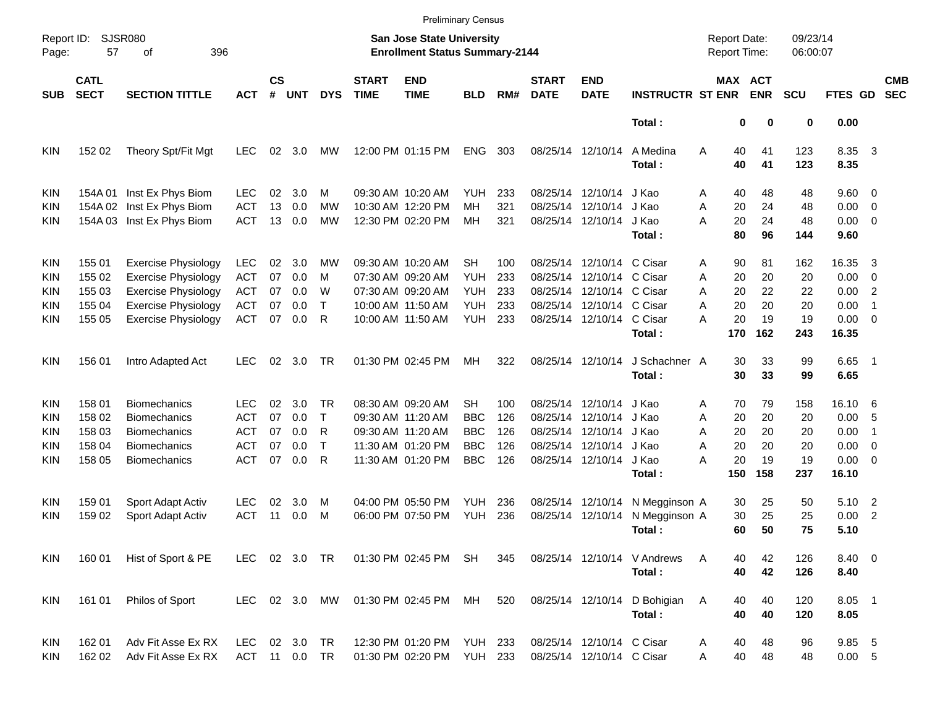|                     |                            |                            |            |                    |             |               |                                                                    |                           | <b>Preliminary Census</b> |     |                             |                           |                                     |               |                              |            |                     |                          |  |
|---------------------|----------------------------|----------------------------|------------|--------------------|-------------|---------------|--------------------------------------------------------------------|---------------------------|---------------------------|-----|-----------------------------|---------------------------|-------------------------------------|---------------|------------------------------|------------|---------------------|--------------------------|--|
| Report ID:<br>Page: | <b>SJSR080</b><br>57       | 396                        |            |                    |             |               | San Jose State University<br><b>Enrollment Status Summary-2144</b> |                           |                           |     |                             |                           | <b>Report Date:</b><br>Report Time: |               | 09/23/14<br>06:00:07         |            |                     |                          |  |
| <b>SUB</b>          | <b>CATL</b><br><b>SECT</b> | <b>SECTION TITTLE</b>      | <b>ACT</b> | $\mathsf{cs}$<br># | <b>UNT</b>  | <b>DYS</b>    | <b>START</b><br><b>TIME</b>                                        | <b>END</b><br><b>TIME</b> | <b>BLD</b>                | RM# | <b>START</b><br><b>DATE</b> | <b>END</b><br><b>DATE</b> | <b>INSTRUCTR ST ENR</b>             |               | <b>MAX ACT</b><br><b>ENR</b> | <b>SCU</b> | FTES GD             | <b>CMB</b><br><b>SEC</b> |  |
|                     |                            |                            |            |                    |             |               |                                                                    |                           |                           |     |                             |                           | Total:                              |               | 0<br>0                       | 0          | 0.00                |                          |  |
| <b>KIN</b>          | 152 02                     | Theory Spt/Fit Mgt         | LEC.       | 02                 | 3.0         | MW            |                                                                    | 12:00 PM 01:15 PM         | <b>ENG</b>                | 303 |                             | 08/25/14 12/10/14         | A Medina<br>Total:                  | Α<br>40<br>40 | 41<br>41                     | 123<br>123 | 8.35<br>8.35        | $\overline{\mathbf{3}}$  |  |
| <b>KIN</b>          | 154A 01                    | Inst Ex Phys Biom          | LEC.       | 02                 | 3.0         | м             |                                                                    | 09:30 AM 10:20 AM         | YUH.                      | 233 |                             | 08/25/14 12/10/14         | J Kao                               | 40<br>Α       | 48                           | 48         | $9.60 \quad 0$      |                          |  |
| <b>KIN</b>          | 154A 02                    | Inst Ex Phys Biom          | <b>ACT</b> | 13                 | 0.0         | <b>MW</b>     |                                                                    | 10:30 AM 12:20 PM         | <b>MH</b>                 | 321 | 08/25/14                    | 12/10/14                  | J Kao                               | Α<br>20       | 24                           | 48         | 0.00                | $\overline{\phantom{0}}$ |  |
| <b>KIN</b>          | 154A 03                    | Inst Ex Phys Biom          | <b>ACT</b> | 13                 | 0.0         | MW            |                                                                    | 12:30 PM 02:20 PM         | МH                        | 321 |                             | 08/25/14 12/10/14         | J Kao<br>Total:                     | A<br>20<br>80 | 24<br>96                     | 48<br>144  | $0.00 \t 0$<br>9.60 |                          |  |
| <b>KIN</b>          | 155 01                     | <b>Exercise Physiology</b> | <b>LEC</b> | 02                 | 3.0         | MW            |                                                                    | 09:30 AM 10:20 AM         | <b>SH</b>                 | 100 |                             | 08/25/14 12/10/14 C Cisar |                                     | 90<br>Α       | 81                           | 162        | 16.35               | -3                       |  |
| KIN                 | 155 02                     | <b>Exercise Physiology</b> | <b>ACT</b> | 07                 | 0.0         | м             |                                                                    | 07:30 AM 09:20 AM         | <b>YUH</b>                | 233 | 08/25/14                    | 12/10/14 C Cisar          |                                     | 20<br>Α       | 20                           | 20         | 0.00                | $\overline{\mathbf{0}}$  |  |
| KIN                 | 155 03                     | <b>Exercise Physiology</b> | <b>ACT</b> | 07                 | 0.0         | W             |                                                                    | 07:30 AM 09:20 AM         | <b>YUH</b>                | 233 |                             | 08/25/14 12/10/14 C Cisar |                                     | 20<br>A       | 22                           | 22         | 0.00                | $\overline{2}$           |  |
| KIN                 | 155 04                     | <b>Exercise Physiology</b> | <b>ACT</b> | 07                 | 0.0         | $\mathsf{T}$  |                                                                    | 10:00 AM 11:50 AM         | <b>YUH</b>                | 233 |                             | 08/25/14 12/10/14 C Cisar |                                     | 20<br>A       | 20                           | 20         | 0.00                | $\overline{1}$           |  |
| <b>KIN</b>          | 155 05                     | <b>Exercise Physiology</b> | ACT        | 07                 | 0.0         | R             |                                                                    | 10:00 AM 11:50 AM         | <b>YUH</b>                | 233 |                             | 08/25/14 12/10/14 C Cisar |                                     | 20<br>А       | 19                           | 19         | $0.00 \t 0$         |                          |  |
|                     |                            |                            |            |                    |             |               |                                                                    |                           |                           |     |                             |                           | Total:                              | 170           | 162                          | 243        | 16.35               |                          |  |
| <b>KIN</b>          | 156 01                     | Intro Adapted Act          | LEC.       | 02                 | 3.0         | TR            |                                                                    | 01:30 PM 02:45 PM         | MН                        | 322 |                             | 08/25/14 12/10/14         | J Schachner A                       | 30            | 33                           | 99         | 6.65 1              |                          |  |
|                     |                            |                            |            |                    |             |               |                                                                    |                           |                           |     |                             |                           | Total:                              | 30            | 33                           | 99         | 6.65                |                          |  |
| <b>KIN</b>          | 158 01                     | <b>Biomechanics</b>        | LEC        | 02                 | 3.0         | TR            |                                                                    | 08:30 AM 09:20 AM         | SН                        | 100 |                             | 08/25/14 12/10/14         | J Kao                               | 70<br>Α       | 79                           | 158        | 16.10 6             |                          |  |
| KIN                 | 158 02                     | <b>Biomechanics</b>        | <b>ACT</b> | 07                 | 0.0         | $\mathsf{T}$  |                                                                    | 09:30 AM 11:20 AM         | <b>BBC</b>                | 126 | 08/25/14                    | 12/10/14                  | J Kao                               | 20<br>Α       | 20                           | 20         | 0.00                | - 5                      |  |
| KIN                 | 158 03                     | <b>Biomechanics</b>        | <b>ACT</b> | 07                 | 0.0         | R             |                                                                    | 09:30 AM 11:20 AM         | <b>BBC</b>                | 126 |                             | 08/25/14 12/10/14         | J Kao                               | 20<br>A       | 20                           | 20         | 0.00                | $\overline{1}$           |  |
| KIN                 | 158 04                     | <b>Biomechanics</b>        | ACT        | 07                 | 0.0         | $\mathsf{T}$  |                                                                    | 11:30 AM 01:20 PM         | <b>BBC</b>                | 126 |                             | 08/25/14 12/10/14         | J Kao                               | 20<br>Α       | 20                           | 20         | 0.00                | $\overline{\mathbf{0}}$  |  |
| <b>KIN</b>          | 158 05                     | <b>Biomechanics</b>        | <b>ACT</b> | 07                 | 0.0         | R             |                                                                    | 11:30 AM 01:20 PM         | <b>BBC</b>                | 126 |                             | 08/25/14 12/10/14 J Kao   |                                     | Α<br>20       | 19                           | 19         | 0.00                | $\overline{\phantom{0}}$ |  |
|                     |                            |                            |            |                    |             |               |                                                                    |                           |                           |     |                             |                           | Total:                              | 150           | 158                          | 237        | 16.10               |                          |  |
| <b>KIN</b>          | 159 01                     | Sport Adapt Activ          | <b>LEC</b> | 02                 | 3.0         | M             |                                                                    | 04:00 PM 05:50 PM         | YUH                       | 236 |                             | 08/25/14 12/10/14         | N Megginson A                       | 30            | 25                           | 50         | 5.10 2              |                          |  |
| <b>KIN</b>          | 159 02                     | Sport Adapt Activ          | <b>ACT</b> | 11                 | 0.0         | M             |                                                                    | 06:00 PM 07:50 PM         | <b>YUH</b>                | 236 |                             | 08/25/14 12/10/14         | N Megginson A                       | 30            | 25                           | 25         | 0.00                | $\overline{2}$           |  |
|                     |                            |                            |            |                    |             |               |                                                                    |                           |                           |     |                             |                           | Total:                              | 60            | 50                           | 75         | 5.10                |                          |  |
| <b>KIN</b>          | 160 01                     | Hist of Sport & PE         |            |                    |             | LEC 02 3.0 TR |                                                                    | 01:30 PM 02:45 PM SH      |                           | 345 |                             |                           | 08/25/14 12/10/14 V Andrews         | A<br>40       | 42                           | 126        | 8.40 0              |                          |  |
|                     |                            |                            |            |                    |             |               |                                                                    |                           |                           |     |                             |                           | Total:                              | 40            | 42                           | 126        | 8.40                |                          |  |
| KIN                 | 161 01                     | Philos of Sport            |            |                    |             | LEC 02 3.0 MW |                                                                    | 01:30 PM 02:45 PM MH      |                           | 520 |                             |                           | 08/25/14 12/10/14 D Bohigian        | 40<br>A       | 40                           | 120        | 8.05 1              |                          |  |
|                     |                            |                            |            |                    |             |               |                                                                    |                           |                           |     |                             |                           | Total:                              | 40            | 40                           | 120        | 8.05                |                          |  |
| KIN                 | 162 01                     | Adv Fit Asse Ex RX         | <b>LEC</b> |                    | 02 3.0 TR   |               |                                                                    | 12:30 PM 01:20 PM YUH 233 |                           |     |                             | 08/25/14 12/10/14 C Cisar |                                     | 40<br>Α       | 48                           | 96         | 9.85 5              |                          |  |
| KIN                 | 162 02                     | Adv Fit Asse Ex RX         | ACT        |                    | 11  0.0  TR |               |                                                                    | 01:30 PM 02:20 PM         | <b>YUH 233</b>            |     |                             | 08/25/14 12/10/14 C Cisar |                                     | 40<br>Α       | 48                           | 48         | 0.00 5              |                          |  |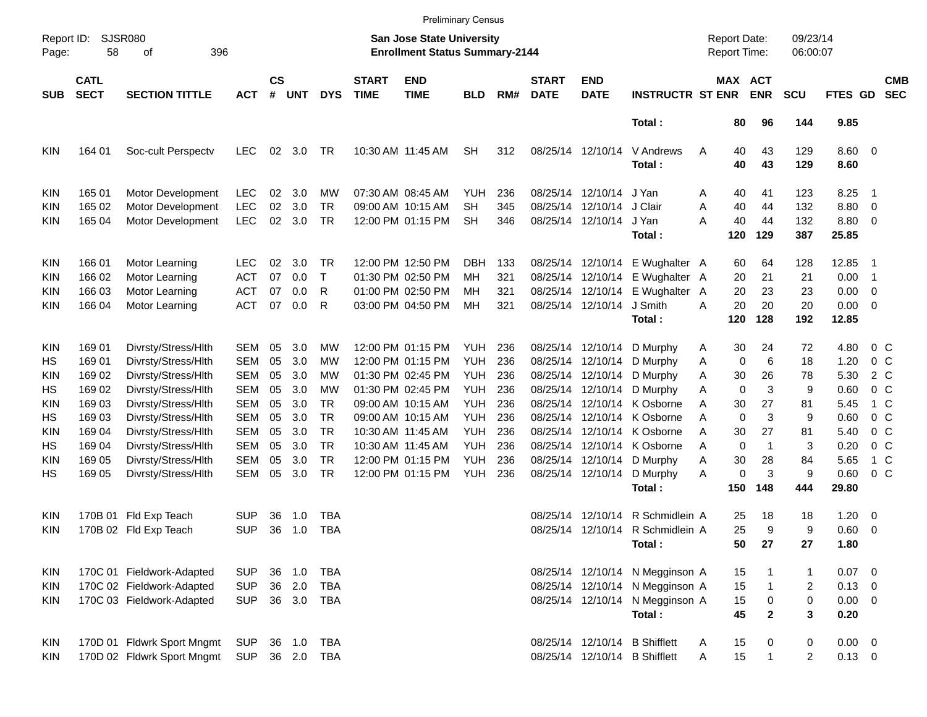|            |                                                 |                            |            |                    |            |            |                             |                                                                    | <b>Preliminary Census</b> |     |                             |                           |                                 |                                     |                             |                      |                        |                          |                          |
|------------|-------------------------------------------------|----------------------------|------------|--------------------|------------|------------|-----------------------------|--------------------------------------------------------------------|---------------------------|-----|-----------------------------|---------------------------|---------------------------------|-------------------------------------|-----------------------------|----------------------|------------------------|--------------------------|--------------------------|
| Page:      | <b>SJSR080</b><br>Report ID:<br>396<br>58<br>οf |                            |            |                    |            |            |                             | San Jose State University<br><b>Enrollment Status Summary-2144</b> |                           |     |                             |                           |                                 | <b>Report Date:</b><br>Report Time: |                             | 09/23/14<br>06:00:07 |                        |                          |                          |
| <b>SUB</b> | <b>CATL</b><br><b>SECT</b>                      | <b>SECTION TITTLE</b>      | <b>ACT</b> | $\mathsf{cs}$<br># | <b>UNT</b> | <b>DYS</b> | <b>START</b><br><b>TIME</b> | <b>END</b><br><b>TIME</b>                                          | <b>BLD</b>                | RM# | <b>START</b><br><b>DATE</b> | <b>END</b><br><b>DATE</b> | <b>INSTRUCTR ST ENR</b>         |                                     | MAX ACT<br><b>ENR</b>       | <b>SCU</b>           | FTES GD                |                          | <b>CMB</b><br><b>SEC</b> |
|            |                                                 |                            |            |                    |            |            |                             |                                                                    |                           |     |                             |                           | Total:                          | 80                                  | 96                          | 144                  | 9.85                   |                          |                          |
| <b>KIN</b> | 164 01                                          | Soc-cult Perspectv         | <b>LEC</b> | 02                 | 3.0        | TR         |                             | 10:30 AM 11:45 AM                                                  | <b>SH</b>                 | 312 |                             | 08/25/14 12/10/14         | V Andrews<br>Total:             | 40<br>Α<br>40                       | 43<br>43                    | 129<br>129           | $8.60 \quad 0$<br>8.60 |                          |                          |
| <b>KIN</b> | 165 01                                          | Motor Development          | <b>LEC</b> | 02                 | 3.0        | МW         |                             | 07:30 AM 08:45 AM                                                  | <b>YUH</b>                | 236 |                             | 08/25/14 12/10/14         | J Yan                           | 40<br>Α                             | 41                          | 123                  | 8.25                   | - 1                      |                          |
| <b>KIN</b> | 165 02                                          | Motor Development          | <b>LEC</b> | 02                 | 3.0        | <b>TR</b>  |                             | 09:00 AM 10:15 AM                                                  | <b>SH</b>                 | 345 | 08/25/14                    | 12/10/14                  | J Clair                         | 40<br>A                             | 44                          | 132                  | 8.80                   | $\overline{0}$           |                          |
| KIN        | 165 04                                          | Motor Development          | <b>LEC</b> | 02                 | 3.0        | <b>TR</b>  |                             | 12:00 PM 01:15 PM                                                  | SН                        | 346 |                             | 08/25/14 12/10/14         | J Yan                           | 40<br>А                             | 44                          | 132                  | 8.80                   | $\overline{\phantom{0}}$ |                          |
|            |                                                 |                            |            |                    |            |            |                             |                                                                    |                           |     |                             |                           | Total:                          | 120                                 | 129                         | 387                  | 25.85                  |                          |                          |
| <b>KIN</b> | 166 01                                          | Motor Learning             | <b>LEC</b> | 02                 | 3.0        | <b>TR</b>  |                             | 12:00 PM 12:50 PM                                                  | <b>DBH</b>                | 133 | 08/25/14                    | 12/10/14                  | E Wughalter A                   | 60                                  | 64                          | 128                  | 12.85                  | - 1                      |                          |
| <b>KIN</b> | 166 02                                          | Motor Learning             | <b>ACT</b> | 07                 | 0.0        | $\top$     |                             | 01:30 PM 02:50 PM                                                  | MH                        | 321 | 08/25/14                    | 12/10/14                  | E Wughalter A                   | 20                                  | 21                          | 21                   | 0.00                   | $\overline{\phantom{1}}$ |                          |
| KIN        | 166 03                                          | Motor Learning             | <b>ACT</b> | 07                 | 0.0        | R          |                             | 01:00 PM 02:50 PM                                                  | MН                        | 321 | 08/25/14                    | 12/10/14                  | E Wughalter                     | 20<br>A                             | 23                          | 23                   | 0.00                   | $\overline{\mathbf{0}}$  |                          |
| KIN        | 166 04                                          | Motor Learning             | <b>ACT</b> | 07                 | 0.0        | R          |                             | 03:00 PM 04:50 PM                                                  | MH                        | 321 |                             | 08/25/14 12/10/14         | J Smith                         | 20<br>А                             | 20                          | 20                   | $0.00 \t 0$            |                          |                          |
|            |                                                 |                            |            |                    |            |            |                             |                                                                    |                           |     |                             |                           | Total:                          | 120                                 | 128                         | 192                  | 12.85                  |                          |                          |
| <b>KIN</b> | 169 01                                          | Divrsty/Stress/Hlth        | <b>SEM</b> | 05                 | 3.0        | МW         |                             | 12:00 PM 01:15 PM                                                  | <b>YUH</b>                | 236 | 08/25/14                    | 12/10/14                  | D Murphy                        | 30<br>A                             | 24                          | 72                   | 4.80                   | $0\,$ C                  |                          |
| HS         | 169 01                                          | Divrsty/Stress/Hlth        | <b>SEM</b> | 05                 | 3.0        | МW         |                             | 12:00 PM 01:15 PM                                                  | <b>YUH</b>                | 236 | 08/25/14                    | 12/10/14                  | D Murphy                        | A                                   | 0<br>6                      | 18                   | 1.20                   | 0 <sup>o</sup>           |                          |
| <b>KIN</b> | 169 02                                          | Divrsty/Stress/Hlth        | <b>SEM</b> | 05                 | 3.0        | МW         |                             | 01:30 PM 02:45 PM                                                  | <b>YUH</b>                | 236 | 08/25/14                    | 12/10/14                  | D Murphy                        | 30<br>Α                             | 26                          | 78                   | 5.30                   | 2 C                      |                          |
| HS         | 169 02                                          | Divrsty/Stress/Hlth        | <b>SEM</b> | 05                 | 3.0        | МW         |                             | 01:30 PM 02:45 PM                                                  | <b>YUH</b>                | 236 |                             | 08/25/14 12/10/14         | D Murphy                        | A                                   | 3<br>$\mathbf 0$            | 9                    | 0.60                   | $0\,$ C                  |                          |
| <b>KIN</b> | 169 03                                          | Divrsty/Stress/Hlth        | <b>SEM</b> | 05                 | 3.0        | <b>TR</b>  |                             | 09:00 AM 10:15 AM                                                  | <b>YUH</b>                | 236 | 08/25/14                    | 12/10/14                  | K Osborne                       | A<br>30                             | 27                          | 81                   | 5.45                   | 1 C                      |                          |
| HS         | 169 03                                          | Divrsty/Stress/Hlth        | <b>SEM</b> | 05                 | 3.0        | <b>TR</b>  |                             | 09:00 AM 10:15 AM                                                  | <b>YUH</b>                | 236 | 08/25/14                    | 12/10/14                  | K Osborne                       | A                                   | 3<br>$\mathbf 0$            | 9                    | 0.60                   | $0\,C$                   |                          |
| <b>KIN</b> | 169 04                                          | Divrsty/Stress/Hlth        | <b>SEM</b> | 05                 | 3.0        | <b>TR</b>  |                             | 10:30 AM 11:45 AM                                                  | <b>YUH</b>                | 236 | 08/25/14                    | 12/10/14                  | K Osborne                       | A<br>30                             | 27                          | 81                   | 5.40                   | $0\,C$                   |                          |
| HS         | 169 04                                          | Divrsty/Stress/Hlth        | <b>SEM</b> | 05                 | 3.0        | <b>TR</b>  |                             | 10:30 AM 11:45 AM                                                  | <b>YUH</b>                | 236 | 08/25/14                    | 12/10/14                  | K Osborne                       | A                                   | $\mathbf 0$<br>$\mathbf{1}$ | 3                    | 0.20                   | $0\,C$                   |                          |
| <b>KIN</b> | 169 05                                          | Divrsty/Stress/Hlth        | <b>SEM</b> | 05                 | 3.0        | <b>TR</b>  |                             | 12:00 PM 01:15 PM                                                  | <b>YUH</b>                | 236 | 08/25/14                    | 12/10/14                  | D Murphy                        | 30<br>A                             | 28                          | 84                   | 5.65                   | $1\,c$                   |                          |
| HS         | 169 05                                          | Divrsty/Stress/Hlth        | <b>SEM</b> | 05                 | 3.0        | <b>TR</b>  |                             | 12:00 PM 01:15 PM                                                  | <b>YUH</b>                | 236 |                             | 08/25/14 12/10/14         | D Murphy                        | A                                   | $\mathbf 0$<br>3            | 9                    | 0.60                   | $0\,$ C                  |                          |
|            |                                                 |                            |            |                    |            |            |                             |                                                                    |                           |     |                             |                           | Total:                          | 150                                 | 148                         | 444                  | 29.80                  |                          |                          |
| <b>KIN</b> |                                                 | 170B 01 Fld Exp Teach      | <b>SUP</b> | 36                 | 1.0        | TBA        |                             |                                                                    |                           |     | 08/25/14                    | 12/10/14                  | R Schmidlein A                  | 25                                  | 18                          | 18                   | 1.20                   | $\overline{\phantom{0}}$ |                          |
| KIN        |                                                 | 170B 02 Fld Exp Teach      | <b>SUP</b> | 36                 | 1.0        | <b>TBA</b> |                             |                                                                    |                           |     |                             | 08/25/14 12/10/14         | R Schmidlein A                  | 25                                  | 9                           | 9                    | 0.60 0                 |                          |                          |
|            |                                                 |                            |            |                    |            |            |                             |                                                                    |                           |     |                             |                           | Total:                          | 50                                  | 27                          | 27                   | 1.80                   |                          |                          |
| KIN        |                                                 | 170C 01 Fieldwork-Adapted  | <b>SUP</b> |                    | 36 1.0     | TBA        |                             |                                                                    |                           |     |                             | 08/25/14 12/10/14         | N Megginson A                   | 15                                  | 1                           | 1                    | $0.07$ 0               |                          |                          |
| KIN        |                                                 | 170C 02 Fieldwork-Adapted  | <b>SUP</b> | 36                 | 2.0        | <b>TBA</b> |                             |                                                                    |                           |     |                             |                           | 08/25/14 12/10/14 N Megginson A | 15                                  | $\mathbf{1}$                | 2                    | $0.13 \ 0$             |                          |                          |
| <b>KIN</b> |                                                 | 170C 03 Fieldwork-Adapted  | <b>SUP</b> |                    |            | 36 3.0 TBA |                             |                                                                    |                           |     |                             |                           | 08/25/14 12/10/14 N Megginson A | 15                                  | 0                           | 0                    | $0.00 \t 0$            |                          |                          |
|            |                                                 |                            |            |                    |            |            |                             |                                                                    |                           |     |                             |                           | Total:                          | 45                                  | $\mathbf{2}$                | 3                    | 0.20                   |                          |                          |
| KIN        |                                                 | 170D 01 Fldwrk Sport Mngmt | <b>SUP</b> |                    |            | 36 1.0 TBA |                             |                                                                    |                           |     |                             |                           | 08/25/14 12/10/14 B Shifflett   | 15<br>A                             | 0                           | 0                    | $0.00 \t 0$            |                          |                          |
| KIN        |                                                 | 170D 02 Fldwrk Sport Mngmt | <b>SUP</b> |                    |            | 36 2.0 TBA |                             |                                                                    |                           |     |                             |                           | 08/25/14 12/10/14 B Shifflett   | 15<br>Α                             | $\mathbf{1}$                | $\overline{2}$       | $0.13 \ 0$             |                          |                          |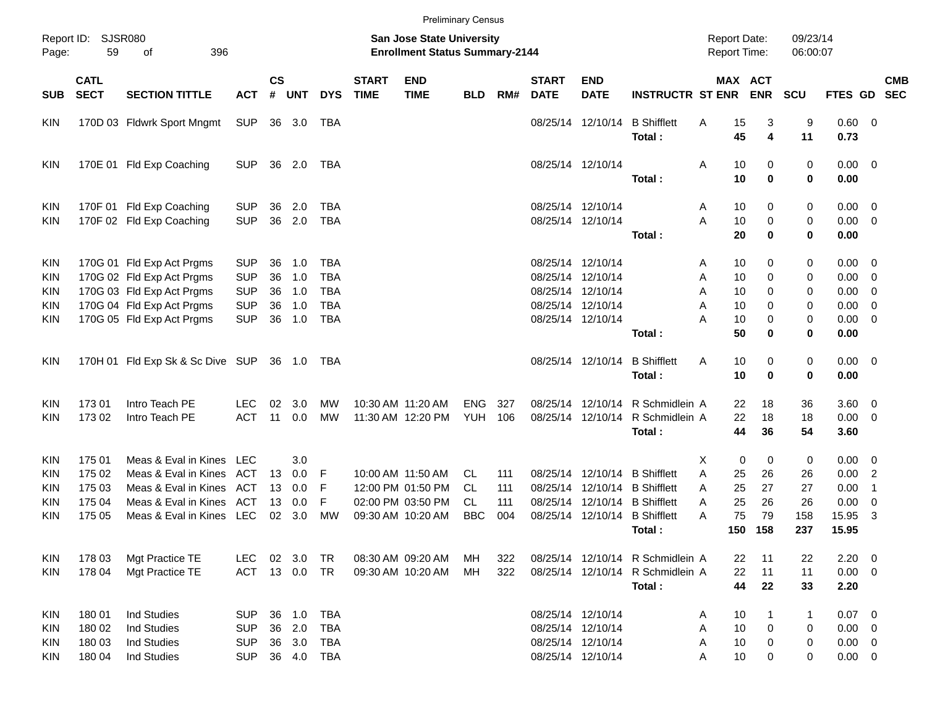|            |                            |                                  |            |                    |                |              |                                                                    |                           | <b>Preliminary Census</b> |     |                             |                           |                                            |         |                         |            |             |                         |            |
|------------|----------------------------|----------------------------------|------------|--------------------|----------------|--------------|--------------------------------------------------------------------|---------------------------|---------------------------|-----|-----------------------------|---------------------------|--------------------------------------------|---------|-------------------------|------------|-------------|-------------------------|------------|
| Page:      | Report ID: SJSR080<br>59   |                                  |            |                    |                |              | San Jose State University<br><b>Enrollment Status Summary-2144</b> |                           |                           |     |                             |                           | <b>Report Date:</b><br><b>Report Time:</b> |         | 09/23/14<br>06:00:07    |            |             |                         |            |
| <b>SUB</b> | <b>CATL</b><br><b>SECT</b> | <b>SECTION TITTLE</b>            | <b>ACT</b> | $\mathsf{cs}$<br># | <b>UNT</b>     | <b>DYS</b>   | <b>START</b><br><b>TIME</b>                                        | <b>END</b><br><b>TIME</b> | <b>BLD</b>                | RM# | <b>START</b><br><b>DATE</b> | <b>END</b><br><b>DATE</b> | <b>INSTRUCTR ST ENR</b>                    |         | MAX ACT<br><b>ENR</b>   | <b>SCU</b> | FTES GD SEC |                         | <b>CMB</b> |
| KIN        |                            | 170D 03 Fldwrk Sport Mngmt       | <b>SUP</b> |                    | 36 3.0         | TBA          |                                                                    |                           |                           |     |                             | 08/25/14 12/10/14         | <b>B</b> Shifflett                         | Α<br>15 | 3                       | 9          | 0.60 0      |                         |            |
|            |                            |                                  |            |                    |                |              |                                                                    |                           |                           |     |                             |                           | Total:                                     | 45      | $\overline{\mathbf{4}}$ | 11         | 0.73        |                         |            |
| <b>KIN</b> |                            | 170E 01 Fld Exp Coaching         | <b>SUP</b> |                    | 36 2.0         | TBA          |                                                                    |                           |                           |     |                             | 08/25/14 12/10/14         |                                            | 10<br>Α | 0                       | 0          | $0.00 \t 0$ |                         |            |
|            |                            |                                  |            |                    |                |              |                                                                    |                           |                           |     |                             |                           | Total:                                     | 10      | 0                       | 0          | 0.00        |                         |            |
| <b>KIN</b> |                            | 170F 01 Fld Exp Coaching         | <b>SUP</b> | 36                 | 2.0            | TBA          |                                                                    |                           |                           |     |                             | 08/25/14 12/10/14         |                                            | 10<br>Α | 0                       | 0          | $0.00 \t 0$ |                         |            |
| <b>KIN</b> |                            | 170F 02 Fld Exp Coaching         | <b>SUP</b> | 36                 | 2.0            | <b>TBA</b>   |                                                                    |                           |                           |     |                             | 08/25/14 12/10/14         |                                            | A<br>10 | 0                       | 0          | $0.00 \t 0$ |                         |            |
|            |                            |                                  |            |                    |                |              |                                                                    |                           |                           |     |                             |                           | Total:                                     | 20      | 0                       | 0          | 0.00        |                         |            |
| <b>KIN</b> |                            | 170G 01 Fld Exp Act Prgms        | <b>SUP</b> | 36                 | 1.0            | TBA          |                                                                    |                           |                           |     |                             | 08/25/14 12/10/14         |                                            | 10<br>Α | 0                       | 0          | $0.00 \t 0$ |                         |            |
| <b>KIN</b> |                            | 170G 02 Fld Exp Act Prgms        | <b>SUP</b> | 36                 | 1.0            | <b>TBA</b>   |                                                                    |                           |                           |     |                             | 08/25/14 12/10/14         |                                            | 10<br>Α | 0                       | 0          | $0.00 \t 0$ |                         |            |
| <b>KIN</b> |                            | 170G 03 Fld Exp Act Prgms        | <b>SUP</b> | 36                 | 1.0            | <b>TBA</b>   |                                                                    |                           |                           |     |                             | 08/25/14 12/10/14         |                                            | 10<br>Α | 0                       | 0          | $0.00 \t 0$ |                         |            |
| <b>KIN</b> |                            | 170G 04 Fld Exp Act Prgms        | <b>SUP</b> | 36                 | 1.0            | <b>TBA</b>   |                                                                    |                           |                           |     |                             | 08/25/14 12/10/14         |                                            | A<br>10 | 0                       | 0          | $0.00 \t 0$ |                         |            |
| <b>KIN</b> |                            | 170G 05 Fld Exp Act Prgms        | <b>SUP</b> | 36                 | 1.0            | <b>TBA</b>   |                                                                    |                           |                           |     |                             | 08/25/14 12/10/14         |                                            | Α<br>10 | 0                       | 0          | $0.00 \t 0$ |                         |            |
|            |                            |                                  |            |                    |                |              |                                                                    |                           |                           |     |                             |                           | Total:                                     | 50      | 0                       | 0          | 0.00        |                         |            |
| <b>KIN</b> |                            | 170H 01 Fld Exp Sk & Sc Dive SUP |            |                    | 36 1.0         | TBA          |                                                                    |                           |                           |     |                             | 08/25/14 12/10/14         | <b>B</b> Shifflett                         | Α<br>10 | 0                       | 0          | $0.00 \t 0$ |                         |            |
|            |                            |                                  |            |                    |                |              |                                                                    |                           |                           |     |                             |                           | Total:                                     | 10      | $\bf{0}$                | 0          | 0.00        |                         |            |
| <b>KIN</b> | 17301                      | Intro Teach PE                   | LEC.       | 02                 | 3.0            | <b>MW</b>    |                                                                    | 10:30 AM 11:20 AM         | <b>ENG</b>                | 327 |                             | 08/25/14 12/10/14         | R Schmidlein A                             | 22      | 18                      | 36         | 3.60 0      |                         |            |
| <b>KIN</b> | 173 02                     | Intro Teach PE                   | <b>ACT</b> | 11                 | 0.0            | МW           |                                                                    | 11:30 AM 12:20 PM         | YUH                       | 106 |                             | 08/25/14 12/10/14         | R Schmidlein A                             | 22      | 18                      | 18         | $0.00 \t 0$ |                         |            |
|            |                            |                                  |            |                    |                |              |                                                                    |                           |                           |     |                             |                           | Total:                                     | 44      | 36                      | 54         | 3.60        |                         |            |
| <b>KIN</b> | 175 01                     | Meas & Eval in Kines LEC         |            |                    | 3.0            |              |                                                                    |                           |                           |     |                             |                           |                                            | X.      | 0<br>0                  | 0          | $0.00 \t 0$ |                         |            |
| <b>KIN</b> | 175 02                     | Meas & Eval in Kines             | ACT        | 13                 | 0.0            | -F           |                                                                    | 10:00 AM 11:50 AM         | CL.                       | 111 |                             | 08/25/14 12/10/14         | <b>B</b> Shifflett                         | A<br>25 | 26                      | 26         | 0.00 2      |                         |            |
| KIN        | 175 03                     | Meas & Eval in Kines             | ACT        | 13                 | 0.0            | F            |                                                                    | 12:00 PM 01:50 PM         | <b>CL</b>                 | 111 |                             | 08/25/14 12/10/14         | <b>B</b> Shifflett                         | 25<br>A | 27                      | 27         | 0.00        | $\overline{1}$          |            |
| KIN        | 175 04                     | Meas & Eval in Kines             | ACT        | 13                 | 0.0            | F            |                                                                    | 02:00 PM 03:50 PM         | CL.                       | 111 |                             |                           | 08/25/14 12/10/14 B Shifflett              | 25<br>A | 26                      | 26         | 0.00        | $\overline{\mathbf{0}}$ |            |
| <b>KIN</b> | 175 05                     | Meas & Eval in Kines LEC         |            | 02                 | 3.0            | <b>MW</b>    |                                                                    | 09:30 AM 10:20 AM         | <b>BBC</b>                | 004 |                             | 08/25/14 12/10/14         | <b>B</b> Shifflett                         | 75<br>А | 79                      | 158        | 15.95       | 3                       |            |
|            |                            |                                  |            |                    |                |              |                                                                    |                           |                           |     |                             |                           | Total:                                     | 150     | 158                     | 237        | 15.95       |                         |            |
| KIN        | 178 03                     | Mgt Practice TE                  | <b>LEC</b> |                    | $02 \quad 3.0$ | TR           |                                                                    | 08:30 AM 09:20 AM         | MН                        | 322 |                             |                           | 08/25/14 12/10/14 R Schmidlein A           | 22      | 11                      | 22         | $2.20 \t 0$ |                         |            |
| <b>KIN</b> | 178 04                     | Mgt Practice TE                  | ACT        |                    | 13  0.0  TR    |              |                                                                    | 09:30 AM 10:20 AM         | MH                        | 322 |                             |                           | 08/25/14 12/10/14 R Schmidlein A           | 22      | 11                      | 11         | $0.00 \t 0$ |                         |            |
|            |                            |                                  |            |                    |                |              |                                                                    |                           |                           |     |                             |                           | Total:                                     | 44      | 22                      | 33         | 2.20        |                         |            |
| KIN        | 180 01                     | <b>Ind Studies</b>               | <b>SUP</b> | 36                 | 1.0            | <b>TBA</b>   |                                                                    |                           |                           |     |                             | 08/25/14 12/10/14         |                                            | 10<br>Α | 1                       | 1          | $0.07$ 0    |                         |            |
| <b>KIN</b> | 180 02                     | <b>Ind Studies</b>               | <b>SUP</b> |                    | 36 2.0         | TBA          |                                                                    |                           |                           |     |                             | 08/25/14 12/10/14         |                                            | 10<br>Α | $\mathbf 0$             | 0          | $0.00 \t 0$ |                         |            |
| <b>KIN</b> | 180 03                     | <b>Ind Studies</b>               | <b>SUP</b> |                    | 36 3.0         | TBA          |                                                                    |                           |                           |     |                             | 08/25/14 12/10/14         |                                            | 10<br>Α | 0                       | 0          | $0.00 \t 0$ |                         |            |
| KIN        | 180 04                     | Ind Studies                      | <b>SUP</b> |                    |                | 36  4.0  TBA |                                                                    |                           |                           |     |                             | 08/25/14 12/10/14         |                                            | 10<br>Α | 0                       | 0          | $0.00 \t 0$ |                         |            |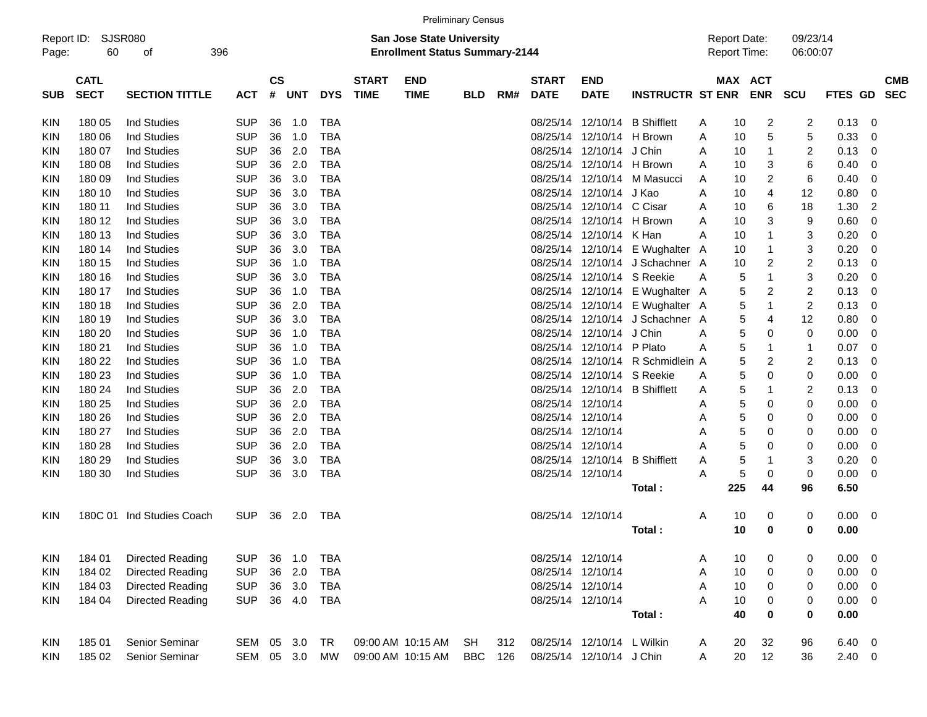|            | Report ID: SJSR080 |                           |            |               |        |            |              | <b>San Jose State University</b>      |     |     |              |                            |                                  |   |     | <b>Report Date:</b> | 09/23/14       |             |                         |            |
|------------|--------------------|---------------------------|------------|---------------|--------|------------|--------------|---------------------------------------|-----|-----|--------------|----------------------------|----------------------------------|---|-----|---------------------|----------------|-------------|-------------------------|------------|
| Page:      | 60                 | οf                        | 396        |               |        |            |              | <b>Enrollment Status Summary-2144</b> |     |     |              |                            |                                  |   |     | <b>Report Time:</b> | 06:00:07       |             |                         |            |
|            | <b>CATL</b>        |                           |            | $\mathsf{cs}$ |        |            | <b>START</b> | <b>END</b>                            |     |     | <b>START</b> | <b>END</b>                 |                                  |   |     | MAX ACT             |                |             |                         | <b>CMB</b> |
| <b>SUB</b> | <b>SECT</b>        | <b>SECTION TITTLE</b>     | ACT        |               | # UNT  | <b>DYS</b> | <b>TIME</b>  | <b>TIME</b>                           | BLD | RM# | <b>DATE</b>  | <b>DATE</b>                | <b>INSTRUCTR ST ENR</b>          |   |     | <b>ENR</b>          | SCU            | FTES GD SEC |                         |            |
| KIN        | 180 05             | Ind Studies               | <b>SUP</b> | 36            | 1.0    | <b>TBA</b> |              |                                       |     |     |              |                            | 08/25/14 12/10/14 B Shifflett    | Α | 10  | 2                   | $\overline{c}$ | 0.13        | $\mathbf 0$             |            |
| KIN        | 180 06             | <b>Ind Studies</b>        | <b>SUP</b> | 36            | 1.0    | <b>TBA</b> |              |                                       |     |     |              | 08/25/14 12/10/14 H Brown  |                                  | Α | 10  | 5                   | 5              | 0.33        | $\mathbf{0}$            |            |
| KIN        | 180 07             | <b>Ind Studies</b>        | <b>SUP</b> | 36            | 2.0    | <b>TBA</b> |              |                                       |     |     |              | 08/25/14 12/10/14 J Chin   |                                  | А | 10  | $\mathbf{1}$        | $\overline{c}$ | 0.13        | $\mathbf 0$             |            |
| <b>KIN</b> | 180 08             | <b>Ind Studies</b>        | <b>SUP</b> | 36            | 2.0    | <b>TBA</b> |              |                                       |     |     |              | 08/25/14 12/10/14 H Brown  |                                  | A | 10  | 3                   | 6              | 0.40        | $\mathbf 0$             |            |
| KIN        | 180 09             | <b>Ind Studies</b>        | <b>SUP</b> | 36            | 3.0    | <b>TBA</b> |              |                                       |     |     |              |                            | 08/25/14 12/10/14 M Masucci      | Α | 10  | $\overline{2}$      | 6              | 0.40        | 0                       |            |
| KIN        | 180 10             | Ind Studies               | <b>SUP</b> | 36            | 3.0    | <b>TBA</b> |              |                                       |     |     |              | 08/25/14 12/10/14 J Kao    |                                  | Α | 10  | 4                   | 12             | 0.80        | 0                       |            |
| KIN        | 180 11             | Ind Studies               | <b>SUP</b> | 36            | 3.0    | <b>TBA</b> |              |                                       |     |     |              | 08/25/14 12/10/14 C Cisar  |                                  | Α | 10  | 6                   | 18             | 1.30        | $\overline{2}$          |            |
| <b>KIN</b> | 180 12             | Ind Studies               | <b>SUP</b> | 36            | 3.0    | <b>TBA</b> |              |                                       |     |     |              | 08/25/14 12/10/14 H Brown  |                                  | A | 10  | 3                   | 9              | 0.60        | $\mathbf 0$             |            |
| KIN        | 180 13             | Ind Studies               | <b>SUP</b> | 36            | 3.0    | <b>TBA</b> |              |                                       |     |     |              | 08/25/14 12/10/14 K Han    |                                  | A | 10  | 1                   | 3              | 0.20        | 0                       |            |
| <b>KIN</b> | 180 14             | Ind Studies               | <b>SUP</b> | 36            | 3.0    | <b>TBA</b> |              |                                       |     |     |              |                            | 08/25/14 12/10/14 E Wughalter A  |   | 10  | $\mathbf 1$         | 3              | 0.20        | $\mathbf 0$             |            |
| <b>KIN</b> | 180 15             | <b>Ind Studies</b>        | <b>SUP</b> | 36            | 1.0    | <b>TBA</b> |              |                                       |     |     |              |                            | 08/25/14 12/10/14 J Schachner A  |   | 10  | 2                   | $\overline{c}$ | 0.13        | 0                       |            |
| KIN        | 180 16             | <b>Ind Studies</b>        | <b>SUP</b> | 36            | 3.0    | <b>TBA</b> |              |                                       |     |     |              | 08/25/14 12/10/14 S Reekie |                                  | A | 5   | $\mathbf{1}$        | 3              | 0.20        | 0                       |            |
| KIN        | 180 17             | Ind Studies               | <b>SUP</b> | 36            | 1.0    | <b>TBA</b> |              |                                       |     |     |              |                            | 08/25/14 12/10/14 E Wughalter A  |   | 5   | 2                   | $\overline{c}$ | 0.13        | $\mathbf 0$             |            |
| KIN        | 180 18             | Ind Studies               | <b>SUP</b> | 36            | 2.0    | <b>TBA</b> |              |                                       |     |     |              |                            | 08/25/14 12/10/14 E Wughalter A  |   | 5   | $\mathbf{1}$        | $\overline{c}$ | 0.13        | 0                       |            |
| KIN        | 180 19             | <b>Ind Studies</b>        | <b>SUP</b> | 36            | 3.0    | <b>TBA</b> |              |                                       |     |     |              |                            | 08/25/14 12/10/14 J Schachner A  |   | 5   | 4                   | 12             | 0.80        | $\mathbf 0$             |            |
| <b>KIN</b> | 180 20             | <b>Ind Studies</b>        | <b>SUP</b> | 36            | 1.0    | <b>TBA</b> |              |                                       |     |     |              | 08/25/14 12/10/14 J Chin   |                                  | A | 5   | 0                   | $\mathbf 0$    | 0.00        | $\mathbf 0$             |            |
| KIN        | 180 21             | <b>Ind Studies</b>        | <b>SUP</b> | 36            | 1.0    | <b>TBA</b> |              |                                       |     |     |              | 08/25/14 12/10/14 P Plato  |                                  | Α | 5   | $\mathbf{1}$        | $\overline{1}$ | 0.07        | $\overline{0}$          |            |
| <b>KIN</b> | 180 22             | Ind Studies               | <b>SUP</b> | 36            | 1.0    | <b>TBA</b> |              |                                       |     |     |              |                            | 08/25/14 12/10/14 R Schmidlein A |   | 5   | $\overline{2}$      | $\overline{c}$ | 0.13        | $\mathbf 0$             |            |
| KIN        | 180 23             | <b>Ind Studies</b>        | <b>SUP</b> | 36            | 1.0    | <b>TBA</b> |              |                                       |     |     |              | 08/25/14 12/10/14 S Reekie |                                  | A | 5   | 0                   | 0              | 0.00        | 0                       |            |
| KIN        | 180 24             | Ind Studies               | <b>SUP</b> | 36            | 2.0    | <b>TBA</b> |              |                                       |     |     |              |                            | 08/25/14 12/10/14 B Shifflett    | A | 5   | $\mathbf{1}$        | 2              | 0.13        | $\mathbf 0$             |            |
| KIN        | 180 25             | Ind Studies               | <b>SUP</b> | 36            | 2.0    | <b>TBA</b> |              |                                       |     |     |              | 08/25/14 12/10/14          |                                  | Α | 5   | 0                   | 0              | 0.00        | 0                       |            |
| KIN        | 180 26             | <b>Ind Studies</b>        | <b>SUP</b> | 36            | 2.0    | <b>TBA</b> |              |                                       |     |     |              | 08/25/14 12/10/14          |                                  | A | 5   | 0                   | 0              | 0.00        | $\mathbf 0$             |            |
| <b>KIN</b> | 180 27             | <b>Ind Studies</b>        | <b>SUP</b> | 36            | 2.0    | <b>TBA</b> |              |                                       |     |     |              | 08/25/14 12/10/14          |                                  | Α | 5   | 0                   | $\mathbf 0$    | 0.00        | $\mathbf 0$             |            |
| KIN        | 180 28             | <b>Ind Studies</b>        | <b>SUP</b> | 36            | 2.0    | <b>TBA</b> |              |                                       |     |     |              | 08/25/14 12/10/14          |                                  | А | 5   | 0                   | 0              | 0.00        | $\overline{0}$          |            |
| KIN        | 180 29             | <b>Ind Studies</b>        | <b>SUP</b> | 36            | 3.0    | <b>TBA</b> |              |                                       |     |     |              |                            | 08/25/14 12/10/14 B Shifflett    | Α | 5   | -1                  | 3              | 0.20        | $\mathbf 0$             |            |
| <b>KIN</b> | 180 30             | Ind Studies               | <b>SUP</b> | 36            | 3.0    | <b>TBA</b> |              |                                       |     |     |              | 08/25/14 12/10/14          |                                  | Α | 5   | 0                   | 0              | 0.00        | 0                       |            |
|            |                    |                           |            |               |        |            |              |                                       |     |     |              |                            | Total:                           |   | 225 | 44                  | 96             | 6.50        |                         |            |
| <b>KIN</b> |                    | 180C 01 Ind Studies Coach | <b>SUP</b> |               | 36 2.0 | TBA        |              |                                       |     |     |              | 08/25/14 12/10/14          |                                  | A | 10  | 0                   | 0              | 0.00        | $\overline{\mathbf{0}}$ |            |
|            |                    |                           |            |               |        |            |              |                                       |     |     |              |                            | Total:                           |   | 10  | 0                   | 0              | 0.00        |                         |            |
| <b>KIN</b> | 184 01             | <b>Directed Reading</b>   | <b>SUP</b> | 36            | 1.0    | <b>TBA</b> |              |                                       |     |     |              | 08/25/14 12/10/14          |                                  | A | 10  | 0                   | 0              | 0.00        | 0                       |            |
| <b>KIN</b> | 184 02             | <b>Directed Reading</b>   | <b>SUP</b> | 36            | 2.0    | <b>TBA</b> |              |                                       |     |     |              | 08/25/14 12/10/14          |                                  | A | 10  | 0                   | $\mathbf 0$    | 0.00        | $\mathbf 0$             |            |
| <b>KIN</b> | 184 03             | Directed Reading          | <b>SUP</b> | 36            | 3.0    | <b>TBA</b> |              |                                       |     |     |              | 08/25/14 12/10/14          |                                  | Α | 10  | $\Omega$            | $\Omega$       | 0.00        | $\Omega$                |            |

**Total : 40 0 0 0.00** KIN 185 01 Senior Seminar SEM 05 3.0 TR 09:00 AM 10:15 AM SH 312 08/25/14 12/10/14 L Wilkin A 20 32 96 6.40 0 KIN 185 02 Senior Seminar SEM 05 3.0 MW 09:00 AM 10:15 AM BBC 126 08/25/14 12/10/14 J Chin A 20 12 36 2.40 0

KIN 184 04 Directed Reading SUP 36 4.0 TBA 6 68/25/14 12/10/14 68/25/14 12/10/14 A 10 0 0 0.00 0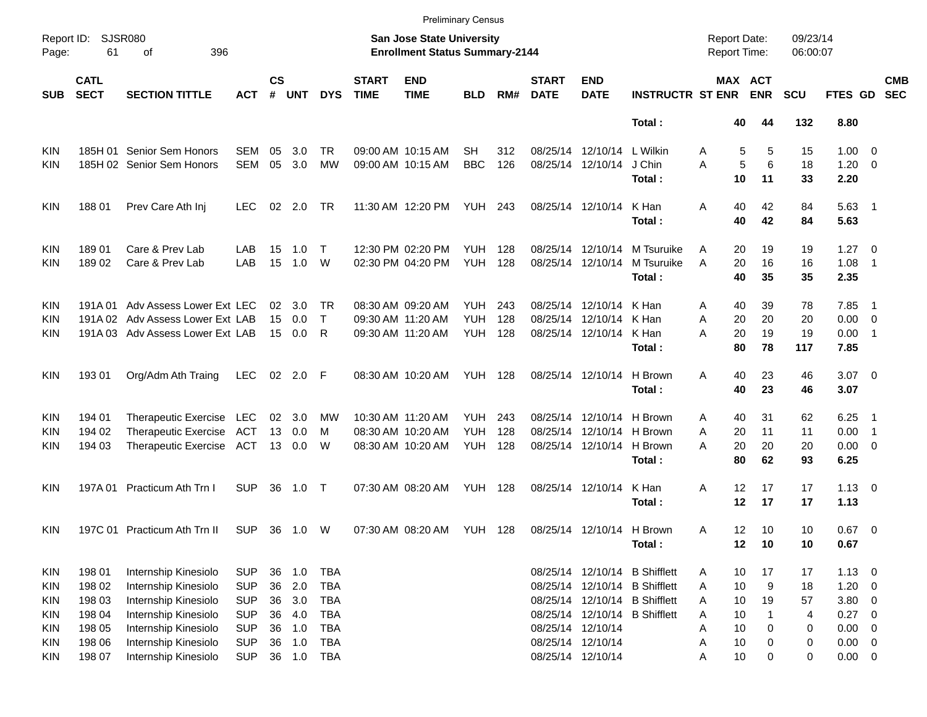| Page:                                                              | Report ID: SJSR080<br>61                       | 396<br>οf                                                                                                            |                                                                    |                            |                                 |                                                                    |                                        | <b>San Jose State University</b><br><b>Enrollment Status Summary-2144</b> |                                        |                   |                                        |                                                                                  |                                                                                      | <b>Report Date:</b><br><b>Report Time:</b> |                            |                                    | 09/23/14<br>06:00:07     |                                        |                                                                                                             |                          |
|--------------------------------------------------------------------|------------------------------------------------|----------------------------------------------------------------------------------------------------------------------|--------------------------------------------------------------------|----------------------------|---------------------------------|--------------------------------------------------------------------|----------------------------------------|---------------------------------------------------------------------------|----------------------------------------|-------------------|----------------------------------------|----------------------------------------------------------------------------------|--------------------------------------------------------------------------------------|--------------------------------------------|----------------------------|------------------------------------|--------------------------|----------------------------------------|-------------------------------------------------------------------------------------------------------------|--------------------------|
| <b>SUB</b>                                                         | <b>CATL</b><br><b>SECT</b>                     | <b>SECTION TITTLE</b>                                                                                                | <b>ACT</b>                                                         | <b>CS</b><br>#             | <b>UNT</b>                      | <b>DYS</b>                                                         | <b>START</b><br><b>TIME</b>            | <b>END</b><br><b>TIME</b>                                                 | <b>BLD</b>                             | RM#               | <b>START</b><br><b>DATE</b>            | <b>END</b><br><b>DATE</b>                                                        | <b>INSTRUCTR ST ENR</b>                                                              |                                            |                            | MAX ACT<br><b>ENR</b>              | SCU                      | FTES GD                                |                                                                                                             | <b>CMB</b><br><b>SEC</b> |
|                                                                    |                                                |                                                                                                                      |                                                                    |                            |                                 |                                                                    |                                        |                                                                           |                                        |                   |                                        |                                                                                  | Total:                                                                               |                                            | 40                         | 44                                 | 132                      | 8.80                                   |                                                                                                             |                          |
| KIN<br>KIN                                                         |                                                | 185H 01 Senior Sem Honors<br>185H 02 Senior Sem Honors                                                               | <b>SEM</b><br><b>SEM</b>                                           | 05<br>05                   | 3.0<br>3.0                      | <b>TR</b><br><b>MW</b>                                             |                                        | 09:00 AM 10:15 AM<br>09:00 AM 10:15 AM                                    | SН<br><b>BBC</b>                       | 312<br>126        | 08/25/14 12/10/14                      | 08/25/14 12/10/14                                                                | L Wilkin<br>J Chin<br>Total:                                                         | Α<br>A                                     | 5<br>5<br>10               | 5<br>6<br>11                       | 15<br>18<br>33           | $1.00 \t 0$<br>1.20<br>2.20            | $\overline{\phantom{0}}$                                                                                    |                          |
| KIN                                                                | 18801                                          | Prev Care Ath Inj                                                                                                    | LEC.                                                               | 02                         | 2.0                             | TR                                                                 |                                        | 11:30 AM 12:20 PM                                                         | <b>YUH 243</b>                         |                   |                                        | 08/25/14 12/10/14                                                                | K Han<br>Total:                                                                      | A                                          | 40<br>40                   | 42<br>42                           | 84<br>84                 | $5.63$ 1<br>5.63                       |                                                                                                             |                          |
| KIN<br>KIN                                                         | 189 01<br>18902                                | Care & Prev Lab<br>Care & Prev Lab                                                                                   | LAB<br>LAB                                                         | 15<br>15                   | 1.0<br>1.0                      | $\top$<br>W                                                        |                                        | 12:30 PM 02:20 PM<br>02:30 PM 04:20 PM                                    | <b>YUH</b><br><b>YUH</b>               | 128<br>128        | 08/25/14 12/10/14<br>08/25/14 12/10/14 |                                                                                  | M Tsuruike<br>M Tsuruike<br>Total:                                                   | A<br>A                                     | 20<br>20<br>40             | 19<br>16<br>35                     | 19<br>16<br>35           | 1.27<br>1.08<br>2.35                   | $\overline{\phantom{0}}$<br>$\overline{1}$                                                                  |                          |
| KIN<br>KIN<br>KIN                                                  | 191A 01                                        | Adv Assess Lower Ext LEC<br>191A 02 Adv Assess Lower Ext LAB<br>191A 03 Adv Assess Lower Ext LAB                     |                                                                    | 02<br>15<br>15             | 3.0<br>0.0<br>0.0               | TR<br>$\top$<br>R                                                  | 09:30 AM 11:20 AM<br>09:30 AM 11:20 AM | 08:30 AM 09:20 AM                                                         | <b>YUH</b><br><b>YUH</b><br><b>YUH</b> | 243<br>128<br>128 | 08/25/14                               | 08/25/14 12/10/14<br>12/10/14<br>08/25/14 12/10/14                               | K Han<br>K Han<br>K Han<br>Total:                                                    | A<br>A<br>Α                                | 40<br>20<br>20<br>80       | 39<br>20<br>19<br>78               | 78<br>20<br>19<br>117    | 7.85<br>0.00<br>0.00<br>7.85           | $\overline{\phantom{1}}$<br>$\overline{\phantom{0}}$<br>$\overline{\phantom{0}}$ 1                          |                          |
| KIN                                                                | 193 01                                         | Org/Adm Ath Traing                                                                                                   | <b>LEC</b>                                                         | 02                         | 2.0                             | -F                                                                 |                                        | 08:30 AM 10:20 AM                                                         | <b>YUH 128</b>                         |                   |                                        | 08/25/14 12/10/14                                                                | H Brown<br>Total:                                                                    | A                                          | 40<br>40                   | 23<br>23                           | 46<br>46                 | $3.07$ 0<br>3.07                       |                                                                                                             |                          |
| KIN<br>KIN<br><b>KIN</b>                                           | 194 01<br>194 02<br>194 03                     | Therapeutic Exercise<br><b>Therapeutic Exercise</b><br><b>Therapeutic Exercise</b>                                   | LEC<br>ACT<br>ACT                                                  | 02<br>13<br>13             | 3.0<br>0.0<br>0.0               | MW<br>M<br>W                                                       | 10:30 AM 11:20 AM                      | 08:30 AM 10:20 AM<br>08:30 AM 10:20 AM                                    | <b>YUH</b><br><b>YUH</b><br><b>YUH</b> | 243<br>128<br>128 | 08/25/14                               | 08/25/14 12/10/14<br>12/10/14<br>08/25/14 12/10/14                               | H Brown<br>H Brown<br>H Brown<br>Total:                                              | A<br>A<br>A                                | 40<br>20<br>20<br>80       | 31<br>11<br>20<br>62               | 62<br>11<br>20<br>93     | 6.25<br>0.00<br>$0.00 \t 0$<br>6.25    | $\overline{\phantom{1}}$<br>$\overline{\phantom{1}}$                                                        |                          |
| KIN                                                                | 197A 01                                        | Practicum Ath Trn I                                                                                                  | <b>SUP</b>                                                         | 36                         | 1.0                             | $\top$                                                             |                                        | 07:30 AM 08:20 AM                                                         | YUH                                    | 128               |                                        | 08/25/14 12/10/14                                                                | K Han<br>Total:                                                                      | A                                          | 12<br>12                   | 17<br>17                           | 17<br>17                 | $1.13 \ 0$<br>1.13                     |                                                                                                             |                          |
| KIN                                                                |                                                | 197C 01 Practicum Ath Trn II                                                                                         | <b>SUP</b>                                                         | 36                         | 1.0                             | W                                                                  | 07:30 AM 08:20 AM                      |                                                                           | <b>YUH</b>                             | 128               |                                        | 08/25/14 12/10/14                                                                | H Brown<br>Total:                                                                    | A                                          | 12<br>12                   | 10<br>10                           | 10<br>10                 | 0.67<br>0.67                           | $\overline{\phantom{0}}$                                                                                    |                          |
| <b>KIN</b><br><b>KIN</b><br><b>KIN</b><br><b>KIN</b><br><b>KIN</b> | 198 01<br>198 02<br>198 03<br>198 04<br>198 05 | Internship Kinesiolo<br>Internship Kinesiolo<br>Internship Kinesiolo<br>Internship Kinesiolo<br>Internship Kinesiolo | <b>SUP</b><br><b>SUP</b><br><b>SUP</b><br><b>SUP</b><br><b>SUP</b> | 36<br>36<br>36<br>36<br>36 | 1.0<br>2.0<br>3.0<br>4.0<br>1.0 | <b>TBA</b><br><b>TBA</b><br><b>TBA</b><br><b>TBA</b><br><b>TBA</b> |                                        |                                                                           |                                        |                   | 08/25/14 12/10/14                      | 08/25/14 12/10/14<br>08/25/14 12/10/14<br>08/25/14 12/10/14<br>08/25/14 12/10/14 | <b>B</b> Shifflett<br><b>B</b> Shifflett<br><b>B</b> Shifflett<br><b>B</b> Shifflett | Α<br>A<br>A<br>A<br>Α                      | 10<br>10<br>10<br>10<br>10 | 17<br>9<br>19<br>$\mathbf{1}$<br>0 | 17<br>18<br>57<br>4<br>0 | 1.13<br>1.20<br>3.80 0<br>0.27<br>0.00 | $\overline{\phantom{0}}$<br>$\overline{\phantom{0}}$<br>$\overline{\phantom{0}}$<br>$\overline{\mathbf{0}}$ |                          |
| <b>KIN</b><br><b>KIN</b>                                           | 198 06<br>198 07                               | Internship Kinesiolo<br>Internship Kinesiolo                                                                         | <b>SUP</b><br><b>SUP</b>                                           | 36<br>36                   | 1.0<br>1.0                      | <b>TBA</b><br><b>TBA</b>                                           |                                        |                                                                           |                                        |                   | 08/25/14 12/10/14<br>08/25/14 12/10/14 |                                                                                  |                                                                                      | Α<br>Α                                     | 10<br>10                   | 0<br>0                             | 0<br>0                   | $0.00 \t 0$<br>$0.00 \t 0$             |                                                                                                             |                          |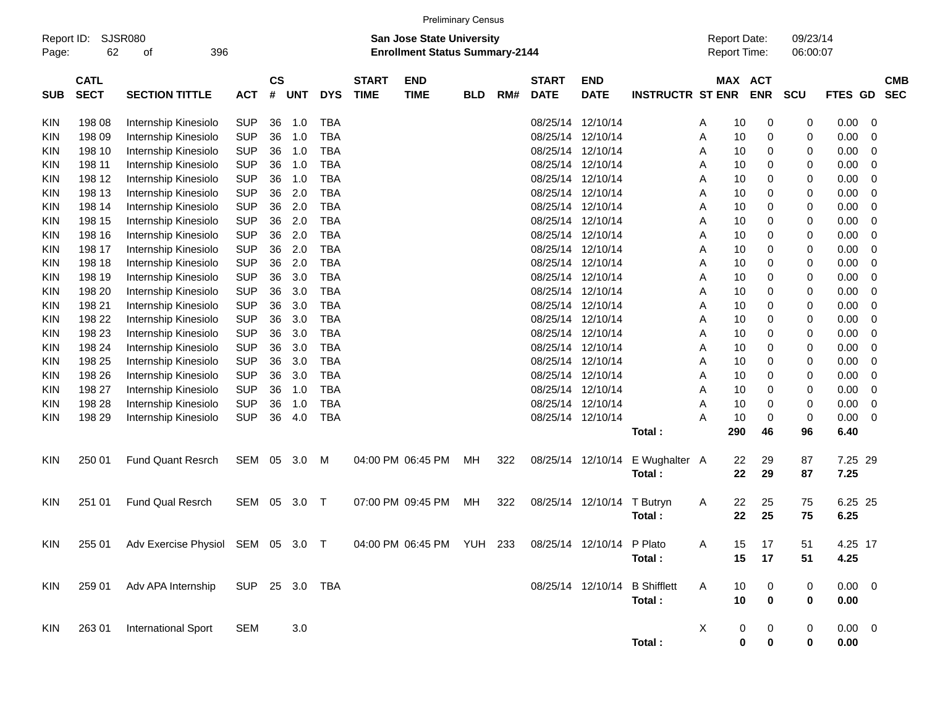|                     |                            |                                                                                              |                |                |            |            |                             | <b>Preliminary Census</b>                                                 |            |     |                             |                           |                               |                                            |                       |                      |             |                |                          |
|---------------------|----------------------------|----------------------------------------------------------------------------------------------|----------------|----------------|------------|------------|-----------------------------|---------------------------------------------------------------------------|------------|-----|-----------------------------|---------------------------|-------------------------------|--------------------------------------------|-----------------------|----------------------|-------------|----------------|--------------------------|
| Report ID:<br>Page: | 62                         | SJSR080<br>396<br>οf                                                                         |                |                |            |            |                             | <b>San Jose State University</b><br><b>Enrollment Status Summary-2144</b> |            |     |                             |                           |                               | <b>Report Date:</b><br><b>Report Time:</b> |                       | 09/23/14<br>06:00:07 |             |                |                          |
| <b>SUB</b>          | <b>CATL</b><br><b>SECT</b> | <b>SECTION TITTLE</b>                                                                        | <b>ACT</b>     | <b>CS</b><br># | <b>UNT</b> | <b>DYS</b> | <b>START</b><br><b>TIME</b> | <b>END</b><br><b>TIME</b>                                                 | <b>BLD</b> | RM# | <b>START</b><br><b>DATE</b> | <b>END</b><br><b>DATE</b> | <b>INSTRUCTR ST ENR</b>       |                                            | MAX ACT<br><b>ENR</b> | SCU                  | FTES GD     |                | <b>CMB</b><br><b>SEC</b> |
|                     |                            |                                                                                              |                |                |            |            |                             |                                                                           |            |     |                             |                           |                               |                                            |                       |                      |             |                |                          |
| KIN                 | 198 08                     | Internship Kinesiolo                                                                         | <b>SUP</b>     | 36             | 1.0        | <b>TBA</b> |                             |                                                                           |            |     | 08/25/14                    | 12/10/14                  |                               | 10<br>A                                    | 0                     | 0                    | 0.00        | - 0            |                          |
| KIN                 | 198 09                     | Internship Kinesiolo                                                                         | <b>SUP</b>     | 36             | 1.0        | <b>TBA</b> |                             |                                                                           |            |     | 08/25/14                    | 12/10/14                  |                               | Α<br>10                                    | 0                     | 0                    | 0.00        | $\mathbf 0$    |                          |
| KIN                 | 198 10                     | Internship Kinesiolo                                                                         | <b>SUP</b>     | 36             | 1.0        | <b>TBA</b> |                             |                                                                           |            |     | 08/25/14                    | 12/10/14                  |                               | Α<br>10                                    | 0                     | 0                    | 0.00        | $\mathbf 0$    |                          |
| KIN                 | 198 11                     | Internship Kinesiolo                                                                         | <b>SUP</b>     | 36             | 1.0        | <b>TBA</b> |                             |                                                                           |            |     | 08/25/14                    | 12/10/14                  |                               | Α<br>10                                    | 0                     | 0                    | 0.00        | $\mathbf 0$    |                          |
| <b>KIN</b>          | 198 12                     | Internship Kinesiolo                                                                         | <b>SUP</b>     | 36             | 1.0        | <b>TBA</b> |                             |                                                                           |            |     | 08/25/14                    | 12/10/14                  |                               | Α<br>10                                    | 0                     | 0                    | 0.00        | $\mathbf 0$    |                          |
| KIN                 | 198 13                     | Internship Kinesiolo                                                                         | <b>SUP</b>     | 36             | 2.0        | <b>TBA</b> |                             |                                                                           |            |     | 08/25/14                    | 12/10/14                  |                               | A<br>10                                    | 0                     | 0                    | 0.00        | $\mathbf 0$    |                          |
| KIN                 | 198 14                     | Internship Kinesiolo                                                                         | <b>SUP</b>     | 36             | 2.0        | <b>TBA</b> |                             |                                                                           |            |     | 08/25/14                    | 12/10/14                  |                               | Α<br>10                                    | 0                     | 0                    | 0.00        | $\mathbf 0$    |                          |
| <b>KIN</b>          | 198 15                     | Internship Kinesiolo                                                                         | <b>SUP</b>     | 36             | 2.0        | <b>TBA</b> |                             |                                                                           |            |     | 08/25/14                    | 12/10/14                  |                               | 10<br>Α                                    | 0                     | 0                    | 0.00        | $\mathbf 0$    |                          |
| KIN                 | 198 16                     | Internship Kinesiolo                                                                         | <b>SUP</b>     | 36             | 2.0        | <b>TBA</b> |                             |                                                                           |            |     | 08/25/14                    | 12/10/14                  |                               | A<br>10                                    | 0                     | 0                    | 0.00        | $\mathbf 0$    |                          |
| KIN                 | 198 17                     | Internship Kinesiolo                                                                         | <b>SUP</b>     | 36             | 2.0        | <b>TBA</b> |                             |                                                                           |            |     | 08/25/14                    | 12/10/14                  |                               | Α<br>10                                    | 0                     | 0                    | 0.00        | $\mathbf 0$    |                          |
| KIN                 | 198 18                     | Internship Kinesiolo                                                                         | <b>SUP</b>     | 36             | 2.0        | <b>TBA</b> |                             |                                                                           |            |     | 08/25/14                    | 12/10/14                  |                               | 10<br>Α                                    | 0                     | 0                    | 0.00        | $\mathbf 0$    |                          |
| KIN                 | 198 19                     | Internship Kinesiolo                                                                         | <b>SUP</b>     | 36             | 3.0        | <b>TBA</b> |                             |                                                                           |            |     | 08/25/14                    | 12/10/14                  |                               | A<br>10                                    | 0                     | 0                    | 0.00        | $\mathbf 0$    |                          |
| KIN                 | 198 20                     | Internship Kinesiolo                                                                         | <b>SUP</b>     | 36             | 3.0        | <b>TBA</b> |                             |                                                                           |            |     | 08/25/14                    | 12/10/14                  |                               | Α<br>10                                    | 0                     | 0                    | 0.00        | $\mathbf 0$    |                          |
| KIN                 | 198 21                     | Internship Kinesiolo                                                                         | <b>SUP</b>     | 36             | 3.0        | <b>TBA</b> |                             |                                                                           |            |     | 08/25/14                    | 12/10/14                  |                               | 10<br>Α                                    | 0                     | 0                    | 0.00        | $\mathbf 0$    |                          |
| KIN                 | 198 22                     | Internship Kinesiolo                                                                         | <b>SUP</b>     | 36             | 3.0        | <b>TBA</b> |                             |                                                                           |            |     | 08/25/14                    | 12/10/14                  |                               | A<br>10                                    | 0                     | 0                    | 0.00        | $\mathbf 0$    |                          |
| KIN                 | 198 23                     | Internship Kinesiolo                                                                         | <b>SUP</b>     | 36             | 3.0        | <b>TBA</b> |                             |                                                                           |            |     | 08/25/14                    | 12/10/14                  |                               | Α<br>10                                    | 0                     | 0                    | 0.00        | $\mathbf 0$    |                          |
| KIN                 | 198 24                     | Internship Kinesiolo                                                                         | <b>SUP</b>     | 36             | 3.0        | <b>TBA</b> |                             |                                                                           |            |     | 08/25/14                    | 12/10/14                  |                               | 10<br>Α                                    | 0                     | 0                    | 0.00        | $\mathbf 0$    |                          |
| KIN                 | 198 25                     | Internship Kinesiolo                                                                         | <b>SUP</b>     | 36             | 3.0        | <b>TBA</b> |                             |                                                                           |            |     | 08/25/14                    | 12/10/14                  |                               | A<br>10                                    | 0                     | 0                    | 0.00        | $\mathbf 0$    |                          |
| KIN                 | 198 26                     | Internship Kinesiolo                                                                         | <b>SUP</b>     | 36             | 3.0        | <b>TBA</b> |                             |                                                                           |            |     | 08/25/14                    | 12/10/14                  |                               | Α<br>10                                    | 0                     | 0                    | 0.00        | $\mathbf 0$    |                          |
| KIN                 | 198 27                     | Internship Kinesiolo                                                                         | <b>SUP</b>     | 36             | 1.0        | <b>TBA</b> |                             |                                                                           |            |     | 08/25/14                    | 12/10/14                  |                               | 10<br>Α                                    | 0                     | 0                    | 0.00        | $\mathbf 0$    |                          |
| KIN                 | 198 28                     | Internship Kinesiolo                                                                         | <b>SUP</b>     | 36             | 1.0        | <b>TBA</b> |                             |                                                                           |            |     | 08/25/14                    | 12/10/14                  |                               | A<br>10                                    | 0                     | 0                    | 0.00        | $\mathbf 0$    |                          |
| <b>KIN</b>          | 198 29                     | Internship Kinesiolo                                                                         | <b>SUP</b>     | 36             | 4.0        | <b>TBA</b> |                             |                                                                           |            |     |                             | 08/25/14 12/10/14         |                               | A<br>10                                    | 0                     | 0                    | 0.00        | $\overline{0}$ |                          |
|                     |                            |                                                                                              |                |                |            |            |                             |                                                                           |            |     |                             |                           | Total:                        | 290                                        | 46                    | 96                   | 6.40        |                |                          |
| KIN                 | 250 01                     | <b>Fund Quant Resrch</b>                                                                     | SEM            | 05             | 3.0        | M          |                             | 04:00 PM 06:45 PM                                                         | MН         | 322 |                             | 08/25/14 12/10/14         | E Wughalter A                 | 22                                         | 29                    | 87                   | 7.25 29     |                |                          |
|                     |                            |                                                                                              |                |                |            |            |                             |                                                                           |            |     |                             |                           | Total:                        | 22                                         | 29                    | 87                   | 7.25        |                |                          |
| KIN                 | 251 01                     | <b>Fund Qual Resrch</b>                                                                      | SEM            | 05             | 3.0        | $\top$     |                             | 07:00 PM 09:45 PM                                                         | MН         | 322 | 08/25/14                    | 12/10/14                  | T Butryn                      | 22<br>A                                    | 25                    | 75                   | 6.25 25     |                |                          |
|                     |                            |                                                                                              |                |                |            |            |                             |                                                                           |            |     |                             |                           | Total:                        | 22                                         | 25                    | 75                   | 6.25        |                |                          |
|                     |                            |                                                                                              |                |                |            |            |                             |                                                                           |            |     |                             |                           |                               |                                            |                       |                      |             |                |                          |
| KIN                 |                            | 255 01 Adv Exercise Physiol SEM 05 3.0 T 04:00 PM 06:45 PM YUH 233 08/25/14 12/10/14 P Plato |                |                |            |            |                             |                                                                           |            |     |                             |                           |                               | 15<br>A                                    | 17                    | 51                   | 4.25 17     |                |                          |
|                     |                            |                                                                                              |                |                |            |            |                             |                                                                           |            |     |                             |                           | Total:                        | 15                                         | 17                    | 51                   | 4.25        |                |                          |
| KIN                 | 259 01                     | Adv APA Internship                                                                           | SUP 25 3.0 TBA |                |            |            |                             |                                                                           |            |     |                             |                           | 08/25/14 12/10/14 B Shifflett | A<br>10                                    | $\mathbf 0$           | 0                    | $0.00 \t 0$ |                |                          |
|                     |                            |                                                                                              |                |                |            |            |                             |                                                                           |            |     |                             |                           | Total:                        | 10                                         | $\mathbf 0$           | 0                    | 0.00        |                |                          |
|                     |                            |                                                                                              |                |                |            |            |                             |                                                                           |            |     |                             |                           |                               |                                            |                       |                      |             |                |                          |
| <b>KIN</b>          | 263 01                     | <b>International Sport</b>                                                                   | SEM            |                | 3.0        |            |                             |                                                                           |            |     |                             |                           |                               | X                                          | 0<br>$\mathbf{0}$     | $\overline{0}$       | $0.00 \t 0$ |                |                          |
|                     |                            |                                                                                              |                |                |            |            |                             |                                                                           |            |     |                             |                           | Total:                        |                                            | $\pmb{0}$<br>0        | 0                    | 0.00        |                |                          |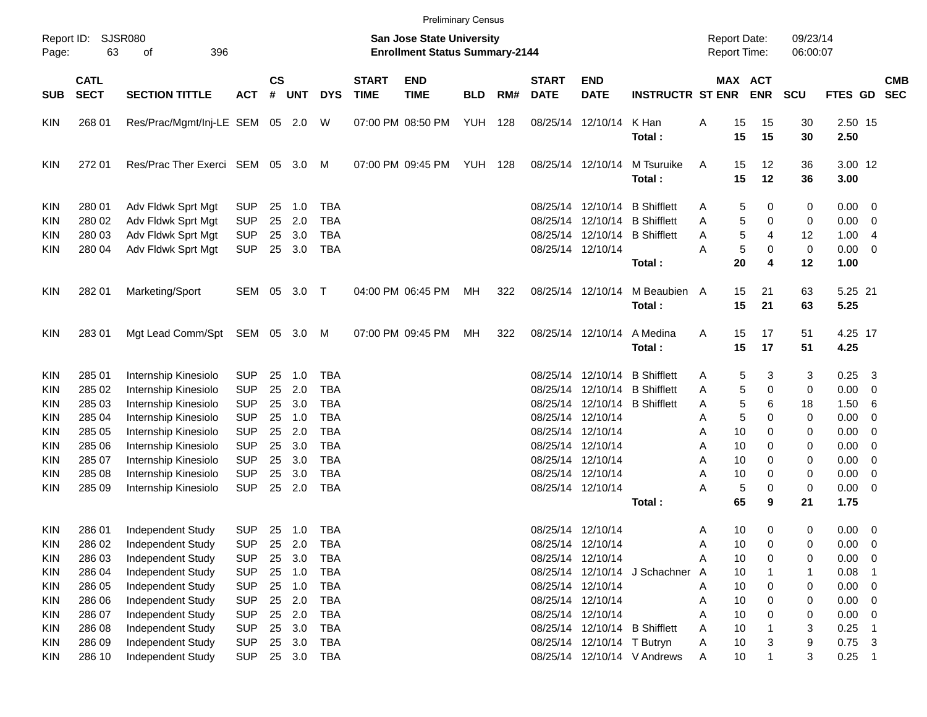|                     |                            |                                 |            |                    |            |            |                             |                                                                    | <b>Preliminary Census</b> |     |                             |                            |                               |                                     |                       |                      |                     |                            |                          |
|---------------------|----------------------------|---------------------------------|------------|--------------------|------------|------------|-----------------------------|--------------------------------------------------------------------|---------------------------|-----|-----------------------------|----------------------------|-------------------------------|-------------------------------------|-----------------------|----------------------|---------------------|----------------------------|--------------------------|
| Report ID:<br>Page: | 63                         | SJSR080<br>396<br>οf            |            |                    |            |            |                             | San Jose State University<br><b>Enrollment Status Summary-2144</b> |                           |     |                             |                            |                               | <b>Report Date:</b><br>Report Time: |                       | 09/23/14<br>06:00:07 |                     |                            |                          |
| <b>SUB</b>          | <b>CATL</b><br><b>SECT</b> | <b>SECTION TITTLE</b>           | <b>ACT</b> | $\mathsf{cs}$<br># | <b>UNT</b> | <b>DYS</b> | <b>START</b><br><b>TIME</b> | <b>END</b><br><b>TIME</b>                                          | <b>BLD</b>                | RM# | <b>START</b><br><b>DATE</b> | <b>END</b><br><b>DATE</b>  | <b>INSTRUCTR ST ENR</b>       |                                     | MAX ACT<br><b>ENR</b> | <b>SCU</b>           | FTES GD             |                            | <b>CMB</b><br><b>SEC</b> |
| <b>KIN</b>          | 268 01                     | Res/Prac/Mgmt/Inj-LE SEM 05 2.0 |            |                    |            | W          |                             | 07:00 PM 08:50 PM                                                  | YUH                       | 128 |                             | 08/25/14 12/10/14          | K Han<br>Total:               | Α                                   | 15<br>15<br>15<br>15  | 30<br>30             | 2.50 15<br>2.50     |                            |                          |
| <b>KIN</b>          | 272 01                     | Res/Prac Ther Exerci SEM 05 3.0 |            |                    |            | M          |                             | 07:00 PM 09:45 PM                                                  | YUH                       | 128 |                             | 08/25/14 12/10/14          | M Tsuruike<br>Total:          | A                                   | 15<br>12<br>15<br>12  | 36<br>36             | 3.00 12<br>3.00     |                            |                          |
| <b>KIN</b>          | 280 01                     | Adv Fldwk Sprt Mgt              | <b>SUP</b> | 25                 | 1.0        | <b>TBA</b> |                             |                                                                    |                           |     | 08/25/14                    | 12/10/14                   | <b>B</b> Shifflett            | A                                   | 5<br>0                | 0                    | $0.00 \t 0$         |                            |                          |
| <b>KIN</b>          | 280 02                     | Adv Fldwk Sprt Mgt              | <b>SUP</b> | 25                 | 2.0        | <b>TBA</b> |                             |                                                                    |                           |     | 08/25/14                    | 12/10/14                   | <b>B</b> Shifflett            | Α                                   | 5<br>0                | 0                    | 0.00                | $\overline{\phantom{0}}$   |                          |
| KIN                 | 280 03                     | Adv Fldwk Sprt Mgt              | <b>SUP</b> | 25                 | 3.0        | <b>TBA</b> |                             |                                                                    |                           |     |                             | 08/25/14 12/10/14          | <b>B</b> Shifflett            | Α                                   | 5<br>4                | 12                   | 1.00                | $\overline{4}$             |                          |
| KIN                 | 280 04                     | Adv Fldwk Sprt Mgt              | <b>SUP</b> | 25                 | 3.0        | <b>TBA</b> |                             |                                                                    |                           |     |                             | 08/25/14 12/10/14          | Total:                        | A                                   | 5<br>0<br>20<br>4     | $\pmb{0}$<br>12      | $0.00 \t 0$<br>1.00 |                            |                          |
| <b>KIN</b>          | 282 01                     | Marketing/Sport                 | SEM 05     |                    | 3.0        | $\top$     |                             | 04:00 PM 06:45 PM                                                  | МH                        | 322 |                             | 08/25/14 12/10/14          | M Beaubien A<br>Total:        |                                     | 15<br>21<br>15<br>21  | 63<br>63             | 5.25 21<br>5.25     |                            |                          |
| <b>KIN</b>          | 28301                      | Mgt Lead Comm/Spt SEM 05 3.0 M  |            |                    |            |            |                             | 07:00 PM 09:45 PM                                                  | МH                        | 322 |                             | 08/25/14 12/10/14          | A Medina<br>Total:            | Α                                   | 15<br>17<br>15<br>17  | 51<br>51             | 4.25 17<br>4.25     |                            |                          |
| <b>KIN</b>          | 285 01                     | Internship Kinesiolo            | <b>SUP</b> | 25                 | 1.0        | <b>TBA</b> |                             |                                                                    |                           |     | 08/25/14                    | 12/10/14                   | <b>B</b> Shifflett            | Α                                   | 5<br>3                | 3                    | 0.25                | $\overline{\mathbf{3}}$    |                          |
| <b>KIN</b>          | 285 02                     | Internship Kinesiolo            | <b>SUP</b> | 25                 | 2.0        | <b>TBA</b> |                             |                                                                    |                           |     | 08/25/14                    | 12/10/14                   | <b>B</b> Shifflett            | Α                                   | 5<br>0                | 0                    | $0.00 \t 0$         |                            |                          |
| <b>KIN</b>          | 285 03                     | Internship Kinesiolo            | <b>SUP</b> | 25                 | 3.0        | <b>TBA</b> |                             |                                                                    |                           |     | 08/25/14                    | 12/10/14                   | <b>B</b> Shifflett            | Α                                   | 5<br>6                | 18                   | 1.506               |                            |                          |
| <b>KIN</b>          | 285 04                     | Internship Kinesiolo            | <b>SUP</b> | 25                 | 1.0        | <b>TBA</b> |                             |                                                                    |                           |     |                             | 08/25/14 12/10/14          |                               | Α                                   | 5<br>0                | 0                    | 0.00                | $\overline{\mathbf{0}}$    |                          |
| <b>KIN</b>          | 285 05                     | Internship Kinesiolo            | <b>SUP</b> | 25                 | 2.0        | <b>TBA</b> |                             |                                                                    |                           |     |                             | 08/25/14 12/10/14          |                               | Α                                   | 10<br>$\Omega$        | 0                    | 0.00                | $\overline{\phantom{0}}$   |                          |
| <b>KIN</b>          | 285 06                     | Internship Kinesiolo            | <b>SUP</b> | 25                 | 3.0        | <b>TBA</b> |                             |                                                                    |                           |     |                             | 08/25/14 12/10/14          |                               | Α                                   | 10<br>$\Omega$        | 0                    | 0.00                | $\overline{\phantom{0}}$   |                          |
| <b>KIN</b>          | 285 07                     | Internship Kinesiolo            | <b>SUP</b> | 25                 | 3.0        | <b>TBA</b> |                             |                                                                    |                           |     |                             | 08/25/14 12/10/14          |                               | Α                                   | 10<br>$\Omega$        | 0                    | 0.00                | $\overline{\phantom{0}}$   |                          |
| KIN                 | 285 08                     | Internship Kinesiolo            | <b>SUP</b> | 25                 | 3.0        | <b>TBA</b> |                             |                                                                    |                           |     |                             | 08/25/14 12/10/14          |                               | Α                                   | 10<br>0               | 0                    | 0.00                | $\overline{\phantom{0}}$   |                          |
| KIN                 | 285 09                     | Internship Kinesiolo            | <b>SUP</b> | 25                 | 2.0        | <b>TBA</b> |                             |                                                                    |                           |     |                             | 08/25/14 12/10/14          | Total:                        | Α                                   | 5<br>0<br>65<br>9     | 0<br>21              | $0.00 \t 0$<br>1.75 |                            |                          |
| <b>KIN</b>          | 286 01                     | <b>Independent Study</b>        | <b>SUP</b> |                    | 25 1.0     | TBA        |                             |                                                                    |                           |     |                             | 08/25/14 12/10/14          |                               | A                                   | 10<br>0               | 0                    | $0.00 \t 0$         |                            |                          |
| <b>KIN</b>          | 286 02                     | Independent Study               | <b>SUP</b> | 25                 | 2.0        | <b>TBA</b> |                             |                                                                    |                           |     |                             | 08/25/14 12/10/14          |                               | Α                                   | 10<br>0               | 0                    | 0.00                | $\overline{\mathbf{0}}$    |                          |
| <b>KIN</b>          | 286 03                     | Independent Study               | <b>SUP</b> | 25                 | 3.0        | <b>TBA</b> |                             |                                                                    |                           |     |                             | 08/25/14 12/10/14          |                               | Α                                   | 10<br>0               | 0                    | 0.00                | $\overline{\phantom{0}}$   |                          |
| <b>KIN</b>          | 286 04                     | Independent Study               | <b>SUP</b> | 25                 | 1.0        | <b>TBA</b> |                             |                                                                    |                           |     |                             |                            | 08/25/14 12/10/14 J Schachner | A                                   | 10                    | 1                    | 0.08                |                            |                          |
| <b>KIN</b>          | 286 05                     | Independent Study               | <b>SUP</b> | 25                 | 1.0        | <b>TBA</b> |                             |                                                                    |                           |     |                             | 08/25/14 12/10/14          |                               | Α                                   | 10<br>0               | 0                    | $0.00 \t 0$         |                            |                          |
| <b>KIN</b>          | 286 06                     | Independent Study               | <b>SUP</b> | 25                 | 2.0        | <b>TBA</b> |                             |                                                                    |                           |     |                             | 08/25/14 12/10/14          |                               | Α                                   | 10<br>0               | 0                    | $0.00 \t 0$         |                            |                          |
| <b>KIN</b>          | 286 07                     | Independent Study               | <b>SUP</b> | 25                 | 2.0        | <b>TBA</b> |                             |                                                                    |                           |     |                             | 08/25/14 12/10/14          |                               | Α                                   | 10<br>0               | 0                    | 0.00                | $\overline{\phantom{0}}$   |                          |
| <b>KIN</b>          | 286 08                     | Independent Study               | <b>SUP</b> | 25                 | 3.0        | <b>TBA</b> |                             |                                                                    |                           |     |                             |                            | 08/25/14 12/10/14 B Shifflett | Α                                   | $10$                  | 3                    | 0.25                | - 1                        |                          |
| <b>KIN</b>          | 286 09                     | Independent Study               | <b>SUP</b> | 25                 | 3.0        | <b>TBA</b> |                             |                                                                    |                           |     |                             | 08/25/14 12/10/14 T Butryn |                               | Α                                   | 10<br>3               | 9                    | $0.75$ 3            |                            |                          |
| KIN                 | 286 10                     | Independent Study               | <b>SUP</b> |                    | 25 3.0     | <b>TBA</b> |                             |                                                                    |                           |     |                             |                            | 08/25/14 12/10/14 V Andrews   | Α                                   | 10<br>$\mathbf{1}$    | 3                    | 0.25                | $\overline{\phantom{0}}$ 1 |                          |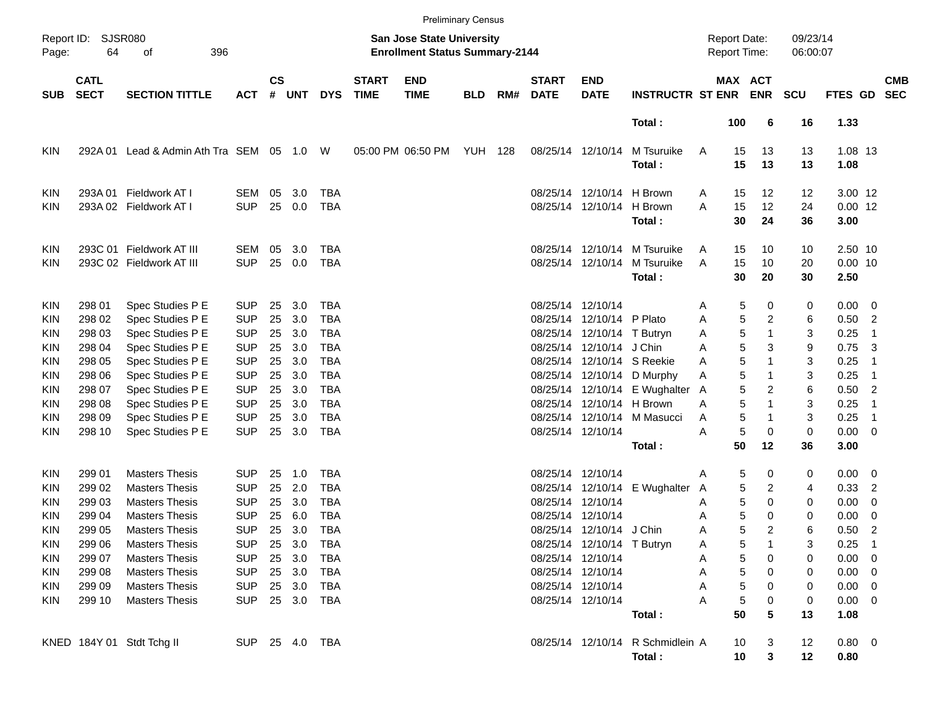|                     |                            |                                   |                |               |            |            |                             |                                                                           | <b>Preliminary Census</b> |     |                             |                            |                                  |   |                                     |             |                      |                 |                            |            |
|---------------------|----------------------------|-----------------------------------|----------------|---------------|------------|------------|-----------------------------|---------------------------------------------------------------------------|---------------------------|-----|-----------------------------|----------------------------|----------------------------------|---|-------------------------------------|-------------|----------------------|-----------------|----------------------------|------------|
| Report ID:<br>Page: | 64                         | SJSR080<br>396<br>оf              |                |               |            |            |                             | <b>San Jose State University</b><br><b>Enrollment Status Summary-2144</b> |                           |     |                             |                            |                                  |   | <b>Report Date:</b><br>Report Time: |             | 09/23/14<br>06:00:07 |                 |                            |            |
| <b>SUB</b>          | <b>CATL</b><br><b>SECT</b> | <b>SECTION TITTLE</b>             | <b>ACT</b>     | $\mathsf{cs}$ | # UNT      | <b>DYS</b> | <b>START</b><br><b>TIME</b> | <b>END</b><br><b>TIME</b>                                                 | <b>BLD</b>                | RM# | <b>START</b><br><b>DATE</b> | <b>END</b><br><b>DATE</b>  | <b>INSTRUCTR ST ENR</b>          |   | <b>MAX ACT</b>                      | <b>ENR</b>  | <b>SCU</b>           | FTES GD SEC     |                            | <b>CMB</b> |
|                     |                            |                                   |                |               |            |            |                             |                                                                           |                           |     |                             |                            | Total:                           |   | 100                                 | 6           | 16                   | 1.33            |                            |            |
| KIN                 | 292A 01                    | Lead & Admin Ath Tra SEM 05 1.0 W |                |               |            |            |                             | 05:00 PM 06:50 PM YUH 128                                                 |                           |     |                             | 08/25/14 12/10/14          | M Tsuruike<br>Total:             | A | 15<br>15                            | 13<br>13    | 13<br>13             | 1.08 13<br>1.08 |                            |            |
| KIN                 | 293A 01                    | Fieldwork AT I                    | SEM            | 05            | 3.0        | <b>TBA</b> |                             |                                                                           |                           |     | 08/25/14                    | 12/10/14 H Brown           |                                  | A | 15                                  | 12          | 12                   | 3.00 12         |                            |            |
| <b>KIN</b>          |                            | 293A 02 Fieldwork AT I            | <b>SUP</b>     | 25            | 0.0        | <b>TBA</b> |                             |                                                                           |                           |     |                             | 08/25/14 12/10/14 H Brown  |                                  | Α | 15                                  | 12          | 24                   | $0.00$ 12       |                            |            |
|                     |                            |                                   |                |               |            |            |                             |                                                                           |                           |     |                             |                            | Total:                           |   | 30                                  | 24          | 36                   | 3.00            |                            |            |
| KIN                 |                            | 293C 01 Fieldwork AT III          | SEM            | 05            | 3.0        | <b>TBA</b> |                             |                                                                           |                           |     | 08/25/14                    |                            | 12/10/14 M Tsuruike              | A | 15                                  | 10          | 10                   | 2.50 10         |                            |            |
| <b>KIN</b>          |                            | 293C 02 Fieldwork AT III          | <b>SUP</b>     | 25            | 0.0        | <b>TBA</b> |                             |                                                                           |                           |     | 08/25/14                    |                            | 12/10/14 M Tsuruike              | A | 15                                  | 10          | 20                   | $0.00$ 10       |                            |            |
|                     |                            |                                   |                |               |            |            |                             |                                                                           |                           |     |                             |                            | Total:                           |   | 30                                  | 20          | 30                   | 2.50            |                            |            |
| KIN                 | 298 01                     | Spec Studies P E                  | <b>SUP</b>     | 25            | 3.0        | <b>TBA</b> |                             |                                                                           |                           |     | 08/25/14                    | 12/10/14                   |                                  | Α | 5                                   | 0           | 0                    | $0.00 \quad 0$  |                            |            |
| KIN                 | 298 02                     | Spec Studies P E                  | <b>SUP</b>     | 25            | 3.0        | <b>TBA</b> |                             |                                                                           |                           |     | 08/25/14                    | 12/10/14 P Plato           |                                  | A | 5                                   | 2           | 6                    | 0.50            | $\overline{2}$             |            |
| KIN                 | 298 03                     | Spec Studies P E                  | <b>SUP</b>     | 25            | 3.0        | <b>TBA</b> |                             |                                                                           |                           |     | 08/25/14                    | 12/10/14 T Butryn          |                                  | Α | 5                                   | $\mathbf 1$ | 3                    | 0.25            | -1                         |            |
| KIN                 | 298 04                     | Spec Studies P E                  | <b>SUP</b>     | 25            | 3.0        | <b>TBA</b> |                             |                                                                           |                           |     | 08/25/14                    | 12/10/14 J Chin            |                                  | A | 5                                   | 3           | 9                    | 0.75            | -3                         |            |
| KIN                 | 298 05                     | Spec Studies P E                  | <b>SUP</b>     | 25            | 3.0        | <b>TBA</b> |                             |                                                                           |                           |     | 08/25/14                    |                            | 12/10/14 S Reekie                | A | 5                                   | 1           | 3                    | 0.25            | -1                         |            |
| KIN                 | 298 06                     | Spec Studies P E                  | <b>SUP</b>     | 25            | 3.0        | <b>TBA</b> |                             |                                                                           |                           |     | 08/25/14                    |                            | 12/10/14 D Murphy                | Α | 5                                   | $\mathbf 1$ | 3                    | 0.25            | - 1                        |            |
| KIN                 | 298 07                     | Spec Studies P E                  | <b>SUP</b>     | 25            | 3.0        | <b>TBA</b> |                             |                                                                           |                           |     | 08/25/14                    |                            | 12/10/14 E Wughalter             | A | 5                                   | 2           | 6                    | 0.50            | $\overline{2}$             |            |
| KIN                 | 298 08                     | Spec Studies P E                  | <b>SUP</b>     | 25            | 3.0        | <b>TBA</b> |                             |                                                                           |                           |     | 08/25/14                    | 12/10/14 H Brown           |                                  | A | 5                                   | 1           | 3                    | 0.25            | -1                         |            |
| KIN                 | 298 09                     | Spec Studies P E                  | <b>SUP</b>     | 25            | 3.0        | <b>TBA</b> |                             |                                                                           |                           |     | 08/25/14                    |                            | 12/10/14 M Masucci               | Α | 5                                   | $\mathbf 1$ | 3                    | 0.25            | $\overline{\phantom{0}}$ 1 |            |
| <b>KIN</b>          | 298 10                     | Spec Studies P E                  | <b>SUP</b>     | 25            | 3.0        | <b>TBA</b> |                             |                                                                           |                           |     |                             | 08/25/14 12/10/14          |                                  | A | 5                                   | 0           | $\pmb{0}$            | 0.00            | $\overline{\phantom{0}}$   |            |
|                     |                            |                                   |                |               |            |            |                             |                                                                           |                           |     |                             |                            | Total:                           |   | 50                                  | 12          | 36                   | 3.00            |                            |            |
| KIN                 | 299 01                     | <b>Masters Thesis</b>             | <b>SUP</b>     | 25            | 1.0        | <b>TBA</b> |                             |                                                                           |                           |     | 08/25/14                    | 12/10/14                   |                                  | Α | 5                                   | 0           | 0                    | $0.00 \t 0$     |                            |            |
| KIN                 | 299 02                     | <b>Masters Thesis</b>             | <b>SUP</b>     | 25            | 2.0        | <b>TBA</b> |                             |                                                                           |                           |     | 08/25/14                    | 12/10/14                   | E Wughalter                      | A | 5                                   | 2           | 4                    | 0.33            | 2                          |            |
| KIN                 | 299 03                     | <b>Masters Thesis</b>             | <b>SUP</b>     | 25            | 3.0        | <b>TBA</b> |                             |                                                                           |                           |     |                             | 08/25/14 12/10/14          |                                  | Α | 5                                   | 0           | 0                    | 0.00            | 0                          |            |
| KIN                 | 299 04                     | <b>Masters Thesis</b>             | <b>SUP</b>     | 25            | 6.0        | <b>TBA</b> |                             |                                                                           |                           |     | 08/25/14                    | 12/10/14                   |                                  | Α | 5                                   | 0           | 0                    | 0.00            | 0                          |            |
| KIN                 | 299 05                     | <b>Masters Thesis</b>             | <b>SUP</b>     | 25            | 3.0        | <b>TBA</b> |                             |                                                                           |                           |     |                             | 08/25/14 12/10/14 J Chin   |                                  | A | 5                                   | 2           | 6                    | 0.50            | $\overline{c}$             |            |
| KIN                 | 299 06                     | <b>Masters Thesis</b>             | <b>SUP</b>     |               | 25 3.0     | TBA        |                             |                                                                           |                           |     |                             | 08/25/14 12/10/14 T Butryn |                                  | A | 5                                   | $\mathbf 1$ | 3                    | 0.25            | $\overline{\phantom{0}}$ 1 |            |
| KIN                 | 299 07                     | <b>Masters Thesis</b>             | <b>SUP</b>     |               | 25 3.0     | TBA        |                             |                                                                           |                           |     |                             | 08/25/14 12/10/14          |                                  | A | 5                                   | 0           | 0                    | 0.00 0          |                            |            |
| KIN                 | 299 08                     | <b>Masters Thesis</b>             | <b>SUP</b>     |               | 25 3.0     | TBA        |                             |                                                                           |                           |     |                             | 08/25/14 12/10/14          |                                  | Α | 5                                   | 0           | 0                    | $0.00 \t 0$     |                            |            |
| KIN                 | 299 09                     | <b>Masters Thesis</b>             | <b>SUP</b>     |               | 25 3.0     | TBA        |                             |                                                                           |                           |     |                             | 08/25/14 12/10/14          |                                  | Α | 5                                   | 0           | 0                    | $0.00 \t 0$     |                            |            |
| KIN                 | 299 10                     | <b>Masters Thesis</b>             | <b>SUP</b>     |               | 25 3.0 TBA |            |                             |                                                                           |                           |     |                             | 08/25/14 12/10/14          |                                  |   | 5                                   | 0           | 0                    | $0.00 \ 0$      |                            |            |
|                     |                            |                                   |                |               |            |            |                             |                                                                           |                           |     |                             |                            | Total:                           |   | 50                                  | 5           | 13                   | 1.08            |                            |            |
|                     |                            | KNED 184Y 01 Stdt Tchg II         | SUP 25 4.0 TBA |               |            |            |                             |                                                                           |                           |     |                             |                            | 08/25/14 12/10/14 R Schmidlein A |   | 10                                  | 3           | 12                   | $0.80 \ 0$      |                            |            |
|                     |                            |                                   |                |               |            |            |                             |                                                                           |                           |     |                             |                            | Total:                           |   | 10                                  | 3           | 12                   | 0.80            |                            |            |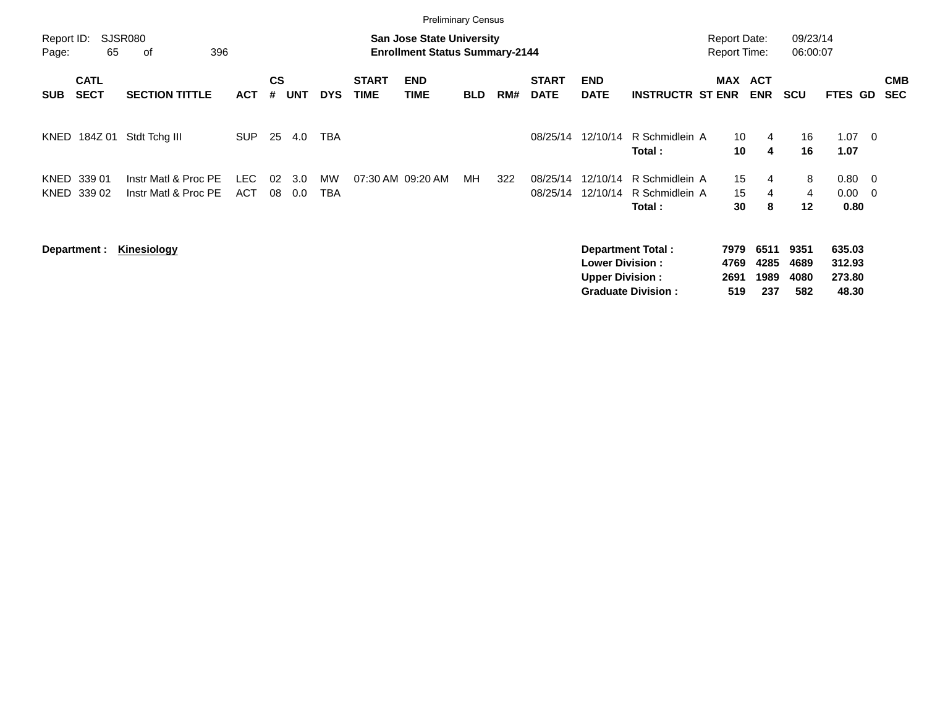|                     |                            |                                              |                    |                |            |                  |                             |                                                                           | <b>Preliminary Census</b> |     |                             |                                                  |                                                       |                                            |                             |                             |                                     |                         |                          |
|---------------------|----------------------------|----------------------------------------------|--------------------|----------------|------------|------------------|-----------------------------|---------------------------------------------------------------------------|---------------------------|-----|-----------------------------|--------------------------------------------------|-------------------------------------------------------|--------------------------------------------|-----------------------------|-----------------------------|-------------------------------------|-------------------------|--------------------------|
| Report ID:<br>Page: | 65                         | <b>SJSR080</b><br>396<br>οf                  |                    |                |            |                  |                             | <b>San Jose State University</b><br><b>Enrollment Status Summary-2144</b> |                           |     |                             |                                                  |                                                       | <b>Report Date:</b><br><b>Report Time:</b> |                             | 09/23/14<br>06:00:07        |                                     |                         |                          |
| <b>SUB</b>          | <b>CATL</b><br><b>SECT</b> | <b>SECTION TITTLE</b>                        | <b>ACT</b>         | <b>CS</b><br># | <b>UNT</b> | <b>DYS</b>       | <b>START</b><br><b>TIME</b> | <b>END</b><br><b>TIME</b>                                                 | <b>BLD</b>                | RM# | <b>START</b><br><b>DATE</b> | <b>END</b><br><b>DATE</b>                        | <b>INSTRUCTR ST ENR</b>                               | <b>MAX ACT</b>                             | <b>ENR</b>                  | <b>SCU</b>                  | FTES GD                             |                         | <b>CMB</b><br><b>SEC</b> |
| KNED                | 184Z 01                    | Stdt Tchg III                                | <b>SUP</b>         | 25             | 4.0        | TBA              |                             |                                                                           |                           |     | 08/25/14                    | 12/10/14                                         | R Schmidlein A<br>Total :                             | 10<br>10                                   | 4<br>4                      | 16<br>16                    | 1.07<br>1.07                        | $\overline{\mathbf{0}}$ |                          |
| KNED                | 339 01<br>KNED 339 02      | Instr Matl & Proc PE<br>Instr Matl & Proc PE | LEC.<br><b>ACT</b> | 02<br>08       | 3.0<br>0.0 | MW<br><b>TBA</b> |                             | 07:30 AM 09:20 AM                                                         | MН                        | 322 | 08/25/14<br>08/25/14        | 12/10/14<br>12/10/14                             | R Schmidlein A<br>R Schmidlein A<br>Total:            | 15<br>15<br>30                             | 4<br>4<br>8                 | 8<br>4<br>12                | 0.80<br>$0.00 \quad 0$<br>0.80      | $\overline{\mathbf{0}}$ |                          |
|                     | Department :               | Kinesiology                                  |                    |                |            |                  |                             |                                                                           |                           |     |                             | <b>Lower Division:</b><br><b>Upper Division:</b> | <b>Department Total:</b><br><b>Graduate Division:</b> | 7979<br>4769<br>2691<br>519                | 6511<br>4285<br>1989<br>237 | 9351<br>4689<br>4080<br>582 | 635.03<br>312.93<br>273.80<br>48.30 |                         |                          |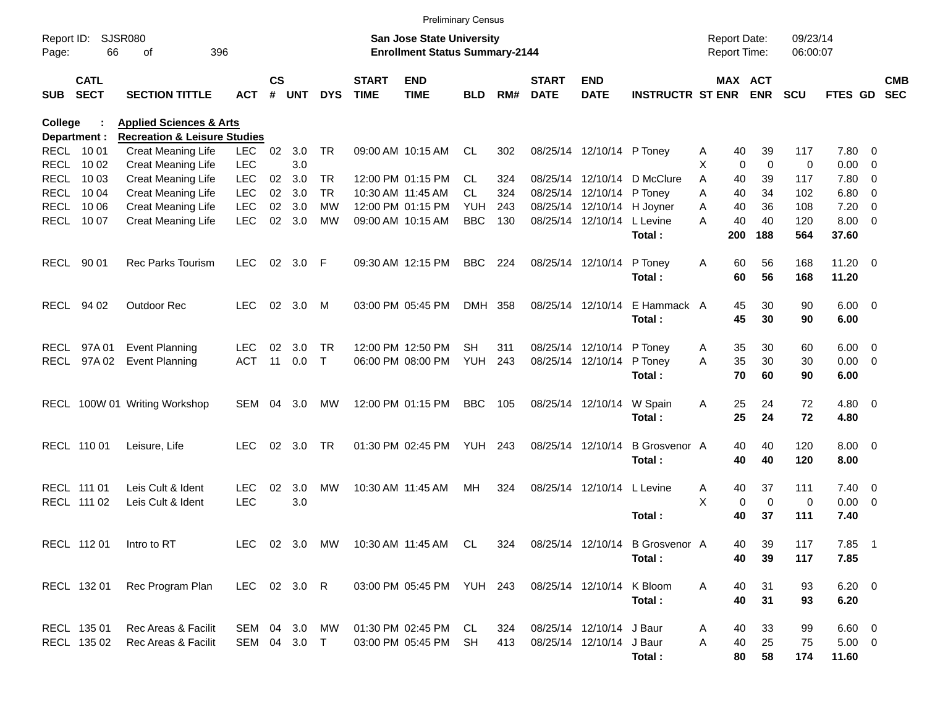|                     |                            |                                         |               |                    |            |               |                             |                                                                    | <b>Preliminary Census</b> |      |                             |                            |                                     |                                     |                            |                      |                        |                          |                          |
|---------------------|----------------------------|-----------------------------------------|---------------|--------------------|------------|---------------|-----------------------------|--------------------------------------------------------------------|---------------------------|------|-----------------------------|----------------------------|-------------------------------------|-------------------------------------|----------------------------|----------------------|------------------------|--------------------------|--------------------------|
| Report ID:<br>Page: | 66                         | <b>SJSR080</b><br>396<br>οf             |               |                    |            |               |                             | San Jose State University<br><b>Enrollment Status Summary-2144</b> |                           |      |                             |                            |                                     | <b>Report Date:</b><br>Report Time: |                            | 09/23/14<br>06:00:07 |                        |                          |                          |
| <b>SUB</b>          | <b>CATL</b><br><b>SECT</b> | <b>SECTION TITTLE</b>                   | <b>ACT</b>    | $\mathsf{cs}$<br># | <b>UNT</b> | <b>DYS</b>    | <b>START</b><br><b>TIME</b> | <b>END</b><br><b>TIME</b>                                          | <b>BLD</b>                | RM#  | <b>START</b><br><b>DATE</b> | <b>END</b><br><b>DATE</b>  | <b>INSTRUCTR ST ENR ENR</b>         |                                     | MAX ACT                    | <b>SCU</b>           | FTES GD                |                          | <b>CMB</b><br><b>SEC</b> |
| College             |                            | <b>Applied Sciences &amp; Arts</b>      |               |                    |            |               |                             |                                                                    |                           |      |                             |                            |                                     |                                     |                            |                      |                        |                          |                          |
|                     | Department :               | <b>Recreation &amp; Leisure Studies</b> |               |                    |            |               |                             |                                                                    |                           |      |                             |                            |                                     |                                     |                            |                      |                        |                          |                          |
|                     | RECL 1001                  | Creat Meaning Life                      | <b>LEC</b>    | 02                 | 3.0        | <b>TR</b>     |                             | 09:00 AM 10:15 AM                                                  | CL                        | 302  |                             | 08/25/14 12/10/14 P Toney  |                                     | 40<br>A                             | 39                         | 117                  | 7.80 0                 |                          |                          |
|                     | RECL 10 02                 | <b>Creat Meaning Life</b>               | <b>LEC</b>    |                    | 3.0        |               |                             |                                                                    |                           |      |                             |                            |                                     | X                                   | $\mathbf 0$<br>$\mathbf 0$ | 0                    | 0.00                   | $\overline{\phantom{0}}$ |                          |
| RECL                | 10 03                      | Creat Meaning Life                      | <b>LEC</b>    | 02                 | 3.0        | TR.           |                             | 12:00 PM 01:15 PM                                                  | <b>CL</b>                 | 324  |                             |                            | 08/25/14 12/10/14 D McClure         | A<br>40                             | 39                         | 117                  | 7.80 0                 |                          |                          |
| RECL                | 10 04                      | <b>Creat Meaning Life</b>               | <b>LEC</b>    | 02                 | 3.0        | <b>TR</b>     |                             | 10:30 AM 11:45 AM                                                  | <b>CL</b>                 | 324  |                             | 08/25/14 12/10/14 P Toney  |                                     | A<br>40                             | 34                         | 102                  | 6.80                   | $\overline{\phantom{0}}$ |                          |
|                     | <b>RECL 1006</b>           | Creat Meaning Life                      | <b>LEC</b>    | 02                 | 3.0        | <b>MW</b>     |                             | 12:00 PM 01:15 PM                                                  | <b>YUH</b>                | 243  |                             | 08/25/14 12/10/14 H Joyner |                                     | 40<br>A                             | 36                         | 108                  | 7.20                   | $\overline{\phantom{0}}$ |                          |
|                     | RECL 1007                  | Creat Meaning Life                      | <b>LEC</b>    | 02                 | 3.0        | МW            |                             | 09:00 AM 10:15 AM                                                  | <b>BBC</b>                | 130  |                             | 08/25/14 12/10/14 L Levine | Total:                              | 40<br>A<br>200                      | 40<br>188                  | 120<br>564           | $8.00 \t 0$<br>37.60   |                          |                          |
|                     | RECL 90 01                 | Rec Parks Tourism                       | <b>LEC</b>    |                    | 02 3.0     | -F            |                             | 09:30 AM 12:15 PM                                                  | <b>BBC</b>                | 224  |                             | 08/25/14 12/10/14          | P Toney<br>Total:                   | Α<br>60<br>60                       | 56<br>56                   | 168<br>168           | $11.20 \t 0$<br>11.20  |                          |                          |
|                     | RECL 94 02                 | Outdoor Rec                             | <b>LEC</b>    |                    | 02 3.0     | M             |                             | 03:00 PM 05:45 PM                                                  | DMH 358                   |      |                             | 08/25/14 12/10/14          | E Hammack A<br>Total:               | 45<br>45                            | 30<br>30                   | 90<br>90             | $6.00 \quad 0$<br>6.00 |                          |                          |
|                     | RECL 97A01                 | <b>Event Planning</b>                   | <b>LEC</b>    | 02                 | 3.0        | <b>TR</b>     |                             | 12:00 PM 12:50 PM                                                  | SН                        | 311  |                             | 08/25/14 12/10/14 P Toney  |                                     | 35<br>A                             | 30                         | 60                   | $6.00 \quad 0$         |                          |                          |
|                     | RECL 97A02                 | <b>Event Planning</b>                   | <b>ACT</b>    | 11                 | 0.0        | $\top$        |                             | 06:00 PM 08:00 PM                                                  | YUH                       | 243  |                             | 08/25/14 12/10/14 P Toney  |                                     | A<br>35                             | 30                         | 30                   | $0.00 \t 0$            |                          |                          |
|                     |                            |                                         |               |                    |            |               |                             |                                                                    |                           |      |                             |                            | Total:                              | 70                                  | 60                         | 90                   | 6.00                   |                          |                          |
|                     |                            | RECL 100W 01 Writing Workshop           | SEM           | 04                 | 3.0        | МW            |                             | 12:00 PM 01:15 PM                                                  | <b>BBC</b>                | 105  |                             | 08/25/14 12/10/14          | W Spain                             | Α<br>25                             | 24                         | 72                   | $4.80$ 0               |                          |                          |
|                     |                            |                                         |               |                    |            |               |                             |                                                                    |                           |      |                             |                            | Total:                              | 25                                  | 24                         | 72                   | 4.80                   |                          |                          |
|                     | RECL 110 01                | Leisure, Life                           | <b>LEC</b>    | 02                 | 3.0        | <b>TR</b>     |                             | 01:30 PM 02:45 PM                                                  | YUH                       | -243 |                             | 08/25/14 12/10/14          | <b>B</b> Grosvenor A<br>Total:      | 40<br>40                            | 40<br>40                   | 120<br>120           | $8.00 \t 0$<br>8.00    |                          |                          |
|                     | RECL 111 01                | Leis Cult & Ident                       | <b>LEC</b>    | 02                 | 3.0        | MW            |                             | 10:30 AM 11:45 AM                                                  | MН                        | 324  |                             | 08/25/14 12/10/14 L Levine |                                     | 40<br>A                             | 37                         | 111                  | $7.40 \quad 0$         |                          |                          |
|                     | RECL 111 02                | Leis Cult & Ident                       | <b>LEC</b>    |                    | 3.0        |               |                             |                                                                    |                           |      |                             |                            |                                     | X                                   | $\mathbf 0$<br>0           | 0                    | $0.00 \t 0$            |                          |                          |
|                     |                            |                                         |               |                    |            |               |                             |                                                                    |                           |      |                             |                            | Total:                              | 40                                  | 37                         | 111                  | 7.40                   |                          |                          |
|                     | RECL 112 01                | Intro to RT                             |               |                    |            | LEC 02 3.0 MW |                             | 10:30 AM_11:45 AM  CL                                              |                           |      |                             |                            | 324 08/25/14 12/10/14 B Grosvenor A | 40                                  | 39                         | 117                  | $7.85$ 1               |                          |                          |
|                     |                            |                                         |               |                    |            |               |                             |                                                                    |                           |      |                             |                            | Total:                              | 40                                  | 39                         | 117                  | 7.85                   |                          |                          |
|                     | RECL 132 01                | Rec Program Plan                        | LEC 02 3.0 R  |                    |            |               |                             | 03:00 PM 05:45 PM YUH 243                                          |                           |      |                             | 08/25/14 12/10/14 K Bloom  |                                     | 40<br>A                             | 31                         | 93                   | $6.20 \quad 0$         |                          |                          |
|                     |                            |                                         |               |                    |            |               |                             |                                                                    |                           |      |                             |                            | Total:                              | 40                                  | 31                         | 93                   | 6.20                   |                          |                          |
|                     | RECL 135 01                | Rec Areas & Facilit                     | SEM 04 3.0 MW |                    |            |               |                             | 01:30 PM 02:45 PM CL                                               |                           | 324  |                             | 08/25/14 12/10/14 J Baur   |                                     | 40<br>A                             | 33                         | 99                   | $6.60$ 0               |                          |                          |
|                     | RECL 135 02                | Rec Areas & Facilit                     | SEM 04 3.0 T  |                    |            |               |                             | 03:00 PM 05:45 PM                                                  | SH                        | 413  |                             | 08/25/14 12/10/14 J Baur   |                                     | Α<br>40                             | 25                         | 75                   | $5.00 \t 0$            |                          |                          |
|                     |                            |                                         |               |                    |            |               |                             |                                                                    |                           |      |                             |                            | Total:                              | 80                                  | 58                         | 174                  | 11.60                  |                          |                          |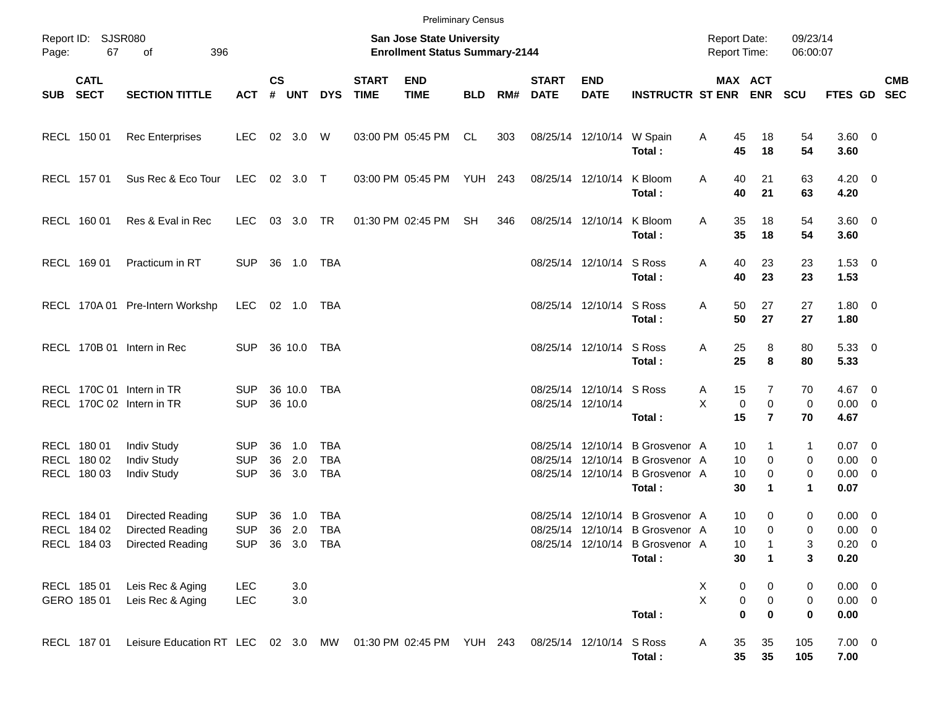| Page:    | Report ID: SJSR080<br>67                  | 396<br>of                                                      |                                        |                    |                    |                                        |                             | <b>San Jose State University</b><br><b>Enrollment Status Summary-2144</b> |                |     |                          |                           |                                                                                                                 |        | <b>Report Date:</b>     | <b>Report Time:</b>                             | 09/23/14<br>06:00:07        |                                                  |            |
|----------|-------------------------------------------|----------------------------------------------------------------|----------------------------------------|--------------------|--------------------|----------------------------------------|-----------------------------|---------------------------------------------------------------------------|----------------|-----|--------------------------|---------------------------|-----------------------------------------------------------------------------------------------------------------|--------|-------------------------|-------------------------------------------------|-----------------------------|--------------------------------------------------|------------|
| SUB SECT | <b>CATL</b>                               | <b>SECTION TITTLE</b>                                          | ACT # UNT                              | <b>CS</b>          |                    | <b>DYS</b>                             | <b>START</b><br><b>TIME</b> | <b>END</b><br><b>TIME</b>                                                 | <b>BLD</b>     |     | <b>START</b><br>RM# DATE | <b>END</b><br><b>DATE</b> | <b>INSTRUCTR ST ENR ENR</b>                                                                                     |        |                         | MAX ACT                                         | <b>SCU</b>                  | FTES GD SEC                                      | <b>CMB</b> |
|          | RECL 150 01                               | <b>Rec Enterprises</b>                                         | LEC.                                   |                    | 02 3.0 W           |                                        |                             | 03:00 PM 05:45 PM                                                         | CL             | 303 |                          | 08/25/14 12/10/14 W Spain | Total:                                                                                                          | Α      | 45<br>45                | 18<br>18                                        | 54<br>54                    | $3.60 \ 0$<br>3.60                               |            |
|          | RECL 157 01                               | Sus Rec & Eco Tour                                             | LEC                                    |                    | 02 3.0 T           |                                        |                             | 03:00 PM 05:45 PM                                                         | <b>YUH 243</b> |     | 08/25/14 12/10/14        |                           | K Bloom<br>Total:                                                                                               | A      | 40<br>40                | 21<br>21                                        | 63<br>63                    | $4.20 \ 0$<br>4.20                               |            |
|          | RECL 160 01                               | Res & Eval in Rec                                              | LEC.                                   |                    | 03 3.0 TR          |                                        |                             | 01:30 PM 02:45 PM                                                         | SH             | 346 | 08/25/14 12/10/14        |                           | K Bloom<br>Total:                                                                                               | A      | 35<br>35                | 18<br>18                                        | 54<br>54                    | $3.60 \ 0$<br>3.60                               |            |
|          | RECL 169 01                               | Practicum in RT                                                | <b>SUP</b>                             |                    |                    |                                        |                             |                                                                           |                |     |                          | 08/25/14 12/10/14         | S Ross<br>Total:                                                                                                | Α      | 40<br>40                | 23<br>23                                        | 23<br>23                    | $1.53 \t 0$<br>1.53                              |            |
|          |                                           | RECL 170A 01 Pre-Intern Workshp                                | LEC.                                   |                    |                    | 02  1.0  TBA                           |                             |                                                                           |                |     |                          | 08/25/14 12/10/14 S Ross  | Total:                                                                                                          | Α      | 50<br>50                | 27<br>27                                        | 27<br>27                    | $1.80 \ 0$<br>1.80                               |            |
|          |                                           | RECL 170B 01 Intern in Rec                                     | SUP 36 10.0 TBA                        |                    |                    |                                        |                             |                                                                           |                |     |                          | 08/25/14 12/10/14 S Ross  | Total:                                                                                                          | Α      | 25<br>25                | 8<br>8                                          | 80<br>80                    | 5.33 0<br>5.33                                   |            |
|          |                                           | RECL 170C 01 Intern in TR<br>RECL 170C 02 Intern in TR         | <b>SUP</b><br><b>SUP</b>               | 36 10.0            | 36 10.0            | TBA                                    |                             |                                                                           |                |     | 08/25/14 12/10/14        | 08/25/14 12/10/14 S Ross  | Total:                                                                                                          | Α<br>X | 15<br>$\mathbf 0$<br>15 | $\overline{7}$<br>$\mathbf 0$<br>$\overline{7}$ | 70<br>$\mathbf 0$<br>70     | $4.67$ 0<br>$0.00 \t 0$<br>4.67                  |            |
|          | RECL 180 01<br>RECL 180 02<br>RECL 180 03 | <b>Indiv Study</b><br><b>Indiv Study</b><br><b>Indiv Study</b> | <b>SUP</b><br><b>SUP</b><br><b>SUP</b> | 36<br>36<br>36 3.0 | 1.0<br>2.0         | <b>TBA</b><br><b>TBA</b><br><b>TBA</b> |                             |                                                                           |                |     |                          |                           | 08/25/14 12/10/14 B Grosvenor A<br>08/25/14 12/10/14 B Grosvenor A<br>08/25/14 12/10/14 B Grosvenor A<br>Total: |        | 10<br>10<br>10<br>30    | 1<br>$\mathbf 0$<br>0<br>$\mathbf 1$            | $\mathbf{1}$<br>0<br>0<br>1 | $0.07$ 0<br>$0.00 \t 0$<br>$0.00 \t 0$<br>0.07   |            |
|          | RECL 184 01<br>RECL 184 02<br>RECL 184 03 | Directed Reading<br>Directed Reading<br>Directed Reading       | <b>SUP</b><br><b>SUP</b><br><b>SUP</b> | 36<br>36<br>36 3.0 | 1.0<br>2.0         | <b>TBA</b><br><b>TBA</b><br><b>TBA</b> |                             |                                                                           |                |     |                          |                           | 08/25/14 12/10/14 B Grosvenor A<br>08/25/14 12/10/14 B Grosvenor A<br>08/25/14 12/10/14 B Grosvenor A<br>Total: |        | 10<br>10<br>10<br>30    | 0<br>$\mathbf 0$<br>$\mathbf{1}$<br>1           | 0<br>0<br>3<br>3            | $0.00 \t 0$<br>$0.00 \t 0$<br>$0.20 \ 0$<br>0.20 |            |
|          | RECL 185 01<br>GERO 185 01                | Leis Rec & Aging<br>Leis Rec & Aging                           | <b>LEC</b><br>LEC                      |                    | $3.0\,$<br>$3.0\,$ |                                        |                             |                                                                           |                |     |                          |                           | Total:                                                                                                          | X<br>X | 0<br>0<br>$\mathbf 0$   | 0<br>$\pmb{0}$<br>$\bf{0}$                      | 0<br>0<br>$\pmb{0}$         | $0.00 \t 0$<br>$0.00 \t 0$<br>0.00               |            |
|          | RECL 187 01                               | Leisure Education RT LEC 02 3.0 MW 01:30 PM 02:45 PM YUH 243   |                                        |                    |                    |                                        |                             |                                                                           |                |     | 08/25/14 12/10/14        |                           | S Ross<br>Total:                                                                                                | Α      | 35<br>$35\phantom{a}$   | 35<br>35                                        | 105<br>105                  | $7.00 \t 0$<br>7.00                              |            |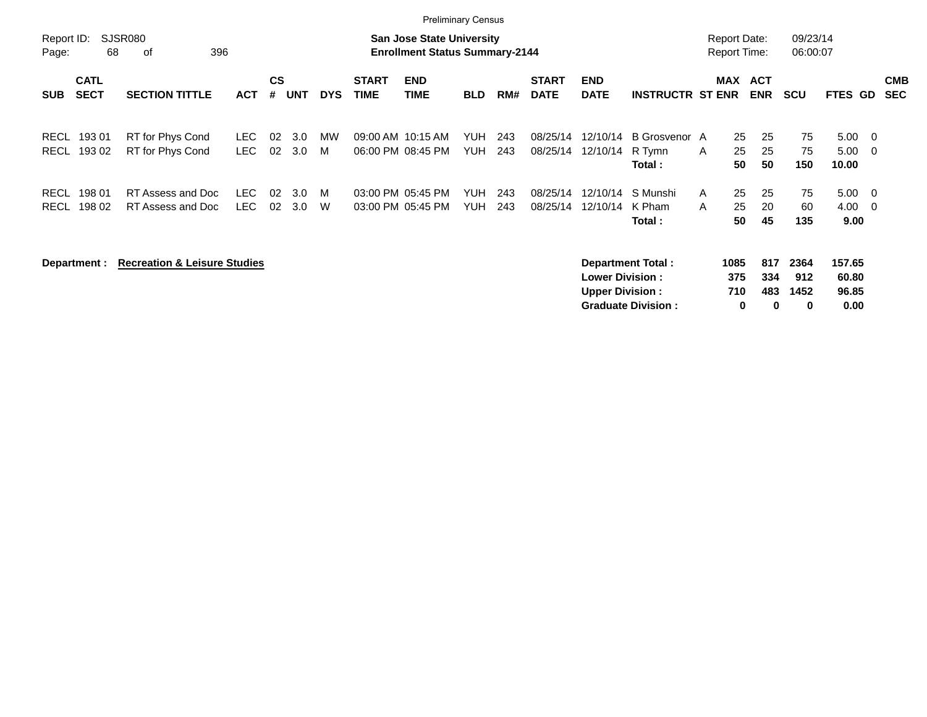|                            |                            |                                         |              |          |            |            |                             | <b>Preliminary Census</b>                                                 |                          |            |                             |                                                  |                                                       |        |                                            |                          |                          |                                  |                                                      |                          |
|----------------------------|----------------------------|-----------------------------------------|--------------|----------|------------|------------|-----------------------------|---------------------------------------------------------------------------|--------------------------|------------|-----------------------------|--------------------------------------------------|-------------------------------------------------------|--------|--------------------------------------------|--------------------------|--------------------------|----------------------------------|------------------------------------------------------|--------------------------|
| Report ID:<br>Page:        | 68                         | <b>SJSR080</b><br>396<br>0f             |              |          |            |            |                             | <b>San Jose State University</b><br><b>Enrollment Status Summary-2144</b> |                          |            |                             |                                                  |                                                       |        | <b>Report Date:</b><br><b>Report Time:</b> |                          | 09/23/14<br>06:00:07     |                                  |                                                      |                          |
| <b>SUB</b>                 | <b>CATL</b><br><b>SECT</b> | <b>SECTION TITTLE</b>                   | <b>ACT</b>   | CS<br>#  | <b>UNT</b> | <b>DYS</b> | <b>START</b><br><b>TIME</b> | <b>END</b><br><b>TIME</b>                                                 | <b>BLD</b>               | RM#        | <b>START</b><br><b>DATE</b> | <b>END</b><br><b>DATE</b>                        | <b>INSTRUCTR ST ENR</b>                               |        | MAX                                        | <b>ACT</b><br><b>ENR</b> | <b>SCU</b>               | FTES GD                          |                                                      | <b>CMB</b><br><b>SEC</b> |
| <b>RECL</b><br><b>RECL</b> | 19301<br>19302             | RT for Phys Cond<br>RT for Phys Cond    | LEC.<br>LEC. | 02<br>02 | 3.0<br>3.0 | MW<br>M    | 09:00 AM 10:15 AM           | 06:00 PM 08:45 PM                                                         | <b>YUH</b><br><b>YUH</b> | 243<br>243 | 08/25/14<br>08/25/14        | 12/10/14<br>12/10/14                             | B Grosvenor A<br>R Tymn<br>Total :                    | A      | 25<br>25<br>50                             | 25<br>25<br>50           | 75<br>75<br>150          | 5.00<br>5.00<br>10.00            | $\overline{\phantom{0}}$<br>$\overline{\phantom{0}}$ |                          |
| <b>RECL</b><br><b>RECL</b> | 198 01<br>198 02           | RT Assess and Doc<br>RT Assess and Doc  | LEC.<br>LEC. | 02<br>02 | 3.0<br>3.0 | M<br>W     |                             | 03:00 PM 05:45 PM<br>03:00 PM 05:45 PM                                    | <b>YUH</b><br><b>YUH</b> | 243<br>243 | 08/25/14<br>08/25/14        | 12/10/14<br>12/10/14                             | S Munshi<br>K Pham<br>Total:                          | A<br>A | 25<br>25<br>50                             | 25<br>20<br>45           | 75<br>60<br>135          | 5.00<br>4.00<br>9.00             | $\overline{\phantom{0}}$<br>$\overline{\phantom{0}}$ |                          |
|                            | Department :               | <b>Recreation &amp; Leisure Studies</b> |              |          |            |            |                             |                                                                           |                          |            |                             | <b>Lower Division:</b><br><b>Upper Division:</b> | <b>Department Total:</b><br><b>Graduate Division:</b> |        | 1085<br>375<br>710<br>0                    | 817<br>334<br>483<br>0   | 2364<br>912<br>1452<br>0 | 157.65<br>60.80<br>96.85<br>0.00 |                                                      |                          |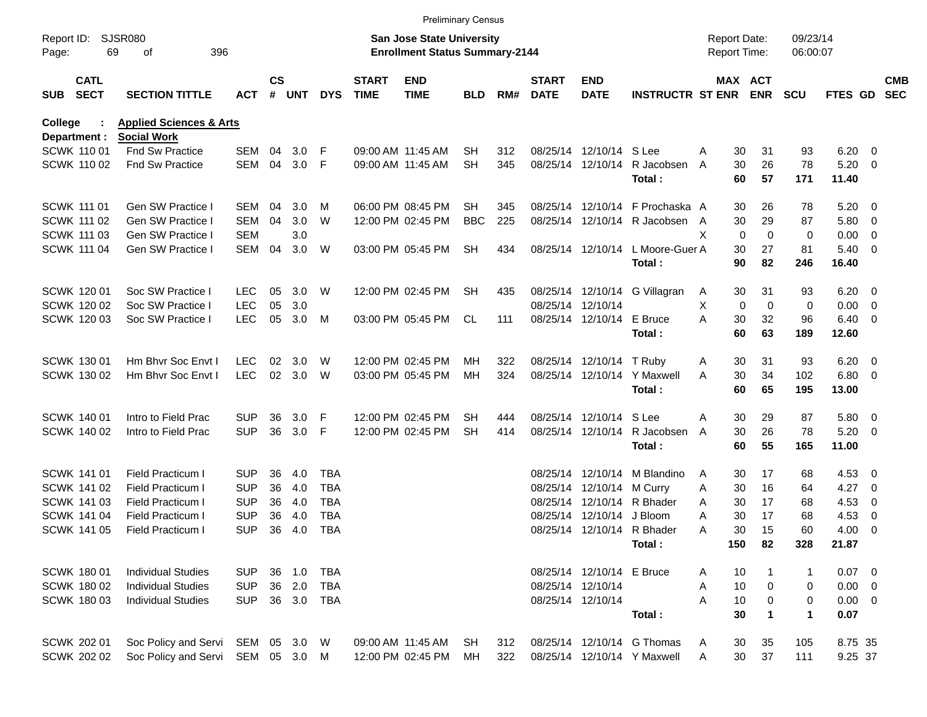|                     |                                   |                                                          |              |                    |            |            |                             |                                                                    | <b>Preliminary Census</b> |     |                             |                           |                                            |                                     |                              |                      |                     |                          |                          |
|---------------------|-----------------------------------|----------------------------------------------------------|--------------|--------------------|------------|------------|-----------------------------|--------------------------------------------------------------------|---------------------------|-----|-----------------------------|---------------------------|--------------------------------------------|-------------------------------------|------------------------------|----------------------|---------------------|--------------------------|--------------------------|
| Report ID:<br>Page: |                                   | <b>SJSR080</b><br>69<br>396<br>οf                        |              |                    |            |            |                             | San Jose State University<br><b>Enrollment Status Summary-2144</b> |                           |     |                             |                           |                                            | <b>Report Date:</b><br>Report Time: |                              | 09/23/14<br>06:00:07 |                     |                          |                          |
| <b>SUB</b>          | <b>CATL</b><br><b>SECT</b>        | <b>SECTION TITTLE</b>                                    | ACT          | $\mathsf{cs}$<br># | <b>UNT</b> | <b>DYS</b> | <b>START</b><br><b>TIME</b> | <b>END</b><br><b>TIME</b>                                          | BLD                       | RM# | <b>START</b><br><b>DATE</b> | <b>END</b><br><b>DATE</b> | <b>INSTRUCTR ST ENR</b>                    |                                     | <b>MAX ACT</b><br><b>ENR</b> | <b>SCU</b>           | FTES GD             |                          | <b>CMB</b><br><b>SEC</b> |
| College             |                                   | <b>Applied Sciences &amp; Arts</b><br><b>Social Work</b> |              |                    |            |            |                             |                                                                    |                           |     |                             |                           |                                            |                                     |                              |                      |                     |                          |                          |
|                     | Department :<br><b>SCWK 11001</b> | <b>Fnd Sw Practice</b>                                   | <b>SEM</b>   | 04                 | 3.0        | F          |                             | 09:00 AM 11:45 AM                                                  | SН                        | 312 |                             | 08/25/14 12/10/14 S Lee   |                                            | 30<br>Α                             | 31                           | 93                   | 6.20                | $\overline{\phantom{0}}$ |                          |
|                     | <b>SCWK 11002</b>                 | <b>Fnd Sw Practice</b>                                   | <b>SEM</b>   | 04                 | 3.0        | -F         |                             | 09:00 AM 11:45 AM                                                  | <b>SH</b>                 | 345 |                             | 08/25/14 12/10/14         | R Jacobsen                                 | 30<br>A                             | 26                           | 78                   | 5.20                | $\overline{\phantom{0}}$ |                          |
|                     |                                   |                                                          |              |                    |            |            |                             |                                                                    |                           |     |                             |                           | Total:                                     | 60                                  | 57                           | 171                  | 11.40               |                          |                          |
|                     | SCWK 111 01                       | Gen SW Practice I                                        | SEM          | 04                 | 3.0        | M          |                             | 06:00 PM 08:45 PM                                                  | SН                        | 345 |                             |                           | 08/25/14 12/10/14 F Prochaska A            | 30                                  | 26                           | 78                   | $5.20 \ 0$          |                          |                          |
|                     | SCWK 111 02                       | Gen SW Practice I                                        | <b>SEM</b>   | 04                 | 3.0        | W          |                             | 12:00 PM 02:45 PM                                                  | <b>BBC</b>                | 225 |                             |                           | 08/25/14 12/10/14 R Jacobsen               | 30<br>A                             | 29                           | 87                   | 5.80                | $\overline{\phantom{0}}$ |                          |
|                     | <b>SCWK 111 03</b>                | Gen SW Practice I                                        | <b>SEM</b>   |                    | 3.0        |            |                             |                                                                    |                           |     |                             |                           |                                            | X                                   | $\mathbf 0$<br>$\mathbf 0$   | 0                    | 0.00                | $\overline{\phantom{0}}$ |                          |
|                     | <b>SCWK 111 04</b>                | Gen SW Practice I                                        | <b>SEM</b>   | 04                 | 3.0        | W          |                             | 03:00 PM 05:45 PM                                                  | <b>SH</b>                 | 434 |                             |                           | 08/25/14 12/10/14 L Moore-Guer A<br>Total: | 30<br>90                            | 27<br>82                     | 81<br>246            | $5.40 \ 0$<br>16.40 |                          |                          |
|                     | SCWK 120 01                       | Soc SW Practice                                          | <b>LEC</b>   | 05                 | 3.0        | W          |                             | 12:00 PM 02:45 PM                                                  | <b>SH</b>                 | 435 |                             |                           | 08/25/14 12/10/14 G Villagran              | 30<br>A                             | 31                           | 93                   | $6.20 \quad 0$      |                          |                          |
|                     | SCWK 120 02                       | Soc SW Practice I                                        | <b>LEC</b>   | 05                 | 3.0        |            |                             |                                                                    |                           |     |                             | 08/25/14 12/10/14         |                                            | Χ                                   | $\mathbf 0$<br>$\mathbf 0$   | 0                    | 0.00                | $\overline{\phantom{0}}$ |                          |
|                     | SCWK 120 03                       | Soc SW Practice I                                        | <b>LEC</b>   | 05                 | 3.0        | M          |                             | 03:00 PM 05:45 PM                                                  | CL.                       | 111 |                             | 08/25/14 12/10/14 E Bruce |                                            | 30<br>A                             | 32                           | 96                   | $6.40 \quad 0$      |                          |                          |
|                     |                                   |                                                          |              |                    |            |            |                             |                                                                    |                           |     |                             |                           | Total:                                     | 60                                  | 63                           | 189                  | 12.60               |                          |                          |
|                     | SCWK 130 01                       | Hm Bhyr Soc Envt I                                       | <b>LEC</b>   | 02                 | 3.0        | W          |                             | 12:00 PM 02:45 PM                                                  | MН                        | 322 |                             | 08/25/14 12/10/14 T Ruby  |                                            | 30<br>A                             | 31                           | 93                   | $6.20 \quad 0$      |                          |                          |
|                     | SCWK 130 02                       | Hm Bhvr Soc Envt I                                       | <b>LEC</b>   | 02                 | 3.0        | W          |                             | 03:00 PM 05:45 PM                                                  | МH                        | 324 |                             |                           | 08/25/14 12/10/14 Y Maxwell<br>Total:      | 30<br>A<br>60                       | 34<br>65                     | 102<br>195           | 6.80 0<br>13.00     |                          |                          |
|                     |                                   |                                                          |              |                    |            |            |                             |                                                                    |                           |     |                             |                           |                                            |                                     |                              |                      |                     |                          |                          |
|                     | <b>SCWK 140 01</b>                | Intro to Field Prac                                      | <b>SUP</b>   | 36                 | 3.0        | F          |                             | 12:00 PM 02:45 PM                                                  | <b>SH</b>                 | 444 |                             | 08/25/14 12/10/14 S Lee   |                                            | 30<br>Α                             | 29                           | 87                   | 5.80 0              |                          |                          |
|                     | SCWK 140 02                       | Intro to Field Prac                                      | <b>SUP</b>   | 36                 | 3.0        | F          |                             | 12:00 PM 02:45 PM                                                  | <b>SH</b>                 | 414 |                             | 08/25/14 12/10/14         | R Jacobsen<br>Total:                       | 30<br>A<br>60                       | 26<br>55                     | 78<br>165            | 5.20<br>11.00       | $\overline{\phantom{0}}$ |                          |
|                     |                                   |                                                          |              |                    |            |            |                             |                                                                    |                           |     |                             |                           |                                            |                                     |                              |                      |                     |                          |                          |
|                     | SCWK 141 01                       | <b>Field Practicum I</b>                                 | <b>SUP</b>   | 36                 | 4.0        | <b>TBA</b> |                             |                                                                    |                           |     |                             | 08/25/14 12/10/14         | M Blandino                                 | 30<br>A                             | 17                           | 68                   | 4.53 0              |                          |                          |
|                     | <b>SCWK 141 02</b>                | <b>Field Practicum I</b>                                 | <b>SUP</b>   | 36                 | 4.0        | <b>TBA</b> |                             |                                                                    |                           |     |                             | 08/25/14 12/10/14 M Curry |                                            | 30<br>A                             | 16                           | 64                   | 4.27                | $\overline{\phantom{0}}$ |                          |
|                     | <b>SCWK 141 03</b>                | <b>Field Practicum I</b>                                 | <b>SUP</b>   | 36                 | 4.0        | <b>TBA</b> |                             |                                                                    |                           |     |                             |                           | 08/25/14 12/10/14 R Bhader                 | 30<br>A                             | 17                           | 68                   | 4.53                | $\overline{\mathbf{0}}$  |                          |
|                     | <b>SCWK 141 04</b>                | <b>Field Practicum I</b>                                 | <b>SUP</b>   | 36                 | 4.0        | <b>TBA</b> |                             |                                                                    |                           |     |                             | 08/25/14 12/10/14 J Bloom |                                            | Α<br>30                             | 17<br>15                     | 68<br>60             | 4.53                | $\overline{\mathbf{0}}$  |                          |
|                     | <b>SCWK 141 05</b>                | <b>Field Practicum I</b>                                 | <b>SUP</b>   | 36                 | 4.0        | <b>TBA</b> |                             |                                                                    |                           |     |                             |                           | 08/25/14 12/10/14 R Bhader<br>Total:       | 30<br>Α<br>150                      | 82                           | 328                  | 4.00<br>21.87       | $\overline{\phantom{0}}$ |                          |
|                     | SCWK 180 01                       | <b>Individual Studies</b>                                | <b>SUP</b>   | 36                 | 1.0        | TBA        |                             |                                                                    |                           |     |                             | 08/25/14 12/10/14 E Bruce |                                            | 10<br>A                             |                              | 1                    | $0.07$ 0            |                          |                          |
|                     | SCWK 180 02                       | <b>Individual Studies</b>                                | <b>SUP</b>   | 36                 | 2.0        | <b>TBA</b> |                             |                                                                    |                           |     |                             | 08/25/14 12/10/14         |                                            | 10<br>Α                             | 0                            | 0                    | $0.00 \t 0$         |                          |                          |
|                     | SCWK 180 03                       | <b>Individual Studies</b>                                | <b>SUP</b>   |                    | 36 3.0     | TBA        |                             |                                                                    |                           |     |                             | 08/25/14 12/10/14         |                                            | Α<br>10                             | $\pmb{0}$                    | 0                    | $0.00 \t 0$         |                          |                          |
|                     |                                   |                                                          |              |                    |            |            |                             |                                                                    |                           |     |                             |                           | Total:                                     | 30                                  | 1                            | 1                    | 0.07                |                          |                          |
|                     | SCWK 202 01                       | Soc Policy and Servi                                     | SEM 05 3.0   |                    |            | W          |                             | 09:00 AM 11:45 AM                                                  | SH                        | 312 |                             |                           | 08/25/14 12/10/14 G Thomas                 | 30<br>A                             | 35                           | 105                  | 8.75 35             |                          |                          |
|                     | <b>SCWK 202 02</b>                | Soc Policy and Servi                                     | SEM 05 3.0 M |                    |            |            |                             | 12:00 PM 02:45 PM                                                  | МH                        | 322 |                             |                           | 08/25/14 12/10/14 Y Maxwell                | 30<br>A                             | 37                           | 111                  | 9.25 37             |                          |                          |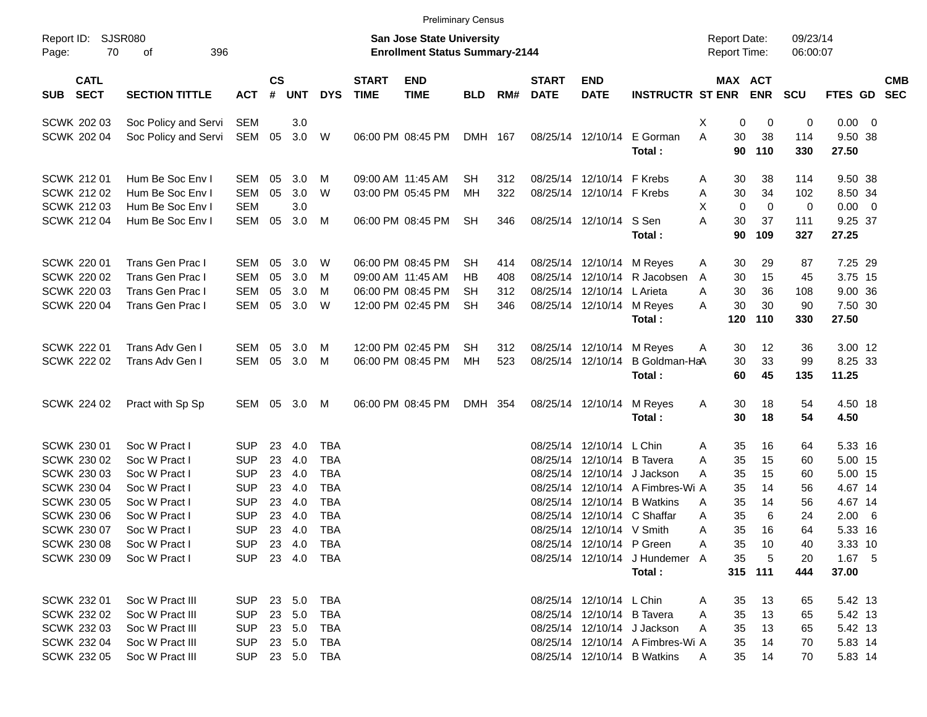|                                          |                                   |            |                    |            |            |                             |                                                                           | <b>Preliminary Census</b> |     |                             |                            |                                  |   |                     |                       |                      |                  |                          |                          |
|------------------------------------------|-----------------------------------|------------|--------------------|------------|------------|-----------------------------|---------------------------------------------------------------------------|---------------------------|-----|-----------------------------|----------------------------|----------------------------------|---|---------------------|-----------------------|----------------------|------------------|--------------------------|--------------------------|
| Report ID:<br>Page:                      | <b>SJSR080</b><br>70<br>396<br>of |            |                    |            |            |                             | <b>San Jose State University</b><br><b>Enrollment Status Summary-2144</b> |                           |     |                             |                            |                                  |   | <b>Report Date:</b> | Report Time:          | 09/23/14<br>06:00:07 |                  |                          |                          |
| <b>CATL</b><br><b>SECT</b><br><b>SUB</b> | <b>SECTION TITTLE</b>             | <b>ACT</b> | $\mathsf{cs}$<br># | <b>UNT</b> | <b>DYS</b> | <b>START</b><br><b>TIME</b> | <b>END</b><br><b>TIME</b>                                                 | <b>BLD</b>                | RM# | <b>START</b><br><b>DATE</b> | <b>END</b><br><b>DATE</b>  | <b>INSTRUCTR ST ENR</b>          |   |                     | MAX ACT<br><b>ENR</b> | <b>SCU</b>           | FTES GD          |                          | <b>CMB</b><br><b>SEC</b> |
| <b>SCWK 202 03</b>                       | Soc Policy and Servi              | <b>SEM</b> |                    | 3.0        |            |                             |                                                                           |                           |     |                             |                            |                                  | X | 0                   | 0                     | 0                    | $0.00 \t 0$      |                          |                          |
| SCWK 202 04                              | Soc Policy and Servi              | SEM        | 05                 | 3.0        | W          |                             | 06:00 PM 08:45 PM                                                         | <b>DMH</b>                | 167 |                             | 08/25/14 12/10/14          | E Gorman<br>Total:               | A | 30<br>90            | 38<br>110             | 114<br>330           | 9.50 38<br>27.50 |                          |                          |
| <b>SCWK 21201</b>                        | Hum Be Soc Env I                  | <b>SEM</b> | 05                 | 3.0        | M          |                             | 09:00 AM 11:45 AM                                                         | <b>SH</b>                 | 312 |                             | 08/25/14 12/10/14          | F Krebs                          | A | 30                  | 38                    | 114                  | 9.50 38          |                          |                          |
| <b>SCWK 212 02</b>                       | Hum Be Soc Env I                  | <b>SEM</b> | 05                 | 3.0        | W          |                             | 03:00 PM 05:45 PM                                                         | MH                        | 322 | 08/25/14                    | 12/10/14                   | F Krebs                          | Α | 30                  | 34                    | 102                  | 8.50 34          |                          |                          |
| SCWK 212 03                              | Hum Be Soc Env I                  | <b>SEM</b> |                    | 3.0        |            |                             |                                                                           |                           |     |                             |                            |                                  | X | 0                   | $\mathbf 0$           | 0                    | 0.00             | $\overline{\phantom{0}}$ |                          |
| <b>SCWK 212 04</b>                       | Hum Be Soc Env I                  | <b>SEM</b> | 05                 | 3.0        | M          |                             | 06:00 PM 08:45 PM                                                         | <b>SH</b>                 | 346 |                             | 08/25/14 12/10/14          | S Sen<br>Total:                  | A | 30<br>90            | 37<br>109             | 111<br>327           | 9.25 37<br>27.25 |                          |                          |
| <b>SCWK 220 01</b>                       | Trans Gen Prac I                  | <b>SEM</b> | 05                 | 3.0        | W          |                             | 06:00 PM 08:45 PM                                                         | SН                        | 414 |                             | 08/25/14 12/10/14          | M Reyes                          | Α | 30                  | 29                    | 87                   | 7.25 29          |                          |                          |
| <b>SCWK 220 02</b>                       | Trans Gen Prac I                  | <b>SEM</b> | 05                 | 3.0        | M          |                             | 09:00 AM 11:45 AM                                                         | <b>HB</b>                 | 408 | 08/25/14                    | 12/10/14                   | R Jacobsen                       | A | 30                  | 15                    | 45                   | 3.75 15          |                          |                          |
| <b>SCWK 220 03</b>                       | Trans Gen Prac I                  | <b>SEM</b> | 05                 | 3.0        | М          |                             | 06:00 PM 08:45 PM                                                         | <b>SH</b>                 | 312 | 08/25/14                    | 12/10/14                   | L Arieta                         | A | 30                  | 36                    | 108                  | 9.00 36          |                          |                          |
| SCWK 220 04                              | Trans Gen Prac I                  | <b>SEM</b> | 05                 | 3.0        | W          |                             | 12:00 PM 02:45 PM                                                         | <b>SH</b>                 | 346 |                             | 08/25/14 12/10/14          | M Reyes                          | A | 30                  | 30                    | 90                   | 7.50 30          |                          |                          |
|                                          |                                   |            |                    |            |            |                             |                                                                           |                           |     |                             |                            | Total:                           |   | 120                 | 110                   | 330                  | 27.50            |                          |                          |
| <b>SCWK 222 01</b>                       | Trans Adv Gen I                   | <b>SEM</b> | 05                 | 3.0        | M          |                             | 12:00 PM 02:45 PM                                                         | <b>SH</b>                 | 312 |                             | 08/25/14 12/10/14          | M Reyes                          | A | 30                  | 12                    | 36                   | 3.00 12          |                          |                          |
| <b>SCWK 222 02</b>                       | Trans Adv Gen I                   | <b>SEM</b> | 05                 | 3.0        | M          |                             | 06:00 PM 08:45 PM                                                         | MH                        | 523 |                             | 08/25/14 12/10/14          | B Goldman-HaA                    |   | 30                  | 33                    | 99                   | 8.25 33          |                          |                          |
|                                          |                                   |            |                    |            |            |                             |                                                                           |                           |     |                             |                            | Total:                           |   | 60                  | 45                    | 135                  | 11.25            |                          |                          |
| SCWK 224 02                              | Pract with Sp Sp                  | SEM        | 05                 | 3.0        | M          |                             | 06:00 PM 08:45 PM                                                         | <b>DMH</b>                | 354 |                             | 08/25/14 12/10/14          | M Reyes                          | Α | 30                  | 18                    | 54                   | 4.50 18          |                          |                          |
|                                          |                                   |            |                    |            |            |                             |                                                                           |                           |     |                             |                            | Total:                           |   | 30                  | 18                    | 54                   | 4.50             |                          |                          |
| SCWK 230 01                              | Soc W Pract I                     | <b>SUP</b> | 23                 | 4.0        | <b>TBA</b> |                             |                                                                           |                           |     | 08/25/14                    | 12/10/14                   | L Chin                           | Α | 35                  | 16                    | 64                   | 5.33 16          |                          |                          |
| SCWK 230 02                              | Soc W Pract I                     | <b>SUP</b> | 23                 | 4.0        | <b>TBA</b> |                             |                                                                           |                           |     | 08/25/14                    | 12/10/14                   | <b>B</b> Tavera                  | A | 35                  | 15                    | 60                   | 5.00 15          |                          |                          |
| SCWK 230 03                              | Soc W Pract I                     | <b>SUP</b> | 23                 | 4.0        | <b>TBA</b> |                             |                                                                           |                           |     | 08/25/14                    | 12/10/14                   | J Jackson                        | A | 35                  | 15                    | 60                   | 5.00 15          |                          |                          |
| <b>SCWK 230 04</b>                       | Soc W Pract I                     | <b>SUP</b> | 23                 | 4.0        | <b>TBA</b> |                             |                                                                           |                           |     | 08/25/14                    | 12/10/14                   | A Fimbres-Wi A                   |   | 35                  | 14                    | 56                   | 4.67 14          |                          |                          |
| <b>SCWK 230 05</b>                       | Soc W Pract I                     | <b>SUP</b> | 23                 | 4.0        | <b>TBA</b> |                             |                                                                           |                           |     | 08/25/14                    | 12/10/14                   | <b>B</b> Watkins                 | A | 35                  | 14                    | 56                   | 4.67 14          |                          |                          |
| <b>SCWK 230 06</b>                       | Soc W Pract I                     | <b>SUP</b> | 23                 | 4.0        | <b>TBA</b> |                             |                                                                           |                           |     | 08/25/14                    | 12/10/14                   | C Shaffar                        | A | 35                  | 6                     | 24                   | 2.00             | $6\overline{6}$          |                          |
| SCWK 230 07                              | Soc W Pract I                     | <b>SUP</b> | 23                 | 4.0        | <b>TBA</b> |                             |                                                                           |                           |     |                             | 08/25/14 12/10/14 V Smith  |                                  | Α | 35                  | 16                    | 64                   | 5.33 16          |                          |                          |
| SCWK 230 08                              | Soc W Pract I                     | SUP        |                    | 23 4.0     | TBA        |                             |                                                                           |                           |     |                             | 08/25/14 12/10/14 P Green  |                                  | Α | 35                  | 10                    | 40                   | 3.33 10          |                          |                          |
| SCWK 230 09                              | Soc W Pract I                     | <b>SUP</b> |                    | 23 4.0     | TBA        |                             |                                                                           |                           |     |                             |                            | 08/25/14 12/10/14 J Hundemer A   |   | 35                  | 5                     | 20                   | 1.67 5           |                          |                          |
|                                          |                                   |            |                    |            |            |                             |                                                                           |                           |     |                             |                            | Total:                           |   |                     | 315 111               | 444                  | 37.00            |                          |                          |
| SCWK 232 01                              | Soc W Pract III                   | <b>SUP</b> | 23                 | 5.0        | TBA        |                             |                                                                           |                           |     |                             | 08/25/14 12/10/14 L Chin   |                                  | A | 35                  | 13                    | 65                   | 5.42 13          |                          |                          |
| SCWK 232 02                              | Soc W Pract III                   | <b>SUP</b> | 23                 | 5.0        | TBA        |                             |                                                                           |                           |     |                             | 08/25/14 12/10/14 B Tavera |                                  | A | 35                  | 13                    | 65                   | 5.42 13          |                          |                          |
| SCWK 232 03                              | Soc W Pract III                   | <b>SUP</b> | 23                 | 5.0        | TBA        |                             |                                                                           |                           |     |                             |                            | 08/25/14 12/10/14 J Jackson      | A | 35                  | 13                    | 65                   | 5.42 13          |                          |                          |
| SCWK 232 04                              | Soc W Pract III                   | <b>SUP</b> | 23                 | 5.0        | TBA        |                             |                                                                           |                           |     |                             |                            | 08/25/14 12/10/14 A Fimbres-Wi A |   | 35                  | 14                    | 70                   | 5.83 14          |                          |                          |
| SCWK 232 05                              | Soc W Pract III                   | <b>SUP</b> |                    |            | 23 5.0 TBA |                             |                                                                           |                           |     |                             |                            | 08/25/14 12/10/14 B Watkins      | A | 35                  | 14                    | 70                   | 5.83 14          |                          |                          |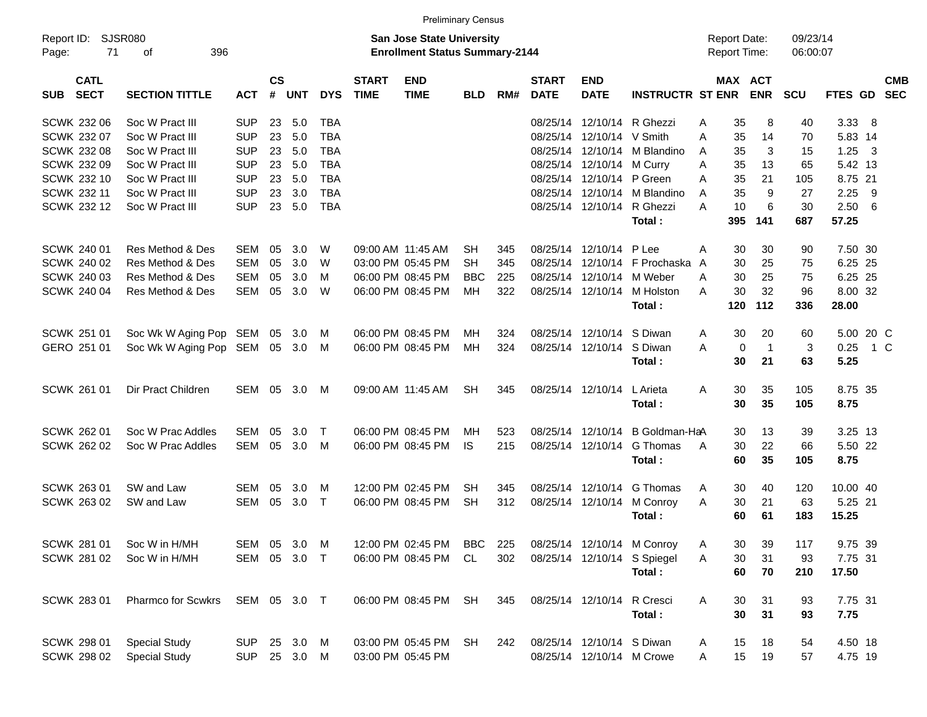|                                          |                        |              |                    |          |            |                             | <b>Preliminary Census</b>                                                 |            |     |                             |                            |                                 |                                            |              |                      |             |                         |            |
|------------------------------------------|------------------------|--------------|--------------------|----------|------------|-----------------------------|---------------------------------------------------------------------------|------------|-----|-----------------------------|----------------------------|---------------------------------|--------------------------------------------|--------------|----------------------|-------------|-------------------------|------------|
| Report ID:<br>71<br>Page:                | SJSR080<br>396<br>of   |              |                    |          |            |                             | <b>San Jose State University</b><br><b>Enrollment Status Summary-2144</b> |            |     |                             |                            |                                 | <b>Report Date:</b><br><b>Report Time:</b> |              | 09/23/14<br>06:00:07 |             |                         |            |
| <b>CATL</b><br><b>SECT</b><br><b>SUB</b> | <b>SECTION TITTLE</b>  | <b>ACT</b>   | $\mathsf{cs}$<br># | UNT      | <b>DYS</b> | <b>START</b><br><b>TIME</b> | <b>END</b><br><b>TIME</b>                                                 | <b>BLD</b> | RM# | <b>START</b><br><b>DATE</b> | <b>END</b><br><b>DATE</b>  | <b>INSTRUCTR ST ENR</b>         | MAX ACT                                    | <b>ENR</b>   | <b>SCU</b>           | FTES GD SEC |                         | <b>CMB</b> |
| SCWK 232 06                              | Soc W Pract III        | SUP          | 23                 | 5.0      | TBA        |                             |                                                                           |            |     | 08/25/14                    |                            | 12/10/14 R Ghezzi               | 35<br>Α                                    | 8            | 40                   | $3.338$ 8   |                         |            |
| SCWK 232 07                              | Soc W Pract III        | <b>SUP</b>   | 23                 | 5.0      | <b>TBA</b> |                             |                                                                           |            |     |                             | 08/25/14 12/10/14 V Smith  |                                 | A<br>35                                    | 14           | 70                   | 5.83 14     |                         |            |
| <b>SCWK 232 08</b>                       | Soc W Pract III        | <b>SUP</b>   | 23                 | 5.0      | <b>TBA</b> |                             |                                                                           |            |     |                             |                            | 08/25/14 12/10/14 M Blandino    | 35<br>A                                    | 3            | 15                   | 1.25        | $\overline{\mathbf{3}}$ |            |
| SCWK 232 09                              | Soc W Pract III        | <b>SUP</b>   | 23                 | 5.0      | <b>TBA</b> |                             |                                                                           |            |     |                             | 08/25/14 12/10/14 M Curry  |                                 | 35<br>A                                    | 13           | 65                   | 5.42 13     |                         |            |
| SCWK 232 10                              | Soc W Pract III        | <b>SUP</b>   | 23                 | 5.0      | <b>TBA</b> |                             |                                                                           |            |     |                             | 08/25/14 12/10/14 P Green  |                                 | 35<br>A                                    | 21           | 105                  | 8.75 21     |                         |            |
| SCWK 232 11                              | Soc W Pract III        | <b>SUP</b>   | 23                 | 3.0      | <b>TBA</b> |                             |                                                                           |            |     |                             |                            | 08/25/14 12/10/14 M Blandino    | 35<br>A                                    | 9            | 27                   | 2.25        | - 9                     |            |
| SCWK 232 12                              | Soc W Pract III        | <b>SUP</b>   | 23                 | 5.0      | <b>TBA</b> |                             |                                                                           |            |     |                             |                            | 08/25/14 12/10/14 R Ghezzi      | 10<br>A                                    | 6            | 30                   | 2.506       |                         |            |
|                                          |                        |              |                    |          |            |                             |                                                                           |            |     |                             |                            | Total:                          | 395                                        | 141          | 687                  | 57.25       |                         |            |
| SCWK 240 01                              | Res Method & Des       | <b>SEM</b>   | 05                 | 3.0      | W          |                             | 09:00 AM 11:45 AM                                                         | <b>SH</b>  | 345 |                             | 08/25/14 12/10/14 P Lee    |                                 | 30<br>Α                                    | 30           | 90                   | 7.50 30     |                         |            |
| SCWK 240 02                              | Res Method & Des       | <b>SEM</b>   | 05                 | 3.0      | W          |                             | 03:00 PM 05:45 PM                                                         | <b>SH</b>  | 345 |                             |                            | 08/25/14 12/10/14 F Prochaska   | 30<br>A                                    | 25           | 75                   | 6.25 25     |                         |            |
| <b>SCWK 240 03</b>                       | Res Method & Des       | <b>SEM</b>   | 05                 | 3.0      | M          |                             | 06:00 PM 08:45 PM                                                         | <b>BBC</b> | 225 |                             | 08/25/14 12/10/14 M Weber  |                                 | 30<br>A                                    | 25           | 75                   | 6.25 25     |                         |            |
| SCWK 240 04                              | Res Method & Des       | <b>SEM</b>   | 05                 | 3.0      | W          |                             | 06:00 PM 08:45 PM                                                         | MH         | 322 |                             |                            | 08/25/14 12/10/14 M Holston     | 30<br>A                                    | 32           | 96                   | 8.00 32     |                         |            |
|                                          |                        |              |                    |          |            |                             |                                                                           |            |     |                             |                            | Total:                          | 120                                        | $112$        | 336                  | 28.00       |                         |            |
| SCWK 251 01                              | Soc Wk W Aging Pop SEM |              | 05                 | 3.0      | M          |                             | 06:00 PM 08:45 PM                                                         | MН         | 324 |                             | 08/25/14 12/10/14 S Diwan  |                                 | 30<br>A                                    | 20           | 60                   | 5.00 20 C   |                         |            |
| GERO 251 01                              | Soc Wk W Aging Pop SEM |              | 05                 | 3.0      | M          |                             | 06:00 PM 08:45 PM                                                         | MH         | 324 |                             | 08/25/14 12/10/14 S Diwan  |                                 | $\mathbf 0$<br>A                           | $\mathbf{1}$ | 3                    | 0.25        | 1 C                     |            |
|                                          |                        |              |                    |          |            |                             |                                                                           |            |     |                             |                            | Total:                          | 30                                         | 21           | 63                   | 5.25        |                         |            |
| SCWK 261 01                              | Dir Pract Children     | SEM          | 05                 | 3.0      | M          |                             | 09:00 AM 11:45 AM                                                         | <b>SH</b>  | 345 |                             | 08/25/14 12/10/14 L Arieta |                                 | 30<br>Α                                    | 35           | 105                  | 8.75 35     |                         |            |
|                                          |                        |              |                    |          |            |                             |                                                                           |            |     |                             |                            | Total:                          | 30                                         | 35           | 105                  | 8.75        |                         |            |
| SCWK 262 01                              | Soc W Prac Addles      | SEM          | 05                 | 3.0      | $\top$     |                             | 06:00 PM 08:45 PM                                                         | MН         | 523 |                             |                            | 08/25/14 12/10/14 B Goldman-HaA | 30                                         | 13           | 39                   | 3.25 13     |                         |            |
| <b>SCWK 262 02</b>                       | Soc W Prac Addles      | <b>SEM</b>   | 05                 | 3.0      | M          |                             | 06:00 PM 08:45 PM                                                         | <b>IS</b>  | 215 |                             |                            | 08/25/14 12/10/14 G Thomas      | 30<br>A                                    | 22           | 66                   | 5.50 22     |                         |            |
|                                          |                        |              |                    |          |            |                             |                                                                           |            |     |                             |                            | Total:                          | 60                                         | 35           | 105                  | 8.75        |                         |            |
| SCWK 263 01                              | SW and Law             | SEM          | 05                 | 3.0      | M          |                             | 12:00 PM 02:45 PM                                                         | <b>SH</b>  | 345 |                             |                            | 08/25/14 12/10/14 G Thomas      | 30<br>A                                    | 40           | 120                  | 10.00 40    |                         |            |
| SCWK 263 02                              | SW and Law             | <b>SEM</b>   | 05                 | 3.0      | $\top$     |                             | 06:00 PM 08:45 PM                                                         | <b>SH</b>  | 312 |                             |                            | 08/25/14 12/10/14 M Conroy      | 30<br>A                                    | 21           | 63                   | 5.25 21     |                         |            |
|                                          |                        |              |                    |          |            |                             |                                                                           |            |     |                             |                            | Total:                          | 60                                         | 61           | 183                  | 15.25       |                         |            |
| SCWK 281 01                              | Soc W in H/MH          | SEM 05 3.0 M |                    |          |            |                             | 12:00 PM 02:45 PM                                                         | BBC        | 225 |                             |                            | 08/25/14 12/10/14 M Conroy      | Α<br>30                                    | 39           | 117                  | 9.75 39     |                         |            |
| SCWK 281 02                              | Soc W in H/MH          | SEM 05 3.0 T |                    |          |            |                             | 06:00 PM 08:45 PM                                                         | CL         | 302 |                             |                            | 08/25/14 12/10/14 S Spiegel     | Α<br>30                                    | 31           | 93                   | 7.75 31     |                         |            |
|                                          |                        |              |                    |          |            |                             |                                                                           |            |     |                             |                            | Total:                          | 60                                         | 70           | 210                  | 17.50       |                         |            |
| SCWK 283 01                              | Pharmco for Scwkrs     | SEM 05 3.0 T |                    |          |            |                             | 06:00 PM 08:45 PM                                                         | SH         | 345 |                             | 08/25/14 12/10/14 R Cresci |                                 | 30<br>Α                                    | 31           | 93                   | 7.75 31     |                         |            |
|                                          |                        |              |                    |          |            |                             |                                                                           |            |     |                             |                            | Total:                          | 30                                         | 31           | 93                   | 7.75        |                         |            |
| <b>SCWK 298 01</b>                       | <b>Special Study</b>   | SUP          |                    | 25 3.0 M |            |                             | 03:00 PM 05:45 PM                                                         | SH         | 242 |                             | 08/25/14 12/10/14 S Diwan  |                                 | 15<br>A                                    | 18           | 54                   | 4.50 18     |                         |            |
| SCWK 298 02                              | <b>Special Study</b>   | <b>SUP</b>   |                    | 25 3.0 M |            |                             | 03:00 PM 05:45 PM                                                         |            |     |                             |                            | 08/25/14 12/10/14 M Crowe       | 15<br>A                                    | 19           | 57                   | 4.75 19     |                         |            |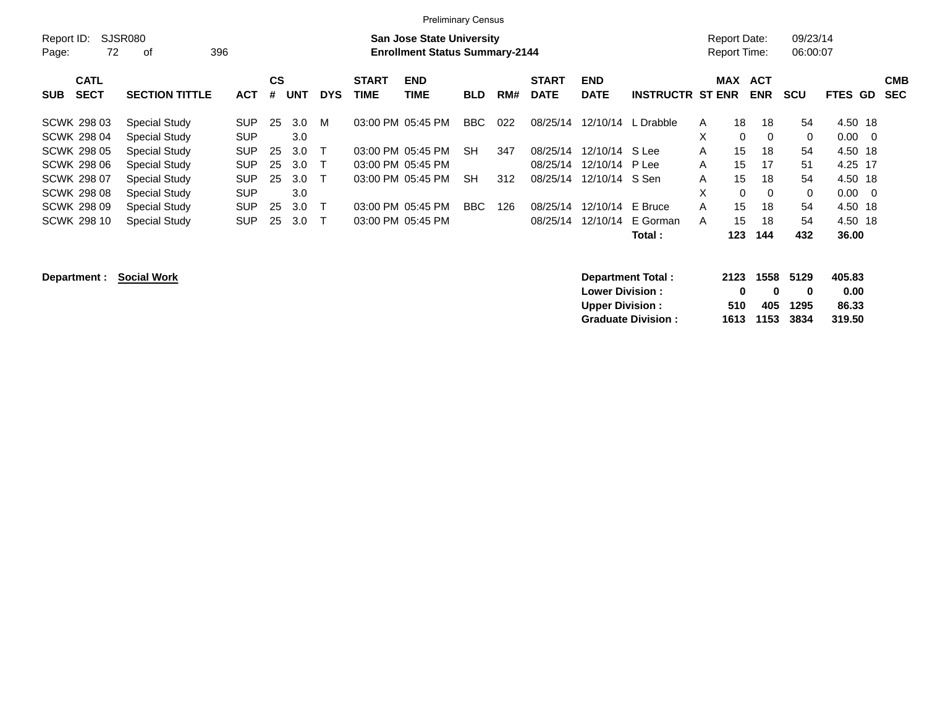| <b>Preliminary Census</b> |  |
|---------------------------|--|
|                           |  |

| Report ID:<br>72<br>Page:                | <b>SJSR080</b><br>396<br>of |            |                |            |            |                             | <b>San Jose State University</b><br><b>Enrollment Status Summary-2144</b> |            |     |                             |                           |                         | Report Date:<br>Report Time: |                          | 09/23/14<br>06:00:07 |                                  |                          |
|------------------------------------------|-----------------------------|------------|----------------|------------|------------|-----------------------------|---------------------------------------------------------------------------|------------|-----|-----------------------------|---------------------------|-------------------------|------------------------------|--------------------------|----------------------|----------------------------------|--------------------------|
| <b>CATL</b><br><b>SECT</b><br><b>SUB</b> | <b>SECTION TITTLE</b>       | <b>ACT</b> | <b>CS</b><br># | <b>UNT</b> | <b>DYS</b> | <b>START</b><br><b>TIME</b> | <b>END</b><br>TIME                                                        | <b>BLD</b> | RM# | <b>START</b><br><b>DATE</b> | <b>END</b><br><b>DATE</b> | <b>INSTRUCTR ST ENR</b> | <b>MAX</b>                   | <b>ACT</b><br><b>ENR</b> | <b>SCU</b>           | FTES GD                          | <b>CMB</b><br><b>SEC</b> |
| <b>SCWK 298 03</b>                       | <b>Special Study</b>        | <b>SUP</b> | 25             | 3.0        | м          |                             | 03:00 PM 05:45 PM                                                         | <b>BBC</b> | 022 | 08/25/14                    |                           | 12/10/14 L Drabble      | 18<br>A                      | 18                       | 54                   | 4.50 18                          |                          |
| <b>SCWK 298 04</b>                       | Special Study               | <b>SUP</b> |                | 3.0        |            |                             |                                                                           |            |     |                             |                           |                         | X                            | 0<br>$\Omega$            | $\mathbf{0}$         | 0.00<br>$\overline{0}$           |                          |
| <b>SCWK 298 05</b>                       | Special Study               | <b>SUP</b> | 25             | 3.0        |            |                             | 03:00 PM 05:45 PM                                                         | <b>SH</b>  | 347 | 08/25/14                    | 12/10/14                  | S Lee                   | A<br>15                      | 18                       | 54                   | 4.50 18                          |                          |
| <b>SCWK 298 06</b>                       | Special Study               | <b>SUP</b> | 25             | 3.0        |            |                             | 03:00 PM 05:45 PM                                                         |            |     | 08/25/14                    | 12/10/14 P Lee            |                         | 15<br>A                      | 17                       | 51                   | 4.25 17                          |                          |
| <b>SCWK 298 07</b>                       | Special Study               | <b>SUP</b> | 25             | 3.0        |            |                             | 03:00 PM 05:45 PM                                                         | SH.        | 312 | 08/25/14                    | 12/10/14                  | S Sen                   | 15<br>A                      | 18                       | 54                   | 4.50 18                          |                          |
| <b>SCWK 298 08</b>                       | <b>Special Study</b>        | <b>SUP</b> |                | 3.0        |            |                             |                                                                           |            |     |                             |                           |                         | X                            | $\Omega$<br>$\Omega$     | $\mathbf{0}$         | 0.00<br>$\overline{\phantom{0}}$ |                          |
| <b>SCWK 298 09</b>                       | Special Study               | <b>SUP</b> | 25             | 3.0        |            |                             | 03:00 PM 05:45 PM                                                         | <b>BBC</b> | 126 | 08/25/14                    | 12/10/14                  | E Bruce                 | 15<br>A                      | 18                       | 54                   | 4.50 18                          |                          |
| <b>SCWK 298 10</b>                       | <b>Special Study</b>        | <b>SUP</b> | 25             | 3.0        |            |                             | 03:00 PM 05:45 PM                                                         |            |     | 08/25/14                    | 12/10/14                  | E Gorman                | 15<br>A                      | 18                       | 54                   | 4.50 18                          |                          |
|                                          |                             |            |                |            |            |                             |                                                                           |            |     |                             |                           | Total :                 | 123                          | 144                      | 432                  | 36.00                            |                          |
| Department :                             | <b>Social Work</b>          |            |                |            |            |                             |                                                                           |            |     |                             | Lower Division L          | Department Total:       | 2123                         | 1558                     | 5129                 | 405.83<br>n nn                   |                          |

|  | Department : | <b>SOCIAL WOLK</b> |  |
|--|--------------|--------------------|--|
|  |              |                    |  |

|     |   |   | 405.83                                       |
|-----|---|---|----------------------------------------------|
| n   | n | o | 0.00                                         |
| 510 |   |   | 86.33                                        |
|     |   |   | 319.50                                       |
|     |   |   | 2123 1558 5129<br>405 1295<br>1613 1153 3834 |